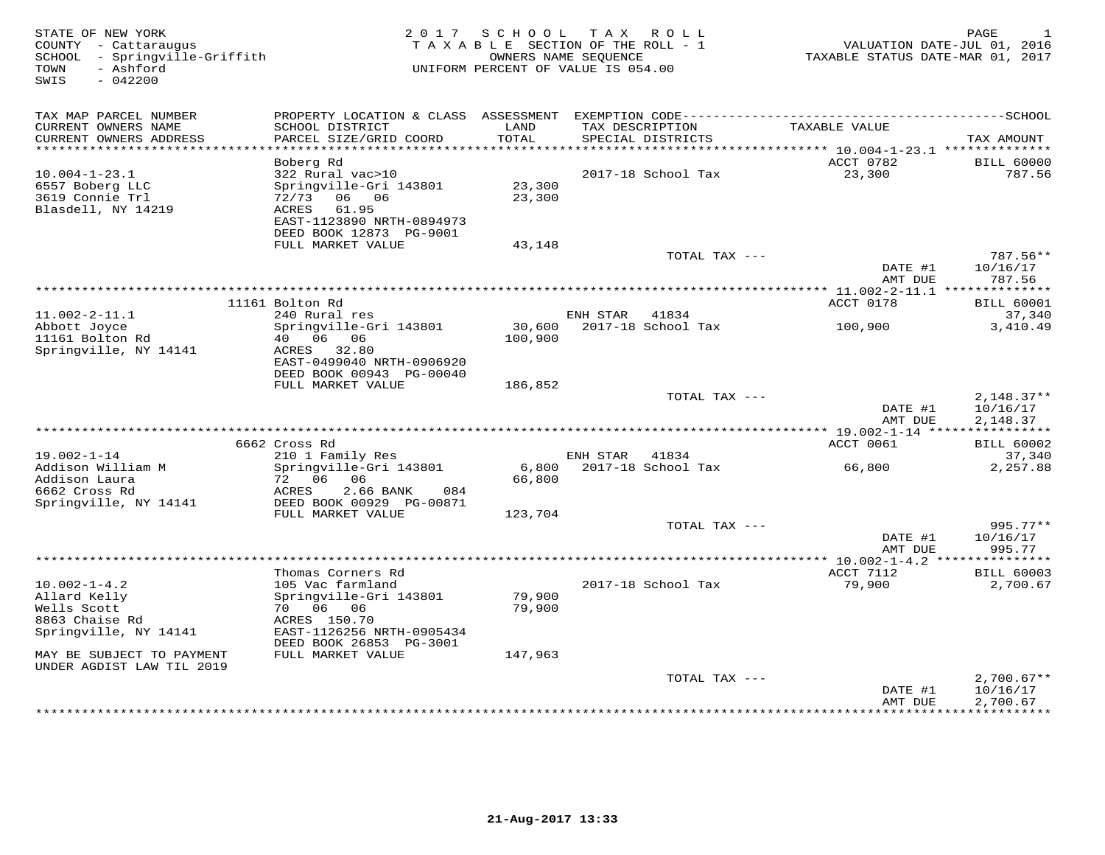| STATE OF NEW YORK<br>COUNTY - Cattaraugus<br>SCHOOL - Springville-Griffith<br>- Ashford<br>TOWN<br>SWIS<br>$-042200$ |                                                       | 2017 SCHOOL   | TAX ROLL<br>TAXABLE SECTION OF THE ROLL - 1<br>OWNERS NAME SEOUENCE<br>UNIFORM PERCENT OF VALUE IS 054.00 | VALUATION DATE-JUL 01, 2016<br>TAXABLE STATUS DATE-MAR 01, 2017 | PAGE<br>-1                  |
|----------------------------------------------------------------------------------------------------------------------|-------------------------------------------------------|---------------|-----------------------------------------------------------------------------------------------------------|-----------------------------------------------------------------|-----------------------------|
| TAX MAP PARCEL NUMBER                                                                                                |                                                       |               |                                                                                                           |                                                                 |                             |
| CURRENT OWNERS NAME<br>CURRENT OWNERS ADDRESS<br>***********************                                             | SCHOOL DISTRICT<br>PARCEL SIZE/GRID COORD             | LAND<br>TOTAL | TAX DESCRIPTION<br>SPECIAL DISTRICTS                                                                      | TAXABLE VALUE                                                   | TAX AMOUNT                  |
|                                                                                                                      | Boberg Rd                                             |               |                                                                                                           | ACCT 0782                                                       | <b>BILL 60000</b>           |
| $10.004 - 1 - 23.1$                                                                                                  | 322 Rural vac>10                                      |               | 2017-18 School Tax                                                                                        | 23,300                                                          | 787.56                      |
| 6557 Boberg LLC                                                                                                      | Springville-Gri 143801                                | 23,300        |                                                                                                           |                                                                 |                             |
| 3619 Connie Trl                                                                                                      | 72/73<br>06 06                                        | 23,300        |                                                                                                           |                                                                 |                             |
| Blasdell, NY 14219                                                                                                   | 61.95<br>ACRES                                        |               |                                                                                                           |                                                                 |                             |
|                                                                                                                      | EAST-1123890 NRTH-0894973<br>DEED BOOK 12873 PG-9001  |               |                                                                                                           |                                                                 |                             |
|                                                                                                                      | FULL MARKET VALUE                                     | 43,148        |                                                                                                           |                                                                 |                             |
|                                                                                                                      |                                                       |               | TOTAL TAX ---                                                                                             |                                                                 | 787.56**                    |
|                                                                                                                      |                                                       |               |                                                                                                           | DATE #1                                                         | 10/16/17                    |
|                                                                                                                      |                                                       |               |                                                                                                           | AMT DUE                                                         | 787.56                      |
|                                                                                                                      | 11161 Bolton Rd                                       |               |                                                                                                           | ACCT 0178                                                       | <b>BILL 60001</b>           |
| $11.002 - 2 - 11.1$                                                                                                  | 240 Rural res                                         |               | ENH STAR<br>41834                                                                                         |                                                                 | 37,340                      |
| Abbott Joyce                                                                                                         | Springville-Gri 143801                                |               | 30,600 2017-18 School Tax                                                                                 | 100,900                                                         | 3,410.49                    |
| 11161 Bolton Rd                                                                                                      | 40   06   06                                          | 100,900       |                                                                                                           |                                                                 |                             |
| Springville, NY 14141                                                                                                | ACRES 32.80                                           |               |                                                                                                           |                                                                 |                             |
|                                                                                                                      | EAST-0499040 NRTH-0906920<br>DEED BOOK 00943 PG-00040 |               |                                                                                                           |                                                                 |                             |
|                                                                                                                      | FULL MARKET VALUE                                     | 186,852       |                                                                                                           |                                                                 |                             |
|                                                                                                                      |                                                       |               | TOTAL TAX ---                                                                                             |                                                                 | $2,148.37**$                |
|                                                                                                                      |                                                       |               |                                                                                                           | DATE #1                                                         | 10/16/17                    |
|                                                                                                                      |                                                       |               |                                                                                                           | AMT DUE                                                         | 2,148.37                    |
|                                                                                                                      | 6662 Cross Rd                                         |               |                                                                                                           | ACCT 0061                                                       |                             |
| $19.002 - 1 - 14$                                                                                                    | 210 1 Family Res                                      |               | ENH STAR 41834                                                                                            |                                                                 | <b>BILL 60002</b><br>37,340 |
| Addison William M                                                                                                    | Springville-Gri 143801                                | 6,800         | 2017-18 School Tax                                                                                        | 66,800                                                          | 2,257.88                    |
| Addison Laura                                                                                                        | 72 06<br>06                                           | 66,800        |                                                                                                           |                                                                 |                             |
| 6662 Cross Rd                                                                                                        | ACRES<br>2.66 BANK<br>084                             |               |                                                                                                           |                                                                 |                             |
| Springville, NY 14141                                                                                                | DEED BOOK 00929 PG-00871                              |               |                                                                                                           |                                                                 |                             |
|                                                                                                                      | FULL MARKET VALUE                                     | 123,704       | TOTAL TAX ---                                                                                             |                                                                 | 995.77**                    |
|                                                                                                                      |                                                       |               |                                                                                                           | DATE #1                                                         | 10/16/17                    |
|                                                                                                                      |                                                       |               |                                                                                                           | AMT DUE                                                         | 995.77                      |
|                                                                                                                      | **********                                            |               | ************************                                                                                  | $* 10.002 - 1 - 4.2$ **                                         | * * * * * * * * * * * *     |
|                                                                                                                      | Thomas Corners Rd                                     |               |                                                                                                           | ACCT 7112                                                       | <b>BILL 60003</b>           |
| $10.002 - 1 - 4.2$                                                                                                   | 105 Vac farmland<br>Springville-Gri 143801            | 79,900        | 2017-18 School Tax                                                                                        | 79,900                                                          | 2,700.67                    |
| Allard Kelly<br>Wells Scott                                                                                          | 70 06 06                                              | 79,900        |                                                                                                           |                                                                 |                             |
| 8863 Chaise Rd                                                                                                       | ACRES 150.70                                          |               |                                                                                                           |                                                                 |                             |
| Springville, NY 14141                                                                                                | EAST-1126256 NRTH-0905434                             |               |                                                                                                           |                                                                 |                             |
|                                                                                                                      | DEED BOOK 26853 PG-3001                               |               |                                                                                                           |                                                                 |                             |
| MAY BE SUBJECT TO PAYMENT                                                                                            | FULL MARKET VALUE                                     | 147,963       |                                                                                                           |                                                                 |                             |
| UNDER AGDIST LAW TIL 2019                                                                                            |                                                       |               | TOTAL TAX ---                                                                                             |                                                                 | $2,700.67**$                |
|                                                                                                                      |                                                       |               |                                                                                                           | DATE #1                                                         | 10/16/17                    |
|                                                                                                                      |                                                       |               |                                                                                                           | AMT DUE                                                         | 2,700.67                    |
|                                                                                                                      |                                                       |               |                                                                                                           |                                                                 | <b>++++++++++</b>           |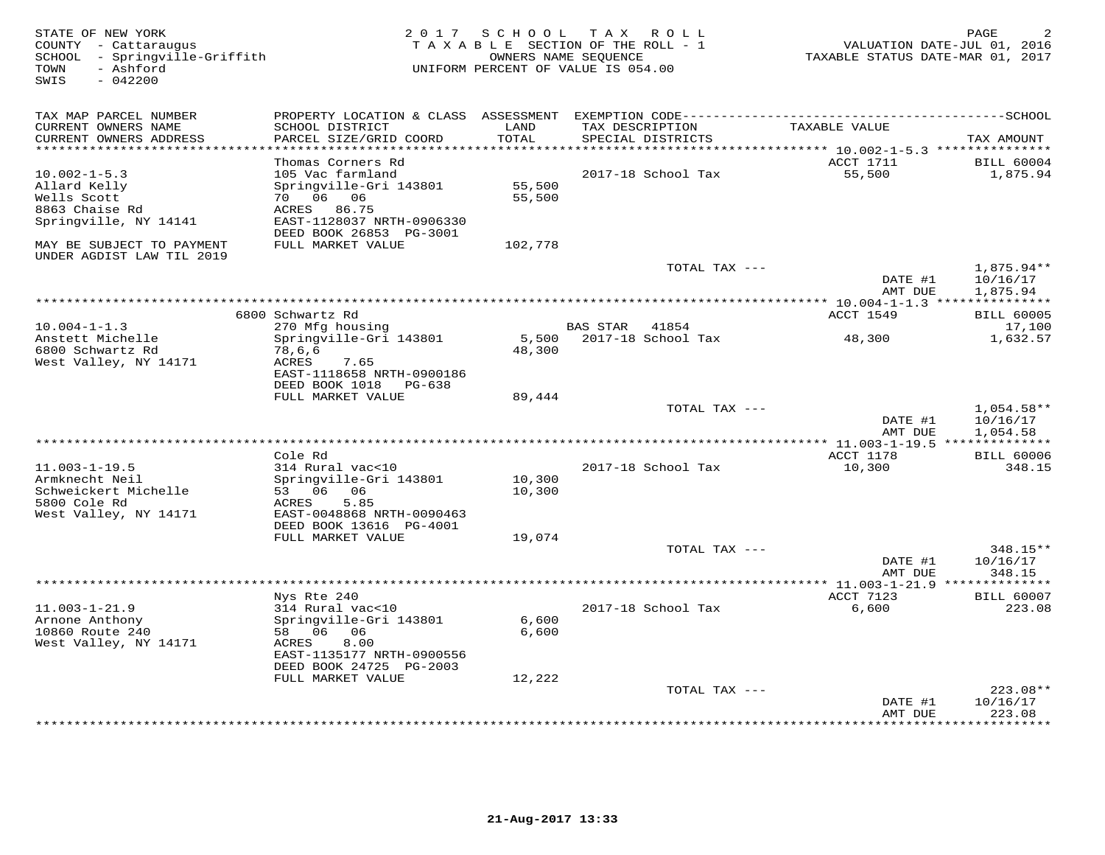| STATE OF NEW YORK<br>COUNTY - Cattaraugus<br>SCHOOL - Springville-Griffith<br>- Ashford<br>TOWN<br>$-042200$<br>SWIS |                                              |               | 2017 SCHOOL TAX ROLL<br>TAXABLE SECTION OF THE ROLL - 1<br>OWNERS NAME SEQUENCE<br>UNIFORM PERCENT OF VALUE IS 054.00 |                                                      | PAGE<br>VALUATION DATE-JUL 01, 2016<br>TAXABLE STATUS DATE-MAR 01, 2017 |
|----------------------------------------------------------------------------------------------------------------------|----------------------------------------------|---------------|-----------------------------------------------------------------------------------------------------------------------|------------------------------------------------------|-------------------------------------------------------------------------|
| TAX MAP PARCEL NUMBER                                                                                                | PROPERTY LOCATION & CLASS ASSESSMENT         |               |                                                                                                                       |                                                      |                                                                         |
| CURRENT OWNERS NAME<br>CURRENT OWNERS ADDRESS                                                                        | SCHOOL DISTRICT<br>PARCEL SIZE/GRID COORD    | LAND<br>TOTAL | TAX DESCRIPTION<br>SPECIAL DISTRICTS                                                                                  | TAXABLE VALUE                                        | TAX AMOUNT                                                              |
|                                                                                                                      | Thomas Corners Rd                            |               |                                                                                                                       | ********** 10.002-1-5.3 ***************<br>ACCT 1711 | <b>BILL 60004</b>                                                       |
| $10.002 - 1 - 5.3$                                                                                                   | 105 Vac farmland                             |               | 2017-18 School Tax                                                                                                    | 55,500                                               | 1,875.94                                                                |
| Allard Kelly                                                                                                         | Springville-Gri 143801                       | 55,500        |                                                                                                                       |                                                      |                                                                         |
| Wells Scott                                                                                                          | 70 06 06                                     | 55,500        |                                                                                                                       |                                                      |                                                                         |
| 8863 Chaise Rd                                                                                                       | 86.75<br>ACRES                               |               |                                                                                                                       |                                                      |                                                                         |
| Springville, NY 14141                                                                                                | EAST-1128037 NRTH-0906330                    |               |                                                                                                                       |                                                      |                                                                         |
| MAY BE SUBJECT TO PAYMENT<br>UNDER AGDIST LAW TIL 2019                                                               | DEED BOOK 26853 PG-3001<br>FULL MARKET VALUE | 102,778       |                                                                                                                       |                                                      |                                                                         |
|                                                                                                                      |                                              |               |                                                                                                                       | TOTAL TAX ---<br>DATE #1                             | $1,875.94**$<br>10/16/17                                                |
|                                                                                                                      |                                              |               |                                                                                                                       | AMT DUE                                              | 1,875.94                                                                |
|                                                                                                                      |                                              |               |                                                                                                                       |                                                      |                                                                         |
|                                                                                                                      | 6800 Schwartz Rd                             |               |                                                                                                                       | ACCT 1549                                            | <b>BILL 60005</b>                                                       |
| $10.004 - 1 - 1.3$                                                                                                   | 270 Mfg housing                              |               | <b>BAS STAR</b><br>41854                                                                                              |                                                      | 17,100                                                                  |
| Anstett Michelle<br>6800 Schwartz Rd                                                                                 | Springville-Gri 143801                       | 5,500         | 2017-18 School Tax                                                                                                    | 48,300                                               | 1,632.57                                                                |
| West Valley, NY 14171                                                                                                | 78,6,6<br>ACRES<br>7.65                      | 48,300        |                                                                                                                       |                                                      |                                                                         |
|                                                                                                                      | EAST-1118658 NRTH-0900186                    |               |                                                                                                                       |                                                      |                                                                         |
|                                                                                                                      | DEED BOOK 1018<br>PG-638                     |               |                                                                                                                       |                                                      |                                                                         |
|                                                                                                                      | FULL MARKET VALUE                            | 89,444        |                                                                                                                       |                                                      |                                                                         |
|                                                                                                                      |                                              |               |                                                                                                                       | TOTAL TAX ---                                        | $1,054.58**$                                                            |
|                                                                                                                      |                                              |               |                                                                                                                       | DATE #1                                              | 10/16/17                                                                |
|                                                                                                                      |                                              |               |                                                                                                                       | AMT DUE                                              | 1,054.58<br>** 11.003-1-19.5 ***************                            |
|                                                                                                                      | Cole Rd                                      |               |                                                                                                                       | ACCT 1178                                            | <b>BILL 60006</b>                                                       |
| $11.003 - 1 - 19.5$                                                                                                  | 314 Rural vac<10                             |               | 2017-18 School Tax                                                                                                    | 10,300                                               | 348.15                                                                  |
| Armknecht Neil                                                                                                       | Springville-Gri 143801                       | 10,300        |                                                                                                                       |                                                      |                                                                         |
| Schweickert Michelle                                                                                                 | 53 06<br>06                                  | 10,300        |                                                                                                                       |                                                      |                                                                         |
| 5800 Cole Rd                                                                                                         | 5.85<br>ACRES                                |               |                                                                                                                       |                                                      |                                                                         |
| West Valley, NY 14171                                                                                                | EAST-0048868 NRTH-0090463                    |               |                                                                                                                       |                                                      |                                                                         |
|                                                                                                                      | DEED BOOK 13616 PG-4001<br>FULL MARKET VALUE | 19,074        |                                                                                                                       |                                                      |                                                                         |
|                                                                                                                      |                                              |               |                                                                                                                       | TOTAL TAX ---                                        | 348.15**                                                                |
|                                                                                                                      |                                              |               |                                                                                                                       | DATE #1                                              | 10/16/17                                                                |
|                                                                                                                      |                                              |               |                                                                                                                       | AMT DUE                                              | 348.15                                                                  |
|                                                                                                                      |                                              |               | **********************                                                                                                | $** 11.003 - 1 - 21.9 *$                             |                                                                         |
|                                                                                                                      | Nys Rte 240                                  |               |                                                                                                                       | ACCT 7123                                            | <b>BILL 60007</b>                                                       |
| $11.003 - 1 - 21.9$                                                                                                  | 314 Rural vac<10                             | 6,600         | 2017-18 School Tax                                                                                                    | 6,600                                                | 223.08                                                                  |
| Arnone Anthony<br>10860 Route 240                                                                                    | Springville-Gri 143801<br>58 06<br>06        | 6,600         |                                                                                                                       |                                                      |                                                                         |
| West Valley, NY 14171                                                                                                | 8.00<br>ACRES                                |               |                                                                                                                       |                                                      |                                                                         |
|                                                                                                                      | EAST-1135177 NRTH-0900556                    |               |                                                                                                                       |                                                      |                                                                         |
|                                                                                                                      | DEED BOOK 24725 PG-2003                      |               |                                                                                                                       |                                                      |                                                                         |
|                                                                                                                      | FULL MARKET VALUE                            | 12,222        |                                                                                                                       |                                                      |                                                                         |
|                                                                                                                      |                                              |               |                                                                                                                       | TOTAL TAX ---                                        | $223.08**$                                                              |
|                                                                                                                      |                                              |               |                                                                                                                       | DATE #1                                              | 10/16/17<br>223.08                                                      |
|                                                                                                                      |                                              |               |                                                                                                                       | AMT DUE                                              | * * * * * * *                                                           |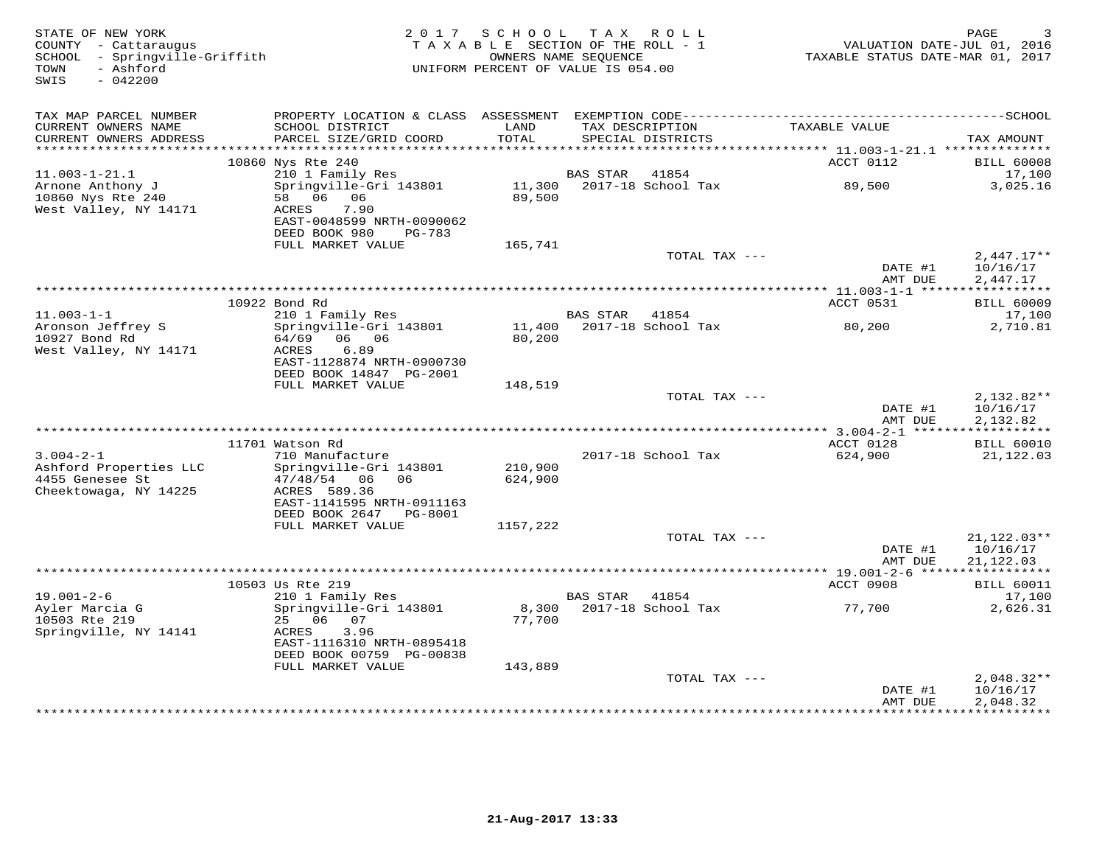| STATE OF NEW YORK<br>COUNTY - Cattaraugus<br>SCHOOL - Springville-Griffith<br>- Ashford<br>TOWN<br>SWIS<br>$-042200$ |                                                                                                                    | 2017 SCHOOL TAX ROLL<br>TAXABLE SECTION OF THE ROLL - 1<br>OWNERS NAME SEOUENCE<br>UNIFORM PERCENT OF VALUE IS 054.00 |                 |                                      | VALUATION DATE-JUL 01, 2016<br>TAXABLE STATUS DATE-MAR 01, 2017 | PAGE<br>3                            |
|----------------------------------------------------------------------------------------------------------------------|--------------------------------------------------------------------------------------------------------------------|-----------------------------------------------------------------------------------------------------------------------|-----------------|--------------------------------------|-----------------------------------------------------------------|--------------------------------------|
| TAX MAP PARCEL NUMBER                                                                                                | PROPERTY LOCATION & CLASS ASSESSMENT EXEMPTION CODE-----------------------------------SCHOOL                       |                                                                                                                       |                 |                                      |                                                                 |                                      |
| CURRENT OWNERS NAME<br>CURRENT OWNERS ADDRESS<br>***********************                                             | SCHOOL DISTRICT<br>PARCEL SIZE/GRID COORD                                                                          | LAND<br>TOTAL                                                                                                         |                 | TAX DESCRIPTION<br>SPECIAL DISTRICTS | TAXABLE VALUE                                                   | TAX AMOUNT                           |
|                                                                                                                      | 10860 Nys Rte 240                                                                                                  |                                                                                                                       |                 |                                      | ACCT 0112                                                       | <b>BILL 60008</b>                    |
| $11.003 - 1 - 21.1$                                                                                                  | 210 1 Family Res                                                                                                   |                                                                                                                       | <b>BAS STAR</b> | 41854                                |                                                                 | 17,100                               |
| Arnone Anthony J<br>10860 Nys Rte 240<br>West Valley, NY 14171                                                       | Springville-Gri 143801<br>58 06 06<br>7.90<br>ACRES<br>EAST-0048599 NRTH-0090062<br>DEED BOOK 980<br><b>PG-783</b> | 11,300<br>89,500                                                                                                      |                 | 2017-18 School Tax                   | 89,500                                                          | 3,025.16                             |
|                                                                                                                      | FULL MARKET VALUE                                                                                                  | 165,741                                                                                                               |                 |                                      |                                                                 |                                      |
|                                                                                                                      |                                                                                                                    |                                                                                                                       |                 | TOTAL TAX ---                        | DATE #1<br>AMT DUE                                              | $2,447.17**$<br>10/16/17<br>2,447.17 |
|                                                                                                                      |                                                                                                                    |                                                                                                                       |                 |                                      |                                                                 |                                      |
|                                                                                                                      | 10922 Bond Rd                                                                                                      |                                                                                                                       |                 |                                      | ACCT 0531                                                       | <b>BILL 60009</b>                    |
| $11.003 - 1 - 1$<br>Aronson Jeffrey S                                                                                | 210 1 Family Res<br>Springville-Gri 143801<br>06 06                                                                |                                                                                                                       | BAS STAR        | 41854<br>11,400 2017-18 School Tax   | 80,200                                                          | 17,100<br>2,710.81                   |
| 10927 Bond Rd<br>West Valley, NY 14171                                                                               | 64/69<br>ACRES<br>6.89<br>EAST-1128874 NRTH-0900730<br>DEED BOOK 14847 PG-2001                                     | 80,200                                                                                                                |                 |                                      |                                                                 |                                      |
|                                                                                                                      | FULL MARKET VALUE                                                                                                  | 148,519                                                                                                               |                 |                                      |                                                                 |                                      |
|                                                                                                                      |                                                                                                                    |                                                                                                                       |                 | TOTAL TAX ---                        | DATE #1<br>AMT DUE                                              | 2,132.82**<br>10/16/17               |
|                                                                                                                      |                                                                                                                    |                                                                                                                       |                 |                                      |                                                                 | 2,132.82                             |
|                                                                                                                      | 11701 Watson Rd                                                                                                    |                                                                                                                       |                 |                                      | ACCT 0128                                                       | <b>BILL 60010</b>                    |
| $3.004 - 2 - 1$<br>Ashford Properties LLC                                                                            | 710 Manufacture<br>Springville-Gri 143801                                                                          | 210,900                                                                                                               |                 | 2017-18 School Tax                   | 624,900                                                         | 21,122.03                            |
| 4455 Genesee St<br>Cheektowaga, NY 14225                                                                             | $47/48/54$ 06<br>06<br>ACRES 589.36<br>EAST-1141595 NRTH-0911163                                                   | 624,900                                                                                                               |                 |                                      |                                                                 |                                      |
|                                                                                                                      | DEED BOOK 2647<br>PG-8001<br>FULL MARKET VALUE                                                                     | 1157,222                                                                                                              |                 |                                      |                                                                 |                                      |
|                                                                                                                      |                                                                                                                    |                                                                                                                       |                 | TOTAL TAX ---                        |                                                                 | $21,122.03**$                        |
|                                                                                                                      |                                                                                                                    |                                                                                                                       |                 |                                      | DATE #1<br>AMT DUE                                              | 10/16/17<br>21,122.03                |
|                                                                                                                      |                                                                                                                    |                                                                                                                       |                 |                                      |                                                                 |                                      |
| $19.001 - 2 - 6$                                                                                                     | 10503 Us Rte 219<br>210 1 Family Res                                                                               |                                                                                                                       | <b>BAS STAR</b> | 41854                                | ACCT 0908                                                       | <b>BILL 60011</b><br>17,100          |
| Avler Marcia G<br>10503 Rte 219                                                                                      | Springville-Gri 143801<br>25 06 07                                                                                 | 8,300<br>77,700                                                                                                       |                 | 2017-18 School Tax                   | 77,700                                                          | 2,626.31                             |
| Springville, NY 14141                                                                                                | 3.96<br>ACRES<br>EAST-1116310 NRTH-0895418<br>DEED BOOK 00759 PG-00838                                             |                                                                                                                       |                 |                                      |                                                                 |                                      |
|                                                                                                                      | FULL MARKET VALUE                                                                                                  | 143,889                                                                                                               |                 |                                      |                                                                 |                                      |
|                                                                                                                      |                                                                                                                    |                                                                                                                       |                 | TOTAL TAX ---                        | DATE #1                                                         | $2,048.32**$<br>10/16/17             |
|                                                                                                                      |                                                                                                                    |                                                                                                                       |                 |                                      | AMT DUE                                                         | 2,048.32<br>.                        |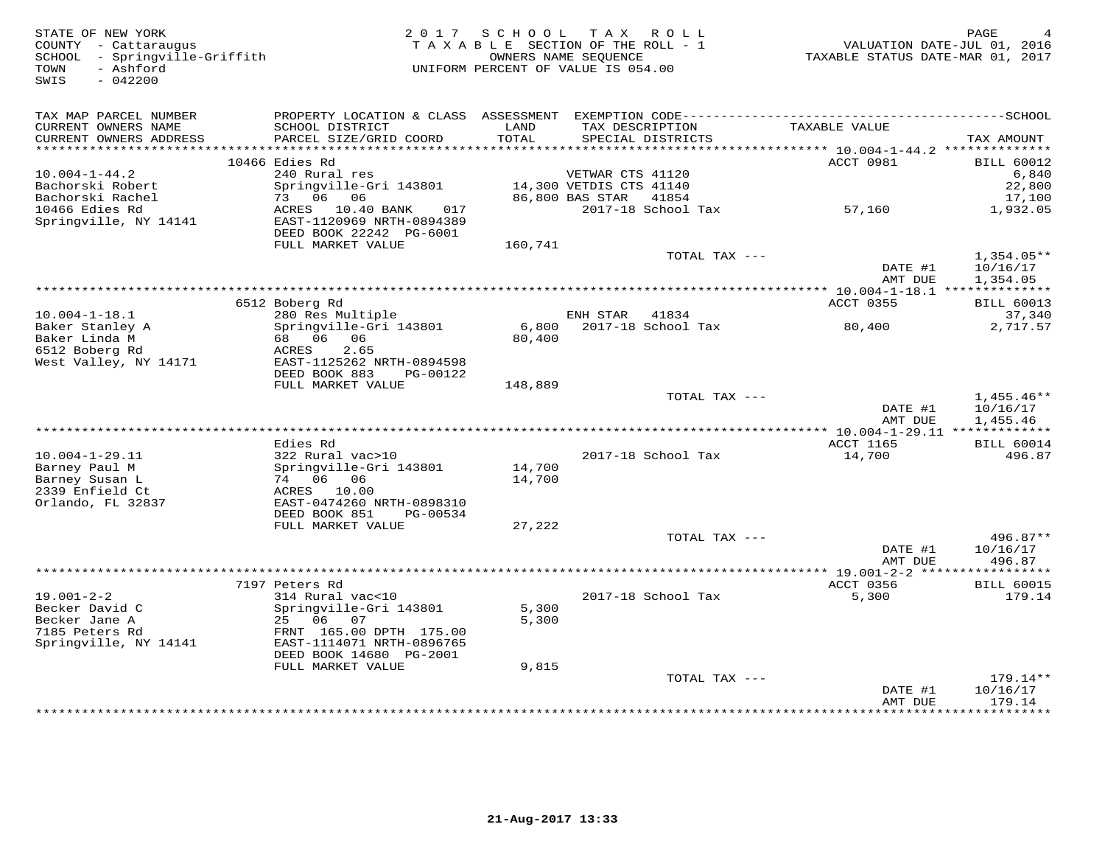STATE OF NEW YORK 2 0 1 7 S C H O O L T A X R O L L PAGE 4 COUNTY - Cattaraugus T A X A B L E SECTION OF THE ROLL - 1 VALUATION DATE-JUL 01, 2016 SCHOOL - Springville-Griffith OWNERS NAME SEQUENCE TAXABLE STATUS DATE-MAR 01, 2017 TOWN - Ashford UNIFORM PERCENT OF VALUE IS 054.00SWIS - 042200TAX MAP PARCEL NUMBER PROPERTY LOCATION & CLASS ASSESSMENT EXEMPTION CODE------------------------------------------SCHOOL CURRENT OWNERS NAME SCHOOL DISTRICT LAND TAX DESCRIPTION TAXABLE VALUE CURRENT OWNERS ADDRESS PARCEL SIZE/GRID COORD TOTAL SPECIAL DISTRICTS TAX AMOUNT \*\*\*\*\*\*\*\*\*\*\*\*\*\*\*\*\*\*\*\*\*\*\*\*\*\*\*\*\*\*\*\*\*\*\*\*\*\*\*\*\*\*\*\*\*\*\*\*\*\*\*\*\*\*\*\*\*\*\*\*\*\*\*\*\*\*\*\*\*\*\*\*\*\*\*\*\*\*\*\*\*\*\*\*\*\*\*\*\*\*\*\*\*\*\*\*\*\*\*\*\*\*\* 10.004-1-44.2 \*\*\*\*\*\*\*\*\*\*\*\*\*\*ACCT 0981 BILL 60012 10466 Edies Rd ACCT 0981 BILL 60012 $6,840$ 10.004-1-44.2 240 Rural res VETWAR CTS 41120 6,84022.800 Bachorski Robert Springville-Gri 143801 14,300 VETDIS CTS 41140 22,80017.100 Bachorski Rachel 73 06 06 86,800 BAS STAR 41854 17,1001,932.05 10466 Edies Rd ACRES 10.40 BANK 017 2017-18 School Tax 57,160 1,932.05Springville, NY 14141 EAST-1120969 NRTH-0894389 DEED BOOK 22242 PG-6001 FULL MARKET VALUE 160,741 TOTAL TAX --- 1,354.05\*\* $\frac{10}{16}$  and  $\frac{10}{16}$  10/16/17 AMT DUE 1,354.05 \*\*\*\*\*\*\*\*\*\*\*\*\*\*\*\*\*\*\*\*\*\*\*\*\*\*\*\*\*\*\*\*\*\*\*\*\*\*\*\*\*\*\*\*\*\*\*\*\*\*\*\*\*\*\*\*\*\*\*\*\*\*\*\*\*\*\*\*\*\*\*\*\*\*\*\*\*\*\*\*\*\*\*\*\*\*\*\*\*\*\*\*\*\*\*\*\*\*\*\*\*\*\* 10.004-1-18.1 \*\*\*\*\*\*\*\*\*\*\*\*\*\*ACCT 0355 BILL 60013 6512 Boberg Rd ACCT 0355 BILL 6001337,340 10.004-1-18.1 280 Res Multiple ENH STAR 41834 37,3402,717.57 Baker Stanley A Springville-Gri 143801 6,800 2017-18 School Tax 80,400 2,717.57Baker Linda M 68 06 06 80,400 6512 Boberg Rd ACRES 2.65 West Valley, NY 14171 EAST-1125262 NRTH-0894598 DEED BOOK 883 PG-00122 FULL MARKET VALUE 148,889TOTAL TAX  $-- 1,455.46**$ DATE #1 10/16/17<br>National part of the same part of the same part of the same part of the same part of the same party of the same of the same of the same of the same of the same of the same of the same of the same of the sa  $\rm AMT~DUE$  and  $1$  ,  $455$  .  $46$  \*\*\*\*\*\*\*\*\*\*\*\*\*\*\*\*\*\*\*\*\*\*\*\*\*\*\*\*\*\*\*\*\*\*\*\*\*\*\*\*\*\*\*\*\*\*\*\*\*\*\*\*\*\*\*\*\*\*\*\*\*\*\*\*\*\*\*\*\*\*\*\*\*\*\*\*\*\*\*\*\*\*\*\*\*\*\*\*\*\*\*\*\*\*\*\*\*\*\*\*\*\*\* 10.004-1-29.11 \*\*\*\*\*\*\*\*\*\*\*\*\* Edies Rd ACCT 1165 BILL 6001410.004-1-29.11 322 Rural vac>10 2017-18 School Tax 14,700 496.87Barney Paul M Springville-Gri 143801 14,700<br>Barney Susan L 74 06 06 14,700<br>2339 Enfield Ct ACRES 10.00<br>Orlando, FL 32837 BEAST-0474260 NRTH-0898310<br>DEED BOOK 851 PG-00534 27,222 TOTAL TAX --- 496.87\*\*  $\text{DATE}$  #1  $10/16/17$ AMT DUE 496.87 AMT DUE 496.87 \*\*\*\*\*\*\*\*\*\*\*\*\*\*\*\*\*\*\*\*\*\*\*\*\*\*\*\*\*\*\*\*\*\*\*\*\*\*\*\*\*\*\*\*\*\*\*\*\*\*\*\*\*\*\*\*\*\*\*\*\*\*\*\*\*\*\*\*\*\*\*\*\*\*\*\*\*\*\*\*\*\*\*\*\*\*\*\*\*\*\*\*\*\*\*\*\*\*\*\*\*\*\* 19.001-2-2 \*\*\*\*\*\*\*\*\*\*\*\*\*\*\*\*\* 7197 Peters Rd ACCT 0356 BILL 6001519.001-2-2 314 Rural vac<10 2017-18 School Tax 5,300 179.14Becker David C Springville-Gri 143801 5,300 Becker Jane A 25 06 07 5,300 7185 Peters Rd FRNT 165.00 DPTH 175.00 Springville, NY 14141 EAST-1114071 NRTH-0896765 DEED BOOK 14680 PG-2001 FULL MARKET VALUE 9,815 TOTAL TAX --- 179.14\*\* $\text{DATE}$  #1  $10/16/17$ amt due totale and the same of the same of the same of the same of  $179.14$ \*\*\*\*\*\*\*\*\*\*\*\*\*\*\*\*\*\*\*\*\*\*\*\*\*\*\*\*\*\*\*\*\*\*\*\*\*\*\*\*\*\*\*\*\*\*\*\*\*\*\*\*\*\*\*\*\*\*\*\*\*\*\*\*\*\*\*\*\*\*\*\*\*\*\*\*\*\*\*\*\*\*\*\*\*\*\*\*\*\*\*\*\*\*\*\*\*\*\*\*\*\*\*\*\*\*\*\*\*\*\*\*\*\*\*\*\*\*\*\*\*\*\*\*\*\*\*\*\*\*\*\*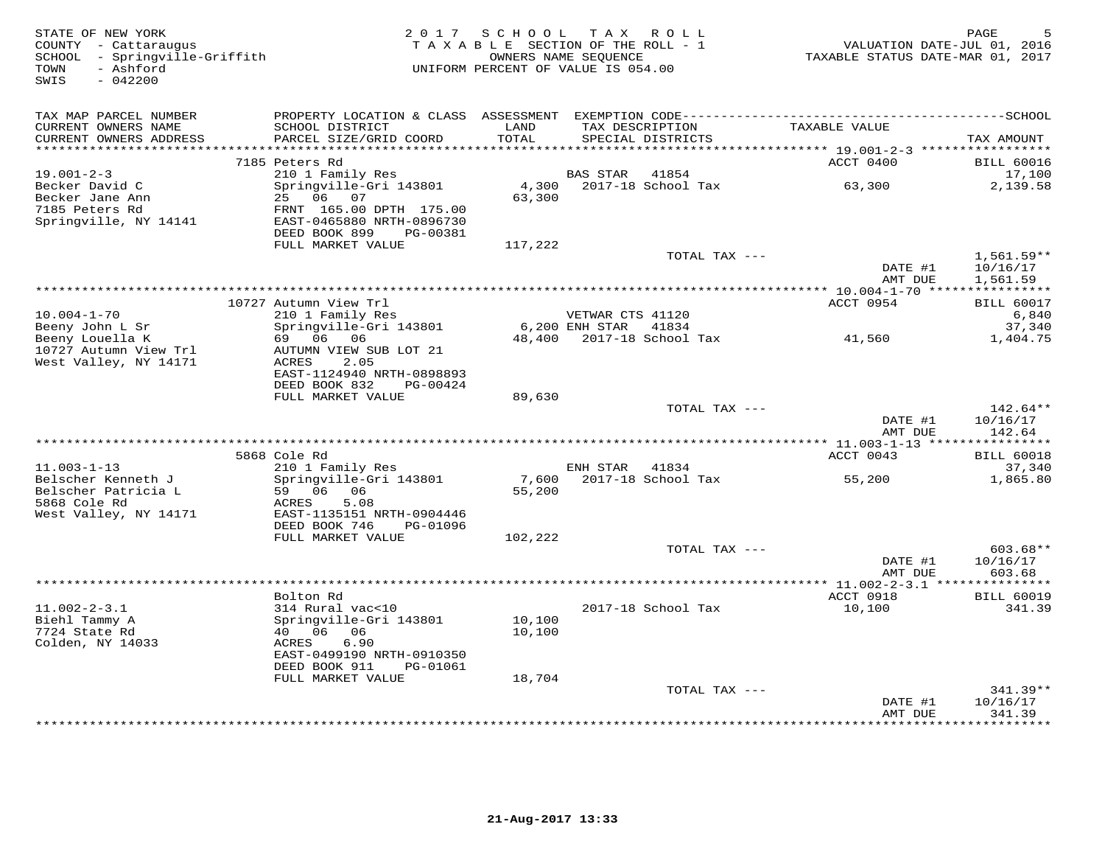| STATE OF NEW YORK<br>COUNTY - Cattaraugus<br>SCHOOL - Springville-Griffith<br>- Ashford<br>TOWN<br>SWIS<br>$-042200$ | 2 0 1 7                                                                                       | S C H O O L<br>TAXABLE SECTION OF THE ROLL - 1<br>UNIFORM PERCENT OF VALUE IS 054.00 | T A X<br>OWNERS NAME SEQUENCE | R O L L                            | VALUATION DATE-JUL 01, 2016<br>TAXABLE STATUS DATE-MAR 01, 2017 | PAGE                             |
|----------------------------------------------------------------------------------------------------------------------|-----------------------------------------------------------------------------------------------|--------------------------------------------------------------------------------------|-------------------------------|------------------------------------|-----------------------------------------------------------------|----------------------------------|
| TAX MAP PARCEL NUMBER<br>CURRENT OWNERS NAME<br>CURRENT OWNERS ADDRESS<br>**********************                     | SCHOOL DISTRICT<br>PARCEL SIZE/GRID COORD                                                     | LAND<br>TOTAL                                                                        | TAX DESCRIPTION               | SPECIAL DISTRICTS                  | TAXABLE VALUE                                                   | TAX AMOUNT                       |
|                                                                                                                      | 7185 Peters Rd                                                                                |                                                                                      |                               |                                    | ACCT 0400                                                       | <b>BILL 60016</b>                |
| $19.001 - 2 - 3$<br>Becker David C                                                                                   | 210 1 Family Res<br>Springville-Gri 143801                                                    | 4,300                                                                                | BAS STAR                      | 41854<br>2017-18 School Tax        | 63,300                                                          | 17,100<br>2,139.58               |
| Becker Jane Ann<br>7185 Peters Rd<br>Springville, NY 14141                                                           | 25 06 07<br>FRNT 165.00 DPTH 175.00<br>EAST-0465880 NRTH-0896730<br>DEED BOOK 899<br>PG-00381 | 63,300                                                                               |                               |                                    |                                                                 |                                  |
|                                                                                                                      | FULL MARKET VALUE                                                                             | 117,222                                                                              |                               | TOTAL TAX ---                      |                                                                 | $1,561.59**$                     |
|                                                                                                                      |                                                                                               |                                                                                      |                               |                                    | DATE #1<br>AMT DUE                                              | 10/16/17<br>1,561.59             |
|                                                                                                                      |                                                                                               |                                                                                      |                               |                                    |                                                                 |                                  |
| $10.004 - 1 - 70$                                                                                                    | 10727 Autumn View Trl<br>210 1 Family Res                                                     |                                                                                      | VETWAR CTS 41120              |                                    | ACCT 0954                                                       | <b>BILL 60017</b><br>6,840       |
| Beeny John L Sr<br>Beeny Louella K<br>10727 Autumn View Trl                                                          | Springville-Gri 143801<br>69 06<br>06<br>AUTUMN VIEW SUB LOT 21                               |                                                                                      | $6,200$ ENH STAR              | 41834<br>48,400 2017-18 School Tax | 41,560                                                          | 37,340<br>1,404.75               |
| West Valley, NY 14171                                                                                                | 2.05<br>ACRES<br>EAST-1124940 NRTH-0898893<br>DEED BOOK 832<br>PG-00424<br>FULL MARKET VALUE  |                                                                                      |                               |                                    |                                                                 |                                  |
|                                                                                                                      |                                                                                               | 89,630                                                                               |                               | TOTAL TAX ---                      | DATE #1                                                         | $142.64**$<br>10/16/17           |
|                                                                                                                      |                                                                                               |                                                                                      |                               |                                    | AMT DUE                                                         | 142.64                           |
|                                                                                                                      |                                                                                               | ***********************************                                                  |                               |                                    | **** 11.003-1-13 ****                                           |                                  |
| $11.003 - 1 - 13$                                                                                                    | 5868 Cole Rd<br>210 1 Family Res                                                              |                                                                                      | ENH STAR                      | 41834                              | ACCT 0043                                                       | <b>BILL 60018</b><br>37,340      |
| Belscher Kenneth J<br>Belscher Patricia L                                                                            | Springville-Gri 143801<br>59 06 06                                                            | 7,600<br>55,200                                                                      |                               | 2017-18 School Tax                 | 55,200                                                          | 1,865.80                         |
| 5868 Cole Rd<br>West Valley, NY 14171                                                                                | 5.08<br>ACRES<br>EAST-1135151 NRTH-0904446<br>DEED BOOK 746<br>PG-01096                       |                                                                                      |                               |                                    |                                                                 |                                  |
|                                                                                                                      | FULL MARKET VALUE                                                                             | 102,222                                                                              |                               |                                    |                                                                 |                                  |
|                                                                                                                      |                                                                                               |                                                                                      |                               | TOTAL TAX ---                      | DATE #1<br>AMT DUE                                              | $603.68**$<br>10/16/17<br>603.68 |
|                                                                                                                      |                                                                                               |                                                                                      |                               |                                    | *** 11.002-2-3.1 ***                                            | **********                       |
|                                                                                                                      | Bolton Rd                                                                                     |                                                                                      |                               |                                    | ACCT 0918                                                       | <b>BILL 60019</b>                |
| $11.002 - 2 - 3.1$<br>Biehl Tammy A                                                                                  | 314 Rural vac<10<br>Springville-Gri 143801                                                    | 10,100                                                                               |                               | 2017-18 School Tax                 | 10,100                                                          | 341.39                           |
| 7724 State Rd                                                                                                        | 40  06  06                                                                                    | 10,100                                                                               |                               |                                    |                                                                 |                                  |
| Colden, NY 14033                                                                                                     | ACRES<br>6.90<br>EAST-0499190 NRTH-0910350                                                    |                                                                                      |                               |                                    |                                                                 |                                  |
|                                                                                                                      | DEED BOOK 911<br>PG-01061<br>FULL MARKET VALUE                                                | 18,704                                                                               |                               |                                    |                                                                 |                                  |
|                                                                                                                      |                                                                                               |                                                                                      |                               | TOTAL TAX ---                      |                                                                 | $341.39**$                       |
|                                                                                                                      |                                                                                               |                                                                                      |                               |                                    | DATE #1<br>AMT DUE                                              | 10/16/17<br>341.39               |
|                                                                                                                      |                                                                                               |                                                                                      |                               |                                    |                                                                 | * * * * * * *                    |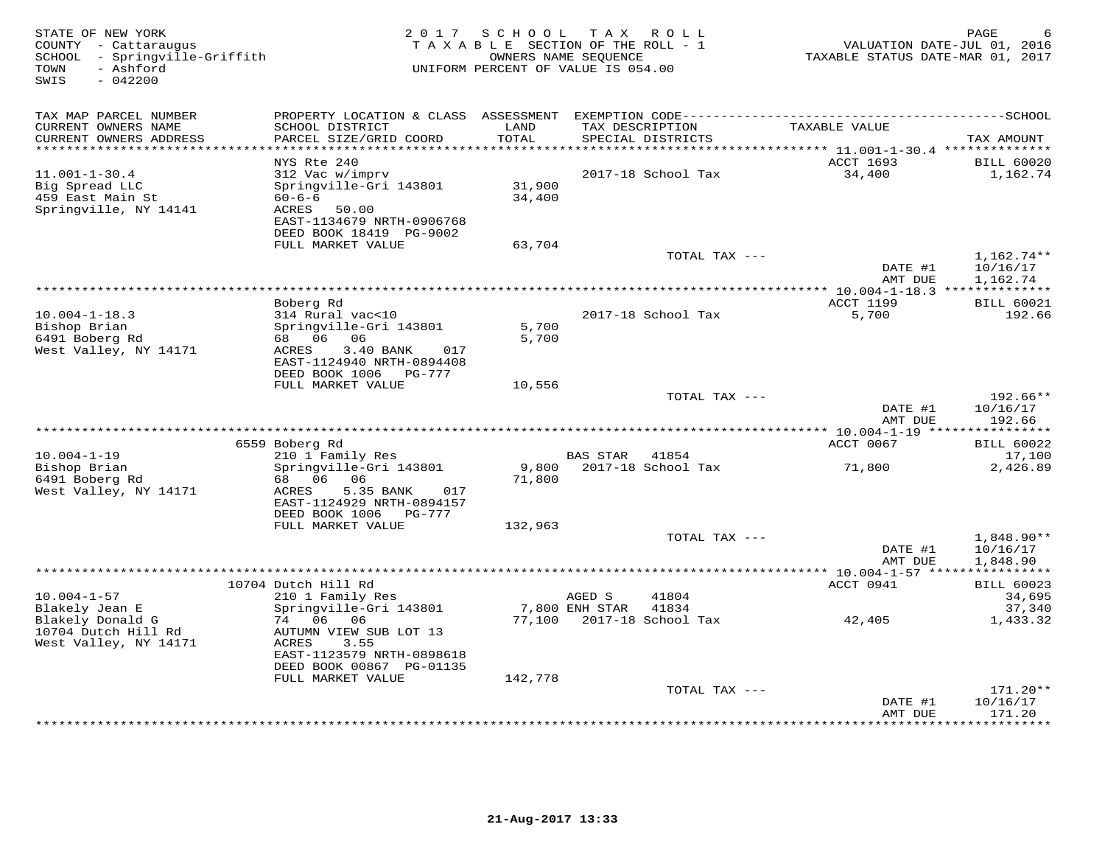| STATE OF NEW YORK<br>COUNTY - Cattaraugus<br>SCHOOL - Springville-Griffith<br>TOWN<br>- Ashford<br>SWIS<br>$-042200$ | 2 0 1 7                                                |                   | SCHOOL TAX ROLL<br>TAXABLE SECTION OF THE ROLL - 1<br>OWNERS NAME SEQUENCE<br>UNIFORM PERCENT OF VALUE IS 054.00 | VALUATION DATE-JUL 01, 2016<br>TAXABLE STATUS DATE-MAR 01, 2017 | PAGE                     |
|----------------------------------------------------------------------------------------------------------------------|--------------------------------------------------------|-------------------|------------------------------------------------------------------------------------------------------------------|-----------------------------------------------------------------|--------------------------|
| TAX MAP PARCEL NUMBER                                                                                                |                                                        |                   |                                                                                                                  |                                                                 |                          |
| CURRENT OWNERS NAME                                                                                                  | SCHOOL DISTRICT                                        | LAND              | TAX DESCRIPTION                                                                                                  | TAXABLE VALUE                                                   |                          |
| CURRENT OWNERS ADDRESS<br>*********************                                                                      | PARCEL SIZE/GRID COORD                                 | TOTAL<br>******** | SPECIAL DISTRICTS                                                                                                | ******** 11.001-1-30.4 **************                           | TAX AMOUNT               |
|                                                                                                                      | NYS Rte 240                                            |                   |                                                                                                                  | ACCT 1693                                                       | <b>BILL 60020</b>        |
| $11.001 - 1 - 30.4$                                                                                                  | 312 Vac w/imprv                                        |                   | 2017-18 School Tax                                                                                               | 34,400                                                          | 1,162.74                 |
| Big Spread LLC                                                                                                       | Springville-Gri 143801                                 | 31,900            |                                                                                                                  |                                                                 |                          |
| 459 East Main St<br>Springville, NY 14141                                                                            | $60 - 6 - 6$<br>50.00<br>ACRES                         | 34,400            |                                                                                                                  |                                                                 |                          |
|                                                                                                                      | EAST-1134679 NRTH-0906768                              |                   |                                                                                                                  |                                                                 |                          |
|                                                                                                                      | DEED BOOK 18419 PG-9002                                |                   |                                                                                                                  |                                                                 |                          |
|                                                                                                                      | FULL MARKET VALUE                                      | 63,704            |                                                                                                                  |                                                                 |                          |
|                                                                                                                      |                                                        |                   | TOTAL TAX ---                                                                                                    | DATE #1                                                         | $1,162.74**$<br>10/16/17 |
|                                                                                                                      |                                                        |                   |                                                                                                                  | AMT DUE                                                         | 1,162.74                 |
|                                                                                                                      |                                                        |                   | ***********************                                                                                          | *** 10.004-1-18.3 **************                                |                          |
|                                                                                                                      | Boberg Rd                                              |                   |                                                                                                                  | <b>ACCT 1199</b>                                                | <b>BILL 60021</b>        |
| $10.004 - 1 - 18.3$<br>Bishop Brian                                                                                  | 314 Rural vac<10<br>Springville-Gri 143801             | 5,700             | 2017-18 School Tax                                                                                               | 5,700                                                           | 192.66                   |
| 6491 Boberg Rd                                                                                                       | 68 06 06                                               | 5,700             |                                                                                                                  |                                                                 |                          |
| West Valley, NY 14171                                                                                                | 017<br>ACRES<br>3.40 BANK                              |                   |                                                                                                                  |                                                                 |                          |
|                                                                                                                      | EAST-1124940 NRTH-0894408                              |                   |                                                                                                                  |                                                                 |                          |
|                                                                                                                      | DEED BOOK 1006<br>PG-777<br>FULL MARKET VALUE          | 10,556            |                                                                                                                  |                                                                 |                          |
|                                                                                                                      |                                                        |                   | TOTAL TAX ---                                                                                                    |                                                                 | 192.66**                 |
|                                                                                                                      |                                                        |                   |                                                                                                                  | DATE #1                                                         | 10/16/17                 |
|                                                                                                                      |                                                        |                   |                                                                                                                  | AMT DUE                                                         | 192.66                   |
|                                                                                                                      | 6559 Boberg Rd                                         |                   |                                                                                                                  | ACCT 0067                                                       | <b>BILL 60022</b>        |
| $10.004 - 1 - 19$                                                                                                    | 210 1 Family Res                                       |                   | <b>BAS STAR</b><br>41854                                                                                         |                                                                 | 17,100                   |
| Bishop Brian                                                                                                         | Springville-Gri 143801                                 | 9,800             | 2017-18 School Tax                                                                                               | 71,800                                                          | 2,426.89                 |
| 6491 Boberg Rd                                                                                                       | 68 06 06                                               | 71,800            |                                                                                                                  |                                                                 |                          |
| West Valley, NY 14171                                                                                                | ACRES<br>5.35 BANK<br>017<br>EAST-1124929 NRTH-0894157 |                   |                                                                                                                  |                                                                 |                          |
|                                                                                                                      | DEED BOOK 1006 PG-777                                  |                   |                                                                                                                  |                                                                 |                          |
|                                                                                                                      | FULL MARKET VALUE                                      | 132,963           |                                                                                                                  |                                                                 |                          |
|                                                                                                                      |                                                        |                   | TOTAL TAX ---                                                                                                    |                                                                 | 1,848.90**               |
|                                                                                                                      |                                                        |                   |                                                                                                                  | DATE #1<br>AMT DUE                                              | 10/16/17<br>1,848.90     |
|                                                                                                                      |                                                        |                   |                                                                                                                  |                                                                 |                          |
|                                                                                                                      | 10704 Dutch Hill Rd                                    |                   |                                                                                                                  | ACCT 0941                                                       | <b>BILL 60023</b>        |
| $10.004 - 1 - 57$                                                                                                    | 210 1 Family Res                                       |                   | AGED S<br>41804                                                                                                  |                                                                 | 34,695                   |
| Blakely Jean E<br>Blakely Donald G                                                                                   | Springville-Gri 143801<br>74 06 06                     |                   | 7,800 ENH STAR<br>41834<br>77,100 2017-18 School Tax                                                             | 42,405                                                          | 37,340<br>1,433.32       |
| 10704 Dutch Hill Rd                                                                                                  | AUTUMN VIEW SUB LOT 13                                 |                   |                                                                                                                  |                                                                 |                          |
| West Valley, NY 14171                                                                                                | ACRES<br>3.55                                          |                   |                                                                                                                  |                                                                 |                          |
|                                                                                                                      | EAST-1123579 NRTH-0898618                              |                   |                                                                                                                  |                                                                 |                          |
|                                                                                                                      | DEED BOOK 00867 PG-01135<br>FULL MARKET VALUE          | 142,778           |                                                                                                                  |                                                                 |                          |
|                                                                                                                      |                                                        |                   | TOTAL TAX ---                                                                                                    |                                                                 | $171.20**$               |
|                                                                                                                      |                                                        |                   |                                                                                                                  | DATE #1                                                         | 10/16/17                 |
|                                                                                                                      |                                                        |                   |                                                                                                                  | AMT DUE                                                         | 171.20<br>*********      |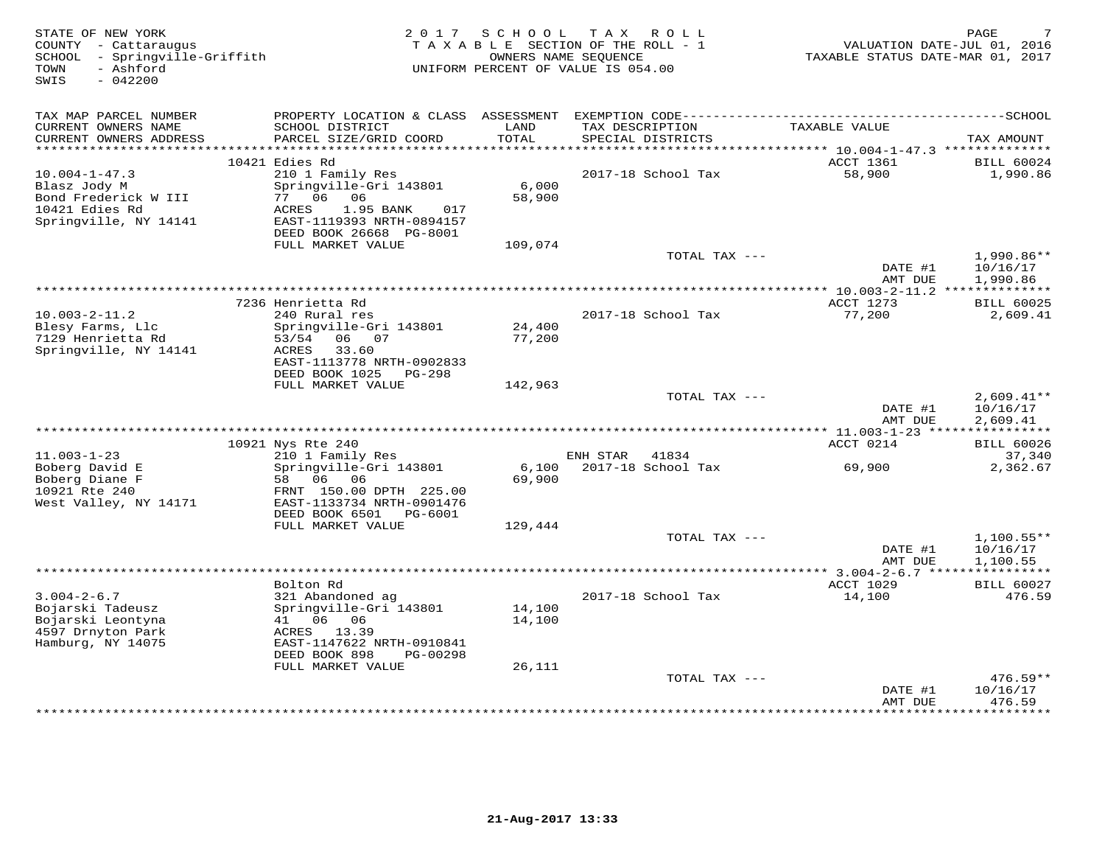| STATE OF NEW YORK<br>COUNTY - Cattaraugus<br>- Springville-Griffith<br>SCHOOL<br>- Ashford<br>TOWN |                                                        | 2017 SCHOOL | T A X<br>R O L L<br>TAXABLE SECTION OF THE ROLL - 1<br>OWNERS NAME SEQUENCE<br>UNIFORM PERCENT OF VALUE IS 054.00 | VALUATION DATE-JUL 01, 2016<br>TAXABLE STATUS DATE-MAR 01, 2017 | PAGE                          |
|----------------------------------------------------------------------------------------------------|--------------------------------------------------------|-------------|-------------------------------------------------------------------------------------------------------------------|-----------------------------------------------------------------|-------------------------------|
| SWIS<br>$-042200$                                                                                  |                                                        |             |                                                                                                                   |                                                                 |                               |
| TAX MAP PARCEL NUMBER                                                                              | PROPERTY LOCATION & CLASS ASSESSMENT                   |             |                                                                                                                   |                                                                 |                               |
| CURRENT OWNERS NAME                                                                                | SCHOOL DISTRICT                                        | LAND        | TAX DESCRIPTION                                                                                                   | TAXABLE VALUE                                                   |                               |
| CURRENT OWNERS ADDRESS                                                                             | PARCEL SIZE/GRID COORD                                 | TOTAL       | SPECIAL DISTRICTS                                                                                                 |                                                                 | TAX AMOUNT                    |
|                                                                                                    |                                                        |             |                                                                                                                   |                                                                 |                               |
| $10.004 - 1 - 47.3$                                                                                | 10421 Edies Rd<br>210 1 Family Res                     |             | 2017-18 School Tax                                                                                                | ACCT 1361<br>58,900                                             | <b>BILL 60024</b><br>1,990.86 |
| Blasz Jody M                                                                                       | Springville-Gri 143801                                 | 6,000       |                                                                                                                   |                                                                 |                               |
| Bond Frederick W III                                                                               | 77 06 06                                               | 58,900      |                                                                                                                   |                                                                 |                               |
| 10421 Edies Rd                                                                                     | 1.95 BANK<br>ACRES<br>017                              |             |                                                                                                                   |                                                                 |                               |
| Springville, NY 14141                                                                              | EAST-1119393 NRTH-0894157<br>DEED BOOK 26668 PG-8001   |             |                                                                                                                   |                                                                 |                               |
|                                                                                                    | FULL MARKET VALUE                                      | 109,074     |                                                                                                                   |                                                                 |                               |
|                                                                                                    |                                                        |             | TOTAL TAX ---                                                                                                     |                                                                 | $1,990.86**$                  |
|                                                                                                    |                                                        |             |                                                                                                                   | DATE #1                                                         | 10/16/17                      |
|                                                                                                    |                                                        |             |                                                                                                                   | AMT DUE<br>************** 10.003-2-11.2 ***************         | 1,990.86                      |
|                                                                                                    | 7236 Henrietta Rd                                      |             |                                                                                                                   | ACCT 1273                                                       | <b>BILL 60025</b>             |
| $10.003 - 2 - 11.2$                                                                                | 240 Rural res                                          |             | 2017-18 School Tax                                                                                                | 77,200                                                          | 2,609.41                      |
| Blesy Farms, Llc                                                                                   | Springville-Gri 143801                                 | 24,400      |                                                                                                                   |                                                                 |                               |
| 7129 Henrietta Rd                                                                                  | 06 07<br>53/54<br>ACRES<br>33.60                       | 77,200      |                                                                                                                   |                                                                 |                               |
| Springville, NY 14141                                                                              | EAST-1113778 NRTH-0902833                              |             |                                                                                                                   |                                                                 |                               |
|                                                                                                    | DEED BOOK 1025<br>PG-298                               |             |                                                                                                                   |                                                                 |                               |
|                                                                                                    | FULL MARKET VALUE                                      | 142,963     |                                                                                                                   |                                                                 |                               |
|                                                                                                    |                                                        |             | TOTAL TAX ---                                                                                                     | DATE #1                                                         | $2,609.41**$<br>10/16/17      |
|                                                                                                    |                                                        |             |                                                                                                                   | AMT DUE                                                         | 2,609.41                      |
|                                                                                                    |                                                        |             | **************************                                                                                        | * $11.003 - 1 - 23$ *****                                       | ***********                   |
|                                                                                                    | 10921 Nys Rte 240                                      |             |                                                                                                                   | ACCT 0214                                                       | <b>BILL 60026</b>             |
| $11.003 - 1 - 23$<br>Boberg David E                                                                | 210 1 Family Res<br>Springville-Gri 143801             | 6,100       | ENH STAR<br>41834<br>2017-18 School Tax                                                                           | 69,900                                                          | 37,340<br>2,362.67            |
| Boberg Diane F                                                                                     | 58 06 06                                               | 69,900      |                                                                                                                   |                                                                 |                               |
| 10921 Rte 240                                                                                      | FRNT 150.00 DPTH 225.00                                |             |                                                                                                                   |                                                                 |                               |
| West Valley, NY 14171                                                                              | EAST-1133734 NRTH-0901476                              |             |                                                                                                                   |                                                                 |                               |
|                                                                                                    | DEED BOOK 6501<br>PG-6001<br>FULL MARKET VALUE         | 129,444     |                                                                                                                   |                                                                 |                               |
|                                                                                                    |                                                        |             | TOTAL TAX ---                                                                                                     |                                                                 | $1,100.55**$                  |
|                                                                                                    |                                                        |             |                                                                                                                   | DATE #1                                                         | 10/16/17                      |
|                                                                                                    |                                                        |             |                                                                                                                   | AMT DUE                                                         | 1,100.55                      |
|                                                                                                    | Bolton Rd                                              |             |                                                                                                                   | ACCT 1029                                                       | ***********                   |
| $3.004 - 2 - 6.7$                                                                                  | 321 Abandoned ag                                       |             | 2017-18 School Tax                                                                                                | 14,100                                                          | <b>BILL 60027</b><br>476.59   |
| Bojarski Tadeusz                                                                                   | Springville-Gri 143801                                 | 14,100      |                                                                                                                   |                                                                 |                               |
| Bojarski Leontyna                                                                                  | 06 06<br>41                                            | 14,100      |                                                                                                                   |                                                                 |                               |
| 4597 Drnyton Park                                                                                  | ACRES 13.39                                            |             |                                                                                                                   |                                                                 |                               |
| Hamburg, NY 14075                                                                                  | EAST-1147622 NRTH-0910841<br>DEED BOOK 898<br>PG-00298 |             |                                                                                                                   |                                                                 |                               |
|                                                                                                    | FULL MARKET VALUE                                      | 26,111      |                                                                                                                   |                                                                 |                               |
|                                                                                                    |                                                        |             | TOTAL TAX ---                                                                                                     |                                                                 | $476.59**$                    |
|                                                                                                    |                                                        |             |                                                                                                                   | DATE #1                                                         | 10/16/17                      |
|                                                                                                    |                                                        |             |                                                                                                                   | AMT DUE                                                         | 476.59<br>.                   |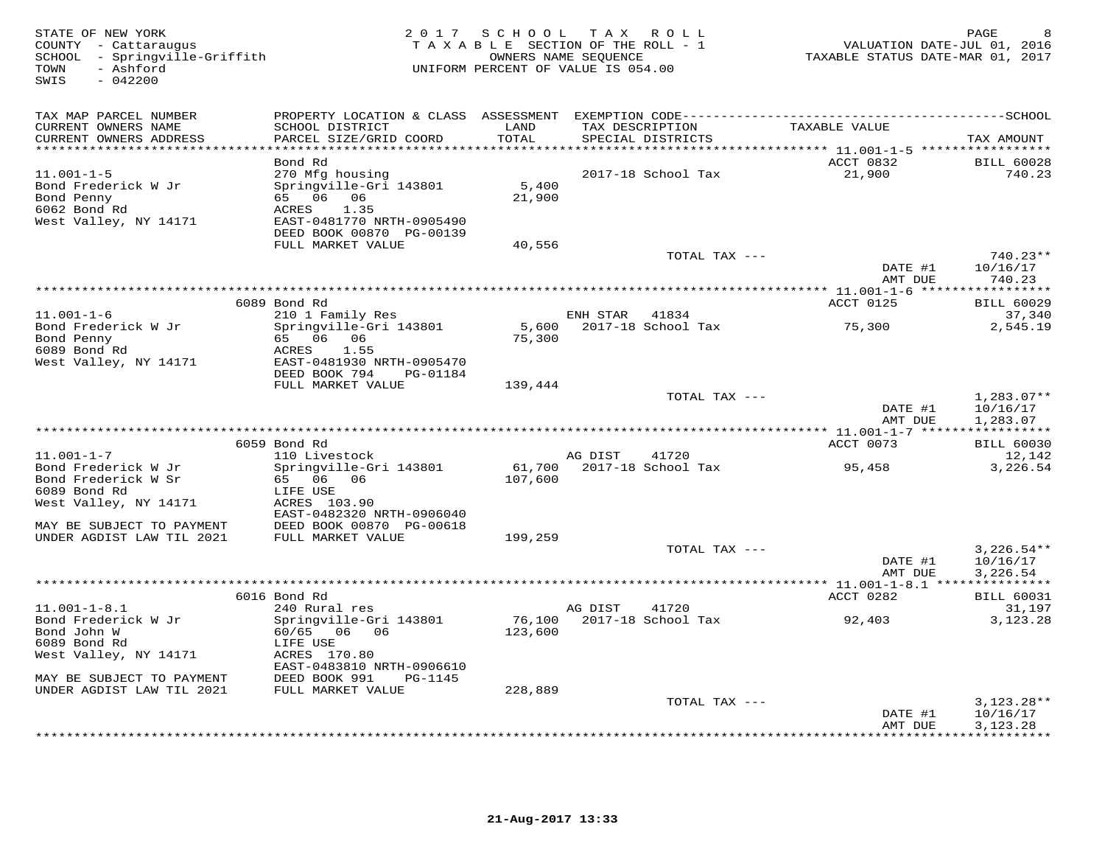| STATE OF NEW YORK<br>COUNTY - Cattaraugus<br>SCHOOL - Springville-Griffith<br>- Ashford<br>TOWN<br>$-042200$<br>SWIS |                                                        | 2017 SCHOOL TAX ROLL<br>TAXABLE SECTION OF THE ROLL - 1<br>UNIFORM PERCENT OF VALUE IS 054.00 | OWNERS NAME SEQUENCE |               | TAXABLE STATUS DATE-MAR 01, 2017 | PAGE<br>VALUATION DATE-JUL 01, 2016 |
|----------------------------------------------------------------------------------------------------------------------|--------------------------------------------------------|-----------------------------------------------------------------------------------------------|----------------------|---------------|----------------------------------|-------------------------------------|
| TAX MAP PARCEL NUMBER                                                                                                |                                                        |                                                                                               |                      |               |                                  |                                     |
| CURRENT OWNERS NAME                                                                                                  | SCHOOL DISTRICT                                        | LAND                                                                                          | TAX DESCRIPTION      |               | TAXABLE VALUE                    |                                     |
| CURRENT OWNERS ADDRESS<br>*****************************                                                              | PARCEL SIZE/GRID COORD                                 | TOTAL                                                                                         | SPECIAL DISTRICTS    |               |                                  | TAX AMOUNT                          |
|                                                                                                                      | Bond Rd                                                |                                                                                               |                      |               | ACCT 0832                        | <b>BILL 60028</b>                   |
| $11.001 - 1 - 5$                                                                                                     | 270 Mfg housing                                        |                                                                                               | 2017-18 School Tax   |               | 21,900                           | 740.23                              |
| Bond Frederick W Jr                                                                                                  | Springville-Gri 143801                                 | 5,400                                                                                         |                      |               |                                  |                                     |
| Bond Penny                                                                                                           | 65 06 06                                               | 21,900                                                                                        |                      |               |                                  |                                     |
| 6062 Bond Rd                                                                                                         | ACRES 1.35                                             |                                                                                               |                      |               |                                  |                                     |
| West Valley, NY 14171                                                                                                | EAST-0481770 NRTH-0905490<br>DEED BOOK 00870 PG-00139  |                                                                                               |                      |               |                                  |                                     |
|                                                                                                                      | FULL MARKET VALUE                                      | 40,556                                                                                        |                      |               |                                  |                                     |
|                                                                                                                      |                                                        |                                                                                               |                      | TOTAL TAX --- |                                  | $740.23**$                          |
|                                                                                                                      |                                                        |                                                                                               |                      |               | DATE #1                          | 10/16/17                            |
|                                                                                                                      |                                                        |                                                                                               |                      |               | AMT DUE                          | 740.23                              |
|                                                                                                                      | 6089 Bond Rd                                           |                                                                                               |                      |               | ACCT 0125                        | <b>BILL 60029</b>                   |
| $11.001 - 1 - 6$                                                                                                     | 210 1 Family Res                                       |                                                                                               | ENH STAR 41834       |               |                                  | 37,340                              |
| Bond Frederick W Jr                                                                                                  | Springville-Gri 143801                                 | 5,600                                                                                         | 2017-18 School Tax   |               | 75,300                           | 2,545.19                            |
| Bond Penny                                                                                                           | 65 06 06                                               | 75,300                                                                                        |                      |               |                                  |                                     |
| 6089 Bond Rd                                                                                                         | ACRES<br>1.55                                          |                                                                                               |                      |               |                                  |                                     |
| West Valley, NY 14171                                                                                                | EAST-0481930 NRTH-0905470<br>DEED BOOK 794<br>PG-01184 |                                                                                               |                      |               |                                  |                                     |
|                                                                                                                      | FULL MARKET VALUE                                      | 139,444                                                                                       |                      |               |                                  |                                     |
|                                                                                                                      |                                                        |                                                                                               |                      | TOTAL TAX --- |                                  | $1,283.07**$                        |
|                                                                                                                      |                                                        |                                                                                               |                      |               | DATE #1<br>AMT DUE               | 10/16/17<br>1,283.07                |
|                                                                                                                      |                                                        |                                                                                               |                      |               |                                  |                                     |
|                                                                                                                      | 6059 Bond Rd                                           |                                                                                               |                      |               | ACCT 0073                        | <b>BILL 60030</b>                   |
| $11.001 - 1 - 7$                                                                                                     | 110 Livestock                                          |                                                                                               | AG DIST              | 41720         |                                  | 12,142                              |
| Bond Frederick W Jr                                                                                                  | Springville-Gri 143801                                 | 61,700                                                                                        | 2017-18 School Tax   |               | 95,458                           | 3,226.54                            |
| Bond Frederick W Sr<br>6089 Bond Rd                                                                                  | 65 06 06<br>LIFE USE                                   | 107,600                                                                                       |                      |               |                                  |                                     |
| West Valley, NY 14171                                                                                                | ACRES 103.90                                           |                                                                                               |                      |               |                                  |                                     |
|                                                                                                                      | EAST-0482320 NRTH-0906040                              |                                                                                               |                      |               |                                  |                                     |
| MAY BE SUBJECT TO PAYMENT                                                                                            | DEED BOOK 00870 PG-00618                               |                                                                                               |                      |               |                                  |                                     |
| UNDER AGDIST LAW TIL 2021                                                                                            | FULL MARKET VALUE                                      | 199,259                                                                                       |                      |               |                                  |                                     |
|                                                                                                                      |                                                        |                                                                                               |                      | TOTAL TAX --- |                                  | $3,226.54**$                        |
|                                                                                                                      |                                                        |                                                                                               |                      |               | DATE #1<br>AMT DUE               | 10/16/17<br>3,226.54                |
|                                                                                                                      |                                                        |                                                                                               |                      |               |                                  |                                     |
|                                                                                                                      | 6016 Bond Rd                                           |                                                                                               |                      |               | ACCT 0282                        | <b>BILL 60031</b>                   |
| $11.001 - 1 - 8.1$                                                                                                   | 240 Rural res                                          |                                                                                               | AG DIST              | 41720         |                                  | 31,197                              |
| Bond Frederick W Jr                                                                                                  | Springville-Gri 143801                                 | 76,100                                                                                        | 2017-18 School Tax   |               | 92,403                           | 3,123.28                            |
| Bond John W<br>6089 Bond Rd                                                                                          | 60/65 06 06                                            | 123,600                                                                                       |                      |               |                                  |                                     |
| West Valley, NY 14171                                                                                                | LIFE USE<br>ACRES 170.80                               |                                                                                               |                      |               |                                  |                                     |
|                                                                                                                      | EAST-0483810 NRTH-0906610                              |                                                                                               |                      |               |                                  |                                     |
| MAY BE SUBJECT TO PAYMENT                                                                                            | DEED BOOK 991<br>PG-1145                               |                                                                                               |                      |               |                                  |                                     |
| UNDER AGDIST LAW TIL 2021                                                                                            | FULL MARKET VALUE                                      | 228,889                                                                                       |                      |               |                                  |                                     |
|                                                                                                                      |                                                        |                                                                                               |                      | TOTAL TAX --- |                                  | $3,123.28**$                        |
|                                                                                                                      |                                                        |                                                                                               |                      |               | DATE #1<br>AMT DUE               | 10/16/17<br>3, 123. 28              |
|                                                                                                                      |                                                        |                                                                                               |                      |               |                                  | * * * * * * * * * * * *             |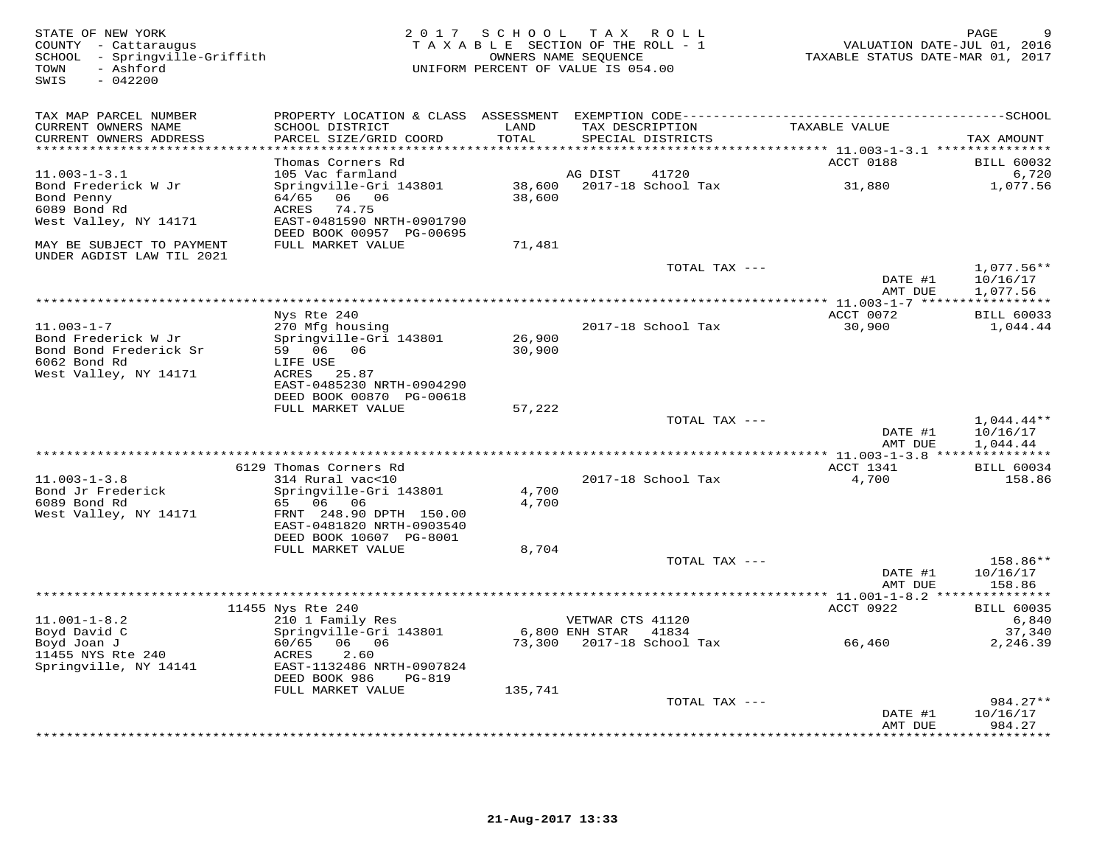STATE OF NEW YORK GERAL BAGE 9<br>COUNTY - Cattaraugus states of the section of the ROLL - 1 when the VALUATION DATE-JUL 01, 2016<br>SCHOOL - Springville-Griffith (2017 ) TAXABLE SECTION OF THE ROLL - 1 (2017 ) TAXABLE STATUS DA SWIS - 042200TAX MAP PARCEL NUMBER PROPERTY LOCATION & CLASS ASSESSMENT EXEMPTION CODE------------------------------------------SCHOOL CURRENT OWNERS NAME SCHOOL DISTRICT LAND TAX DESCRIPTION TAXABLE VALUE CURRENT OWNERS ADDRESS PARCEL SIZE/GRID COORD TOTAL SPECIAL DISTRICTS TAX AMOUNT \*\*\*\*\*\*\*\*\*\*\*\*\*\*\*\*\*\*\*\*\*\*\*\*\*\*\*\*\*\*\*\*\*\*\*\*\*\*\*\*\*\*\*\*\*\*\*\*\*\*\*\*\*\*\*\*\*\*\*\*\*\*\*\*\*\*\*\*\*\*\*\*\*\*\*\*\*\*\*\*\*\*\*\*\*\*\*\*\*\*\*\*\*\*\*\*\*\*\*\*\*\*\* 11.003-1-3.1 \*\*\*\*\*\*\*\*\*\*\*\*\*\*\* Thomas Corners Rd ACCT 0188 BILL 60032 11.003-1-3.1 105 Vac farmland AG DIST 41720 6,720 Bond Frederick W Jr Springville-Gri 143801 38,600 2017-18 School Tax 31,880 1,077.56 Bond Penny 64/65 06 06 38,600 6089 Bond Rd ACRES 74.75 West Valley, NY 14171 EAST-0481590 NRTH-0901790 DEED BOOK 00957 PG-00695 MAY BE SUBJECT TO PAYMENT FULL MARKET VALUE 71,481 UNDER AGDIST LAW TIL 2021 TOTAL TAX --- 1,077.56\*\* $\text{DATE}$  #1  $10/16/17$ <br> $\text{AMT}$   $\text{DATE}$   $1/977$  56 AMT DUE 1,077.56 \*\*\*\*\*\*\*\*\*\*\*\*\*\*\*\*\*\*\*\*\*\*\*\*\*\*\*\*\*\*\*\*\*\*\*\*\*\*\*\*\*\*\*\*\*\*\*\*\*\*\*\*\*\*\*\*\*\*\*\*\*\*\*\*\*\*\*\*\*\*\*\*\*\*\*\*\*\*\*\*\*\*\*\*\*\*\*\*\*\*\*\*\*\*\*\*\*\*\*\*\*\*\* 11.003-1-7 \*\*\*\*\*\*\*\*\*\*\*\*\*\*\*\*\*ACCT 0072 BILL 60033 Nys Rte 240 ACCT 0072 BILL 600331,044.44 11.003-1-7 270 Mfg housing 2017-18 School Tax 30,900 1,044.44Bond Frederick W Jr Springville-Gri 143801 26,900 Bond Bond Frederick Sr 59 06 06 30,900 6062 Bond Rd LIFE USE West Valley, NY 14171 ACRES 25.87 EAST-0485230 NRTH-0904290 DEED BOOK 00870 PG-00618 FULL MARKET VALUE 57,222TOTAL TAX  $-- 1,044.44**$  $\text{DATE}$  #1  $10/16/17$ AMT DUE 1,044.44 AMT DUE 1,044.44 \*\*\*\*\*\*\*\*\*\*\*\*\*\*\*\*\*\*\*\*\*\*\*\*\*\*\*\*\*\*\*\*\*\*\*\*\*\*\*\*\*\*\*\*\*\*\*\*\*\*\*\*\*\*\*\*\*\*\*\*\*\*\*\*\*\*\*\*\*\*\*\*\*\*\*\*\*\*\*\*\*\*\*\*\*\*\*\*\*\*\*\*\*\*\*\*\*\*\*\*\*\*\* 11.003-1-3.8 \*\*\*\*\*\*\*\*\*\*\*\*\*\*\* 6129 Thomas Corners Rd ACCT 1341 BILL 6003411.003-1-3.8 314 Rural vac<10 2017-18 School Tax 4,700 158.86Bond Jr Frederick Springville-Gri 143801 4,700 6089 Bond Rd 65 06 06 4,700West Valley, NY 14171 FRNT 248.90 DPTH 150.00 EAST-0481820 NRTH-0903540 DEED BOOK 10607 PG-8001 FULL MARKET VALUE 8,704 TOTAL TAX --- 158.86\*\* $\text{DATE}$  #1  $10/16/17$ AMT DUE 158.86 AMT DUE 158.86 \*\*\*\*\*\*\*\*\*\*\*\*\*\*\*\*\*\*\*\*\*\*\*\*\*\*\*\*\*\*\*\*\*\*\*\*\*\*\*\*\*\*\*\*\*\*\*\*\*\*\*\*\*\*\*\*\*\*\*\*\*\*\*\*\*\*\*\*\*\*\*\*\*\*\*\*\*\*\*\*\*\*\*\*\*\*\*\*\*\*\*\*\*\*\*\*\*\*\*\*\*\*\* 11.001-1-8.2 \*\*\*\*\*\*\*\*\*\*\*\*\*\*\* 11455 Nys Rte 240 ACCT 0922 BILL 60035 11.001-1-8.2 210 1 Family Res VETWAR CTS 41120 6,840 Boyd David C Springville-Gri 143801 6,800 ENH STAR 41834 37,340 Boyd Joan J 60/65 06 06 73,300 2017-18 School Tax 66,460 2,246.39 11455 NYS Rte 240 ACRES 2.60 Springville, NY 14141 EAST-1132486 NRTH-0907824 DEED BOOK 986 PG-819 FULL MARKET VALUE 135,741 TOTAL TAX --- 984.27\*\* $\text{DATE}$  #1  $10/16/17$ AMT DUE 984.27

\*\*\*\*\*\*\*\*\*\*\*\*\*\*\*\*\*\*\*\*\*\*\*\*\*\*\*\*\*\*\*\*\*\*\*\*\*\*\*\*\*\*\*\*\*\*\*\*\*\*\*\*\*\*\*\*\*\*\*\*\*\*\*\*\*\*\*\*\*\*\*\*\*\*\*\*\*\*\*\*\*\*\*\*\*\*\*\*\*\*\*\*\*\*\*\*\*\*\*\*\*\*\*\*\*\*\*\*\*\*\*\*\*\*\*\*\*\*\*\*\*\*\*\*\*\*\*\*\*\*\*\*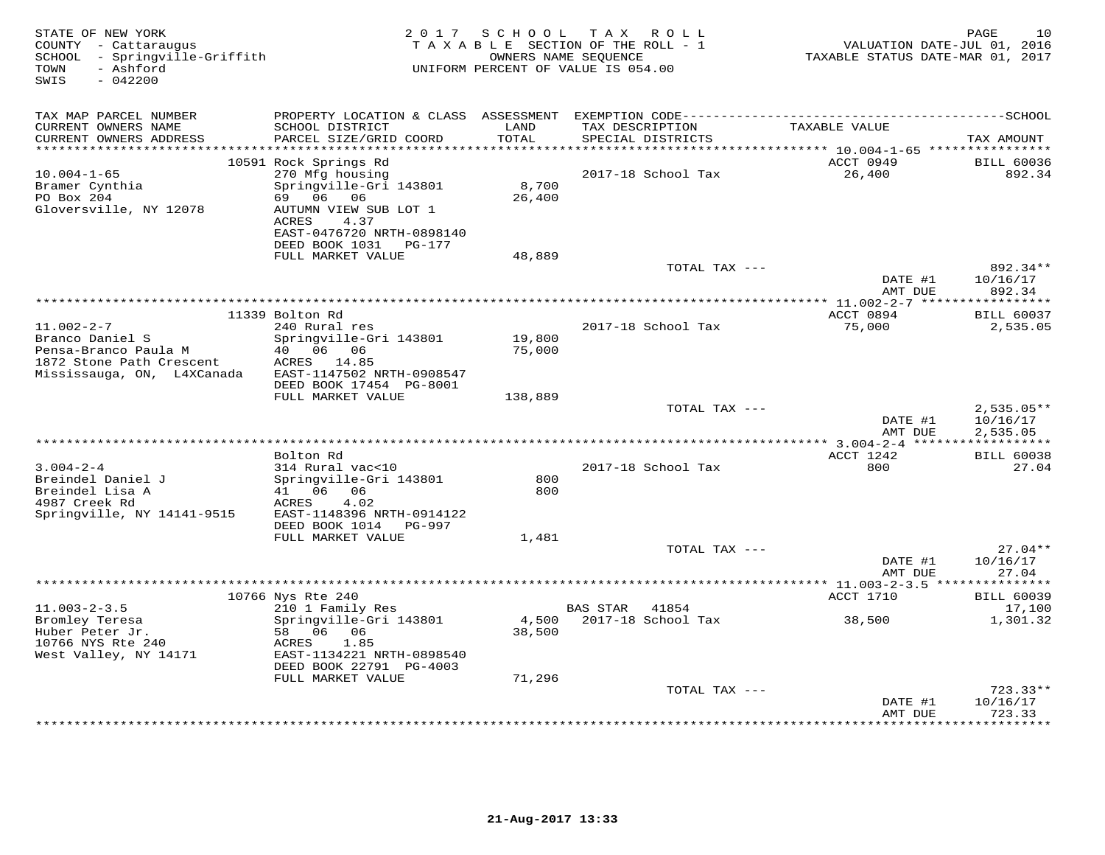| STATE OF NEW YORK<br>COUNTY - Cattaraugus<br>- Springville-Griffith<br>SCHOOL<br>- Ashford<br>TOWN<br>SWIS<br>$-042200$ | 2 0 1 7                                                                                                                                                                                  | S C H O O L                 | T A X<br>R O L L<br>TAXABLE SECTION OF THE ROLL - 1<br>OWNERS NAME SEQUENCE<br>UNIFORM PERCENT OF VALUE IS 054.00 | VALUATION DATE-JUL 01, 2016<br>TAXABLE STATUS DATE-MAR 01, 2017                   | PAGE<br>10                          |
|-------------------------------------------------------------------------------------------------------------------------|------------------------------------------------------------------------------------------------------------------------------------------------------------------------------------------|-----------------------------|-------------------------------------------------------------------------------------------------------------------|-----------------------------------------------------------------------------------|-------------------------------------|
| TAX MAP PARCEL NUMBER<br>CURRENT OWNERS NAME<br>CURRENT OWNERS ADDRESS<br>**********************                        | PROPERTY LOCATION & CLASS ASSESSMENT<br>SCHOOL DISTRICT<br>PARCEL SIZE/GRID COORD                                                                                                        | LAND<br>TOTAL<br>********** | TAX DESCRIPTION<br>SPECIAL DISTRICTS                                                                              | TAXABLE VALUE                                                                     | TAX AMOUNT                          |
| $10.004 - 1 - 65$<br>Bramer Cynthia<br>PO Box 204<br>Gloversville, NY 12078                                             | 10591 Rock Springs Rd<br>270 Mfg housing<br>Springville-Gri 143801<br>69 06 06<br>AUTUMN VIEW SUB LOT 1<br><b>ACRES</b><br>4.37<br>EAST-0476720 NRTH-0898140<br>DEED BOOK 1031<br>PG-177 | 8,700<br>26,400             | 2017-18 School Tax                                                                                                | ***************************** 10.004-1-65 ****************<br>ACCT 0949<br>26,400 | <b>BILL 60036</b><br>892.34         |
|                                                                                                                         | FULL MARKET VALUE                                                                                                                                                                        | 48,889                      | TOTAL TAX ---                                                                                                     | DATE #1                                                                           | 892.34**<br>10/16/17                |
|                                                                                                                         |                                                                                                                                                                                          |                             |                                                                                                                   | AMT DUE<br>**** $11.002 - 2 - 7$ ***                                              | 892.34<br>*********                 |
| $11.002 - 2 - 7$<br>Branco Daniel S<br>Pensa-Branco Paula M<br>1872 Stone Path Crescent<br>Mississauga, ON, L4XCanada   | 11339 Bolton Rd<br>240 Rural res<br>Springville-Gri 143801<br>40 06 06<br>ACRES 14.85<br>EAST-1147502 NRTH-0908547                                                                       | 19,800<br>75,000            | 2017-18 School Tax                                                                                                | ACCT 0894<br>75,000                                                               | <b>BILL 60037</b><br>2,535.05       |
|                                                                                                                         | DEED BOOK 17454 PG-8001<br>FULL MARKET VALUE                                                                                                                                             | 138,889                     | TOTAL TAX ---                                                                                                     | DATE #1                                                                           | $2,535.05**$<br>10/16/17            |
|                                                                                                                         |                                                                                                                                                                                          |                             | ******************************                                                                                    | AMT DUE<br>$*$ 3.004-2-4 ****                                                     | 2,535.05                            |
| $3.004 - 2 - 4$<br>Breindel Daniel J<br>Breindel Lisa A<br>4987 Creek Rd<br>Springville, NY 14141-9515                  | Bolton Rd<br>314 Rural vac<10<br>Springville-Gri 143801<br>41 06<br>06<br>4.02<br>ACRES<br>EAST-1148396 NRTH-0914122<br>DEED BOOK 1014<br>PG-997                                         | 800<br>800                  | 2017-18 School Tax                                                                                                | ACCT 1242<br>800                                                                  | <b>BILL 60038</b><br>27.04          |
|                                                                                                                         | FULL MARKET VALUE                                                                                                                                                                        | 1,481                       | TOTAL TAX ---                                                                                                     | DATE #1                                                                           | $27.04**$<br>10/16/17               |
|                                                                                                                         |                                                                                                                                                                                          |                             |                                                                                                                   | AMT DUE                                                                           | 27.04                               |
|                                                                                                                         | ********                                                                                                                                                                                 |                             |                                                                                                                   | $** 11.003 - 2 - 3.5 *$                                                           |                                     |
| $11.003 - 2 - 3.5$                                                                                                      | 10766 Nys Rte 240<br>210 1 Family Res                                                                                                                                                    |                             | <b>BAS STAR</b><br>41854                                                                                          | ACCT 1710                                                                         | <b>BILL 60039</b><br>17,100         |
| Bromley Teresa<br>Huber Peter Jr.<br>10766 NYS Rte 240<br>West Valley, NY 14171                                         | Springville-Gri 143801<br>58 06 06<br>1.85<br>ACRES<br>EAST-1134221 NRTH-0898540<br>DEED BOOK 22791 PG-4003<br>FULL MARKET VALUE                                                         | 4,500<br>38,500<br>71,296   | 2017-18 School Tax                                                                                                | 38,500                                                                            | 1,301.32                            |
|                                                                                                                         |                                                                                                                                                                                          |                             | TOTAL TAX ---                                                                                                     |                                                                                   | $723.33**$                          |
|                                                                                                                         |                                                                                                                                                                                          |                             |                                                                                                                   | DATE #1<br>AMT DUE                                                                | 10/16/17<br>723.33<br>* * * * * * * |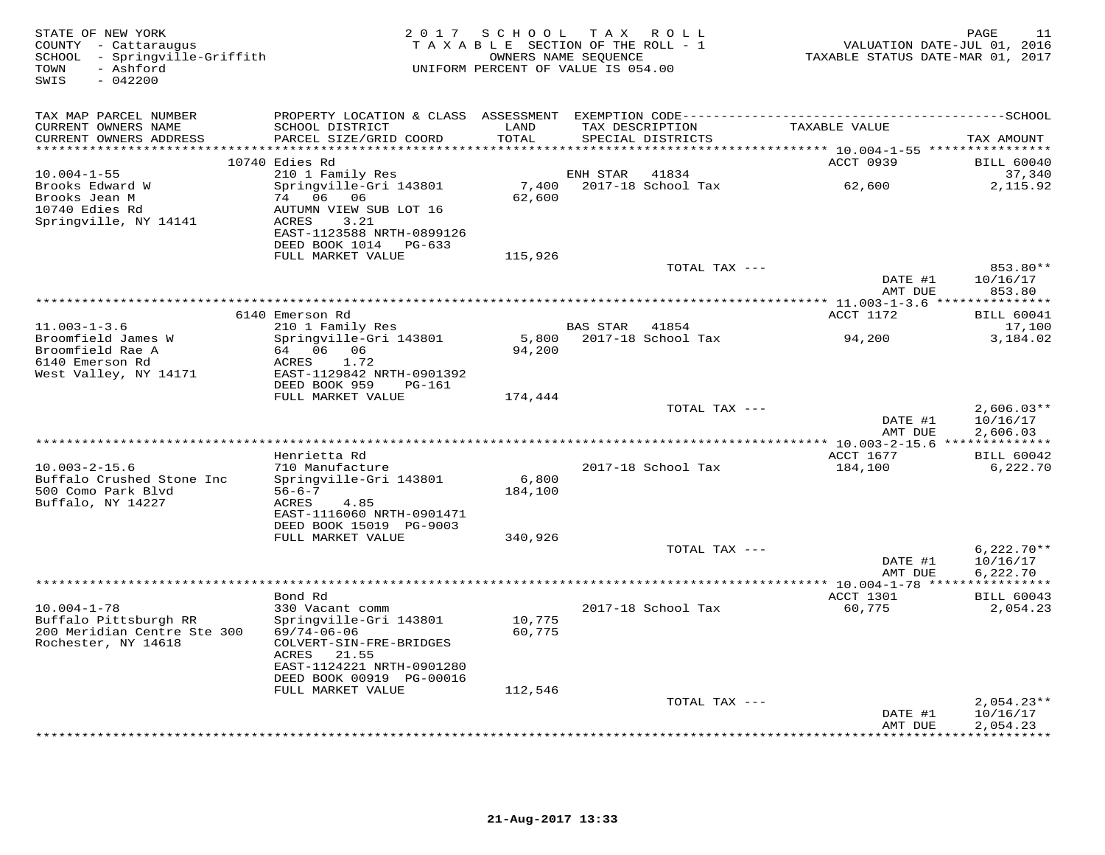| STATE OF NEW YORK<br>COUNTY - Cattaraugus<br>SCHOOL - Springville-Griffith<br>- Ashford<br>TOWN<br>SWIS<br>$-042200$ |                                                                     |                  | 2017 SCHOOL TAX ROLL<br>TAXABLE SECTION OF THE ROLL - 1<br>OWNERS NAME SEQUENCE<br>UNIFORM PERCENT OF VALUE IS 054.00 | VALUATION DATE-JUL 01, 2016<br>TAXABLE STATUS DATE-MAR 01, 2017 | 11<br>PAGE                      |
|----------------------------------------------------------------------------------------------------------------------|---------------------------------------------------------------------|------------------|-----------------------------------------------------------------------------------------------------------------------|-----------------------------------------------------------------|---------------------------------|
| TAX MAP PARCEL NUMBER                                                                                                |                                                                     |                  |                                                                                                                       |                                                                 |                                 |
| CURRENT OWNERS NAME<br>CURRENT OWNERS ADDRESS                                                                        | SCHOOL DISTRICT<br>PARCEL SIZE/GRID COORD                           | LAND<br>TOTAL    | TAX DESCRIPTION<br>SPECIAL DISTRICTS                                                                                  | TAXABLE VALUE                                                   | TAX AMOUNT                      |
|                                                                                                                      |                                                                     |                  |                                                                                                                       |                                                                 |                                 |
| $10.004 - 1 - 55$                                                                                                    | 10740 Edies Rd<br>210 1 Family Res                                  |                  | ENH STAR<br>41834                                                                                                     | ACCT 0939                                                       | <b>BILL 60040</b><br>37,340     |
| Brooks Edward W<br>Brooks Jean M<br>10740 Edies Rd                                                                   | Springville-Gri 143801<br>74 06 06<br>AUTUMN VIEW SUB LOT 16        | 7,400<br>62,600  | 2017-18 School Tax                                                                                                    | 62,600                                                          | 2,115.92                        |
| Springville, NY 14141                                                                                                | ACRES<br>3.21<br>EAST-1123588 NRTH-0899126<br>DEED BOOK 1014 PG-633 |                  |                                                                                                                       |                                                                 |                                 |
|                                                                                                                      | FULL MARKET VALUE                                                   | 115,926          | TOTAL TAX ---                                                                                                         |                                                                 | 853.80**                        |
|                                                                                                                      |                                                                     |                  |                                                                                                                       | DATE #1<br>AMT DUE                                              | 10/16/17<br>853.80              |
|                                                                                                                      |                                                                     |                  |                                                                                                                       |                                                                 |                                 |
| $11.003 - 1 - 3.6$                                                                                                   | 6140 Emerson Rd                                                     |                  |                                                                                                                       | ACCT 1172                                                       | <b>BILL 60041</b>               |
| Broomfield James W                                                                                                   | 210 1 Family Res<br>Springville-Gri 143801                          |                  | BAS STAR<br>41854<br>5,800 2017-18 School Tax                                                                         | 94,200                                                          | 17,100<br>3,184.02              |
| Broomfield Rae A<br>6140 Emerson Rd<br>West Valley, NY 14171                                                         | ACRES<br>1.72<br>EAST-1129842 NRTH-0901392                          | 94,200           |                                                                                                                       |                                                                 |                                 |
|                                                                                                                      | DEED BOOK 959<br>PG-161<br>FULL MARKET VALUE                        | 174,444          |                                                                                                                       |                                                                 |                                 |
|                                                                                                                      |                                                                     |                  | TOTAL TAX ---                                                                                                         |                                                                 | $2,606.03**$                    |
|                                                                                                                      |                                                                     |                  |                                                                                                                       | DATE #1<br>AMT DUE                                              | 10/16/17<br>2,606.03            |
|                                                                                                                      | Henrietta Rd                                                        |                  |                                                                                                                       | ACCT 1677                                                       | <b>BILL 60042</b>               |
| $10.003 - 2 - 15.6$                                                                                                  | 710 Manufacture                                                     |                  | 2017-18 School Tax                                                                                                    | 184,100                                                         | 6,222.70                        |
| Buffalo Crushed Stone Inc<br>500 Como Park Blvd                                                                      | Springville-Gri 143801<br>$56 - 6 - 7$                              | 6,800<br>184,100 |                                                                                                                       |                                                                 |                                 |
| Buffalo, NY 14227                                                                                                    | ACRES<br>4.85<br>EAST-1116060 NRTH-0901471                          |                  |                                                                                                                       |                                                                 |                                 |
|                                                                                                                      | DEED BOOK 15019 PG-9003                                             |                  |                                                                                                                       |                                                                 |                                 |
|                                                                                                                      | FULL MARKET VALUE                                                   | 340,926          | TOTAL TAX ---                                                                                                         |                                                                 | $6,222.70**$                    |
|                                                                                                                      |                                                                     |                  |                                                                                                                       | DATE #1                                                         | 10/16/17                        |
|                                                                                                                      |                                                                     |                  |                                                                                                                       | AMT DUE                                                         | 6,222.70<br>***********         |
|                                                                                                                      | Bond Rd                                                             |                  |                                                                                                                       | ACCT 1301                                                       | <b>BILL 60043</b>               |
| $10.004 - 1 - 78$<br>Buffalo Pittsburgh RR                                                                           | 330 Vacant comm<br>Springville-Gri 143801                           | 10,775           | 2017-18 School Tax                                                                                                    | 60,775                                                          | 2,054.23                        |
| 200 Meridian Centre Ste 300<br>Rochester, NY 14618                                                                   | $69/74 - 06 - 06$<br>COLVERT-SIN-FRE-BRIDGES<br>ACRES<br>21.55      | 60,775           |                                                                                                                       |                                                                 |                                 |
|                                                                                                                      | EAST-1124221 NRTH-0901280<br>DEED BOOK 00919 PG-00016               |                  |                                                                                                                       |                                                                 |                                 |
|                                                                                                                      | FULL MARKET VALUE                                                   | 112,546          |                                                                                                                       |                                                                 |                                 |
|                                                                                                                      |                                                                     |                  | TOTAL TAX ---                                                                                                         | DATE #1                                                         | $2,054.23**$<br>10/16/17        |
|                                                                                                                      |                                                                     |                  |                                                                                                                       | AMT DUE                                                         | 2,054.23<br>* * * * * * * * * * |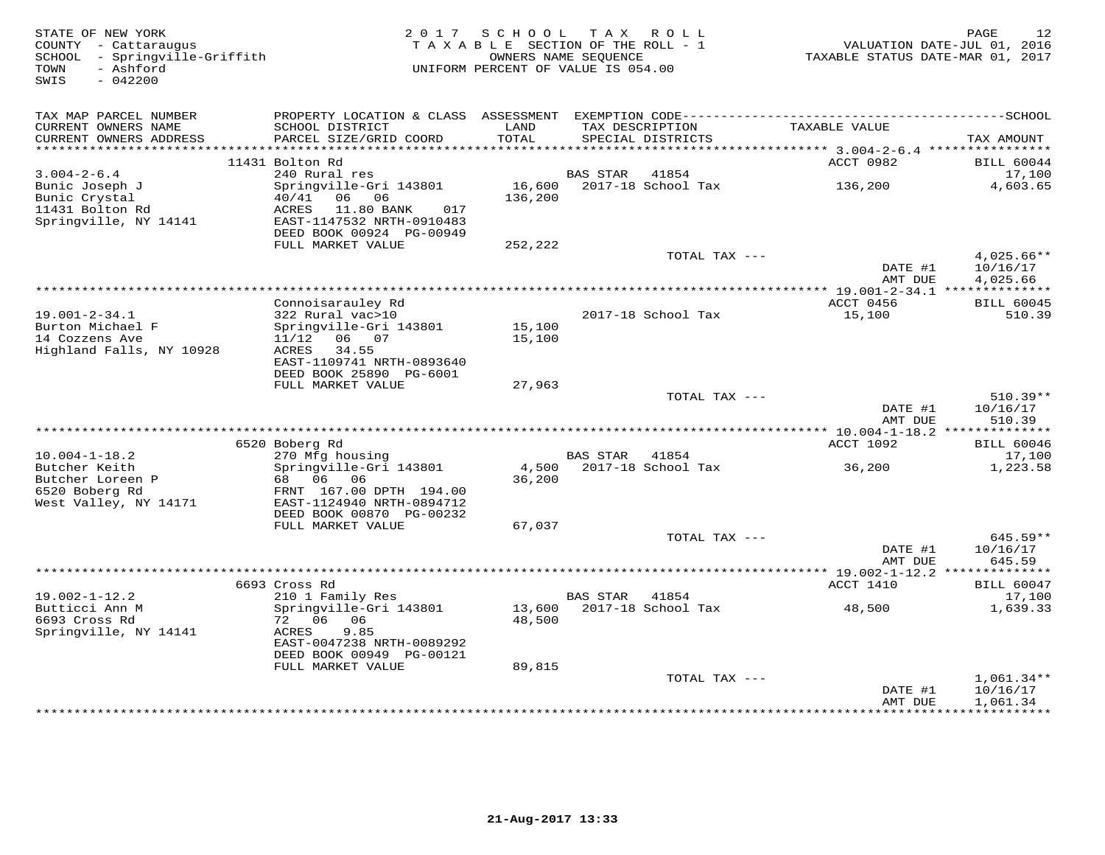| STATE OF NEW YORK<br>COUNTY - Cattaraugus<br>- Springville-Griffith<br>SCHOOL<br>- Ashford<br>TOWN<br>$-042200$<br>SWIS | 2 0 1 7                                                                                                                                             | SCHOOL<br>TAXABLE SECTION OF THE ROLL - 1<br>OWNERS NAME SEOUENCE<br>UNIFORM PERCENT OF VALUE IS 054.00 | T A X           | ROLL                                 | TAXABLE STATUS DATE-MAR 01, 2017                | 12<br>PAGE<br>VALUATION DATE-JUL 01, 2016 |
|-------------------------------------------------------------------------------------------------------------------------|-----------------------------------------------------------------------------------------------------------------------------------------------------|---------------------------------------------------------------------------------------------------------|-----------------|--------------------------------------|-------------------------------------------------|-------------------------------------------|
| TAX MAP PARCEL NUMBER                                                                                                   |                                                                                                                                                     |                                                                                                         |                 |                                      |                                                 |                                           |
| CURRENT OWNERS NAME<br>CURRENT OWNERS ADDRESS<br>***********************                                                | SCHOOL DISTRICT<br>PARCEL SIZE/GRID COORD                                                                                                           | LAND<br>TOTAL                                                                                           |                 | TAX DESCRIPTION<br>SPECIAL DISTRICTS | TAXABLE VALUE                                   | TAX AMOUNT                                |
|                                                                                                                         | 11431 Bolton Rd                                                                                                                                     |                                                                                                         |                 |                                      | ACCT 0982                                       | <b>BILL 60044</b>                         |
| $3.004 - 2 - 6.4$                                                                                                       | 240 Rural res                                                                                                                                       |                                                                                                         | BAS STAR        | 41854                                |                                                 | 17,100                                    |
| Bunic Joseph J<br>Bunic Crystal<br>11431 Bolton Rd<br>Springville, NY 14141                                             | Springville-Gri 143801<br>40/41<br>06<br>06<br>ACRES<br>11.80 BANK<br>017<br>EAST-1147532 NRTH-0910483<br>DEED BOOK 00924 PG-00949                  | 16,600<br>136,200                                                                                       |                 | 2017-18 School Tax                   | 136,200                                         | 4,603.65                                  |
|                                                                                                                         | FULL MARKET VALUE                                                                                                                                   | 252,222                                                                                                 |                 |                                      |                                                 |                                           |
|                                                                                                                         |                                                                                                                                                     |                                                                                                         |                 | TOTAL TAX ---                        | DATE #1<br>AMT DUE                              | 4,025.66**<br>10/16/17<br>4,025.66        |
|                                                                                                                         |                                                                                                                                                     |                                                                                                         |                 |                                      |                                                 |                                           |
|                                                                                                                         | Connoisarauley Rd                                                                                                                                   |                                                                                                         |                 |                                      | ACCT 0456                                       | <b>BILL 60045</b>                         |
| $19.001 - 2 - 34.1$<br>Burton Michael F<br>14 Cozzens Ave<br>Highland Falls, NY 10928                                   | 322 Rural vac>10<br>Springville-Gri 143801<br>11/12<br>06 07<br>34.55<br>ACRES<br>EAST-1109741 NRTH-0893640<br>DEED BOOK 25890 PG-6001              | 15,100<br>15,100                                                                                        |                 | 2017-18 School Tax                   | 15,100                                          | 510.39                                    |
|                                                                                                                         | FULL MARKET VALUE                                                                                                                                   | 27,963                                                                                                  |                 |                                      |                                                 |                                           |
|                                                                                                                         |                                                                                                                                                     |                                                                                                         |                 | TOTAL TAX ---                        | DATE #1<br>AMT DUE                              | $510.39**$<br>10/16/17<br>510.39          |
|                                                                                                                         |                                                                                                                                                     |                                                                                                         |                 |                                      | ********** $10.004 - 1 - 18.2$<br>ACCT 1092     | **************                            |
| $10.004 - 1 - 18.2$                                                                                                     | 6520 Boberg Rd<br>270 Mfg housing                                                                                                                   |                                                                                                         | BAS STAR        | 41854                                |                                                 | <b>BILL 60046</b><br>17,100               |
| Butcher Keith<br>Butcher Loreen P<br>6520 Boberg Rd<br>West Valley, NY 14171                                            | Springville-Gri 143801<br>06<br>06<br>68 —<br>FRNT 167.00 DPTH 194.00<br>EAST-1124940 NRTH-0894712<br>DEED BOOK 00870 PG-00232<br>FULL MARKET VALUE | 4,500<br>36,200<br>67,037                                                                               |                 | 2017-18 School Tax                   | 36,200                                          | 1,223.58                                  |
|                                                                                                                         |                                                                                                                                                     |                                                                                                         |                 | TOTAL TAX ---                        |                                                 | 645.59**                                  |
|                                                                                                                         |                                                                                                                                                     |                                                                                                         |                 |                                      | DATE #1<br>AMT DUE                              | 10/16/17<br>645.59                        |
|                                                                                                                         |                                                                                                                                                     |                                                                                                         |                 |                                      | ****************** 19.002-1-12.2 ************** |                                           |
| $19.002 - 1 - 12.2$                                                                                                     | 6693 Cross Rd<br>210 1 Family Res                                                                                                                   |                                                                                                         | <b>BAS STAR</b> | 41854                                | ACCT 1410                                       | <b>BILL 60047</b><br>17,100               |
| Butticci Ann M<br>6693 Cross Rd<br>Springville, NY 14141                                                                | Springville-Gri 143801<br>06<br>72<br>06<br>9.85<br>ACRES<br>EAST-0047238 NRTH-0089292<br>DEED BOOK 00949 PG-00121                                  | 13,600<br>48,500                                                                                        |                 | 2017-18 School Tax                   | 48,500                                          | 1,639.33                                  |
|                                                                                                                         | FULL MARKET VALUE                                                                                                                                   | 89,815                                                                                                  |                 | TOTAL TAX ---                        |                                                 | $1,061.34**$                              |
|                                                                                                                         |                                                                                                                                                     |                                                                                                         |                 |                                      | DATE #1<br>AMT DUE                              | 10/16/17<br>1,061.34                      |
|                                                                                                                         |                                                                                                                                                     |                                                                                                         |                 |                                      |                                                 | + + + + + + + + + +                       |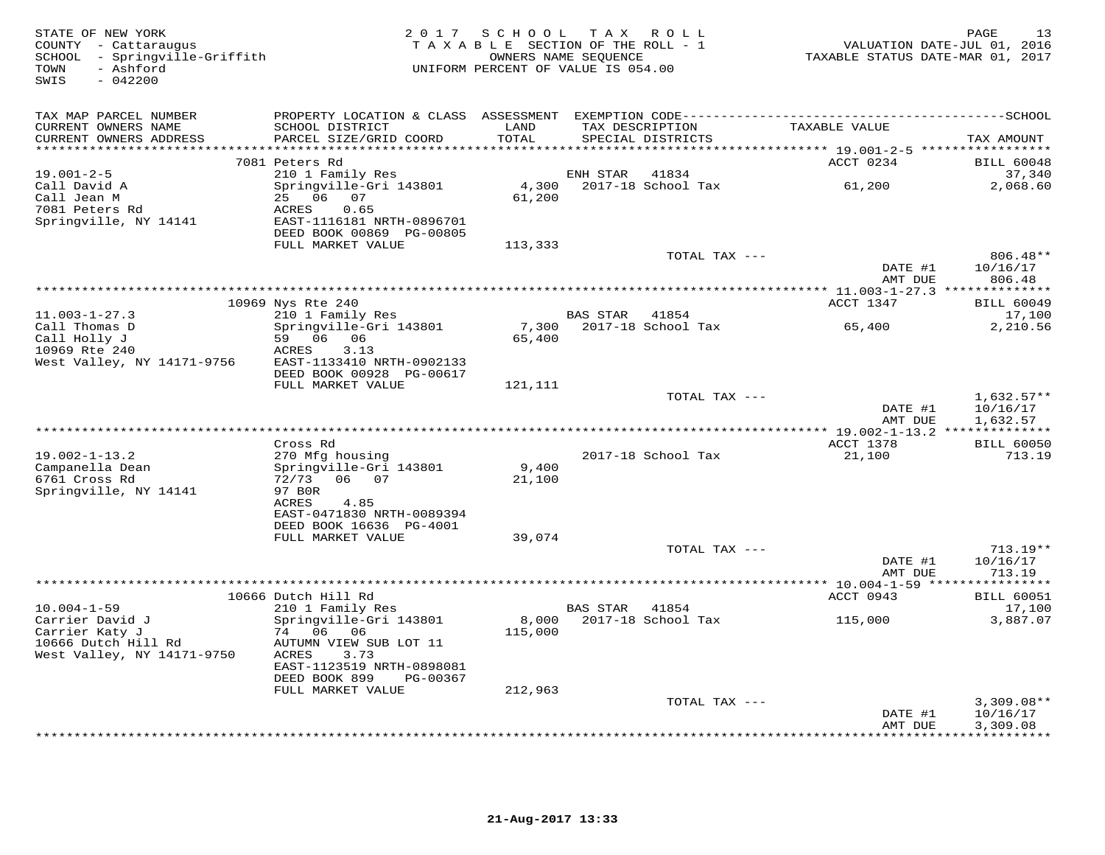| STATE OF NEW YORK<br>COUNTY - Cattaraugus<br>SCHOOL - Springville-Griffith<br>- Ashford<br>TOWN<br>SWIS<br>$-042200$ |                                              | 2017 SCHOOL TAX ROLL<br>TAXABLE SECTION OF THE ROLL - 1<br>OWNERS NAME SEQUENCE<br>UNIFORM PERCENT OF VALUE IS 054.00 |          |                                      | TAXABLE STATUS DATE-MAR 01, 2017                | 13<br>PAGE<br>VALUATION DATE-JUL 01, 2016 |
|----------------------------------------------------------------------------------------------------------------------|----------------------------------------------|-----------------------------------------------------------------------------------------------------------------------|----------|--------------------------------------|-------------------------------------------------|-------------------------------------------|
| TAX MAP PARCEL NUMBER                                                                                                |                                              |                                                                                                                       |          |                                      |                                                 |                                           |
| CURRENT OWNERS NAME<br>CURRENT OWNERS ADDRESS                                                                        | SCHOOL DISTRICT<br>PARCEL SIZE/GRID COORD    | LAND<br>TOTAL                                                                                                         |          | TAX DESCRIPTION<br>SPECIAL DISTRICTS | TAXABLE VALUE                                   |                                           |
|                                                                                                                      |                                              |                                                                                                                       |          |                                      |                                                 | TAX AMOUNT                                |
|                                                                                                                      | 7081 Peters Rd                               |                                                                                                                       |          |                                      | ACCT 0234                                       | <b>BILL 60048</b>                         |
| $19.001 - 2 - 5$                                                                                                     | 210 1 Family Res                             |                                                                                                                       | ENH STAR | 41834                                |                                                 | 37,340                                    |
| Call David A                                                                                                         | Springville-Gri 143801                       | 4,300                                                                                                                 |          | 2017-18 School Tax                   | 61,200                                          | 2,068.60                                  |
| Call Jean M<br>7081 Peters Rd                                                                                        | 25 06 07<br>ACRES<br>0.65                    | 61,200                                                                                                                |          |                                      |                                                 |                                           |
| Springville, NY 14141                                                                                                | EAST-1116181 NRTH-0896701                    |                                                                                                                       |          |                                      |                                                 |                                           |
|                                                                                                                      | DEED BOOK 00869 PG-00805                     |                                                                                                                       |          |                                      |                                                 |                                           |
|                                                                                                                      | FULL MARKET VALUE                            | 113,333                                                                                                               |          |                                      |                                                 |                                           |
|                                                                                                                      |                                              |                                                                                                                       |          | TOTAL TAX ---                        |                                                 | 806.48**                                  |
|                                                                                                                      |                                              |                                                                                                                       |          |                                      | DATE #1<br>AMT DUE                              | 10/16/17<br>806.48                        |
|                                                                                                                      |                                              |                                                                                                                       |          |                                      |                                                 |                                           |
|                                                                                                                      | 10969 Nys Rte 240                            |                                                                                                                       |          |                                      | ACCT 1347                                       | <b>BILL 60049</b>                         |
| $11.003 - 1 - 27.3$                                                                                                  | 210 1 Family Res                             |                                                                                                                       | BAS STAR | 41854                                |                                                 | 17,100                                    |
| Call Thomas D<br>Call Holly J                                                                                        | Springville-Gri 143801<br>59 06 06           | 7,300                                                                                                                 |          | 2017-18 School Tax                   | 65,400                                          | 2,210.56                                  |
| 10969 Rte 240                                                                                                        | 3.13<br>ACRES                                | 65,400                                                                                                                |          |                                      |                                                 |                                           |
| West Valley, NY 14171-9756                                                                                           | EAST-1133410 NRTH-0902133                    |                                                                                                                       |          |                                      |                                                 |                                           |
|                                                                                                                      | DEED BOOK 00928 PG-00617                     |                                                                                                                       |          |                                      |                                                 |                                           |
|                                                                                                                      | FULL MARKET VALUE                            | 121,111                                                                                                               |          |                                      |                                                 |                                           |
|                                                                                                                      |                                              |                                                                                                                       |          | TOTAL TAX ---                        | DATE #1                                         | $1,632.57**$<br>10/16/17                  |
|                                                                                                                      |                                              |                                                                                                                       |          |                                      | AMT DUE                                         | 1,632.57                                  |
|                                                                                                                      |                                              |                                                                                                                       |          |                                      | **** 19.002-1-13.2 ***************              |                                           |
|                                                                                                                      | Cross Rd                                     |                                                                                                                       |          |                                      | ACCT 1378                                       | <b>BILL 60050</b>                         |
| $19.002 - 1 - 13.2$<br>Campanella Dean                                                                               | 270 Mfg housing                              | 9,400                                                                                                                 |          | 2017-18 School Tax                   | 21,100                                          | 713.19                                    |
| 6761 Cross Rd                                                                                                        | Springville-Gri 143801<br>72/73<br>06 07     | 21,100                                                                                                                |          |                                      |                                                 |                                           |
| Springville, NY 14141                                                                                                | 97 BOR                                       |                                                                                                                       |          |                                      |                                                 |                                           |
|                                                                                                                      | ACRES<br>4.85                                |                                                                                                                       |          |                                      |                                                 |                                           |
|                                                                                                                      | EAST-0471830 NRTH-0089394                    |                                                                                                                       |          |                                      |                                                 |                                           |
|                                                                                                                      | DEED BOOK 16636 PG-4001<br>FULL MARKET VALUE | 39,074                                                                                                                |          |                                      |                                                 |                                           |
|                                                                                                                      |                                              |                                                                                                                       |          | TOTAL TAX ---                        |                                                 | $713.19**$                                |
|                                                                                                                      |                                              |                                                                                                                       |          |                                      | DATE #1                                         | 10/16/17                                  |
|                                                                                                                      |                                              |                                                                                                                       |          |                                      | AMT DUE                                         | 713.19                                    |
|                                                                                                                      | 10666 Dutch Hill Rd                          |                                                                                                                       |          |                                      | ***************** 10.004-1-59 ****<br>ACCT 0943 | * * * * * * * * * *<br><b>BILL 60051</b>  |
| $10.004 - 1 - 59$                                                                                                    | 210 1 Family Res                             |                                                                                                                       | BAS STAR | 41854                                |                                                 | 17,100                                    |
| Carrier David J                                                                                                      | Springville-Gri 143801                       | 8,000                                                                                                                 |          | 2017-18 School Tax                   | 115,000                                         | 3,887.07                                  |
| Carrier Katy J                                                                                                       | 74 06 06                                     | 115,000                                                                                                               |          |                                      |                                                 |                                           |
| 10666 Dutch Hill Rd                                                                                                  | AUTUMN VIEW SUB LOT 11                       |                                                                                                                       |          |                                      |                                                 |                                           |
| West Valley, NY 14171-9750                                                                                           | ACRES<br>3.73<br>EAST-1123519 NRTH-0898081   |                                                                                                                       |          |                                      |                                                 |                                           |
|                                                                                                                      | DEED BOOK 899<br>PG-00367                    |                                                                                                                       |          |                                      |                                                 |                                           |
|                                                                                                                      | FULL MARKET VALUE                            | 212,963                                                                                                               |          |                                      |                                                 |                                           |
|                                                                                                                      |                                              |                                                                                                                       |          | TOTAL TAX ---                        |                                                 | $3,309.08**$                              |
|                                                                                                                      |                                              |                                                                                                                       |          |                                      | DATE #1<br>AMT DUE                              | 10/16/17<br>3,309.08                      |
|                                                                                                                      |                                              |                                                                                                                       |          |                                      |                                                 | **********                                |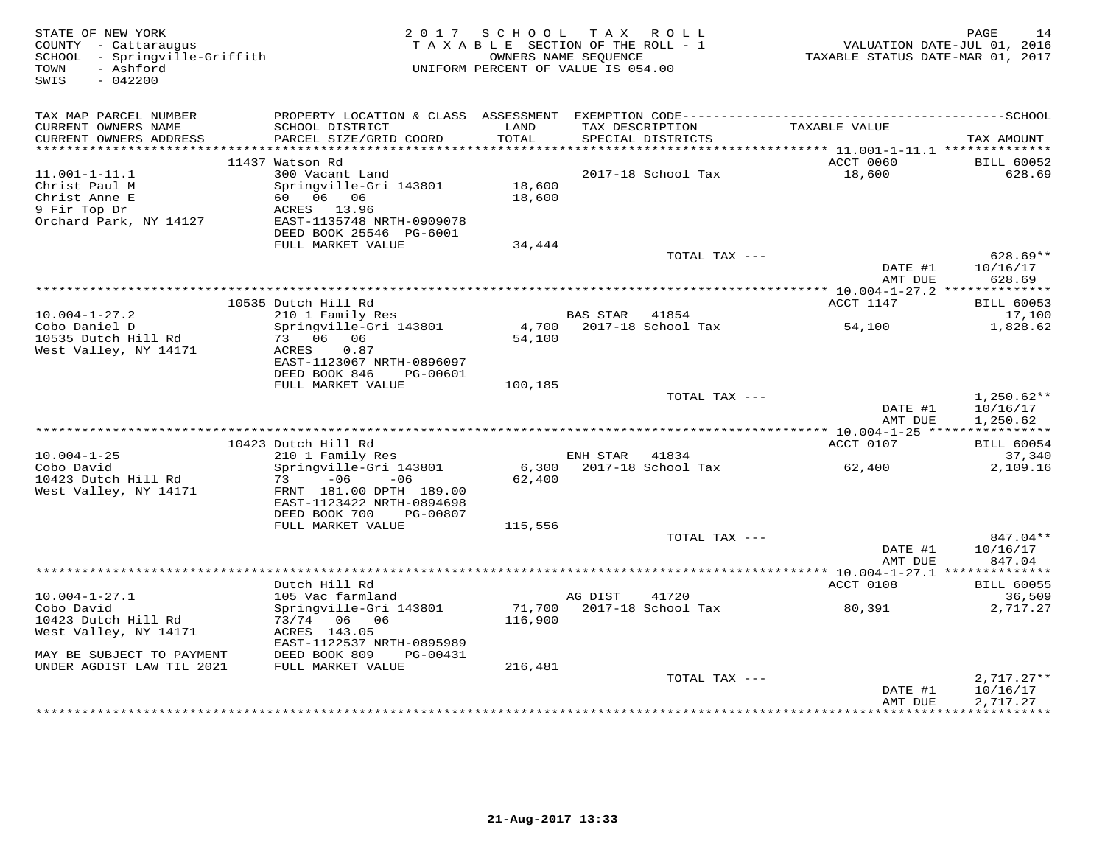| STATE OF NEW YORK<br>COUNTY - Cattaraugus<br>SCHOOL - Springville-Griffith<br>- Ashford<br>TOWN<br>SWIS<br>$-042200$ |                                                                                                           |                   | 2017 SCHOOL TAX ROLL<br>TAXABLE SECTION OF THE ROLL - 1<br>OWNERS NAME SEQUENCE<br>UNIFORM PERCENT OF VALUE IS 054.00 | TAXABLE STATUS DATE-MAR 01, 2017 | 14<br>PAGE<br>VALUATION DATE-JUL 01, 2016 |
|----------------------------------------------------------------------------------------------------------------------|-----------------------------------------------------------------------------------------------------------|-------------------|-----------------------------------------------------------------------------------------------------------------------|----------------------------------|-------------------------------------------|
| TAX MAP PARCEL NUMBER                                                                                                |                                                                                                           |                   |                                                                                                                       |                                  |                                           |
| CURRENT OWNERS NAME<br>CURRENT OWNERS ADDRESS<br>************************                                            | SCHOOL DISTRICT<br>PARCEL SIZE/GRID COORD                                                                 | LAND<br>TOTAL     | TAX DESCRIPTION<br>SPECIAL DISTRICTS                                                                                  | TAXABLE VALUE                    | TAX AMOUNT                                |
|                                                                                                                      | 11437 Watson Rd                                                                                           |                   |                                                                                                                       | ACCT 0060                        | <b>BILL 60052</b>                         |
| $11.001 - 1 - 11.1$                                                                                                  | 300 Vacant Land                                                                                           |                   | 2017-18 School Tax                                                                                                    | 18,600                           | 628.69                                    |
| Christ Paul M<br>Christ Anne E<br>9 Fir Top Dr<br>Orchard Park, NY 14127                                             | Springville-Gri 143801<br>60 06 06<br>ACRES 13.96<br>EAST-1135748 NRTH-0909078                            | 18,600<br>18,600  |                                                                                                                       |                                  |                                           |
|                                                                                                                      | DEED BOOK 25546 PG-6001                                                                                   |                   |                                                                                                                       |                                  |                                           |
|                                                                                                                      | FULL MARKET VALUE                                                                                         | 34,444            |                                                                                                                       |                                  |                                           |
|                                                                                                                      |                                                                                                           |                   | TOTAL TAX ---                                                                                                         | DATE #1                          | 628.69**<br>10/16/17                      |
|                                                                                                                      |                                                                                                           |                   |                                                                                                                       | AMT DUE                          | 628.69                                    |
|                                                                                                                      | 10535 Dutch Hill Rd                                                                                       |                   |                                                                                                                       | ACCT 1147                        | <b>BILL 60053</b>                         |
| $10.004 - 1 - 27.2$                                                                                                  | 210 1 Family Res                                                                                          |                   | <b>BAS STAR</b><br>41854                                                                                              |                                  | 17,100                                    |
| Cobo Daniel D<br>10535 Dutch Hill Rd<br>West Valley, NY 14171                                                        | Springville-Gri 143801<br>73 06 06<br>ACRES<br>0.87<br>EAST-1123067 NRTH-0896097                          | 54,100            | 4,700 2017-18 School Tax                                                                                              | 54,100                           | 1,828.62                                  |
|                                                                                                                      | DEED BOOK 846<br>PG-00601<br>FULL MARKET VALUE                                                            | 100,185           |                                                                                                                       |                                  |                                           |
|                                                                                                                      |                                                                                                           |                   | TOTAL TAX ---                                                                                                         | DATE #1                          | $1,250.62**$<br>10/16/17                  |
|                                                                                                                      |                                                                                                           |                   |                                                                                                                       | AMT DUE                          | 1,250.62                                  |
|                                                                                                                      |                                                                                                           |                   |                                                                                                                       |                                  |                                           |
|                                                                                                                      | 10423 Dutch Hill Rd                                                                                       |                   |                                                                                                                       | ACCT 0107                        | <b>BILL 60054</b>                         |
| $10.004 - 1 - 25$<br>Cobo David                                                                                      | 210 1 Family Res<br>Springville-Gri 143801                                                                |                   | ENH STAR 41834<br>6,300 2017-18 School Tax                                                                            | 62,400                           | 37,340<br>2,109.16                        |
| 10423 Dutch Hill Rd<br>West Valley, NY 14171                                                                         | $-06$<br>73<br>$-06$<br>FRNT 181.00 DPTH 189.00<br>EAST-1123422 NRTH-0894698<br>DEED BOOK 700<br>PG-00807 | 62,400            |                                                                                                                       |                                  |                                           |
|                                                                                                                      | FULL MARKET VALUE                                                                                         | 115,556           |                                                                                                                       |                                  |                                           |
|                                                                                                                      |                                                                                                           |                   | TOTAL TAX ---                                                                                                         | DATE #1<br>AMT DUE               | 847.04**<br>10/16/17<br>847.04            |
|                                                                                                                      |                                                                                                           |                   |                                                                                                                       |                                  |                                           |
|                                                                                                                      | Dutch Hill Rd                                                                                             |                   |                                                                                                                       | ACCT 0108                        | <b>BILL 60055</b>                         |
| $10.004 - 1 - 27.1$                                                                                                  | 105 Vac farmland                                                                                          |                   | AG DIST<br>41720                                                                                                      |                                  | 36,509                                    |
| Cobo David<br>10423 Dutch Hill Rd<br>West Valley, NY 14171                                                           | Springville-Gri 143801<br>73/74 06 06<br>ACRES 143.05                                                     | 71,700<br>116,900 | 2017-18 School Tax                                                                                                    | 80,391                           | 2,717.27                                  |
| MAY BE SUBJECT TO PAYMENT                                                                                            | EAST-1122537 NRTH-0895989<br>DEED BOOK 809<br>PG-00431                                                    |                   |                                                                                                                       |                                  |                                           |
| UNDER AGDIST LAW TIL 2021                                                                                            | FULL MARKET VALUE                                                                                         | 216,481           |                                                                                                                       |                                  |                                           |
|                                                                                                                      |                                                                                                           |                   | TOTAL TAX ---                                                                                                         | DATE #1<br>AMT DUE               | $2,717.27**$<br>10/16/17<br>2,717.27      |
|                                                                                                                      |                                                                                                           |                   |                                                                                                                       |                                  | ***********                               |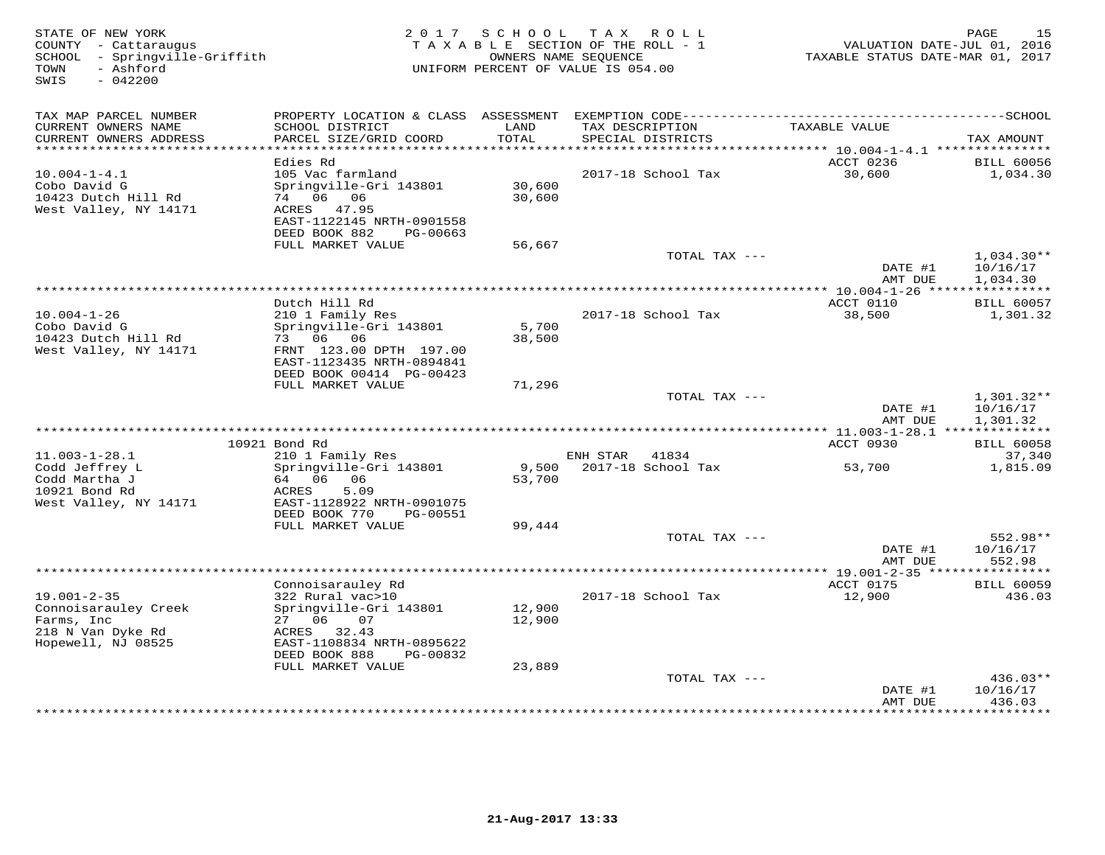| STATE OF NEW YORK<br>COUNTY - Cattaraugus<br>SCHOOL - Springville-Griffith<br>- Ashford<br>TOWN<br>SWIS<br>$-042200$ | 2 0 1 7                                                                                                                            |                  | SCHOOL TAX ROLL<br>TAXABLE SECTION OF THE ROLL - 1<br>OWNERS NAME SEQUENCE<br>UNIFORM PERCENT OF VALUE IS 054.00 | VALUATION DATE-JUL 01, 2016<br>TAXABLE STATUS DATE-MAR 01, 2017 | PAGE<br>15                           |
|----------------------------------------------------------------------------------------------------------------------|------------------------------------------------------------------------------------------------------------------------------------|------------------|------------------------------------------------------------------------------------------------------------------|-----------------------------------------------------------------|--------------------------------------|
| TAX MAP PARCEL NUMBER                                                                                                |                                                                                                                                    |                  |                                                                                                                  |                                                                 |                                      |
| CURRENT OWNERS NAME<br>CURRENT OWNERS ADDRESS<br>***********************                                             | SCHOOL DISTRICT<br>PARCEL SIZE/GRID COORD                                                                                          | LAND<br>TOTAL    | TAX DESCRIPTION<br>SPECIAL DISTRICTS<br>**************************************                                   | TAXABLE VALUE                                                   | TAX AMOUNT                           |
|                                                                                                                      | Edies Rd                                                                                                                           |                  |                                                                                                                  | ********* 10.004-1-4.1 ***************<br>ACCT 0236             | <b>BILL 60056</b>                    |
| $10.004 - 1 - 4.1$<br>Cobo David G<br>10423 Dutch Hill Rd<br>West Valley, NY 14171                                   | 105 Vac farmland<br>Springville-Gri 143801<br>74 06 06<br>47.95<br>ACRES<br>EAST-1122145 NRTH-0901558<br>DEED BOOK 882<br>PG-00663 | 30,600<br>30,600 | 2017-18 School Tax                                                                                               | 30,600                                                          | 1,034.30                             |
|                                                                                                                      | FULL MARKET VALUE                                                                                                                  | 56,667           |                                                                                                                  |                                                                 |                                      |
|                                                                                                                      |                                                                                                                                    |                  | TOTAL TAX ---                                                                                                    | DATE #1<br>AMT DUE                                              | $1,034.30**$<br>10/16/17<br>1,034.30 |
|                                                                                                                      |                                                                                                                                    |                  | **************************************                                                                           | ************ 10.004-1-26 *****************                      |                                      |
| $10.004 - 1 - 26$<br>Cobo David G<br>10423 Dutch Hill Rd                                                             | Dutch Hill Rd<br>210 1 Family Res<br>Springville-Gri 143801<br>73 06 06                                                            | 5,700<br>38,500  | 2017-18 School Tax                                                                                               | ACCT 0110<br>38,500                                             | <b>BILL 60057</b><br>1,301.32        |
| West Valley, NY 14171                                                                                                | FRNT 123.00 DPTH 197.00<br>EAST-1123435 NRTH-0894841<br>DEED BOOK 00414 PG-00423<br>FULL MARKET VALUE                              | 71,296           |                                                                                                                  |                                                                 |                                      |
|                                                                                                                      |                                                                                                                                    |                  | TOTAL TAX ---                                                                                                    | DATE #1                                                         | $1,301.32**$<br>10/16/17             |
|                                                                                                                      |                                                                                                                                    |                  |                                                                                                                  | AMT DUE<br>*********** 11.003-1-28.1 ***************            | 1,301.32                             |
|                                                                                                                      | 10921 Bond Rd                                                                                                                      |                  |                                                                                                                  | ACCT 0930                                                       | <b>BILL 60058</b>                    |
| $11.003 - 1 - 28.1$                                                                                                  | 210 1 Family Res                                                                                                                   |                  | ENH STAR 41834                                                                                                   |                                                                 | 37,340                               |
| Codd Jeffrey L<br>Codd Martha J<br>10921 Bond Rd<br>West Valley, NY 14171                                            | Springville-Gri 143801<br>64 06<br>06<br>5.09<br>ACRES<br>EAST-1128922 NRTH-0901075<br>DEED BOOK 770<br>PG-00551                   | 9,500<br>53,700  | 2017-18 School Tax                                                                                               | 53,700                                                          | 1,815.09                             |
|                                                                                                                      | FULL MARKET VALUE                                                                                                                  | 99,444           |                                                                                                                  |                                                                 |                                      |
|                                                                                                                      |                                                                                                                                    |                  | TOTAL TAX ---                                                                                                    | DATE #1<br>AMT DUE                                              | 552.98**<br>10/16/17<br>552.98       |
|                                                                                                                      |                                                                                                                                    |                  |                                                                                                                  |                                                                 | * * * * * * * * *                    |
|                                                                                                                      | Connoisarauley Rd                                                                                                                  |                  |                                                                                                                  | ACCT 0175                                                       | <b>BILL 60059</b>                    |
| $19.001 - 2 - 35$<br>Connoisarauley Creek<br>Farms, Inc                                                              | 322 Rural vac>10<br>Springville-Gri 143801<br>27 06 07                                                                             | 12,900<br>12,900 | 2017-18 School Tax                                                                                               | 12,900                                                          | 436.03                               |
| 218 N Van Dyke Rd<br>Hopewell, NJ 08525                                                                              | ACRES<br>32.43<br>EAST-1108834 NRTH-0895622<br>DEED BOOK 888<br>PG-00832                                                           |                  |                                                                                                                  |                                                                 |                                      |
|                                                                                                                      | FULL MARKET VALUE                                                                                                                  | 23,889           | TOTAL TAX ---                                                                                                    |                                                                 | 436.03**                             |
|                                                                                                                      |                                                                                                                                    |                  |                                                                                                                  | DATE #1<br>AMT DUE                                              | 10/16/17<br>436.03                   |
|                                                                                                                      |                                                                                                                                    |                  |                                                                                                                  |                                                                 | * * * * * * * *                      |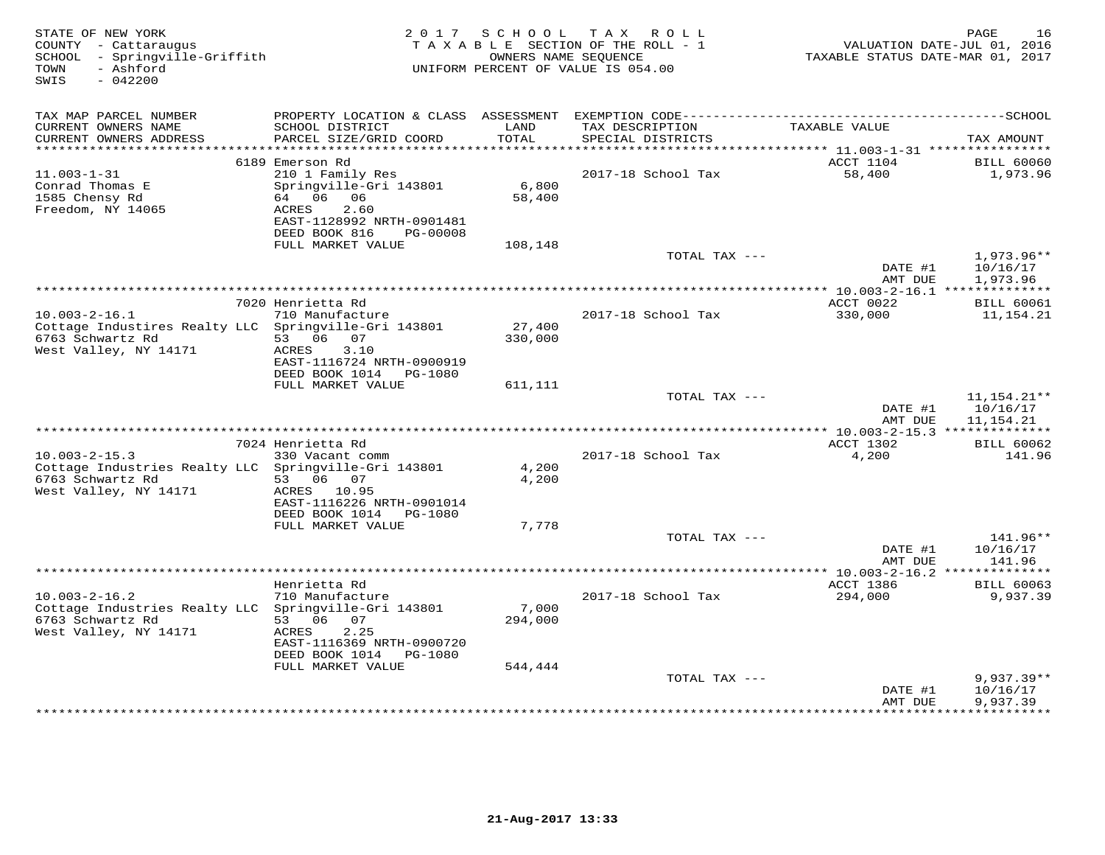| STATE OF NEW YORK<br>COUNTY - Cattaraugus<br>SCHOOL - Springville-Griffith<br>- Ashford<br>TOWN<br>SWIS<br>$-042200$     |                                                                                                                                   |                   | 2017 SCHOOL TAX ROLL<br>TAXABLE SECTION OF THE ROLL - 1<br>OWNERS NAME SEQUENCE<br>UNIFORM PERCENT OF VALUE IS 054.00 | TAXABLE STATUS DATE-MAR 01, 2017                  | PAGE<br>16<br>VALUATION DATE-JUL 01, 2016 |
|--------------------------------------------------------------------------------------------------------------------------|-----------------------------------------------------------------------------------------------------------------------------------|-------------------|-----------------------------------------------------------------------------------------------------------------------|---------------------------------------------------|-------------------------------------------|
| TAX MAP PARCEL NUMBER                                                                                                    |                                                                                                                                   |                   |                                                                                                                       |                                                   |                                           |
| CURRENT OWNERS NAME<br>CURRENT OWNERS ADDRESS<br>********************                                                    | SCHOOL DISTRICT<br>PARCEL SIZE/GRID COORD                                                                                         | LAND<br>TOTAL     | TAX DESCRIPTION<br>SPECIAL DISTRICTS                                                                                  | TAXABLE VALUE                                     | TAX AMOUNT                                |
|                                                                                                                          | 6189 Emerson Rd                                                                                                                   |                   |                                                                                                                       | ACCT 1104                                         | <b>BILL 60060</b>                         |
| $11.003 - 1 - 31$<br>Conrad Thomas E<br>1585 Chensy Rd<br>Freedom, NY 14065                                              | 210 1 Family Res<br>Springville-Gri 143801<br>64 06 06<br>ACRES<br>2.60<br>EAST-1128992 NRTH-0901481<br>DEED BOOK 816<br>PG-00008 | 6,800<br>58,400   | 2017-18 School Tax                                                                                                    | 58,400                                            | 1,973.96                                  |
|                                                                                                                          | FULL MARKET VALUE                                                                                                                 | 108,148           |                                                                                                                       |                                                   |                                           |
|                                                                                                                          |                                                                                                                                   |                   | TOTAL TAX ---                                                                                                         | DATE #1<br>AMT DUE                                | $1,973.96**$<br>10/16/17<br>1,973.96      |
|                                                                                                                          |                                                                                                                                   |                   | ************************************                                                                                  | *************** 10.003-2-16.1 ***************     |                                           |
| $10.003 - 2 - 16.1$<br>Cottage Industires Realty LLC<br>6763 Schwartz Rd                                                 | 7020 Henrietta Rd<br>710 Manufacture<br>Springville-Gri 143801<br>53 06 07                                                        | 27,400<br>330,000 | 2017-18 School Tax                                                                                                    | ACCT 0022<br>330,000                              | <b>BILL 60061</b><br>11,154.21            |
| West Valley, NY 14171                                                                                                    | 3.10<br>ACRES<br>EAST-1116724 NRTH-0900919<br>DEED BOOK 1014    PG-1080<br>FULL MARKET VALUE                                      | 611,111           |                                                                                                                       |                                                   |                                           |
|                                                                                                                          |                                                                                                                                   |                   | TOTAL TAX ---                                                                                                         | DATE #1                                           | $11,154.21**$<br>10/16/17                 |
|                                                                                                                          |                                                                                                                                   |                   |                                                                                                                       | AMT DUE<br>*** $10.003 - 2 - 15.3$ ************** | 11,154.21                                 |
|                                                                                                                          | 7024 Henrietta Rd                                                                                                                 |                   |                                                                                                                       | ACCT 1302                                         | <b>BILL 60062</b>                         |
| $10.003 - 2 - 15.3$<br>Cottage Industries Realty LLC Springville-Gri 143801<br>6763 Schwartz Rd<br>West Valley, NY 14171 | 330 Vacant comm<br>53 06 07<br>ACRES 10.95                                                                                        | 4,200<br>4,200    | 2017-18 School Tax                                                                                                    | 4,200                                             | 141.96                                    |
|                                                                                                                          | EAST-1116226 NRTH-0901014<br>DEED BOOK 1014<br>PG-1080<br>FULL MARKET VALUE                                                       | 7,778             |                                                                                                                       |                                                   |                                           |
|                                                                                                                          |                                                                                                                                   |                   | TOTAL TAX ---                                                                                                         |                                                   | 141.96**                                  |
|                                                                                                                          |                                                                                                                                   |                   |                                                                                                                       | DATE #1<br>AMT DUE                                | 10/16/17<br>141.96                        |
|                                                                                                                          |                                                                                                                                   |                   |                                                                                                                       | *************** 10.003-2-16.2 ***************     |                                           |
| $10.003 - 2 - 16.2$                                                                                                      | Henrietta Rd<br>710 Manufacture                                                                                                   |                   | 2017-18 School Tax                                                                                                    | ACCT 1386<br>294,000                              | <b>BILL 60063</b><br>9,937.39             |
| Cottage Industries Realty LLC<br>6763 Schwartz Rd<br>West Valley, NY 14171                                               | Springville-Gri 143801<br>53 06 07<br><b>ACRES</b><br>2.25                                                                        | 7,000<br>294,000  |                                                                                                                       |                                                   |                                           |
|                                                                                                                          | EAST-1116369 NRTH-0900720<br>DEED BOOK 1014 PG-1080                                                                               |                   |                                                                                                                       |                                                   |                                           |
|                                                                                                                          | FULL MARKET VALUE                                                                                                                 | 544,444           | TOTAL TAX ---                                                                                                         |                                                   | $9,937.39**$                              |
|                                                                                                                          |                                                                                                                                   |                   |                                                                                                                       | DATE #1<br>AMT DUE                                | 10/16/17<br>9,937.39                      |
|                                                                                                                          |                                                                                                                                   |                   |                                                                                                                       |                                                   |                                           |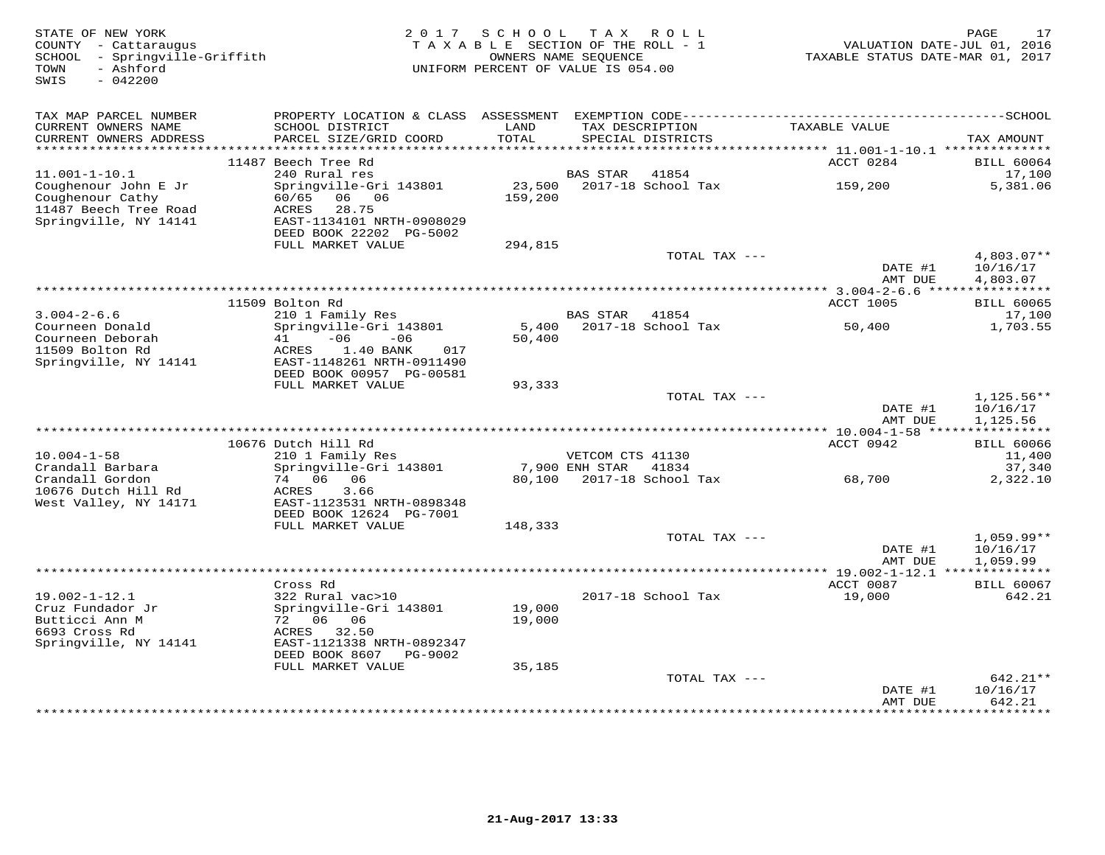| STATE OF NEW YORK<br>COUNTY - Cattaraugus<br>SCHOOL - Springville-Griffith<br>- Ashford<br>TOWN<br>$-042200$<br>SWIS |                                                                                                                                      | 2017 SCHOOL<br>TAXABLE SECTION OF THE ROLL - 1<br>OWNERS NAME SEQUENCE<br>UNIFORM PERCENT OF VALUE IS 054.00 |                                    | TAX ROLL                             | VALUATION DATE-JUL 01, 2016<br>TAXABLE STATUS DATE-MAR 01, 2017 | 17<br>PAGE                         |
|----------------------------------------------------------------------------------------------------------------------|--------------------------------------------------------------------------------------------------------------------------------------|--------------------------------------------------------------------------------------------------------------|------------------------------------|--------------------------------------|-----------------------------------------------------------------|------------------------------------|
| TAX MAP PARCEL NUMBER                                                                                                | PROPERTY LOCATION & CLASS                                                                                                            |                                                                                                              |                                    |                                      |                                                                 |                                    |
| CURRENT OWNERS NAME<br>CURRENT OWNERS ADDRESS<br>***********************                                             | SCHOOL DISTRICT<br>PARCEL SIZE/GRID COORD                                                                                            | LAND<br>TOTAL                                                                                                |                                    | TAX DESCRIPTION<br>SPECIAL DISTRICTS | TAXABLE VALUE                                                   | TAX AMOUNT                         |
|                                                                                                                      | 11487 Beech Tree Rd                                                                                                                  |                                                                                                              |                                    |                                      | ACCT 0284                                                       | <b>BILL 60064</b>                  |
| $11.001 - 1 - 10.1$                                                                                                  | 240 Rural res                                                                                                                        |                                                                                                              | <b>BAS STAR</b>                    | 41854                                |                                                                 | 17,100                             |
| Coughenour John E Jr<br>Coughenour Cathy<br>11487 Beech Tree Road<br>Springville, NY 14141                           | Springville-Gri 143801<br>60/65<br>06<br>06<br>ACRES<br>28.75<br>EAST-1134101 NRTH-0908029                                           | 23,500<br>159,200                                                                                            |                                    | 2017-18 School Tax                   | 159,200                                                         | 5,381.06                           |
|                                                                                                                      | DEED BOOK 22202 PG-5002                                                                                                              |                                                                                                              |                                    |                                      |                                                                 |                                    |
|                                                                                                                      | FULL MARKET VALUE                                                                                                                    | 294,815                                                                                                      |                                    | TOTAL TAX ---                        | DATE #1                                                         | $4,803.07**$<br>10/16/17           |
|                                                                                                                      |                                                                                                                                      |                                                                                                              |                                    |                                      | AMT DUE                                                         | 4,803.07                           |
|                                                                                                                      | 11509 Bolton Rd                                                                                                                      |                                                                                                              |                                    |                                      | ************ 3.004-2-6.6 *****************<br><b>ACCT 1005</b>  | <b>BILL 60065</b>                  |
| $3.004 - 2 - 6.6$                                                                                                    | 210 1 Family Res                                                                                                                     |                                                                                                              | <b>BAS STAR</b>                    | 41854                                |                                                                 | 17,100                             |
| Courneen Donald<br>Courneen Deborah<br>11509 Bolton Rd<br>Springville, NY 14141                                      | Springville-Gri 143801<br>$-06$<br>41<br>$-06$<br>1.40 BANK<br>ACRES<br>017<br>EAST-1148261 NRTH-0911490<br>DEED BOOK 00957 PG-00581 | 5,400<br>50,400                                                                                              |                                    | 2017-18 School Tax                   | 50,400                                                          | 1,703.55                           |
|                                                                                                                      | FULL MARKET VALUE                                                                                                                    | 93,333                                                                                                       |                                    |                                      |                                                                 |                                    |
|                                                                                                                      |                                                                                                                                      |                                                                                                              |                                    | TOTAL TAX ---                        | DATE #1<br>AMT DUE                                              | 1,125.56**<br>10/16/17<br>1,125.56 |
|                                                                                                                      |                                                                                                                                      |                                                                                                              |                                    |                                      |                                                                 |                                    |
|                                                                                                                      | 10676 Dutch Hill Rd                                                                                                                  |                                                                                                              |                                    |                                      | ACCT 0942                                                       | <b>BILL 60066</b>                  |
| $10.004 - 1 - 58$<br>Crandall Barbara                                                                                | 210 1 Family Res<br>Springville-Gri 143801                                                                                           |                                                                                                              | VETCOM CTS 41130<br>7,900 ENH STAR | 41834                                |                                                                 | 11,400<br>37,340                   |
| Crandall Gordon<br>10676 Dutch Hill Rd<br>West Valley, NY 14171                                                      | 74 06<br>06<br>ACRES<br>3.66<br>EAST-1123531 NRTH-0898348<br>DEED BOOK 12624 PG-7001                                                 | 80,100                                                                                                       |                                    | 2017-18 School Tax                   | 68,700                                                          | 2,322.10                           |
|                                                                                                                      | FULL MARKET VALUE                                                                                                                    | 148,333                                                                                                      |                                    | TOTAL TAX $---$                      |                                                                 | $1,059.99**$                       |
|                                                                                                                      |                                                                                                                                      |                                                                                                              |                                    |                                      | DATE #1<br>AMT DUE                                              | 10/16/17<br>1,059.99               |
|                                                                                                                      |                                                                                                                                      |                                                                                                              |                                    |                                      |                                                                 |                                    |
| $19.002 - 1 - 12.1$                                                                                                  | Cross Rd<br>322 Rural vac>10                                                                                                         |                                                                                                              |                                    | 2017-18 School Tax                   | ACCT 0087<br>19,000                                             | <b>BILL 60067</b><br>642.21        |
| Cruz Fundador Jr<br>Butticci Ann M<br>6693 Cross Rd<br>Springville, NY 14141                                         | Springville-Gri 143801<br>72 06 06<br>ACRES<br>32.50<br>EAST-1121338 NRTH-0892347                                                    | 19,000<br>19,000                                                                                             |                                    |                                      |                                                                 |                                    |
|                                                                                                                      | DEED BOOK 8607<br>PG-9002                                                                                                            |                                                                                                              |                                    |                                      |                                                                 |                                    |
|                                                                                                                      | FULL MARKET VALUE                                                                                                                    | 35,185                                                                                                       |                                    | TOTAL TAX ---                        |                                                                 | 642.21**                           |
|                                                                                                                      |                                                                                                                                      |                                                                                                              |                                    |                                      | DATE #1<br>AMT DUE                                              | 10/16/17<br>642.21                 |
|                                                                                                                      |                                                                                                                                      |                                                                                                              |                                    |                                      |                                                                 | * * * * * * * *                    |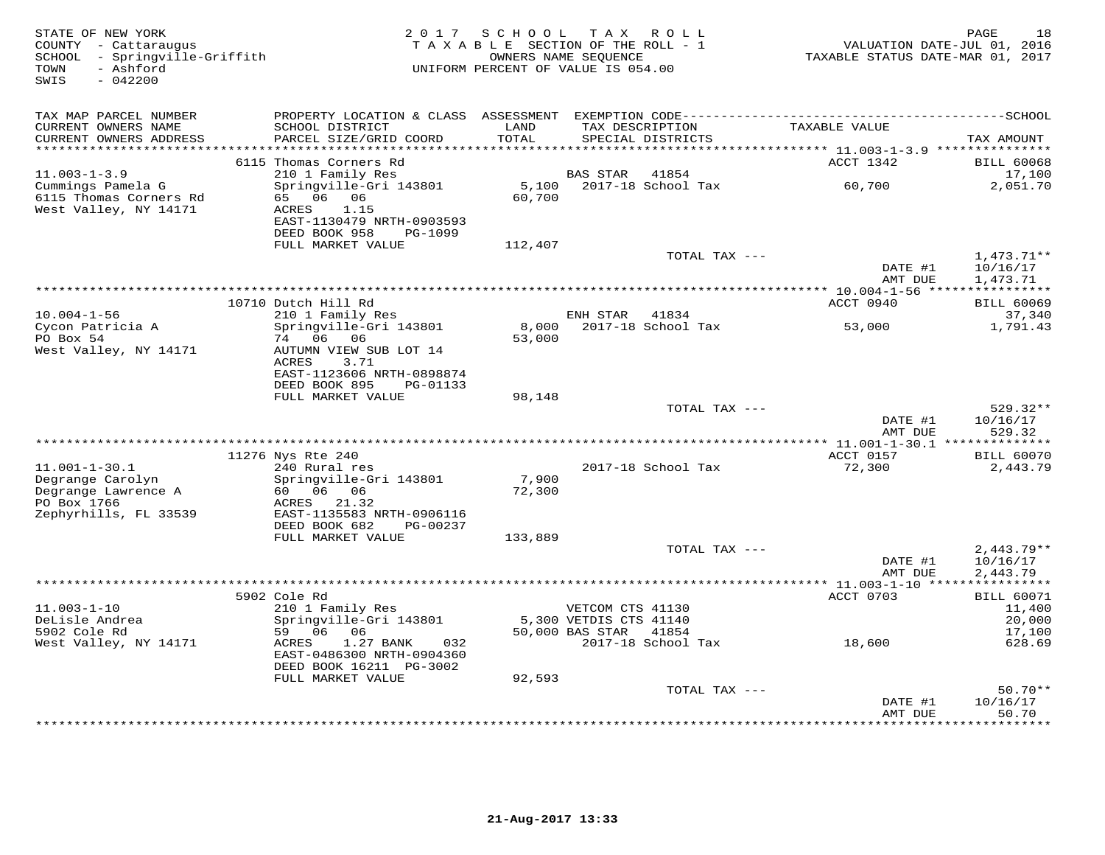| STATE OF NEW YORK<br>COUNTY - Cattaraugus<br>SCHOOL - Springville-Griffith<br>- Ashford<br>TOWN<br>$-042200$<br>SWIS |                                                                                                                                  |                 | 2017 SCHOOL TAX ROLL<br>TAXABLE SECTION OF THE ROLL - 1<br>OWNERS NAME SEQUENCE<br>UNIFORM PERCENT OF VALUE IS 054.00 | VALUATION DATE-JUL 01, 2016<br>TAXABLE STATUS DATE-MAR 01, 2017 | 18<br>PAGE                                          |
|----------------------------------------------------------------------------------------------------------------------|----------------------------------------------------------------------------------------------------------------------------------|-----------------|-----------------------------------------------------------------------------------------------------------------------|-----------------------------------------------------------------|-----------------------------------------------------|
| TAX MAP PARCEL NUMBER<br>CURRENT OWNERS NAME<br>CURRENT OWNERS ADDRESS                                               | SCHOOL DISTRICT<br>PARCEL SIZE/GRID COORD                                                                                        | LAND<br>TOTAL   | TAX DESCRIPTION<br>SPECIAL DISTRICTS                                                                                  | TAXABLE VALUE                                                   | TAX AMOUNT                                          |
|                                                                                                                      |                                                                                                                                  | ******          |                                                                                                                       | ******* 11.003-1-3.9 ***************                            |                                                     |
|                                                                                                                      | 6115 Thomas Corners Rd                                                                                                           |                 |                                                                                                                       | ACCT 1342                                                       | <b>BILL 60068</b>                                   |
| $11.003 - 1 - 3.9$<br>Cummings Pamela G<br>6115 Thomas Corners Rd<br>West Valley, NY 14171                           | 210 1 Family Res<br>Springville-Gri 143801<br>65 06 06<br>1.15<br>ACRES<br>EAST-1130479 NRTH-0903593                             | 5,100<br>60,700 | <b>BAS STAR</b><br>41854<br>2017-18 School Tax                                                                        | 60,700                                                          | 17,100<br>2,051.70                                  |
|                                                                                                                      | DEED BOOK 958<br>PG-1099<br>FULL MARKET VALUE                                                                                    | 112,407         |                                                                                                                       |                                                                 |                                                     |
|                                                                                                                      |                                                                                                                                  |                 | TOTAL TAX ---                                                                                                         | DATE #1<br>AMT DUE                                              | 1,473.71**<br>10/16/17                              |
|                                                                                                                      |                                                                                                                                  |                 |                                                                                                                       |                                                                 | 1,473.71                                            |
|                                                                                                                      | 10710 Dutch Hill Rd                                                                                                              |                 |                                                                                                                       | ACCT 0940                                                       | <b>BILL 60069</b>                                   |
| $10.004 - 1 - 56$                                                                                                    | 210 1 Family Res                                                                                                                 |                 | ENH STAR 41834                                                                                                        |                                                                 | 37,340                                              |
| Cycon Patricia A<br>PO Box 54<br>West Valley, NY 14171                                                               | Springville-Gri 143801<br>74 06 06<br>AUTUMN VIEW SUB LOT 14<br>ACRES<br>3.71<br>EAST-1123606 NRTH-0898874                       | 8,000<br>53,000 | 2017-18 School Tax                                                                                                    | 53,000                                                          | 1,791.43                                            |
|                                                                                                                      | DEED BOOK 895<br>PG-01133                                                                                                        |                 |                                                                                                                       |                                                                 |                                                     |
|                                                                                                                      | FULL MARKET VALUE                                                                                                                | 98,148          | TOTAL TAX ---                                                                                                         |                                                                 | 529.32**                                            |
|                                                                                                                      |                                                                                                                                  |                 |                                                                                                                       | DATE #1<br>AMT DUE                                              | 10/16/17<br>529.32                                  |
|                                                                                                                      |                                                                                                                                  |                 |                                                                                                                       |                                                                 |                                                     |
| $11.001 - 1 - 30.1$                                                                                                  | 11276 Nys Rte 240                                                                                                                |                 | 2017-18 School Tax                                                                                                    | ACCT 0157                                                       | <b>BILL 60070</b>                                   |
| Degrange Carolyn<br>Degrange Lawrence A<br>PO Box 1766<br>Zephyrhills, FL 33539                                      | 240 Rural res<br>Springville-Gri 143801<br>60   06   06<br>ACRES 21.32<br>EAST-1135583 NRTH-0906116<br>DEED BOOK 682<br>PG-00237 | 7,900<br>72,300 |                                                                                                                       | 72,300                                                          | 2,443.79                                            |
|                                                                                                                      | FULL MARKET VALUE                                                                                                                | 133,889         | TOTAL TAX ---                                                                                                         |                                                                 |                                                     |
|                                                                                                                      |                                                                                                                                  |                 |                                                                                                                       | DATE #1<br>AMT DUE                                              | $2,443.79**$<br>10/16/17<br>2,443.79<br>*********** |
|                                                                                                                      | 5902 Cole Rd                                                                                                                     |                 |                                                                                                                       | ******** 11.003-1-10 ****<br>ACCT 0703                          | <b>BILL 60071</b>                                   |
| $11.003 - 1 - 10$<br>DeLisle Andrea<br>5902 Cole Rd                                                                  | 210 1 Family Res<br>Springville-Gri 143801<br>59 06 06                                                                           |                 | VETCOM CTS 41130<br>5,300 VETDIS CTS 41140<br>50,000 BAS STAR<br>41854                                                |                                                                 | 11,400<br>20,000<br>17,100                          |
| West Valley, NY 14171                                                                                                | 1.27 BANK<br>032<br>ACRES<br>EAST-0486300 NRTH-0904360<br>DEED BOOK 16211 PG-3002<br>FULL MARKET VALUE                           | 92,593          | 2017-18 School Tax                                                                                                    | 18,600                                                          | 628.69                                              |
|                                                                                                                      |                                                                                                                                  |                 | TOTAL TAX ---                                                                                                         |                                                                 | $50.70**$                                           |
|                                                                                                                      |                                                                                                                                  |                 |                                                                                                                       | DATE #1<br>AMT DUE                                              | 10/16/17<br>50.70                                   |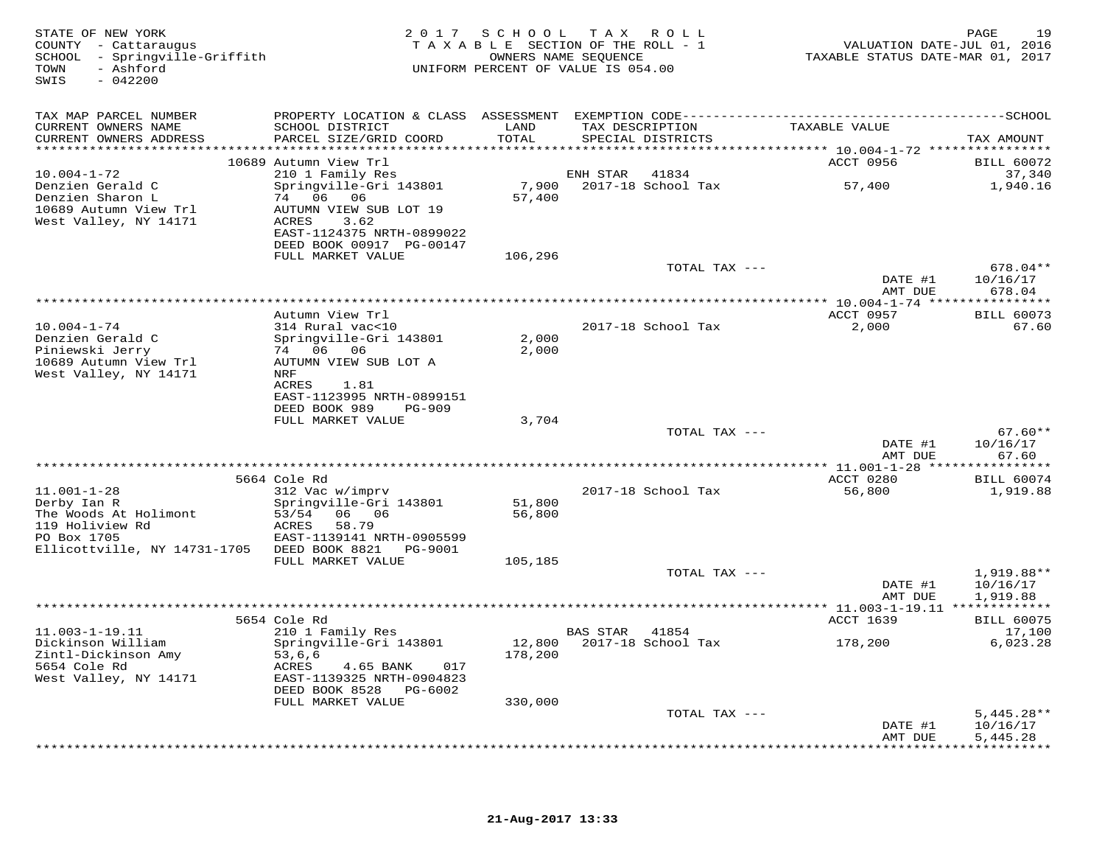| STATE OF NEW YORK<br>COUNTY - Cattaraugus<br>SCHOOL - Springville-Griffith<br>- Ashford<br>TOWN<br>SWIS<br>$-042200$ | 2 0 1 7                                                                                                                                  |                                        | SCHOOL TAX ROLL<br>TAXABLE SECTION OF THE ROLL - 1<br>OWNERS NAME SEQUENCE<br>UNIFORM PERCENT OF VALUE IS 054.00 | VALUATION DATE-JUL 01, 2016<br>TAXABLE STATUS DATE-MAR 01, 2017       | 19<br>PAGE                           |
|----------------------------------------------------------------------------------------------------------------------|------------------------------------------------------------------------------------------------------------------------------------------|----------------------------------------|------------------------------------------------------------------------------------------------------------------|-----------------------------------------------------------------------|--------------------------------------|
| TAX MAP PARCEL NUMBER                                                                                                |                                                                                                                                          |                                        |                                                                                                                  |                                                                       |                                      |
| CURRENT OWNERS NAME<br>CURRENT OWNERS ADDRESS                                                                        | SCHOOL DISTRICT<br>PARCEL SIZE/GRID COORD                                                                                                | LAND<br>TOTAL<br>* * * * * * * * * * * | TAX DESCRIPTION<br>SPECIAL DISTRICTS                                                                             | TAXABLE VALUE<br>********************** 10.004-1-72 ***************** | TAX AMOUNT                           |
|                                                                                                                      | 10689 Autumn View Trl                                                                                                                    |                                        |                                                                                                                  | ACCT 0956                                                             | <b>BILL 60072</b>                    |
| $10.004 - 1 - 72$                                                                                                    | 210 1 Family Res                                                                                                                         |                                        | ENH STAR<br>41834                                                                                                |                                                                       | 37,340                               |
| Denzien Gerald C<br>Denzien Sharon L<br>10689 Autumn View Trl<br>West Valley, NY 14171                               | Springville-Gri 143801<br>74 06<br>06<br>AUTUMN VIEW SUB LOT 19<br>ACRES<br>3.62<br>EAST-1124375 NRTH-0899022                            | 7,900<br>57,400                        | 2017-18 School Tax                                                                                               | 57,400                                                                | 1,940.16                             |
|                                                                                                                      | DEED BOOK 00917 PG-00147<br>FULL MARKET VALUE                                                                                            | 106,296                                |                                                                                                                  |                                                                       |                                      |
|                                                                                                                      |                                                                                                                                          |                                        | TOTAL TAX ---                                                                                                    | DATE #1                                                               | $678.04**$<br>10/16/17               |
|                                                                                                                      |                                                                                                                                          |                                        |                                                                                                                  | AMT DUE                                                               | 678.04                               |
|                                                                                                                      | Autumn View Trl                                                                                                                          |                                        |                                                                                                                  | ACCT 0957                                                             | <b>BILL 60073</b>                    |
| $10.004 - 1 - 74$<br>Denzien Gerald C<br>Piniewski Jerry<br>10689 Autumn View Trl                                    | 314 Rural vac<10<br>Springville-Gri 143801<br>74 06 06<br>AUTUMN VIEW SUB LOT A                                                          | 2,000<br>2,000                         | 2017-18 School Tax                                                                                               | 2,000                                                                 | 67.60                                |
| West Valley, NY 14171                                                                                                | NRF<br>ACRES<br>1.81<br>EAST-1123995 NRTH-0899151<br>DEED BOOK 989<br><b>PG-909</b>                                                      |                                        |                                                                                                                  |                                                                       |                                      |
|                                                                                                                      | FULL MARKET VALUE                                                                                                                        | 3,704                                  |                                                                                                                  |                                                                       |                                      |
|                                                                                                                      |                                                                                                                                          |                                        | TOTAL TAX ---                                                                                                    | DATE #1<br>AMT DUE                                                    | $67.60**$<br>10/16/17<br>67.60       |
|                                                                                                                      |                                                                                                                                          |                                        |                                                                                                                  |                                                                       |                                      |
| $11.001 - 1 - 28$<br>Derby Ian R                                                                                     | 5664 Cole Rd<br>312 Vac w/imprv<br>Springville-Gri 143801                                                                                | 51,800                                 | 2017-18 School Tax                                                                                               | ACCT 0280<br>56,800                                                   | <b>BILL 60074</b><br>1,919.88        |
| The Woods At Holimont<br>119 Holiview Rd<br>PO Box 1705                                                              | 53/54<br>06 06<br>ACRES<br>58.79<br>EAST-1139141 NRTH-0905599                                                                            | 56,800                                 |                                                                                                                  |                                                                       |                                      |
| Ellicottville, NY 14731-1705 DEED BOOK 8821                                                                          | PG-9001<br>FULL MARKET VALUE                                                                                                             | 105,185                                |                                                                                                                  |                                                                       |                                      |
|                                                                                                                      |                                                                                                                                          |                                        | TOTAL TAX ---                                                                                                    | DATE #1<br>AMT DUE                                                    | 1,919.88**<br>10/16/17<br>1,919.88   |
|                                                                                                                      |                                                                                                                                          |                                        |                                                                                                                  | ********** 11.003-1-19.11 *************                               |                                      |
|                                                                                                                      | 5654 Cole Rd                                                                                                                             |                                        |                                                                                                                  | <b>ACCT 1639</b>                                                      | <b>BILL 60075</b>                    |
| $11.003 - 1 - 19.11$<br>Dickinson William<br>Zintl-Dickinson Amy<br>5654 Cole Rd<br>West Valley, NY 14171            | 210 1 Family Res<br>Springville-Gri 143801<br>53,6,6<br>ACRES<br>4.65 BANK<br>017<br>EAST-1139325 NRTH-0904823<br>DEED BOOK 8528 PG-6002 | 12,800<br>178,200                      | BAS STAR<br>41854<br>2017-18 School Tax                                                                          | 178,200                                                               | 17,100<br>6,023.28                   |
|                                                                                                                      | FULL MARKET VALUE                                                                                                                        | 330,000                                |                                                                                                                  |                                                                       |                                      |
|                                                                                                                      |                                                                                                                                          |                                        | TOTAL TAX ---                                                                                                    | DATE #1<br>AMT DUE                                                    | $5.445.28**$<br>10/16/17<br>5,445.28 |
|                                                                                                                      |                                                                                                                                          |                                        | *************************************                                                                            | ************                                                          | * * * * * * * * * * *                |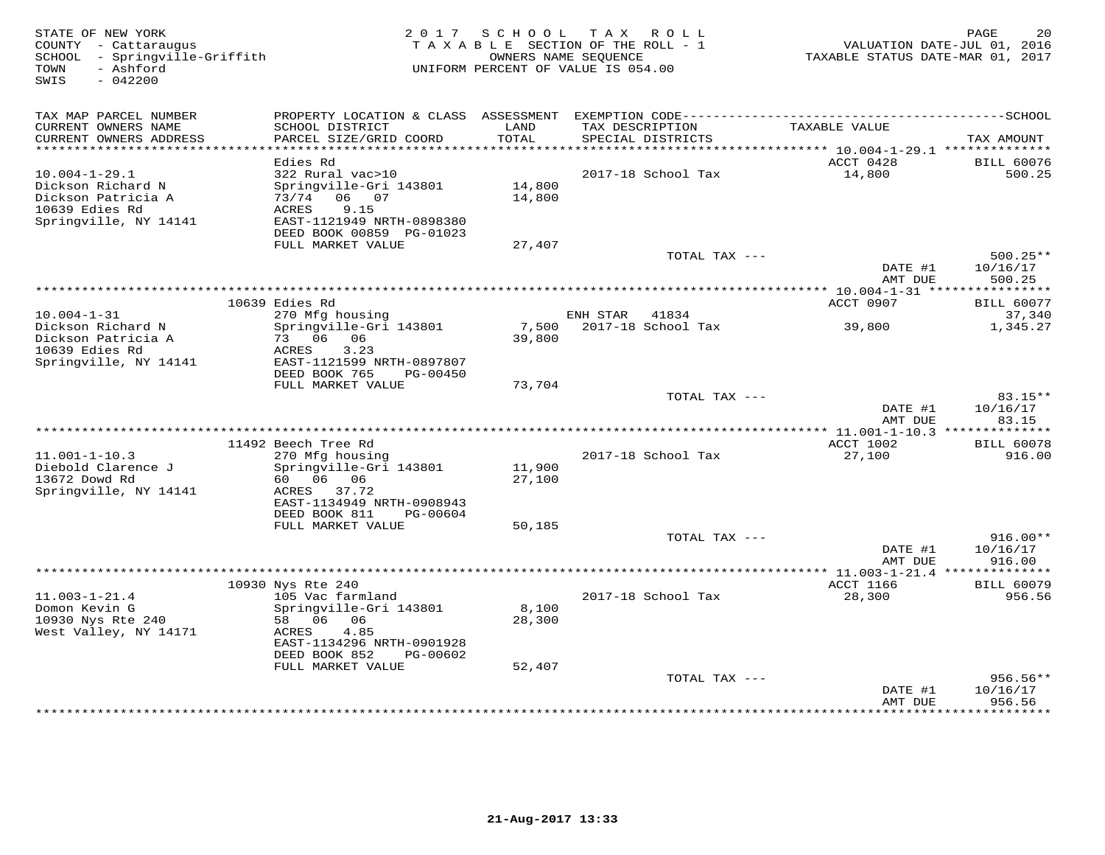| TAX MAP PARCEL NUMBER<br>CURRENT OWNERS NAME<br>SCHOOL DISTRICT<br>LAND<br>TAX DESCRIPTION<br>TAXABLE VALUE<br>CURRENT OWNERS ADDRESS<br>PARCEL SIZE/GRID COORD<br>TOTAL<br>SPECIAL DISTRICTS<br>**********************<br>***********<br>*********************<br>******** 10.004-1-29.1 **************<br>Edies Rd<br>ACCT 0428<br>$10.004 - 1 - 29.1$<br>322 Rural vac>10<br>2017-18 School Tax<br>14,800<br>Springville-Gri 143801<br>14,800<br>Dickson Richard N<br>Dickson Patricia A<br>73/74<br>06 07<br>14,800<br>9.15<br>10639 Edies Rd<br><b>ACRES</b><br>Springville, NY 14141<br>EAST-1121949 NRTH-0898380<br>DEED BOOK 00859 PG-01023<br>FULL MARKET VALUE<br>27,407<br>TOTAL TAX ---<br>DATE #1<br>AMT DUE<br>********************************<br>********* 10.004-1-31 ****************<br>10639 Edies Rd<br>ACCT 0907<br>$10.004 - 1 - 31$<br>ENH STAR<br>270 Mfg housing<br>41834 | SCHOOL TAX ROLL<br>20<br>PAGE<br>TAXABLE SECTION OF THE ROLL - 1<br>VALUATION DATE-JUL 01, 2016<br>TAXABLE STATUS DATE-MAR 01, 2017 | OWNERS NAME SEQUENCE<br>UNIFORM PERCENT OF VALUE IS 054.00 | 2 0 1 7                | STATE OF NEW YORK<br>COUNTY - Cattaraugus<br>SCHOOL - Springville-Griffith<br>- Ashford<br>TOWN<br>SWIS<br>$-042200$ |
|-----------------------------------------------------------------------------------------------------------------------------------------------------------------------------------------------------------------------------------------------------------------------------------------------------------------------------------------------------------------------------------------------------------------------------------------------------------------------------------------------------------------------------------------------------------------------------------------------------------------------------------------------------------------------------------------------------------------------------------------------------------------------------------------------------------------------------------------------------------------------------------------------------|-------------------------------------------------------------------------------------------------------------------------------------|------------------------------------------------------------|------------------------|----------------------------------------------------------------------------------------------------------------------|
|                                                                                                                                                                                                                                                                                                                                                                                                                                                                                                                                                                                                                                                                                                                                                                                                                                                                                                     |                                                                                                                                     |                                                            |                        |                                                                                                                      |
|                                                                                                                                                                                                                                                                                                                                                                                                                                                                                                                                                                                                                                                                                                                                                                                                                                                                                                     | TAX AMOUNT                                                                                                                          |                                                            |                        |                                                                                                                      |
|                                                                                                                                                                                                                                                                                                                                                                                                                                                                                                                                                                                                                                                                                                                                                                                                                                                                                                     | <b>BILL 60076</b>                                                                                                                   |                                                            |                        |                                                                                                                      |
|                                                                                                                                                                                                                                                                                                                                                                                                                                                                                                                                                                                                                                                                                                                                                                                                                                                                                                     | 500.25                                                                                                                              |                                                            |                        |                                                                                                                      |
|                                                                                                                                                                                                                                                                                                                                                                                                                                                                                                                                                                                                                                                                                                                                                                                                                                                                                                     |                                                                                                                                     |                                                            |                        |                                                                                                                      |
|                                                                                                                                                                                                                                                                                                                                                                                                                                                                                                                                                                                                                                                                                                                                                                                                                                                                                                     |                                                                                                                                     |                                                            |                        |                                                                                                                      |
|                                                                                                                                                                                                                                                                                                                                                                                                                                                                                                                                                                                                                                                                                                                                                                                                                                                                                                     | $500.25**$<br>10/16/17                                                                                                              |                                                            |                        |                                                                                                                      |
|                                                                                                                                                                                                                                                                                                                                                                                                                                                                                                                                                                                                                                                                                                                                                                                                                                                                                                     | 500.25                                                                                                                              |                                                            |                        |                                                                                                                      |
|                                                                                                                                                                                                                                                                                                                                                                                                                                                                                                                                                                                                                                                                                                                                                                                                                                                                                                     | <b>BILL 60077</b>                                                                                                                   |                                                            |                        |                                                                                                                      |
|                                                                                                                                                                                                                                                                                                                                                                                                                                                                                                                                                                                                                                                                                                                                                                                                                                                                                                     | 37,340                                                                                                                              |                                                            |                        |                                                                                                                      |
| Dickson Patricia A<br>73 06 06<br>39,800<br>10639 Edies Rd<br>ACRES<br>3.23<br>Springville, NY 14141<br>EAST-1121599 NRTH-0897807<br>DEED BOOK 765<br>PG-00450                                                                                                                                                                                                                                                                                                                                                                                                                                                                                                                                                                                                                                                                                                                                      | 2017-18 School Tax<br>39,800<br>1,345.27                                                                                            | 7,500                                                      | Springville-Gri 143801 | Dickson Richard N                                                                                                    |
| FULL MARKET VALUE<br>73,704                                                                                                                                                                                                                                                                                                                                                                                                                                                                                                                                                                                                                                                                                                                                                                                                                                                                         |                                                                                                                                     |                                                            |                        |                                                                                                                      |
| TOTAL TAX ---<br>DATE #1<br>AMT DUE                                                                                                                                                                                                                                                                                                                                                                                                                                                                                                                                                                                                                                                                                                                                                                                                                                                                 | 83.15**<br>10/16/17<br>83.15                                                                                                        |                                                            |                        |                                                                                                                      |
|                                                                                                                                                                                                                                                                                                                                                                                                                                                                                                                                                                                                                                                                                                                                                                                                                                                                                                     | ** 11.001-1-10.3 ***************                                                                                                    |                                                            |                        |                                                                                                                      |
| 11492 Beech Tree Rd<br>ACCT 1002<br>$11.001 - 1 - 10.3$<br>270 Mfg housing<br>2017-18 School Tax<br>27,100<br>Diebold Clarence J<br>Springville-Gri 143801<br>11,900                                                                                                                                                                                                                                                                                                                                                                                                                                                                                                                                                                                                                                                                                                                                | <b>BILL 60078</b><br>916.00                                                                                                         |                                                            |                        |                                                                                                                      |
| 13672 Dowd Rd<br>60 06 06<br>27,100<br>Springville, NY 14141<br>37.72<br>ACRES<br>EAST-1134949 NRTH-0908943<br>DEED BOOK 811<br>PG-00604                                                                                                                                                                                                                                                                                                                                                                                                                                                                                                                                                                                                                                                                                                                                                            |                                                                                                                                     |                                                            |                        |                                                                                                                      |
| FULL MARKET VALUE<br>50,185                                                                                                                                                                                                                                                                                                                                                                                                                                                                                                                                                                                                                                                                                                                                                                                                                                                                         |                                                                                                                                     |                                                            |                        |                                                                                                                      |
| TOTAL TAX ---<br>DATE #1<br>AMT DUE                                                                                                                                                                                                                                                                                                                                                                                                                                                                                                                                                                                                                                                                                                                                                                                                                                                                 | $916.00**$<br>10/16/17<br>916.00                                                                                                    |                                                            |                        |                                                                                                                      |
|                                                                                                                                                                                                                                                                                                                                                                                                                                                                                                                                                                                                                                                                                                                                                                                                                                                                                                     | *************** 11.003-1-21.4 ***************                                                                                       |                                                            |                        |                                                                                                                      |
| ACCT 1166<br>10930 Nys Rte 240                                                                                                                                                                                                                                                                                                                                                                                                                                                                                                                                                                                                                                                                                                                                                                                                                                                                      | <b>BILL 60079</b>                                                                                                                   |                                                            |                        |                                                                                                                      |
| $11.003 - 1 - 21.4$<br>105 Vac farmland<br>2017-18 School Tax<br>28,300<br>8,100<br>Domon Kevin G<br>Springville-Gri 143801<br>10930 Nys Rte 240<br>58 06 06<br>28,300                                                                                                                                                                                                                                                                                                                                                                                                                                                                                                                                                                                                                                                                                                                              | 956.56                                                                                                                              |                                                            |                        |                                                                                                                      |
| West Valley, NY 14171<br>4.85<br>ACRES<br>EAST-1134296 NRTH-0901928<br>DEED BOOK 852<br>PG-00602                                                                                                                                                                                                                                                                                                                                                                                                                                                                                                                                                                                                                                                                                                                                                                                                    |                                                                                                                                     |                                                            |                        |                                                                                                                      |
| FULL MARKET VALUE<br>52,407<br>TOTAL TAX ---                                                                                                                                                                                                                                                                                                                                                                                                                                                                                                                                                                                                                                                                                                                                                                                                                                                        | 956.56**                                                                                                                            |                                                            |                        |                                                                                                                      |
| DATE #1<br>AMT DUE                                                                                                                                                                                                                                                                                                                                                                                                                                                                                                                                                                                                                                                                                                                                                                                                                                                                                  | 10/16/17<br>956.56                                                                                                                  |                                                            |                        |                                                                                                                      |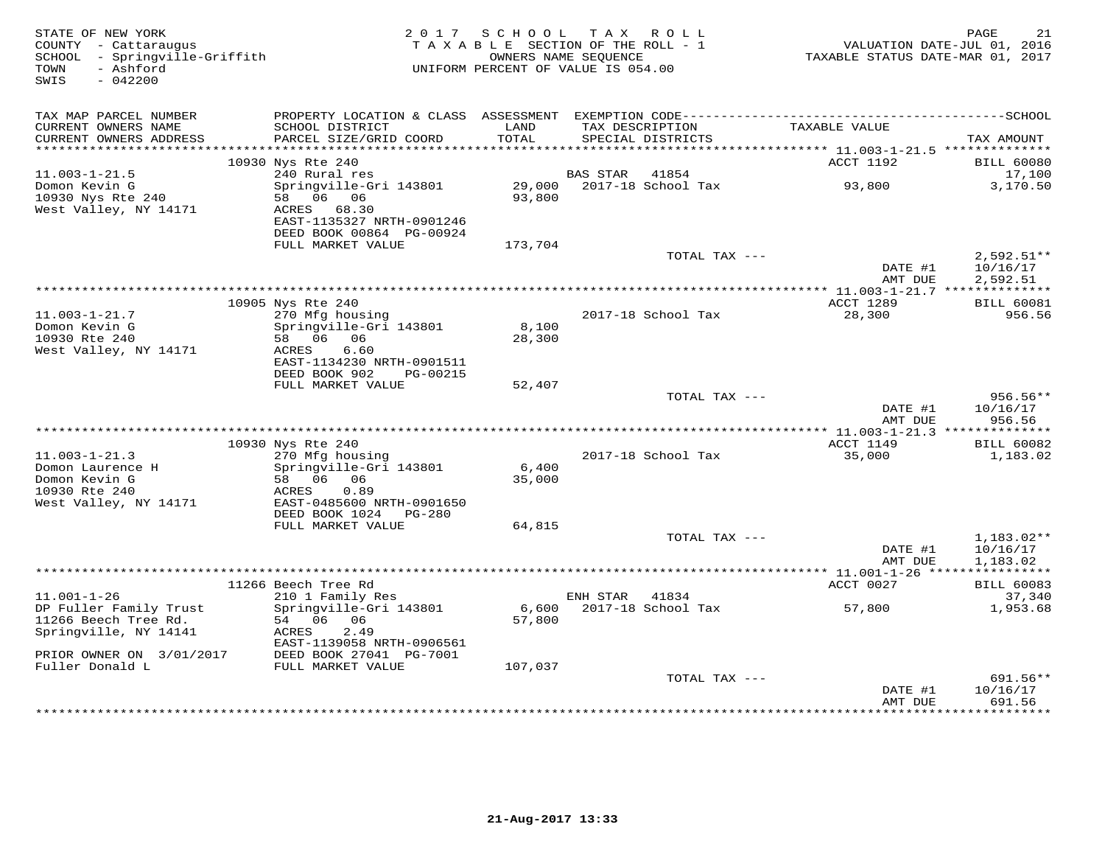| STATE OF NEW YORK<br>COUNTY - Cattaraugus<br>SCHOOL - Springville-Griffith<br>- Ashford<br>TOWN<br>$-042200$<br>SWIS | 2 0 1 7                                                                                                                          | SCHOOL TAX ROLL<br>TAXABLE SECTION OF THE ROLL - 1<br>OWNERS NAME SEOUENCE<br>UNIFORM PERCENT OF VALUE IS 054.00 |                 |                    | TAXABLE STATUS DATE-MAR 01, 2017                                      | PAGE<br>21<br>VALUATION DATE-JUL 01, 2016   |
|----------------------------------------------------------------------------------------------------------------------|----------------------------------------------------------------------------------------------------------------------------------|------------------------------------------------------------------------------------------------------------------|-----------------|--------------------|-----------------------------------------------------------------------|---------------------------------------------|
| TAX MAP PARCEL NUMBER<br>CURRENT OWNERS NAME<br>CURRENT OWNERS ADDRESS<br>******************                         | SCHOOL DISTRICT<br>PARCEL SIZE/GRID COORD                                                                                        | LAND<br>TOTAL<br>* * * * * * * * * * * *                                                                         | TAX DESCRIPTION | SPECIAL DISTRICTS  | TAXABLE VALUE                                                         | TAX AMOUNT                                  |
|                                                                                                                      | 10930 Nys Rte 240                                                                                                                |                                                                                                                  |                 |                    | *************************** 11.003-1-21.5 **************<br>ACCT 1192 | <b>BILL 60080</b>                           |
| $11.003 - 1 - 21.5$                                                                                                  | 240 Rural res                                                                                                                    |                                                                                                                  | BAS STAR        | 41854              |                                                                       | 17,100                                      |
| Domon Kevin G<br>10930 Nys Rte 240<br>West Valley, NY 14171                                                          | Springville-Gri 143801<br>58 06 06<br>ACRES 68.30<br>EAST-1135327 NRTH-0901246<br>DEED BOOK 00864 PG-00924                       | 29,000<br>93,800                                                                                                 |                 | 2017-18 School Tax | 93,800                                                                | 3,170.50                                    |
|                                                                                                                      | FULL MARKET VALUE                                                                                                                | 173,704                                                                                                          |                 | TOTAL TAX ---      |                                                                       | $2,592.51**$                                |
|                                                                                                                      |                                                                                                                                  |                                                                                                                  |                 |                    | DATE #1<br>AMT DUE                                                    | 10/16/17<br>2,592.51                        |
|                                                                                                                      | 10905 Nys Rte 240                                                                                                                |                                                                                                                  |                 |                    | ACCT 1289                                                             | <b>BILL 60081</b>                           |
| $11.003 - 1 - 21.7$<br>Domon Kevin G<br>10930 Rte 240<br>West Valley, NY 14171                                       | 270 Mfg housing<br>Springville-Gri 143801<br>58 06 06<br>ACRES<br>6.60<br>EAST-1134230 NRTH-0901511<br>DEED BOOK 902<br>PG-00215 | 8,100<br>28,300                                                                                                  |                 | 2017-18 School Tax | 28,300                                                                | 956.56                                      |
|                                                                                                                      | FULL MARKET VALUE                                                                                                                | 52,407                                                                                                           |                 |                    |                                                                       |                                             |
|                                                                                                                      |                                                                                                                                  |                                                                                                                  |                 | TOTAL TAX ---      | DATE #1<br>AMT DUE                                                    | $956.56**$<br>10/16/17<br>956.56            |
|                                                                                                                      | 10930 Nys Rte 240                                                                                                                |                                                                                                                  |                 |                    | ACCT 1149                                                             | <b>BILL 60082</b>                           |
| $11.003 - 1 - 21.3$<br>Domon Laurence H<br>Domon Kevin G<br>10930 Rte 240<br>West Valley, NY 14171                   | 270 Mfg housing<br>Springville-Gri 143801<br>58 06 06<br>ACRES<br>0.89<br>EAST-0485600 NRTH-0901650                              | 6,400<br>35,000                                                                                                  |                 | 2017-18 School Tax | 35,000                                                                | 1,183.02                                    |
|                                                                                                                      | DEED BOOK 1024<br>PG-280<br>FULL MARKET VALUE                                                                                    | 64,815                                                                                                           |                 |                    |                                                                       |                                             |
|                                                                                                                      |                                                                                                                                  |                                                                                                                  |                 | TOTAL TAX ---      | DATE #1<br>AMT DUE                                                    | 1,183.02**<br>10/16/17<br>1,183.02          |
|                                                                                                                      |                                                                                                                                  |                                                                                                                  |                 |                    |                                                                       |                                             |
| $11.001 - 1 - 26$                                                                                                    | 11266 Beech Tree Rd<br>210 1 Family Res                                                                                          |                                                                                                                  | ENH STAR        | 41834              | ACCT 0027                                                             | <b>BILL 60083</b><br>37,340                 |
| DP Fuller Family Trust<br>11266 Beech Tree Rd.<br>Springville, NY 14141<br>PRIOR OWNER ON 3/01/2017                  | Springville-Gri 143801<br>54 06 06<br>ACRES<br>2.49<br>EAST-1139058 NRTH-0906561<br>DEED BOOK 27041 PG-7001                      | 6,600<br>57,800                                                                                                  |                 | 2017-18 School Tax | 57,800                                                                | 1,953.68                                    |
| Fuller Donald L                                                                                                      | FULL MARKET VALUE                                                                                                                | 107,037                                                                                                          |                 | TOTAL TAX ---      |                                                                       | 691.56**                                    |
|                                                                                                                      |                                                                                                                                  |                                                                                                                  |                 |                    | DATE #1<br>AMT DUE                                                    | 10/16/17<br>691.56<br>* * * * * * * * * * * |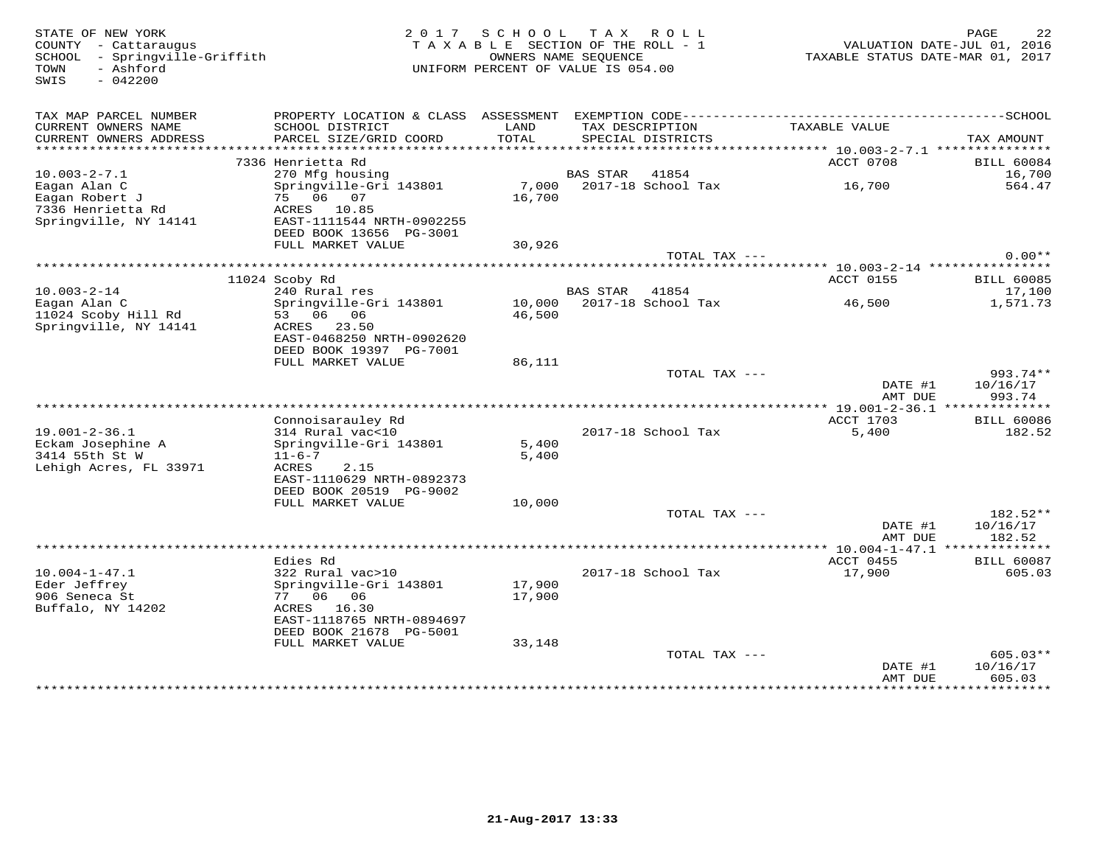STATE OF NEW YORK 22 NOTE: THE STATE OF NEW YORK 22 NOTE: 22 NOTE: 22 NOTE: 22 NOTE: 22 SCHOOL - Springville-Griffith OWNERS NAME SEQUENCE TAXABLE STATUS DATE-MAR 01, 2017COUNTY - Cattaraugus<br>SCHOOL - Springville-Griffith<br>TOWN - Ashford<br>SWIS - 042200

## TAXABLE SECTION OF THE ROLL - 1 UNIFORM PERCENT OF VALUE IS 054.00

| TAX MAP PARCEL NUMBER               | PROPERTY LOCATION & CLASS | ASSESSMENT | EXEMPTION CODE---        |                                            | $-----SCHOOL$     |
|-------------------------------------|---------------------------|------------|--------------------------|--------------------------------------------|-------------------|
| CURRENT OWNERS NAME                 | SCHOOL DISTRICT           | LAND       | TAX DESCRIPTION          | TAXABLE VALUE                              |                   |
| CURRENT OWNERS ADDRESS              | PARCEL SIZE/GRID COORD    | TOTAL      | SPECIAL DISTRICTS        |                                            | TAX AMOUNT        |
| * * * * * * * * * * * * * * * * * * |                           |            |                          |                                            |                   |
|                                     | 7336 Henrietta Rd         |            |                          | ACCT 0708                                  | <b>BILL 60084</b> |
| $10.003 - 2 - 7.1$                  | 270 Mfg housing           |            | <b>BAS STAR</b><br>41854 |                                            | 16,700            |
| Eagan Alan C                        | Springville-Gri 143801    | 7,000      | 2017-18 School Tax       | 16,700                                     | 564.47            |
| Eagan Robert J                      | 75 06<br>07               | 16,700     |                          |                                            |                   |
| 7336 Henrietta Rd                   | ACRES 10.85               |            |                          |                                            |                   |
| Springville, NY 14141               | EAST-1111544 NRTH-0902255 |            |                          |                                            |                   |
|                                     | DEED BOOK 13656 PG-3001   |            |                          |                                            |                   |
|                                     | FULL MARKET VALUE         | 30,926     |                          |                                            | $0.00**$          |
|                                     |                           |            | TOTAL TAX ---            | ********** 10.003-2-14 ****************    |                   |
|                                     | 11024 Scoby Rd            |            |                          | ACCT 0155                                  | <b>BILL 60085</b> |
| $10.003 - 2 - 14$                   | 240 Rural res             |            | <b>BAS STAR</b><br>41854 |                                            | 17,100            |
| Eagan Alan C                        | Springville-Gri 143801    | 10,000     | 2017-18 School Tax       | 46,500                                     | 1,571.73          |
| 11024 Scoby Hill Rd                 | 06<br>06<br>53            | 46,500     |                          |                                            |                   |
| Springville, NY 14141               | ACRES<br>23.50            |            |                          |                                            |                   |
|                                     | EAST-0468250 NRTH-0902620 |            |                          |                                            |                   |
|                                     | DEED BOOK 19397 PG-7001   |            |                          |                                            |                   |
|                                     | FULL MARKET VALUE         | 86,111     |                          |                                            |                   |
|                                     |                           |            | TOTAL TAX ---            |                                            | $993.74**$        |
|                                     |                           |            |                          | DATE #1                                    | 10/16/17          |
|                                     |                           |            |                          | AMT DUE                                    | 993.74            |
|                                     |                           |            |                          |                                            |                   |
|                                     | Connoisarauley Rd         |            |                          | ACCT 1703                                  | <b>BILL 60086</b> |
| $19.001 - 2 - 36.1$                 | 314 Rural vac<10          |            | 2017-18 School Tax       | 5,400                                      | 182.52            |
| Eckam Josephine A                   | Springville-Gri 143801    | 5,400      |                          |                                            |                   |
| 3414 55th St W                      | $11 - 6 - 7$              | 5,400      |                          |                                            |                   |
| Lehigh Acres, FL 33971              | ACRES<br>2.15             |            |                          |                                            |                   |
|                                     | EAST-1110629 NRTH-0892373 |            |                          |                                            |                   |
|                                     | DEED BOOK 20519 PG-9002   |            |                          |                                            |                   |
|                                     | FULL MARKET VALUE         | 10,000     |                          |                                            |                   |
|                                     |                           |            | TOTAL TAX ---            |                                            | 182.52**          |
|                                     |                           |            |                          | DATE #1                                    | 10/16/17          |
|                                     |                           |            |                          | AMT DUE<br>** 10.004-1-47.1 ************** | 182.52            |
|                                     | Edies Rd                  |            |                          | ACCT 0455                                  | <b>BILL 60087</b> |
| $10.004 - 1 - 47.1$                 | 322 Rural vac>10          |            | 2017-18 School Tax       | 17,900                                     | 605.03            |
| Eder Jeffrey                        | Springville-Gri 143801    | 17,900     |                          |                                            |                   |
| 906 Seneca St                       | 06 06<br>77               | 17,900     |                          |                                            |                   |
| Buffalo, NY 14202                   | 16.30<br>ACRES            |            |                          |                                            |                   |
|                                     | EAST-1118765 NRTH-0894697 |            |                          |                                            |                   |
|                                     | DEED BOOK 21678 PG-5001   |            |                          |                                            |                   |
|                                     | FULL MARKET VALUE         | 33,148     |                          |                                            |                   |
|                                     |                           |            | TOTAL TAX ---            |                                            | $605.03**$        |
|                                     |                           |            |                          | DATE #1                                    | 10/16/17          |
|                                     |                           |            |                          | AMT DUE                                    | 605.03            |
|                                     |                           |            |                          | ***********                                | ************      |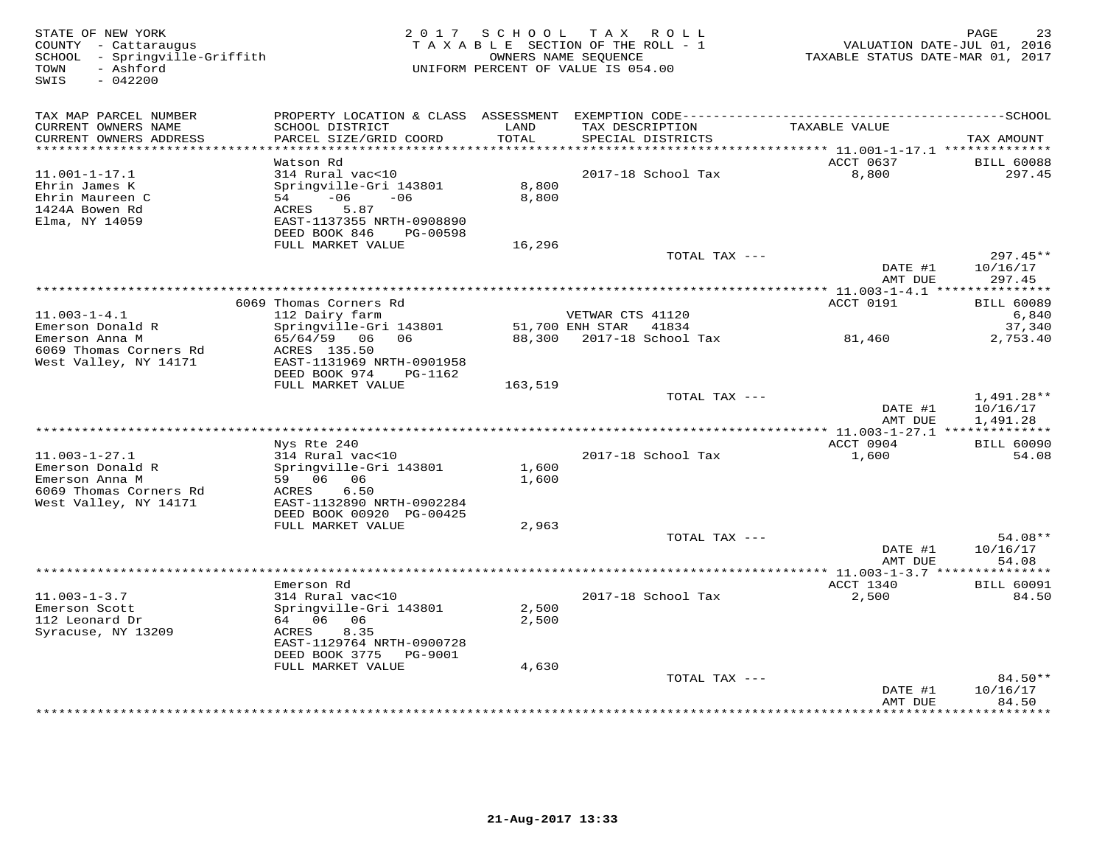| STATE OF NEW YORK<br>COUNTY - Cattaraugus<br>SCHOOL - Springville-Griffith<br>- Ashford<br>TOWN<br>$-042200$<br>SWIS | 2017 SCHOOL<br>TAXABLE SECTION OF THE ROLL - 1<br>UNIFORM PERCENT OF VALUE IS 054.00 | PAGE<br>23<br>VALUATION DATE-JUL 01, 2016<br>TAXABLE STATUS DATE-MAR 01, 2017 |                                                       |                                                       |                    |
|----------------------------------------------------------------------------------------------------------------------|--------------------------------------------------------------------------------------|-------------------------------------------------------------------------------|-------------------------------------------------------|-------------------------------------------------------|--------------------|
| TAX MAP PARCEL NUMBER<br>CURRENT OWNERS NAME                                                                         | SCHOOL DISTRICT                                                                      | LAND                                                                          | TAX DESCRIPTION                                       | TAXABLE VALUE                                         |                    |
| CURRENT OWNERS ADDRESS                                                                                               | PARCEL SIZE/GRID COORD                                                               | TOTAL                                                                         | SPECIAL DISTRICTS                                     |                                                       | TAX AMOUNT         |
| ********************                                                                                                 | ***********************<br>Watson Rd                                                 |                                                                               |                                                       | ********** 11.001-1-17.1 ***************<br>ACCT 0637 | <b>BILL 60088</b>  |
| $11.001 - 1 - 17.1$                                                                                                  | 314 Rural vac<10                                                                     |                                                                               | 2017-18 School Tax                                    | 8,800                                                 | 297.45             |
| Ehrin James K                                                                                                        | Springville-Gri 143801                                                               | 8,800                                                                         |                                                       |                                                       |                    |
| Ehrin Maureen C                                                                                                      | $-06$<br>$-06$<br>54                                                                 | 8,800                                                                         |                                                       |                                                       |                    |
| 1424A Bowen Rd<br>Elma, NY 14059                                                                                     | 5.87<br>ACRES<br>EAST-1137355 NRTH-0908890                                           |                                                                               |                                                       |                                                       |                    |
|                                                                                                                      | DEED BOOK 846<br>PG-00598                                                            |                                                                               |                                                       |                                                       |                    |
|                                                                                                                      | FULL MARKET VALUE                                                                    | 16,296                                                                        |                                                       |                                                       |                    |
|                                                                                                                      |                                                                                      |                                                                               | TOTAL TAX ---                                         |                                                       | 297.45**           |
|                                                                                                                      |                                                                                      |                                                                               |                                                       | DATE #1<br>AMT DUE                                    | 10/16/17<br>297.45 |
|                                                                                                                      |                                                                                      |                                                                               |                                                       |                                                       |                    |
|                                                                                                                      | 6069 Thomas Corners Rd                                                               |                                                                               |                                                       | ACCT 0191                                             | <b>BILL 60089</b>  |
| $11.003 - 1 - 4.1$                                                                                                   | 112 Dairy farm                                                                       |                                                                               | VETWAR CTS 41120                                      |                                                       | 6,840              |
| Emerson Donald R<br>Emerson Anna M                                                                                   | Springville-Gri 143801<br>65/64/59 06<br>06                                          |                                                                               | 51,700 ENH STAR<br>41834<br>88,300 2017-18 School Tax | 81,460                                                | 37,340<br>2,753.40 |
| 6069 Thomas Corners Rd                                                                                               | ACRES 135.50                                                                         |                                                                               |                                                       |                                                       |                    |
| West Valley, NY 14171                                                                                                | EAST-1131969 NRTH-0901958                                                            |                                                                               |                                                       |                                                       |                    |
|                                                                                                                      | DEED BOOK 974<br>PG-1162<br>FULL MARKET VALUE                                        | 163,519                                                                       |                                                       |                                                       |                    |
|                                                                                                                      |                                                                                      |                                                                               | TOTAL TAX $---$                                       |                                                       | $1,491.28**$       |
|                                                                                                                      |                                                                                      |                                                                               |                                                       | DATE #1                                               | 10/16/17           |
|                                                                                                                      |                                                                                      |                                                                               |                                                       | AMT DUE                                               | 1,491.28           |
|                                                                                                                      | Nys Rte 240                                                                          |                                                                               |                                                       | ** 11.003-1-27.1 ***************<br>ACCT 0904         | <b>BILL 60090</b>  |
| $11.003 - 1 - 27.1$                                                                                                  | 314 Rural vac<10                                                                     |                                                                               | 2017-18 School Tax                                    | 1,600                                                 | 54.08              |
| Emerson Donald R                                                                                                     | Springville-Gri 143801                                                               | 1,600                                                                         |                                                       |                                                       |                    |
| Emerson Anna M                                                                                                       | 59 06<br>06                                                                          | 1,600                                                                         |                                                       |                                                       |                    |
| 6069 Thomas Corners Rd<br>West Valley, NY 14171                                                                      | ACRES<br>6.50<br>EAST-1132890 NRTH-0902284                                           |                                                                               |                                                       |                                                       |                    |
|                                                                                                                      | DEED BOOK 00920 PG-00425                                                             |                                                                               |                                                       |                                                       |                    |
|                                                                                                                      | FULL MARKET VALUE                                                                    | 2,963                                                                         |                                                       |                                                       |                    |
|                                                                                                                      |                                                                                      |                                                                               | TOTAL TAX ---                                         |                                                       | 54.08**            |
|                                                                                                                      |                                                                                      |                                                                               |                                                       | DATE #1<br>AMT DUE                                    | 10/16/17<br>54.08  |
|                                                                                                                      |                                                                                      |                                                                               |                                                       | ************ 11.003-1-3.7 ****************            |                    |
|                                                                                                                      | Emerson Rd                                                                           |                                                                               |                                                       | ACCT 1340                                             | <b>BILL 60091</b>  |
| $11.003 - 1 - 3.7$                                                                                                   | 314 Rural vac<10                                                                     | 2,500                                                                         | 2017-18 School Tax                                    | 2,500                                                 | 84.50              |
| Emerson Scott<br>112 Leonard Dr                                                                                      | Springville-Gri 143801<br>64 06 06                                                   | 2,500                                                                         |                                                       |                                                       |                    |
| Syracuse, NY 13209                                                                                                   | ACRES<br>8.35                                                                        |                                                                               |                                                       |                                                       |                    |
|                                                                                                                      | EAST-1129764 NRTH-0900728                                                            |                                                                               |                                                       |                                                       |                    |
|                                                                                                                      | DEED BOOK 3775<br>PG-9001                                                            |                                                                               |                                                       |                                                       |                    |
|                                                                                                                      | FULL MARKET VALUE                                                                    | 4,630                                                                         | TOTAL TAX ---                                         |                                                       | 84.50**            |
|                                                                                                                      |                                                                                      |                                                                               |                                                       | DATE #1                                               | 10/16/17           |
|                                                                                                                      |                                                                                      |                                                                               |                                                       | AMT DUE                                               | 84.50<br>.         |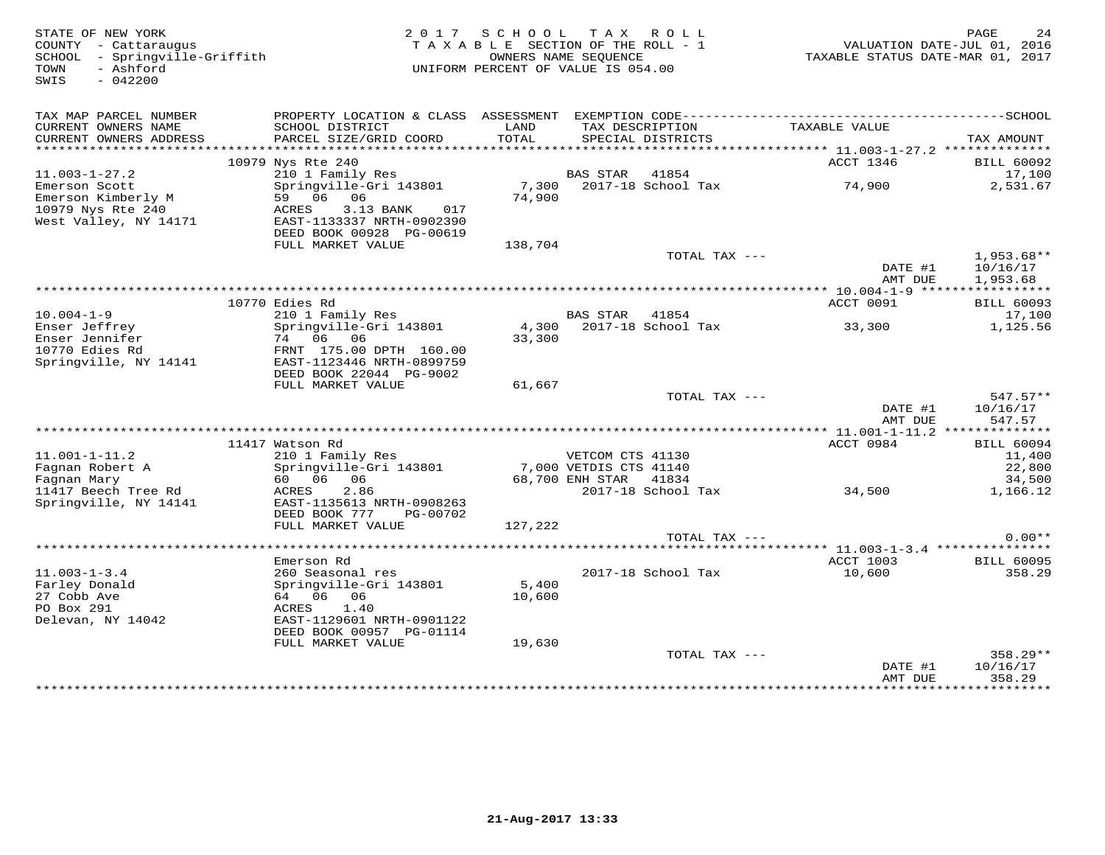| STATE OF NEW YORK<br>COUNTY - Cattaraugus<br>SCHOOL - Springville-Griffith<br>- Ashford<br>TOWN<br>SWIS<br>$-042200$ | 2 0 1 7                                              | S C H O O L<br>TAXABLE SECTION OF THE ROLL - 1<br>OWNERS NAME SEQUENCE<br>UNIFORM PERCENT OF VALUE IS 054.00 | T A X                  | R O L L                             | VALUATION DATE-JUL 01, 2016<br>TAXABLE STATUS DATE-MAR 01, 2017 | PAGE<br>24             |
|----------------------------------------------------------------------------------------------------------------------|------------------------------------------------------|--------------------------------------------------------------------------------------------------------------|------------------------|-------------------------------------|-----------------------------------------------------------------|------------------------|
|                                                                                                                      |                                                      |                                                                                                              |                        |                                     |                                                                 |                        |
| TAX MAP PARCEL NUMBER<br>CURRENT OWNERS NAME                                                                         | SCHOOL DISTRICT                                      | LAND                                                                                                         |                        | TAX DESCRIPTION                     | TAXABLE VALUE                                                   |                        |
| CURRENT OWNERS ADDRESS                                                                                               | PARCEL SIZE/GRID COORD                               | TOTAL                                                                                                        |                        | SPECIAL DISTRICTS                   |                                                                 | TAX AMOUNT             |
|                                                                                                                      |                                                      |                                                                                                              |                        |                                     | *********** 11.003-1-27.2 **************                        |                        |
|                                                                                                                      | 10979 Nys Rte 240                                    |                                                                                                              |                        |                                     | ACCT 1346                                                       | <b>BILL 60092</b>      |
| $11.003 - 1 - 27.2$<br>Emerson Scott                                                                                 | 210 1 Family Res<br>Springville-Gri 143801           | 7,300                                                                                                        | <b>BAS STAR</b>        | 41854<br>2017-18 School Tax         | 74,900                                                          | 17,100<br>2,531.67     |
| Emerson Kimberly M                                                                                                   | 59 06<br>06                                          | 74,900                                                                                                       |                        |                                     |                                                                 |                        |
| 10979 Nys Rte 240                                                                                                    | ACRES<br>3.13 BANK<br>017                            |                                                                                                              |                        |                                     |                                                                 |                        |
| West Valley, NY 14171                                                                                                | EAST-1133337 NRTH-0902390                            |                                                                                                              |                        |                                     |                                                                 |                        |
|                                                                                                                      | DEED BOOK 00928 PG-00619<br>FULL MARKET VALUE        | 138,704                                                                                                      |                        |                                     |                                                                 |                        |
|                                                                                                                      |                                                      |                                                                                                              |                        | TOTAL TAX ---                       |                                                                 | $1,953.68**$           |
|                                                                                                                      |                                                      |                                                                                                              |                        |                                     | DATE #1                                                         | 10/16/17               |
|                                                                                                                      |                                                      |                                                                                                              |                        |                                     | AMT DUE                                                         | 1,953.68               |
|                                                                                                                      | 10770 Edies Rd                                       |                                                                                                              |                        |                                     | ACCT 0091                                                       | <b>BILL 60093</b>      |
| $10.004 - 1 - 9$                                                                                                     | 210 1 Family Res                                     |                                                                                                              | <b>BAS STAR</b>        | 41854                               |                                                                 | 17,100                 |
| Enser Jeffrey                                                                                                        | Springville-Gri 143801                               | 4,300                                                                                                        |                        | 2017-18 School Tax                  | 33,300                                                          | 1,125.56               |
| Enser Jennifer                                                                                                       | 74 06 06                                             | 33,300                                                                                                       |                        |                                     |                                                                 |                        |
| 10770 Edies Rd<br>Springville, NY 14141                                                                              | FRNT 175.00 DPTH 160.00<br>EAST-1123446 NRTH-0899759 |                                                                                                              |                        |                                     |                                                                 |                        |
|                                                                                                                      | DEED BOOK 22044 PG-9002                              |                                                                                                              |                        |                                     |                                                                 |                        |
|                                                                                                                      | FULL MARKET VALUE                                    | 61,667                                                                                                       |                        |                                     |                                                                 |                        |
|                                                                                                                      |                                                      |                                                                                                              |                        | TOTAL TAX ---                       |                                                                 | $547.57**$             |
|                                                                                                                      |                                                      |                                                                                                              |                        |                                     | DATE #1<br>AMT DUE                                              | 10/16/17<br>547.57     |
|                                                                                                                      |                                                      |                                                                                                              |                        |                                     |                                                                 |                        |
|                                                                                                                      | 11417 Watson Rd                                      |                                                                                                              |                        |                                     | ACCT 0984                                                       | <b>BILL 60094</b>      |
| $11.001 - 1 - 11.2$                                                                                                  | 210 1 Family Res                                     |                                                                                                              | VETCOM CTS 41130       |                                     |                                                                 | 11,400                 |
| Fagnan Robert A                                                                                                      | Springville-Gri 143801<br>60 06<br>06                |                                                                                                              | 7,000 VETDIS CTS 41140 | 41834                               |                                                                 | 22,800                 |
| Fagnan Mary<br>11417 Beech Tree Rd                                                                                   | 2.86<br>ACRES                                        |                                                                                                              | 68,700 ENH STAR        | 2017-18 School Tax                  | 34,500                                                          | 34,500<br>1,166.12     |
| Springville, NY 14141                                                                                                | EAST-1135613 NRTH-0908263                            |                                                                                                              |                        |                                     |                                                                 |                        |
|                                                                                                                      | DEED BOOK 777<br>PG-00702                            |                                                                                                              |                        |                                     |                                                                 |                        |
|                                                                                                                      | FULL MARKET VALUE                                    | 127,222                                                                                                      |                        |                                     |                                                                 |                        |
|                                                                                                                      |                                                      |                                                                                                              |                        | TOTAL TAX ---                       |                                                                 | $0.00**$               |
|                                                                                                                      | Emerson Rd                                           |                                                                                                              |                        |                                     | ACCT 1003                                                       | <b>BILL 60095</b>      |
| $11.003 - 1 - 3.4$                                                                                                   | 260 Seasonal res                                     |                                                                                                              |                        | 2017-18 School Tax                  | 10,600                                                          | 358.29                 |
| Farley Donald                                                                                                        | Springville-Gri 143801                               | 5,400                                                                                                        |                        |                                     |                                                                 |                        |
| 27 Cobb Ave<br>PO Box 291                                                                                            | 64 06<br>06<br>1.40<br>ACRES                         | 10,600                                                                                                       |                        |                                     |                                                                 |                        |
| Delevan, NY 14042                                                                                                    | EAST-1129601 NRTH-0901122                            |                                                                                                              |                        |                                     |                                                                 |                        |
|                                                                                                                      | DEED BOOK 00957 PG-01114                             |                                                                                                              |                        |                                     |                                                                 |                        |
|                                                                                                                      | FULL MARKET VALUE                                    | 19,630                                                                                                       |                        |                                     |                                                                 |                        |
|                                                                                                                      |                                                      |                                                                                                              |                        | TOTAL TAX ---                       | DATE #1                                                         | $358.29**$<br>10/16/17 |
|                                                                                                                      |                                                      |                                                                                                              |                        |                                     | AMT DUE                                                         | 358.29                 |
|                                                                                                                      |                                                      |                                                                                                              |                        | *********************************** | .                                                               | .                      |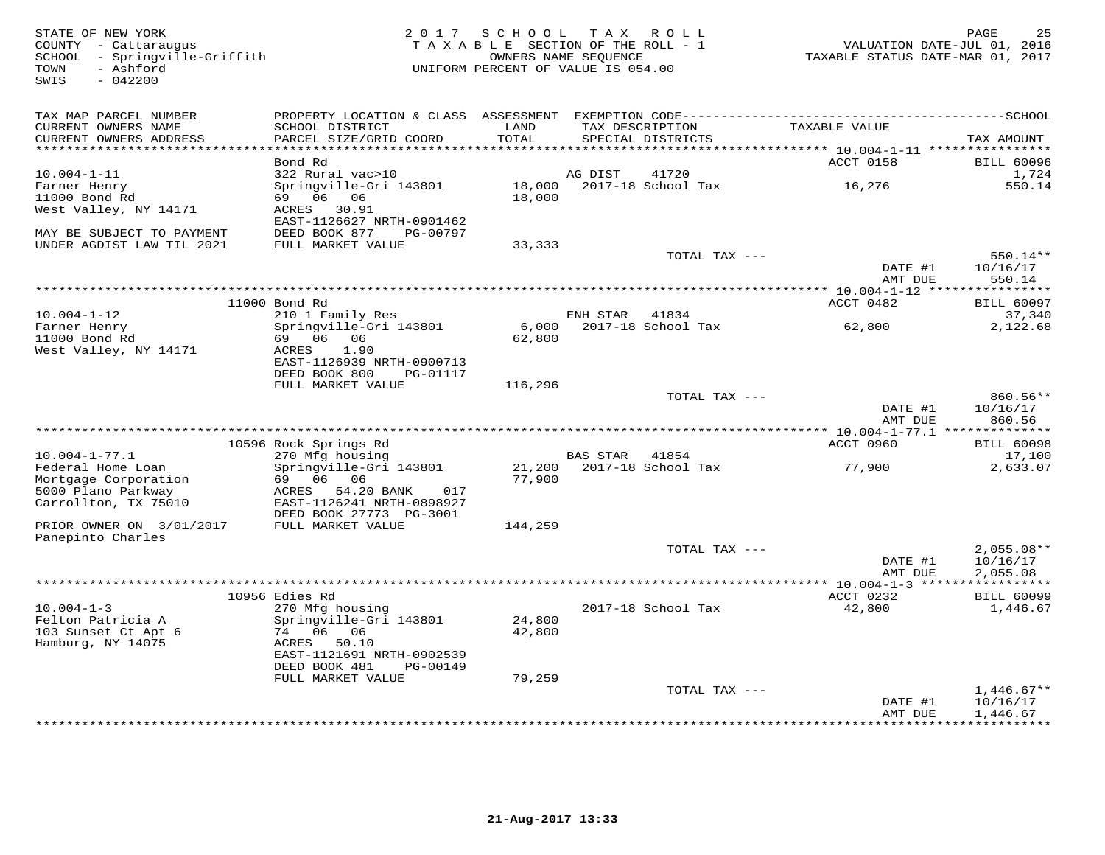STATE OF NEW YORK 2 0 1 7 S C H O O L T A X R O L L PAGE 25 COUNTY - Cattaraugus T A X A B L E SECTION OF THE ROLL - 1 VALUATION DATE-JUL 01, 2016 SCHOOL - Springville-Griffith OWNERS NAME SEQUENCE TAXABLE STATUS DATE-MAR 01, 2017 TOWN - Ashford UNIFORM PERCENT OF VALUE IS 054.00SWIS - 042200TAX MAP PARCEL NUMBER PROPERTY LOCATION & CLASS ASSESSMENT EXEMPTION CODE------------------------------------------SCHOOL CURRENT OWNERS NAME SCHOOL DISTRICT LAND TAX DESCRIPTION TAXABLE VALUE CURRENT OWNERS ADDRESS PARCEL SIZE/GRID COORD TOTAL SPECIAL DISTRICTS TAX AMOUNT \*\*\*\*\*\*\*\*\*\*\*\*\*\*\*\*\*\*\*\*\*\*\*\*\*\*\*\*\*\*\*\*\*\*\*\*\*\*\*\*\*\*\*\*\*\*\*\*\*\*\*\*\*\*\*\*\*\*\*\*\*\*\*\*\*\*\*\*\*\*\*\*\*\*\*\*\*\*\*\*\*\*\*\*\*\*\*\*\*\*\*\*\*\*\*\*\*\*\*\*\*\*\* 10.004-1-11 \*\*\*\*\*\*\*\*\*\*\*\*\*\*\*\*ACCT 0158 BILL 60096 Bond Rd ACCT 0158 BILL 600961,724 10.004-1-11 322 Rural vac>10 AG DIST 41720 1,724550 14 Farner Henry Springville-Gri 143801 18,000 2017-18 School Tax 16,276 550.1411000 Bond Rd 69 06 06 18,000 West Valley, NY 14171 ACRES 30.91 EAST-1126627 NRTH-0901462 MAY BE SUBJECT TO PAYMENT DEED BOOK 877 PG-00797 UNDER AGDIST LAW TIL 2021 FULL MARKET VALUE 33,333 TOTAL TAX --- 550.14\*\* DATE #1 10/16/17 AMT DUE 550.14 \*\*\*\*\*\*\*\*\*\*\*\*\*\*\*\*\*\*\*\*\*\*\*\*\*\*\*\*\*\*\*\*\*\*\*\*\*\*\*\*\*\*\*\*\*\*\*\*\*\*\*\*\*\*\*\*\*\*\*\*\*\*\*\*\*\*\*\*\*\*\*\*\*\*\*\*\*\*\*\*\*\*\*\*\*\*\*\*\*\*\*\*\*\*\*\*\*\*\*\*\*\*\* 10.004-1-12 \*\*\*\*\*\*\*\*\*\*\*\*\*\*\*\*ACCT 0482 BILL 60097 11000 Bond Rd ACCT 0482 BILL 6009737,340 10.004-1-12 210 1 Family Res ENH STAR 41834 37,3402,122.68 Farner Henry Springville-Gri 143801 6,000 2017-18 School Tax 62,800 2,122.6811000 Bond Rd 69 06 06 62,800 West Valley, NY 14171 EAST-1126939 NRTH-0900713 DEED BOOK 800 PG-01117 FULL MARKET VALUE 116,296TOTAL TAX  $---$  860.56\*\* DATE #1 10/16/17<br>MMT DUE 860.56 \*\*\*\*\*\*\*\*\*\*\*\*\*\*\*\*\*\*\*\*\*\*\*\*\*\*\*\*\*\*\*\*\*\*\*\*\*\*\*\*\*\*\*\*\*\*\*\*\*\*\*\*\*\*\*\*\*\*\*\*\*\*\*\*\*\*\*\*\*\*\*\*\*\*\*\*\*\*\*\*\*\*\*\*\*\*\*\*\*\*\*\*\*\*\*\*\*\*\*\*\*\*\* 10.004-1-77.1 \*\*\*\*\*\*\*\*\*\*\*\*\*\* 10596 Rock Springs Rd ACCT 0960 BILL 6009810.004-1-77.1 270 Mfg housing BAS STAR 41854 17,1002,633.07 Federal Home Loan Springville-Gri 143801 21,200 2017-18 School Tax 77,900 2,633.07Mortgage Corporation 69 06 06 77,900 5000 Plano Parkway ACRES 54.20 BANK 017 Carrollton, TX 75010 EAST-1126241 NRTH-0898927 DEED BOOK 27773 PG-3001 PRIOR OWNER ON 3/01/2017 FULL MARKET VALUE 144,259 Panepinto CharlesTOTAL TAX ---  $2,055.08**$  $\text{DATE}$ #1  $10/16/17$  $2,055.08$ <br>AMT DUE 2,055.08 AMT DUE 2,055.08 \*\*\*\*\*\*\*\*\*\*\*\*\*\*\*\*\*\*\*\*\*\*\*\*\*\*\*\*\*\*\*\*\*\*\*\*\*\*\*\*\*\*\*\*\*\*\*\*\*\*\*\*\*\*\*\*\*\*\*\*\*\*\*\*\*\*\*\*\*\*\*\*\*\*\*\*\*\*\*\*\*\*\*\*\*\*\*\*\*\*\*\*\*\*\*\*\*\*\*\*\*\*\* 10.004-1-3 \*\*\*\*\*\*\*\*\*\*\*\*\*\*\*\*\* 10956 Edies Rd ACCT 0232 BILL 6009910.004-1-3 270 Mfg housing 2017-18 School Tax 42,800 1,446.67Felton Patricia A Springville-Gri 143801 24,800 103 Sunset Ct Apt 6 74 06 06 42,800 Hamburg, NY 14075 ACRES 50.10 EAST-1121691 NRTH-0902539 DEED BOOK 481 PG-00149 FULL MARKET VALUE 79,259TOTAL TAX  $---$  1,446.67\*\* DATE #1 10/16/17<br>AMT DUE 1,446.67

\*\*\*\*\*\*\*\*\*\*\*\*\*\*\*\*\*\*\*\*\*\*\*\*\*\*\*\*\*\*\*\*\*\*\*\*\*\*\*\*\*\*\*\*\*\*\*\*\*\*\*\*\*\*\*\*\*\*\*\*\*\*\*\*\*\*\*\*\*\*\*\*\*\*\*\*\*\*\*\*\*\*\*\*\*\*\*\*\*\*\*\*\*\*\*\*\*\*\*\*\*\*\*\*\*\*\*\*\*\*\*\*\*\*\*\*\*\*\*\*\*\*\*\*\*\*\*\*\*\*\*\*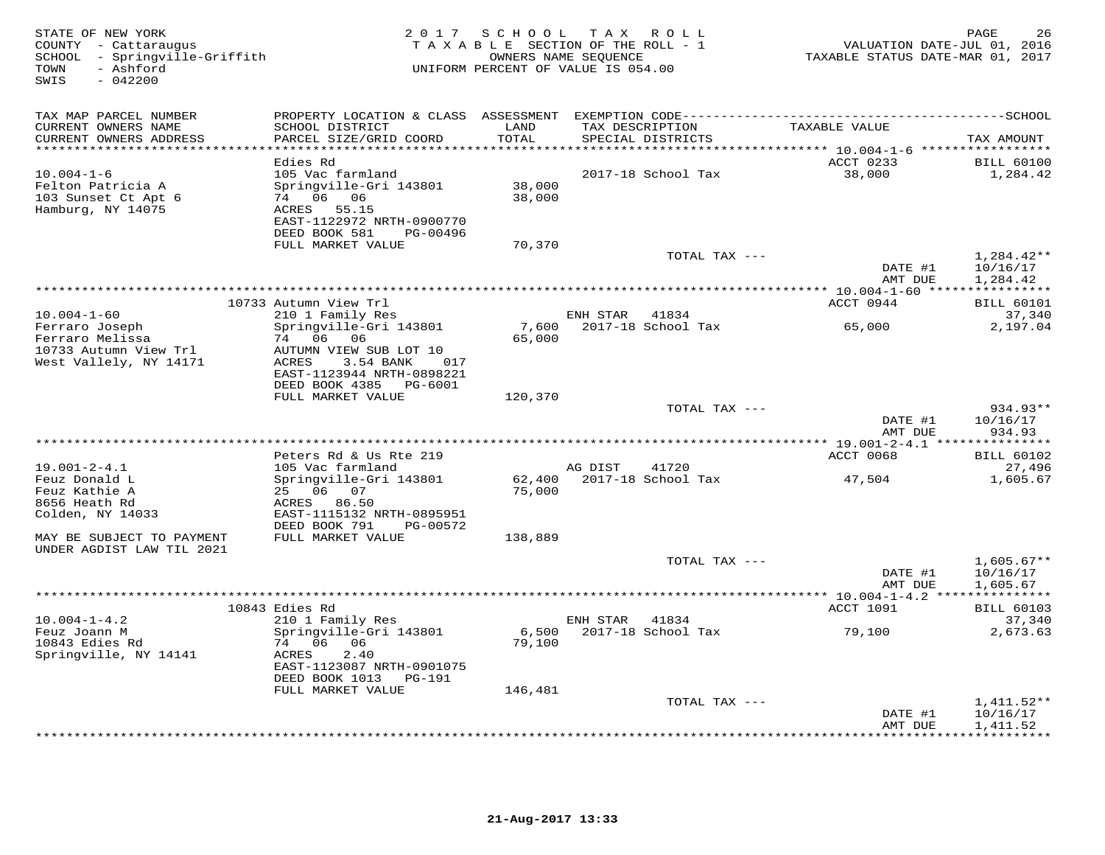| STATE OF NEW YORK<br>COUNTY - Cattaraugus<br>- Springville-Griffith<br>SCHOOL<br>- Ashford<br>TOWN<br>SWIS<br>$-042200$ | 2 0 1 7                                                                                                                         | SCHOOL<br>TAXABLE SECTION OF THE ROLL - 1<br>UNIFORM PERCENT OF VALUE IS 054.00 | T A X<br>OWNERS NAME SEQUENCE | R O L L                     | VALUATION DATE-JUL 01, 2016<br>TAXABLE STATUS DATE-MAR 01, 2017 | 26<br>PAGE                                |
|-------------------------------------------------------------------------------------------------------------------------|---------------------------------------------------------------------------------------------------------------------------------|---------------------------------------------------------------------------------|-------------------------------|-----------------------------|-----------------------------------------------------------------|-------------------------------------------|
| TAX MAP PARCEL NUMBER                                                                                                   | PROPERTY LOCATION & CLASS ASSESSMENT                                                                                            |                                                                                 |                               |                             | EXEMPTION CODE-----------------------------------               | $--SCHOOI$                                |
| CURRENT OWNERS NAME<br>CURRENT OWNERS ADDRESS                                                                           | SCHOOL DISTRICT<br>PARCEL SIZE/GRID COORD                                                                                       | LAND<br>TOTAL                                                                   | TAX DESCRIPTION               | SPECIAL DISTRICTS           | TAXABLE VALUE                                                   | TAX AMOUNT                                |
| *********************                                                                                                   | Edies Rd                                                                                                                        | * * * * * *                                                                     |                               |                             | ACCT 0233                                                       | <b>BILL 60100</b>                         |
| $10.004 - 1 - 6$<br>Felton Patricia A<br>103 Sunset Ct Apt 6<br>Hamburg, NY 14075                                       | 105 Vac farmland<br>Springville-Gri 143801<br>74 06 06<br>ACRES 55.15<br>EAST-1122972 NRTH-0900770<br>DEED BOOK 581<br>PG-00496 | 38,000<br>38,000                                                                |                               | 2017-18 School Tax          | 38,000                                                          | 1,284.42                                  |
|                                                                                                                         | FULL MARKET VALUE                                                                                                               | 70,370                                                                          |                               | TOTAL TAX ---               |                                                                 | $1,284.42**$                              |
|                                                                                                                         |                                                                                                                                 |                                                                                 |                               |                             | DATE #1<br>AMT DUE                                              | 10/16/17<br>1,284.42                      |
|                                                                                                                         |                                                                                                                                 |                                                                                 |                               |                             | **** 10.004-1-60 *****                                          | ***********                               |
|                                                                                                                         | 10733 Autumn View Trl                                                                                                           |                                                                                 |                               |                             | ACCT 0944                                                       | <b>BILL 60101</b>                         |
| $10.004 - 1 - 60$<br>Ferraro Joseph<br>Ferraro Melissa<br>10733 Autumn View Trl                                         | 210 1 Family Res<br>Springville-Gri 143801<br>74 06<br>06<br>AUTUMN VIEW SUB LOT 10                                             | 7,600<br>65,000                                                                 | ENH STAR                      | 41834<br>2017-18 School Tax | 65,000                                                          | 37,340<br>2,197.04                        |
| West Vallely, NY 14171                                                                                                  | ACRES<br>3.54 BANK<br>017<br>EAST-1123944 NRTH-0898221<br>DEED BOOK 4385<br>PG-6001<br>FULL MARKET VALUE                        | 120,370                                                                         |                               |                             |                                                                 |                                           |
|                                                                                                                         |                                                                                                                                 |                                                                                 |                               | TOTAL TAX ---               | DATE #1                                                         | 934.93**<br>10/16/17                      |
|                                                                                                                         |                                                                                                                                 | **********************************                                              |                               |                             | AMT DUE<br>** 19.001-2-4.1 *****                                | 934.93<br>* * * * * * * * *               |
|                                                                                                                         | Peters Rd & Us Rte 219                                                                                                          |                                                                                 |                               |                             | ACCT 0068                                                       | <b>BILL 60102</b>                         |
| $19.001 - 2 - 4.1$                                                                                                      | 105 Vac farmland                                                                                                                |                                                                                 | AG DIST                       | 41720                       |                                                                 | 27,496                                    |
| Feuz Donald L<br>Feuz Kathie A                                                                                          | Springville-Gri 143801<br>25 06 07                                                                                              | 62,400<br>75,000                                                                |                               | 2017-18 School Tax          | 47,504                                                          | 1,605.67                                  |
| 8656 Heath Rd<br>Colden, NY 14033                                                                                       | ACRES<br>86.50<br>EAST-1115132 NRTH-0895951<br>DEED BOOK 791<br>PG-00572                                                        |                                                                                 |                               |                             |                                                                 |                                           |
| MAY BE SUBJECT TO PAYMENT<br>UNDER AGDIST LAW TIL 2021                                                                  | FULL MARKET VALUE                                                                                                               | 138,889                                                                         |                               |                             |                                                                 |                                           |
|                                                                                                                         |                                                                                                                                 |                                                                                 |                               | TOTAL TAX ---               | DATE #1<br>AMT DUE                                              | $1,605.67**$<br>10/16/17<br>1,605.67      |
|                                                                                                                         |                                                                                                                                 |                                                                                 |                               |                             | ********* 10.004-1-4.2 ****************                         |                                           |
| $10.004 - 1 - 4.2$                                                                                                      | 10843 Edies Rd<br>210 1 Family Res                                                                                              |                                                                                 | ENH STAR                      | 41834                       | ACCT 1091                                                       | <b>BILL 60103</b><br>37,340               |
| Feuz Joann M<br>10843 Edies Rd<br>Springville, NY 14141                                                                 | Springville-Gri 143801<br>74 06<br>06<br>2.40<br>ACRES                                                                          | 6,500<br>79,100                                                                 |                               | 2017-18 School Tax          | 79,100                                                          | 2,673.63                                  |
|                                                                                                                         | EAST-1123087 NRTH-0901075<br>DEED BOOK 1013<br>PG-191                                                                           |                                                                                 |                               |                             |                                                                 |                                           |
|                                                                                                                         | FULL MARKET VALUE                                                                                                               | 146,481                                                                         |                               |                             |                                                                 |                                           |
|                                                                                                                         |                                                                                                                                 |                                                                                 |                               | TOTAL TAX ---               |                                                                 | $1,411.52**$                              |
|                                                                                                                         |                                                                                                                                 |                                                                                 |                               |                             | DATE #1<br>AMT DUE                                              | 10/16/17<br>1,411.52<br>* * * * * * * * * |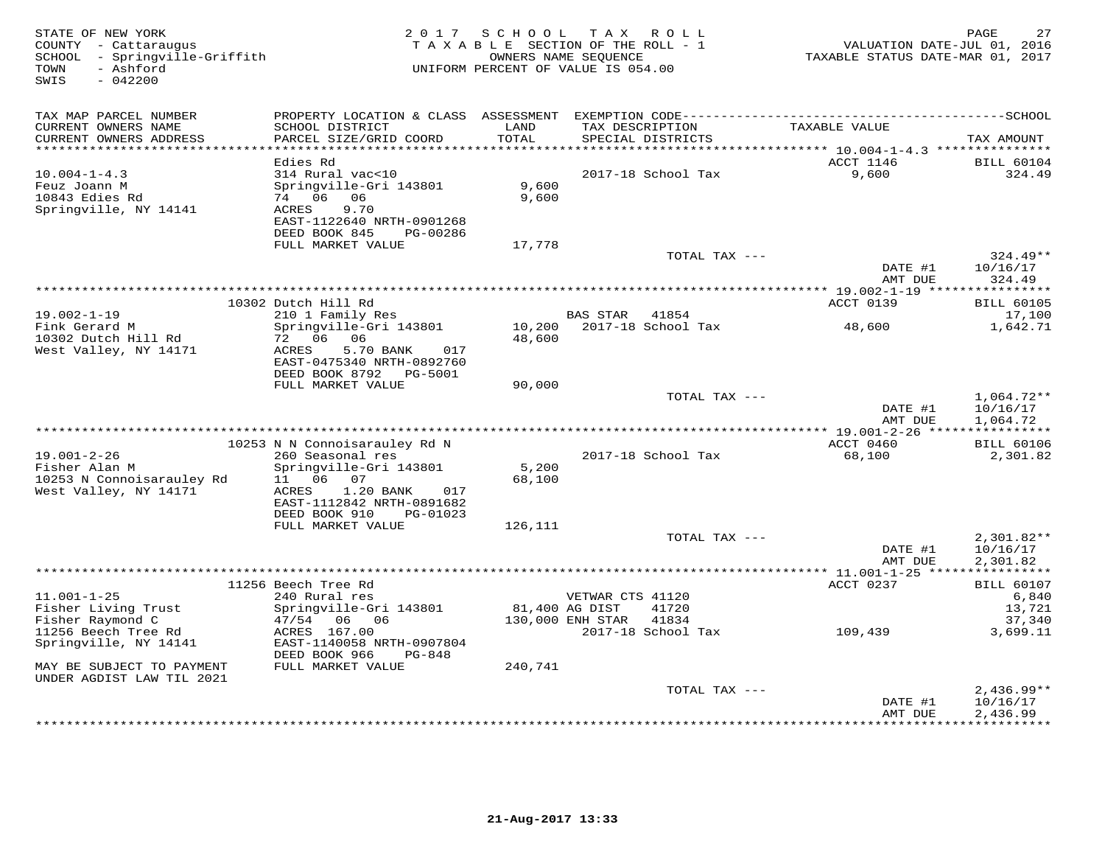| STATE OF NEW YORK<br>COUNTY - Cattaraugus<br>SCHOOL - Springville-Griffith<br>- Ashford<br>TOWN<br>$-042200$<br>SWIS |                                                                                                                                                  |                          | 2017 SCHOOL TAX ROLL<br>TAXABLE SECTION OF THE ROLL - 1<br>OWNERS NAME SEQUENCE<br>UNIFORM PERCENT OF VALUE IS 054.00 | VALUATION DATE-JUL 01, 2016<br>TAXABLE STATUS DATE-MAR 01, 2017 | 27<br>PAGE                           |
|----------------------------------------------------------------------------------------------------------------------|--------------------------------------------------------------------------------------------------------------------------------------------------|--------------------------|-----------------------------------------------------------------------------------------------------------------------|-----------------------------------------------------------------|--------------------------------------|
| TAX MAP PARCEL NUMBER                                                                                                |                                                                                                                                                  |                          |                                                                                                                       |                                                                 |                                      |
| CURRENT OWNERS NAME<br>CURRENT OWNERS ADDRESS                                                                        | SCHOOL DISTRICT<br>PARCEL SIZE/GRID COORD                                                                                                        | LAND<br>TOTAL<br>******* | TAX DESCRIPTION<br>SPECIAL DISTRICTS                                                                                  | TAXABLE VALUE<br>********** 10.004-1-4.3 ****************       | TAX AMOUNT                           |
|                                                                                                                      | Edies Rd                                                                                                                                         |                          |                                                                                                                       | ACCT 1146                                                       | <b>BILL 60104</b>                    |
| $10.004 - 1 - 4.3$<br>Feuz Joann M<br>10843 Edies Rd<br>Springville, NY 14141                                        | 314 Rural vac<10<br>Springville-Gri 143801<br>74 06 06<br>9.70<br>ACRES                                                                          | 9,600<br>9,600           | 2017-18 School Tax                                                                                                    | 9,600                                                           | 324.49                               |
|                                                                                                                      | EAST-1122640 NRTH-0901268<br>DEED BOOK 845<br>PG-00286                                                                                           |                          |                                                                                                                       |                                                                 |                                      |
|                                                                                                                      | FULL MARKET VALUE                                                                                                                                | 17,778                   | TOTAL TAX ---                                                                                                         |                                                                 | $324.49**$                           |
|                                                                                                                      |                                                                                                                                                  |                          |                                                                                                                       | DATE #1<br>AMT DUE                                              | 10/16/17<br>324.49                   |
|                                                                                                                      |                                                                                                                                                  |                          |                                                                                                                       |                                                                 |                                      |
|                                                                                                                      | 10302 Dutch Hill Rd                                                                                                                              |                          |                                                                                                                       | ACCT 0139                                                       | <b>BILL 60105</b><br>17,100          |
| $19.002 - 1 - 19$<br>Fink Gerard M                                                                                   | 210 1 Family Res<br>Springville-Gri 143801                                                                                                       | 10,200                   | BAS STAR 41854<br>2017-18 School Tax                                                                                  | 48,600                                                          | 1,642.71                             |
| 10302 Dutch Hill Rd<br>West Valley, NY 14171                                                                         | 72 06 06<br>ACRES<br>5.70 BANK<br>017<br>EAST-0475340 NRTH-0892760<br>DEED BOOK 8792 PG-5001                                                     | 48,600                   |                                                                                                                       |                                                                 |                                      |
|                                                                                                                      | FULL MARKET VALUE                                                                                                                                | 90,000                   |                                                                                                                       |                                                                 |                                      |
|                                                                                                                      |                                                                                                                                                  |                          | TOTAL TAX ---                                                                                                         | DATE #1<br>AMT DUE                                              | $1,064.72**$<br>10/16/17<br>1,064.72 |
|                                                                                                                      |                                                                                                                                                  |                          |                                                                                                                       |                                                                 |                                      |
|                                                                                                                      | 10253 N N Connoisarauley Rd N                                                                                                                    |                          |                                                                                                                       | ACCT 0460                                                       | <b>BILL 60106</b>                    |
| $19.001 - 2 - 26$<br>Fisher Alan M<br>10253 N Connoisarauley Rd<br>West Valley, NY 14171                             | 260 Seasonal res<br>Springville-Gri 143801<br>11<br>06 07<br>ACRES<br>1.20 BANK<br>017<br>EAST-1112842 NRTH-0891682<br>DEED BOOK 910<br>PG-01023 | 5,200<br>68,100          | 2017-18 School Tax                                                                                                    | 68,100                                                          | 2,301.82                             |
|                                                                                                                      | FULL MARKET VALUE                                                                                                                                | 126,111                  |                                                                                                                       |                                                                 |                                      |
|                                                                                                                      |                                                                                                                                                  |                          | TOTAL TAX ---                                                                                                         | DATE #1<br>AMT DUE                                              | $2,301.82**$<br>10/16/17<br>2,301.82 |
|                                                                                                                      | 11256 Beech Tree Rd                                                                                                                              |                          |                                                                                                                       | ACCT 0237                                                       | <b>BILL 60107</b>                    |
| $11.001 - 1 - 25$<br>Fisher Living Trust<br>Fisher Raymond C                                                         | 240 Rural res<br>Springville-Gri 143801<br>47/54 06 06                                                                                           | 81,400 AG DIST           | VETWAR CTS 41120<br>41720<br>130,000 ENH STAR<br>41834                                                                |                                                                 | 6,840<br>13,721<br>37,340            |
| 11256 Beech Tree Rd<br>Springville, NY 14141<br>MAY BE SUBJECT TO PAYMENT                                            | ACRES 167.00<br>EAST-1140058 NRTH-0907804<br>DEED BOOK 966<br>PG-848<br>FULL MARKET VALUE                                                        | 240,741                  | 2017-18 School Tax                                                                                                    | 109,439                                                         | 3,699.11                             |
| UNDER AGDIST LAW TIL 2021                                                                                            |                                                                                                                                                  |                          |                                                                                                                       |                                                                 |                                      |
|                                                                                                                      |                                                                                                                                                  |                          | TOTAL TAX ---                                                                                                         | DATE #1<br>AMT DUE                                              | $2,436.99**$<br>10/16/17<br>2,436.99 |
|                                                                                                                      |                                                                                                                                                  |                          |                                                                                                                       | . * * * * * * * * * * * * *                                     | * * * * * * * * * * *                |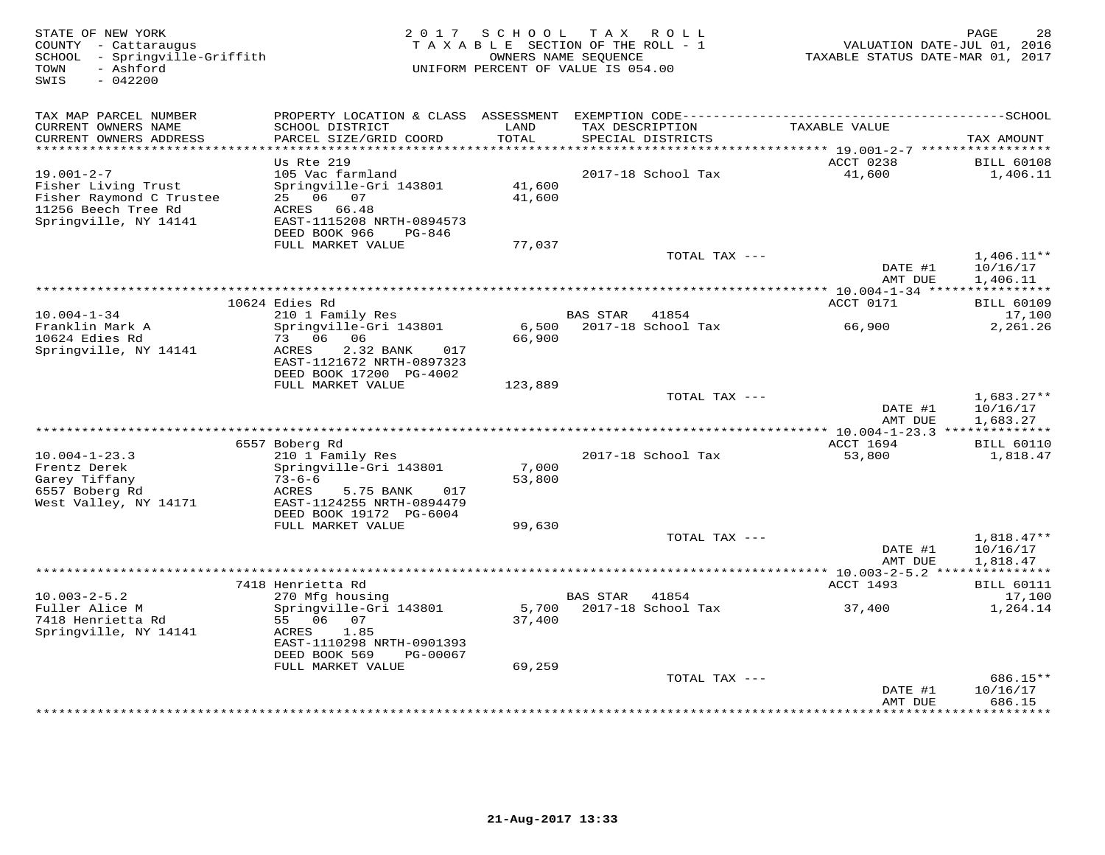| STATE OF NEW YORK<br>COUNTY - Cattaraugus<br>SCHOOL - Springville-Griffith<br>- Ashford<br>TOWN<br>SWIS<br>$-042200$ | 2 0 1 7                                                                                                                                        | SCHOOL           | TAX ROLL<br>TAXABLE SECTION OF THE ROLL - 1<br>OWNERS NAME SEOUENCE<br>UNIFORM PERCENT OF VALUE IS 054.00 | VALUATION DATE-JUL 01, 2016<br>TAXABLE STATUS DATE-MAR 01, 2017 | 28<br>PAGE                           |
|----------------------------------------------------------------------------------------------------------------------|------------------------------------------------------------------------------------------------------------------------------------------------|------------------|-----------------------------------------------------------------------------------------------------------|-----------------------------------------------------------------|--------------------------------------|
| TAX MAP PARCEL NUMBER                                                                                                | PROPERTY LOCATION & CLASS                                                                                                                      |                  |                                                                                                           |                                                                 |                                      |
| CURRENT OWNERS NAME<br>CURRENT OWNERS ADDRESS<br>***********************                                             | SCHOOL DISTRICT<br>PARCEL SIZE/GRID COORD<br>*************************                                                                         | LAND<br>TOTAL    | TAX DESCRIPTION<br>SPECIAL DISTRICTS                                                                      | TAXABLE VALUE                                                   | TAX AMOUNT                           |
|                                                                                                                      | Us Rte 219                                                                                                                                     |                  |                                                                                                           | ACCT 0238                                                       | <b>BILL 60108</b>                    |
| $19.001 - 2 - 7$<br>Fisher Living Trust<br>Fisher Raymond C Trustee<br>11256 Beech Tree Rd<br>Springville, NY 14141  | 105 Vac farmland<br>Springville-Gri 143801<br>06 07<br>25<br>ACRES 66.48<br>EAST-1115208 NRTH-0894573<br>DEED BOOK 966<br>PG-846               | 41,600<br>41,600 | 2017-18 School Tax                                                                                        | 41,600                                                          | 1,406.11                             |
|                                                                                                                      | FULL MARKET VALUE                                                                                                                              | 77,037           |                                                                                                           |                                                                 |                                      |
|                                                                                                                      |                                                                                                                                                |                  | TOTAL TAX ---                                                                                             | DATE #1<br>AMT DUE                                              | $1,406.11**$<br>10/16/17<br>1,406.11 |
|                                                                                                                      |                                                                                                                                                |                  | ***********************************                                                                       | *********** 10.004-1-34 *****                                   | ***********                          |
| $10.004 - 1 - 34$                                                                                                    | 10624 Edies Rd                                                                                                                                 |                  | <b>BAS STAR</b><br>41854                                                                                  | ACCT 0171                                                       | <b>BILL 60109</b>                    |
| Franklin Mark A<br>10624 Edies Rd<br>Springville, NY 14141                                                           | 210 1 Family Res<br>Springville-Gri 143801<br>73 06<br>06<br>ACRES<br>2.32 BANK<br>017<br>EAST-1121672 NRTH-0897323<br>DEED BOOK 17200 PG-4002 | 6,500<br>66,900  | 2017-18 School Tax                                                                                        | 66,900                                                          | 17,100<br>2,261.26                   |
|                                                                                                                      | FULL MARKET VALUE                                                                                                                              | 123,889          |                                                                                                           |                                                                 |                                      |
|                                                                                                                      |                                                                                                                                                |                  | TOTAL TAX ---                                                                                             | DATE #1<br>AMT DUE                                              | $1,683.27**$<br>10/16/17<br>1,683.27 |
|                                                                                                                      | 6557 Boberg Rd                                                                                                                                 |                  |                                                                                                           | ACCT 1694                                                       | <b>BILL 60110</b>                    |
| $10.004 - 1 - 23.3$<br>Frentz Derek<br>Garey Tiffany<br>6557 Boberg Rd<br>West Valley, NY 14171                      | 210 1 Family Res<br>Springville-Gri 143801<br>$73 - 6 - 6$<br>ACRES<br>5.75 BANK<br>017<br>EAST-1124255 NRTH-0894479                           | 7,000<br>53,800  | 2017-18 School Tax                                                                                        | 53,800                                                          | 1,818.47                             |
|                                                                                                                      | DEED BOOK 19172 PG-6004<br>FULL MARKET VALUE                                                                                                   | 99,630           |                                                                                                           |                                                                 |                                      |
|                                                                                                                      |                                                                                                                                                |                  | TOTAL TAX ---                                                                                             | DATE #1                                                         | $1,818.47**$<br>10/16/17             |
|                                                                                                                      |                                                                                                                                                |                  |                                                                                                           | AMT DUE<br>*********** 10.003-2-5.2 ****                        | 1,818.47<br>***********              |
|                                                                                                                      | 7418 Henrietta Rd                                                                                                                              |                  |                                                                                                           | ACCT 1493                                                       | <b>BILL 60111</b>                    |
| $10.003 - 2 - 5.2$<br>Fuller Alice M<br>7418 Henrietta Rd<br>Springville, NY 14141                                   | 270 Mfg housing<br>Springville-Gri 143801<br>55 06<br>07<br>1.85<br>ACRES<br>EAST-1110298 NRTH-0901393                                         | 5,700<br>37,400  | <b>BAS STAR</b><br>41854<br>2017-18 School Tax                                                            | 37,400                                                          | 17,100<br>1,264.14                   |
|                                                                                                                      | DEED BOOK 569<br>PG-00067<br>FULL MARKET VALUE                                                                                                 | 69,259           |                                                                                                           |                                                                 |                                      |
|                                                                                                                      |                                                                                                                                                |                  | TOTAL TAX ---                                                                                             | DATE #1<br>AMT DUE                                              | 686.15**<br>10/16/17<br>686.15       |
|                                                                                                                      |                                                                                                                                                |                  |                                                                                                           |                                                                 | * * * * * * * *                      |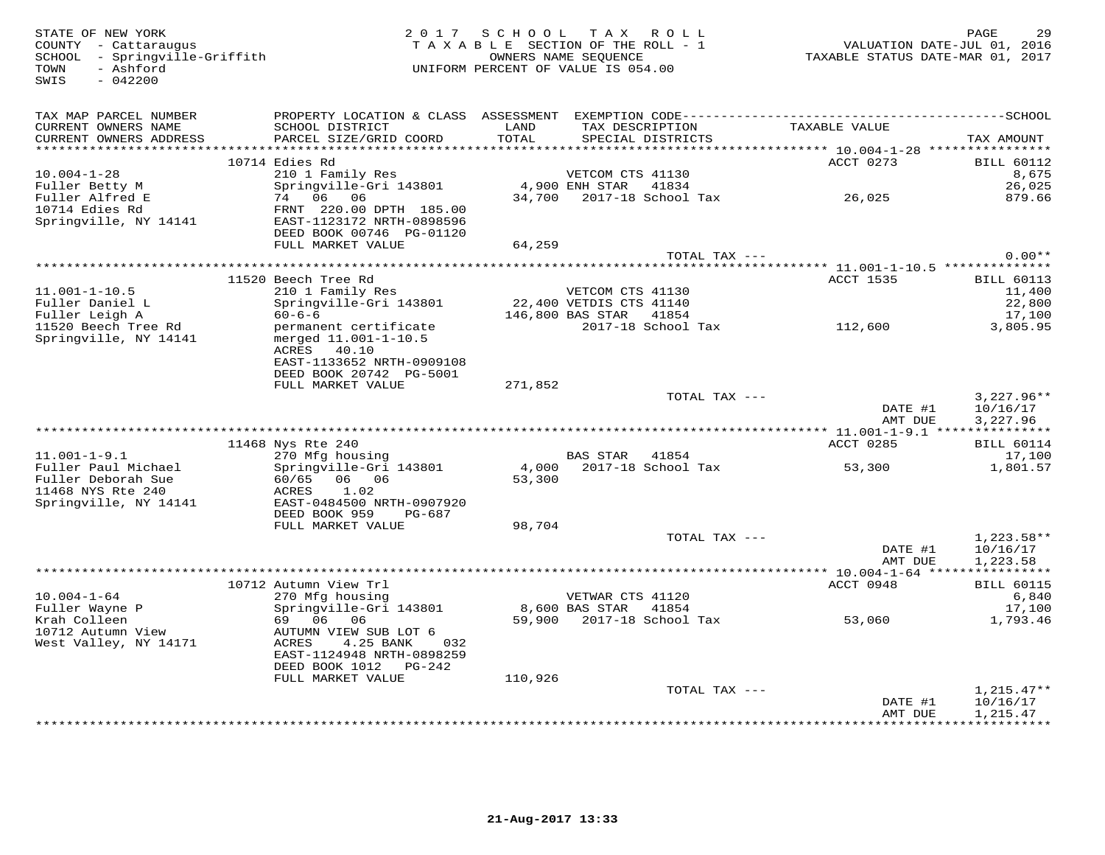COUNTY - Cattaraugus<br>SCHOOL - Springville-Griffith<br>TOWN - Ashford<br>SWIS - 042200

## STATE OF NEW YORK 2 0 1 7 S C H O O L T A X R O L L PAGE 29 COUNTY - Cattaraugus T A X A B L E SECTION OF THE ROLL - 1 VALUATION DATE-JUL 01, 2016 SCHOOL - Springville-Griffith OWNERS NAME SEQUENCE TAXABLE STATUS DATE-MAR 01, 2017 TOWN - Ashford UNIFORM PERCENT OF VALUE IS 054.00

| TAX MAP PARCEL NUMBER<br>CURRENT OWNERS NAME<br>CURRENT OWNERS ADDRESS | PROPERTY LOCATION & CLASS ASSESSMENT<br>SCHOOL DISTRICT<br>PARCEL SIZE/GRID COORD | LAND<br>TOTAL | EXEMPTION CODE--------<br>TAX DESCRIPTION<br>SPECIAL DISTRICTS | TAXABLE VALUE                                           | ---------SCHOOL<br>TAX AMOUNT |
|------------------------------------------------------------------------|-----------------------------------------------------------------------------------|---------------|----------------------------------------------------------------|---------------------------------------------------------|-------------------------------|
|                                                                        |                                                                                   |               |                                                                |                                                         |                               |
|                                                                        | 10714 Edies Rd                                                                    |               |                                                                | ACCT 0273                                               | <b>BILL 60112</b>             |
| $10.004 - 1 - 28$                                                      | 210 1 Family Res                                                                  |               | VETCOM CTS 41130                                               |                                                         | 8,675                         |
| Fuller Betty M                                                         | Springville-Gri 143801                                                            |               | 4,900 ENH STAR<br>41834                                        |                                                         | 26,025                        |
| Fuller Alfred E                                                        | 06<br>74<br>06                                                                    | 34,700        | 2017-18 School Tax                                             | 26,025                                                  | 879.66                        |
| 10714 Edies Rd                                                         | FRNT 220.00 DPTH 185.00                                                           |               |                                                                |                                                         |                               |
| Springville, NY 14141                                                  | EAST-1123172 NRTH-0898596                                                         |               |                                                                |                                                         |                               |
|                                                                        | DEED BOOK 00746 PG-01120<br>FULL MARKET VALUE                                     | 64,259        |                                                                |                                                         |                               |
|                                                                        |                                                                                   |               | TOTAL TAX ---                                                  |                                                         | $0.00**$                      |
|                                                                        |                                                                                   |               |                                                                | ************************* 11.001-1-10.5 *************** |                               |
|                                                                        | 11520 Beech Tree Rd                                                               |               |                                                                | <b>ACCT 1535</b>                                        | <b>BILL 60113</b>             |
| $11.001 - 1 - 10.5$                                                    | 210 1 Family Res                                                                  |               | VETCOM CTS 41130                                               |                                                         | 11,400                        |
| Fuller Daniel L                                                        | Springville-Gri 143801                                                            |               | 22,400 VETDIS CTS 41140                                        |                                                         | 22,800                        |
| Fuller Leigh A                                                         | $60 - 6 - 6$                                                                      |               | 146,800 BAS STAR<br>41854                                      |                                                         | 17,100                        |
| 11520 Beech Tree Rd                                                    | permanent certificate                                                             |               | 2017-18 School Tax                                             | 112,600                                                 | 3,805.95                      |
| Springville, NY 14141                                                  | merged 11.001-1-10.5                                                              |               |                                                                |                                                         |                               |
|                                                                        | ACRES<br>40.10                                                                    |               |                                                                |                                                         |                               |
|                                                                        | EAST-1133652 NRTH-0909108                                                         |               |                                                                |                                                         |                               |
|                                                                        | DEED BOOK 20742 PG-5001                                                           |               |                                                                |                                                         |                               |
|                                                                        | FULL MARKET VALUE                                                                 | 271,852       |                                                                |                                                         |                               |
|                                                                        |                                                                                   |               | TOTAL TAX ---                                                  |                                                         | $3,227.96**$                  |
|                                                                        |                                                                                   |               |                                                                | DATE #1                                                 | 10/16/17                      |
|                                                                        |                                                                                   |               |                                                                | AMT DUE<br>*********** 11.001-1-9.1 ****                | 3,227.96<br>***********       |
|                                                                        | 11468 Nys Rte 240                                                                 |               |                                                                | ACCT 0285                                               | <b>BILL 60114</b>             |
| $11.001 - 1 - 9.1$                                                     | 270 Mfg housing                                                                   |               | <b>BAS STAR</b><br>41854                                       |                                                         | 17,100                        |
| Fuller Paul Michael                                                    | Springville-Gri 143801                                                            | 4,000         | 2017-18 School Tax                                             | 53,300                                                  | 1,801.57                      |
| Fuller Deborah Sue                                                     | 60/65 06 06                                                                       | 53,300        |                                                                |                                                         |                               |
| 11468 NYS Rte 240                                                      | ACRES<br>1.02                                                                     |               |                                                                |                                                         |                               |
| Springville, NY 14141                                                  | EAST-0484500 NRTH-0907920                                                         |               |                                                                |                                                         |                               |
|                                                                        | DEED BOOK 959<br>PG-687                                                           |               |                                                                |                                                         |                               |
|                                                                        | FULL MARKET VALUE                                                                 | 98,704        |                                                                |                                                         |                               |
|                                                                        |                                                                                   |               |                                                                |                                                         |                               |
|                                                                        |                                                                                   |               | TOTAL TAX $---$                                                |                                                         | $1,223.58**$                  |
|                                                                        |                                                                                   |               |                                                                | DATE #1                                                 | 10/16/17                      |
|                                                                        |                                                                                   |               |                                                                | AMT DUE                                                 | 1,223.58                      |
|                                                                        |                                                                                   |               |                                                                | *********** 10.004-1-64 *****                           | ***********                   |
|                                                                        | 10712 Autumn View Trl                                                             |               |                                                                | ACCT 0948                                               | <b>BILL 60115</b>             |
| $10.004 - 1 - 64$                                                      | 270 Mfg housing                                                                   |               | VETWAR CTS 41120                                               |                                                         | 6,840                         |
| Fuller Wayne P                                                         | Springville-Gri 143801                                                            |               | 8,600 BAS STAR<br>41854                                        |                                                         | 17,100                        |
| Krah Colleen                                                           | 69 06 06                                                                          |               | 59,900 2017-18 School Tax                                      | 53,060                                                  | 1,793.46                      |
| 10712 Autumn View                                                      | AUTUMN VIEW SUB LOT 6                                                             |               |                                                                |                                                         |                               |
| West Valley, NY 14171                                                  | ACRES<br>4.25 BANK<br>032                                                         |               |                                                                |                                                         |                               |
|                                                                        | EAST-1124948 NRTH-0898259<br>DEED BOOK 1012<br>PG-242                             |               |                                                                |                                                         |                               |
|                                                                        | FULL MARKET VALUE                                                                 | 110,926       |                                                                |                                                         |                               |
|                                                                        |                                                                                   |               | TOTAL TAX ---                                                  |                                                         | $1,215.47**$                  |
|                                                                        |                                                                                   |               |                                                                | DATE #1                                                 | 10/16/17                      |
|                                                                        |                                                                                   |               |                                                                | AMT DUE                                                 | 1,215.47                      |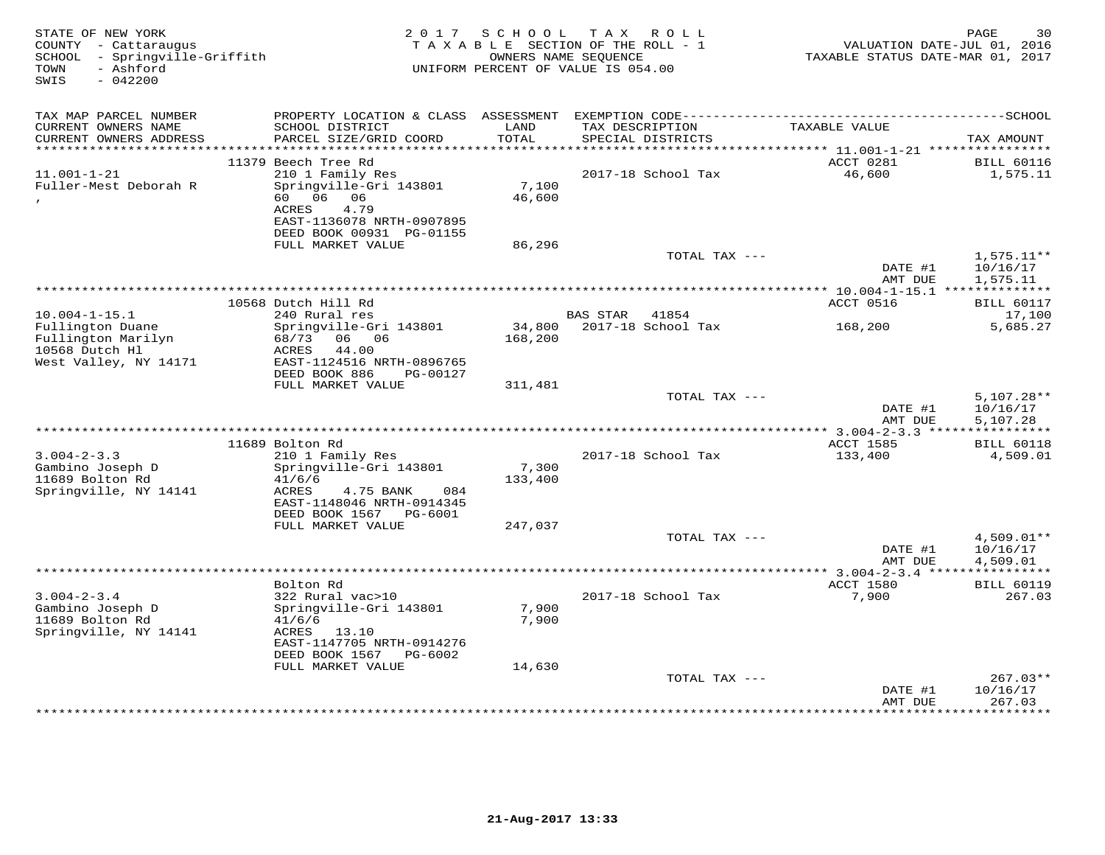| STATE OF NEW YORK<br>COUNTY - Cattaraugus<br>SCHOOL - Springville-Griffith<br>- Ashford<br>TOWN |                                                        | 2017 SCHOOL | TAX ROLL<br>TAXABLE SECTION OF THE ROLL - 1<br>OWNERS NAME SEQUENCE<br>UNIFORM PERCENT OF VALUE IS 054.00 | VALUATION DATE-JUL 01, 2016<br>TAXABLE STATUS DATE-MAR 01, 2017 | PAGE<br>30                    |
|-------------------------------------------------------------------------------------------------|--------------------------------------------------------|-------------|-----------------------------------------------------------------------------------------------------------|-----------------------------------------------------------------|-------------------------------|
| SWIS<br>$-042200$                                                                               |                                                        |             |                                                                                                           |                                                                 |                               |
| TAX MAP PARCEL NUMBER                                                                           | PROPERTY LOCATION & CLASS ASSESSMENT                   |             |                                                                                                           |                                                                 |                               |
| CURRENT OWNERS NAME                                                                             | SCHOOL DISTRICT                                        | LAND        | TAX DESCRIPTION                                                                                           | TAXABLE VALUE                                                   |                               |
| CURRENT OWNERS ADDRESS<br>***********************                                               | PARCEL SIZE/GRID COORD                                 | TOTAL       | SPECIAL DISTRICTS                                                                                         |                                                                 | TAX AMOUNT                    |
|                                                                                                 | 11379 Beech Tree Rd                                    |             |                                                                                                           | ACCT 0281                                                       | <b>BILL 60116</b>             |
| $11.001 - 1 - 21$                                                                               | 210 1 Family Res                                       |             | 2017-18 School Tax                                                                                        | 46,600                                                          | 1,575.11                      |
| Fuller-Mest Deborah R                                                                           | Springville-Gri 143801                                 | 7,100       |                                                                                                           |                                                                 |                               |
|                                                                                                 | 06 06<br>60<br>ACRES<br>4.79                           | 46,600      |                                                                                                           |                                                                 |                               |
|                                                                                                 | EAST-1136078 NRTH-0907895                              |             |                                                                                                           |                                                                 |                               |
|                                                                                                 | DEED BOOK 00931 PG-01155                               |             |                                                                                                           |                                                                 |                               |
|                                                                                                 | FULL MARKET VALUE                                      | 86,296      | TOTAL TAX ---                                                                                             |                                                                 | $1,575.11**$                  |
|                                                                                                 |                                                        |             |                                                                                                           | DATE #1                                                         | 10/16/17                      |
|                                                                                                 |                                                        |             |                                                                                                           | AMT DUE                                                         | 1,575.11                      |
|                                                                                                 | 10568 Dutch Hill Rd                                    |             |                                                                                                           | ****************** 10.004-1-15.1 ***************<br>ACCT 0516   | <b>BILL 60117</b>             |
| $10.004 - 1 - 15.1$                                                                             | 240 Rural res                                          |             | <b>BAS STAR</b><br>41854                                                                                  |                                                                 | 17,100                        |
| Fullington Duane                                                                                | Springville-Gri 143801                                 | 34,800      | 2017-18 School Tax                                                                                        | 168,200                                                         | 5,685.27                      |
| Fullington Marilyn                                                                              | 06 06<br>68/73                                         | 168,200     |                                                                                                           |                                                                 |                               |
| 10568 Dutch Hl<br>West Valley, NY 14171                                                         | ACRES<br>44.00<br>EAST-1124516 NRTH-0896765            |             |                                                                                                           |                                                                 |                               |
|                                                                                                 | DEED BOOK 886<br>PG-00127                              |             |                                                                                                           |                                                                 |                               |
|                                                                                                 | FULL MARKET VALUE                                      | 311,481     |                                                                                                           |                                                                 |                               |
|                                                                                                 |                                                        |             | TOTAL TAX ---                                                                                             | DATE #1                                                         | $5,107.28**$<br>10/16/17      |
|                                                                                                 |                                                        |             |                                                                                                           | AMT DUE                                                         | 5,107.28                      |
|                                                                                                 |                                                        |             |                                                                                                           | **** 3.004-2-3.3 *****************                              |                               |
| $3.004 - 2 - 3.3$                                                                               | 11689 Bolton Rd<br>210 1 Family Res                    |             | 2017-18 School Tax                                                                                        | ACCT 1585<br>133,400                                            | <b>BILL 60118</b><br>4,509.01 |
| Gambino Joseph D                                                                                | Springville-Gri 143801                                 | 7,300       |                                                                                                           |                                                                 |                               |
| 11689 Bolton Rd                                                                                 | 41/6/6                                                 | 133,400     |                                                                                                           |                                                                 |                               |
| Springville, NY 14141                                                                           | 4.75 BANK<br>084<br>ACRES                              |             |                                                                                                           |                                                                 |                               |
|                                                                                                 | EAST-1148046 NRTH-0914345<br>DEED BOOK 1567<br>PG-6001 |             |                                                                                                           |                                                                 |                               |
|                                                                                                 | FULL MARKET VALUE                                      | 247,037     |                                                                                                           |                                                                 |                               |
|                                                                                                 |                                                        |             | TOTAL TAX ---                                                                                             |                                                                 | $4,509.01**$                  |
|                                                                                                 |                                                        |             |                                                                                                           | DATE #1<br>AMT DUE                                              | 10/16/17<br>4,509.01          |
|                                                                                                 |                                                        |             |                                                                                                           | *************** 3.004-2-3.4 *****                               | ***********                   |
|                                                                                                 | Bolton Rd                                              |             |                                                                                                           | ACCT 1580                                                       | <b>BILL 60119</b>             |
| $3.004 - 2 - 3.4$<br>Gambino Joseph D                                                           | 322 Rural vac>10<br>Springville-Gri 143801             | 7,900       | 2017-18 School Tax                                                                                        | 7,900                                                           | 267.03                        |
| 11689 Bolton Rd                                                                                 | 41/6/6                                                 | 7,900       |                                                                                                           |                                                                 |                               |
| Springville, NY 14141                                                                           | ACRES<br>13.10                                         |             |                                                                                                           |                                                                 |                               |
|                                                                                                 | EAST-1147705 NRTH-0914276                              |             |                                                                                                           |                                                                 |                               |
|                                                                                                 | DEED BOOK 1567 PG-6002<br>FULL MARKET VALUE            | 14,630      |                                                                                                           |                                                                 |                               |
|                                                                                                 |                                                        |             | TOTAL TAX ---                                                                                             |                                                                 | $267.03**$                    |
|                                                                                                 |                                                        |             |                                                                                                           | DATE #1                                                         | 10/16/17                      |
|                                                                                                 |                                                        |             |                                                                                                           | AMT DUE                                                         | 267.03<br>* * * * * * * *     |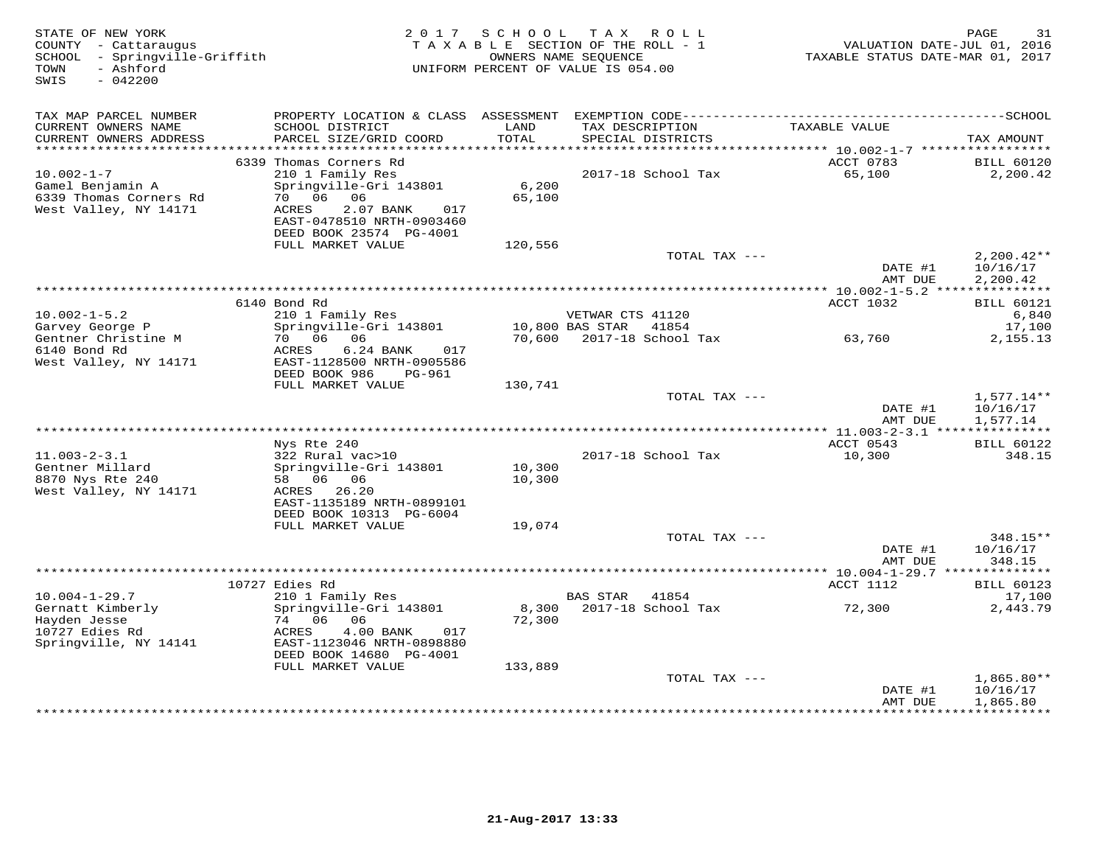| STATE OF NEW YORK<br>COUNTY - Cattaraugus<br>SCHOOL - Springville-Griffith<br>- Ashford<br>TOWN<br>$-042200$<br>SWIS |                                                                                                                                             | 2017 SCHOOL      | TAX ROLL<br>TAXABLE SECTION OF THE ROLL - 1<br>OWNERS NAME SEOUENCE<br>UNIFORM PERCENT OF VALUE IS 054.00 | VALUATION DATE-JUL 01, 2016<br>TAXABLE STATUS DATE-MAR 01, 2017 | 31<br>PAGE                           |
|----------------------------------------------------------------------------------------------------------------------|---------------------------------------------------------------------------------------------------------------------------------------------|------------------|-----------------------------------------------------------------------------------------------------------|-----------------------------------------------------------------|--------------------------------------|
| TAX MAP PARCEL NUMBER                                                                                                |                                                                                                                                             |                  | PROPERTY LOCATION & CLASS ASSESSMENT EXEMPTION CODE-----------------------------------SCHOOL              |                                                                 |                                      |
| CURRENT OWNERS NAME<br>CURRENT OWNERS ADDRESS<br>**********************                                              | SCHOOL DISTRICT<br>PARCEL SIZE/GRID COORD<br>**************************                                                                     | LAND<br>TOTAL    | TAX DESCRIPTION<br>SPECIAL DISTRICTS                                                                      | TAXABLE VALUE                                                   | TAX AMOUNT                           |
|                                                                                                                      | 6339 Thomas Corners Rd                                                                                                                      |                  |                                                                                                           | ACCT 0783                                                       | <b>BILL 60120</b>                    |
| $10.002 - 1 - 7$<br>Gamel Benjamin A<br>6339 Thomas Corners Rd<br>West Valley, NY 14171                              | 210 1 Family Res<br>Springville-Gri 143801<br>70 06 06<br>2.07 BANK<br>ACRES<br>017<br>EAST-0478510 NRTH-0903460<br>DEED BOOK 23574 PG-4001 | 6,200<br>65,100  | 2017-18 School Tax                                                                                        | 65,100                                                          | 2,200.42                             |
|                                                                                                                      | FULL MARKET VALUE                                                                                                                           | 120,556          |                                                                                                           |                                                                 |                                      |
|                                                                                                                      |                                                                                                                                             |                  | TOTAL TAX ---                                                                                             | DATE #1<br>AMT DUE                                              | $2,200.42**$<br>10/16/17<br>2,200.42 |
|                                                                                                                      |                                                                                                                                             |                  |                                                                                                           | ************ 10.002-1-5.2 ****************                      |                                      |
|                                                                                                                      | 6140 Bond Rd                                                                                                                                |                  |                                                                                                           | ACCT 1032                                                       | <b>BILL 60121</b>                    |
| $10.002 - 1 - 5.2$<br>Garvey George P                                                                                | 210 1 Family Res<br>Springville-Gri 143801                                                                                                  |                  | VETWAR CTS 41120<br>10,800 BAS STAR 41854                                                                 |                                                                 | 6,840<br>17,100                      |
| Gentner Christine M<br>6140 Bond Rd<br>West Valley, NY 14171                                                         | 70 06<br>06<br>ACRES<br>6.24 BANK<br>017<br>EAST-1128500 NRTH-0905586                                                                       |                  | 70,600 2017-18 School Tax                                                                                 | 63,760                                                          | 2,155.13                             |
|                                                                                                                      | DEED BOOK 986<br>PG-961<br>FULL MARKET VALUE                                                                                                | 130,741          |                                                                                                           |                                                                 |                                      |
|                                                                                                                      |                                                                                                                                             |                  | TOTAL TAX ---                                                                                             | DATE #1<br>AMT DUE                                              | $1,577.14**$<br>10/16/17<br>1,577.14 |
|                                                                                                                      |                                                                                                                                             |                  |                                                                                                           |                                                                 |                                      |
|                                                                                                                      | Nys Rte 240                                                                                                                                 |                  |                                                                                                           | ACCT 0543                                                       | <b>BILL 60122</b>                    |
| $11.003 - 2 - 3.1$                                                                                                   | 322 Rural vac>10                                                                                                                            |                  | 2017-18 School Tax                                                                                        | 10,300                                                          | 348.15                               |
| Gentner Millard<br>8870 Nys Rte 240<br>West Valley, NY 14171                                                         | Springville-Gri 143801<br>58 06 06<br>ACRES 26.20                                                                                           | 10,300<br>10,300 |                                                                                                           |                                                                 |                                      |
|                                                                                                                      | EAST-1135189 NRTH-0899101                                                                                                                   |                  |                                                                                                           |                                                                 |                                      |
|                                                                                                                      | DEED BOOK 10313 PG-6004<br>FULL MARKET VALUE                                                                                                | 19,074           |                                                                                                           |                                                                 |                                      |
|                                                                                                                      |                                                                                                                                             |                  | TOTAL TAX ---                                                                                             |                                                                 | 348.15**                             |
|                                                                                                                      |                                                                                                                                             |                  |                                                                                                           | DATE #1<br>AMT DUE                                              | 10/16/17<br>348.15                   |
|                                                                                                                      | 10727 Edies Rd                                                                                                                              |                  |                                                                                                           | *********** 10.004-1-29.7 **************<br>ACCT 1112           | <b>BILL 60123</b>                    |
| $10.004 - 1 - 29.7$                                                                                                  | 210 1 Family Res                                                                                                                            |                  | BAS STAR<br>41854                                                                                         |                                                                 | 17,100                               |
| Gernatt Kimberly<br>Hayden Jesse<br>10727 Edies Rd                                                                   | Springville-Gri 143801<br>74 06 06<br>ACRES<br>4.00 BANK<br>017                                                                             | 8,300<br>72,300  | 2017-18 School Tax                                                                                        | 72,300                                                          | 2,443.79                             |
| Springville, NY 14141                                                                                                | EAST-1123046 NRTH-0898880<br>DEED BOOK 14680 PG-4001                                                                                        |                  |                                                                                                           |                                                                 |                                      |
|                                                                                                                      | FULL MARKET VALUE                                                                                                                           | 133,889          | TOTAL TAX ---                                                                                             |                                                                 | $1,865.80**$                         |
|                                                                                                                      |                                                                                                                                             |                  |                                                                                                           | DATE #1<br>AMT DUE                                              | 10/16/17<br>1,865.80                 |
|                                                                                                                      |                                                                                                                                             |                  |                                                                                                           |                                                                 | <b>++++++++++</b>                    |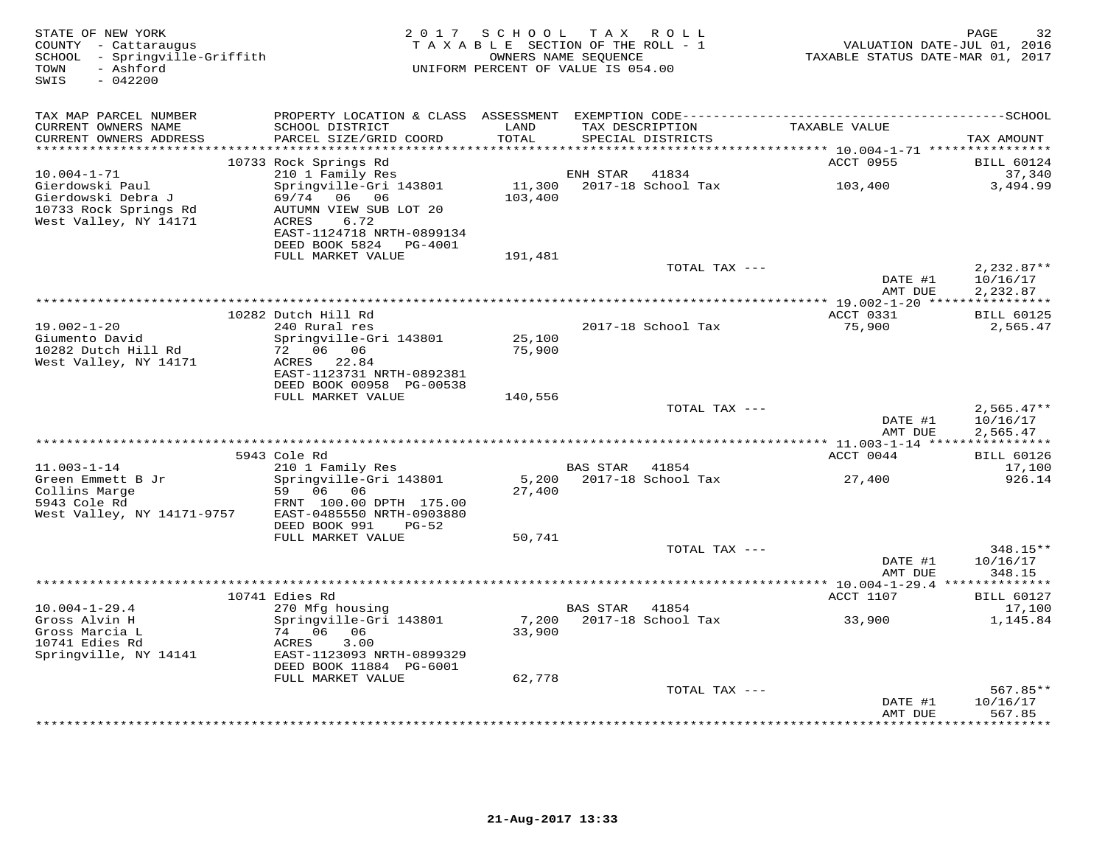| STATE OF NEW YORK<br>COUNTY - Cattaraugus<br>SCHOOL - Springville-Griffith<br>- Ashford<br>TOWN<br>$-042200$<br>SWIS |                                                                                                                  |                   | 2017 SCHOOL TAX ROLL<br>TAXABLE SECTION OF THE ROLL - 1<br>OWNERS NAME SEQUENCE<br>UNIFORM PERCENT OF VALUE IS 054.00 |               | TAXABLE STATUS DATE-MAR 01, 2017                      | 32<br>PAGE<br>VALUATION DATE-JUL 01, 2016 |
|----------------------------------------------------------------------------------------------------------------------|------------------------------------------------------------------------------------------------------------------|-------------------|-----------------------------------------------------------------------------------------------------------------------|---------------|-------------------------------------------------------|-------------------------------------------|
| TAX MAP PARCEL NUMBER                                                                                                | PROPERTY LOCATION & CLASS ASSESSMENT                                                                             |                   |                                                                                                                       |               |                                                       |                                           |
| CURRENT OWNERS NAME<br>CURRENT OWNERS ADDRESS                                                                        | SCHOOL DISTRICT<br>PARCEL SIZE/GRID COORD                                                                        | LAND<br>TOTAL     | TAX DESCRIPTION<br>SPECIAL DISTRICTS                                                                                  |               | TAXABLE VALUE                                         | TAX AMOUNT                                |
|                                                                                                                      | 10733 Rock Springs Rd                                                                                            | ******            |                                                                                                                       |               | ********** 10.004-1-71 *****************<br>ACCT 0955 | <b>BILL 60124</b>                         |
| $10.004 - 1 - 71$                                                                                                    | 210 1 Family Res                                                                                                 |                   | ENH STAR                                                                                                              | 41834         |                                                       | 37,340                                    |
| Gierdowski Paul<br>Gierdowski Debra J<br>10733 Rock Springs Rd<br>West Valley, NY 14171                              | Springville-Gri 143801<br>69/74<br>06 06<br>AUTUMN VIEW SUB LOT 20<br>6.72<br>ACRES<br>EAST-1124718 NRTH-0899134 | 11,300<br>103,400 | 2017-18 School Tax                                                                                                    |               | 103,400                                               | 3,494.99                                  |
|                                                                                                                      | DEED BOOK 5824<br>PG-4001                                                                                        |                   |                                                                                                                       |               |                                                       |                                           |
|                                                                                                                      | FULL MARKET VALUE                                                                                                | 191,481           |                                                                                                                       | TOTAL TAX --- |                                                       | $2,232.87**$                              |
|                                                                                                                      |                                                                                                                  |                   |                                                                                                                       |               | DATE #1<br>AMT DUE                                    | 10/16/17<br>2,232.87                      |
|                                                                                                                      |                                                                                                                  |                   |                                                                                                                       |               |                                                       |                                           |
|                                                                                                                      | 10282 Dutch Hill Rd                                                                                              |                   |                                                                                                                       |               | ACCT 0331                                             | <b>BILL 60125</b>                         |
| $19.002 - 1 - 20$                                                                                                    | 240 Rural res                                                                                                    |                   | 2017-18 School Tax                                                                                                    |               | 75,900                                                | 2,565.47                                  |
| Giumento David<br>10282 Dutch Hill Rd                                                                                | Springville-Gri 143801<br>72 06 06                                                                               | 25,100<br>75,900  |                                                                                                                       |               |                                                       |                                           |
| West Valley, NY 14171                                                                                                | 22.84<br>ACRES                                                                                                   |                   |                                                                                                                       |               |                                                       |                                           |
|                                                                                                                      | EAST-1123731 NRTH-0892381<br>DEED BOOK 00958 PG-00538                                                            |                   |                                                                                                                       |               |                                                       |                                           |
|                                                                                                                      | FULL MARKET VALUE                                                                                                | 140,556           |                                                                                                                       |               |                                                       |                                           |
|                                                                                                                      |                                                                                                                  |                   |                                                                                                                       | TOTAL TAX --- |                                                       | $2,565.47**$                              |
|                                                                                                                      |                                                                                                                  |                   |                                                                                                                       |               | DATE #1<br>AMT DUE                                    | 10/16/17<br>2,565.47                      |
|                                                                                                                      |                                                                                                                  |                   |                                                                                                                       |               |                                                       |                                           |
| $11.003 - 1 - 14$                                                                                                    | 5943 Cole Rd<br>210 1 Family Res                                                                                 |                   | <b>BAS STAR</b>                                                                                                       | 41854         | ACCT 0044                                             | <b>BILL 60126</b><br>17,100               |
| Green Emmett B Jr                                                                                                    | Springville-Gri 143801                                                                                           | 5,200             | 2017-18 School Tax                                                                                                    |               | 27,400                                                | 926.14                                    |
| Collins Marge<br>5943 Cole Rd<br>West Valley, NY 14171-9757                                                          | 59 06<br>06<br>FRNT 100.00 DPTH 175.00<br>EAST-0485550 NRTH-0903880<br>DEED BOOK 991<br>PG-52                    | 27,400            |                                                                                                                       |               |                                                       |                                           |
|                                                                                                                      | FULL MARKET VALUE                                                                                                | 50,741            |                                                                                                                       |               |                                                       |                                           |
|                                                                                                                      |                                                                                                                  |                   |                                                                                                                       | TOTAL TAX --- | DATE #1                                               | 348.15**<br>10/16/17                      |
|                                                                                                                      |                                                                                                                  |                   |                                                                                                                       |               | AMT DUE<br>********** 10.004-1-29.4 **                | 348.15<br>* * * * * * * * *               |
|                                                                                                                      | 10741 Edies Rd                                                                                                   |                   |                                                                                                                       |               | ACCT 1107                                             | <b>BILL 60127</b>                         |
| $10.004 - 1 - 29.4$                                                                                                  | 270 Mfg housing                                                                                                  |                   | <b>BAS STAR</b>                                                                                                       | 41854         |                                                       | 17,100                                    |
| Gross Alvin H                                                                                                        | Springville-Gri 143801                                                                                           | 7,200             | 2017-18 School Tax                                                                                                    |               | 33,900                                                | 1,145.84                                  |
| Gross Marcia L<br>10741 Edies Rd                                                                                     | 74 06<br>06<br>3.00<br>ACRES                                                                                     | 33,900            |                                                                                                                       |               |                                                       |                                           |
| Springville, NY 14141                                                                                                | EAST-1123093 NRTH-0899329                                                                                        |                   |                                                                                                                       |               |                                                       |                                           |
|                                                                                                                      | DEED BOOK 11884 PG-6001<br>FULL MARKET VALUE                                                                     | 62,778            |                                                                                                                       |               |                                                       |                                           |
|                                                                                                                      |                                                                                                                  |                   |                                                                                                                       | TOTAL TAX --- |                                                       | 567.85**                                  |
|                                                                                                                      |                                                                                                                  |                   |                                                                                                                       |               | DATE #1                                               | 10/16/17                                  |
|                                                                                                                      |                                                                                                                  |                   |                                                                                                                       |               | AMT DUE                                               | 567.85<br>********                        |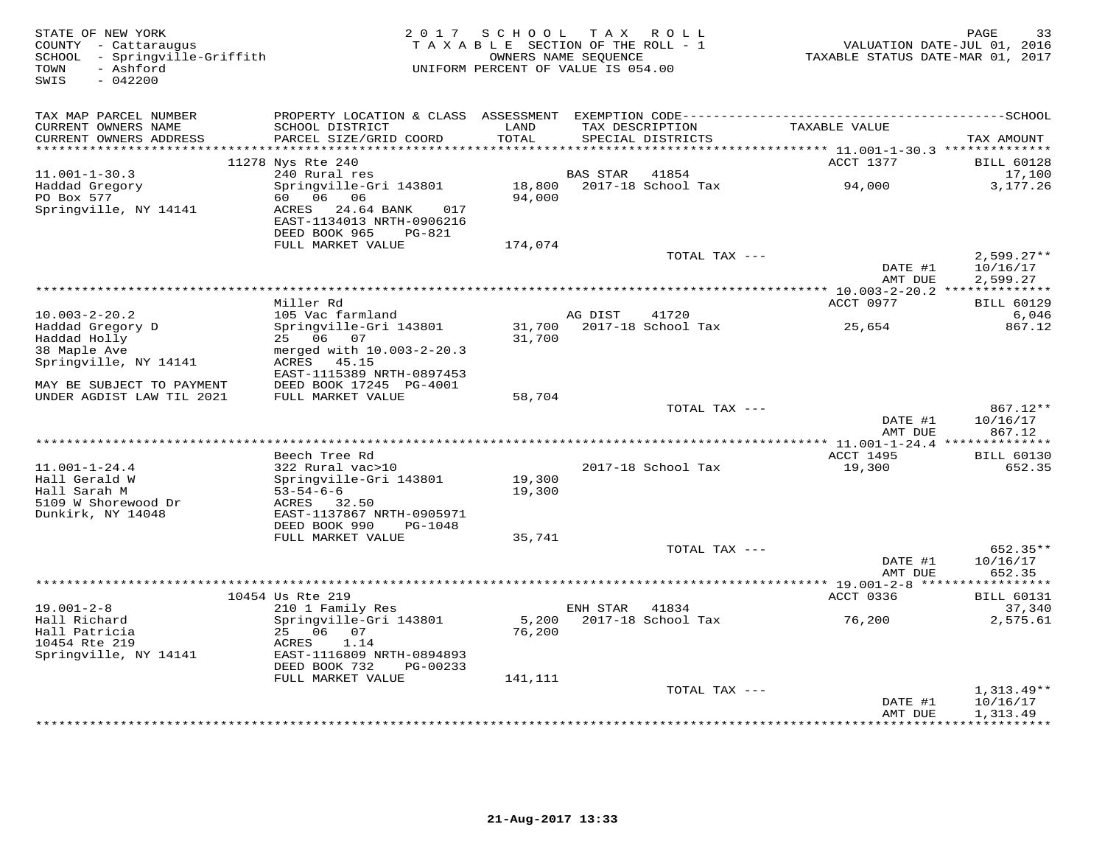| STATE OF NEW YORK<br>COUNTY - Cattaraugus<br>- Springville-Griffith<br>SCHOOL<br>- Ashford<br>TOWN<br>$-042200$<br>SWIS | 2 0 1 7                                                                                                               |                   | SCHOOL TAX ROLL<br>TAXABLE SECTION OF THE ROLL - 1<br>OWNERS NAME SEQUENCE<br>UNIFORM PERCENT OF VALUE IS 054.00 | VALUATION DATE-JUL 01, 2016<br>TAXABLE STATUS DATE-MAR 01, 2017 | 33<br>PAGE               |
|-------------------------------------------------------------------------------------------------------------------------|-----------------------------------------------------------------------------------------------------------------------|-------------------|------------------------------------------------------------------------------------------------------------------|-----------------------------------------------------------------|--------------------------|
| TAX MAP PARCEL NUMBER                                                                                                   |                                                                                                                       |                   |                                                                                                                  |                                                                 |                          |
| CURRENT OWNERS NAME                                                                                                     | SCHOOL DISTRICT                                                                                                       | LAND<br>TOTAL     | TAX DESCRIPTION                                                                                                  | TAXABLE VALUE                                                   |                          |
| CURRENT OWNERS ADDRESS                                                                                                  | PARCEL SIZE/GRID COORD                                                                                                |                   | SPECIAL DISTRICTS                                                                                                |                                                                 | TAX AMOUNT               |
|                                                                                                                         | 11278 Nys Rte 240                                                                                                     |                   |                                                                                                                  | ACCT 1377                                                       | <b>BILL 60128</b>        |
| $11.001 - 1 - 30.3$                                                                                                     | 240 Rural res                                                                                                         |                   | <b>BAS STAR</b><br>41854                                                                                         |                                                                 | 17,100                   |
| Haddad Gregory                                                                                                          | Springville-Gri 143801                                                                                                | 18,800            | 2017-18 School Tax                                                                                               | 94,000                                                          | 3,177.26                 |
| PO Box 577<br>Springville, NY 14141                                                                                     | 60 06<br>06<br>ACRES 24.64 BANK<br>017<br>EAST-1134013 NRTH-0906216<br>DEED BOOK 965<br>$PG-821$<br>FULL MARKET VALUE | 94,000<br>174,074 |                                                                                                                  |                                                                 |                          |
|                                                                                                                         |                                                                                                                       |                   | TOTAL TAX ---                                                                                                    |                                                                 | $2,599.27**$             |
|                                                                                                                         |                                                                                                                       |                   |                                                                                                                  | DATE #1<br>AMT DUE                                              | 10/16/17<br>2,599.27     |
|                                                                                                                         | **************                                                                                                        |                   |                                                                                                                  | *********** 10.003-2-20.2 **************                        |                          |
|                                                                                                                         | Miller Rd                                                                                                             |                   |                                                                                                                  | ACCT 0977                                                       | <b>BILL 60129</b>        |
| $10.003 - 2 - 20.2$<br>Haddad Gregory D                                                                                 | 105 Vac farmland<br>Springville-Gri 143801                                                                            |                   | AG DIST<br>41720<br>2017-18 School Tax                                                                           | 25,654                                                          | 6,046<br>867.12          |
| Haddad Holly                                                                                                            | 25 06 07                                                                                                              | 31,700<br>31,700  |                                                                                                                  |                                                                 |                          |
| 38 Maple Ave                                                                                                            | merged with 10.003-2-20.3                                                                                             |                   |                                                                                                                  |                                                                 |                          |
| Springville, NY 14141                                                                                                   | ACRES 45.15                                                                                                           |                   |                                                                                                                  |                                                                 |                          |
|                                                                                                                         | EAST-1115389 NRTH-0897453                                                                                             |                   |                                                                                                                  |                                                                 |                          |
| MAY BE SUBJECT TO PAYMENT<br>UNDER AGDIST LAW TIL 2021                                                                  | DEED BOOK 17245 PG-4001                                                                                               |                   |                                                                                                                  |                                                                 |                          |
|                                                                                                                         | FULL MARKET VALUE                                                                                                     | 58,704            | TOTAL TAX ---                                                                                                    |                                                                 | 867.12**                 |
|                                                                                                                         |                                                                                                                       |                   |                                                                                                                  | DATE #1                                                         | 10/16/17                 |
|                                                                                                                         |                                                                                                                       |                   |                                                                                                                  | AMT DUE                                                         | 867.12                   |
|                                                                                                                         |                                                                                                                       |                   |                                                                                                                  |                                                                 |                          |
| $11.001 - 1 - 24.4$                                                                                                     | Beech Tree Rd                                                                                                         |                   | 2017-18 School Tax                                                                                               | <b>ACCT 1495</b>                                                | <b>BILL 60130</b>        |
| Hall Gerald W                                                                                                           | 322 Rural vac>10<br>Springville-Gri 143801                                                                            | 19,300            |                                                                                                                  | 19,300                                                          | 652.35                   |
| Hall Sarah M                                                                                                            | $53 - 54 - 6 - 6$                                                                                                     | 19,300            |                                                                                                                  |                                                                 |                          |
| 5109 W Shorewood Dr                                                                                                     | ACRES 32.50                                                                                                           |                   |                                                                                                                  |                                                                 |                          |
| Dunkirk, NY 14048                                                                                                       | EAST-1137867 NRTH-0905971                                                                                             |                   |                                                                                                                  |                                                                 |                          |
|                                                                                                                         | DEED BOOK 990<br>PG-1048                                                                                              |                   |                                                                                                                  |                                                                 |                          |
|                                                                                                                         | FULL MARKET VALUE                                                                                                     | 35,741            | TOTAL TAX ---                                                                                                    |                                                                 | $652.35**$               |
|                                                                                                                         |                                                                                                                       |                   |                                                                                                                  | DATE #1                                                         | 10/16/17                 |
|                                                                                                                         |                                                                                                                       |                   |                                                                                                                  | AMT DUE                                                         | 652.35                   |
|                                                                                                                         |                                                                                                                       |                   |                                                                                                                  | *********** 19.001-2-8 *****                                    | **********               |
|                                                                                                                         | 10454 Us Rte 219                                                                                                      |                   |                                                                                                                  | ACCT 0336                                                       | <b>BILL 60131</b>        |
| $19.001 - 2 - 8$<br>Hall Richard                                                                                        | 210 1 Family Res<br>Springville-Gri 143801                                                                            | 5,200             | 41834<br>ENH STAR<br>2017-18 School Tax                                                                          | 76,200                                                          | 37,340<br>2,575.61       |
| Hall Patricia                                                                                                           | 25 06 07                                                                                                              | 76,200            |                                                                                                                  |                                                                 |                          |
| 10454 Rte 219                                                                                                           | ACRES<br>1.14                                                                                                         |                   |                                                                                                                  |                                                                 |                          |
| Springville, NY 14141                                                                                                   | EAST-1116809 NRTH-0894893                                                                                             |                   |                                                                                                                  |                                                                 |                          |
|                                                                                                                         | DEED BOOK 732<br>PG-00233                                                                                             |                   |                                                                                                                  |                                                                 |                          |
|                                                                                                                         | FULL MARKET VALUE                                                                                                     | 141,111           | TOTAL TAX ---                                                                                                    |                                                                 |                          |
|                                                                                                                         |                                                                                                                       |                   |                                                                                                                  | DATE #1                                                         | $1,313.49**$<br>10/16/17 |
|                                                                                                                         |                                                                                                                       |                   |                                                                                                                  | AMT DUE                                                         | 1,313.49                 |
|                                                                                                                         |                                                                                                                       |                   |                                                                                                                  | ************                                                    | **********               |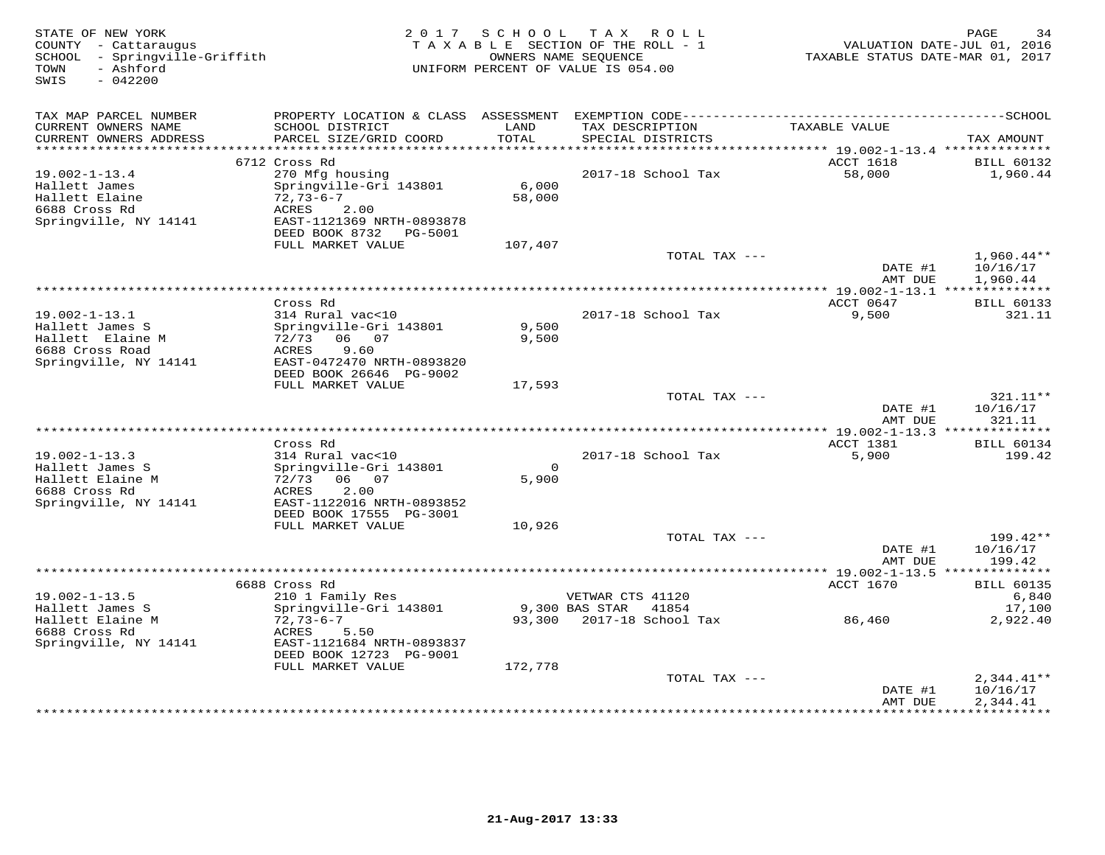| STATE OF NEW YORK<br>COUNTY - Cattaraugus<br>SCHOOL - Springville-Griffith<br>- Ashford<br>TOWN<br>SWIS<br>$-042200$ | 2 0 1 7                                                                                                                                           | SCHOOL            | T A X<br>R O L L<br>TAXABLE SECTION OF THE ROLL - 1<br>OWNERS NAME SEQUENCE<br>UNIFORM PERCENT OF VALUE IS 054.00 | TAXABLE STATUS DATE-MAR 01, 2017         | PAGE<br>34<br>VALUATION DATE-JUL 01, 2016 |
|----------------------------------------------------------------------------------------------------------------------|---------------------------------------------------------------------------------------------------------------------------------------------------|-------------------|-------------------------------------------------------------------------------------------------------------------|------------------------------------------|-------------------------------------------|
| TAX MAP PARCEL NUMBER                                                                                                |                                                                                                                                                   |                   |                                                                                                                   |                                          |                                           |
| CURRENT OWNERS NAME<br>CURRENT OWNERS ADDRESS<br>**********************                                              | SCHOOL DISTRICT<br>PARCEL SIZE/GRID COORD                                                                                                         | LAND<br>TOTAL     | TAX DESCRIPTION<br>SPECIAL DISTRICTS                                                                              | TAXABLE VALUE                            | TAX AMOUNT                                |
|                                                                                                                      | 6712 Cross Rd                                                                                                                                     |                   |                                                                                                                   | ACCT 1618                                | <b>BILL 60132</b>                         |
| $19.002 - 1 - 13.4$<br>Hallett James<br>Hallett Elaine<br>6688 Cross Rd<br>Springville, NY 14141                     | 270 Mfg housing<br>Springville-Gri 143801<br>$72,73-6-7$<br>ACRES<br>2.00<br>EAST-1121369 NRTH-0893878<br>DEED BOOK 8732 PG-5001                  | 6,000<br>58,000   | 2017-18 School Tax                                                                                                | 58,000                                   | 1,960.44                                  |
|                                                                                                                      | FULL MARKET VALUE                                                                                                                                 | 107,407           |                                                                                                                   |                                          |                                           |
|                                                                                                                      |                                                                                                                                                   |                   | TOTAL TAX ---                                                                                                     | DATE #1<br>AMT DUE                       | $1,960.44**$<br>10/16/17<br>1,960.44      |
|                                                                                                                      |                                                                                                                                                   |                   | ******************                                                                                                | ** 19.002-1-13.1 **************          |                                           |
| $19.002 - 1 - 13.1$<br>Hallett James S<br>Hallett Elaine M<br>6688 Cross Road<br>Springville, NY 14141               | Cross Rd<br>314 Rural vac<10<br>Springville-Gri 143801<br>72/73 06 07<br>ACRES<br>9.60<br>EAST-0472470 NRTH-0893820<br>DEED BOOK 26646 PG-9002    | 9,500<br>9,500    | 2017-18 School Tax                                                                                                | ACCT 0647<br>9,500                       | <b>BILL 60133</b><br>321.11               |
|                                                                                                                      | FULL MARKET VALUE                                                                                                                                 | 17,593            |                                                                                                                   |                                          |                                           |
|                                                                                                                      |                                                                                                                                                   |                   | TOTAL TAX ---                                                                                                     | DATE #1<br>AMT DUE                       | 321.11**<br>10/16/17<br>321.11            |
|                                                                                                                      |                                                                                                                                                   |                   |                                                                                                                   | *** 19.002-1-13.3 **************         |                                           |
| $19.002 - 1 - 13.3$<br>Hallett James S<br>Hallett Elaine M<br>6688 Cross Rd<br>Springville, NY 14141                 | Cross Rd<br>314 Rural vac<10<br>Springville-Gri 143801<br>72/73<br>06 07<br>2.00<br>ACRES<br>EAST-1122016 NRTH-0893852<br>DEED BOOK 17555 PG-3001 | $\Omega$<br>5,900 | 2017-18 School Tax                                                                                                | ACCT 1381<br>5,900                       | <b>BILL 60134</b><br>199.42               |
|                                                                                                                      | FULL MARKET VALUE                                                                                                                                 | 10,926            |                                                                                                                   |                                          |                                           |
|                                                                                                                      |                                                                                                                                                   |                   | TOTAL TAX ---                                                                                                     | DATE #1<br>AMT DUE                       | 199.42**<br>10/16/17<br>199.42            |
|                                                                                                                      |                                                                                                                                                   |                   |                                                                                                                   | *********** 19.002-1-13.5 ************** |                                           |
| $19.002 - 1 - 13.5$                                                                                                  | 6688 Cross Rd<br>210 1 Family Res                                                                                                                 |                   | VETWAR CTS 41120                                                                                                  | <b>ACCT 1670</b>                         | <b>BILL 60135</b><br>6,840                |
| Hallett James S<br>Hallett Elaine M<br>6688 Cross Rd<br>Springville, NY 14141                                        | Springville-Gri 143801<br>$72,73-6-7$<br>ACRES<br>5.50<br>EAST-1121684 NRTH-0893837<br>DEED BOOK 12723 PG-9001                                    | 93,300            | 9,300 BAS STAR<br>41854<br>2017-18 School Tax                                                                     | 86,460                                   | 17,100<br>2,922.40                        |
|                                                                                                                      | FULL MARKET VALUE                                                                                                                                 | 172,778           | TOTAL TAX ---                                                                                                     | DATE #1<br>AMT DUE                       | $2,344.41**$<br>10/16/17<br>2,344.41      |
|                                                                                                                      |                                                                                                                                                   |                   |                                                                                                                   |                                          | ***********                               |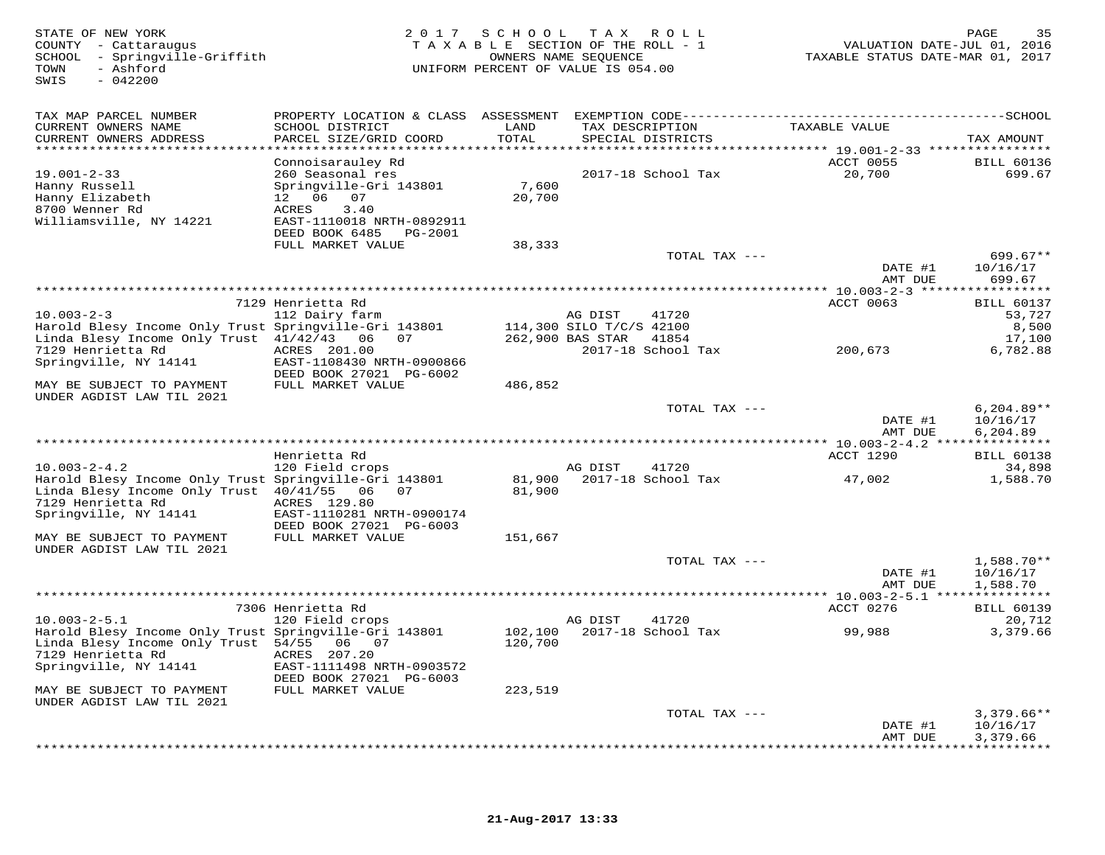| STATE OF NEW YORK<br>COUNTY - Cattaraugus<br>SCHOOL - Springville-Griffith<br>- Ashford<br>TOWN<br>SWIS<br>$-042200$ | 2 0 1 7                                              | S C H O O L     | TAX ROLL<br>TAXABLE SECTION OF THE ROLL - 1<br>OWNERS NAME SEQUENCE<br>UNIFORM PERCENT OF VALUE IS 054.00 | VALUATION DATE-JUL 01,<br>TAXABLE STATUS DATE-MAR 01, 2017 | PAGE<br>35<br>2016          |
|----------------------------------------------------------------------------------------------------------------------|------------------------------------------------------|-----------------|-----------------------------------------------------------------------------------------------------------|------------------------------------------------------------|-----------------------------|
| TAX MAP PARCEL NUMBER                                                                                                |                                                      |                 |                                                                                                           |                                                            |                             |
| CURRENT OWNERS NAME                                                                                                  | SCHOOL DISTRICT                                      | LAND            | TAX DESCRIPTION                                                                                           | TAXABLE VALUE                                              |                             |
| CURRENT OWNERS ADDRESS                                                                                               | PARCEL SIZE/GRID COORD                               | TOTAL           | SPECIAL DISTRICTS                                                                                         | ***************** 19.001-2-33 *****************            | TAX AMOUNT                  |
|                                                                                                                      | Connoisarauley Rd                                    |                 |                                                                                                           | <b>ACCT 0055</b>                                           | <b>BILL 60136</b>           |
| $19.001 - 2 - 33$                                                                                                    | 260 Seasonal res                                     |                 | 2017-18 School Tax                                                                                        | 20,700                                                     | 699.67                      |
| Hanny Russell<br>Hanny Elizabeth                                                                                     | Springville-Gri 143801<br>12  06  07                 | 7,600<br>20,700 |                                                                                                           |                                                            |                             |
| 8700 Wenner Rd                                                                                                       | 3.40<br>ACRES                                        |                 |                                                                                                           |                                                            |                             |
| Williamsville, NY 14221                                                                                              | EAST-1110018 NRTH-0892911                            |                 |                                                                                                           |                                                            |                             |
|                                                                                                                      | DEED BOOK 6485 PG-2001                               |                 |                                                                                                           |                                                            |                             |
|                                                                                                                      | FULL MARKET VALUE                                    | 38,333          | TOTAL TAX ---                                                                                             |                                                            | $699.67**$                  |
|                                                                                                                      |                                                      |                 |                                                                                                           | DATE #1                                                    | 10/16/17                    |
|                                                                                                                      |                                                      |                 |                                                                                                           | AMT DUE                                                    | 699.67                      |
|                                                                                                                      |                                                      |                 |                                                                                                           | $******10.003-2-3$ **                                      | **********                  |
| $10.003 - 2 - 3$                                                                                                     | 7129 Henrietta Rd<br>112 Dairy farm                  |                 | AG DIST<br>41720                                                                                          | ACCT 0063                                                  | <b>BILL 60137</b><br>53,727 |
| Harold Blesy Income Only Trust Springville-Gri 143801                                                                |                                                      |                 | 114,300 SILO T/C/S 42100                                                                                  |                                                            | 8,500                       |
| Linda Blesy Income Only Trust 41/42/43 06                                                                            | 07                                                   |                 | 262,900 BAS STAR<br>41854                                                                                 |                                                            | 17,100                      |
| 7129 Henrietta Rd                                                                                                    | ACRES 201.00                                         |                 | 2017-18 School Tax                                                                                        | 200,673                                                    | 6,782.88                    |
| Springville, NY 14141                                                                                                | EAST-1108430 NRTH-0900866<br>DEED BOOK 27021 PG-6002 |                 |                                                                                                           |                                                            |                             |
| MAY BE SUBJECT TO PAYMENT                                                                                            | FULL MARKET VALUE                                    | 486,852         |                                                                                                           |                                                            |                             |
| UNDER AGDIST LAW TIL 2021                                                                                            |                                                      |                 | TOTAL TAX ---                                                                                             |                                                            | $6,204.89**$                |
|                                                                                                                      |                                                      |                 |                                                                                                           | DATE #1<br>AMT DUE                                         | 10/16/17<br>6,204.89        |
|                                                                                                                      |                                                      |                 |                                                                                                           |                                                            |                             |
|                                                                                                                      | Henrietta Rd                                         |                 |                                                                                                           | ACCT 1290                                                  | <b>BILL 60138</b>           |
| $10.003 - 2 - 4.2$<br>Harold Blesy Income Only Trust Springville-Gri 143801                                          | 120 Field crops                                      | 81,900          | AG DIST<br>41720<br>2017-18 School Tax                                                                    |                                                            | 34,898<br>1,588.70          |
| Linda Blesy Income Only Trust 40/41/55 06                                                                            | 07                                                   | 81,900          |                                                                                                           | 47,002                                                     |                             |
| 7129 Henrietta Rd                                                                                                    | ACRES 129.80                                         |                 |                                                                                                           |                                                            |                             |
| Springville, NY 14141                                                                                                | EAST-1110281 NRTH-0900174                            |                 |                                                                                                           |                                                            |                             |
| MAY BE SUBJECT TO PAYMENT                                                                                            | DEED BOOK 27021 PG-6003<br>FULL MARKET VALUE         | 151,667         |                                                                                                           |                                                            |                             |
| UNDER AGDIST LAW TIL 2021                                                                                            |                                                      |                 |                                                                                                           |                                                            |                             |
|                                                                                                                      |                                                      |                 | TOTAL TAX ---                                                                                             |                                                            | 1,588.70**                  |
|                                                                                                                      |                                                      |                 |                                                                                                           | DATE #1                                                    | 10/16/17                    |
|                                                                                                                      |                                                      |                 |                                                                                                           | AMT DUE                                                    | 1,588.70                    |
|                                                                                                                      | 7306 Henrietta Rd                                    |                 |                                                                                                           | ACCT 0276                                                  | <b>BILL 60139</b>           |
| $10.003 - 2 - 5.1$                                                                                                   | 120 Field crops                                      |                 | AG DIST<br>41720                                                                                          |                                                            | 20,712                      |
| Harold Blesy Income Only Trust Springville-Gri 143801                                                                |                                                      | 102,100         | 2017-18 School Tax                                                                                        | 99,988                                                     | 3,379.66                    |
| Linda Blesy Income Only Trust 54/55 06 07<br>7129 Henrietta Rd                                                       | ACRES 207.20                                         | 120,700         |                                                                                                           |                                                            |                             |
| Springville, NY 14141                                                                                                | EAST-1111498 NRTH-0903572                            |                 |                                                                                                           |                                                            |                             |
|                                                                                                                      | DEED BOOK 27021 PG-6003                              |                 |                                                                                                           |                                                            |                             |
| MAY BE SUBJECT TO PAYMENT                                                                                            | FULL MARKET VALUE                                    | 223,519         |                                                                                                           |                                                            |                             |
| UNDER AGDIST LAW TIL 2021                                                                                            |                                                      |                 | TOTAL TAX ---                                                                                             |                                                            | $3,379.66**$                |
|                                                                                                                      |                                                      |                 |                                                                                                           | DATE #1                                                    | 10/16/17                    |
|                                                                                                                      |                                                      |                 |                                                                                                           | AMT DUE                                                    | 3,379.66<br>***********     |
|                                                                                                                      |                                                      |                 |                                                                                                           |                                                            |                             |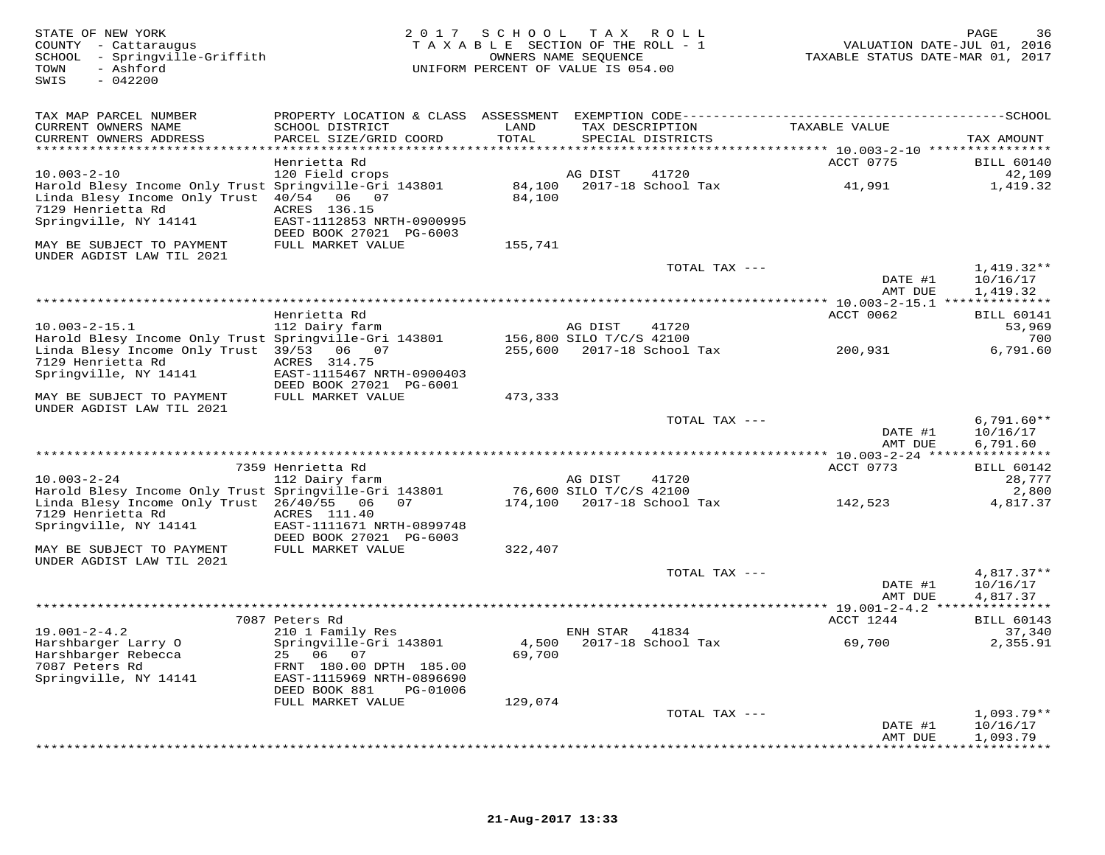| STATE OF NEW YORK<br>COUNTY - Cattaraugus<br>SCHOOL - Springville-Griffith<br>TOWN<br>- Ashford<br>SWIS<br>$-042200$                             |                                                                        |                  | 2017 SCHOOL TAX ROLL<br>TAXABLE SECTION OF THE ROLL - 1<br>OWNERS NAME SEOUENCE<br>UNIFORM PERCENT OF VALUE IS 054.00 |                                               | 36<br>PAGE<br>VALUATION DATE-JUL 01, 2016<br>TAXABLE STATUS DATE-MAR 01, 2017 |
|--------------------------------------------------------------------------------------------------------------------------------------------------|------------------------------------------------------------------------|------------------|-----------------------------------------------------------------------------------------------------------------------|-----------------------------------------------|-------------------------------------------------------------------------------|
| TAX MAP PARCEL NUMBER                                                                                                                            |                                                                        |                  |                                                                                                                       |                                               |                                                                               |
| CURRENT OWNERS NAME<br>CURRENT OWNERS ADDRESS<br>***********************                                                                         | SCHOOL DISTRICT<br>PARCEL SIZE/GRID COORD                              | LAND<br>TOTAL    | TAX DESCRIPTION<br>SPECIAL DISTRICTS                                                                                  | TAXABLE VALUE                                 | TAX AMOUNT                                                                    |
|                                                                                                                                                  | Henrietta Rd                                                           |                  |                                                                                                                       | ACCT 0775                                     | <b>BILL 60140</b>                                                             |
| $10.003 - 2 - 10$                                                                                                                                | 120 Field crops                                                        |                  | AG DIST<br>41720                                                                                                      |                                               | 42,109                                                                        |
| Harold Blesy Income Only Trust Springville-Gri 143801<br>Linda Blesy Income Only Trust 40/54 06 07<br>7129 Henrietta Rd<br>Springville, NY 14141 | ACRES 136.15<br>EAST-1112853 NRTH-0900995                              | 84,100<br>84,100 | 2017-18 School Tax                                                                                                    | 41,991                                        | 1,419.32                                                                      |
|                                                                                                                                                  | DEED BOOK 27021 PG-6003                                                |                  |                                                                                                                       |                                               |                                                                               |
| MAY BE SUBJECT TO PAYMENT<br>UNDER AGDIST LAW TIL 2021                                                                                           | FULL MARKET VALUE                                                      | 155,741          |                                                                                                                       |                                               |                                                                               |
|                                                                                                                                                  |                                                                        |                  |                                                                                                                       | TOTAL TAX ---<br>DATE #1<br>AMT DUE           | $1,419.32**$<br>10/16/17<br>1,419.32                                          |
|                                                                                                                                                  |                                                                        |                  |                                                                                                                       |                                               |                                                                               |
|                                                                                                                                                  | Henrietta Rd                                                           |                  |                                                                                                                       | ACCT 0062                                     | <b>BILL 60141</b>                                                             |
| $10.003 - 2 - 15.1$<br>Harold Blesy Income Only Trust Springville-Gri 143801                                                                     | 112 Dairy farm                                                         |                  | AG DIST<br>41720<br>156,800 SILO T/C/S 42100                                                                          |                                               | 53,969<br>700                                                                 |
| Linda Blesy Income Only Trust 39/53 06 07                                                                                                        |                                                                        |                  | 255,600 2017-18 School Tax                                                                                            | 200,931                                       | 6,791.60                                                                      |
| 7129 Henrietta Rd<br>Springville, NY 14141                                                                                                       | ACRES 314.75<br>EAST-1115467 NRTH-0900403                              |                  |                                                                                                                       |                                               |                                                                               |
| MAY BE SUBJECT TO PAYMENT<br>UNDER AGDIST LAW TIL 2021                                                                                           | DEED BOOK 27021 PG-6001<br>FULL MARKET VALUE                           | 473,333          |                                                                                                                       |                                               |                                                                               |
|                                                                                                                                                  |                                                                        |                  |                                                                                                                       | TOTAL TAX ---<br>DATE #1<br>AMT DUE           | $6,791.60**$<br>10/16/17<br>6,791.60                                          |
|                                                                                                                                                  |                                                                        |                  |                                                                                                                       | *************** 10.003-2-24 ***************** |                                                                               |
|                                                                                                                                                  | 7359 Henrietta Rd                                                      |                  |                                                                                                                       | ACCT 0773                                     | <b>BILL 60142</b>                                                             |
| $10.003 - 2 - 24$<br>Harold Blesy Income Only Trust Springville-Gri 143801                                                                       | 112 Dairy farm                                                         |                  | AG DIST<br>41720<br>76,600 SILO T/C/S 42100                                                                           |                                               | 28,777<br>2,800                                                               |
| Linda Blesy Income Only Trust 26/40/55 06<br>7129 Henrietta Rd                                                                                   | 07<br>ACRES 111.40                                                     |                  | 174,100 2017-18 School Tax                                                                                            | 142,523                                       | 4,817.37                                                                      |
| Springville, NY 14141                                                                                                                            | EAST-1111671 NRTH-0899748<br>DEED BOOK 27021 PG-6003                   |                  |                                                                                                                       |                                               |                                                                               |
| MAY BE SUBJECT TO PAYMENT<br>UNDER AGDIST LAW TIL 2021                                                                                           | FULL MARKET VALUE                                                      | 322,407          |                                                                                                                       |                                               |                                                                               |
|                                                                                                                                                  |                                                                        |                  |                                                                                                                       | TOTAL TAX ---<br>DATE #1<br>AMT DUE           | $4,817.37**$<br>10/16/17<br>4,817.37                                          |
|                                                                                                                                                  |                                                                        |                  | ************************************                                                                                  |                                               | ** 19.001-2-4.2 ***************                                               |
|                                                                                                                                                  | 7087 Peters Rd                                                         |                  |                                                                                                                       | ACCT 1244                                     | <b>BILL 60143</b>                                                             |
| $19.001 - 2 - 4.2$<br>Harshbarger Larry O                                                                                                        | 210 1 Family Res<br>Springville-Gri 143801                             | 4,500            | ENH STAR 41834<br>2017-18 School Tax                                                                                  | 69,700                                        | 37,340<br>2,355.91                                                            |
| Harshbarger Rebecca<br>7087 Peters Rd<br>Springville, NY 14141                                                                                   | 06<br>25<br>07<br>FRNT 180.00 DPTH 185.00<br>EAST-1115969 NRTH-0896690 | 69,700           |                                                                                                                       |                                               |                                                                               |
|                                                                                                                                                  | DEED BOOK 881<br>PG-01006                                              |                  |                                                                                                                       |                                               |                                                                               |
|                                                                                                                                                  | FULL MARKET VALUE                                                      | 129,074          |                                                                                                                       |                                               |                                                                               |
|                                                                                                                                                  |                                                                        |                  |                                                                                                                       | TOTAL TAX ---<br>DATE #1<br>AMT DUE           | $1,093.79**$<br>10/16/17<br>1,093.79                                          |
|                                                                                                                                                  |                                                                        |                  |                                                                                                                       |                                               | * * * * * * * * *                                                             |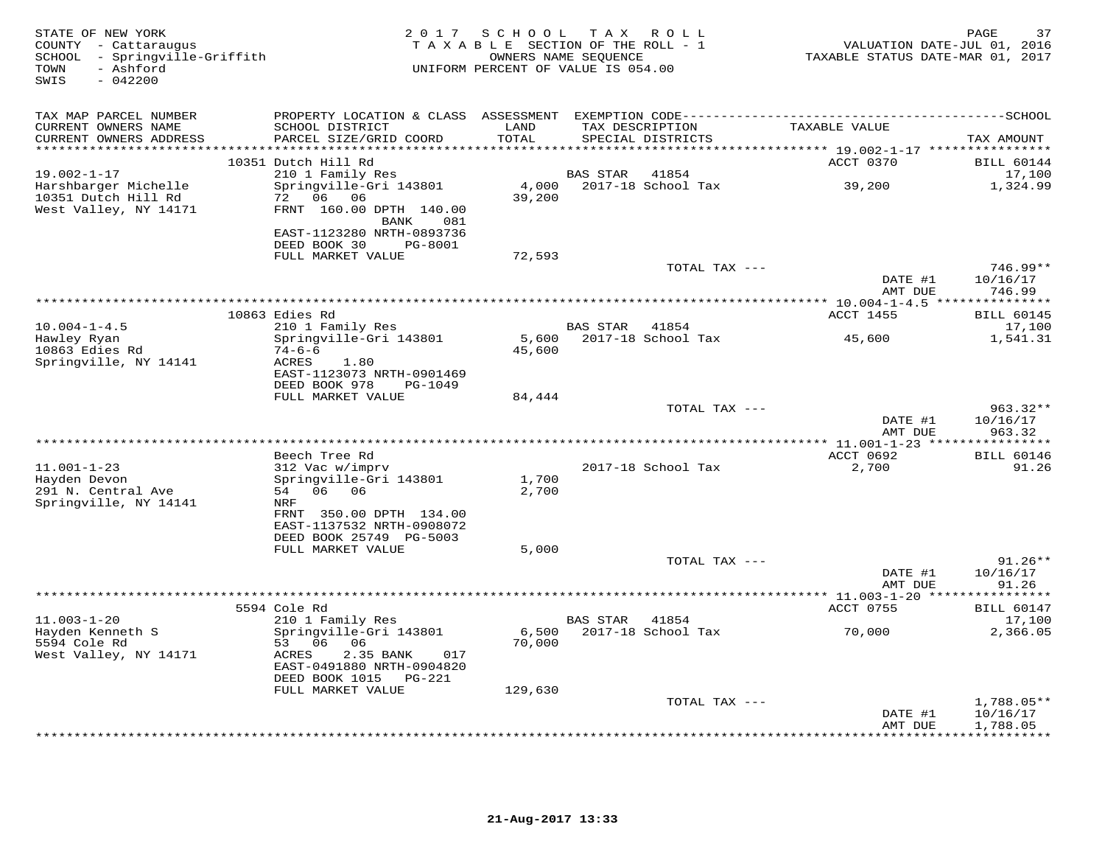| STATE OF NEW YORK<br>COUNTY - Cattaraugus<br>SCHOOL - Springville-Griffith<br>TOWN<br>- Ashford<br>SWIS<br>$-042200$ |                                                                                                                             | 2017 SCHOOL TAX ROLL<br>TAXABLE SECTION OF THE ROLL - 1<br>UNIFORM PERCENT OF VALUE IS 054.00 | OWNERS NAME SEQUENCE |                             |               | 37<br>PAGE<br>VALUATION DATE-JUL 01, 2016<br>TAXABLE STATUS DATE-MAR 01, 2017 |
|----------------------------------------------------------------------------------------------------------------------|-----------------------------------------------------------------------------------------------------------------------------|-----------------------------------------------------------------------------------------------|----------------------|-----------------------------|---------------|-------------------------------------------------------------------------------|
| TAX MAP PARCEL NUMBER<br>CURRENT OWNERS NAME                                                                         | SCHOOL DISTRICT                                                                                                             | LAND                                                                                          | TAX DESCRIPTION      |                             | TAXABLE VALUE |                                                                               |
| CURRENT OWNERS ADDRESS                                                                                               | PARCEL SIZE/GRID COORD                                                                                                      | TOTAL                                                                                         |                      | SPECIAL DISTRICTS           |               | TAX AMOUNT                                                                    |
|                                                                                                                      | 10351 Dutch Hill Rd                                                                                                         |                                                                                               |                      |                             | ACCT 0370     | <b>BILL 60144</b>                                                             |
| $19.002 - 1 - 17$<br>Harshbarger Michelle<br>10351 Dutch Hill Rd                                                     | 210 1 Family Res<br>Springville-Gri 143801<br>72 06 06                                                                      | 4,000<br>39,200                                                                               | BAS STAR             | 41854<br>2017-18 School Tax | 39,200        | 17,100<br>1,324.99                                                            |
| West Valley, NY 14171                                                                                                | FRNT 160.00 DPTH 140.00<br>BANK<br>081<br>EAST-1123280 NRTH-0893736                                                         |                                                                                               |                      |                             |               |                                                                               |
|                                                                                                                      | DEED BOOK 30<br>PG-8001<br>FULL MARKET VALUE                                                                                | 72,593                                                                                        |                      |                             |               |                                                                               |
|                                                                                                                      |                                                                                                                             |                                                                                               |                      | TOTAL TAX ---               |               | $746.99**$<br>DATE #1<br>10/16/17                                             |
|                                                                                                                      |                                                                                                                             |                                                                                               |                      |                             |               | AMT DUE<br>746.99                                                             |
|                                                                                                                      | 10863 Edies Rd                                                                                                              |                                                                                               |                      |                             | ACCT 1455     | <b>BILL 60145</b>                                                             |
| $10.004 - 1 - 4.5$<br>Hawley Ryan                                                                                    | 210 1 Family Res<br>Springville-Gri 143801                                                                                  | 5,600                                                                                         | <b>BAS STAR</b>      | 41854<br>2017-18 School Tax | 45,600        | 17,100<br>1,541.31                                                            |
| 10863 Edies Rd<br>Springville, NY 14141                                                                              | $74 - 6 - 6$<br>ACRES<br>1.80<br>EAST-1123073 NRTH-0901469                                                                  | 45,600                                                                                        |                      |                             |               |                                                                               |
|                                                                                                                      | DEED BOOK 978<br>PG-1049<br>FULL MARKET VALUE                                                                               | 84,444                                                                                        |                      |                             |               |                                                                               |
|                                                                                                                      |                                                                                                                             |                                                                                               |                      | TOTAL TAX ---               |               | $963.32**$<br>DATE #1<br>10/16/17                                             |
|                                                                                                                      |                                                                                                                             |                                                                                               |                      |                             |               | 963.32<br>AMT DUE                                                             |
|                                                                                                                      | Beech Tree Rd                                                                                                               |                                                                                               |                      |                             | ACCT 0692     | <b>BILL 60146</b>                                                             |
| $11.001 - 1 - 23$<br>Hayden Devon<br>291 N. Central Ave                                                              | 312 Vac w/imprv<br>Springville-Gri 143801<br>54 06 06                                                                       | 1,700<br>2,700                                                                                |                      | 2017-18 School Tax          | 2,700         | 91.26                                                                         |
| Springville, NY 14141                                                                                                | NRF<br>FRNT 350.00 DPTH 134.00<br>EAST-1137532 NRTH-0908072<br>DEED BOOK 25749 PG-5003                                      |                                                                                               |                      |                             |               |                                                                               |
|                                                                                                                      | FULL MARKET VALUE                                                                                                           | 5,000                                                                                         |                      |                             |               |                                                                               |
|                                                                                                                      |                                                                                                                             |                                                                                               |                      | TOTAL TAX ---               |               | $91.26**$<br>DATE #1<br>10/16/17<br>AMT DUE<br>91.26                          |
|                                                                                                                      | 5594 Cole Rd                                                                                                                |                                                                                               |                      |                             | ACCT 0755     | <b>BILL 60147</b>                                                             |
| $11.003 - 1 - 20$                                                                                                    | 210 1 Family Res                                                                                                            |                                                                                               | BAS STAR             | 41854                       |               | 17,100                                                                        |
| Hayden Kenneth S<br>5594 Cole Rd<br>West Valley, NY 14171                                                            | Springville-Gri 143801<br>53 06<br>06<br>ACRES<br>2.35 BANK<br>017<br>EAST-0491880 NRTH-0904820<br>DEED BOOK 1015<br>PG-221 | 6,500<br>70,000                                                                               |                      | 2017-18 School Tax          | 70,000        | 2,366.05                                                                      |
|                                                                                                                      | FULL MARKET VALUE                                                                                                           | 129,630                                                                                       |                      |                             |               |                                                                               |
|                                                                                                                      |                                                                                                                             |                                                                                               |                      | TOTAL TAX ---               |               | $1,788.05**$<br>DATE #1<br>10/16/17<br>1,788.05<br>AMT DUE                    |
|                                                                                                                      |                                                                                                                             |                                                                                               |                      |                             |               | * * * * * * * * * * *                                                         |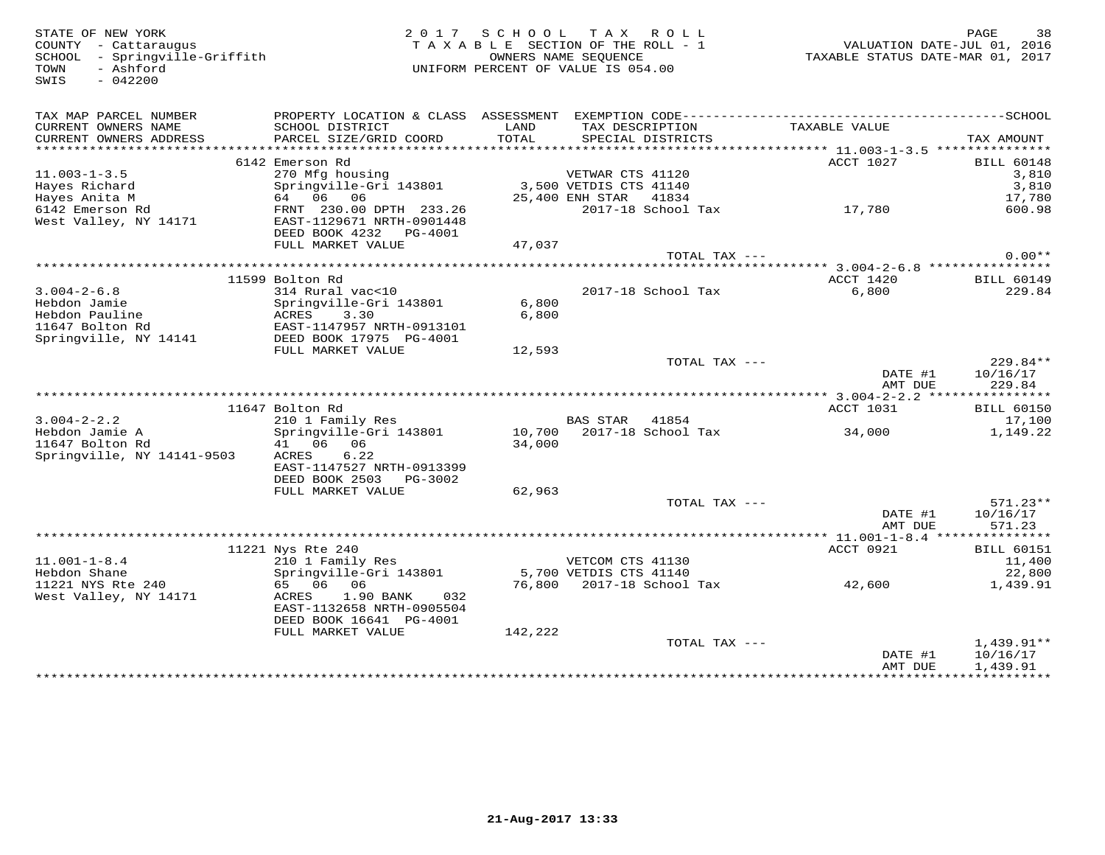COUNTY - Cattaraugus<br>
SCHOOL - Springville-Griffith<br>
TOWN - Ashford<br>
SWIS - 042200

## STATE OF NEW YORK CONTROLLED AS A LOCAL CONTRATE OF NEW YORK CONTROLLED AND RAGE SAMPLE AS A LOCAL CONTROLLED AND DESCRIPTION OF A LOCAL CONTROLLED AND DESCRIPTION OF A LOCAL CONTROLLED AND RAGE OF A LOCAL CONTROLLED AND D TAXABLE SECTION OF THE ROLL - 1 SCHOOL - Springville-Griffith OWNERS NAME SEQUENCE TAXABLE STATUS DATE-MAR 01, 2017UNIFORM PERCENT OF VALUE IS 054.00

| TAX MAP PARCEL NUMBER                               | PROPERTY LOCATION & CLASS ASSESSMENT |         |                          |               |                            |
|-----------------------------------------------------|--------------------------------------|---------|--------------------------|---------------|----------------------------|
| CURRENT OWNERS NAME                                 | SCHOOL DISTRICT                      | LAND    | TAX DESCRIPTION          | TAXABLE VALUE |                            |
| CURRENT OWNERS ADDRESS<br>************************* | PARCEL SIZE/GRID COORD               | TOTAL   | SPECIAL DISTRICTS        |               | TAX AMOUNT                 |
|                                                     |                                      |         |                          |               |                            |
| $11.003 - 1 - 3.5$                                  | 6142 Emerson Rd<br>270 Mfg housing   |         | VETWAR CTS 41120         | ACCT 1027     | <b>BILL 60148</b><br>3,810 |
| Hayes Richard                                       | Springville-Gri 143801               |         | 3,500 VETDIS CTS 41140   |               | 3,810                      |
| Hayes Anita M                                       | 64 06 06                             |         | 25,400 ENH STAR<br>41834 |               | 17,780                     |
| 6142 Emerson Rd                                     | FRNT 230.00 DPTH 233.26              |         | 2017-18 School Tax       | 17,780        | 600.98                     |
| West Valley, NY 14171                               | EAST-1129671 NRTH-0901448            |         |                          |               |                            |
|                                                     | DEED BOOK 4232<br>PG-4001            |         |                          |               |                            |
|                                                     | FULL MARKET VALUE                    | 47,037  |                          |               |                            |
|                                                     |                                      |         | TOTAL TAX ---            |               | $0.00**$                   |
|                                                     |                                      |         |                          |               |                            |
|                                                     | 11599 Bolton Rd                      |         |                          | ACCT 1420     | <b>BILL 60149</b>          |
| $3.004 - 2 - 6.8$                                   | 314 Rural vac<10                     |         | 2017-18 School Tax       | 6,800         | 229.84                     |
| Hebdon Jamie                                        | Springville-Gri 143801               | 6,800   |                          |               |                            |
| Hebdon Pauline                                      | ACRES<br>3.30                        | 6,800   |                          |               |                            |
| 11647 Bolton Rd                                     | EAST-1147957 NRTH-0913101            |         |                          |               |                            |
| Springville, NY 14141                               | DEED BOOK 17975 PG-4001              |         |                          |               |                            |
|                                                     | FULL MARKET VALUE                    | 12,593  |                          |               |                            |
|                                                     |                                      |         | TOTAL TAX ---            | DATE #1       | $229.84**$<br>10/16/17     |
|                                                     |                                      |         |                          | AMT DUE       | 229.84                     |
|                                                     |                                      |         |                          |               |                            |
|                                                     | 11647 Bolton Rd                      |         |                          | ACCT 1031     | <b>BILL 60150</b>          |
| $3.004 - 2 - 2.2$                                   | 210 1 Family Res                     |         | BAS STAR<br>41854        |               | 17,100                     |
| Hebdon Jamie A                                      | Springville-Gri 143801               | 10,700  | 2017-18 School Tax       | 34,000        | 1,149.22                   |
| 11647 Bolton Rd                                     | 41 06 06                             | 34,000  |                          |               |                            |
| Springville, NY 14141-9503                          | 6.22<br>ACRES                        |         |                          |               |                            |
|                                                     | EAST-1147527 NRTH-0913399            |         |                          |               |                            |
|                                                     | DEED BOOK 2503<br>PG-3002            |         |                          |               |                            |
|                                                     | FULL MARKET VALUE                    | 62,963  |                          |               |                            |
|                                                     |                                      |         | TOTAL TAX ---            |               | $571.23**$                 |
|                                                     |                                      |         |                          | DATE #1       | 10/16/17                   |
|                                                     |                                      |         |                          | AMT DUE       | 571.23                     |
|                                                     | 11221 Nys Rte 240                    |         |                          | ACCT 0921     | <b>BILL 60151</b>          |
| $11.001 - 1 - 8.4$                                  | 210 1 Family Res                     |         | VETCOM CTS 41130         |               | 11,400                     |
| Hebdon Shane                                        | Springville-Gri 143801               |         | 5,700 VETDIS CTS 41140   |               | 22,800                     |
| 11221 NYS Rte 240                                   | 65 06<br>06                          | 76,800  | 2017-18 School Tax       | 42,600        | 1,439.91                   |
| West Valley, NY 14171                               | ACRES<br>1.90 BANK<br>032            |         |                          |               |                            |
|                                                     | EAST-1132658 NRTH-0905504            |         |                          |               |                            |
|                                                     | DEED BOOK 16641 PG-4001              |         |                          |               |                            |
|                                                     | FULL MARKET VALUE                    | 142,222 |                          |               |                            |
|                                                     |                                      |         | TOTAL TAX $---$          |               | $1,439.91**$               |
|                                                     |                                      |         |                          | DATE #1       | 10/16/17                   |
|                                                     |                                      |         |                          | AMT DUE       | 1,439.91                   |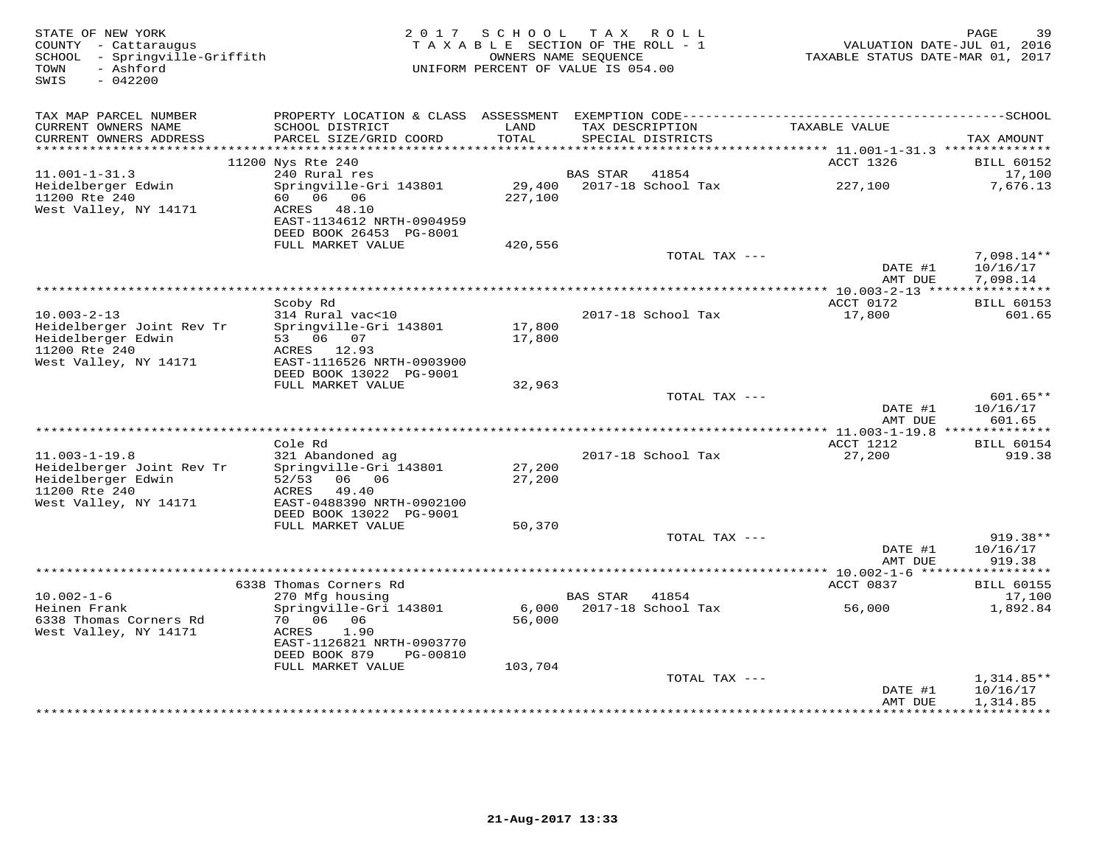| STATE OF NEW YORK<br>COUNTY - Cattaraugus<br>SCHOOL - Springville-Griffith<br>- Ashford<br>TOWN<br>$-042200$<br>SWIS | 2017 SCHOOL<br>TAX ROLL<br>TAXABLE SECTION OF THE ROLL - 1<br>OWNERS NAME SEOUENCE<br>UNIFORM PERCENT OF VALUE IS 054.00 |                   |                         |                                      |                                         | 39<br>PAGE<br>VALUATION DATE-JUL 01, 2016<br>TAXABLE STATUS DATE-MAR 01, 2017 |  |  |
|----------------------------------------------------------------------------------------------------------------------|--------------------------------------------------------------------------------------------------------------------------|-------------------|-------------------------|--------------------------------------|-----------------------------------------|-------------------------------------------------------------------------------|--|--|
| TAX MAP PARCEL NUMBER                                                                                                |                                                                                                                          |                   |                         |                                      |                                         |                                                                               |  |  |
| CURRENT OWNERS NAME<br>CURRENT OWNERS ADDRESS<br>*********************                                               | SCHOOL DISTRICT<br>PARCEL SIZE/GRID COORD                                                                                | LAND<br>TOTAL     |                         | TAX DESCRIPTION<br>SPECIAL DISTRICTS | TAXABLE VALUE                           | TAX AMOUNT                                                                    |  |  |
|                                                                                                                      | 11200 Nys Rte 240                                                                                                        |                   |                         |                                      | ACCT 1326                               | <b>BILL 60152</b>                                                             |  |  |
| $11.001 - 1 - 31.3$                                                                                                  | 240 Rural res                                                                                                            |                   | <b>BAS STAR</b>         | 41854                                |                                         | 17,100                                                                        |  |  |
| Heidelberger Edwin<br>11200 Rte 240<br>West Valley, NY 14171                                                         | Springville-Gri 143801<br>06<br>60 —<br>06<br>ACRES<br>48.10<br>EAST-1134612 NRTH-0904959<br>DEED BOOK 26453 PG-8001     | 29,400<br>227,100 |                         | 2017-18 School Tax                   | 227,100                                 | 7,676.13                                                                      |  |  |
|                                                                                                                      | FULL MARKET VALUE                                                                                                        | 420,556           |                         |                                      |                                         |                                                                               |  |  |
|                                                                                                                      |                                                                                                                          |                   |                         | TOTAL TAX ---                        | DATE #1<br>AMT DUE                      | $7,098.14**$<br>10/16/17<br>7,098.14                                          |  |  |
|                                                                                                                      |                                                                                                                          |                   | *********************** |                                      | *** 10.003-2-13 *****************       |                                                                               |  |  |
| $10.003 - 2 - 13$<br>Heidelberger Joint Rev Tr                                                                       | Scoby Rd<br>314 Rural vac<10<br>Springville-Gri 143801                                                                   | 17,800            |                         | 2017-18 School Tax                   | ACCT 0172<br>17,800                     | <b>BILL 60153</b><br>601.65                                                   |  |  |
| Heidelberger Edwin<br>11200 Rte 240<br>West Valley, NY 14171                                                         | 53 06 07<br>ACRES 12.93<br>EAST-1116526 NRTH-0903900<br>DEED BOOK 13022 PG-9001                                          | 17,800            |                         |                                      |                                         |                                                                               |  |  |
|                                                                                                                      | FULL MARKET VALUE                                                                                                        | 32,963            |                         |                                      |                                         |                                                                               |  |  |
|                                                                                                                      |                                                                                                                          |                   |                         | TOTAL TAX ---                        | DATE #1<br>AMT DUE                      | $601.65**$<br>10/16/17<br>601.65                                              |  |  |
|                                                                                                                      | Cole Rd                                                                                                                  |                   |                         |                                      | ACCT 1212                               | <b>BILL 60154</b>                                                             |  |  |
| $11.003 - 1 - 19.8$<br>Heidelberger Joint Rev Tr<br>Heidelberger Edwin                                               | 321 Abandoned ag<br>Springville-Gri 143801<br>52/53<br>06 06                                                             | 27,200<br>27,200  |                         | 2017-18 School Tax                   | 27,200                                  | 919.38                                                                        |  |  |
| 11200 Rte 240<br>West Valley, NY 14171                                                                               | 49.40<br>ACRES<br>EAST-0488390 NRTH-0902100<br>DEED BOOK 13022 PG-9001                                                   |                   |                         |                                      |                                         |                                                                               |  |  |
|                                                                                                                      | FULL MARKET VALUE                                                                                                        | 50,370            |                         |                                      |                                         |                                                                               |  |  |
|                                                                                                                      |                                                                                                                          |                   |                         | TOTAL TAX $---$                      | DATE #1                                 | 919.38**<br>10/16/17                                                          |  |  |
|                                                                                                                      |                                                                                                                          |                   |                         |                                      | AMT DUE<br>*********** 10.002-1-6 ***** | 919.38<br>* * * * * * * * *                                                   |  |  |
|                                                                                                                      | 6338 Thomas Corners Rd                                                                                                   |                   |                         |                                      | ACCT 0837                               | <b>BILL 60155</b>                                                             |  |  |
| $10.002 - 1 - 6$                                                                                                     | 270 Mfg housing                                                                                                          |                   | <b>BAS STAR</b>         | 41854                                |                                         | 17,100                                                                        |  |  |
| Heinen Frank<br>6338 Thomas Corners Rd<br>West Valley, NY 14171                                                      | Springville-Gri 143801<br>70 06<br>06<br>ACRES<br>1.90                                                                   | 6,000<br>56,000   |                         | 2017-18 School Tax                   | 56,000                                  | 1,892.84                                                                      |  |  |
|                                                                                                                      | EAST-1126821 NRTH-0903770<br>DEED BOOK 879<br>PG-00810                                                                   |                   |                         |                                      |                                         |                                                                               |  |  |
|                                                                                                                      | FULL MARKET VALUE                                                                                                        | 103,704           |                         |                                      |                                         |                                                                               |  |  |
|                                                                                                                      |                                                                                                                          |                   |                         | TOTAL TAX ---                        | DATE #1<br>AMT DUE                      | $1,314.85**$<br>10/16/17<br>1,314.85                                          |  |  |
|                                                                                                                      |                                                                                                                          |                   |                         |                                      |                                         |                                                                               |  |  |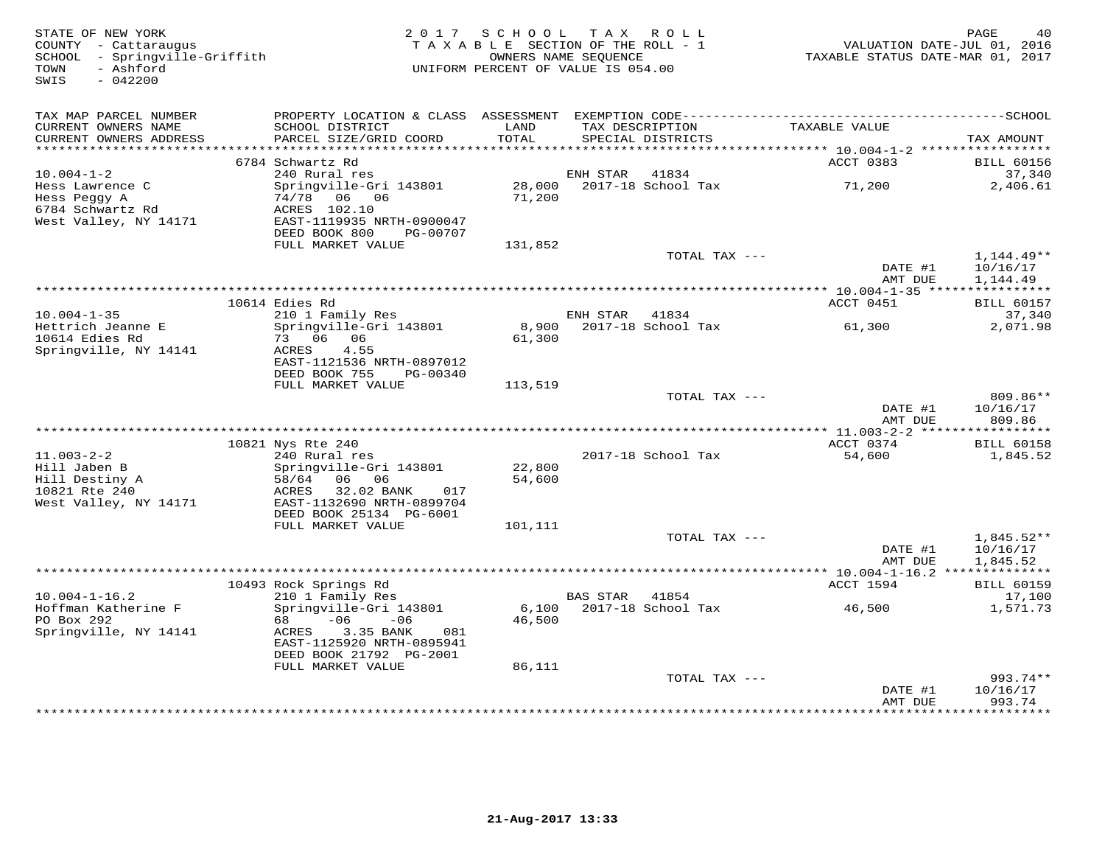| STATE OF NEW YORK<br>COUNTY - Cattaraugus<br>SCHOOL - Springville-Griffith   |                                                                                    | 2017 SCHOOL TAX ROLL<br>TAXABLE SECTION OF THE ROLL - 1<br>OWNERS NAME SEQUENCE |          |                                      | TAXABLE STATUS DATE-MAR 01, 2017 | PAGE<br>40<br>VALUATION DATE-JUL 01, 2016 |
|------------------------------------------------------------------------------|------------------------------------------------------------------------------------|---------------------------------------------------------------------------------|----------|--------------------------------------|----------------------------------|-------------------------------------------|
| - Ashford<br>TOWN<br>SWIS<br>$-042200$                                       |                                                                                    | UNIFORM PERCENT OF VALUE IS 054.00                                              |          |                                      |                                  |                                           |
| TAX MAP PARCEL NUMBER                                                        |                                                                                    |                                                                                 |          |                                      |                                  |                                           |
| CURRENT OWNERS NAME<br>CURRENT OWNERS ADDRESS<br>***********************     | SCHOOL DISTRICT<br>PARCEL SIZE/GRID COORD                                          | LAND<br>TOTAL                                                                   |          | TAX DESCRIPTION<br>SPECIAL DISTRICTS | TAXABLE VALUE                    | TAX AMOUNT                                |
|                                                                              | 6784 Schwartz Rd                                                                   |                                                                                 |          |                                      | ACCT 0383                        | <b>BILL 60156</b>                         |
| $10.004 - 1 - 2$                                                             | 240 Rural res                                                                      |                                                                                 | ENH STAR | 41834                                |                                  | 37,340                                    |
| Hess Lawrence C<br>Hess Peggy A<br>6784 Schwartz Rd<br>West Valley, NY 14171 | Springville-Gri 143801<br>74/78 06 06<br>ACRES 102.10<br>EAST-1119935 NRTH-0900047 | 28,000<br>71,200                                                                |          | 2017-18 School Tax                   | 71,200                           | 2,406.61                                  |
|                                                                              | DEED BOOK 800<br>PG-00707                                                          |                                                                                 |          |                                      |                                  |                                           |
|                                                                              | FULL MARKET VALUE                                                                  | 131,852                                                                         |          |                                      |                                  |                                           |
|                                                                              |                                                                                    |                                                                                 |          | TOTAL TAX ---                        | DATE #1<br>AMT DUE               | 1,144.49**<br>10/16/17<br>1,144.49        |
|                                                                              |                                                                                    |                                                                                 |          |                                      |                                  |                                           |
|                                                                              | 10614 Edies Rd                                                                     |                                                                                 |          |                                      | ACCT 0451                        | <b>BILL 60157</b>                         |
| $10.004 - 1 - 35$<br>Hettrich Jeanne E<br>10614 Edies Rd                     | 210 1 Family Res<br>Springville-Gri 143801<br>73 06 06                             | 61,300                                                                          | ENH STAR | 41834<br>8,900 2017-18 School Tax    | 61,300                           | 37,340<br>2,071.98                        |
| Springville, NY 14141                                                        | 4.55<br>ACRES<br>EAST-1121536 NRTH-0897012<br>DEED BOOK 755<br>PG-00340            |                                                                                 |          |                                      |                                  |                                           |
|                                                                              | FULL MARKET VALUE                                                                  | 113,519                                                                         |          |                                      |                                  |                                           |
|                                                                              |                                                                                    |                                                                                 |          | TOTAL TAX ---                        | DATE #1<br>AMT DUE               | 809.86**<br>10/16/17<br>809.86            |
|                                                                              | 10821 Nys Rte 240                                                                  |                                                                                 |          |                                      | ACCT 0374                        | <b>BILL 60158</b>                         |
| $11.003 - 2 - 2$                                                             | 240 Rural res                                                                      |                                                                                 |          | 2017-18 School Tax                   | 54,600                           | 1,845.52                                  |
| Hill Jaben B                                                                 | Springville-Gri 143801                                                             | 22,800                                                                          |          |                                      |                                  |                                           |
| Hill Destiny A<br>10821 Rte 240<br>West Valley, NY 14171                     | 06 06<br>58/64<br>32.02 BANK<br>ACRES<br>017<br>EAST-1132690 NRTH-0899704          | 54,600                                                                          |          |                                      |                                  |                                           |
|                                                                              | DEED BOOK 25134 PG-6001                                                            |                                                                                 |          |                                      |                                  |                                           |
|                                                                              | FULL MARKET VALUE                                                                  | 101,111                                                                         |          | TOTAL TAX ---                        |                                  | 1,845.52**                                |
|                                                                              |                                                                                    |                                                                                 |          |                                      | DATE #1<br>AMT DUE               | 10/16/17<br>1,845.52                      |
|                                                                              |                                                                                    |                                                                                 |          |                                      |                                  |                                           |
| $10.004 - 1 - 16.2$                                                          | 10493 Rock Springs Rd<br>210 1 Family Res                                          |                                                                                 | BAS STAR | 41854                                | ACCT 1594                        | <b>BILL 60159</b><br>17,100               |
| Hoffman Katherine F<br>PO Box 292                                            | Springville-Gri 143801<br>68 —<br>$-06$<br>$-06$                                   | 6,100<br>46,500                                                                 |          | 2017-18 School Tax                   | 46,500                           | 1,571.73                                  |
| Springville, NY 14141                                                        | ACRES<br>3.35 BANK<br>081<br>EAST-1125920 NRTH-0895941<br>DEED BOOK 21792 PG-2001  |                                                                                 |          |                                      |                                  |                                           |
|                                                                              | FULL MARKET VALUE                                                                  | 86,111                                                                          |          |                                      |                                  |                                           |
|                                                                              |                                                                                    |                                                                                 |          | TOTAL TAX ---                        | DATE #1                          | $993.74**$<br>10/16/17                    |
|                                                                              |                                                                                    |                                                                                 |          |                                      | AMT DUE<br>*************         | 993.74<br>* * * * * * * * *               |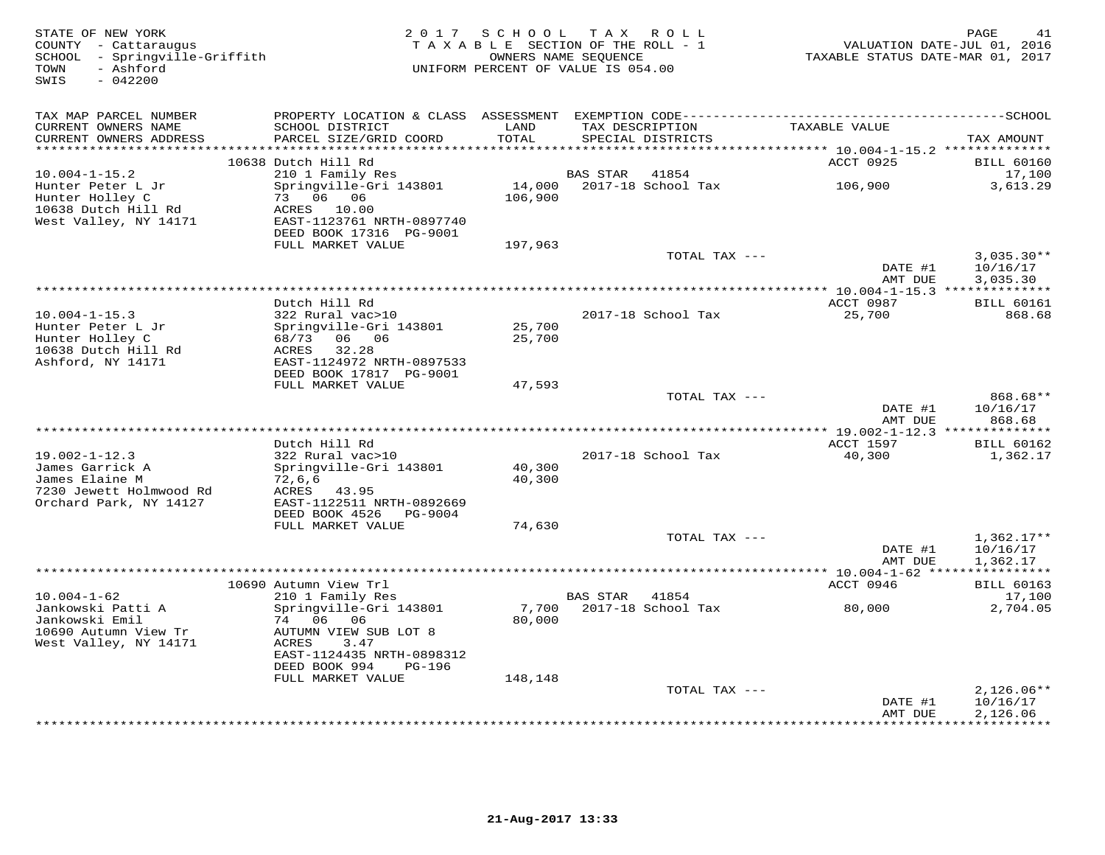| STATE OF NEW YORK<br>COUNTY - Cattaraugus<br>SCHOOL - Springville-Griffith<br>- Ashford<br>TOWN<br>$-042200$<br>SWIS | 2 0 1 7                                                                                                            | SCHOOL            | TAX ROLL<br>TAXABLE SECTION OF THE ROLL - 1<br>OWNERS NAME SEQUENCE<br>UNIFORM PERCENT OF VALUE IS 054.00 | TAXABLE STATUS DATE-MAR 01, 2017                    | PAGE<br>41<br>VALUATION DATE-JUL 01, 2016 |
|----------------------------------------------------------------------------------------------------------------------|--------------------------------------------------------------------------------------------------------------------|-------------------|-----------------------------------------------------------------------------------------------------------|-----------------------------------------------------|-------------------------------------------|
| TAX MAP PARCEL NUMBER                                                                                                | PROPERTY LOCATION & CLASS ASSESSMENT EXEMPTION CODE------------------------                                        |                   |                                                                                                           |                                                     | ------------SCHOOL                        |
| CURRENT OWNERS NAME<br>CURRENT OWNERS ADDRESS<br>**********************                                              | SCHOOL DISTRICT<br>PARCEL SIZE/GRID COORD                                                                          | LAND<br>TOTAL     | TAX DESCRIPTION<br>SPECIAL DISTRICTS                                                                      | TAXABLE VALUE                                       | TAX AMOUNT                                |
|                                                                                                                      | 10638 Dutch Hill Rd                                                                                                |                   |                                                                                                           | ACCT 0925                                           | <b>BILL 60160</b>                         |
| $10.004 - 1 - 15.2$<br>Hunter Peter L Jr<br>Hunter Holley C<br>10638 Dutch Hill Rd<br>West Valley, NY 14171          | 210 1 Family Res<br>Springville-Gri 143801<br>73 06 06<br>ACRES 10.00<br>EAST-1123761 NRTH-0897740                 | 14,000<br>106,900 | <b>BAS STAR</b><br>41854<br>2017-18 School Tax                                                            | 106,900                                             | 17,100<br>3,613.29                        |
|                                                                                                                      | DEED BOOK 17316 PG-9001<br>FULL MARKET VALUE                                                                       | 197,963           |                                                                                                           |                                                     |                                           |
|                                                                                                                      |                                                                                                                    |                   | TOTAL TAX ---                                                                                             | DATE #1                                             | $3,035.30**$<br>10/16/17                  |
|                                                                                                                      |                                                                                                                    |                   |                                                                                                           | AMT DUE<br>* 10.004-1-15.3 ***************          | 3,035.30                                  |
| $10.004 - 1 - 15.3$                                                                                                  | Dutch Hill Rd<br>322 Rural vac>10                                                                                  |                   | 2017-18 School Tax                                                                                        | ACCT 0987<br>25,700                                 | <b>BILL 60161</b><br>868.68               |
| Hunter Peter L Jr<br>Hunter Holley C<br>10638 Dutch Hill Rd<br>Ashford, NY 14171                                     | Springville-Gri 143801<br>06 06<br>68/73<br>32.28<br>ACRES<br>EAST-1124972 NRTH-0897533<br>DEED BOOK 17817 PG-9001 | 25,700<br>25,700  |                                                                                                           |                                                     |                                           |
|                                                                                                                      | FULL MARKET VALUE                                                                                                  | 47,593            |                                                                                                           |                                                     |                                           |
|                                                                                                                      |                                                                                                                    |                   | TOTAL TAX ---                                                                                             | DATE #1<br>AMT DUE                                  | 868.68**<br>10/16/17<br>868.68            |
|                                                                                                                      |                                                                                                                    |                   |                                                                                                           |                                                     |                                           |
| $19.002 - 1 - 12.3$                                                                                                  | Dutch Hill Rd<br>322 Rural vac>10                                                                                  |                   | 2017-18 School Tax                                                                                        | ACCT 1597<br>40,300                                 | <b>BILL 60162</b><br>1,362.17             |
| James Garrick A<br>James Elaine M<br>7230 Jewett Holmwood Rd<br>Orchard Park, NY 14127                               | Springville-Gri 143801<br>72,6,6<br>ACRES<br>43.95<br>EAST-1122511 NRTH-0892669<br>DEED BOOK 4526<br>PG-9004       | 40,300<br>40,300  |                                                                                                           |                                                     |                                           |
|                                                                                                                      | FULL MARKET VALUE                                                                                                  | 74,630            | TOTAL TAX ---                                                                                             |                                                     |                                           |
|                                                                                                                      |                                                                                                                    |                   |                                                                                                           | DATE #1<br>AMT DUE                                  | $1,362.17**$<br>10/16/17<br>1,362.17      |
|                                                                                                                      |                                                                                                                    |                   |                                                                                                           | ******** 10.004-1-62 *****************<br>ACCT 0946 |                                           |
| $10.004 - 1 - 62$<br>Jankowski Patti A<br>Jankowski Emil<br>10690 Autumn View Tr                                     | 10690 Autumn View Trl<br>210 1 Family Res<br>Springville-Gri 143801<br>74 06 06<br>AUTUMN VIEW SUB LOT 8           | 7,700<br>80,000   | BAS STAR<br>41854<br>2017-18 School Tax                                                                   | 80,000                                              | <b>BILL 60163</b><br>17,100<br>2,704.05   |
| West Valley, NY 14171                                                                                                | ACRES<br>3.47<br>EAST-1124435 NRTH-0898312<br>DEED BOOK 994<br>PG-196                                              |                   |                                                                                                           |                                                     |                                           |
|                                                                                                                      | FULL MARKET VALUE                                                                                                  | 148,148           | TOTAL TAX ---                                                                                             |                                                     | $2,126.06**$                              |
|                                                                                                                      |                                                                                                                    |                   |                                                                                                           | DATE #1<br>AMT DUE<br>* * * * * * *                 | 10/16/17<br>2,126.06<br>*********         |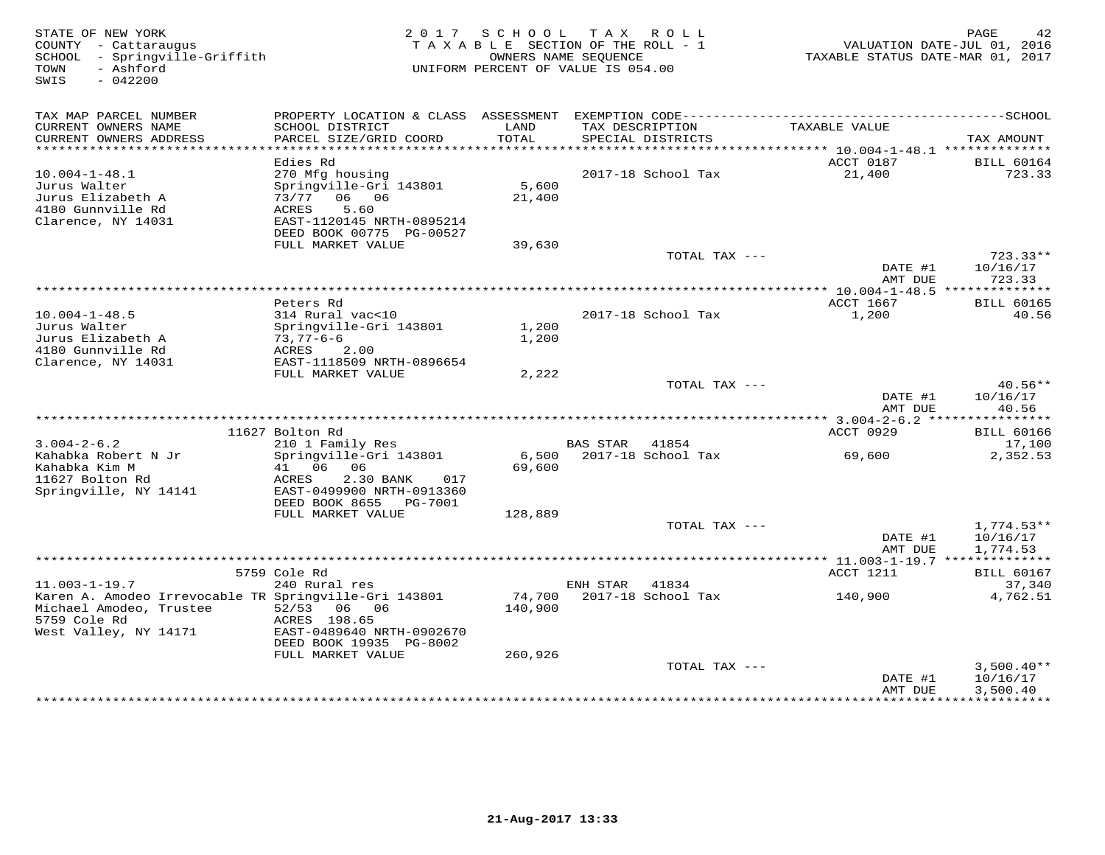| STATE OF NEW YORK<br>COUNTY - Cattaraugus<br>SCHOOL<br>- Springville-Griffith<br>- Ashford<br>TOWN<br>$-042200$<br>SWIS                          |                                                                                                                                                |                   | 2017 SCHOOL TAX ROLL<br>TAXABLE SECTION OF THE ROLL - 1<br>OWNERS NAME SEQUENCE<br>UNIFORM PERCENT OF VALUE IS 054.00 |               | TAXABLE STATUS DATE-MAR 01, 2017          | PAGE<br>42<br>VALUATION DATE-JUL 01, 2016 |
|--------------------------------------------------------------------------------------------------------------------------------------------------|------------------------------------------------------------------------------------------------------------------------------------------------|-------------------|-----------------------------------------------------------------------------------------------------------------------|---------------|-------------------------------------------|-------------------------------------------|
| TAX MAP PARCEL NUMBER<br>CURRENT OWNERS NAME<br>CURRENT OWNERS ADDRESS                                                                           | SCHOOL DISTRICT<br>PARCEL SIZE/GRID COORD                                                                                                      | LAND<br>TOTAL     | TAX DESCRIPTION<br>SPECIAL DISTRICTS                                                                                  |               | TAXABLE VALUE                             | TAX AMOUNT                                |
| *******************                                                                                                                              |                                                                                                                                                |                   |                                                                                                                       |               | *********** 10.004-1-48.1 *************** |                                           |
| $10.004 - 1 - 48.1$<br>Jurus Walter<br>Jurus Elizabeth A<br>4180 Gunnville Rd<br>Clarence, NY 14031                                              | Edies Rd<br>270 Mfg housing<br>Springville-Gri 143801<br>73/77 06 06<br>ACRES<br>5.60<br>EAST-1120145 NRTH-0895214<br>DEED BOOK 00775 PG-00527 | 5,600<br>21,400   | 2017-18 School Tax                                                                                                    |               | ACCT 0187<br>21,400                       | <b>BILL 60164</b><br>723.33               |
|                                                                                                                                                  | FULL MARKET VALUE                                                                                                                              | 39,630            |                                                                                                                       |               |                                           |                                           |
|                                                                                                                                                  |                                                                                                                                                |                   |                                                                                                                       | TOTAL TAX --- | DATE #1<br>AMT DUE                        | $723.33**$<br>10/16/17<br>723.33          |
|                                                                                                                                                  |                                                                                                                                                |                   |                                                                                                                       |               |                                           |                                           |
| $10.004 - 1 - 48.5$<br>Jurus Walter<br>Jurus Elizabeth A                                                                                         | Peters Rd<br>314 Rural vac<10<br>Springville-Gri 143801<br>$73,77-6-6$                                                                         | 1,200<br>1,200    | 2017-18 School Tax                                                                                                    |               | ACCT 1667<br>1,200                        | <b>BILL 60165</b><br>40.56                |
| 4180 Gunnville Rd<br>Clarence, NY 14031                                                                                                          | ACRES<br>2.00<br>EAST-1118509 NRTH-0896654<br>FULL MARKET VALUE                                                                                | 2,222             |                                                                                                                       |               |                                           |                                           |
|                                                                                                                                                  |                                                                                                                                                |                   |                                                                                                                       | TOTAL TAX --- | DATE #1<br>AMT DUE                        | $40.56**$<br>10/16/17<br>40.56            |
|                                                                                                                                                  |                                                                                                                                                |                   |                                                                                                                       |               |                                           |                                           |
| $3.004 - 2 - 6.2$                                                                                                                                | 11627 Bolton Rd<br>210 1 Family Res                                                                                                            |                   | BAS STAR<br>41854                                                                                                     |               | ACCT 0929                                 | <b>BILL 60166</b><br>17,100               |
| Kahabka Robert N Jr<br>Kahabka Kim M<br>11627 Bolton Rd<br>Springville, NY 14141                                                                 | Springville-Gri 143801<br>41 06 06<br>ACRES<br>2.30 BANK<br>017<br>EAST-0499900 NRTH-0913360                                                   | 6,500<br>69,600   | 2017-18 School Tax                                                                                                    |               | 69,600                                    | 2,352.53                                  |
|                                                                                                                                                  | DEED BOOK 8655 PG-7001                                                                                                                         |                   |                                                                                                                       |               |                                           |                                           |
|                                                                                                                                                  | FULL MARKET VALUE                                                                                                                              | 128,889           |                                                                                                                       | TOTAL TAX --- | DATE #1<br>AMT DUE                        | $1,774.53**$<br>10/16/17<br>1,774.53      |
|                                                                                                                                                  |                                                                                                                                                |                   |                                                                                                                       |               |                                           |                                           |
|                                                                                                                                                  | 5759 Cole Rd                                                                                                                                   |                   |                                                                                                                       |               | ACCT 1211                                 | <b>BILL 60167</b>                         |
| $11.003 - 1 - 19.7$<br>Karen A. Amodeo Irrevocable TR Springville-Gri 143801<br>Michael Amodeo, Trustee<br>5759 Cole Rd<br>West Valley, NY 14171 | 240 Rural res<br>52/53<br>06 06<br>ACRES 198.65<br>EAST-0489640 NRTH-0902670<br>DEED BOOK 19935 PG-8002                                        | 74,700<br>140,900 | ENH STAR<br>41834<br>2017-18 School Tax                                                                               |               | 140,900                                   | 37,340<br>4,762.51                        |
|                                                                                                                                                  | FULL MARKET VALUE                                                                                                                              | 260,926           |                                                                                                                       | TOTAL TAX --- | DATE #1                                   | $3,500.40**$<br>10/16/17                  |
|                                                                                                                                                  |                                                                                                                                                |                   |                                                                                                                       |               | AMT DUE<br>****************               | 3,500.40<br>************                  |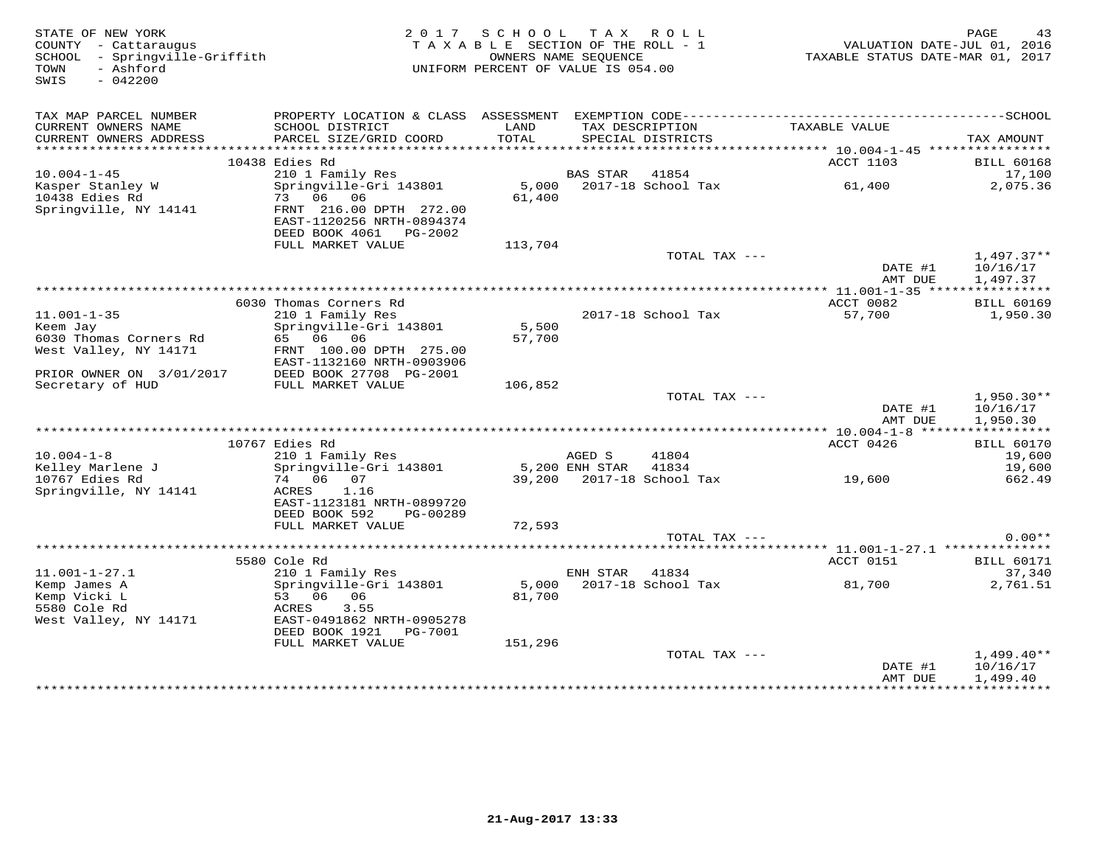| STATE OF NEW YORK<br>COUNTY - Cattaraugus<br>- Springville-Griffith<br>SCHOOL<br>TOWN<br>- Ashford<br>SWIS<br>$-042200$ |                                                                                                                                          | 2017 SCHOOL<br>TAXABLE SECTION OF THE ROLL - 1<br>OWNERS NAME SEOUENCE<br>UNIFORM PERCENT OF VALUE IS 054.00 |                          | TAX ROLL                             | VALUATION DATE-JUL 01, 2016<br>TAXABLE STATUS DATE-MAR 01, 2017 | PAGE<br>43                                        |
|-------------------------------------------------------------------------------------------------------------------------|------------------------------------------------------------------------------------------------------------------------------------------|--------------------------------------------------------------------------------------------------------------|--------------------------|--------------------------------------|-----------------------------------------------------------------|---------------------------------------------------|
| TAX MAP PARCEL NUMBER<br>CURRENT OWNERS NAME<br>CURRENT OWNERS ADDRESS                                                  | SCHOOL DISTRICT<br>PARCEL SIZE/GRID COORD                                                                                                | LAND<br>TOTAL                                                                                                |                          | TAX DESCRIPTION<br>SPECIAL DISTRICTS | TAXABLE VALUE                                                   | TAX AMOUNT                                        |
|                                                                                                                         |                                                                                                                                          |                                                                                                              |                          |                                      |                                                                 |                                                   |
| $10.004 - 1 - 45$                                                                                                       | 10438 Edies Rd<br>210 1 Family Res                                                                                                       |                                                                                                              | <b>BAS STAR</b>          | 41854                                | ACCT 1103                                                       | <b>BILL 60168</b><br>17,100                       |
| Kasper Stanley W<br>10438 Edies Rd<br>Springville, NY 14141                                                             | Springville-Gri 143801<br>73 06 06<br>FRNT 216.00 DPTH 272.00<br>EAST-1120256 NRTH-0894374<br>DEED BOOK 4061<br>PG-2002                  | 5,000<br>61,400                                                                                              |                          | 2017-18 School Tax                   | 61,400                                                          | 2,075.36                                          |
|                                                                                                                         | FULL MARKET VALUE                                                                                                                        | 113,704                                                                                                      |                          |                                      |                                                                 |                                                   |
|                                                                                                                         |                                                                                                                                          |                                                                                                              |                          | TOTAL TAX ---                        | DATE #1<br>AMT DUE                                              | $1,497.37**$<br>10/16/17<br>1,497.37              |
|                                                                                                                         |                                                                                                                                          |                                                                                                              |                          |                                      |                                                                 |                                                   |
| $11.001 - 1 - 35$<br>Keem Jay<br>6030 Thomas Corners Rd<br>West Valley, NY 14171                                        | 6030 Thomas Corners Rd<br>210 1 Family Res<br>Springville-Gri 143801<br>65 06 06<br>FRNT 100.00 DPTH 275.00<br>EAST-1132160 NRTH-0903906 | 5,500<br>57,700                                                                                              |                          | 2017-18 School Tax                   | ACCT 0082<br>57,700                                             | <b>BILL 60169</b><br>1,950.30                     |
| PRIOR OWNER ON 3/01/2017                                                                                                | DEED BOOK 27708 PG-2001                                                                                                                  |                                                                                                              |                          |                                      |                                                                 |                                                   |
| Secretary of HUD                                                                                                        | FULL MARKET VALUE                                                                                                                        | 106,852                                                                                                      |                          | TOTAL TAX ---                        | DATE #1<br>AMT DUE                                              | $1,950.30**$<br>10/16/17<br>1,950.30              |
|                                                                                                                         |                                                                                                                                          |                                                                                                              |                          |                                      |                                                                 |                                                   |
| $10.004 - 1 - 8$<br>Kelley Marlene J                                                                                    | 10767 Edies Rd<br>210 1 Family Res<br>Springville-Gri 143801                                                                             |                                                                                                              | AGED S<br>5,200 ENH STAR | 41804<br>41834                       | ACCT 0426                                                       | <b>BILL 60170</b><br>19,600<br>19,600             |
| 10767 Edies Rd<br>Springville, NY 14141                                                                                 | 74 06 07<br>ACRES<br>1.16<br>EAST-1123181 NRTH-0899720<br>DEED BOOK 592<br>PG-00289<br>FULL MARKET VALUE                                 | 72,593                                                                                                       |                          | 39,200 2017-18 School Tax            | 19,600                                                          | 662.49                                            |
|                                                                                                                         |                                                                                                                                          |                                                                                                              |                          | TOTAL TAX ---                        |                                                                 | $0.00**$                                          |
|                                                                                                                         |                                                                                                                                          |                                                                                                              |                          |                                      |                                                                 |                                                   |
| $11.001 - 1 - 27.1$                                                                                                     | 5580 Cole Rd<br>210 1 Family Res                                                                                                         |                                                                                                              | ENH STAR                 | 41834                                | ACCT 0151                                                       | <b>BILL 60171</b><br>37,340                       |
| Kemp James A<br>Kemp Vicki L<br>5580 Cole Rd<br>West Valley, NY 14171                                                   | Springville-Gri 143801<br>53 06<br>06<br>3.55<br>ACRES<br>EAST-0491862 NRTH-0905278<br>DEED BOOK 1921<br>PG-7001<br>FULL MARKET VALUE    | 5,000<br>81,700<br>151,296                                                                                   |                          | 2017-18 School Tax                   | 81,700                                                          | 2,761.51                                          |
|                                                                                                                         |                                                                                                                                          |                                                                                                              |                          | TOTAL TAX ---                        |                                                                 | $1,499.40**$                                      |
|                                                                                                                         |                                                                                                                                          |                                                                                                              |                          |                                      | DATE #1<br>AMT DUE                                              | 10/16/17<br>1,499.40<br>+ + + + + + + + + + + + + |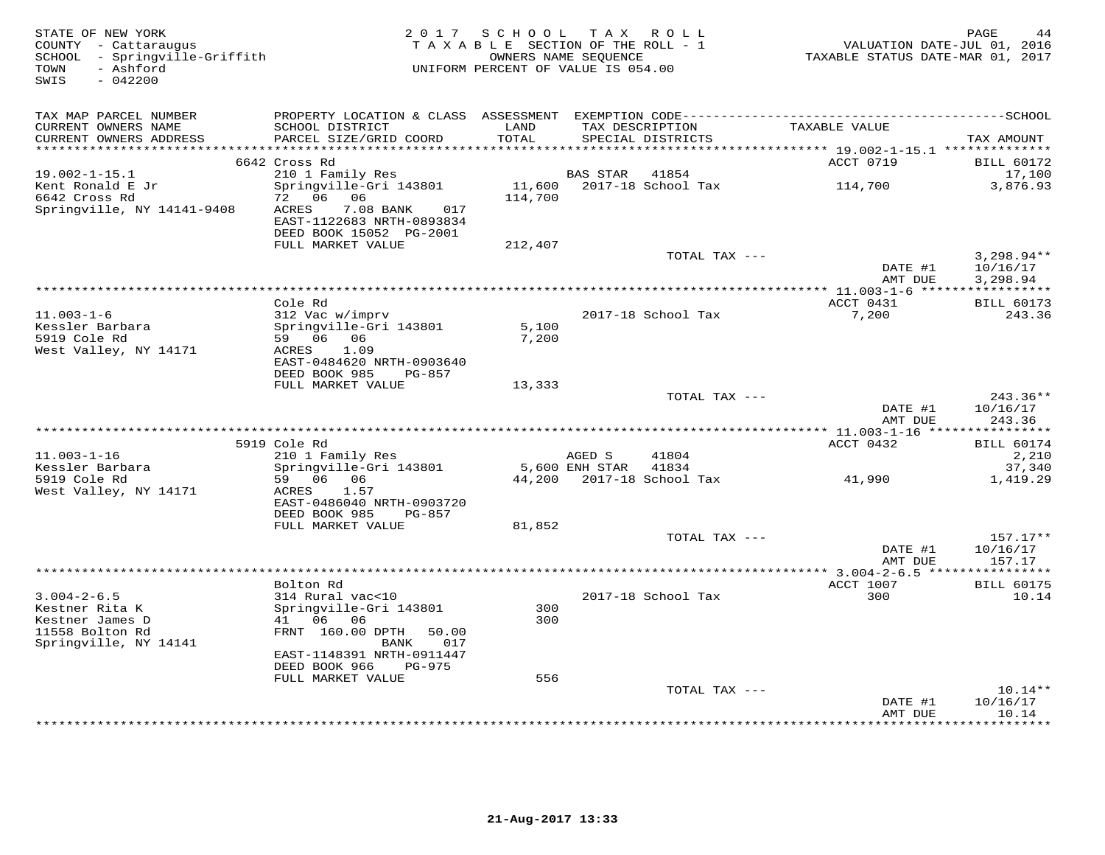| STATE OF NEW YORK<br>COUNTY - Cattaraugus<br>SCHOOL - Springville-Griffith<br>- Ashford<br>TOWN<br>$-042200$<br>SWIS |                                                                                                                              | 2017 SCHOOL TAX ROLL<br>TAXABLE SECTION OF THE ROLL - 1<br>UNIFORM PERCENT OF VALUE IS 054.00 | OWNERS NAME SEQUENCE |                                      | VALUATION DATE-JUL 01, 2016<br>TAXABLE STATUS DATE-MAR 01, 2017 | PAGE<br>44                                        |
|----------------------------------------------------------------------------------------------------------------------|------------------------------------------------------------------------------------------------------------------------------|-----------------------------------------------------------------------------------------------|----------------------|--------------------------------------|-----------------------------------------------------------------|---------------------------------------------------|
| TAX MAP PARCEL NUMBER                                                                                                |                                                                                                                              |                                                                                               |                      |                                      |                                                                 |                                                   |
| CURRENT OWNERS NAME<br>CURRENT OWNERS ADDRESS                                                                        | SCHOOL DISTRICT<br>PARCEL SIZE/GRID COORD                                                                                    | LAND<br>TOTAL                                                                                 |                      | TAX DESCRIPTION<br>SPECIAL DISTRICTS | TAXABLE VALUE                                                   | TAX AMOUNT                                        |
|                                                                                                                      | 6642 Cross Rd                                                                                                                |                                                                                               |                      |                                      | ACCT 0719                                                       | <b>BILL 60172</b>                                 |
| $19.002 - 1 - 15.1$<br>Kent Ronald E Jr<br>6642 Cross Rd<br>Springville, NY 14141-9408                               | 210 1 Family Res<br>Springville-Gri 143801<br>72 06 06<br>7.08 BANK<br>017<br>ACRES<br>EAST-1122683 NRTH-0893834             | 114,700                                                                                       | BAS STAR             | 41854<br>11,600 2017-18 School Tax   | 114,700                                                         | 17,100<br>3,876.93                                |
|                                                                                                                      | DEED BOOK 15052 PG-2001<br>FULL MARKET VALUE                                                                                 |                                                                                               |                      |                                      |                                                                 |                                                   |
|                                                                                                                      |                                                                                                                              | 212,407                                                                                       |                      | TOTAL TAX ---                        | DATE #1                                                         | $3,298.94**$<br>10/16/17                          |
|                                                                                                                      |                                                                                                                              |                                                                                               |                      |                                      | AMT DUE                                                         | 3,298.94                                          |
| $11.003 - 1 - 6$                                                                                                     | Cole Rd<br>312 Vac w/imprv                                                                                                   |                                                                                               |                      | 2017-18 School Tax                   | ACCT 0431<br>7,200                                              | <b>BILL 60173</b><br>243.36                       |
| Kessler Barbara<br>5919 Cole Rd<br>West Valley, NY 14171                                                             | Springville-Gri 143801<br>59 06 06<br>ACRES<br>1.09<br>EAST-0484620 NRTH-0903640                                             | 5,100<br>7,200                                                                                |                      |                                      |                                                                 |                                                   |
|                                                                                                                      | DEED BOOK 985<br>PG-857<br>FULL MARKET VALUE                                                                                 | 13,333                                                                                        |                      |                                      |                                                                 |                                                   |
|                                                                                                                      |                                                                                                                              |                                                                                               |                      | TOTAL TAX ---                        | DATE #1<br>AMT DUE                                              | 243.36**<br>10/16/17<br>243.36                    |
|                                                                                                                      |                                                                                                                              |                                                                                               |                      |                                      |                                                                 |                                                   |
| $11.003 - 1 - 16$                                                                                                    | 5919 Cole Rd<br>210 1 Family Res                                                                                             |                                                                                               | AGED S               | 41804                                | ACCT 0432                                                       | <b>BILL 60174</b><br>2,210                        |
| Kessler Barbara<br>5919 Cole Rd<br>West Valley, NY 14171                                                             | Springville-Gri 143801<br>59 06 06<br>ACRES<br>1.57<br>EAST-0486040 NRTH-0903720                                             |                                                                                               | 5,600 ENH STAR       | 41834<br>44,200 2017-18 School Tax   | 41,990                                                          | 37,340<br>1,419.29                                |
|                                                                                                                      | DEED BOOK 985<br>PG-857<br>FULL MARKET VALUE                                                                                 |                                                                                               |                      |                                      |                                                                 |                                                   |
|                                                                                                                      |                                                                                                                              | 81,852                                                                                        |                      | TOTAL TAX ---                        | DATE #1<br>AMT DUE                                              | $157.17**$<br>10/16/17<br>157.17                  |
|                                                                                                                      | Bolton Rd                                                                                                                    |                                                                                               |                      |                                      | ACCT 1007                                                       | <b>BILL 60175</b>                                 |
| $3.004 - 2 - 6.5$<br>Kestner Rita K<br>Kestner James D<br>11558 Bolton Rd<br>Springville, NY 14141                   | 314 Rural vac<10<br>Springville-Gri 143801<br>41 06 06<br>FRNT 160.00 DPTH 50.00<br>BANK<br>017<br>EAST-1148391 NRTH-0911447 | 300<br>300                                                                                    |                      | 2017-18 School Tax                   | 300                                                             | 10.14                                             |
|                                                                                                                      | DEED BOOK 966<br>PG-975<br>FULL MARKET VALUE                                                                                 | 556                                                                                           |                      |                                      |                                                                 |                                                   |
|                                                                                                                      |                                                                                                                              |                                                                                               |                      | TOTAL TAX ---                        | DATE #1<br>AMT DUE                                              | $10.14**$<br>10/16/17<br>10.14<br>* * * * * * * * |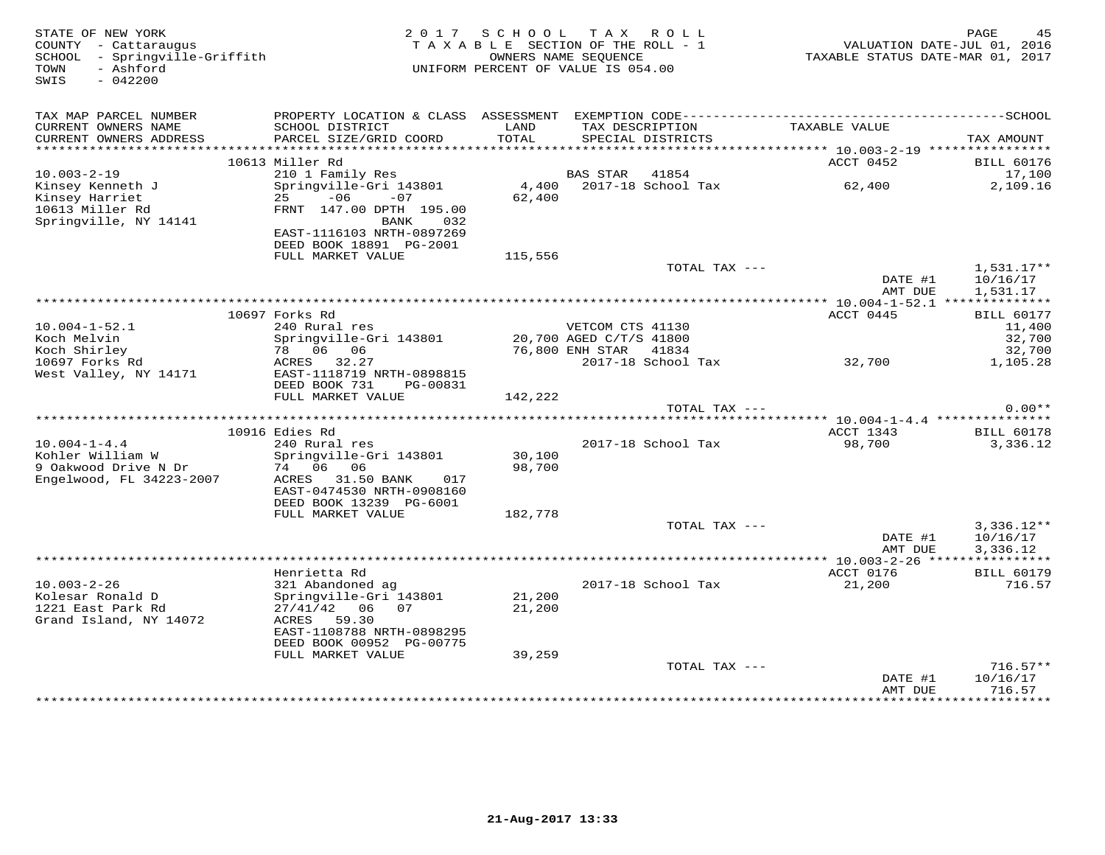| STATE OF NEW YORK<br>COUNTY - Cattaraugus<br>SCHOOL - Springville-Griffith<br>- Ashford<br>TOWN<br>SWIS<br>$-042200$ | 2 0 1 7                                                                                                          | SCHOOL TAX ROLL<br>TAXABLE SECTION OF THE ROLL - 1<br>OWNERS NAME SEQUENCE<br>UNIFORM PERCENT OF VALUE IS 054.00 |                                            |                    | VALUATION DATE-JUL 01, 2016<br>TAXABLE STATUS DATE-MAR 01, 2017 | PAGE<br>45                           |
|----------------------------------------------------------------------------------------------------------------------|------------------------------------------------------------------------------------------------------------------|------------------------------------------------------------------------------------------------------------------|--------------------------------------------|--------------------|-----------------------------------------------------------------|--------------------------------------|
| TAX MAP PARCEL NUMBER<br>CURRENT OWNERS NAME                                                                         | SCHOOL DISTRICT                                                                                                  | LAND                                                                                                             |                                            | TAX DESCRIPTION    | TAXABLE VALUE                                                   |                                      |
| CURRENT OWNERS ADDRESS<br>************************                                                                   | PARCEL SIZE/GRID COORD                                                                                           | TOTAL                                                                                                            |                                            | SPECIAL DISTRICTS  |                                                                 | TAX AMOUNT                           |
|                                                                                                                      | 10613 Miller Rd                                                                                                  |                                                                                                                  |                                            |                    | ACCT 0452                                                       |                                      |
| $10.003 - 2 - 19$                                                                                                    | 210 1 Family Res                                                                                                 |                                                                                                                  | BAS STAR                                   | 41854              |                                                                 | <b>BILL 60176</b><br>17,100          |
| Kinsey Kenneth J<br>Kinsey Harriet                                                                                   | Springville-Gri 143801<br>$-06$<br>25<br>$-07$                                                                   | 4,400<br>62,400                                                                                                  |                                            | 2017-18 School Tax | 62,400                                                          | 2,109.16                             |
| 10613 Miller Rd<br>Springville, NY 14141                                                                             | FRNT 147.00 DPTH 195.00<br><b>BANK</b><br>032                                                                    |                                                                                                                  |                                            |                    |                                                                 |                                      |
|                                                                                                                      | EAST-1116103 NRTH-0897269<br>DEED BOOK 18891 PG-2001                                                             |                                                                                                                  |                                            |                    |                                                                 |                                      |
|                                                                                                                      | FULL MARKET VALUE                                                                                                | 115,556                                                                                                          |                                            |                    |                                                                 |                                      |
|                                                                                                                      |                                                                                                                  |                                                                                                                  |                                            | TOTAL TAX ---      | DATE #1<br>AMT DUE                                              | $1,531.17**$<br>10/16/17<br>1,531.17 |
|                                                                                                                      |                                                                                                                  |                                                                                                                  |                                            |                    |                                                                 |                                      |
|                                                                                                                      | 10697 Forks Rd                                                                                                   |                                                                                                                  |                                            |                    | ACCT 0445                                                       | <b>BILL 60177</b>                    |
| $10.004 - 1 - 52.1$                                                                                                  | 240 Rural res                                                                                                    |                                                                                                                  | VETCOM CTS 41130                           |                    |                                                                 | 11,400                               |
| Koch Melvin<br>Koch Shirley                                                                                          | Springville-Gri 143801<br>78 06 06                                                                               |                                                                                                                  | 20,700 AGED C/T/S 41800<br>76,800 ENH STAR | 41834              |                                                                 | 32,700<br>32,700                     |
| 10697 Forks Rd                                                                                                       | ACRES 32.27                                                                                                      |                                                                                                                  |                                            | 2017-18 School Tax | 32,700                                                          | 1,105.28                             |
| West Valley, NY 14171                                                                                                | EAST-1118719 NRTH-0898815<br>DEED BOOK 731<br>PG-00831                                                           |                                                                                                                  |                                            |                    |                                                                 |                                      |
|                                                                                                                      | FULL MARKET VALUE                                                                                                | 142,222                                                                                                          |                                            |                    |                                                                 |                                      |
|                                                                                                                      |                                                                                                                  |                                                                                                                  |                                            | TOTAL TAX ---      |                                                                 | $0.00**$                             |
|                                                                                                                      | 10916 Edies Rd                                                                                                   |                                                                                                                  |                                            |                    | ACCT 1343                                                       | <b>BILL 60178</b>                    |
| $10.004 - 1 - 4.4$                                                                                                   | 240 Rural res                                                                                                    |                                                                                                                  |                                            | 2017-18 School Tax | 98,700                                                          | 3,336.12                             |
| Kohler William W<br>9 Oakwood Drive N Dr                                                                             | Springville-Gri 143801<br>74 06 06                                                                               | 30,100<br>98,700                                                                                                 |                                            |                    |                                                                 |                                      |
| Engelwood, FL 34223-2007                                                                                             | ACRES<br>31.50 BANK<br>017<br>EAST-0474530 NRTH-0908160                                                          |                                                                                                                  |                                            |                    |                                                                 |                                      |
|                                                                                                                      | DEED BOOK 13239 PG-6001                                                                                          |                                                                                                                  |                                            |                    |                                                                 |                                      |
|                                                                                                                      | FULL MARKET VALUE                                                                                                | 182,778                                                                                                          |                                            | TOTAL TAX ---      |                                                                 | $3,336.12**$                         |
|                                                                                                                      |                                                                                                                  |                                                                                                                  |                                            |                    | DATE #1<br>AMT DUE                                              | 10/16/17<br>3,336.12                 |
|                                                                                                                      |                                                                                                                  |                                                                                                                  |                                            |                    |                                                                 |                                      |
|                                                                                                                      | Henrietta Rd                                                                                                     |                                                                                                                  |                                            |                    | ACCT 0176                                                       | <b>BILL 60179</b>                    |
| $10.003 - 2 - 26$<br>Kolesar Ronald D<br>1221 East Park Rd<br>Grand Island, NY 14072                                 | 321 Abandoned ag<br>Springville-Gri 143801<br>$27/41/42$ 06<br>07<br>ACRES<br>59.30<br>EAST-1108788 NRTH-0898295 | 21,200<br>21,200                                                                                                 |                                            | 2017-18 School Tax | 21,200                                                          | 716.57                               |
|                                                                                                                      | DEED BOOK 00952 PG-00775                                                                                         |                                                                                                                  |                                            |                    |                                                                 |                                      |
|                                                                                                                      | FULL MARKET VALUE                                                                                                | 39,259                                                                                                           |                                            | TOTAL TAX ---      |                                                                 | $716.57**$                           |
|                                                                                                                      |                                                                                                                  |                                                                                                                  |                                            |                    | DATE #1<br>AMT DUE                                              | 10/16/17<br>716.57                   |
|                                                                                                                      |                                                                                                                  |                                                                                                                  |                                            |                    |                                                                 | * * * * * * * * * *                  |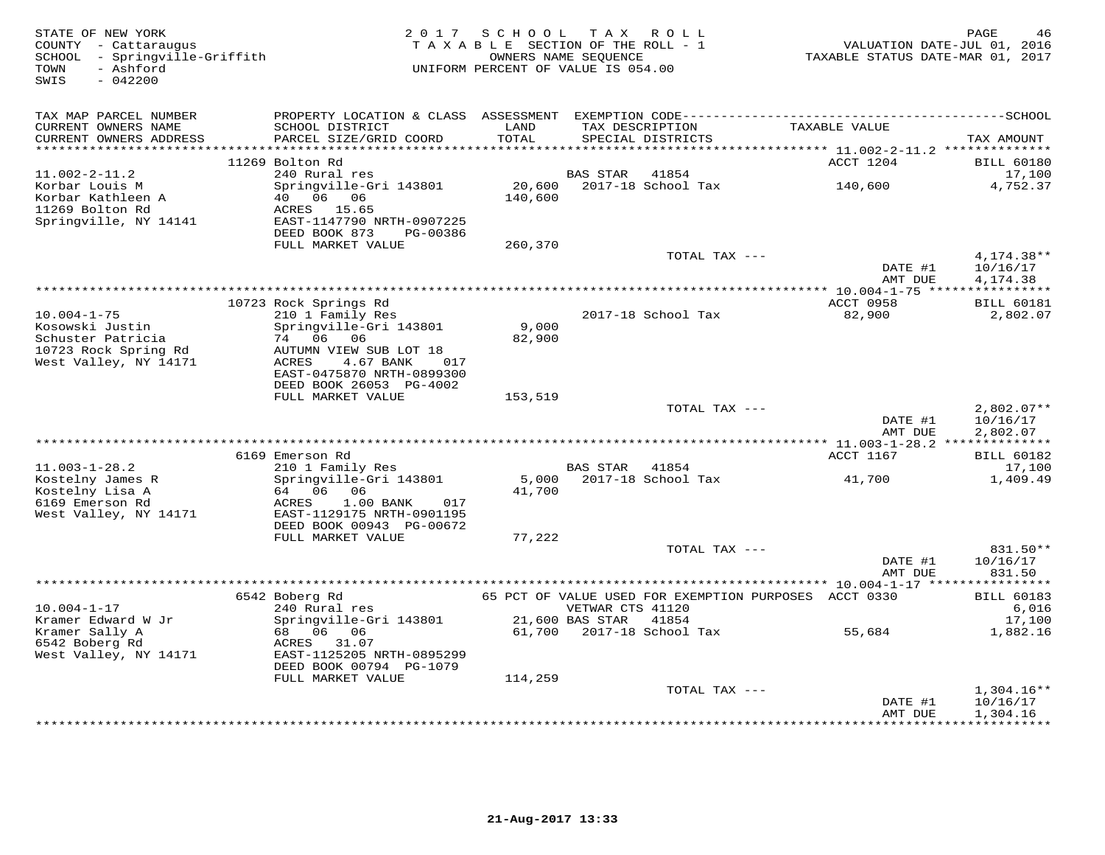| STATE OF NEW YORK<br>COUNTY - Cattaraugus<br>SCHOOL - Springville-Griffith<br>- Ashford<br>TOWN<br>SWIS<br>$-042200$ |                                                                                                | 2017 SCHOOL TAX ROLL<br>TAXABLE SECTION OF THE ROLL - 1<br>OWNERS NAME SEQUENCE<br>UNIFORM PERCENT OF VALUE IS 054.00 |                                           |                                      | VALUATION DATE-JUL 01, 2016<br>TAXABLE STATUS DATE-MAR 01, 2017 | PAGE<br>46                           |
|----------------------------------------------------------------------------------------------------------------------|------------------------------------------------------------------------------------------------|-----------------------------------------------------------------------------------------------------------------------|-------------------------------------------|--------------------------------------|-----------------------------------------------------------------|--------------------------------------|
| TAX MAP PARCEL NUMBER                                                                                                |                                                                                                |                                                                                                                       |                                           |                                      |                                                                 |                                      |
| CURRENT OWNERS NAME<br>CURRENT OWNERS ADDRESS                                                                        | SCHOOL DISTRICT<br>PARCEL SIZE/GRID COORD                                                      | LAND<br>TOTAL<br>*******                                                                                              |                                           | TAX DESCRIPTION<br>SPECIAL DISTRICTS | TAXABLE VALUE                                                   | TAX AMOUNT                           |
|                                                                                                                      | 11269 Bolton Rd                                                                                |                                                                                                                       |                                           |                                      | *********** 11.002-2-11.2 ***************<br>ACCT 1204          | <b>BILL 60180</b>                    |
| $11.002 - 2 - 11.2$                                                                                                  | 240 Rural res                                                                                  |                                                                                                                       | BAS STAR                                  | 41854                                |                                                                 | 17,100                               |
| Korbar Louis M<br>Korbar Kathleen A<br>11269 Bolton Rd<br>Springville, NY 14141                                      | Springville-Gri 143801<br>40 06 06<br>ACRES 15.65<br>EAST-1147790 NRTH-0907225                 | 20,600<br>140,600                                                                                                     |                                           | 2017-18 School Tax                   | 140,600                                                         | 4,752.37                             |
|                                                                                                                      | DEED BOOK 873<br>PG-00386                                                                      |                                                                                                                       |                                           |                                      |                                                                 |                                      |
|                                                                                                                      | FULL MARKET VALUE                                                                              | 260,370                                                                                                               |                                           | TOTAL TAX ---                        |                                                                 |                                      |
|                                                                                                                      |                                                                                                |                                                                                                                       |                                           |                                      | DATE #1<br>AMT DUE                                              | $4,174.38**$<br>10/16/17<br>4,174.38 |
|                                                                                                                      |                                                                                                |                                                                                                                       |                                           |                                      |                                                                 |                                      |
|                                                                                                                      | 10723 Rock Springs Rd                                                                          |                                                                                                                       |                                           |                                      | <b>ACCT 0958</b>                                                | <b>BILL 60181</b>                    |
| $10.004 - 1 - 75$                                                                                                    | 210 1 Family Res                                                                               |                                                                                                                       |                                           | 2017-18 School Tax                   | 82,900                                                          | 2,802.07                             |
| Kosowski Justin<br>Schuster Patricia                                                                                 | Springville-Gri 143801<br>74 06 06                                                             | 9,000<br>82,900                                                                                                       |                                           |                                      |                                                                 |                                      |
| 10723 Rock Spring Rd                                                                                                 | AUTUMN VIEW SUB LOT 18                                                                         |                                                                                                                       |                                           |                                      |                                                                 |                                      |
| West Valley, NY 14171                                                                                                | ACRES<br>4.67 BANK<br>017                                                                      |                                                                                                                       |                                           |                                      |                                                                 |                                      |
|                                                                                                                      | EAST-0475870 NRTH-0899300                                                                      |                                                                                                                       |                                           |                                      |                                                                 |                                      |
|                                                                                                                      | DEED BOOK 26053 PG-4002                                                                        |                                                                                                                       |                                           |                                      |                                                                 |                                      |
|                                                                                                                      | FULL MARKET VALUE                                                                              | 153,519                                                                                                               |                                           | TOTAL TAX ---                        |                                                                 | $2,802.07**$                         |
|                                                                                                                      |                                                                                                |                                                                                                                       |                                           |                                      | DATE #1                                                         | 10/16/17                             |
|                                                                                                                      |                                                                                                |                                                                                                                       |                                           |                                      | AMT DUE                                                         | 2,802.07                             |
|                                                                                                                      |                                                                                                |                                                                                                                       |                                           |                                      |                                                                 |                                      |
|                                                                                                                      | 6169 Emerson Rd                                                                                |                                                                                                                       |                                           |                                      | ACCT 1167                                                       | <b>BILL 60182</b>                    |
| $11.003 - 1 - 28.2$<br>Kostelny James R                                                                              | 210 1 Family Res<br>Springville-Gri 143801                                                     | 5,000                                                                                                                 | <b>BAS STAR</b>                           | 41854<br>2017-18 School Tax          | 41,700                                                          | 17,100<br>1,409.49                   |
| Kostelny Lisa A<br>6169 Emerson Rd<br>West Valley, NY 14171                                                          | 64 06 06<br>1.00 BANK<br>ACRES<br>017<br>EAST-1129175 NRTH-0901195<br>DEED BOOK 00943 PG-00672 | 41,700                                                                                                                |                                           |                                      |                                                                 |                                      |
|                                                                                                                      | FULL MARKET VALUE                                                                              | 77,222                                                                                                                |                                           |                                      |                                                                 |                                      |
|                                                                                                                      |                                                                                                |                                                                                                                       |                                           | TOTAL TAX ---                        |                                                                 | 831.50**                             |
|                                                                                                                      |                                                                                                |                                                                                                                       |                                           |                                      | DATE #1<br>AMT DUE                                              | 10/16/17<br>831.50                   |
|                                                                                                                      |                                                                                                |                                                                                                                       |                                           |                                      |                                                                 |                                      |
| $10.004 - 1 - 17$<br>Kramer Edward W Jr                                                                              | 6542 Boberg Rd<br>240 Rural res                                                                |                                                                                                                       | VETWAR CTS 41120<br>21,600 BAS STAR 41854 |                                      | 65 PCT OF VALUE USED FOR EXEMPTION PURPOSES ACCT 0330           | <b>BILL 60183</b><br>6,016<br>17,100 |
| Kramer Sally A                                                                                                       | Springville-Gri 143801<br>68 06 06                                                             |                                                                                                                       |                                           | 61,700 2017-18 School Tax            | 55,684                                                          | 1,882.16                             |
| 6542 Boberg Rd<br>West Valley, NY 14171                                                                              | ACRES 31.07<br>EAST-1125205 NRTH-0895299                                                       |                                                                                                                       |                                           |                                      |                                                                 |                                      |
|                                                                                                                      | DEED BOOK 00794 PG-1079                                                                        |                                                                                                                       |                                           |                                      |                                                                 |                                      |
|                                                                                                                      | FULL MARKET VALUE                                                                              | 114,259                                                                                                               |                                           |                                      |                                                                 |                                      |
|                                                                                                                      |                                                                                                |                                                                                                                       |                                           | TOTAL TAX ---                        |                                                                 | $1,304.16**$                         |
|                                                                                                                      |                                                                                                |                                                                                                                       |                                           | ********************************     | DATE #1<br>AMT DUE                                              | 10/16/17<br>1,304.16<br>**********   |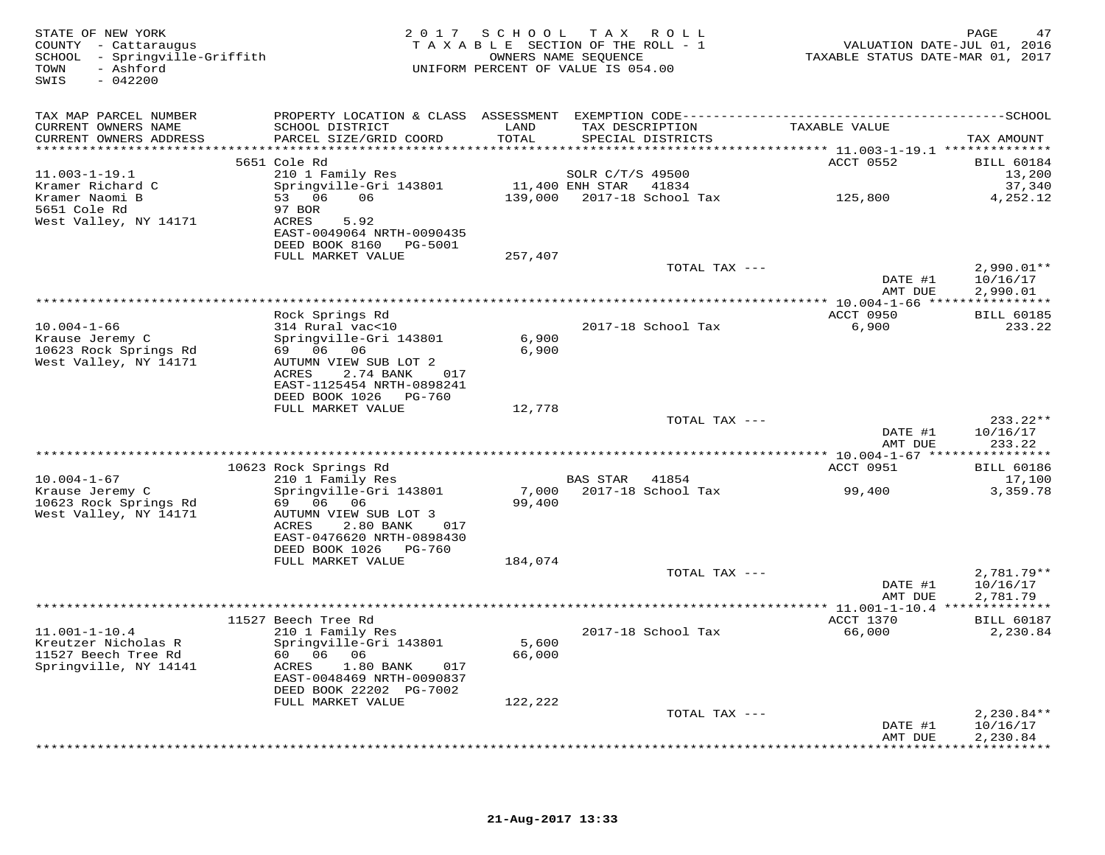| STATE OF NEW YORK<br>COUNTY - Cattaraugus<br>SCHOOL - Springville-Griffith<br>- Ashford<br>TOWN<br>SWIS<br>$-042200$ |                                                    | 2017 SCHOOL     | T A X<br>R O L L<br>TAXABLE SECTION OF THE ROLL - 1<br>OWNERS NAME SEQUENCE<br>UNIFORM PERCENT OF VALUE IS 054.00 | VALUATION DATE-JUL 01, 2016<br>TAXABLE STATUS DATE-MAR 01, 2017 | PAGE<br>47               |
|----------------------------------------------------------------------------------------------------------------------|----------------------------------------------------|-----------------|-------------------------------------------------------------------------------------------------------------------|-----------------------------------------------------------------|--------------------------|
| TAX MAP PARCEL NUMBER                                                                                                |                                                    |                 |                                                                                                                   |                                                                 |                          |
| CURRENT OWNERS NAME<br>CURRENT OWNERS ADDRESS<br>************************                                            | SCHOOL DISTRICT<br>PARCEL SIZE/GRID COORD          | LAND<br>TOTAL   | TAX DESCRIPTION<br>SPECIAL DISTRICTS                                                                              | TAXABLE VALUE                                                   | TAX AMOUNT               |
|                                                                                                                      | 5651 Cole Rd                                       |                 |                                                                                                                   | ACCT 0552                                                       | <b>BILL 60184</b>        |
| $11.003 - 1 - 19.1$                                                                                                  | 210 1 Family Res                                   |                 | SOLR C/T/S 49500                                                                                                  |                                                                 | 13,200                   |
| Kramer Richard C                                                                                                     | Springville-Gri 143801                             |                 | 11,400 ENH STAR<br>41834                                                                                          |                                                                 | 37,340                   |
| Kramer Naomi B<br>5651 Cole Rd                                                                                       | 53 06<br>06                                        | 139,000         | 2017-18 School Tax                                                                                                | 125,800                                                         | 4,252.12                 |
| West Valley, NY 14171                                                                                                | 97 BOR<br>ACRES<br>5.92                            |                 |                                                                                                                   |                                                                 |                          |
|                                                                                                                      | EAST-0049064 NRTH-0090435                          |                 |                                                                                                                   |                                                                 |                          |
|                                                                                                                      | DEED BOOK 8160<br>PG-5001                          |                 |                                                                                                                   |                                                                 |                          |
|                                                                                                                      | FULL MARKET VALUE                                  | 257,407         |                                                                                                                   |                                                                 |                          |
|                                                                                                                      |                                                    |                 | TOTAL TAX ---                                                                                                     | DATE #1                                                         | $2,990.01**$<br>10/16/17 |
|                                                                                                                      |                                                    |                 |                                                                                                                   | AMT DUE                                                         | 2,990.01                 |
|                                                                                                                      |                                                    |                 | **********************                                                                                            | ********* 10.004-1-66 *****************                         |                          |
|                                                                                                                      | Rock Springs Rd                                    |                 |                                                                                                                   | ACCT 0950                                                       | <b>BILL 60185</b>        |
| $10.004 - 1 - 66$                                                                                                    | 314 Rural vac<10<br>Springville-Gri 143801         | 6,900           | 2017-18 School Tax                                                                                                | 6,900                                                           | 233.22                   |
| Krause Jeremy C<br>10623 Rock Springs Rd                                                                             | 69 06 06                                           | 6,900           |                                                                                                                   |                                                                 |                          |
| West Valley, NY 14171                                                                                                | AUTUMN VIEW SUB LOT 2                              |                 |                                                                                                                   |                                                                 |                          |
|                                                                                                                      | ACRES<br>2.74 BANK<br>017                          |                 |                                                                                                                   |                                                                 |                          |
|                                                                                                                      | EAST-1125454 NRTH-0898241                          |                 |                                                                                                                   |                                                                 |                          |
|                                                                                                                      | DEED BOOK 1026 PG-760<br>FULL MARKET VALUE         | 12,778          |                                                                                                                   |                                                                 |                          |
|                                                                                                                      |                                                    |                 | TOTAL TAX ---                                                                                                     |                                                                 | $233.22**$               |
|                                                                                                                      |                                                    |                 |                                                                                                                   | DATE #1                                                         | 10/16/17                 |
|                                                                                                                      |                                                    |                 |                                                                                                                   | AMT DUE                                                         | 233.22                   |
|                                                                                                                      | 10623 Rock Springs Rd                              |                 |                                                                                                                   | ACCT 0951                                                       | <b>BILL 60186</b>        |
| $10.004 - 1 - 67$                                                                                                    | 210 1 Family Res                                   |                 | BAS STAR 41854                                                                                                    |                                                                 | 17,100                   |
| Krause Jeremy C                                                                                                      | Springville-Gri 143801                             | 7,000           | 2017-18 School Tax                                                                                                | 99,400                                                          | 3,359.78                 |
| 10623 Rock Springs Rd                                                                                                | 69 06 06                                           | 99,400          |                                                                                                                   |                                                                 |                          |
| West Valley, NY 14171                                                                                                | AUTUMN VIEW SUB LOT 3<br>ACRES<br>2.80 BANK<br>017 |                 |                                                                                                                   |                                                                 |                          |
|                                                                                                                      | EAST-0476620 NRTH-0898430                          |                 |                                                                                                                   |                                                                 |                          |
|                                                                                                                      | DEED BOOK 1026 PG-760                              |                 |                                                                                                                   |                                                                 |                          |
|                                                                                                                      | FULL MARKET VALUE                                  | 184,074         |                                                                                                                   |                                                                 |                          |
|                                                                                                                      |                                                    |                 | TOTAL TAX ---                                                                                                     |                                                                 | $2,781.79**$             |
|                                                                                                                      |                                                    |                 |                                                                                                                   | DATE #1<br>AMT DUE                                              | 10/16/17<br>2,781.79     |
|                                                                                                                      |                                                    |                 | ***************                                                                                                   | * 11.001-1-10.4 ***************                                 |                          |
|                                                                                                                      | 11527 Beech Tree Rd                                |                 |                                                                                                                   | ACCT 1370                                                       | <b>BILL 60187</b>        |
| $11.001 - 1 - 10.4$                                                                                                  | 210 1 Family Res                                   |                 | 2017-18 School Tax                                                                                                | 66,000                                                          | 2,230.84                 |
| Kreutzer Nicholas R<br>11527 Beech Tree Rd                                                                           | Springville-Gri 143801<br>60 06<br>06              | 5,600<br>66,000 |                                                                                                                   |                                                                 |                          |
| Springville, NY 14141                                                                                                | ACRES<br>$1.80$ BANK<br>017                        |                 |                                                                                                                   |                                                                 |                          |
|                                                                                                                      | EAST-0048469 NRTH-0090837                          |                 |                                                                                                                   |                                                                 |                          |
|                                                                                                                      | DEED BOOK 22202 PG-7002                            |                 |                                                                                                                   |                                                                 |                          |
|                                                                                                                      | FULL MARKET VALUE                                  | 122,222         |                                                                                                                   |                                                                 |                          |
|                                                                                                                      |                                                    |                 | TOTAL TAX ---                                                                                                     | DATE #1                                                         | $2,230.84**$<br>10/16/17 |
|                                                                                                                      |                                                    |                 |                                                                                                                   | AMT DUE                                                         | 2,230.84                 |
|                                                                                                                      |                                                    |                 |                                                                                                                   |                                                                 | **********               |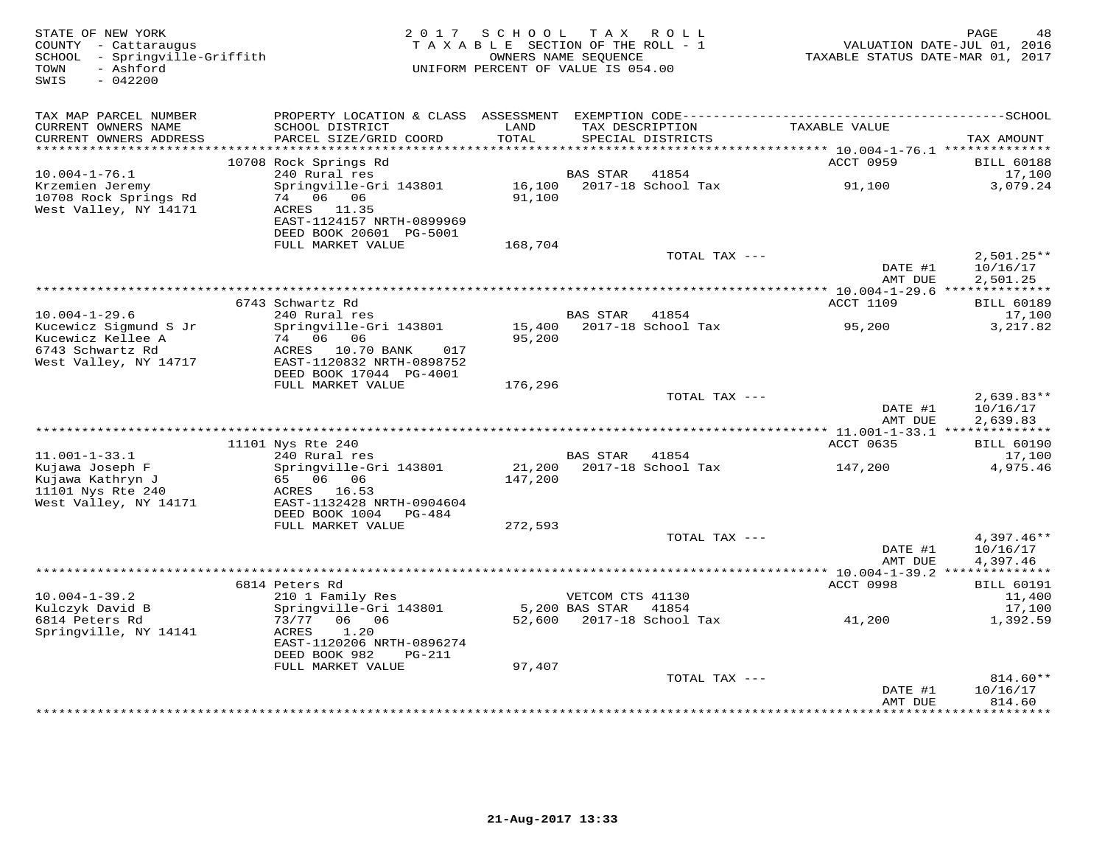| STATE OF NEW YORK<br>COUNTY - Cattaraugus<br>SCHOOL - Springville-Griffith<br>- Ashford<br>TOWN<br>$-042200$<br>SWIS |                                                                                                           | 2017 SCHOOL TAX ROLL<br>TAXABLE SECTION OF THE ROLL - 1<br>UNIFORM PERCENT OF VALUE IS 054.00 | OWNERS NAME SEQUENCE |                                      | TAXABLE STATUS DATE-MAR 01, 2017         | 48<br>PAGE<br>VALUATION DATE-JUL 01, 2016 |
|----------------------------------------------------------------------------------------------------------------------|-----------------------------------------------------------------------------------------------------------|-----------------------------------------------------------------------------------------------|----------------------|--------------------------------------|------------------------------------------|-------------------------------------------|
| TAX MAP PARCEL NUMBER                                                                                                | PROPERTY LOCATION & CLASS ASSESSMENT                                                                      |                                                                                               |                      |                                      |                                          |                                           |
| CURRENT OWNERS NAME<br>CURRENT OWNERS ADDRESS<br>***********************                                             | SCHOOL DISTRICT<br>PARCEL SIZE/GRID COORD                                                                 | LAND<br>TOTAL                                                                                 |                      | TAX DESCRIPTION<br>SPECIAL DISTRICTS | TAXABLE VALUE                            | TAX AMOUNT                                |
|                                                                                                                      | 10708 Rock Springs Rd                                                                                     |                                                                                               |                      |                                      | ACCT 0959                                | <b>BILL 60188</b>                         |
| $10.004 - 1 - 76.1$                                                                                                  | 240 Rural res                                                                                             |                                                                                               | <b>BAS STAR</b>      | 41854                                |                                          | 17,100                                    |
| Krzemien Jeremy<br>10708 Rock Springs Rd<br>West Valley, NY 14171                                                    | Springville-Gri 143801<br>74 06 06<br>ACRES 11.35<br>EAST-1124157 NRTH-0899969<br>DEED BOOK 20601 PG-5001 | 16,100<br>91,100                                                                              |                      | 2017-18 School Tax                   | 91,100                                   | 3,079.24                                  |
|                                                                                                                      | FULL MARKET VALUE                                                                                         | 168,704                                                                                       |                      |                                      |                                          |                                           |
|                                                                                                                      |                                                                                                           |                                                                                               |                      | TOTAL TAX ---                        | DATE #1<br>AMT DUE                       | $2,501.25**$<br>10/16/17<br>2,501.25      |
|                                                                                                                      |                                                                                                           |                                                                                               |                      |                                      |                                          |                                           |
|                                                                                                                      | 6743 Schwartz Rd                                                                                          |                                                                                               |                      |                                      | <b>ACCT 1109</b>                         | <b>BILL 60189</b>                         |
| $10.004 - 1 - 29.6$<br>Kucewicz Sigmund S Jr<br>Kucewicz Kellee A<br>6743 Schwartz Rd                                | 240 Rural res<br>Springville-Gri 143801<br>74 06 06<br>ACRES 10.70 BANK<br>017                            | 15,400<br>95,200                                                                              | <b>BAS STAR</b>      | 41854<br>2017-18 School Tax          | 95,200                                   | 17,100<br>3,217.82                        |
| West Valley, NY 14717                                                                                                | EAST-1120832 NRTH-0898752<br>DEED BOOK 17044 PG-4001                                                      |                                                                                               |                      |                                      |                                          |                                           |
|                                                                                                                      | FULL MARKET VALUE                                                                                         | 176,296                                                                                       |                      |                                      |                                          |                                           |
|                                                                                                                      |                                                                                                           |                                                                                               |                      | TOTAL TAX ---                        | DATE #1<br>AMT DUE                       | $2,639.83**$<br>10/16/17<br>2,639.83      |
|                                                                                                                      |                                                                                                           |                                                                                               |                      |                                      | *********** 11.001-1-33.1 ************** |                                           |
|                                                                                                                      | 11101 Nys Rte 240                                                                                         |                                                                                               |                      |                                      | ACCT 0635                                | <b>BILL 60190</b>                         |
| $11.001 - 1 - 33.1$<br>Kujawa Joseph F<br>Kujawa Kathryn J                                                           | 240 Rural res<br>Springville-Gri 143801<br>65 06 06                                                       | 147,200                                                                                       | <b>BAS STAR</b>      | 41854<br>21,200 2017-18 School Tax   | 147,200                                  | 17,100<br>4,975.46                        |
| 11101 Nys Rte 240<br>West Valley, NY 14171                                                                           | ACRES 16.53<br>EAST-1132428 NRTH-0904604<br>DEED BOOK 1004<br>$PG-484$                                    |                                                                                               |                      |                                      |                                          |                                           |
|                                                                                                                      | FULL MARKET VALUE                                                                                         | 272,593                                                                                       |                      |                                      |                                          |                                           |
|                                                                                                                      |                                                                                                           |                                                                                               |                      | TOTAL TAX ---                        |                                          | $4,397.46**$                              |
|                                                                                                                      |                                                                                                           |                                                                                               |                      |                                      | DATE #1<br>AMT DUE                       | 10/16/17<br>4,397.46                      |
|                                                                                                                      | 6814 Peters Rd                                                                                            |                                                                                               |                      |                                      | ACCT 0998                                | <b>BILL 60191</b>                         |
| $10.004 - 1 - 39.2$                                                                                                  | 210 1 Family Res                                                                                          |                                                                                               | VETCOM CTS 41130     |                                      |                                          | 11,400                                    |
| Kulczyk David B                                                                                                      | Springville-Gri 143801                                                                                    |                                                                                               | 5,200 BAS STAR       | 41854                                |                                          | 17,100                                    |
| 6814 Peters Rd<br>Springville, NY 14141                                                                              | 73/77<br>06 06<br>1.20<br>ACRES<br>EAST-1120206 NRTH-0896274                                              | 52,600                                                                                        |                      | 2017-18 School Tax                   | 41,200                                   | 1,392.59                                  |
|                                                                                                                      | DEED BOOK 982<br>$PG-211$                                                                                 |                                                                                               |                      |                                      |                                          |                                           |
|                                                                                                                      | FULL MARKET VALUE                                                                                         | 97,407                                                                                        |                      | TOTAL TAX ---                        |                                          | 814.60**                                  |
|                                                                                                                      |                                                                                                           |                                                                                               |                      |                                      | DATE #1<br>AMT DUE                       | 10/16/17<br>814.60                        |
|                                                                                                                      |                                                                                                           |                                                                                               |                      |                                      |                                          | ********                                  |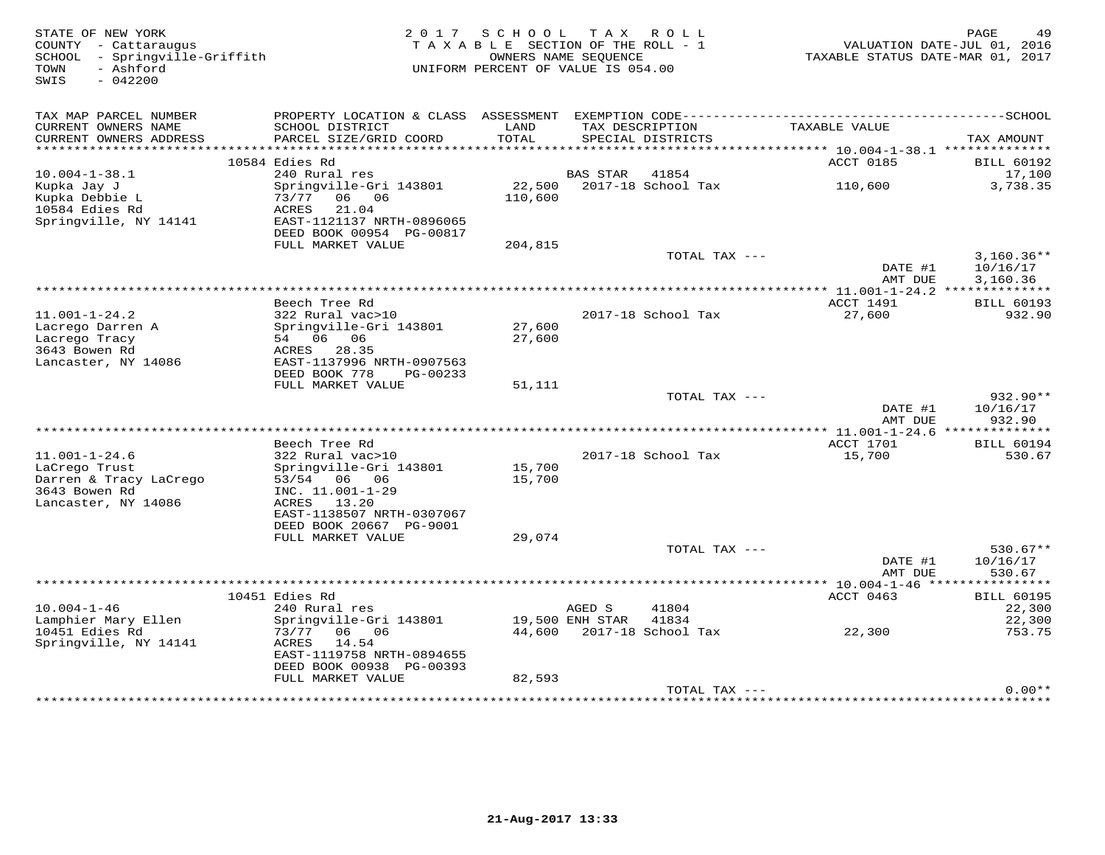| STATE OF NEW YORK<br>COUNTY - Cattaraugus<br>SCHOOL - Springville-Griffith<br>- Ashford<br>TOWN<br>SWIS<br>$-042200$ | 2 0 1 7                                                                                                                                       | SCHOOL<br>TAXABLE SECTION OF THE ROLL - 1<br>OWNERS NAME SEOUENCE<br>UNIFORM PERCENT OF VALUE IS 054.00 |                 | TAX ROLL                             | TAXABLE STATUS DATE-MAR 01, 2017             | 49<br>PAGE<br>VALUATION DATE-JUL 01, 2016 |
|----------------------------------------------------------------------------------------------------------------------|-----------------------------------------------------------------------------------------------------------------------------------------------|---------------------------------------------------------------------------------------------------------|-----------------|--------------------------------------|----------------------------------------------|-------------------------------------------|
| TAX MAP PARCEL NUMBER<br>CURRENT OWNERS NAME<br>CURRENT OWNERS ADDRESS                                               | PROPERTY LOCATION & CLASS ASSESSMENT<br>SCHOOL DISTRICT<br>PARCEL SIZE/GRID COORD                                                             | LAND<br>TOTAL                                                                                           |                 | TAX DESCRIPTION<br>SPECIAL DISTRICTS | TAXABLE VALUE                                | TAX AMOUNT                                |
|                                                                                                                      |                                                                                                                                               |                                                                                                         |                 |                                      |                                              |                                           |
|                                                                                                                      | 10584 Edies Rd                                                                                                                                |                                                                                                         |                 |                                      | ACCT 0185                                    | <b>BILL 60192</b>                         |
| $10.004 - 1 - 38.1$<br>Kupka Jay J                                                                                   | 240 Rural res<br>Springville-Gri 143801                                                                                                       | 22,500                                                                                                  | <b>BAS STAR</b> | 41854<br>2017-18 School Tax          | 110,600                                      | 17,100<br>3,738.35                        |
| Kupka Debbie L<br>10584 Edies Rd<br>Springville, NY 14141                                                            | 06 06<br>73/77<br>ACRES<br>21.04<br>EAST-1121137 NRTH-0896065<br>DEED BOOK 00954 PG-00817                                                     | 110,600                                                                                                 |                 |                                      |                                              |                                           |
|                                                                                                                      | FULL MARKET VALUE                                                                                                                             | 204,815                                                                                                 |                 |                                      |                                              |                                           |
|                                                                                                                      |                                                                                                                                               |                                                                                                         |                 | TOTAL TAX ---                        | DATE #1<br>AMT DUE                           | $3,160.36**$<br>10/16/17<br>3,160.36      |
|                                                                                                                      |                                                                                                                                               | *******************************                                                                         |                 |                                      | *********** 11.001-1-24.2 **************     |                                           |
|                                                                                                                      | Beech Tree Rd                                                                                                                                 |                                                                                                         |                 |                                      | ACCT 1491                                    | <b>BILL 60193</b>                         |
| $11.001 - 1 - 24.2$<br>Lacrego Darren A<br>Lacrego Tracy<br>3643 Bowen Rd<br>Lancaster, NY 14086                     | 322 Rural vac>10<br>Springville-Gri 143801<br>54 06 06<br>ACRES<br>28.35<br>EAST-1137996 NRTH-0907563                                         | 27,600<br>27,600                                                                                        |                 | 2017-18 School Tax                   | 27,600                                       | 932.90                                    |
|                                                                                                                      | DEED BOOK 778<br>PG-00233                                                                                                                     |                                                                                                         |                 |                                      |                                              |                                           |
|                                                                                                                      | FULL MARKET VALUE                                                                                                                             | 51,111                                                                                                  |                 |                                      |                                              | $932.90**$                                |
|                                                                                                                      |                                                                                                                                               |                                                                                                         |                 | TOTAL TAX ---                        | DATE #1<br>AMT DUE                           | 10/16/17<br>932.90                        |
|                                                                                                                      |                                                                                                                                               |                                                                                                         |                 |                                      |                                              |                                           |
| $11.001 - 1 - 24.6$<br>LaCrego Trust<br>Darren & Tracy LaCrego<br>3643 Bowen Rd<br>Lancaster, NY 14086               | Beech Tree Rd<br>322 Rural vac>10<br>Springville-Gri 143801<br>53/54 06 06<br>INC. 11.001-1-29<br>ACRES<br>13.20<br>EAST-1138507 NRTH-0307067 | 15,700<br>15,700                                                                                        |                 | 2017-18 School Tax                   | ACCT 1701<br>15,700                          | <b>BILL 60194</b><br>530.67               |
|                                                                                                                      | DEED BOOK 20667 PG-9001                                                                                                                       |                                                                                                         |                 |                                      |                                              |                                           |
|                                                                                                                      | FULL MARKET VALUE                                                                                                                             | 29,074                                                                                                  |                 | TOTAL TAX ---                        |                                              | $530.67**$                                |
|                                                                                                                      |                                                                                                                                               |                                                                                                         |                 |                                      | DATE #1<br>AMT DUE                           | 10/16/17<br>530.67                        |
|                                                                                                                      |                                                                                                                                               |                                                                                                         |                 |                                      | ************** 10.004-1-46 ***************** |                                           |
|                                                                                                                      | 10451 Edies Rd                                                                                                                                |                                                                                                         |                 |                                      | ACCT 0463                                    | <b>BILL 60195</b>                         |
| $10.004 - 1 - 46$                                                                                                    | 240 Rural res                                                                                                                                 |                                                                                                         | AGED S          | 41804                                |                                              | 22,300                                    |
| Lamphier Mary Ellen<br>10451 Edies Rd<br>Springville, NY 14141                                                       | Springville-Gri 143801<br>73/77<br>06 06<br>14.54<br>ACRES<br>EAST-1119758 NRTH-0894655<br>DEED BOOK 00938 PG-00393                           | 44,600                                                                                                  | 19,500 ENH STAR | 41834<br>2017-18 School Tax          | 22,300                                       | 22,300<br>753.75                          |
|                                                                                                                      | FULL MARKET VALUE                                                                                                                             | 82,593                                                                                                  |                 |                                      |                                              |                                           |
|                                                                                                                      |                                                                                                                                               |                                                                                                         |                 | TOTAL TAX ---                        |                                              | $0.00**$                                  |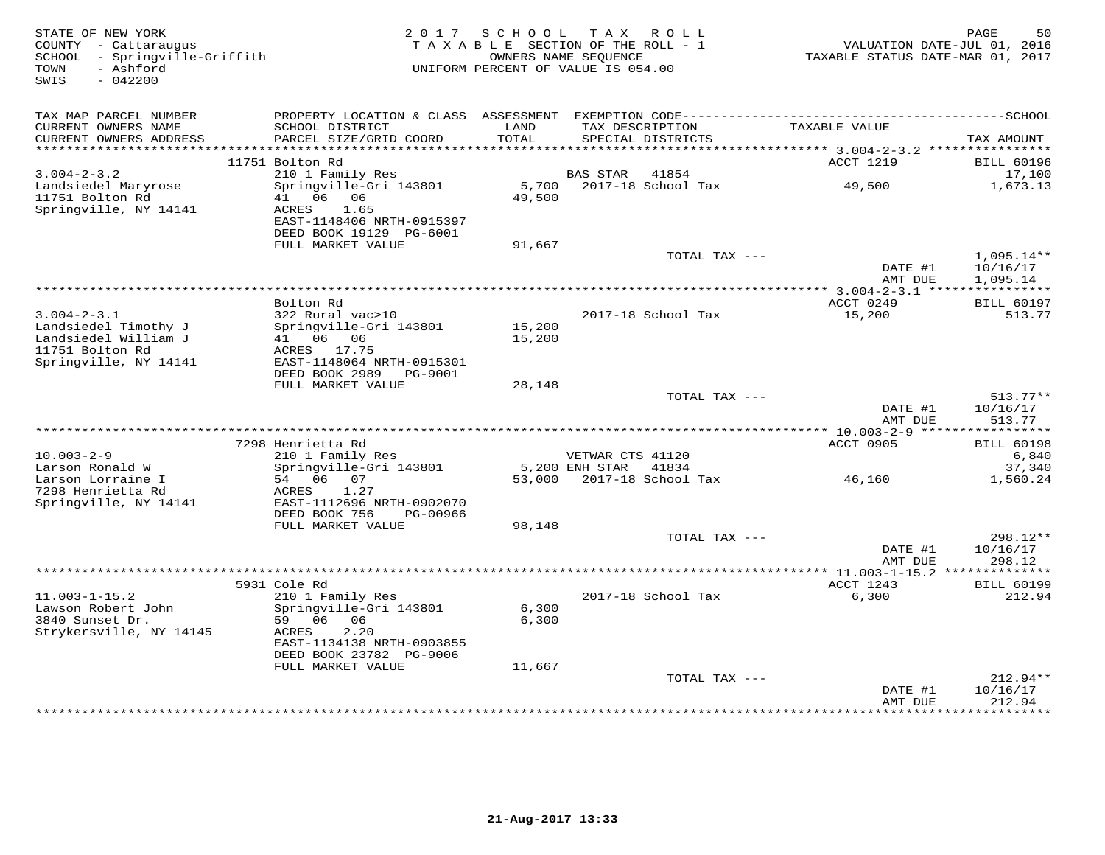| STATE OF NEW YORK<br>COUNTY - Cattaraugus<br>- Springville-Griffith<br>SCHOOL<br>- Ashford<br>TOWN<br>SWIS<br>$-042200$ | 2 0 1 7                                                                                                                               | SCHOOL<br>TAXABLE SECTION OF THE ROLL - 1<br>OWNERS NAME SEQUENCE<br>UNIFORM PERCENT OF VALUE IS 054.00 |                        | TAX ROLL                             | VALUATION DATE-JUL 01, 2016<br>TAXABLE STATUS DATE-MAR 01, 2017 | PAGE<br>50                           |
|-------------------------------------------------------------------------------------------------------------------------|---------------------------------------------------------------------------------------------------------------------------------------|---------------------------------------------------------------------------------------------------------|------------------------|--------------------------------------|-----------------------------------------------------------------|--------------------------------------|
| TAX MAP PARCEL NUMBER                                                                                                   |                                                                                                                                       |                                                                                                         |                        |                                      |                                                                 |                                      |
| CURRENT OWNERS NAME<br>CURRENT OWNERS ADDRESS                                                                           | SCHOOL DISTRICT<br>PARCEL SIZE/GRID COORD                                                                                             | LAND<br>TOTAL                                                                                           |                        | TAX DESCRIPTION<br>SPECIAL DISTRICTS | TAXABLE VALUE                                                   | TAX AMOUNT                           |
| *******************                                                                                                     |                                                                                                                                       | * * * * * * * *                                                                                         |                        |                                      | ******************************* 3.004-2-3.2 ***********         |                                      |
|                                                                                                                         | 11751 Bolton Rd                                                                                                                       |                                                                                                         |                        |                                      | ACCT 1219                                                       | <b>BILL 60196</b>                    |
| $3.004 - 2 - 3.2$                                                                                                       | 210 1 Family Res                                                                                                                      |                                                                                                         | <b>BAS STAR</b>        | 41854                                |                                                                 | 17,100                               |
| Landsiedel Maryrose<br>11751 Bolton Rd<br>Springville, NY 14141                                                         | Springville-Gri 143801<br>06<br>41<br>06<br>ACRES<br>1.65<br>EAST-1148406 NRTH-0915397<br>DEED BOOK 19129 PG-6001                     | 5,700<br>49,500                                                                                         |                        | 2017-18 School Tax                   | 49,500                                                          | 1,673.13                             |
|                                                                                                                         | FULL MARKET VALUE                                                                                                                     | 91,667                                                                                                  |                        |                                      |                                                                 |                                      |
|                                                                                                                         |                                                                                                                                       |                                                                                                         |                        | TOTAL TAX ---                        | DATE #1<br>AMT DUE                                              | $1,095.14**$<br>10/16/17<br>1,095.14 |
|                                                                                                                         |                                                                                                                                       |                                                                                                         | ********************** |                                      | $* * 3.004 - 2 - 3.1$ *****                                     | ***********                          |
|                                                                                                                         | Bolton Rd                                                                                                                             |                                                                                                         |                        |                                      | ACCT 0249                                                       | <b>BILL 60197</b>                    |
| $3.004 - 2 - 3.1$<br>Landsiedel Timothy J<br>Landsiedel William J<br>11751 Bolton Rd<br>Springville, NY 14141           | 322 Rural vac>10<br>Springville-Gri 143801<br>41 06 06<br>ACRES 17.75<br>EAST-1148064 NRTH-0915301                                    | 15,200<br>15,200                                                                                        |                        | 2017-18 School Tax                   | 15,200                                                          | 513.77                               |
|                                                                                                                         | DEED BOOK 2989<br>PG-9001                                                                                                             |                                                                                                         |                        |                                      |                                                                 |                                      |
|                                                                                                                         | FULL MARKET VALUE                                                                                                                     | 28,148                                                                                                  |                        | TOTAL TAX ---                        |                                                                 | $513.77**$                           |
|                                                                                                                         |                                                                                                                                       |                                                                                                         |                        |                                      | DATE #1<br>AMT DUE                                              | 10/16/17<br>513.77                   |
|                                                                                                                         | 7298 Henrietta Rd                                                                                                                     |                                                                                                         |                        |                                      | ************ 10.003-2-9 ******************<br>ACCT 0905         | <b>BILL 60198</b>                    |
| $10.003 - 2 - 9$                                                                                                        | 210 1 Family Res                                                                                                                      |                                                                                                         | VETWAR CTS 41120       |                                      |                                                                 | 6,840                                |
| Larson Ronald W                                                                                                         | Springville-Gri 143801                                                                                                                |                                                                                                         | 5,200 ENH STAR         | 41834                                |                                                                 | 37,340                               |
| Larson Lorraine I<br>7298 Henrietta Rd<br>Springville, NY 14141                                                         | 54 06<br>07<br>ACRES<br>1.27<br>EAST-1112696 NRTH-0902070<br>DEED BOOK 756<br>PG-00966                                                | 53,000                                                                                                  |                        | 2017-18 School Tax                   | 46,160                                                          | 1,560.24                             |
|                                                                                                                         | FULL MARKET VALUE                                                                                                                     | 98,148                                                                                                  |                        | TOTAL TAX $---$                      |                                                                 | 298.12**                             |
|                                                                                                                         |                                                                                                                                       |                                                                                                         |                        |                                      | DATE #1<br>AMT DUE                                              | 10/16/17<br>298.12                   |
|                                                                                                                         |                                                                                                                                       |                                                                                                         |                        |                                      | ************ 11.003-1-15.2 **************                       |                                      |
|                                                                                                                         | 5931 Cole Rd                                                                                                                          |                                                                                                         |                        |                                      | ACCT 1243                                                       | <b>BILL 60199</b>                    |
| $11.003 - 1 - 15.2$<br>Lawson Robert John<br>3840 Sunset Dr.<br>Strykersville, NY 14145                                 | 210 1 Family Res<br>Springville-Gri 143801<br>59<br>06<br>06<br>ACRES<br>2.20<br>EAST-1134138 NRTH-0903855<br>DEED BOOK 23782 PG-9006 | 6,300<br>6,300                                                                                          |                        | 2017-18 School Tax                   | 6,300                                                           | 212.94                               |
|                                                                                                                         | FULL MARKET VALUE                                                                                                                     | 11,667                                                                                                  |                        |                                      |                                                                 |                                      |
|                                                                                                                         |                                                                                                                                       |                                                                                                         |                        | TOTAL TAX ---                        | DATE #1<br>AMT DUE                                              | $212.94**$<br>10/16/17<br>212.94     |
|                                                                                                                         |                                                                                                                                       |                                                                                                         |                        |                                      |                                                                 | .                                    |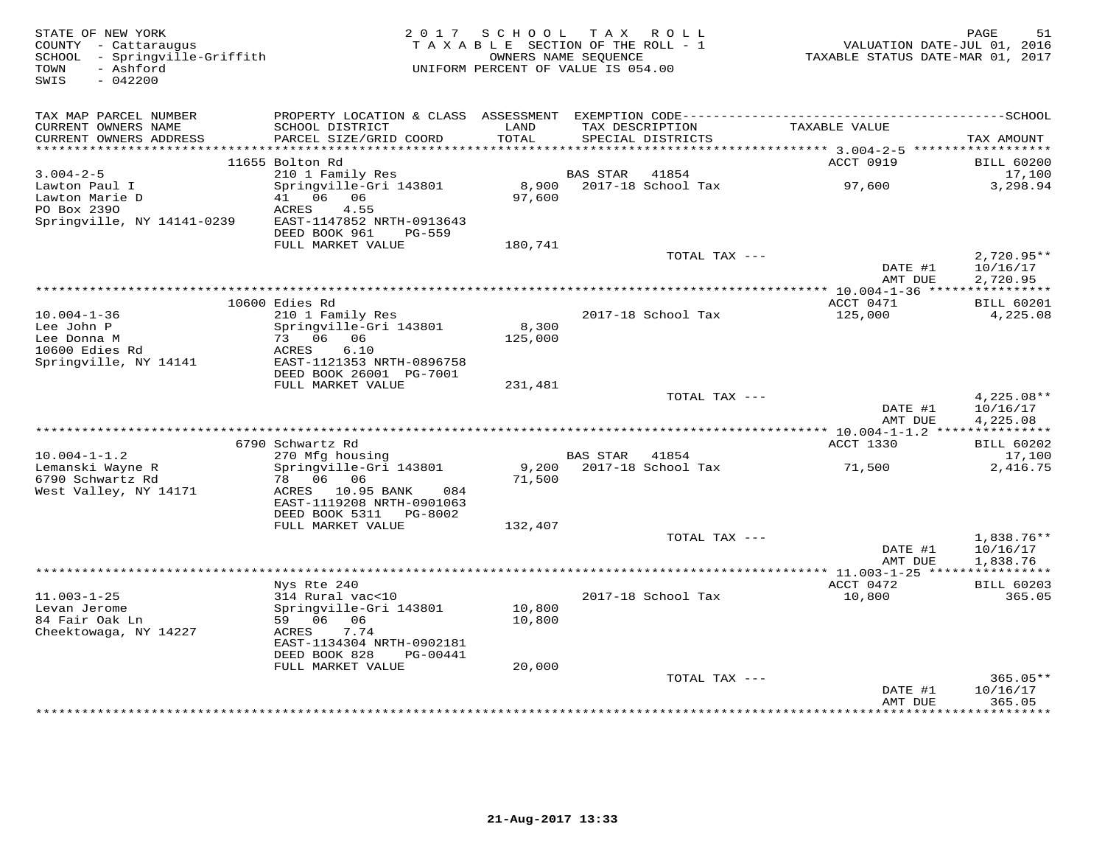| STATE OF NEW YORK<br>COUNTY - Cattaraugus<br>SCHOOL - Springville-Griffith<br>TOWN<br>- Ashford<br>SWIS<br>$-042200$ | 2 0 1 7                                                                                          | SCHOOL                                 | TAX ROLL<br>TAXABLE SECTION OF THE ROLL - 1<br>OWNERS NAME SEQUENCE<br>UNIFORM PERCENT OF VALUE IS 054.00 | VALUATION DATE-JUL 01, 2016<br>TAXABLE STATUS DATE-MAR 01, 2017             | PAGE<br>51                |
|----------------------------------------------------------------------------------------------------------------------|--------------------------------------------------------------------------------------------------|----------------------------------------|-----------------------------------------------------------------------------------------------------------|-----------------------------------------------------------------------------|---------------------------|
| TAX MAP PARCEL NUMBER                                                                                                |                                                                                                  |                                        |                                                                                                           |                                                                             |                           |
| CURRENT OWNERS NAME<br>CURRENT OWNERS ADDRESS<br>**********************                                              | SCHOOL DISTRICT<br>PARCEL SIZE/GRID COORD                                                        | LAND<br>TOTAL<br>* * * * * * * * * * * | TAX DESCRIPTION<br>SPECIAL DISTRICTS                                                                      | TAXABLE VALUE                                                               | TAX AMOUNT                |
|                                                                                                                      | 11655 Bolton Rd                                                                                  |                                        |                                                                                                           | ******************************** 3.004-2-5 *******************<br>ACCT 0919 | <b>BILL 60200</b>         |
| $3.004 - 2 - 5$                                                                                                      | 210 1 Family Res                                                                                 |                                        | <b>BAS STAR</b><br>41854                                                                                  |                                                                             | 17,100                    |
| Lawton Paul I<br>Lawton Marie D<br>PO Box 2390                                                                       | Springville-Gri 143801<br>41 06<br>06<br>ACRES<br>4.55                                           | 8,900<br>97,600                        | 2017-18 School Tax                                                                                        | 97,600                                                                      | 3,298.94                  |
| Springville, NY 14141-0239                                                                                           | EAST-1147852 NRTH-0913643<br>DEED BOOK 961<br><b>PG-559</b>                                      |                                        |                                                                                                           |                                                                             |                           |
|                                                                                                                      | FULL MARKET VALUE                                                                                | 180,741                                | TOTAL TAX ---                                                                                             |                                                                             | $2,720.95**$              |
|                                                                                                                      |                                                                                                  |                                        |                                                                                                           | DATE #1<br>AMT DUE                                                          | 10/16/17<br>2,720.95      |
|                                                                                                                      |                                                                                                  |                                        | ************************************                                                                      | $*$ 10.004-1-36 *****                                                       | ***********               |
|                                                                                                                      | 10600 Edies Rd                                                                                   |                                        |                                                                                                           | ACCT 0471                                                                   | <b>BILL 60201</b>         |
| $10.004 - 1 - 36$<br>Lee John P                                                                                      | 210 1 Family Res<br>Springville-Gri 143801                                                       | 8,300                                  | 2017-18 School Tax                                                                                        | 125,000                                                                     | 4,225.08                  |
| Lee Donna M                                                                                                          | 73 06 06                                                                                         | 125,000                                |                                                                                                           |                                                                             |                           |
| 10600 Edies Rd                                                                                                       | 6.10<br>ACRES                                                                                    |                                        |                                                                                                           |                                                                             |                           |
| Springville, NY 14141                                                                                                | EAST-1121353 NRTH-0896758                                                                        |                                        |                                                                                                           |                                                                             |                           |
|                                                                                                                      | DEED BOOK 26001 PG-7001                                                                          |                                        |                                                                                                           |                                                                             |                           |
|                                                                                                                      | FULL MARKET VALUE                                                                                | 231,481                                | TOTAL TAX ---                                                                                             |                                                                             | $4,225.08**$              |
|                                                                                                                      |                                                                                                  |                                        |                                                                                                           | DATE #1<br>AMT DUE                                                          | 10/16/17<br>4,225.08      |
|                                                                                                                      |                                                                                                  |                                        |                                                                                                           |                                                                             |                           |
|                                                                                                                      | 6790 Schwartz Rd                                                                                 |                                        |                                                                                                           | ACCT 1330                                                                   | <b>BILL 60202</b>         |
| $10.004 - 1 - 1.2$<br>Lemanski Wayne R                                                                               | 270 Mfg housing<br>Springville-Gri 143801                                                        | 9,200                                  | BAS STAR<br>41854<br>2017-18 School Tax                                                                   | 71,500                                                                      | 17,100<br>2,416.75        |
| 6790 Schwartz Rd<br>West Valley, NY 14171                                                                            | 78 06 06<br>10.95 BANK<br>084<br>ACRES<br>EAST-1119208 NRTH-0901063<br>DEED BOOK 5311<br>PG-8002 | 71,500                                 |                                                                                                           |                                                                             |                           |
|                                                                                                                      | FULL MARKET VALUE                                                                                | 132,407                                | TOTAL TAX ---                                                                                             |                                                                             | $1,838.76**$              |
|                                                                                                                      |                                                                                                  |                                        |                                                                                                           | DATE #1<br>AMT DUE                                                          | 10/16/17<br>1,838.76      |
|                                                                                                                      |                                                                                                  |                                        |                                                                                                           | ***************** 11.003-1-25 *****                                         | ***********               |
|                                                                                                                      | Nys Rte 240                                                                                      |                                        |                                                                                                           | ACCT 0472                                                                   | <b>BILL 60203</b>         |
| $11.003 - 1 - 25$<br>Levan Jerome                                                                                    | 314 Rural vac<10<br>Springville-Gri 143801                                                       | 10,800                                 | 2017-18 School Tax                                                                                        | 10,800                                                                      | 365.05                    |
| 84 Fair Oak Ln                                                                                                       | 59 06<br>06                                                                                      | 10,800                                 |                                                                                                           |                                                                             |                           |
| Cheektowaga, NY 14227                                                                                                | ACRES<br>7.74<br>EAST-1134304 NRTH-0902181<br>DEED BOOK 828<br>PG-00441                          |                                        |                                                                                                           |                                                                             |                           |
|                                                                                                                      | FULL MARKET VALUE                                                                                | 20,000                                 |                                                                                                           |                                                                             |                           |
|                                                                                                                      |                                                                                                  |                                        | TOTAL TAX ---                                                                                             | DATE #1                                                                     | $365.05**$<br>10/16/17    |
|                                                                                                                      |                                                                                                  |                                        |                                                                                                           | AMT DUE                                                                     | 365.05<br>+ + + + + + + + |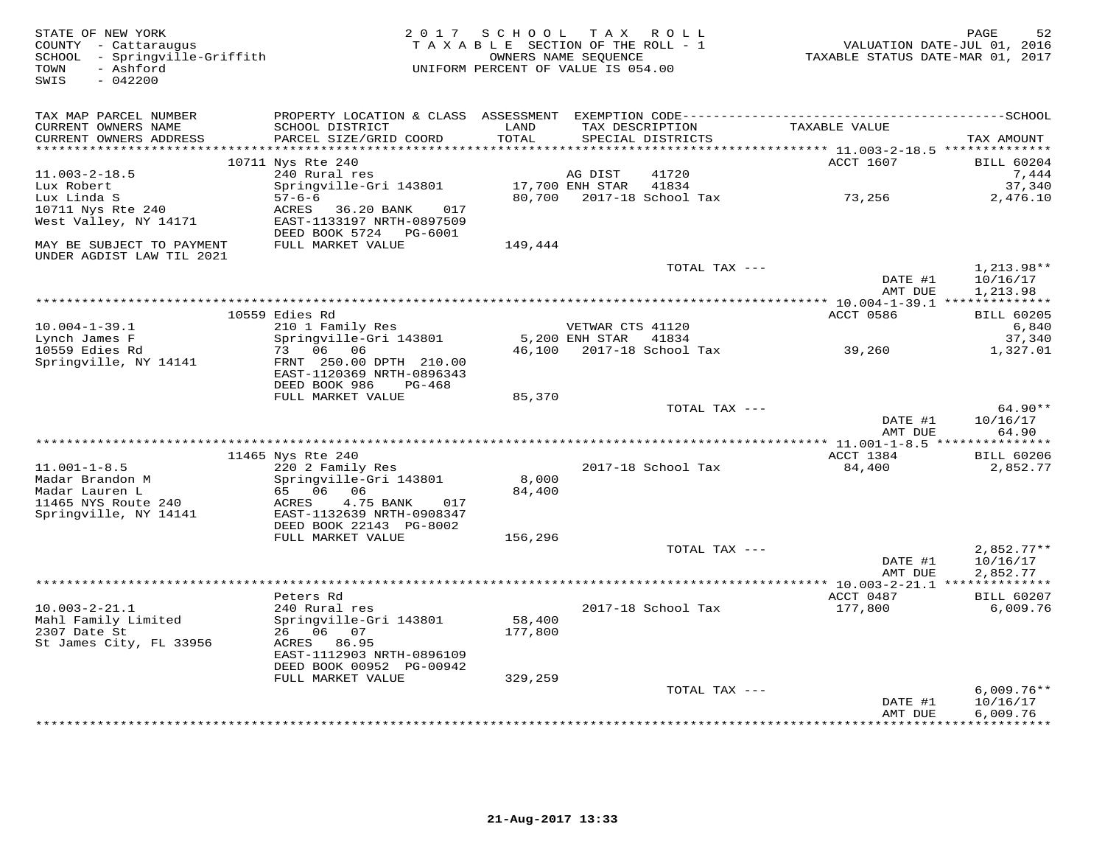| STATE OF NEW YORK<br>COUNTY - Cattaraugus<br>SCHOOL - Springville-Griffith<br>- Ashford<br>TOWN<br>$-042200$<br>SWIS |                                                                                 | 2017 SCHOOL TAX ROLL<br>TAXABLE SECTION OF THE ROLL - 1<br>UNIFORM PERCENT OF VALUE IS 054.00 | OWNERS NAME SEQUENCE      |                    | TAXABLE STATUS DATE-MAR 01, 2017                        | 52<br>PAGE<br>VALUATION DATE-JUL 01, 2016 |
|----------------------------------------------------------------------------------------------------------------------|---------------------------------------------------------------------------------|-----------------------------------------------------------------------------------------------|---------------------------|--------------------|---------------------------------------------------------|-------------------------------------------|
| TAX MAP PARCEL NUMBER                                                                                                |                                                                                 |                                                                                               |                           |                    |                                                         |                                           |
| CURRENT OWNERS NAME<br>CURRENT OWNERS ADDRESS                                                                        | SCHOOL DISTRICT<br>PARCEL SIZE/GRID COORD                                       | LAND<br>TOTAL                                                                                 | TAX DESCRIPTION           | SPECIAL DISTRICTS  | TAXABLE VALUE<br>******** 11.003-2-18.5 *************** | TAX AMOUNT                                |
|                                                                                                                      | 10711 Nys Rte 240                                                               |                                                                                               |                           |                    | ACCT 1607                                               | <b>BILL 60204</b>                         |
| $11.003 - 2 - 18.5$                                                                                                  | 240 Rural res                                                                   |                                                                                               | AG DIST                   | 41720              |                                                         | 7,444                                     |
| Lux Robert                                                                                                           | Springville-Gri 143801                                                          |                                                                                               | 17,700 ENH STAR           | 41834              |                                                         | 37,340                                    |
| Lux Linda S                                                                                                          | $57 - 6 - 6$                                                                    | 80,700                                                                                        |                           | 2017-18 School Tax | 73,256                                                  | 2,476.10                                  |
| 10711 Nys Rte 240<br>West Valley, NY 14171                                                                           | 36.20 BANK<br>ACRES<br>017<br>EAST-1133197 NRTH-0897509                         |                                                                                               |                           |                    |                                                         |                                           |
|                                                                                                                      | DEED BOOK 5724<br>PG-6001                                                       |                                                                                               |                           |                    |                                                         |                                           |
| MAY BE SUBJECT TO PAYMENT<br>UNDER AGDIST LAW TIL 2021                                                               | FULL MARKET VALUE                                                               | 149,444                                                                                       |                           |                    |                                                         |                                           |
|                                                                                                                      |                                                                                 |                                                                                               |                           | TOTAL TAX ---      |                                                         | $1,213.98**$                              |
|                                                                                                                      |                                                                                 |                                                                                               |                           |                    | DATE #1<br>AMT DUE                                      | 10/16/17<br>1,213.98                      |
|                                                                                                                      | 10559 Edies Rd                                                                  |                                                                                               |                           |                    | ACCT 0586                                               | <b>BILL 60205</b>                         |
| $10.004 - 1 - 39.1$                                                                                                  | 210 1 Family Res                                                                |                                                                                               | VETWAR CTS 41120          |                    |                                                         | 6,840                                     |
| Lynch James F                                                                                                        | Springville-Gri 143801                                                          |                                                                                               | 5,200 ENH STAR            | 41834              |                                                         | 37,340                                    |
| 10559 Edies Rd                                                                                                       | 06 06<br>73                                                                     | 46,100                                                                                        |                           | 2017-18 School Tax | 39,260                                                  | 1,327.01                                  |
| Springville, NY 14141                                                                                                | FRNT 250.00 DPTH 210.00<br>EAST-1120369 NRTH-0896343<br>DEED BOOK 986<br>PG-468 |                                                                                               |                           |                    |                                                         |                                           |
|                                                                                                                      | FULL MARKET VALUE                                                               | 85,370                                                                                        |                           |                    |                                                         |                                           |
|                                                                                                                      |                                                                                 |                                                                                               |                           | TOTAL TAX ---      |                                                         | $64.90**$                                 |
|                                                                                                                      |                                                                                 |                                                                                               |                           |                    | DATE #1<br>AMT DUE                                      | 10/16/17<br>64.90                         |
|                                                                                                                      | 11465 Nys Rte 240                                                               |                                                                                               |                           |                    | ACCT 1384                                               | <b>BILL 60206</b>                         |
| $11.001 - 1 - 8.5$                                                                                                   | 220 2 Family Res                                                                |                                                                                               |                           | 2017-18 School Tax | 84,400                                                  | 2,852.77                                  |
| Madar Brandon M                                                                                                      | Springville-Gri 143801                                                          | 8,000                                                                                         |                           |                    |                                                         |                                           |
| Madar Lauren L                                                                                                       | 65 06<br>06                                                                     | 84,400                                                                                        |                           |                    |                                                         |                                           |
| 11465 NYS Route 240<br>Springville, NY 14141                                                                         | 4.75 BANK<br>ACRES<br>017<br>EAST-1132639 NRTH-0908347                          |                                                                                               |                           |                    |                                                         |                                           |
|                                                                                                                      | DEED BOOK 22143 PG-8002                                                         |                                                                                               |                           |                    |                                                         |                                           |
|                                                                                                                      | FULL MARKET VALUE                                                               | 156,296                                                                                       |                           |                    |                                                         |                                           |
|                                                                                                                      |                                                                                 |                                                                                               |                           | TOTAL TAX ---      |                                                         | $2,852.77**$                              |
|                                                                                                                      |                                                                                 |                                                                                               |                           |                    | DATE #1                                                 | 10/16/17                                  |
|                                                                                                                      |                                                                                 |                                                                                               | ************************* |                    | AMT DUE<br>**** $10.003 - 2 - 21.1$ *************       | 2,852.77                                  |
|                                                                                                                      | Peters Rd                                                                       |                                                                                               |                           |                    | ACCT 0487                                               | <b>BILL 60207</b>                         |
| $10.003 - 2 - 21.1$                                                                                                  | 240 Rural res                                                                   |                                                                                               |                           | 2017-18 School Tax | 177,800                                                 | 6,009.76                                  |
| Mahl Family Limited                                                                                                  | Springville-Gri 143801                                                          | 58,400                                                                                        |                           |                    |                                                         |                                           |
| 2307 Date St                                                                                                         | 26 06 07                                                                        | 177,800                                                                                       |                           |                    |                                                         |                                           |
| St James City, FL 33956                                                                                              | ACRES 86.95                                                                     |                                                                                               |                           |                    |                                                         |                                           |
|                                                                                                                      | EAST-1112903 NRTH-0896109<br>DEED BOOK 00952 PG-00942                           |                                                                                               |                           |                    |                                                         |                                           |
|                                                                                                                      | FULL MARKET VALUE                                                               | 329,259                                                                                       |                           |                    |                                                         |                                           |
|                                                                                                                      |                                                                                 |                                                                                               |                           | TOTAL TAX ---      |                                                         | $6,009.76**$                              |
|                                                                                                                      |                                                                                 |                                                                                               |                           |                    | DATE #1                                                 | 10/16/17                                  |
|                                                                                                                      |                                                                                 |                                                                                               |                           |                    | AMT DUE<br>*************                                | 6,009.76<br>* * * * * * * * * *           |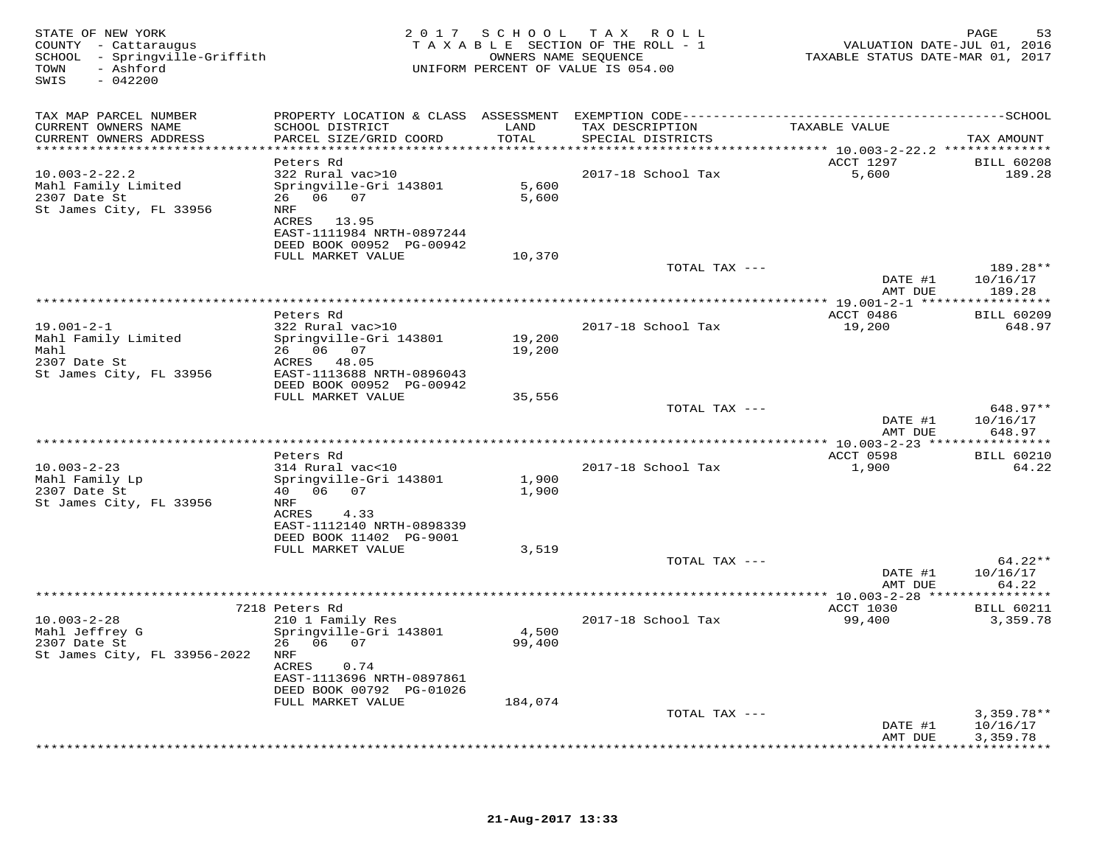| STATE OF NEW YORK<br>COUNTY - Cattaraugus<br>SCHOOL - Springville-Griffith<br>- Ashford<br>TOWN<br>$-042200$<br>SWIS |                                                                                                                                                              |                            | 2017 SCHOOL TAX ROLL<br>TAXABLE SECTION OF THE ROLL - 1<br>OWNERS NAME SEQUENCE<br>UNIFORM PERCENT OF VALUE IS 054.00 | VALUATION DATE-JUL 01, 2016<br>TAXABLE STATUS DATE-MAR 01, 2017 | 53<br>PAGE                                          |
|----------------------------------------------------------------------------------------------------------------------|--------------------------------------------------------------------------------------------------------------------------------------------------------------|----------------------------|-----------------------------------------------------------------------------------------------------------------------|-----------------------------------------------------------------|-----------------------------------------------------|
| TAX MAP PARCEL NUMBER<br>CURRENT OWNERS NAME<br>CURRENT OWNERS ADDRESS<br>***************************                | SCHOOL DISTRICT<br>PARCEL SIZE/GRID COORD                                                                                                                    | LAND<br><b>TOTAL</b>       | TAX DESCRIPTION<br>SPECIAL DISTRICTS                                                                                  | TAXABLE VALUE                                                   | TAX AMOUNT                                          |
| $10.003 - 2 - 22.2$<br>Mahl Family Limited<br>2307 Date St<br>St James City, FL 33956                                | Peters Rd<br>322 Rural vac>10<br>Springville-Gri 143801<br>26 06 07<br><b>NRF</b><br>ACRES 13.95<br>EAST-1111984 NRTH-0897244<br>DEED BOOK 00952 PG-00942    | 5,600<br>5,600             | 2017-18 School Tax                                                                                                    | ACCT 1297<br>5,600                                              | <b>BILL 60208</b><br>189.28                         |
|                                                                                                                      | FULL MARKET VALUE                                                                                                                                            | 10,370                     | TOTAL TAX ---                                                                                                         | DATE #1<br>AMT DUE                                              | 189.28**<br>10/16/17<br>189.28                      |
|                                                                                                                      |                                                                                                                                                              |                            |                                                                                                                       |                                                                 |                                                     |
| $19.001 - 2 - 1$<br>Mahl Family Limited<br>Mahl<br>2307 Date St<br>St James City, FL 33956                           | Peters Rd<br>322 Rural vac>10<br>Springville-Gri 143801<br>26 06 07<br>ACRES 48.05<br>EAST-1113688 NRTH-0896043                                              | 19,200<br>19,200           | 2017-18 School Tax                                                                                                    | ACCT 0486<br>19,200                                             | <b>BILL 60209</b><br>648.97                         |
|                                                                                                                      | DEED BOOK 00952 PG-00942<br>FULL MARKET VALUE                                                                                                                | 35,556                     | TOTAL TAX ---                                                                                                         | DATE #1<br>AMT DUE                                              | 648.97**<br>10/16/17<br>648.97                      |
|                                                                                                                      |                                                                                                                                                              |                            |                                                                                                                       |                                                                 |                                                     |
| $10.003 - 2 - 23$<br>Mahl Family Lp<br>2307 Date St<br>St James City, FL 33956                                       | Peters Rd<br>314 Rural vac<10<br>Springville-Gri 143801<br>40  06  07<br>NRF<br>ACRES<br>4.33<br>EAST-1112140 NRTH-0898339<br>DEED BOOK 11402 PG-9001        | 1,900<br>1,900             | 2017-18 School Tax                                                                                                    | ACCT 0598<br>1,900                                              | <b>BILL 60210</b><br>64.22                          |
|                                                                                                                      | FULL MARKET VALUE                                                                                                                                            | 3,519                      |                                                                                                                       |                                                                 |                                                     |
|                                                                                                                      |                                                                                                                                                              |                            | TOTAL TAX ---                                                                                                         | DATE #1<br>AMT DUE                                              | $64.22**$<br>10/16/17<br>64.22                      |
|                                                                                                                      | 7218 Peters Rd                                                                                                                                               |                            |                                                                                                                       | ACCT 1030                                                       |                                                     |
| $10.003 - 2 - 28$<br>Mahl Jeffrey G<br>2307 Date St<br>St James City, FL 33956-2022                                  | 210 1 Family Res<br>Springville-Gri 143801<br>26 06 07<br>NRF<br>ACRES<br>0.74<br>EAST-1113696 NRTH-0897861<br>DEED BOOK 00792 PG-01026<br>FULL MARKET VALUE | 4,500<br>99,400<br>184,074 | 2017-18 School Tax                                                                                                    | 99,400                                                          | <b>BILL 60211</b><br>3,359.78                       |
|                                                                                                                      |                                                                                                                                                              |                            | TOTAL TAX ---                                                                                                         | DATE #1<br>AMT DUE                                              | $3,359.78**$<br>10/16/17<br>3,359.78<br>*********** |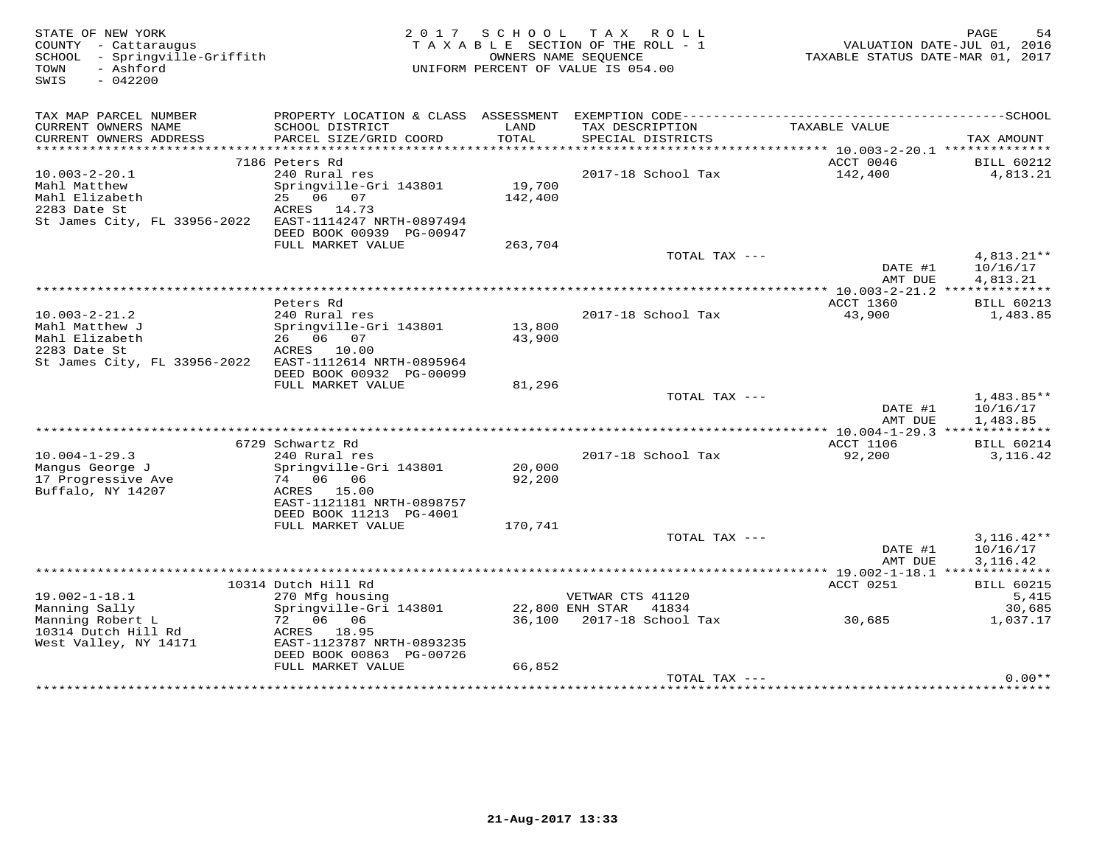| STATE OF NEW YORK<br>COUNTY - Cattaraugus<br>SCHOOL<br>- Springville-Griffith<br>- Ashford<br>TOWN<br>SWIS<br>$-042200$ |                                              | 2017 SCHOOL   | T A X<br>R O L L<br>TAXABLE SECTION OF THE ROLL - 1<br>OWNERS NAME SEOUENCE<br>UNIFORM PERCENT OF VALUE IS 054.00 | TAXABLE STATUS DATE-MAR 01, 2017                | PAGE<br>54<br>VALUATION DATE-JUL 01, 2016 |
|-------------------------------------------------------------------------------------------------------------------------|----------------------------------------------|---------------|-------------------------------------------------------------------------------------------------------------------|-------------------------------------------------|-------------------------------------------|
| TAX MAP PARCEL NUMBER                                                                                                   | PROPERTY LOCATION & CLASS ASSESSMENT         |               |                                                                                                                   |                                                 |                                           |
| CURRENT OWNERS NAME<br>CURRENT OWNERS ADDRESS                                                                           | SCHOOL DISTRICT<br>PARCEL SIZE/GRID COORD    | LAND<br>TOTAL | TAX DESCRIPTION<br>SPECIAL DISTRICTS                                                                              | TAXABLE VALUE                                   | TAX AMOUNT                                |
| ***********************                                                                                                 | *************************                    |               |                                                                                                                   |                                                 |                                           |
|                                                                                                                         | 7186 Peters Rd                               |               |                                                                                                                   | ACCT 0046                                       | <b>BILL 60212</b>                         |
| $10.003 - 2 - 20.1$                                                                                                     | 240 Rural res                                |               | 2017-18 School Tax                                                                                                | 142,400                                         | 4,813.21                                  |
| Mahl Matthew                                                                                                            | Springville-Gri 143801                       | 19,700        |                                                                                                                   |                                                 |                                           |
| Mahl Elizabeth<br>2283 Date St                                                                                          | 25 06 07<br>ACRES 14.73                      | 142,400       |                                                                                                                   |                                                 |                                           |
| St James City, FL 33956-2022                                                                                            | EAST-1114247 NRTH-0897494                    |               |                                                                                                                   |                                                 |                                           |
|                                                                                                                         | DEED BOOK 00939 PG-00947                     |               |                                                                                                                   |                                                 |                                           |
|                                                                                                                         | FULL MARKET VALUE                            | 263,704       |                                                                                                                   |                                                 |                                           |
|                                                                                                                         |                                              |               | TOTAL TAX ---                                                                                                     |                                                 | 4,813.21**                                |
|                                                                                                                         |                                              |               |                                                                                                                   | DATE #1                                         | 10/16/17<br>4,813.21                      |
|                                                                                                                         |                                              |               |                                                                                                                   | AMT DUE                                         |                                           |
|                                                                                                                         | Peters Rd                                    |               |                                                                                                                   | ACCT 1360                                       | <b>BILL 60213</b>                         |
| $10.003 - 2 - 21.2$                                                                                                     | 240 Rural res                                |               | 2017-18 School Tax                                                                                                | 43,900                                          | 1,483.85                                  |
| Mahl Matthew J                                                                                                          | Springville-Gri 143801                       | 13,800        |                                                                                                                   |                                                 |                                           |
| Mahl Elizabeth                                                                                                          | 26 06<br>07                                  | 43,900        |                                                                                                                   |                                                 |                                           |
| 2283 Date St<br>St James City, FL 33956-2022                                                                            | ACRES 10.00<br>EAST-1112614 NRTH-0895964     |               |                                                                                                                   |                                                 |                                           |
|                                                                                                                         | DEED BOOK 00932 PG-00099                     |               |                                                                                                                   |                                                 |                                           |
|                                                                                                                         | FULL MARKET VALUE                            | 81,296        |                                                                                                                   |                                                 |                                           |
|                                                                                                                         |                                              |               | TOTAL TAX ---                                                                                                     |                                                 | 1,483.85**                                |
|                                                                                                                         |                                              |               |                                                                                                                   | DATE #1                                         | 10/16/17                                  |
|                                                                                                                         |                                              |               |                                                                                                                   | AMT DUE                                         | 1,483.85<br>***********                   |
|                                                                                                                         | 6729 Schwartz Rd                             |               |                                                                                                                   | ********** 10.004-1-29.3 **<br><b>ACCT 1106</b> | <b>BILL 60214</b>                         |
| $10.004 - 1 - 29.3$                                                                                                     | 240 Rural res                                |               | 2017-18 School Tax                                                                                                | 92,200                                          | 3, 116.42                                 |
| Manqus George J                                                                                                         | Springville-Gri 143801                       | 20,000        |                                                                                                                   |                                                 |                                           |
| 17 Progressive Ave                                                                                                      | 74 06 06                                     | 92,200        |                                                                                                                   |                                                 |                                           |
| Buffalo, NY 14207                                                                                                       | ACRES 15.00                                  |               |                                                                                                                   |                                                 |                                           |
|                                                                                                                         | EAST-1121181 NRTH-0898757                    |               |                                                                                                                   |                                                 |                                           |
|                                                                                                                         | DEED BOOK 11213 PG-4001<br>FULL MARKET VALUE | 170,741       |                                                                                                                   |                                                 |                                           |
|                                                                                                                         |                                              |               | TOTAL TAX ---                                                                                                     |                                                 | $3,116.42**$                              |
|                                                                                                                         |                                              |               |                                                                                                                   | DATE #1                                         | 10/16/17                                  |
|                                                                                                                         |                                              |               |                                                                                                                   | AMT DUE                                         | 3,116.42                                  |
|                                                                                                                         |                                              |               |                                                                                                                   |                                                 |                                           |
| $19.002 - 1 - 18.1$                                                                                                     | 10314 Dutch Hill Rd<br>270 Mfg housing       |               | VETWAR CTS 41120                                                                                                  | ACCT 0251                                       | <b>BILL 60215</b><br>5,415                |
| Manning Sally                                                                                                           | Springville-Gri 143801                       |               | 22,800 ENH STAR<br>41834                                                                                          |                                                 | 30,685                                    |
| Manning Robert L                                                                                                        | 72 06 06                                     | 36,100        | 2017-18 School Tax                                                                                                | 30,685                                          | 1,037.17                                  |
| 10314 Dutch Hill Rd                                                                                                     | ACRES 18.95                                  |               |                                                                                                                   |                                                 |                                           |
| West Valley, NY 14171                                                                                                   | EAST-1123787 NRTH-0893235                    |               |                                                                                                                   |                                                 |                                           |
|                                                                                                                         | DEED BOOK 00863 PG-00726                     |               |                                                                                                                   |                                                 |                                           |
|                                                                                                                         | FULL MARKET VALUE                            | 66,852        | TOTAL TAX ---                                                                                                     |                                                 | $0.00**$                                  |
|                                                                                                                         |                                              |               | ++++++++++++++++++++++++                                                                                          |                                                 |                                           |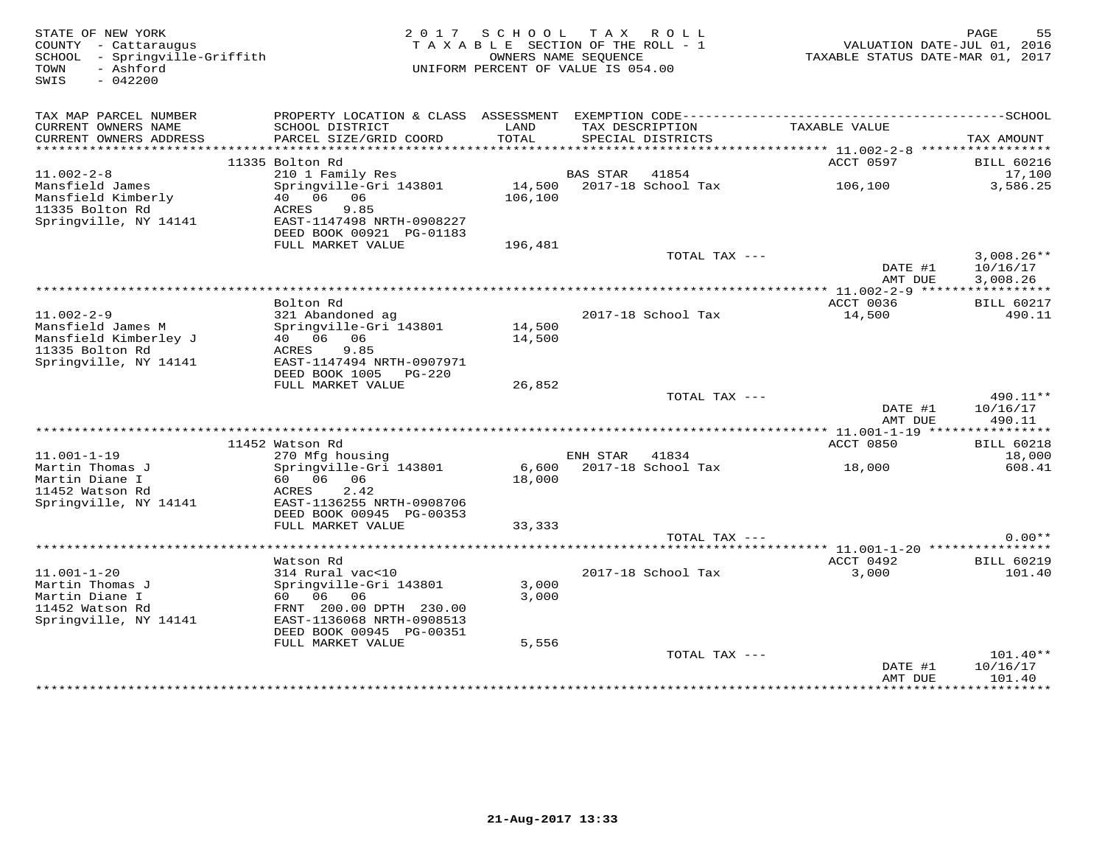| STATE OF NEW YORK<br>COUNTY - Cattaraugus<br>SCHOOL - Springville-Griffith<br>- Ashford<br>TOWN<br>SWIS<br>$-042200$ | 2 0 1 7                                                                                                                                                                         | S C H O O L<br>TAXABLE SECTION OF THE ROLL - 1<br>OWNERS NAME SEQUENCE<br>UNIFORM PERCENT OF VALUE IS 054.00 | T A X           | R O L L                              | TAXABLE STATUS DATE-MAR 01, 2017          | PAGE<br>55<br>VALUATION DATE-JUL 01, 2016 |
|----------------------------------------------------------------------------------------------------------------------|---------------------------------------------------------------------------------------------------------------------------------------------------------------------------------|--------------------------------------------------------------------------------------------------------------|-----------------|--------------------------------------|-------------------------------------------|-------------------------------------------|
| TAX MAP PARCEL NUMBER<br>CURRENT OWNERS NAME<br>CURRENT OWNERS ADDRESS                                               | SCHOOL DISTRICT<br>PARCEL SIZE/GRID COORD                                                                                                                                       | LAND<br>TOTAL                                                                                                |                 | TAX DESCRIPTION<br>SPECIAL DISTRICTS | TAXABLE VALUE                             | TAX AMOUNT                                |
|                                                                                                                      |                                                                                                                                                                                 |                                                                                                              |                 |                                      | *********** 11.002-2-8 ****************** |                                           |
| $11.002 - 2 - 8$                                                                                                     | 11335 Bolton Rd                                                                                                                                                                 |                                                                                                              | <b>BAS STAR</b> | 41854                                | ACCT 0597                                 | <b>BILL 60216</b><br>17,100               |
| Mansfield James<br>Mansfield Kimberly<br>11335 Bolton Rd<br>Springville, NY 14141                                    | 210 1 Family Res<br>Springville-Gri 143801<br>40 06<br>06<br>9.85<br>ACRES<br>EAST-1147498 NRTH-0908227<br>DEED BOOK 00921 PG-01183                                             | 106,100                                                                                                      |                 | 14,500 2017-18 School Tax            | 106,100                                   | 3,586.25                                  |
|                                                                                                                      | FULL MARKET VALUE                                                                                                                                                               | 196,481                                                                                                      |                 |                                      |                                           |                                           |
|                                                                                                                      |                                                                                                                                                                                 |                                                                                                              |                 | TOTAL TAX ---                        | DATE #1<br>AMT DUE                        | $3,008.26**$<br>10/16/17<br>3,008.26      |
|                                                                                                                      |                                                                                                                                                                                 |                                                                                                              |                 |                                      |                                           |                                           |
| $11.002 - 2 - 9$                                                                                                     | Bolton Rd<br>321 Abandoned ag                                                                                                                                                   |                                                                                                              |                 | 2017-18 School Tax                   | ACCT 0036<br>14,500                       | <b>BILL 60217</b><br>490.11               |
| Mansfield James M<br>Mansfield Kimberley J<br>11335 Bolton Rd<br>Springville, NY 14141                               | Springville-Gri 143801<br>40 06<br>06<br>9.85<br>ACRES<br>EAST-1147494 NRTH-0907971<br>DEED BOOK 1005<br>PG-220                                                                 | 14,500<br>14,500                                                                                             |                 |                                      |                                           |                                           |
|                                                                                                                      | FULL MARKET VALUE                                                                                                                                                               | 26,852                                                                                                       |                 |                                      |                                           |                                           |
|                                                                                                                      |                                                                                                                                                                                 |                                                                                                              |                 | TOTAL TAX ---                        | DATE #1<br>AMT DUE                        | 490.11**<br>10/16/17<br>490.11            |
|                                                                                                                      |                                                                                                                                                                                 |                                                                                                              |                 |                                      |                                           |                                           |
| $11.001 - 1 - 19$<br>Martin Thomas J<br>Martin Diane I<br>11452 Watson Rd<br>Springville, NY 14141                   | 11452 Watson Rd<br>270 Mfg housing<br>Springville-Gri 143801<br>60 06 06<br>2.42<br>ACRES<br>EAST-1136255 NRTH-0908706                                                          | 6,600<br>18,000                                                                                              | ENH STAR        | 41834<br>2017-18 School Tax          | ACCT 0850<br>18,000                       | <b>BILL 60218</b><br>18,000<br>608.41     |
|                                                                                                                      | DEED BOOK 00945 PG-00353<br>FULL MARKET VALUE                                                                                                                                   | 33,333                                                                                                       |                 |                                      |                                           |                                           |
|                                                                                                                      |                                                                                                                                                                                 |                                                                                                              |                 | TOTAL TAX ---                        |                                           | $0.00**$                                  |
|                                                                                                                      |                                                                                                                                                                                 |                                                                                                              |                 |                                      |                                           |                                           |
| $11.001 - 1 - 20$<br>Martin Thomas J<br>Martin Diane I<br>11452 Watson Rd<br>Springville, NY 14141                   | Watson Rd<br>314 Rural vac<10<br>Springville-Gri 143801<br>60 06<br>06<br>FRNT 200.00 DPTH 230.00<br>EAST-1136068 NRTH-0908513<br>DEED BOOK 00945 PG-00351<br>FULL MARKET VALUE | 3,000<br>3,000<br>5,556                                                                                      |                 | 2017-18 School Tax                   | ACCT 0492<br>3,000                        | <b>BILL 60219</b><br>101.40               |
|                                                                                                                      |                                                                                                                                                                                 |                                                                                                              |                 | TOTAL TAX ---                        | DATE #1<br>AMT DUE                        | $101.40**$<br>10/16/17<br>101.40          |
|                                                                                                                      |                                                                                                                                                                                 |                                                                                                              |                 |                                      | + + + + + + + + + + + + +                 | + + + + + + + + + +                       |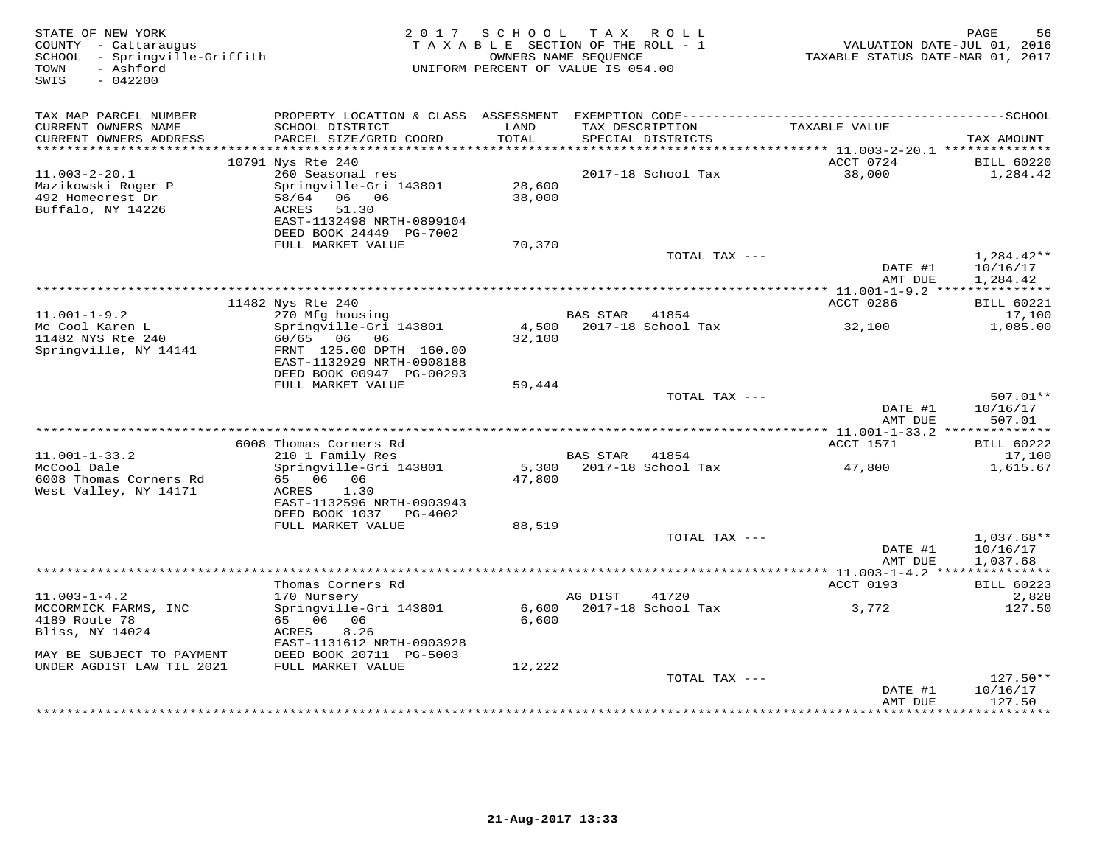| STATE OF NEW YORK<br>COUNTY - Cattaraugus<br>SCHOOL - Springville-Griffith<br>- Ashford<br>TOWN<br>SWIS<br>$-042200$ | 2 0 1 7<br>TAXABLE SECTION OF THE ROLL - 1<br>UNIFORM PERCENT OF VALUE IS 054.00                                                                | PAGE<br>56<br>VALUATION DATE-JUL 01, 2016<br>TAXABLE STATUS DATE-MAR 01, 2017 |                                         |                                           |                                      |
|----------------------------------------------------------------------------------------------------------------------|-------------------------------------------------------------------------------------------------------------------------------------------------|-------------------------------------------------------------------------------|-----------------------------------------|-------------------------------------------|--------------------------------------|
| TAX MAP PARCEL NUMBER                                                                                                |                                                                                                                                                 |                                                                               |                                         |                                           |                                      |
| CURRENT OWNERS NAME<br>CURRENT OWNERS ADDRESS<br>***********************                                             | SCHOOL DISTRICT<br>PARCEL SIZE/GRID COORD                                                                                                       | LAND<br>TOTAL                                                                 | TAX DESCRIPTION<br>SPECIAL DISTRICTS    | TAXABLE VALUE                             | TAX AMOUNT                           |
|                                                                                                                      | 10791 Nys Rte 240                                                                                                                               |                                                                               |                                         | ACCT 0724                                 | <b>BILL 60220</b>                    |
| $11.003 - 2 - 20.1$<br>Mazikowski Roger P<br>492 Homecrest Dr<br>Buffalo, NY 14226                                   | 260 Seasonal res<br>Springville-Gri 143801<br>58/64<br>06 06<br>51.30<br>ACRES<br>EAST-1132498 NRTH-0899104<br>DEED BOOK 24449 PG-7002          | 28,600<br>38,000                                                              | 2017-18 School Tax                      | 38,000                                    | 1,284.42                             |
|                                                                                                                      | FULL MARKET VALUE                                                                                                                               | 70,370                                                                        |                                         |                                           |                                      |
|                                                                                                                      |                                                                                                                                                 |                                                                               | TOTAL TAX ---                           | DATE #1<br>AMT DUE                        | 1,284.42**<br>10/16/17<br>1,284.42   |
|                                                                                                                      |                                                                                                                                                 |                                                                               | ************************************    | ************ 11.001-1-9.2 *************** |                                      |
|                                                                                                                      | 11482 Nys Rte 240                                                                                                                               |                                                                               |                                         | ACCT 0286                                 | <b>BILL 60221</b>                    |
| $11.001 - 1 - 9.2$<br>Mc Cool Karen L<br>11482 NYS Rte 240<br>Springville, NY 14141                                  | 270 Mfg housing<br>Springville-Gri 143801<br>60/65 06<br>06<br>FRNT 125.00 DPTH 160.00<br>EAST-1132929 NRTH-0908188<br>DEED BOOK 00947 PG-00293 | 4,500<br>32,100                                                               | BAS STAR<br>41854<br>2017-18 School Tax | 32,100                                    | 17,100<br>1,085.00                   |
|                                                                                                                      | FULL MARKET VALUE                                                                                                                               | 59,444                                                                        |                                         |                                           |                                      |
|                                                                                                                      |                                                                                                                                                 |                                                                               | TOTAL TAX ---                           | DATE #1<br>AMT DUE                        | 507.01**<br>10/16/17<br>507.01       |
|                                                                                                                      | 6008 Thomas Corners Rd                                                                                                                          |                                                                               |                                         | ACCT 1571                                 | <b>BILL 60222</b>                    |
| $11.001 - 1 - 33.2$                                                                                                  | 210 1 Family Res                                                                                                                                |                                                                               | BAS STAR 41854                          |                                           | 17,100                               |
| McCool Dale<br>6008 Thomas Corners Rd<br>West Valley, NY 14171                                                       | Springville-Gri 143801<br>65 06 06<br>1.30<br>ACRES<br>EAST-1132596 NRTH-0903943<br>DEED BOOK 1037 PG-4002                                      | 5,300<br>47,800                                                               | 2017-18 School Tax                      | 47,800                                    | 1,615.67                             |
|                                                                                                                      | FULL MARKET VALUE                                                                                                                               | 88,519                                                                        |                                         |                                           |                                      |
|                                                                                                                      |                                                                                                                                                 |                                                                               | TOTAL TAX ---                           | DATE #1<br>AMT DUE                        | $1,037.68**$<br>10/16/17<br>1,037.68 |
|                                                                                                                      |                                                                                                                                                 |                                                                               |                                         |                                           |                                      |
|                                                                                                                      | Thomas Corners Rd                                                                                                                               |                                                                               |                                         | ACCT 0193                                 | <b>BILL 60223</b>                    |
| $11.003 - 1 - 4.2$<br>MCCORMICK FARMS, INC<br>4189 Route 78<br>Bliss, NY 14024                                       | 170 Nursery<br>Springville-Gri 143801<br>65 06 06<br>8.26<br>ACRES<br>EAST-1131612 NRTH-0903928                                                 | 6,600<br>6,600                                                                | AG DIST<br>41720<br>2017-18 School Tax  | 3,772                                     | 2,828<br>127.50                      |
| MAY BE SUBJECT TO PAYMENT                                                                                            | DEED BOOK 20711 PG-5003                                                                                                                         |                                                                               |                                         |                                           |                                      |
| UNDER AGDIST LAW TIL 2021                                                                                            | FULL MARKET VALUE                                                                                                                               | 12,222                                                                        | TOTAL TAX ---                           |                                           | $127.50**$                           |
|                                                                                                                      |                                                                                                                                                 |                                                                               |                                         | DATE #1<br>AMT DUE<br>**************      | 10/16/17<br>127.50<br>*********      |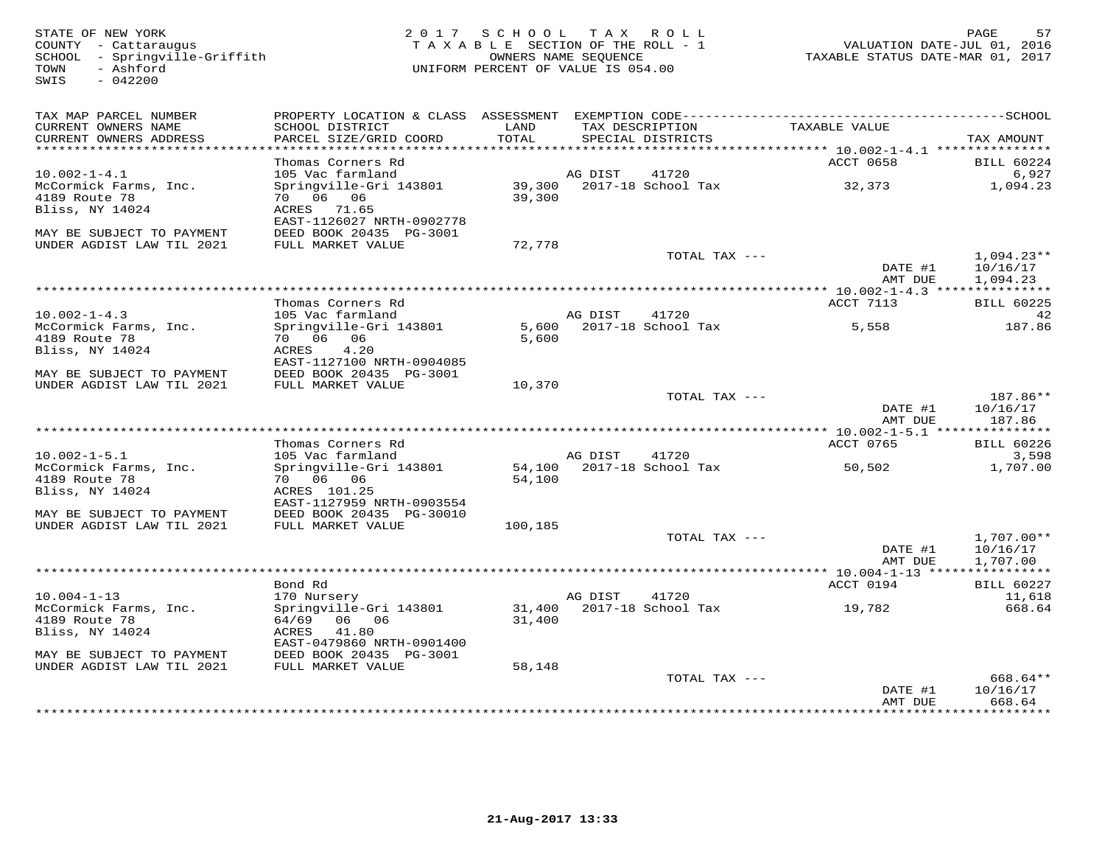COUNTY - Cattaraugus<br>SCHOOL - Springville-Griffith<br>TOWN - Ashford<br>SWIS - 042200

## STATE OF NEW YORK 2 0 1 7 S C H O O L T A X R O L L PAGE 57 COUNTY - Cattaraugus T A X A B L E SECTION OF THE ROLL - 1 VALUATION DATE-JUL 01, 2016 SCHOOL - Springville-Griffith OWNERS NAME SEQUENCE TAXABLE STATUS DATE-MAR 01, 2017 TOWN - Ashford UNIFORM PERCENT OF VALUE IS 054.00

| TAX MAP PARCEL NUMBER<br>CURRENT OWNERS NAME<br>CURRENT OWNERS ADDRESS | PROPERTY LOCATION & CLASS ASSESSMENT<br>SCHOOL DISTRICT<br>PARCEL SIZE/GRID COORD | LAND<br>TOTAL    | TAX DESCRIPTION | EXEMPTION CODE------------<br>SPECIAL DISTRICTS | TAXABLE VALUE                                  | ------------SCHOOL<br>TAX AMOUNT     |
|------------------------------------------------------------------------|-----------------------------------------------------------------------------------|------------------|-----------------|-------------------------------------------------|------------------------------------------------|--------------------------------------|
| ***********************                                                | **************                                                                    |                  |                 |                                                 |                                                |                                      |
|                                                                        | Thomas Corners Rd                                                                 |                  |                 |                                                 | <b>ACCT 0658</b>                               | BILL 60224                           |
| $10.002 - 1 - 4.1$<br>McCormick Farms, Inc.<br>4189 Route 78           | 105 Vac farmland<br>Springville-Gri 143801<br>70 06 06                            | 39,300<br>39,300 | AG DIST         | 41720<br>2017-18 School Tax                     | 32,373                                         | 6,927<br>1,094.23                    |
| Bliss, NY 14024                                                        | ACRES 71.65<br>EAST-1126027 NRTH-0902778                                          |                  |                 |                                                 |                                                |                                      |
| MAY BE SUBJECT TO PAYMENT<br>UNDER AGDIST LAW TIL 2021                 | DEED BOOK 20435 PG-3001<br>FULL MARKET VALUE                                      | 72,778           |                 |                                                 |                                                |                                      |
|                                                                        |                                                                                   |                  |                 | TOTAL TAX ---                                   | DATE #1<br>AMT DUE                             | $1,094.23**$<br>10/16/17<br>1,094.23 |
|                                                                        |                                                                                   |                  |                 |                                                 |                                                |                                      |
|                                                                        | Thomas Corners Rd                                                                 |                  |                 |                                                 | ACCT 7113                                      | <b>BILL 60225</b>                    |
| $10.002 - 1 - 4.3$                                                     | 105 Vac farmland                                                                  |                  | AG DIST         | 41720                                           |                                                | 42                                   |
| McCormick Farms, Inc.                                                  | Springville-Gri 143801                                                            | 5,600            |                 | 2017-18 School Tax                              | 5,558                                          | 187.86                               |
| 4189 Route 78                                                          | 70 06<br>06                                                                       | 5,600            |                 |                                                 |                                                |                                      |
| Bliss, NY 14024                                                        | ACRES<br>4.20<br>EAST-1127100 NRTH-0904085                                        |                  |                 |                                                 |                                                |                                      |
| MAY BE SUBJECT TO PAYMENT                                              | DEED BOOK 20435 PG-3001                                                           |                  |                 |                                                 |                                                |                                      |
| UNDER AGDIST LAW TIL 2021                                              | FULL MARKET VALUE                                                                 | 10,370           |                 |                                                 |                                                |                                      |
|                                                                        |                                                                                   |                  |                 | TOTAL TAX ---                                   |                                                | 187.86**                             |
|                                                                        |                                                                                   |                  |                 |                                                 | DATE #1                                        | 10/16/17                             |
|                                                                        |                                                                                   |                  |                 |                                                 | AMT DUE                                        | 187.86                               |
|                                                                        |                                                                                   |                  |                 |                                                 |                                                |                                      |
|                                                                        | Thomas Corners Rd                                                                 |                  |                 |                                                 | ACCT 0765                                      | BILL 60226                           |
| $10.002 - 1 - 5.1$<br>McCormick Farms, Inc.                            | 105 Vac farmland<br>Springville-Gri 143801                                        |                  | AG DIST         | 41720<br>2017-18 School Tax                     |                                                | 3,598<br>1,707.00                    |
| 4189 Route 78                                                          | 70 06 06                                                                          | 54,100<br>54,100 |                 |                                                 | 50,502                                         |                                      |
| Bliss, NY 14024                                                        | ACRES 101.25                                                                      |                  |                 |                                                 |                                                |                                      |
|                                                                        | EAST-1127959 NRTH-0903554                                                         |                  |                 |                                                 |                                                |                                      |
| MAY BE SUBJECT TO PAYMENT                                              | DEED BOOK 20435 PG-30010                                                          |                  |                 |                                                 |                                                |                                      |
| UNDER AGDIST LAW TIL 2021                                              | FULL MARKET VALUE                                                                 | 100,185          |                 |                                                 |                                                |                                      |
|                                                                        |                                                                                   |                  |                 | TOTAL TAX ---                                   | DATE #1<br>AMT DUE                             | $1,707.00**$<br>10/16/17<br>1,707.00 |
|                                                                        |                                                                                   |                  |                 |                                                 | **************** 10.004-1-13 ***************** |                                      |
|                                                                        | Bond Rd                                                                           |                  |                 |                                                 | ACCT 0194                                      | BILL 60227                           |
| $10.004 - 1 - 13$                                                      | 170 Nursery                                                                       |                  | AG DIST         | 41720                                           |                                                | 11,618                               |
| McCormick Farms, Inc.                                                  | Springville-Gri 143801                                                            | 31,400           |                 | 2017-18 School Tax                              | 19,782                                         | 668.64                               |
| 4189 Route 78<br>Bliss, NY 14024                                       | 64/69 06 06<br>41.80<br>ACRES                                                     | 31,400           |                 |                                                 |                                                |                                      |
|                                                                        | EAST-0479860 NRTH-0901400                                                         |                  |                 |                                                 |                                                |                                      |
| MAY BE SUBJECT TO PAYMENT                                              | DEED BOOK 20435 PG-3001                                                           |                  |                 |                                                 |                                                |                                      |
| UNDER AGDIST LAW TIL 2021                                              | FULL MARKET VALUE                                                                 | 58,148           |                 |                                                 |                                                |                                      |
|                                                                        |                                                                                   |                  |                 | TOTAL TAX ---                                   |                                                | 668.64**                             |
|                                                                        |                                                                                   |                  |                 |                                                 | DATE #1                                        | 10/16/17                             |
|                                                                        |                                                                                   |                  |                 |                                                 | AMT DUE                                        | 668.64                               |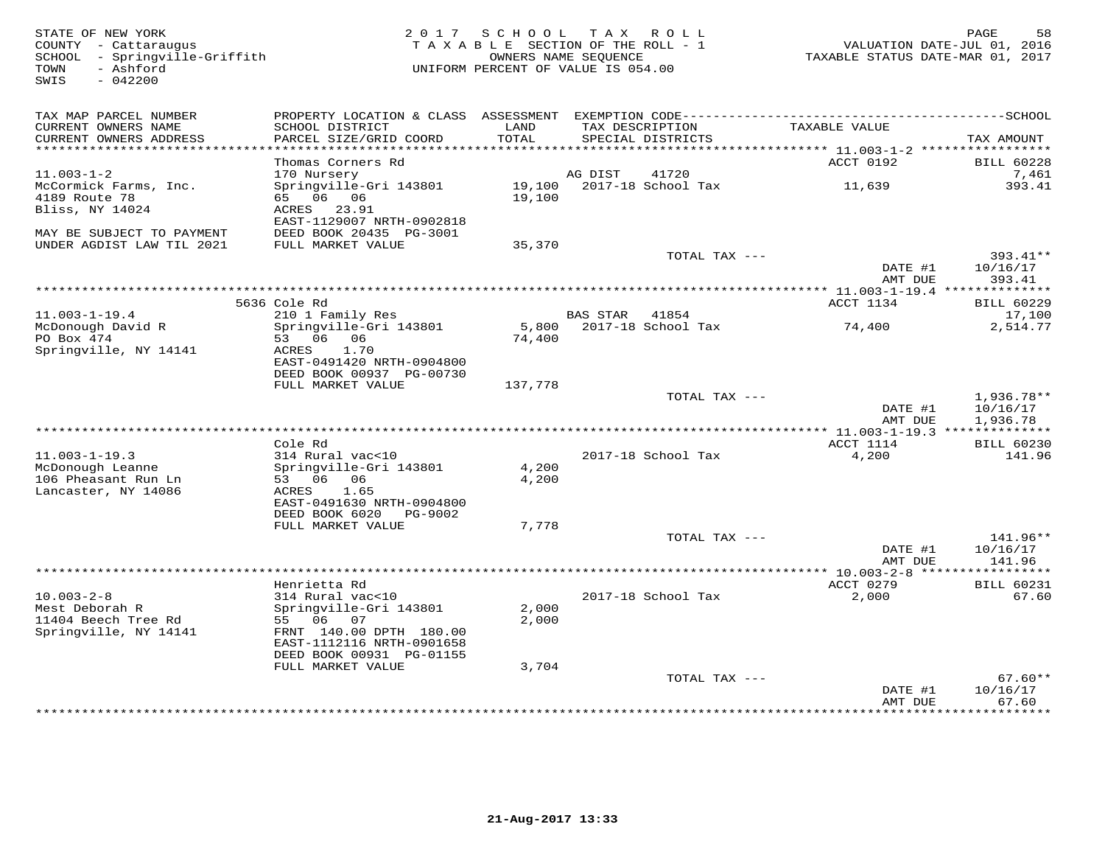| STATE OF NEW YORK<br>COUNTY - Cattaraugus<br>SCHOOL - Springville-Griffith<br>- Ashford<br>TOWN<br>$-042200$<br>SWIS | SCHOOL<br>T A X<br>R O L L<br>2 0 1 7<br>T A X A B L E SECTION OF THE ROLL - 1<br>OWNERS NAME SEQUENCE<br>UNIFORM PERCENT OF VALUE IS 054.00 |                  |                                      | PAGE<br>58<br>VALUATION DATE-JUL 01, 2016<br>TAXABLE STATUS DATE-MAR 01, 2017 |                                |  |
|----------------------------------------------------------------------------------------------------------------------|----------------------------------------------------------------------------------------------------------------------------------------------|------------------|--------------------------------------|-------------------------------------------------------------------------------|--------------------------------|--|
| TAX MAP PARCEL NUMBER                                                                                                |                                                                                                                                              |                  |                                      |                                                                               |                                |  |
| CURRENT OWNERS NAME<br>CURRENT OWNERS ADDRESS<br>**********************                                              | SCHOOL DISTRICT<br>PARCEL SIZE/GRID COORD<br>***********************                                                                         | LAND<br>TOTAL    | TAX DESCRIPTION<br>SPECIAL DISTRICTS | TAXABLE VALUE                                                                 | TAX AMOUNT                     |  |
|                                                                                                                      | Thomas Corners Rd                                                                                                                            |                  |                                      | ACCT 0192                                                                     | <b>BILL 60228</b>              |  |
| $11.003 - 1 - 2$                                                                                                     | 170 Nursery                                                                                                                                  |                  | 41720<br>AG DIST                     |                                                                               | 7,461                          |  |
| McCormick Farms, Inc.<br>4189 Route 78<br>Bliss, NY 14024                                                            | Springville-Gri 143801<br>65 06 06<br>ACRES 23.91<br>EAST-1129007 NRTH-0902818                                                               | 19,100<br>19,100 | 2017-18 School Tax                   | 11,639                                                                        | 393.41                         |  |
| MAY BE SUBJECT TO PAYMENT                                                                                            | DEED BOOK 20435 PG-3001                                                                                                                      |                  |                                      |                                                                               |                                |  |
| UNDER AGDIST LAW TIL 2021                                                                                            | FULL MARKET VALUE                                                                                                                            | 35,370           | TOTAL TAX ---                        |                                                                               | $393.41**$                     |  |
|                                                                                                                      |                                                                                                                                              |                  |                                      | DATE #1<br>AMT DUE                                                            | 10/16/17<br>393.41             |  |
|                                                                                                                      |                                                                                                                                              |                  |                                      |                                                                               |                                |  |
| $11.003 - 1 - 19.4$                                                                                                  | 5636 Cole Rd<br>210 1 Family Res                                                                                                             |                  | <b>BAS STAR</b><br>41854             | ACCT 1134                                                                     | <b>BILL 60229</b><br>17,100    |  |
| McDonough David R                                                                                                    | Springville-Gri 143801                                                                                                                       |                  | 5,800 2017-18 School Tax             | 74,400                                                                        | 2,514.77                       |  |
| PO Box 474<br>Springville, NY 14141                                                                                  | 53 06 06<br>ACRES<br>1.70<br>EAST-0491420 NRTH-0904800<br>DEED BOOK 00937 PG-00730                                                           | 74,400           |                                      |                                                                               |                                |  |
|                                                                                                                      | FULL MARKET VALUE                                                                                                                            | 137,778          |                                      |                                                                               |                                |  |
|                                                                                                                      |                                                                                                                                              |                  | TOTAL TAX ---                        | DATE #1                                                                       | $1,936.78**$<br>10/16/17       |  |
|                                                                                                                      |                                                                                                                                              |                  |                                      | AMT DUE<br>**** 11.003-1-19.3 ***************                                 | 1,936.78                       |  |
|                                                                                                                      | Cole Rd                                                                                                                                      |                  |                                      | ACCT 1114                                                                     | BILL 60230                     |  |
| $11.003 - 1 - 19.3$<br>McDonough Leanne<br>106 Pheasant Run Ln<br>Lancaster, NY 14086                                | 314 Rural vac<10<br>Springville-Gri 143801<br>53 06 06<br>1.65<br>ACRES                                                                      | 4,200<br>4,200   | 2017-18 School Tax                   | 4,200                                                                         | 141.96                         |  |
|                                                                                                                      | EAST-0491630 NRTH-0904800<br>DEED BOOK 6020 PG-9002                                                                                          |                  |                                      |                                                                               |                                |  |
|                                                                                                                      | FULL MARKET VALUE                                                                                                                            | 7,778            |                                      |                                                                               |                                |  |
|                                                                                                                      |                                                                                                                                              |                  | TOTAL TAX ---                        | DATE #1<br>AMT DUE                                                            | 141.96**<br>10/16/17<br>141.96 |  |
|                                                                                                                      |                                                                                                                                              |                  |                                      | ************** 10.003-2-8 ******************                                  |                                |  |
|                                                                                                                      | Henrietta Rd                                                                                                                                 |                  |                                      | ACCT 0279                                                                     | <b>BILL 60231</b>              |  |
| $10.003 - 2 - 8$<br>Mest Deborah R<br>11404 Beech Tree Rd<br>Springville, NY 14141                                   | 314 Rural vac<10<br>Springville-Gri 143801<br>55 06 07<br>FRNT 140.00 DPTH 180.00                                                            | 2,000<br>2,000   | 2017-18 School Tax                   | 2,000                                                                         | 67.60                          |  |

EAST-1112116 NRTH-0901658

| 3,704 |               |         |           |
|-------|---------------|---------|-----------|
|       | TOTAL TAX --- |         | $67.60**$ |
|       |               | DATE #1 | 10/16/17  |
|       |               | AMT DUE | 67.60     |
|       |               |         |           |
|       |               |         |           |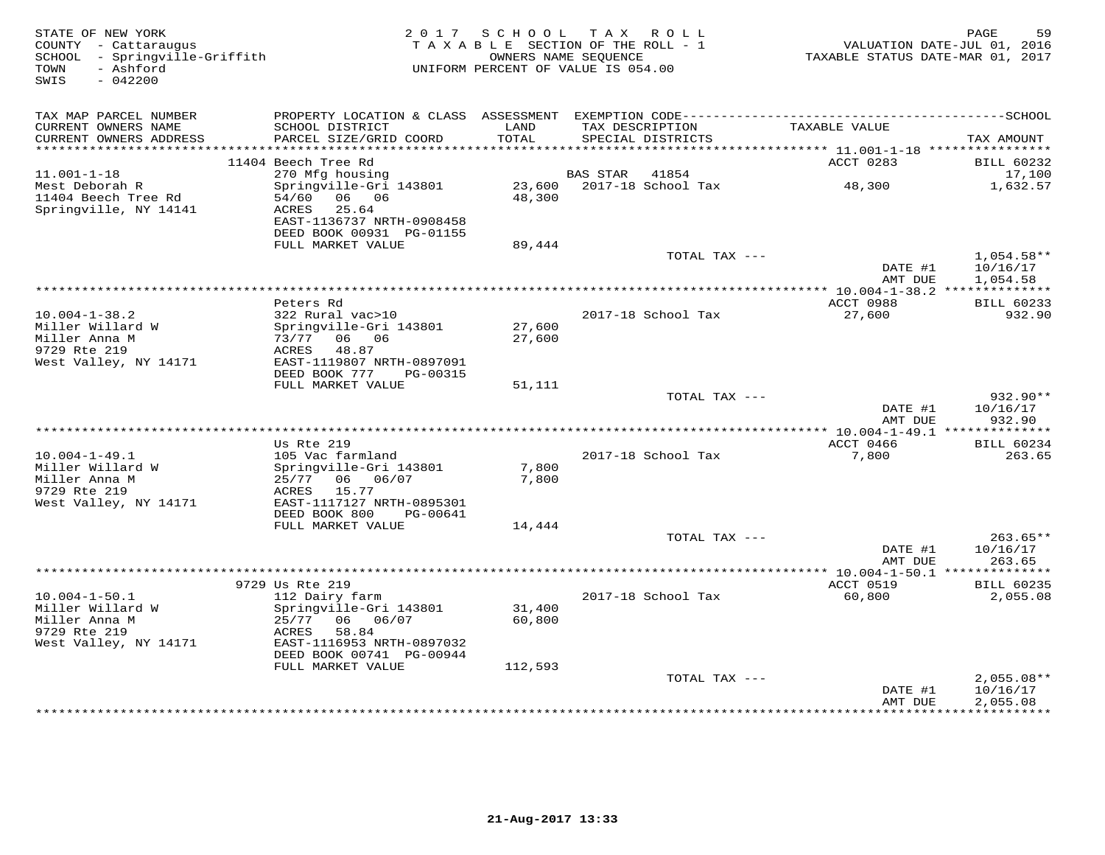| STATE OF NEW YORK<br>COUNTY - Cattaraugus<br>SCHOOL - Springville-Griffith<br>- Ashford<br>TOWN<br>SWIS<br>$-042200$ |                                                       | 2017 SCHOOL TAX ROLL<br>TAXABLE SECTION OF THE ROLL - 1<br>OWNERS NAME SEQUENCE<br>UNIFORM PERCENT OF VALUE IS 054.00 |                 |                                      | TAXABLE STATUS DATE-MAR 01, 2017              | 59<br>PAGE<br>VALUATION DATE-JUL 01, 2016     |
|----------------------------------------------------------------------------------------------------------------------|-------------------------------------------------------|-----------------------------------------------------------------------------------------------------------------------|-----------------|--------------------------------------|-----------------------------------------------|-----------------------------------------------|
| TAX MAP PARCEL NUMBER                                                                                                |                                                       |                                                                                                                       |                 |                                      |                                               |                                               |
| CURRENT OWNERS NAME<br>CURRENT OWNERS ADDRESS                                                                        | SCHOOL DISTRICT<br>PARCEL SIZE/GRID COORD             | LAND<br>TOTAL                                                                                                         |                 | TAX DESCRIPTION<br>SPECIAL DISTRICTS | TAXABLE VALUE                                 | TAX AMOUNT                                    |
| **********************                                                                                               |                                                       | * * * * * * * * * * * * * * * * * *                                                                                   |                 |                                      |                                               |                                               |
| $11.001 - 1 - 18$                                                                                                    | 11404 Beech Tree Rd<br>270 Mfg housing                |                                                                                                                       | <b>BAS STAR</b> | 41854                                | ACCT 0283                                     | <b>BILL 60232</b><br>17,100                   |
| Mest Deborah R                                                                                                       | Springville-Gri 143801                                | 23,600                                                                                                                |                 | 2017-18 School Tax                   | 48,300                                        | 1,632.57                                      |
| 11404 Beech Tree Rd<br>Springville, NY 14141                                                                         | 06 06<br>54/60<br>25.64<br>ACRES                      | 48,300                                                                                                                |                 |                                      |                                               |                                               |
|                                                                                                                      | EAST-1136737 NRTH-0908458<br>DEED BOOK 00931 PG-01155 |                                                                                                                       |                 |                                      |                                               |                                               |
|                                                                                                                      | FULL MARKET VALUE                                     | 89,444                                                                                                                |                 |                                      |                                               |                                               |
|                                                                                                                      |                                                       |                                                                                                                       |                 | TOTAL TAX ---                        | DATE #1<br>AMT DUE                            | $1,054.58**$<br>10/16/17                      |
|                                                                                                                      |                                                       |                                                                                                                       |                 |                                      | **************** 10.004-1-38.2 ************** | 1,054.58                                      |
|                                                                                                                      | Peters Rd                                             |                                                                                                                       |                 |                                      | ACCT 0988                                     | <b>BILL 60233</b>                             |
| $10.004 - 1 - 38.2$                                                                                                  | 322 Rural vac>10                                      |                                                                                                                       |                 | 2017-18 School Tax                   | 27,600                                        | 932.90                                        |
| Miller Willard W                                                                                                     | Springville-Gri 143801                                | 27,600                                                                                                                |                 |                                      |                                               |                                               |
| Miller Anna M<br>9729 Rte 219                                                                                        | 73/77 06 06<br>ACRES<br>48.87                         | 27,600                                                                                                                |                 |                                      |                                               |                                               |
| West Valley, NY 14171                                                                                                | EAST-1119807 NRTH-0897091                             |                                                                                                                       |                 |                                      |                                               |                                               |
|                                                                                                                      | DEED BOOK 777<br>PG-00315                             |                                                                                                                       |                 |                                      |                                               |                                               |
|                                                                                                                      | FULL MARKET VALUE                                     | 51,111                                                                                                                |                 |                                      |                                               |                                               |
|                                                                                                                      |                                                       |                                                                                                                       |                 | TOTAL TAX ---                        |                                               | 932.90**                                      |
|                                                                                                                      |                                                       |                                                                                                                       |                 |                                      | DATE #1<br>AMT DUE                            | 10/16/17<br>932.90                            |
|                                                                                                                      |                                                       |                                                                                                                       |                 |                                      |                                               |                                               |
|                                                                                                                      | Us Rte 219                                            |                                                                                                                       |                 |                                      | ACCT 0466                                     | <b>BILL 60234</b>                             |
| $10.004 - 1 - 49.1$                                                                                                  | 105 Vac farmland                                      |                                                                                                                       |                 | 2017-18 School Tax                   | 7,800                                         | 263.65                                        |
| Miller Willard W                                                                                                     | Springville-Gri 143801                                | 7,800                                                                                                                 |                 |                                      |                                               |                                               |
| Miller Anna M<br>9729 Rte 219                                                                                        | 25/77<br>06<br>06/07<br>15.77<br>ACRES                | 7,800                                                                                                                 |                 |                                      |                                               |                                               |
| West Valley, NY 14171                                                                                                | EAST-1117127 NRTH-0895301                             |                                                                                                                       |                 |                                      |                                               |                                               |
|                                                                                                                      | DEED BOOK 800<br>PG-00641                             |                                                                                                                       |                 |                                      |                                               |                                               |
|                                                                                                                      | FULL MARKET VALUE                                     | 14,444                                                                                                                |                 |                                      |                                               |                                               |
|                                                                                                                      |                                                       |                                                                                                                       |                 | TOTAL TAX ---                        |                                               | $263.65**$                                    |
|                                                                                                                      |                                                       |                                                                                                                       |                 |                                      | DATE #1<br>AMT DUE                            | 10/16/17<br>263.65                            |
|                                                                                                                      |                                                       |                                                                                                                       |                 |                                      |                                               |                                               |
|                                                                                                                      | 9729 Us Rte 219                                       |                                                                                                                       |                 |                                      | ACCT 0519                                     | <b>BILL 60235</b>                             |
| $10.004 - 1 - 50.1$                                                                                                  | 112 Dairy farm                                        |                                                                                                                       |                 | 2017-18 School Tax                   | 60,800                                        | 2,055.08                                      |
| Miller Willard W<br>Miller Anna M                                                                                    | Springville-Gri 143801<br>25/77 06 06/07              | 31,400<br>60,800                                                                                                      |                 |                                      |                                               |                                               |
| 9729 Rte 219                                                                                                         | ACRES<br>58.84                                        |                                                                                                                       |                 |                                      |                                               |                                               |
| West Valley, NY 14171                                                                                                | EAST-1116953 NRTH-0897032                             |                                                                                                                       |                 |                                      |                                               |                                               |
|                                                                                                                      | DEED BOOK 00741 PG-00944                              |                                                                                                                       |                 |                                      |                                               |                                               |
|                                                                                                                      | FULL MARKET VALUE                                     | 112,593                                                                                                               |                 |                                      |                                               |                                               |
|                                                                                                                      |                                                       |                                                                                                                       |                 | TOTAL TAX ---                        |                                               | $2,055.08**$                                  |
|                                                                                                                      |                                                       |                                                                                                                       |                 |                                      | DATE #1<br>AMT DUE<br>************            | 10/16/17<br>2,055.08<br>* * * * * * * * * * * |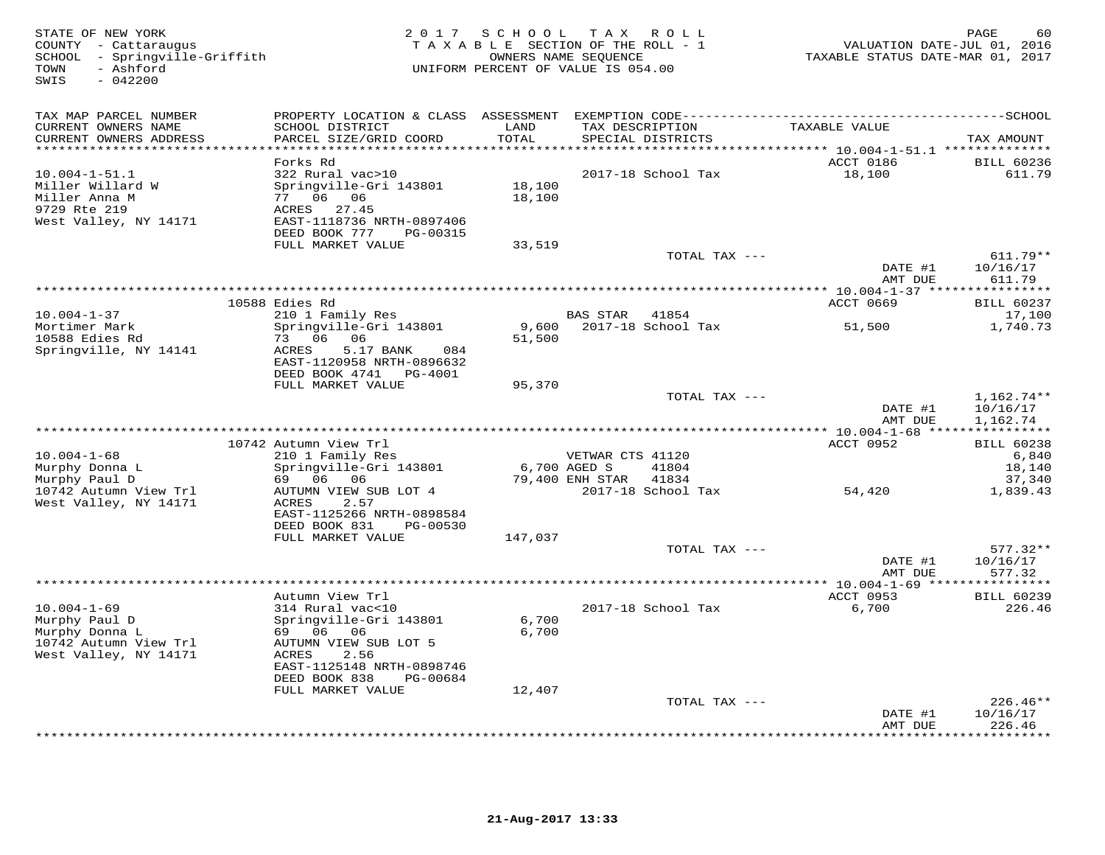| STATE OF NEW YORK<br>COUNTY - Cattaraugus<br>SCHOOL - Springville-Griffith<br>- Ashford<br>TOWN<br>SWIS<br>$-042200$ | 2 0 1 7                                                                                                                                                              | SCHOOL TAX ROLL<br>TAXABLE SECTION OF THE ROLL - 1<br>UNIFORM PERCENT OF VALUE IS 054.00 | OWNERS NAME SEQUENCE                                |                    | TAXABLE STATUS DATE-MAR 01, 2017                                                 | PAGE<br>60<br>VALUATION DATE-JUL 01, 2016      |
|----------------------------------------------------------------------------------------------------------------------|----------------------------------------------------------------------------------------------------------------------------------------------------------------------|------------------------------------------------------------------------------------------|-----------------------------------------------------|--------------------|----------------------------------------------------------------------------------|------------------------------------------------|
| TAX MAP PARCEL NUMBER<br>CURRENT OWNERS NAME<br>CURRENT OWNERS ADDRESS<br>**********************                     | PROPERTY LOCATION & CLASS ASSESSMENT EXEMPTION CODE-----------------------------------SCHOOL<br>SCHOOL DISTRICT<br>PARCEL SIZE/GRID COORD<br>*********************** | LAND<br>TOTAL<br>**********                                                              | TAX DESCRIPTION                                     | SPECIAL DISTRICTS  | TAXABLE VALUE                                                                    | TAX AMOUNT                                     |
| $10.004 - 1 - 51.1$<br>Miller Willard W<br>Miller Anna M<br>9729 Rte 219<br>West Valley, NY 14171                    | Forks Rd<br>322 Rural vac>10<br>Springville-Gri 143801<br>77 06 06<br>ACRES 27.45<br>EAST-1118736 NRTH-0897406<br>DEED BOOK 777<br>PG-00315<br>FULL MARKET VALUE     | 18,100<br>18,100<br>33,519                                                               |                                                     | 2017-18 School Tax | **************************** 10.004-1-51.1 **************<br>ACCT 0186<br>18,100 | <b>BILL 60236</b><br>611.79                    |
|                                                                                                                      |                                                                                                                                                                      |                                                                                          |                                                     | TOTAL TAX ---      | DATE #1<br>AMT DUE                                                               | $611.79**$<br>10/16/17<br>611.79               |
|                                                                                                                      |                                                                                                                                                                      |                                                                                          |                                                     |                    |                                                                                  | *********                                      |
| $10.004 - 1 - 37$                                                                                                    | 10588 Edies Rd<br>210 1 Family Res                                                                                                                                   |                                                                                          | <b>BAS STAR</b>                                     | 41854              | <b>ACCT 0669</b>                                                                 | <b>BILL 60237</b><br>17,100                    |
| Mortimer Mark<br>10588 Edies Rd<br>Springville, NY 14141                                                             | Springville-Gri 143801<br>73 06 06<br>ACRES<br>5.17 BANK<br>084<br>EAST-1120958 NRTH-0896632<br>DEED BOOK 4741 PG-4001<br>FULL MARKET VALUE                          | 9,600<br>51,500<br>95,370                                                                |                                                     | 2017-18 School Tax | 51,500                                                                           | 1,740.73                                       |
|                                                                                                                      |                                                                                                                                                                      |                                                                                          |                                                     | TOTAL TAX ---      | DATE #1<br>AMT DUE                                                               | $1,162.74**$<br>10/16/17<br>1,162.74           |
|                                                                                                                      |                                                                                                                                                                      | ***********************************                                                      |                                                     |                    | **** $10.004 - 1 - 68$ **                                                        |                                                |
| $10.004 - 1 - 68$<br>Murphy Donna L<br>Murphy Paul D                                                                 | 10742 Autumn View Trl<br>210 1 Family Res<br>Springville-Gri 143801<br>69 06<br>06                                                                                   |                                                                                          | VETWAR CTS 41120<br>6,700 AGED S<br>79,400 ENH STAR | 41804<br>41834     | ACCT 0952                                                                        | <b>BILL 60238</b><br>6,840<br>18,140<br>37,340 |
| 10742 Autumn View Trl<br>West Valley, NY 14171                                                                       | AUTUMN VIEW SUB LOT 4<br>ACRES<br>2.57<br>EAST-1125266 NRTH-0898584<br>DEED BOOK 831<br>PG-00530                                                                     |                                                                                          |                                                     | 2017-18 School Tax | 54,420                                                                           | 1,839.43                                       |
|                                                                                                                      | FULL MARKET VALUE                                                                                                                                                    | 147,037                                                                                  |                                                     | TOTAL TAX ---      | DATE #1                                                                          | $577.32**$<br>10/16/17                         |
|                                                                                                                      |                                                                                                                                                                      | **********************************                                                       |                                                     |                    | AMT DUE<br>*** 10.004-1-69 ***                                                   | 577.32<br>* * * * * * * *                      |
|                                                                                                                      | Autumn View Trl                                                                                                                                                      |                                                                                          |                                                     |                    | ACCT 0953                                                                        | <b>BILL 60239</b>                              |
| $10.004 - 1 - 69$<br>Murphy Paul D<br>Murphy Donna L<br>10742 Autumn View Trl<br>West Valley, NY 14171               | 314 Rural vac<10<br>Springville-Gri 143801<br>69 06<br>06<br>AUTUMN VIEW SUB LOT 5<br>2.56<br>ACRES<br>EAST-1125148 NRTH-0898746<br>DEED BOOK 838<br>PG-00684        | 6,700<br>6,700                                                                           |                                                     | 2017-18 School Tax | 6,700                                                                            | 226.46                                         |
|                                                                                                                      | FULL MARKET VALUE                                                                                                                                                    | 12,407                                                                                   |                                                     | TOTAL TAX ---      |                                                                                  | $226.46**$                                     |
|                                                                                                                      |                                                                                                                                                                      |                                                                                          |                                                     |                    | DATE #1<br>AMT DUE                                                               | 10/16/17<br>226.46<br>********                 |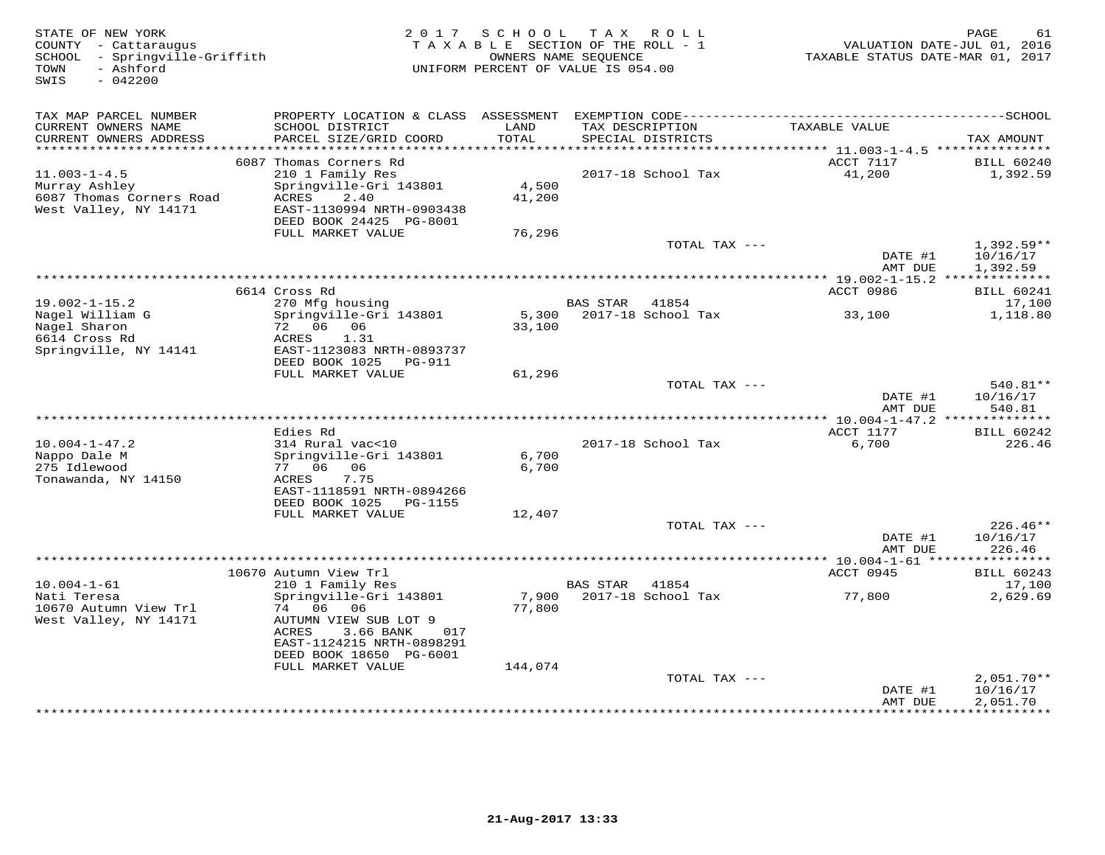STATE OF NEW YORK 2 0 1 7 S C H O O L T A X R O L L PAGE 61 COUNTY - Cattaraugus T A X A B L E SECTION OF THE ROLL - 1 VALUATION DATE-JUL 01, 2016 SCHOOL - Springville-Griffith OWNERS NAME SEQUENCE TAXABLE STATUS DATE-MAR 01, 2017 TOWN - Ashford UNIFORM PERCENT OF VALUE IS 054.00SWIS - 042200TAX MAP PARCEL NUMBER PROPERTY LOCATION & CLASS ASSESSMENT EXEMPTION CODE------------------------------------------SCHOOL CURRENT OWNERS NAME SCHOOL DISTRICT LAND TAX DESCRIPTION TAXABLE VALUE CURRENT OWNERS ADDRESS PARCEL SIZE/GRID COORD TOTAL SPECIAL DISTRICTS TAX AMOUNT \*\*\*\*\*\*\*\*\*\*\*\*\*\*\*\*\*\*\*\*\*\*\*\*\*\*\*\*\*\*\*\*\*\*\*\*\*\*\*\*\*\*\*\*\*\*\*\*\*\*\*\*\*\*\*\*\*\*\*\*\*\*\*\*\*\*\*\*\*\*\*\*\*\*\*\*\*\*\*\*\*\*\*\*\*\*\*\*\*\*\*\*\*\*\*\*\*\*\*\*\*\*\* 11.003-1-4.5 \*\*\*\*\*\*\*\*\*\*\*\*\*\*\* 6087 Thomas Corners Rd ACCT 7117 BILL 60240 11.003-1-4.5 210 1 Family Res 2017-18 School Tax 41,200 1,392.59Murray Ashley Springville-Gri 143801 4,500 6087 Thomas Corners Road ACRES 2.40 41,200 West Valley, NY 14171 EAST-1130994 NRTH-0903438 DEED BOOK 24425 PG-8001 FULL MARKET VALUE 76,296TOTAL TAX  $-- 1,392.59**$ DATE #1 10/16/17<br>3 MT DIE 1 200 EO AMT DUE 1,392.59 \*\*\*\*\*\*\*\*\*\*\*\*\*\*\*\*\*\*\*\*\*\*\*\*\*\*\*\*\*\*\*\*\*\*\*\*\*\*\*\*\*\*\*\*\*\*\*\*\*\*\*\*\*\*\*\*\*\*\*\*\*\*\*\*\*\*\*\*\*\*\*\*\*\*\*\*\*\*\*\*\*\*\*\*\*\*\*\*\*\*\*\*\*\*\*\*\*\*\*\*\*\*\* 19.002-1-15.2 \*\*\*\*\*\*\*\*\*\*\*\*\*\*ACCT 0986 BILL 60241 6614 Cross Rd ACCT 0986 BILL 6024117,100 19.002-1-15.2 270 Mfg housing BAS STAR 41854 17,1001.118.80 Nagel William G Springville-Gri 143801 5,300 2017-18 School Tax 33,100 1,118.80Nagel Sharon 72 06 06 33,100 Agel Milliam G<br>
Magel Sharon (Springville-Gri<br>
Magel Sharon (72 06 06<br>
6614 Cross Rd (ACRES 1.31) Springville, NY 14141 EAST-1123083 NRTH-0893737 DEED BOOK 1025 PG-911 FULL MARKET VALUE 61,296TOTAL TAX --- 540.81\*\*  $\text{DATE}$  #1  $10/16/17$ AMT DUE 540.81 AMT DUE 540.81 \*\*\*\*\*\*\*\*\*\*\*\*\*\*\*\*\*\*\*\*\*\*\*\*\*\*\*\*\*\*\*\*\*\*\*\*\*\*\*\*\*\*\*\*\*\*\*\*\*\*\*\*\*\*\*\*\*\*\*\*\*\*\*\*\*\*\*\*\*\*\*\*\*\*\*\*\*\*\*\*\*\*\*\*\*\*\*\*\*\*\*\*\*\*\*\*\*\*\*\*\*\*\* 10.004-1-47.2 \*\*\*\*\*\*\*\*\*\*\*\*\*\*ACCT 1177 BILL 60242 Edies Rd ACCT 1177 BILL 60242226.46 10.004-1-47.2 314 Rural vac<10 2017-18 School Tax 6,700 226.46Nappo Dale M Springville-Gri 143801 6,700 275 Idlewood 77 06 06 6,700 Tonawanda, NY 14150 ACRES 7.75 EAST-1118591 NRTH-0894266 DEED BOOK 1025 PG-1155FULL MARKET VALUE 12,407 TOTAL TAX --- 226.46\*\* $\text{DATE}$  #1  $10/16/17$ AMT DUE 226.46 AMT DUE 226.46 \*\*\*\*\*\*\*\*\*\*\*\*\*\*\*\*\*\*\*\*\*\*\*\*\*\*\*\*\*\*\*\*\*\*\*\*\*\*\*\*\*\*\*\*\*\*\*\*\*\*\*\*\*\*\*\*\*\*\*\*\*\*\*\*\*\*\*\*\*\*\*\*\*\*\*\*\*\*\*\*\*\*\*\*\*\*\*\*\*\*\*\*\*\*\*\*\*\*\*\*\*\*\* 10.004-1-61 \*\*\*\*\*\*\*\*\*\*\*\*\*\*\*\*ACCT 0945 BILL 60243 10670 Autumn View Trl ACCT 0945 BILL 6024317,100 10.004-1-61 210 1 Family Res BAS STAR 41854 17,1002.629.69 Nati Teresa Springville-Gri 143801 7,900 2017-18 School Tax 77,800 2,629.6910670 Autumn View Trl 74 06 06 77,800 West Valley, NY 14171 AUTUMN VIEW SUB LOT 9 ACRES 3.66 BANK 017 EAST-1124215 NRTH-0898291 DEED BOOK 18650 PG-6001 FULL MARKET VALUE 144,074 TOTAL TAX --- 2,051.70\*\* DATE #1 10/16/17 AMT DUE 2,051.70\*\*\*\*\*\*\*\*\*\*\*\*\*\*\*\*\*\*\*\*\*\*\*\*\*\*\*\*\*\*\*\*\*\*\*\*\*\*\*\*\*\*\*\*\*\*\*\*\*\*\*\*\*\*\*\*\*\*\*\*\*\*\*\*\*\*\*\*\*\*\*\*\*\*\*\*\*\*\*\*\*\*\*\*\*\*\*\*\*\*\*\*\*\*\*\*\*\*\*\*\*\*\*\*\*\*\*\*\*\*\*\*\*\*\*\*\*\*\*\*\*\*\*\*\*\*\*\*\*\*\*\*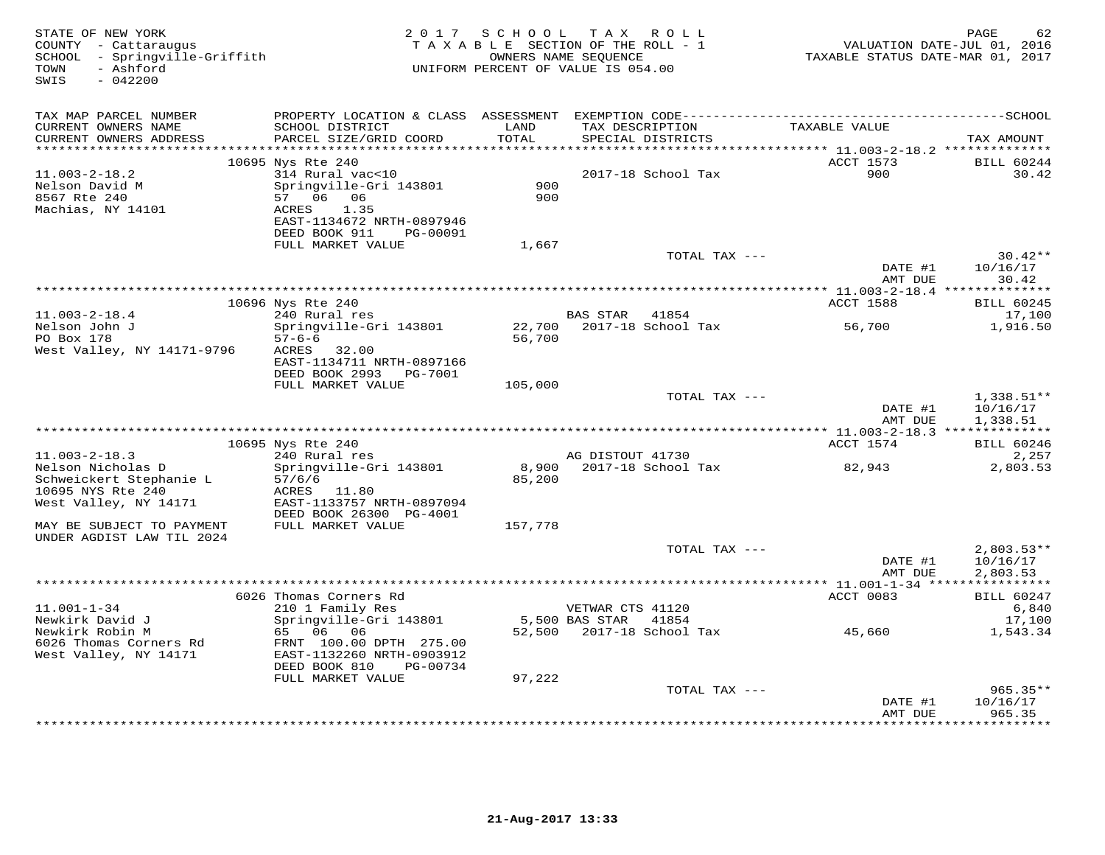| STATE OF NEW YORK<br>COUNTY - Cattaraugus<br>SCHOOL - Springville-Griffith<br>- Ashford<br>TOWN<br>$-042200$<br>SWIS |                                                                                                                                                        |                                 | 2017 SCHOOL TAX ROLL<br>TAXABLE SECTION OF THE ROLL - 1<br>OWNERS NAME SEQUENCE<br>UNIFORM PERCENT OF VALUE IS 054.00 | VALUATION DATE-JUL 01, 2016<br>TAXABLE STATUS DATE-MAR 01, 2017 | PAGE<br>62                           |
|----------------------------------------------------------------------------------------------------------------------|--------------------------------------------------------------------------------------------------------------------------------------------------------|---------------------------------|-----------------------------------------------------------------------------------------------------------------------|-----------------------------------------------------------------|--------------------------------------|
| TAX MAP PARCEL NUMBER<br>CURRENT OWNERS NAME<br>CURRENT OWNERS ADDRESS<br>**********************                     | SCHOOL DISTRICT<br>PARCEL SIZE/GRID COORD<br>*************************                                                                                 | LAND<br>TOTAL<br>************** | TAX DESCRIPTION<br>SPECIAL DISTRICTS                                                                                  | TAXABLE VALUE                                                   | TAX AMOUNT                           |
|                                                                                                                      | 10695 Nys Rte 240                                                                                                                                      |                                 |                                                                                                                       | ACCT 1573                                                       | <b>BILL 60244</b>                    |
| $11.003 - 2 - 18.2$<br>Nelson David M<br>8567 Rte 240<br>Machias, NY 14101                                           | 314 Rural vac<10<br>Springville-Gri 143801<br>57 06 06<br>1.35<br>ACRES<br>EAST-1134672 NRTH-0897946<br>DEED BOOK 911<br>PG-00091<br>FULL MARKET VALUE | 900<br>900                      | 2017-18 School Tax                                                                                                    | 900                                                             | 30.42                                |
|                                                                                                                      |                                                                                                                                                        | 1,667                           | TOTAL TAX ---                                                                                                         |                                                                 | $30.42**$                            |
|                                                                                                                      |                                                                                                                                                        |                                 |                                                                                                                       | DATE #1<br>AMT DUE                                              | 10/16/17<br>30.42                    |
|                                                                                                                      | 10696 Nys Rte 240                                                                                                                                      |                                 |                                                                                                                       | ACCT 1588                                                       | <b>BILL 60245</b>                    |
| $11.003 - 2 - 18.4$<br>Nelson John J                                                                                 | 240 Rural res<br>Springville-Gri 143801                                                                                                                | 22,700                          | BAS STAR 41854<br>2017-18 School Tax                                                                                  | 56,700                                                          | 17,100<br>1,916.50                   |
| PO Box 178<br>West Valley, NY 14171-9796                                                                             | $57 - 6 - 6$<br>ACRES<br>32.00<br>EAST-1134711 NRTH-0897166<br>DEED BOOK 2993<br>PG-7001                                                               | 56,700                          |                                                                                                                       |                                                                 |                                      |
|                                                                                                                      | FULL MARKET VALUE                                                                                                                                      | 105,000                         |                                                                                                                       |                                                                 |                                      |
|                                                                                                                      |                                                                                                                                                        |                                 | TOTAL TAX ---                                                                                                         | DATE #1<br>AMT DUE                                              | $1,338.51**$<br>10/16/17<br>1,338.51 |
|                                                                                                                      |                                                                                                                                                        |                                 |                                                                                                                       |                                                                 |                                      |
| $11.003 - 2 - 18.3$                                                                                                  | 10695 Nys Rte 240<br>240 Rural res                                                                                                                     |                                 | AG DISTOUT 41730                                                                                                      | ACCT 1574                                                       | <b>BILL 60246</b><br>2,257           |
| Nelson Nicholas D<br>Schweickert Stephanie L<br>10695 NYS Rte 240<br>West Valley, NY 14171                           | Springville-Gri 143801<br>57/6/6<br>ACRES<br>11.80<br>EAST-1133757 NRTH-0897094                                                                        | 8,900<br>85,200                 | 2017-18 School Tax                                                                                                    | 82,943                                                          | 2,803.53                             |
| MAY BE SUBJECT TO PAYMENT                                                                                            | DEED BOOK 26300 PG-4001<br>FULL MARKET VALUE                                                                                                           | 157,778                         |                                                                                                                       |                                                                 |                                      |
| UNDER AGDIST LAW TIL 2024                                                                                            |                                                                                                                                                        |                                 | TOTAL TAX ---                                                                                                         | DATE #1<br>AMT DUE                                              | $2,803.53**$<br>10/16/17<br>2,803.53 |
|                                                                                                                      |                                                                                                                                                        |                                 | ************************************                                                                                  | *** 11.001-1-34 ****                                            |                                      |
| $11.001 - 1 - 34$                                                                                                    | 6026 Thomas Corners Rd<br>210 1 Family Res                                                                                                             |                                 | VETWAR CTS 41120                                                                                                      | ACCT 0083                                                       | <b>BILL 60247</b><br>6,840           |
| Newkirk David J<br>Newkirk Robin M<br>6026 Thomas Corners Rd<br>West Valley, NY 14171                                | Springville-Gri 143801<br>65 06 06<br>FRNT 100.00 DPTH 275.00<br>EAST-1132260 NRTH-0903912<br>DEED BOOK 810<br>PG-00734<br>FULL MARKET VALUE           | 52,500<br>97,222                | 5,500 BAS STAR 41854<br>2017-18 School Tax                                                                            | 45,660                                                          | 17,100<br>1,543.34                   |
|                                                                                                                      |                                                                                                                                                        |                                 | TOTAL TAX ---                                                                                                         |                                                                 | $965.35**$                           |
|                                                                                                                      |                                                                                                                                                        |                                 |                                                                                                                       | DATE #1<br>AMT DUE                                              | 10/16/17<br>965.35                   |
|                                                                                                                      |                                                                                                                                                        |                                 | ******************************                                                                                        | * * * * * * * * *                                               | * * * * * * * *                      |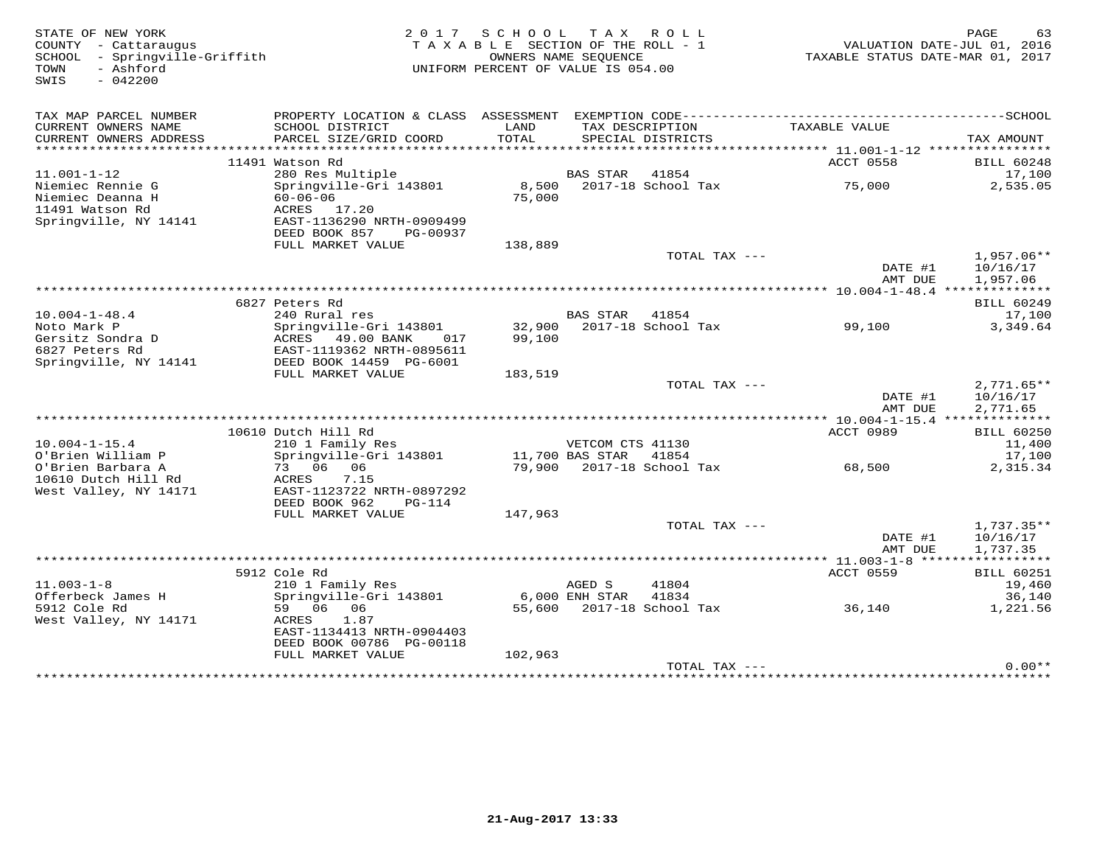| STATE OF NEW YORK<br>COUNTY - Cattaraugus<br>SCHOOL - Springville-Griffith<br>- Ashford<br>TOWN<br>SWIS<br>$-042200$ |                                                                                                                                                                     | 2017 SCHOOL TAX ROLL<br>TAXABLE SECTION OF THE ROLL - 1<br>UNIFORM PERCENT OF VALUE IS 054.00 | OWNERS NAME SEQUENCE |                                    | VALUATION DATE-JUL 01, 2016<br>TAXABLE STATUS DATE-MAR 01, 2017 | PAGE<br>63                              |
|----------------------------------------------------------------------------------------------------------------------|---------------------------------------------------------------------------------------------------------------------------------------------------------------------|-----------------------------------------------------------------------------------------------|----------------------|------------------------------------|-----------------------------------------------------------------|-----------------------------------------|
| TAX MAP PARCEL NUMBER<br>CURRENT OWNERS NAME<br>CURRENT OWNERS ADDRESS                                               | PROPERTY LOCATION & CLASS ASSESSMENT EXEMPTION CODE------------------------<br>SCHOOL DISTRICT<br>PARCEL SIZE/GRID COORD                                            | LAND<br>TOTAL                                                                                 | TAX DESCRIPTION      | SPECIAL DISTRICTS                  | TAXABLE VALUE                                                   | ----------------SCHOOL<br>TAX AMOUNT    |
|                                                                                                                      | 11491 Watson Rd                                                                                                                                                     |                                                                                               |                      |                                    | ACCT 0558                                                       | <b>BILL 60248</b>                       |
| $11.001 - 1 - 12$                                                                                                    | 280 Res Multiple                                                                                                                                                    |                                                                                               | BAS STAR             | 41854                              |                                                                 | 17,100                                  |
| Niemiec Rennie G<br>Niemiec Deanna H<br>11491 Watson Rd<br>Springville, NY 14141                                     | Springville-Gri 143801<br>$60 - 06 - 06$<br>ACRES 17.20<br>EAST-1136290 NRTH-0909499<br>DEED BOOK 857<br>PG-00937                                                   | 75,000                                                                                        |                      | 8,500 2017-18 School Tax           | 75,000                                                          | 2,535.05                                |
|                                                                                                                      | FULL MARKET VALUE                                                                                                                                                   | 138,889                                                                                       |                      | TOTAL TAX ---                      | DATE #1<br>AMT DUE                                              | $1.957.06**$<br>10/16/17<br>1,957.06    |
|                                                                                                                      |                                                                                                                                                                     |                                                                                               |                      |                                    |                                                                 |                                         |
| $10.004 - 1 - 48.4$<br>Noto Mark P<br>Gersitz Sondra D<br>6827 Peters Rd<br>Springville, NY 14141                    | 6827 Peters Rd<br>240 Rural res<br>Springville-Gri 143801 32,900 2017-18 School Tax<br>ACRES 49.00 BANK 017<br>EAST-1119362 NRTH-0895611<br>DEED BOOK 14459 PG-6001 | 99,100                                                                                        | BAS STAR 41854       |                                    | 99,100                                                          | <b>BILL 60249</b><br>17,100<br>3,349.64 |
|                                                                                                                      | FULL MARKET VALUE                                                                                                                                                   | 183,519                                                                                       |                      |                                    |                                                                 |                                         |
|                                                                                                                      |                                                                                                                                                                     |                                                                                               |                      | TOTAL TAX ---                      |                                                                 | $2,771.65**$                            |
|                                                                                                                      |                                                                                                                                                                     |                                                                                               |                      |                                    | DATE #1<br>AMT DUE                                              | 10/16/17<br>2,771.65                    |
|                                                                                                                      |                                                                                                                                                                     |                                                                                               |                      |                                    |                                                                 |                                         |
|                                                                                                                      | 10610 Dutch Hill Rd                                                                                                                                                 |                                                                                               |                      |                                    | ACCT 0989                                                       | <b>BILL 60250</b>                       |
| $10.004 - 1 - 15.4$                                                                                                  | 210 1 Family Res                                                                                                                                                    |                                                                                               | VETCOM CTS 41130     |                                    |                                                                 | 11,400                                  |
| O'Brien William P<br>O'Brien Barbara A<br>10610 Dutch Hill Rd<br>West Valley, NY 14171                               | Springville-Gri 143801<br>73 06 06<br>ACRES<br>7.15<br>EAST-1123722 NRTH-0897292<br>DEED BOOK 962<br>$PG-114$                                                       | 11,700 BAS STAR                                                                               |                      | 41854<br>79,900 2017-18 School Tax | 68,500                                                          | 17,100<br>2,315.34                      |
|                                                                                                                      | FULL MARKET VALUE                                                                                                                                                   | 147,963                                                                                       |                      |                                    |                                                                 |                                         |
|                                                                                                                      |                                                                                                                                                                     |                                                                                               |                      | TOTAL TAX ---                      |                                                                 | 1,737.35**                              |
|                                                                                                                      |                                                                                                                                                                     |                                                                                               |                      |                                    | DATE #1<br>AMT DUE                                              | 10/16/17<br>1,737.35                    |
|                                                                                                                      | 5912 Cole Rd                                                                                                                                                        |                                                                                               |                      |                                    | ACCT 0559                                                       | <b>BILL 60251</b>                       |
| $11.003 - 1 - 8$                                                                                                     | 210 1 Family Res                                                                                                                                                    |                                                                                               | AGED S               | 41804                              |                                                                 | 19,460                                  |
| Offerbeck James H                                                                                                    | Springville-Gri 143801                                                                                                                                              |                                                                                               | 6,000 ENH STAR       | 41834                              |                                                                 | 36,140                                  |
| 5912 Cole Rd<br>West Valley, NY 14171                                                                                | 59 06 06<br>ACRES<br>1.87<br>EAST-1134413 NRTH-0904403<br>DEED BOOK 00786 PG-00118                                                                                  |                                                                                               |                      |                                    | 55,600 2017-18 School Tax 36,140                                | 1,221.56                                |
|                                                                                                                      | FULL MARKET VALUE                                                                                                                                                   | 102,963                                                                                       |                      |                                    |                                                                 |                                         |
|                                                                                                                      |                                                                                                                                                                     |                                                                                               |                      | TOTAL TAX ---                      |                                                                 | $0.00**$                                |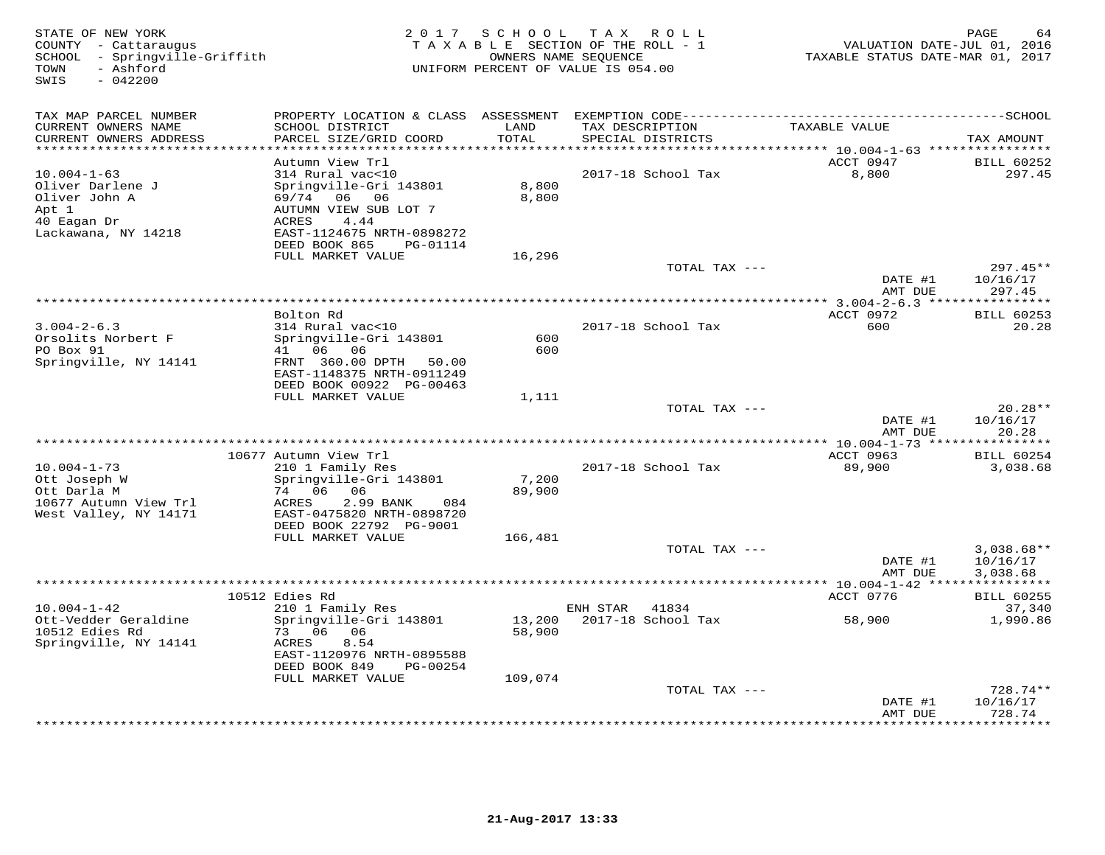| STATE OF NEW YORK<br>COUNTY - Cattaraugus<br>- Springville-Griffith<br>SCHOOL<br>- Ashford<br>TOWN<br>$-042200$<br>SWIS |                                                                                                                                                                     |                               | 2017 SCHOOL TAX ROLL<br>TAXABLE SECTION OF THE ROLL - 1<br>OWNERS NAME SEQUENCE<br>UNIFORM PERCENT OF VALUE IS 054.00 | VALUATION DATE-JUL 01, 2016<br>TAXABLE STATUS DATE-MAR 01, 2017 | PAGE<br>64                       |
|-------------------------------------------------------------------------------------------------------------------------|---------------------------------------------------------------------------------------------------------------------------------------------------------------------|-------------------------------|-----------------------------------------------------------------------------------------------------------------------|-----------------------------------------------------------------|----------------------------------|
| TAX MAP PARCEL NUMBER<br>CURRENT OWNERS NAME<br>CURRENT OWNERS ADDRESS<br>**********************                        | PROPERTY LOCATION & CLASS ASSESSMENT<br>SCHOOL DISTRICT<br>PARCEL SIZE/GRID COORD<br>***********************                                                        | LAND<br>TOTAL<br>************ | TAX DESCRIPTION<br>SPECIAL DISTRICTS                                                                                  | TAXABLE VALUE                                                   | TAX AMOUNT                       |
|                                                                                                                         | Autumn View Trl                                                                                                                                                     |                               |                                                                                                                       | ACCT 0947                                                       | <b>BILL 60252</b>                |
| $10.004 - 1 - 63$<br>Oliver Darlene J<br>Oliver John A<br>Apt 1<br>40 Eagan Dr<br>Lackawana, NY 14218                   | 314 Rural vac<10<br>Springville-Gri 143801<br>06<br>69/74<br>06<br>AUTUMN VIEW SUB LOT 7<br>4.44<br>ACRES<br>EAST-1124675 NRTH-0898272<br>DEED BOOK 865<br>PG-01114 | 8,800<br>8,800                | 2017-18 School Tax                                                                                                    | 8,800                                                           | 297.45                           |
|                                                                                                                         | FULL MARKET VALUE                                                                                                                                                   | 16,296                        |                                                                                                                       |                                                                 |                                  |
|                                                                                                                         |                                                                                                                                                                     |                               | TOTAL TAX ---                                                                                                         | DATE #1<br>AMT DUE                                              | $297.45**$<br>10/16/17<br>297.45 |
|                                                                                                                         |                                                                                                                                                                     |                               |                                                                                                                       |                                                                 |                                  |
| $3.004 - 2 - 6.3$<br>Orsolits Norbert F<br>PO Box 91                                                                    | Bolton Rd<br>314 Rural vac<10<br>Springville-Gri 143801<br>41 06<br>- 06                                                                                            | 600<br>600                    | 2017-18 School Tax                                                                                                    | ACCT 0972<br>600                                                | <b>BILL 60253</b><br>20.28       |
| Springville, NY 14141                                                                                                   | FRNT 360.00 DPTH<br>50.00<br>EAST-1148375 NRTH-0911249<br>DEED BOOK 00922 PG-00463<br>FULL MARKET VALUE                                                             | 1,111                         |                                                                                                                       |                                                                 |                                  |
|                                                                                                                         |                                                                                                                                                                     |                               | TOTAL TAX ---                                                                                                         |                                                                 | $20.28**$                        |
|                                                                                                                         |                                                                                                                                                                     |                               |                                                                                                                       | DATE #1<br>AMT DUE                                              | 10/16/17<br>20.28                |
|                                                                                                                         | 10677 Autumn View Trl                                                                                                                                               |                               |                                                                                                                       | ACCT 0963                                                       | ***********<br><b>BILL 60254</b> |
| $10.004 - 1 - 73$<br>Ott Joseph W<br>Ott Darla M<br>10677 Autumn View Trl<br>West Valley, NY 14171                      | 210 1 Family Res<br>Springville-Gri 143801<br>74 06<br>06<br>ACRES<br>2.99 BANK<br>084<br>EAST-0475820 NRTH-0898720<br>DEED BOOK 22792 PG-9001                      | 7,200<br>89,900               | 2017-18 School Tax                                                                                                    | 89,900                                                          | 3,038.68                         |
|                                                                                                                         | FULL MARKET VALUE                                                                                                                                                   | 166,481                       | TOTAL TAX ---                                                                                                         |                                                                 | $3,038.68**$                     |
|                                                                                                                         | *********                                                                                                                                                           |                               |                                                                                                                       | DATE #1<br>AMT DUE                                              | 10/16/17<br>3,038.68             |
|                                                                                                                         | 10512 Edies Rd                                                                                                                                                      |                               |                                                                                                                       | *** $10.004 - 1 - 42$ ***<br>ACCT 0776                          | <b>BILL 60255</b>                |
| $10.004 - 1 - 42$                                                                                                       | 210 1 Family Res                                                                                                                                                    |                               | ENH STAR<br>41834                                                                                                     |                                                                 | 37,340                           |
| Ott-Vedder Geraldine<br>10512 Edies Rd<br>Springville, NY 14141                                                         | Springville-Gri 143801<br>73 06<br>06<br>8.54<br>ACRES<br>EAST-1120976 NRTH-0895588<br>DEED BOOK 849<br>PG-00254                                                    | 13,200<br>58,900              | 2017-18 School Tax                                                                                                    | 58,900                                                          | 1,990.86                         |
|                                                                                                                         | FULL MARKET VALUE                                                                                                                                                   | 109,074                       | TOTAL TAX ---                                                                                                         |                                                                 | 728.74**                         |
|                                                                                                                         |                                                                                                                                                                     |                               |                                                                                                                       | DATE #1                                                         | 10/16/17                         |
|                                                                                                                         |                                                                                                                                                                     |                               |                                                                                                                       | AMT DUE<br>********                                             | 728.74<br>* * * * * * * * ·      |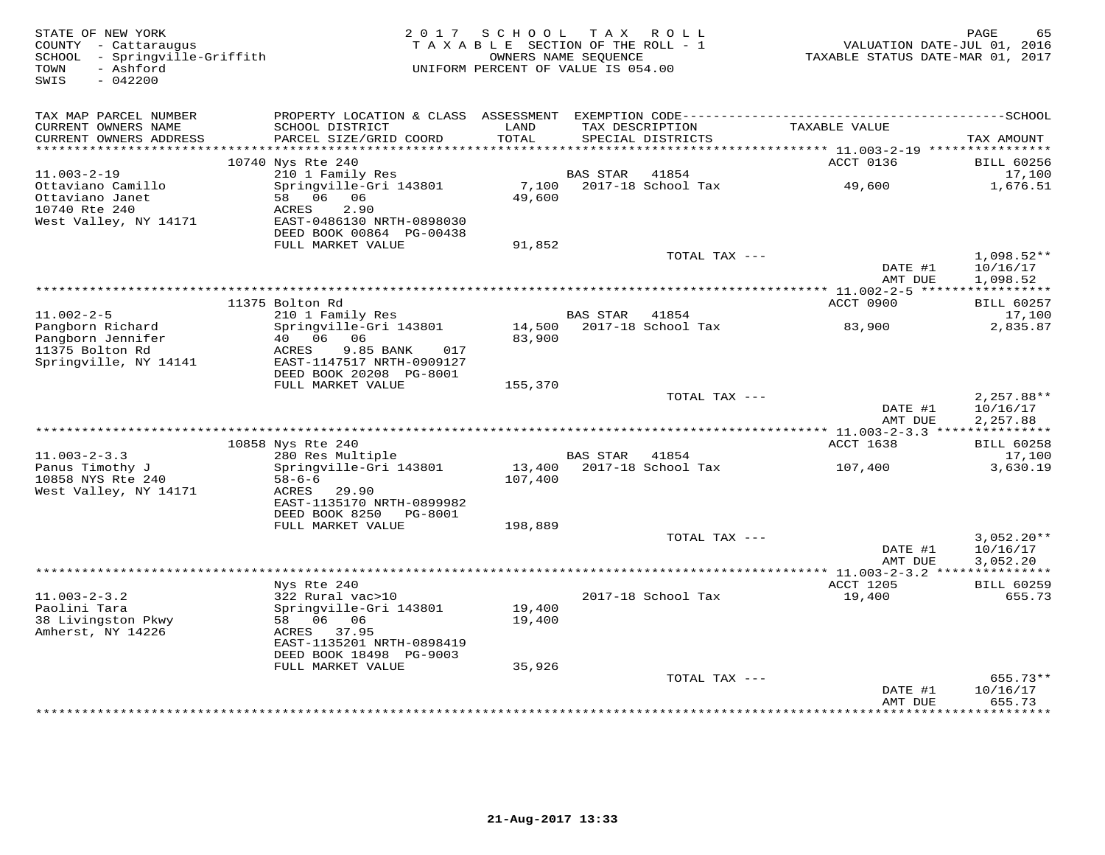| STATE OF NEW YORK<br>COUNTY - Cattaraugus<br>SCHOOL - Springville-Griffith<br>TOWN<br>- Ashford<br>SWIS<br>$-042200$ | 2017                                                          | SCHOOL<br>TAXABLE SECTION OF THE ROLL - 1<br>OWNERS NAME SEQUENCE<br>UNIFORM PERCENT OF VALUE IS 054.00 |                 | TAX ROLL           | VALUATION DATE-JUL 01, 2016<br>TAXABLE STATUS DATE-MAR 01, 2017 | PAGE<br>65                |
|----------------------------------------------------------------------------------------------------------------------|---------------------------------------------------------------|---------------------------------------------------------------------------------------------------------|-----------------|--------------------|-----------------------------------------------------------------|---------------------------|
|                                                                                                                      |                                                               |                                                                                                         |                 |                    |                                                                 |                           |
| TAX MAP PARCEL NUMBER                                                                                                |                                                               |                                                                                                         |                 |                    |                                                                 |                           |
| CURRENT OWNERS NAME                                                                                                  | SCHOOL DISTRICT                                               | LAND                                                                                                    |                 | TAX DESCRIPTION    | TAXABLE VALUE                                                   |                           |
| CURRENT OWNERS ADDRESS<br>**********************                                                                     | PARCEL SIZE/GRID COORD                                        | TOTAL                                                                                                   |                 | SPECIAL DISTRICTS  |                                                                 | TAX AMOUNT                |
|                                                                                                                      | 10740 Nys Rte 240                                             |                                                                                                         |                 |                    | ACCT 0136                                                       | <b>BILL 60256</b>         |
| $11.003 - 2 - 19$                                                                                                    | 210 1 Family Res                                              |                                                                                                         | <b>BAS STAR</b> | 41854              |                                                                 | 17,100                    |
| Ottaviano Camillo                                                                                                    | Springville-Gri 143801                                        | 7,100                                                                                                   |                 | 2017-18 School Tax | 49,600                                                          | 1,676.51                  |
| Ottaviano Janet                                                                                                      | 58 06<br>06                                                   | 49,600                                                                                                  |                 |                    |                                                                 |                           |
| 10740 Rte 240<br>West Valley, NY 14171                                                                               | ACRES<br>2.90<br>EAST-0486130 NRTH-0898030                    |                                                                                                         |                 |                    |                                                                 |                           |
|                                                                                                                      | DEED BOOK 00864 PG-00438                                      |                                                                                                         |                 |                    |                                                                 |                           |
|                                                                                                                      | FULL MARKET VALUE                                             | 91,852                                                                                                  |                 |                    |                                                                 |                           |
|                                                                                                                      |                                                               |                                                                                                         |                 | TOTAL TAX ---      |                                                                 | $1,098.52**$              |
|                                                                                                                      |                                                               |                                                                                                         |                 |                    | DATE #1                                                         | 10/16/17                  |
|                                                                                                                      |                                                               |                                                                                                         |                 |                    | AMT DUE<br>·********** 11.002-2-5 ******************            | 1,098.52                  |
|                                                                                                                      | 11375 Bolton Rd                                               |                                                                                                         |                 |                    | ACCT 0900                                                       | <b>BILL 60257</b>         |
| $11.002 - 2 - 5$                                                                                                     | 210 1 Family Res                                              |                                                                                                         | <b>BAS STAR</b> | 41854              |                                                                 | 17,100                    |
| Pangborn Richard                                                                                                     | Springville-Gri 143801                                        | 14,500                                                                                                  |                 | 2017-18 School Tax | 83,900                                                          | 2,835.87                  |
| Pangborn Jennifer                                                                                                    | 40 06<br>06                                                   | 83,900                                                                                                  |                 |                    |                                                                 |                           |
| 11375 Bolton Rd<br>Springville, NY 14141                                                                             | 9.85 BANK<br>ACRES<br>017<br>EAST-1147517 NRTH-0909127        |                                                                                                         |                 |                    |                                                                 |                           |
|                                                                                                                      | DEED BOOK 20208 PG-8001                                       |                                                                                                         |                 |                    |                                                                 |                           |
|                                                                                                                      | FULL MARKET VALUE                                             | 155,370                                                                                                 |                 |                    |                                                                 |                           |
|                                                                                                                      |                                                               |                                                                                                         |                 | TOTAL TAX ---      |                                                                 | $2,257.88**$              |
|                                                                                                                      |                                                               |                                                                                                         |                 |                    | DATE #1                                                         | 10/16/17                  |
|                                                                                                                      |                                                               |                                                                                                         |                 |                    | AMT DUE                                                         | 2,257.88                  |
|                                                                                                                      | 10858 Nys Rte 240                                             |                                                                                                         |                 |                    | ACCT 1638                                                       | <b>BILL 60258</b>         |
| $11.003 - 2 - 3.3$                                                                                                   | 280 Res Multiple                                              |                                                                                                         | BAS STAR        | 41854              |                                                                 | 17,100                    |
| Panus Timothy J                                                                                                      | Springville-Gri 143801                                        | 13,400                                                                                                  |                 | 2017-18 School Tax | 107,400                                                         | 3,630.19                  |
| 10858 NYS Rte 240                                                                                                    | $58 - 6 - 6$                                                  | 107,400                                                                                                 |                 |                    |                                                                 |                           |
| West Valley, NY 14171                                                                                                | ACRES 29.90                                                   |                                                                                                         |                 |                    |                                                                 |                           |
|                                                                                                                      | EAST-1135170 NRTH-0899982<br>DEED BOOK 8250<br><b>PG-8001</b> |                                                                                                         |                 |                    |                                                                 |                           |
|                                                                                                                      | FULL MARKET VALUE                                             | 198,889                                                                                                 |                 |                    |                                                                 |                           |
|                                                                                                                      |                                                               |                                                                                                         |                 | TOTAL TAX ---      |                                                                 | $3,052.20**$              |
|                                                                                                                      |                                                               |                                                                                                         |                 |                    | DATE #1                                                         | 10/16/17                  |
|                                                                                                                      |                                                               |                                                                                                         |                 |                    | AMT DUE                                                         | 3,052.20                  |
|                                                                                                                      | Nys Rte 240                                                   |                                                                                                         |                 |                    | ACCT 1205                                                       | <b>BILL 60259</b>         |
| $11.003 - 2 - 3.2$                                                                                                   | 322 Rural vac>10                                              |                                                                                                         |                 | 2017-18 School Tax | 19,400                                                          | 655.73                    |
| Paolini Tara                                                                                                         | Springville-Gri 143801                                        | 19,400                                                                                                  |                 |                    |                                                                 |                           |
| 38 Livingston Pkwy                                                                                                   | 58 06 06                                                      | 19,400                                                                                                  |                 |                    |                                                                 |                           |
| Amherst, NY 14226                                                                                                    | 37.95<br>ACRES                                                |                                                                                                         |                 |                    |                                                                 |                           |
|                                                                                                                      | EAST-1135201 NRTH-0898419<br>DEED BOOK 18498 PG-9003          |                                                                                                         |                 |                    |                                                                 |                           |
|                                                                                                                      | FULL MARKET VALUE                                             | 35,926                                                                                                  |                 |                    |                                                                 |                           |
|                                                                                                                      |                                                               |                                                                                                         |                 | TOTAL TAX ---      |                                                                 | $655.73**$                |
|                                                                                                                      |                                                               |                                                                                                         |                 |                    | DATE #1                                                         | 10/16/17                  |
|                                                                                                                      |                                                               |                                                                                                         |                 |                    | AMT DUE                                                         | 655.73<br>* * * * * * * * |
|                                                                                                                      |                                                               |                                                                                                         |                 |                    |                                                                 |                           |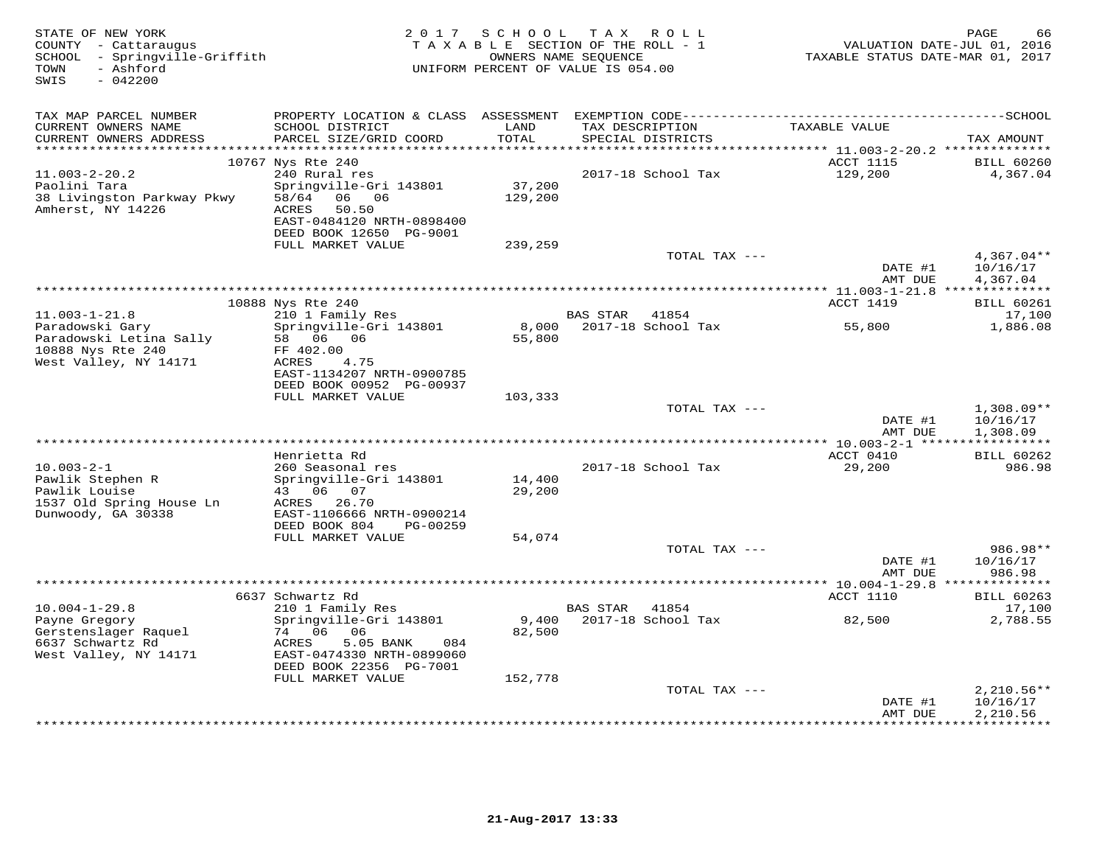| STATE OF NEW YORK<br>COUNTY - Cattaraugus<br>SCHOOL - Springville-Griffith<br>- Ashford<br>TOWN<br>$-042200$<br>SWIS | 2 0 1 7                                                                                                                                                                       | SCHOOL                       | TAX ROLL<br>TAXABLE SECTION OF THE ROLL - 1<br>OWNERS NAME SEQUENCE<br>UNIFORM PERCENT OF VALUE IS 054.00                            | TAXABLE STATUS DATE-MAR 01, 2017    | PAGE<br>66<br>VALUATION DATE-JUL 01, 2016 |
|----------------------------------------------------------------------------------------------------------------------|-------------------------------------------------------------------------------------------------------------------------------------------------------------------------------|------------------------------|--------------------------------------------------------------------------------------------------------------------------------------|-------------------------------------|-------------------------------------------|
| TAX MAP PARCEL NUMBER<br>CURRENT OWNERS NAME<br>CURRENT OWNERS ADDRESS                                               | SCHOOL DISTRICT<br>PARCEL SIZE/GRID COORD                                                                                                                                     | LAND<br>TOTAL                | PROPERTY LOCATION & CLASS ASSESSMENT EXEMPTION CODE-----------------------------------SCHOOL<br>TAX DESCRIPTION<br>SPECIAL DISTRICTS | TAXABLE VALUE                       | TAX AMOUNT                                |
|                                                                                                                      |                                                                                                                                                                               | *****                        |                                                                                                                                      | ****** 11.003-2-20.2 ************** |                                           |
| $11.003 - 2 - 20.2$<br>Paolini Tara<br>38 Livingston Parkway Pkwy<br>Amherst, NY 14226                               | 10767 Nys Rte 240<br>240 Rural res<br>Springville-Gri 143801<br>06 06<br>58/64<br>50.50<br>ACRES<br>EAST-0484120 NRTH-0898400<br>DEED BOOK 12650 PG-9001<br>FULL MARKET VALUE | 37,200<br>129,200<br>239,259 | 2017-18 School Tax                                                                                                                   | <b>ACCT 1115</b><br>129,200         | <b>BILL 60260</b><br>4,367.04             |
|                                                                                                                      |                                                                                                                                                                               |                              | TOTAL TAX ---                                                                                                                        |                                     | $4,367.04**$                              |
|                                                                                                                      |                                                                                                                                                                               |                              |                                                                                                                                      | DATE #1<br>AMT DUE                  | 10/16/17<br>4,367.04                      |
|                                                                                                                      |                                                                                                                                                                               |                              |                                                                                                                                      |                                     |                                           |
| $11.003 - 1 - 21.8$                                                                                                  | 10888 Nys Rte 240<br>210 1 Family Res                                                                                                                                         |                              | BAS STAR 41854                                                                                                                       | ACCT 1419                           | <b>BILL 60261</b><br>17,100               |
| Paradowski Gary<br>Paradowski Letina Sally<br>10888 Nys Rte 240                                                      | Springville-Gri 143801<br>58 06 06<br>FF 402.00                                                                                                                               | 8,000<br>55,800              | 2017-18 School Tax                                                                                                                   | 55,800                              | 1,886.08                                  |
| West Valley, NY 14171                                                                                                | ACRES<br>4.75<br>EAST-1134207 NRTH-0900785<br>DEED BOOK 00952 PG-00937<br>FULL MARKET VALUE                                                                                   | 103,333                      |                                                                                                                                      |                                     |                                           |
|                                                                                                                      |                                                                                                                                                                               |                              | TOTAL TAX ---                                                                                                                        | DATE #1                             | $1,308.09**$<br>10/16/17                  |
|                                                                                                                      |                                                                                                                                                                               |                              |                                                                                                                                      | AMT DUE                             | 1,308.09                                  |
|                                                                                                                      | Henrietta Rd                                                                                                                                                                  |                              |                                                                                                                                      | ACCT 0410                           | <b>BILL 60262</b>                         |
| $10.003 - 2 - 1$<br>Pawlik Stephen R<br>Pawlik Louise<br>1537 Old Spring House Ln                                    | 260 Seasonal res<br>Springville-Gri 143801<br>43 06 07<br>ACRES 26.70                                                                                                         | 14,400<br>29,200             | 2017-18 School Tax                                                                                                                   | 29,200                              | 986.98                                    |
| Dunwoody, GA 30338                                                                                                   | EAST-1106666 NRTH-0900214                                                                                                                                                     |                              |                                                                                                                                      |                                     |                                           |
|                                                                                                                      | DEED BOOK 804<br>PG-00259<br>FULL MARKET VALUE                                                                                                                                | 54,074                       |                                                                                                                                      |                                     |                                           |
|                                                                                                                      |                                                                                                                                                                               |                              | TOTAL TAX ---                                                                                                                        | DATE #1<br>AMT DUE                  | 986.98**<br>10/16/17<br>986.98            |
|                                                                                                                      |                                                                                                                                                                               |                              |                                                                                                                                      | *********** 10.004-1-29.8 **        | ********                                  |
| $10.004 - 1 - 29.8$                                                                                                  | 6637 Schwartz Rd<br>210 1 Family Res                                                                                                                                          |                              | <b>BAS STAR</b><br>41854                                                                                                             | ACCT 1110                           | <b>BILL 60263</b><br>17,100               |
| Payne Gregory<br>Gerstenslager Raquel<br>6637 Schwartz Rd<br>West Valley, NY 14171                                   | Springville-Gri 143801<br>74 06<br>06<br>5.05 BANK<br>084<br>ACRES<br>EAST-0474330 NRTH-0899060<br>DEED BOOK 22356 PG-7001                                                    | 9,400<br>82,500              | 2017-18 School Tax                                                                                                                   | 82,500                              | 2,788.55                                  |
|                                                                                                                      | FULL MARKET VALUE                                                                                                                                                             | 152,778                      |                                                                                                                                      |                                     |                                           |
|                                                                                                                      |                                                                                                                                                                               |                              | TOTAL TAX ---                                                                                                                        | DATE #1<br>AMT DUE                  | $2,210.56**$<br>10/16/17<br>2,210.56      |
|                                                                                                                      |                                                                                                                                                                               |                              |                                                                                                                                      |                                     | * * * * * * * * * *                       |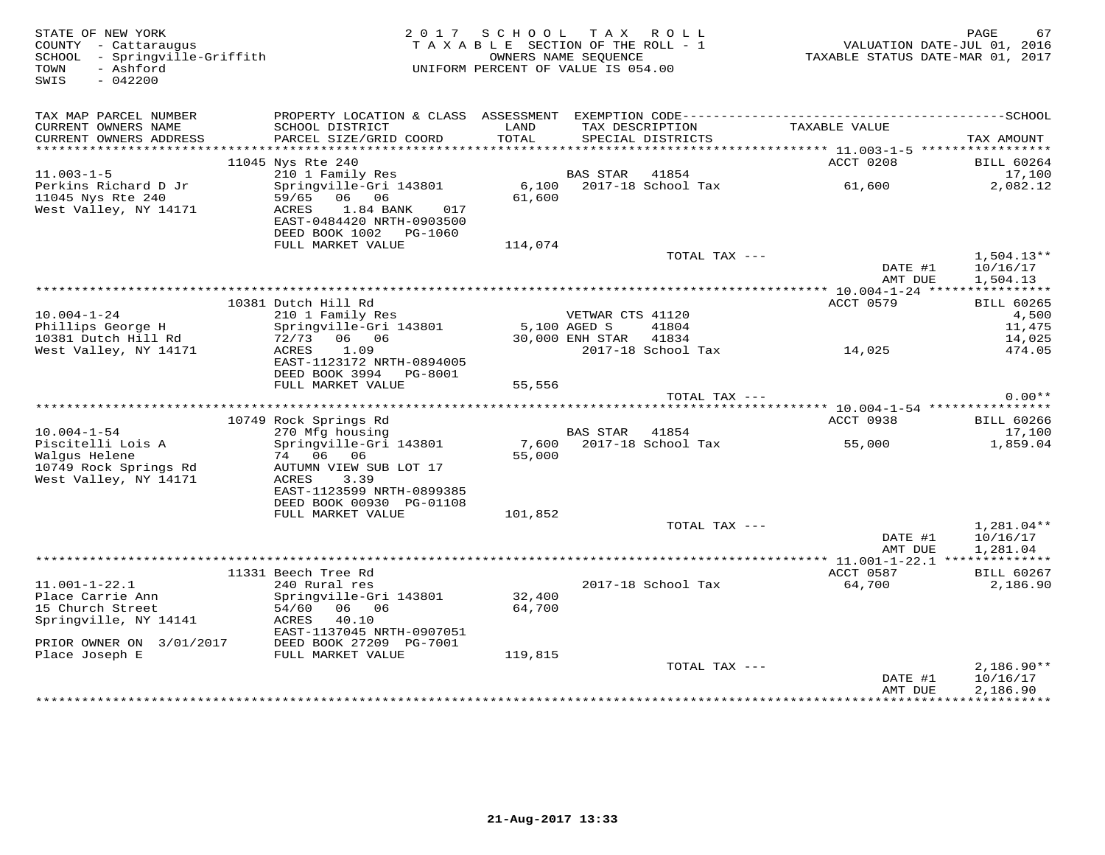| STATE OF NEW YORK<br>COUNTY - Cattaraugus<br>SCHOOL - Springville-Griffith<br>- Ashford<br>TOWN<br>$-042200$<br>SWIS |                                                                                                                           | 2017 SCHOOL TAX ROLL<br>TAXABLE SECTION OF THE ROLL - 1<br>UNIFORM PERCENT OF VALUE IS 054.00 | OWNERS NAME SEQUENCE |                                      | VALUATION DATE-JUL 01, 2016<br>TAXABLE STATUS DATE-MAR 01, 2017 | 67<br>PAGE                           |
|----------------------------------------------------------------------------------------------------------------------|---------------------------------------------------------------------------------------------------------------------------|-----------------------------------------------------------------------------------------------|----------------------|--------------------------------------|-----------------------------------------------------------------|--------------------------------------|
| TAX MAP PARCEL NUMBER<br>CURRENT OWNERS NAME<br>CURRENT OWNERS ADDRESS                                               | SCHOOL DISTRICT<br>PARCEL SIZE/GRID COORD                                                                                 | LAND<br>TOTAL                                                                                 |                      | TAX DESCRIPTION<br>SPECIAL DISTRICTS | TAXABLE VALUE                                                   | TAX AMOUNT                           |
|                                                                                                                      | 11045 Nys Rte 240                                                                                                         |                                                                                               |                      |                                      | ACCT 0208                                                       | <b>BILL 60264</b>                    |
| $11.003 - 1 - 5$                                                                                                     | 210 1 Family Res                                                                                                          |                                                                                               | BAS STAR             | 41854                                |                                                                 | 17,100                               |
| Perkins Richard D Jr<br>11045 Nys Rte 240<br>West Valley, NY 14171                                                   | Springville-Gri 143801<br>59/65 06 06<br>ACRES<br>1.84 BANK<br>017<br>EAST-0484420 NRTH-0903500<br>DEED BOOK 1002 PG-1060 | 61,600                                                                                        |                      | 6,100 2017-18 School Tax             | 61,600                                                          | 2,082.12                             |
|                                                                                                                      | FULL MARKET VALUE                                                                                                         | 114,074                                                                                       |                      |                                      |                                                                 |                                      |
|                                                                                                                      |                                                                                                                           |                                                                                               |                      | TOTAL TAX ---                        | DATE #1<br>AMT DUE                                              | $1,504.13**$<br>10/16/17<br>1,504.13 |
|                                                                                                                      |                                                                                                                           |                                                                                               |                      |                                      |                                                                 |                                      |
|                                                                                                                      | 10381 Dutch Hill Rd                                                                                                       |                                                                                               |                      |                                      | ACCT 0579                                                       | <b>BILL 60265</b>                    |
| $10.004 - 1 - 24$<br>Phillips George H                                                                               | 210 1 Family Res<br>Springville-Gri 143801                                                                                | 5,100 AGED S                                                                                  | VETWAR CTS 41120     | 41804                                |                                                                 | 4,500<br>11,475                      |
| 10381 Dutch Hill Rd                                                                                                  | 72/73 06 06                                                                                                               |                                                                                               | 30,000 ENH STAR      | 41834                                |                                                                 | 14,025                               |
| West Valley, NY 14171                                                                                                | 1.09<br>ACRES<br>EAST-1123172 NRTH-0894005<br>DEED BOOK 3994 PG-8001                                                      |                                                                                               |                      | 2017-18 School Tax 14,025            |                                                                 | 474.05                               |
|                                                                                                                      | FULL MARKET VALUE                                                                                                         | 55,556                                                                                        |                      |                                      |                                                                 |                                      |
|                                                                                                                      |                                                                                                                           |                                                                                               |                      | TOTAL TAX ---                        |                                                                 | $0.00**$                             |
|                                                                                                                      | 10749 Rock Springs Rd                                                                                                     |                                                                                               |                      |                                      | ACCT 0938                                                       | <b>BILL 60266</b>                    |
| $10.004 - 1 - 54$                                                                                                    | 270 Mfg housing                                                                                                           |                                                                                               | BAS STAR 41854       |                                      |                                                                 | 17,100                               |
| Piscitelli Lois A                                                                                                    | Springville-Gri 143801                                                                                                    | 7,600                                                                                         |                      | 2017-18 School Tax                   | 55,000                                                          | 1,859.04                             |
| Walqus Helene<br>10749 Rock Springs Rd<br>West Valley, NY 14171                                                      | 74 06<br>06<br>AUTUMN VIEW SUB LOT 17<br>ACRES<br>3.39                                                                    | 55,000                                                                                        |                      |                                      |                                                                 |                                      |
|                                                                                                                      | EAST-1123599 NRTH-0899385                                                                                                 |                                                                                               |                      |                                      |                                                                 |                                      |
|                                                                                                                      | DEED BOOK 00930 PG-01108<br>FULL MARKET VALUE                                                                             | 101,852                                                                                       |                      |                                      |                                                                 |                                      |
|                                                                                                                      |                                                                                                                           |                                                                                               |                      | TOTAL TAX ---                        |                                                                 | 1,281.04**                           |
|                                                                                                                      |                                                                                                                           |                                                                                               |                      |                                      | DATE #1<br>AMT DUE                                              | 10/16/17<br>1,281.04                 |
|                                                                                                                      |                                                                                                                           |                                                                                               |                      |                                      |                                                                 |                                      |
| $11.001 - 1 - 22.1$                                                                                                  | 11331 Beech Tree Rd<br>240 Rural res                                                                                      |                                                                                               |                      | 2017-18 School Tax                   | ACCT 0587<br>64,700                                             | <b>BILL 60267</b><br>2,186.90        |
| Place Carrie Ann<br>15 Church Street<br>Springville, NY 14141                                                        | Springville-Gri 143801<br>06 06<br>54/60<br>ACRES<br>40.10<br>EAST-1137045 NRTH-0907051                                   | 32,400<br>64,700                                                                              |                      |                                      |                                                                 |                                      |
| PRIOR OWNER ON 3/01/2017                                                                                             | DEED BOOK 27209 PG-7001                                                                                                   |                                                                                               |                      |                                      |                                                                 |                                      |
| Place Joseph E                                                                                                       | FULL MARKET VALUE                                                                                                         | 119,815                                                                                       |                      |                                      |                                                                 |                                      |
|                                                                                                                      |                                                                                                                           |                                                                                               |                      | TOTAL TAX ---                        |                                                                 | $2,186.90**$                         |
|                                                                                                                      |                                                                                                                           |                                                                                               |                      |                                      | DATE #1<br>AMT DUE                                              | 10/16/17<br>2,186.90                 |
|                                                                                                                      |                                                                                                                           |                                                                                               |                      |                                      |                                                                 |                                      |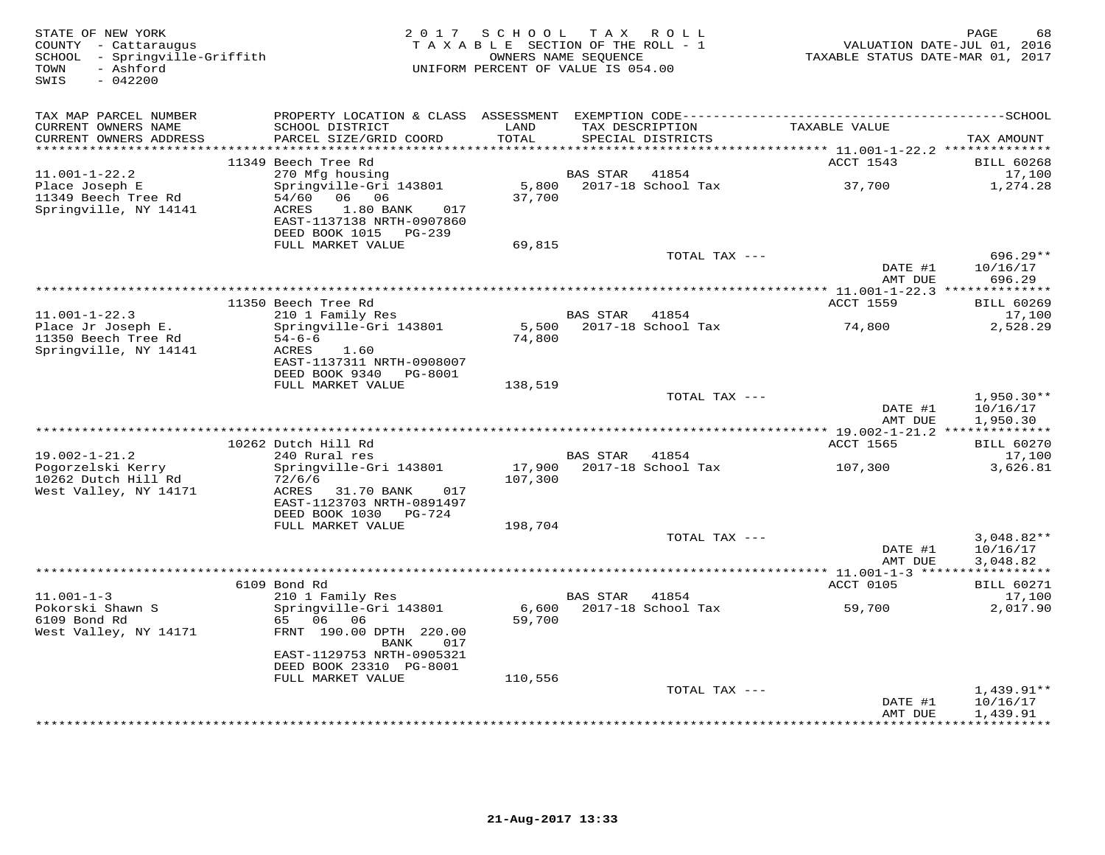| STATE OF NEW YORK<br>COUNTY - Cattaraugus<br>SCHOOL - Springville-Griffith<br>- Ashford<br>TOWN<br>SWIS<br>$-042200$ |                                                                                                                             | 2017 SCHOOL TAX ROLL<br>TAXABLE SECTION OF THE ROLL - 1<br>OWNERS NAME SEQUENCE<br>UNIFORM PERCENT OF VALUE IS 054.00 |                 |                                      | TAXABLE STATUS DATE-MAR 01, 2017                                      | 68<br>PAGE<br>VALUATION DATE-JUL 01, 2016 |
|----------------------------------------------------------------------------------------------------------------------|-----------------------------------------------------------------------------------------------------------------------------|-----------------------------------------------------------------------------------------------------------------------|-----------------|--------------------------------------|-----------------------------------------------------------------------|-------------------------------------------|
| TAX MAP PARCEL NUMBER                                                                                                |                                                                                                                             |                                                                                                                       |                 |                                      |                                                                       |                                           |
| CURRENT OWNERS NAME<br>CURRENT OWNERS ADDRESS                                                                        | SCHOOL DISTRICT<br>PARCEL SIZE/GRID COORD                                                                                   | LAND<br>TOTAL<br>*********                                                                                            |                 | TAX DESCRIPTION<br>SPECIAL DISTRICTS | TAXABLE VALUE                                                         | TAX AMOUNT                                |
|                                                                                                                      | 11349 Beech Tree Rd                                                                                                         |                                                                                                                       |                 |                                      | *************************** 11.001-1-22.2 **************<br>ACCT 1543 | <b>BILL 60268</b>                         |
| $11.001 - 1 - 22.2$                                                                                                  | 270 Mfg housing                                                                                                             |                                                                                                                       | BAS STAR        | 41854                                |                                                                       | 17,100                                    |
| Place Joseph E<br>11349 Beech Tree Rd<br>Springville, NY 14141                                                       | Springville-Gri 143801<br>54/60<br>06 06<br>1.80 BANK<br>ACRES<br>017<br>EAST-1137138 NRTH-0907860<br>DEED BOOK 1015 PG-239 | 5,800<br>37,700                                                                                                       |                 | 2017-18 School Tax                   | 37,700                                                                | 1,274.28                                  |
|                                                                                                                      | FULL MARKET VALUE                                                                                                           | 69,815                                                                                                                |                 | TOTAL TAX ---                        |                                                                       | $696.29**$                                |
|                                                                                                                      |                                                                                                                             |                                                                                                                       |                 |                                      | DATE #1<br>AMT DUE                                                    | 10/16/17<br>696.29                        |
|                                                                                                                      |                                                                                                                             |                                                                                                                       |                 |                                      |                                                                       |                                           |
| $11.001 - 1 - 22.3$                                                                                                  | 11350 Beech Tree Rd<br>210 1 Family Res                                                                                     |                                                                                                                       | BAS STAR 41854  |                                      | ACCT 1559                                                             | <b>BILL 60269</b><br>17,100               |
| Place Jr Joseph E.                                                                                                   | Springville-Gri 143801                                                                                                      | 5,500                                                                                                                 |                 | 2017-18 School Tax                   | 74,800                                                                | 2,528.29                                  |
| 11350 Beech Tree Rd<br>Springville, NY 14141                                                                         | $54 - 6 - 6$<br>ACRES<br>1.60<br>EAST-1137311 NRTH-0908007<br>DEED BOOK 9340<br>PG-8001                                     | 74,800                                                                                                                |                 |                                      |                                                                       |                                           |
|                                                                                                                      | FULL MARKET VALUE                                                                                                           | 138,519                                                                                                               |                 | TOTAL TAX ---                        |                                                                       |                                           |
|                                                                                                                      |                                                                                                                             |                                                                                                                       |                 |                                      | DATE #1<br>AMT DUE                                                    | $1,950.30**$<br>10/16/17<br>1,950.30      |
|                                                                                                                      |                                                                                                                             |                                                                                                                       |                 |                                      |                                                                       |                                           |
|                                                                                                                      | 10262 Dutch Hill Rd                                                                                                         |                                                                                                                       |                 |                                      | ACCT 1565                                                             | <b>BILL 60270</b>                         |
| $19.002 - 1 - 21.2$<br>Pogorzelski Kerry                                                                             | 240 Rural res<br>Springville-Gri 143801                                                                                     | 17,900                                                                                                                | BAS STAR        | 41854<br>2017-18 School Tax          | 107,300                                                               | 17,100<br>3,626.81                        |
| 10262 Dutch Hill Rd<br>West Valley, NY 14171                                                                         | 72/6/6<br>ACRES<br>31.70 BANK<br>017<br>EAST-1123703 NRTH-0891497<br>DEED BOOK 1030 PG-724                                  | 107,300                                                                                                               |                 |                                      |                                                                       |                                           |
|                                                                                                                      | FULL MARKET VALUE                                                                                                           | 198,704                                                                                                               |                 |                                      |                                                                       |                                           |
|                                                                                                                      |                                                                                                                             |                                                                                                                       |                 | TOTAL TAX ---                        | DATE #1<br>AMT DUE                                                    | $3,048.82**$<br>10/16/17<br>3,048.82      |
|                                                                                                                      |                                                                                                                             |                                                                                                                       |                 |                                      |                                                                       |                                           |
| $11.001 - 1 - 3$                                                                                                     | 6109 Bond Rd<br>210 1 Family Res                                                                                            |                                                                                                                       | <b>BAS STAR</b> | 41854                                | ACCT 0105                                                             | <b>BILL 60271</b><br>17,100               |
| Pokorski Shawn S<br>6109 Bond Rd                                                                                     | Springville-Gri 143801<br>65 06 06                                                                                          | 6,600<br>59,700                                                                                                       |                 | 2017-18 School Tax                   | 59,700                                                                | 2,017.90                                  |
| West Valley, NY 14171                                                                                                | FRNT 190.00 DPTH 220.00<br>017<br>BANK<br>EAST-1129753 NRTH-0905321<br>DEED BOOK 23310 PG-8001                              |                                                                                                                       |                 |                                      |                                                                       |                                           |
|                                                                                                                      | FULL MARKET VALUE                                                                                                           | 110,556                                                                                                               |                 |                                      |                                                                       |                                           |
|                                                                                                                      |                                                                                                                             |                                                                                                                       |                 | TOTAL TAX ---                        | DATE #1<br>AMT DUE                                                    | $1,439.91**$<br>10/16/17<br>1,439.91      |
|                                                                                                                      |                                                                                                                             |                                                                                                                       |                 |                                      |                                                                       | * * * * * * * * * * *                     |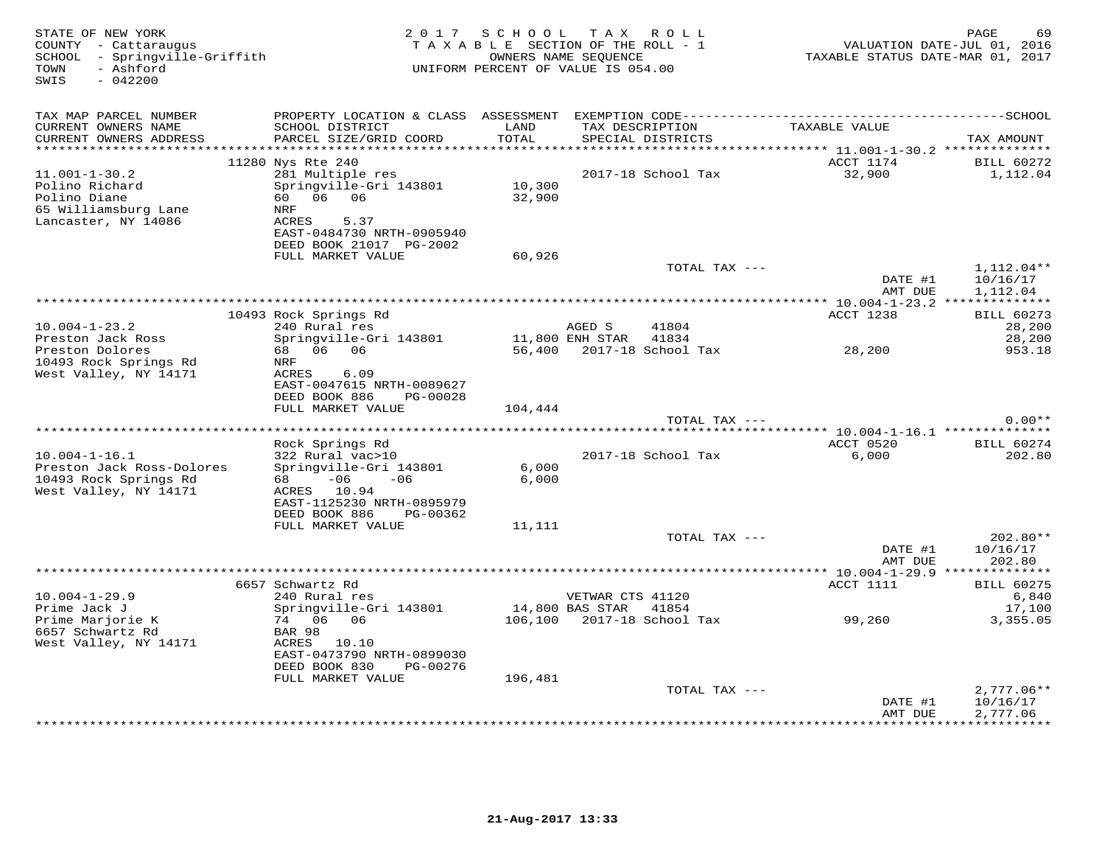| STATE OF NEW YORK<br>COUNTY - Cattaraugus<br>SCHOOL - Springville-Griffith<br>- Ashford<br>TOWN<br>$-042200$<br>SWIS | 2 0 1 7                                                                                                                                      | SCHOOL<br>OWNERS NAME SEOUENCE | TAX ROLL<br>TAXABLE SECTION OF THE ROLL - 1<br>UNIFORM PERCENT OF VALUE IS 054.00 | VALUATION DATE-JUL 01, 2016<br>TAXABLE STATUS DATE-MAR 01, 2017 | 69<br>PAGE                           |
|----------------------------------------------------------------------------------------------------------------------|----------------------------------------------------------------------------------------------------------------------------------------------|--------------------------------|-----------------------------------------------------------------------------------|-----------------------------------------------------------------|--------------------------------------|
| TAX MAP PARCEL NUMBER<br>CURRENT OWNERS NAME                                                                         | SCHOOL DISTRICT                                                                                                                              | LAND                           | TAX DESCRIPTION                                                                   | TAXABLE VALUE                                                   |                                      |
| CURRENT OWNERS ADDRESS<br>**********************                                                                     | PARCEL SIZE/GRID COORD                                                                                                                       | TOTAL                          | SPECIAL DISTRICTS                                                                 | **************************** 11.001-1-30.2 **************       | TAX AMOUNT                           |
|                                                                                                                      | 11280 Nys Rte 240                                                                                                                            |                                |                                                                                   | ACCT 1174                                                       | <b>BILL 60272</b>                    |
| $11.001 - 1 - 30.2$<br>Polino Richard<br>Polino Diane<br>65 Williamsburg Lane<br>Lancaster, NY 14086                 | 281 Multiple res<br>Springville-Gri 143801<br>06<br>06<br>60<br>NRF<br>ACRES<br>5.37<br>EAST-0484730 NRTH-0905940<br>DEED BOOK 21017 PG-2002 | 10,300<br>32,900               | 2017-18 School Tax                                                                | 32,900                                                          | 1,112.04                             |
|                                                                                                                      | FULL MARKET VALUE                                                                                                                            | 60,926                         |                                                                                   |                                                                 |                                      |
|                                                                                                                      |                                                                                                                                              |                                | TOTAL TAX ---                                                                     | DATE #1<br>AMT DUE                                              | $1,112.04**$<br>10/16/17<br>1,112.04 |
|                                                                                                                      |                                                                                                                                              |                                |                                                                                   |                                                                 |                                      |
| $10.004 - 1 - 23.2$                                                                                                  | 10493 Rock Springs Rd<br>240 Rural res                                                                                                       |                                | AGED S<br>41804                                                                   | ACCT 1238                                                       | <b>BILL 60273</b><br>28,200          |
| Preston Jack Ross                                                                                                    | Springville-Gri 143801                                                                                                                       |                                | 11,800 ENH STAR<br>41834                                                          |                                                                 | 28,200                               |
| Preston Dolores<br>10493 Rock Springs Rd<br>West Valley, NY 14171                                                    | 68 06 06<br>NRF<br>ACRES<br>6.09<br>EAST-0047615 NRTH-0089627<br>DEED BOOK 886<br>PG-00028                                                   | 56,400                         | 2017-18 School Tax                                                                | 28,200                                                          | 953.18                               |
|                                                                                                                      | FULL MARKET VALUE                                                                                                                            | 104,444                        |                                                                                   |                                                                 |                                      |
|                                                                                                                      |                                                                                                                                              |                                | TOTAL TAX ---                                                                     |                                                                 | $0.00**$                             |
| ******************************                                                                                       |                                                                                                                                              |                                |                                                                                   | ACCT 0520                                                       |                                      |
| $10.004 - 1 - 16.1$                                                                                                  | Rock Springs Rd<br>322 Rural vac>10                                                                                                          |                                | 2017-18 School Tax                                                                | 6,000                                                           | <b>BILL 60274</b><br>202.80          |
| Preston Jack Ross-Dolores<br>10493 Rock Springs Rd<br>West Valley, NY 14171                                          | Springville-Gri 143801<br>$-06$<br>68 —<br>$-06$<br>ACRES 10.94                                                                              | 6,000<br>6,000                 |                                                                                   |                                                                 |                                      |
|                                                                                                                      | EAST-1125230 NRTH-0895979<br>DEED BOOK 886<br>PG-00362                                                                                       |                                |                                                                                   |                                                                 |                                      |
|                                                                                                                      | FULL MARKET VALUE                                                                                                                            | 11,111                         |                                                                                   |                                                                 |                                      |
|                                                                                                                      |                                                                                                                                              |                                | TOTAL TAX ---                                                                     | DATE #1<br>AMT DUE                                              | 202.80**<br>10/16/17<br>202.80       |
|                                                                                                                      |                                                                                                                                              |                                |                                                                                   | ******* 10.004-1-29.9 **************                            |                                      |
|                                                                                                                      | 6657 Schwartz Rd                                                                                                                             |                                |                                                                                   | ACCT 1111                                                       | <b>BILL 60275</b>                    |
| $10.004 - 1 - 29.9$                                                                                                  | 240 Rural res                                                                                                                                |                                | VETWAR CTS 41120                                                                  |                                                                 | 6,840                                |
| Prime Jack J<br>Prime Marjorie K<br>6657 Schwartz Rd                                                                 | Springville-Gri 143801<br>74 06<br>06<br>BAR 98                                                                                              | 106,100                        | 14,800 BAS STAR<br>41854<br>2017-18 School Tax                                    | 99,260                                                          | 17,100<br>3,355.05                   |
| West Valley, NY 14171                                                                                                | ACRES 10.10<br>EAST-0473790 NRTH-0899030<br>DEED BOOK 830<br>PG-00276                                                                        |                                |                                                                                   |                                                                 |                                      |
|                                                                                                                      | FULL MARKET VALUE                                                                                                                            | 196,481                        |                                                                                   |                                                                 |                                      |
|                                                                                                                      |                                                                                                                                              |                                | TOTAL TAX ---                                                                     |                                                                 | $2,777.06**$                         |
|                                                                                                                      |                                                                                                                                              |                                | ***************************                                                       | DATE #1<br>AMT DUE                                              | 10/16/17<br>2,777.06<br>*********    |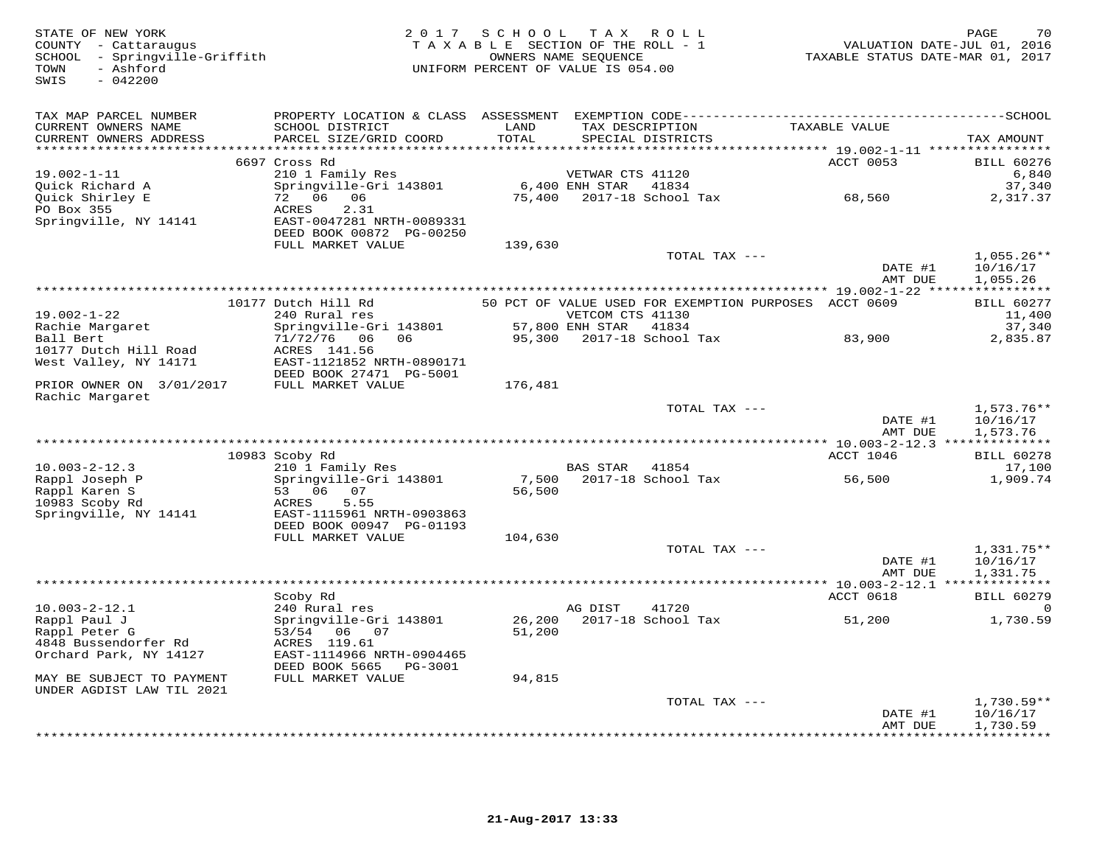| STATE OF NEW YORK<br>COUNTY - Cattaraugus<br>SCHOOL - Springville-Griffith<br>- Ashford<br>TOWN<br>$-042200$<br>SWIS | 2 0 1 7                                                                                      | SCHOOL        | TAX ROLL<br>TAXABLE SECTION OF THE ROLL - 1<br>OWNERS NAME SEQUENCE<br>UNIFORM PERCENT OF VALUE IS 054.00 |                                                       | TAXABLE STATUS DATE-MAR 01, 2017 | PAGE<br>70<br>VALUATION DATE-JUL 01, 2016 |
|----------------------------------------------------------------------------------------------------------------------|----------------------------------------------------------------------------------------------|---------------|-----------------------------------------------------------------------------------------------------------|-------------------------------------------------------|----------------------------------|-------------------------------------------|
| TAX MAP PARCEL NUMBER                                                                                                | PROPERTY LOCATION & CLASS ASSESSMENT EXEMPTION CODE-----------------------------------SCHOOL |               |                                                                                                           |                                                       |                                  |                                           |
| CURRENT OWNERS NAME<br>CURRENT OWNERS ADDRESS<br>********************                                                | SCHOOL DISTRICT<br>PARCEL SIZE/GRID COORD                                                    | LAND<br>TOTAL | TAX DESCRIPTION<br>SPECIAL DISTRICTS                                                                      |                                                       | TAXABLE VALUE                    | TAX AMOUNT                                |
|                                                                                                                      | 6697 Cross Rd                                                                                |               |                                                                                                           |                                                       | ACCT 0053                        | <b>BILL 60276</b>                         |
| $19.002 - 1 - 11$                                                                                                    | 210 1 Family Res                                                                             |               | VETWAR CTS 41120                                                                                          |                                                       |                                  | 6,840                                     |
| Quick Richard A                                                                                                      | Springville-Gri 143801                                                                       |               | 6,400 ENH STAR<br>41834                                                                                   |                                                       |                                  | 37,340                                    |
| Quick Shirley E                                                                                                      | 72 06 06                                                                                     | 75,400        | 2017-18 School Tax                                                                                        |                                                       | 68,560                           | 2,317.37                                  |
| PO Box 355<br>Springville, NY 14141                                                                                  | 2.31<br>ACRES<br>EAST-0047281 NRTH-0089331                                                   |               |                                                                                                           |                                                       |                                  |                                           |
|                                                                                                                      | DEED BOOK 00872 PG-00250                                                                     |               |                                                                                                           |                                                       |                                  |                                           |
|                                                                                                                      | FULL MARKET VALUE                                                                            | 139,630       |                                                                                                           |                                                       |                                  |                                           |
|                                                                                                                      |                                                                                              |               |                                                                                                           | TOTAL TAX ---                                         |                                  | $1,055.26**$                              |
|                                                                                                                      |                                                                                              |               |                                                                                                           |                                                       | DATE #1<br>AMT DUE               | 10/16/17<br>1,055.26                      |
|                                                                                                                      |                                                                                              |               |                                                                                                           |                                                       |                                  |                                           |
|                                                                                                                      | 10177 Dutch Hill Rd                                                                          |               |                                                                                                           | 50 PCT OF VALUE USED FOR EXEMPTION PURPOSES ACCT 0609 |                                  | <b>BILL 60277</b>                         |
| $19.002 - 1 - 22$                                                                                                    | 240 Rural res                                                                                |               | VETCOM CTS 41130                                                                                          |                                                       |                                  | 11,400                                    |
| Rachie Margaret<br>Ball Bert                                                                                         | Springville-Gri 143801<br>71/72/76 06<br>06                                                  | 95,300        | 57,800 ENH STAR<br>41834<br>2017-18 School Tax                                                            |                                                       | 83,900                           | 37,340<br>2,835.87                        |
| 10177 Dutch Hill Road                                                                                                | ACRES 141.56                                                                                 |               |                                                                                                           |                                                       |                                  |                                           |
| West Valley, NY 14171                                                                                                | EAST-1121852 NRTH-0890171                                                                    |               |                                                                                                           |                                                       |                                  |                                           |
|                                                                                                                      | DEED BOOK 27471 PG-5001                                                                      |               |                                                                                                           |                                                       |                                  |                                           |
| PRIOR OWNER ON 3/01/2017                                                                                             | FULL MARKET VALUE                                                                            | 176,481       |                                                                                                           |                                                       |                                  |                                           |
| Rachic Margaret                                                                                                      |                                                                                              |               |                                                                                                           | TOTAL TAX ---                                         |                                  | $1,573.76**$                              |
|                                                                                                                      |                                                                                              |               |                                                                                                           |                                                       | DATE #1                          | 10/16/17                                  |
|                                                                                                                      |                                                                                              |               |                                                                                                           |                                                       | AMT DUE                          | 1,573.76                                  |
|                                                                                                                      |                                                                                              |               |                                                                                                           |                                                       |                                  |                                           |
| $10.003 - 2 - 12.3$                                                                                                  | 10983 Scoby Rd<br>210 1 Family Res                                                           |               | 41854<br>BAS STAR                                                                                         |                                                       | ACCT 1046                        | <b>BILL 60278</b><br>17,100               |
| Rappl Joseph P                                                                                                       | Springville-Gri 143801                                                                       | 7,500         | 2017-18 School Tax                                                                                        |                                                       | 56,500                           | 1,909.74                                  |
| Rappl Karen S                                                                                                        | 53 06 07                                                                                     | 56,500        |                                                                                                           |                                                       |                                  |                                           |
| 10983 Scoby Rd                                                                                                       | ACRES<br>5.55                                                                                |               |                                                                                                           |                                                       |                                  |                                           |
| Springville, NY 14141                                                                                                | EAST-1115961 NRTH-0903863<br>DEED BOOK 00947 PG-01193                                        |               |                                                                                                           |                                                       |                                  |                                           |
|                                                                                                                      | FULL MARKET VALUE                                                                            | 104,630       |                                                                                                           |                                                       |                                  |                                           |
|                                                                                                                      |                                                                                              |               |                                                                                                           | TOTAL TAX ---                                         |                                  | 1,331.75**                                |
|                                                                                                                      |                                                                                              |               |                                                                                                           |                                                       | DATE #1                          | 10/16/17                                  |
|                                                                                                                      |                                                                                              |               |                                                                                                           |                                                       | AMT DUE                          | 1,331.75                                  |
|                                                                                                                      | Scoby Rd                                                                                     |               |                                                                                                           |                                                       | ACCT 0618                        | <b>BILL 60279</b>                         |
| $10.003 - 2 - 12.1$                                                                                                  | 240 Rural res                                                                                |               | 41720<br>AG DIST                                                                                          |                                                       |                                  |                                           |
| Rappl Paul J                                                                                                         | Springville-Gri 143801                                                                       | 26,200        | 2017-18 School Tax                                                                                        |                                                       | 51,200                           | 1,730.59                                  |
| Rappl Peter G<br>4848 Bussendorfer Rd                                                                                | 53/54 06 07<br>ACRES 119.61                                                                  | 51,200        |                                                                                                           |                                                       |                                  |                                           |
| Orchard Park, NY 14127                                                                                               | EAST-1114966 NRTH-0904465                                                                    |               |                                                                                                           |                                                       |                                  |                                           |
|                                                                                                                      | DEED BOOK 5665<br>PG-3001                                                                    |               |                                                                                                           |                                                       |                                  |                                           |
| MAY BE SUBJECT TO PAYMENT                                                                                            | FULL MARKET VALUE                                                                            | 94,815        |                                                                                                           |                                                       |                                  |                                           |
| UNDER AGDIST LAW TIL 2021                                                                                            |                                                                                              |               |                                                                                                           | TOTAL TAX ---                                         |                                  | $1,730.59**$                              |
|                                                                                                                      |                                                                                              |               |                                                                                                           |                                                       | DATE #1                          | 10/16/17                                  |
|                                                                                                                      |                                                                                              |               |                                                                                                           |                                                       | AMT DUE                          | 1,730.59                                  |
|                                                                                                                      |                                                                                              |               |                                                                                                           |                                                       | *************                    | **********                                |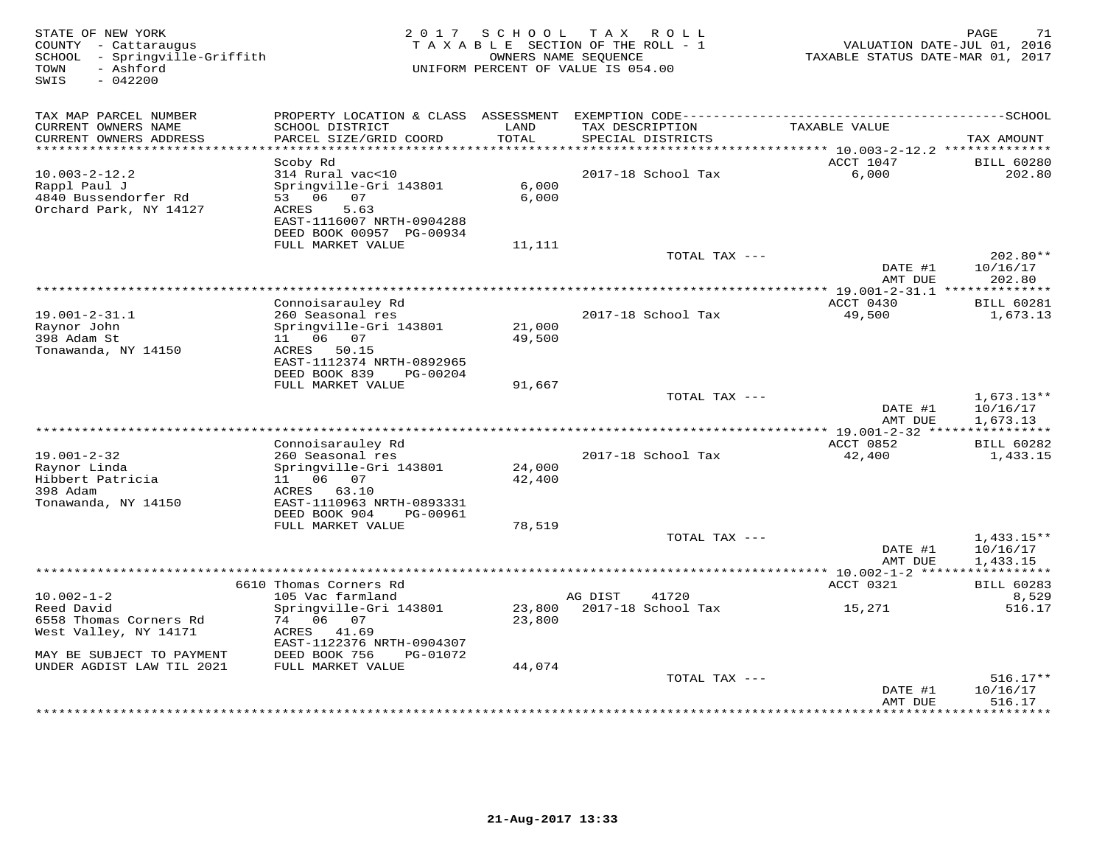| STATE OF NEW YORK<br>COUNTY - Cattaraugus<br>- Springville-Griffith<br>SCHOOL<br>- Ashford<br>TOWN<br>$-042200$<br>SWIS | 2 0 1 7                                                                                                                                | SCHOOL           | T A X<br>R O L L<br>TAXABLE SECTION OF THE ROLL - 1<br>OWNERS NAME SEOUENCE<br>UNIFORM PERCENT OF VALUE IS 054.00 | VALUATION DATE-JUL 01, 2016<br>TAXABLE STATUS DATE-MAR 01, 2017 | PAGE<br>71                           |
|-------------------------------------------------------------------------------------------------------------------------|----------------------------------------------------------------------------------------------------------------------------------------|------------------|-------------------------------------------------------------------------------------------------------------------|-----------------------------------------------------------------|--------------------------------------|
| TAX MAP PARCEL NUMBER<br>CURRENT OWNERS NAME<br>CURRENT OWNERS ADDRESS                                                  | SCHOOL DISTRICT<br>PARCEL SIZE/GRID COORD                                                                                              | LAND<br>TOTAL    | TAX DESCRIPTION<br>SPECIAL DISTRICTS                                                                              | TAXABLE VALUE                                                   | TAX AMOUNT                           |
| **********************                                                                                                  |                                                                                                                                        | **********       | * * * * * * * * * * * * * * * * * * * *                                                                           | ******* 10.003-2-12.2 **************                            |                                      |
|                                                                                                                         | Scoby Rd                                                                                                                               |                  |                                                                                                                   | ACCT 1047                                                       | <b>BILL 60280</b>                    |
| $10.003 - 2 - 12.2$<br>Rappl Paul J<br>4840 Bussendorfer Rd<br>Orchard Park, NY 14127                                   | 314 Rural vac<10<br>Springville-Gri 143801<br>06<br>53<br>07<br>5.63<br>ACRES<br>EAST-1116007 NRTH-0904288<br>DEED BOOK 00957 PG-00934 | 6,000<br>6,000   | 2017-18 School Tax                                                                                                | 6,000                                                           | 202.80                               |
|                                                                                                                         | FULL MARKET VALUE                                                                                                                      | 11,111           |                                                                                                                   |                                                                 |                                      |
|                                                                                                                         |                                                                                                                                        |                  | TOTAL TAX ---                                                                                                     | DATE #1<br>AMT DUE                                              | 202.80**<br>10/16/17<br>202.80       |
|                                                                                                                         |                                                                                                                                        |                  | ************************************                                                                              | ************* 19.001-2-31.1 **************                      |                                      |
| $19.001 - 2 - 31.1$<br>Raynor John<br>398 Adam St                                                                       | Connoisarauley Rd<br>260 Seasonal res<br>Springville-Gri 143801<br>11 06<br>07                                                         | 21,000<br>49,500 | 2017-18 School Tax                                                                                                | ACCT 0430<br>49,500                                             | <b>BILL 60281</b><br>1,673.13        |
| Tonawanda, NY 14150                                                                                                     | 50.15<br>ACRES<br>EAST-1112374 NRTH-0892965<br>DEED BOOK 839<br>PG-00204                                                               |                  |                                                                                                                   |                                                                 |                                      |
|                                                                                                                         | FULL MARKET VALUE                                                                                                                      | 91,667           | TOTAL TAX ---                                                                                                     |                                                                 | $1,673.13**$                         |
|                                                                                                                         |                                                                                                                                        |                  |                                                                                                                   | DATE #1<br>AMT DUE                                              | 10/16/17<br>1,673.13<br>***********  |
|                                                                                                                         | Connoisarauley Rd                                                                                                                      |                  |                                                                                                                   | *** 19.001-2-32 ****<br>ACCT 0852                               | <b>BILL 60282</b>                    |
| $19.001 - 2 - 32$<br>Raynor Linda<br>Hibbert Patricia<br>398 Adam                                                       | 260 Seasonal res<br>Springville-Gri 143801<br>06 07<br>11<br>ACRES<br>63.10                                                            | 24,000<br>42,400 | 2017-18 School Tax                                                                                                | 42,400                                                          | 1,433.15                             |
| Tonawanda, NY 14150                                                                                                     | EAST-1110963 NRTH-0893331<br>DEED BOOK 904<br>PG-00961<br>FULL MARKET VALUE                                                            | 78,519           |                                                                                                                   |                                                                 |                                      |
|                                                                                                                         |                                                                                                                                        |                  | TOTAL TAX ---                                                                                                     | DATE #1<br>AMT DUE                                              | $1,433.15**$<br>10/16/17<br>1,433.15 |
|                                                                                                                         | *****************************                                                                                                          |                  |                                                                                                                   | **** 10.002-1-2 *****                                           | * * * * * * * * * * *                |
|                                                                                                                         | 6610 Thomas Corners Rd                                                                                                                 |                  |                                                                                                                   | ACCT 0321                                                       | <b>BILL 60283</b>                    |
| $10.002 - 1 - 2$<br>Reed David<br>6558 Thomas Corners Rd<br>West Valley, NY 14171                                       | 105 Vac farmland<br>Springville-Gri 143801<br>06 07<br>74<br>ACRES<br>41.69                                                            | 23,800<br>23,800 | 41720<br>AG DIST<br>2017-18 School Tax                                                                            | 15,271                                                          | 8,529<br>516.17                      |
| MAY BE SUBJECT TO PAYMENT                                                                                               | EAST-1122376 NRTH-0904307<br>DEED BOOK 756<br>PG-01072                                                                                 |                  |                                                                                                                   |                                                                 |                                      |
| UNDER AGDIST LAW TIL 2021                                                                                               | FULL MARKET VALUE                                                                                                                      | 44,074           | TOTAL TAX ---                                                                                                     |                                                                 | $516.17**$                           |
|                                                                                                                         |                                                                                                                                        |                  |                                                                                                                   | DATE #1<br>AMT DUE                                              | 10/16/17<br>516.17<br>* * * * * * *  |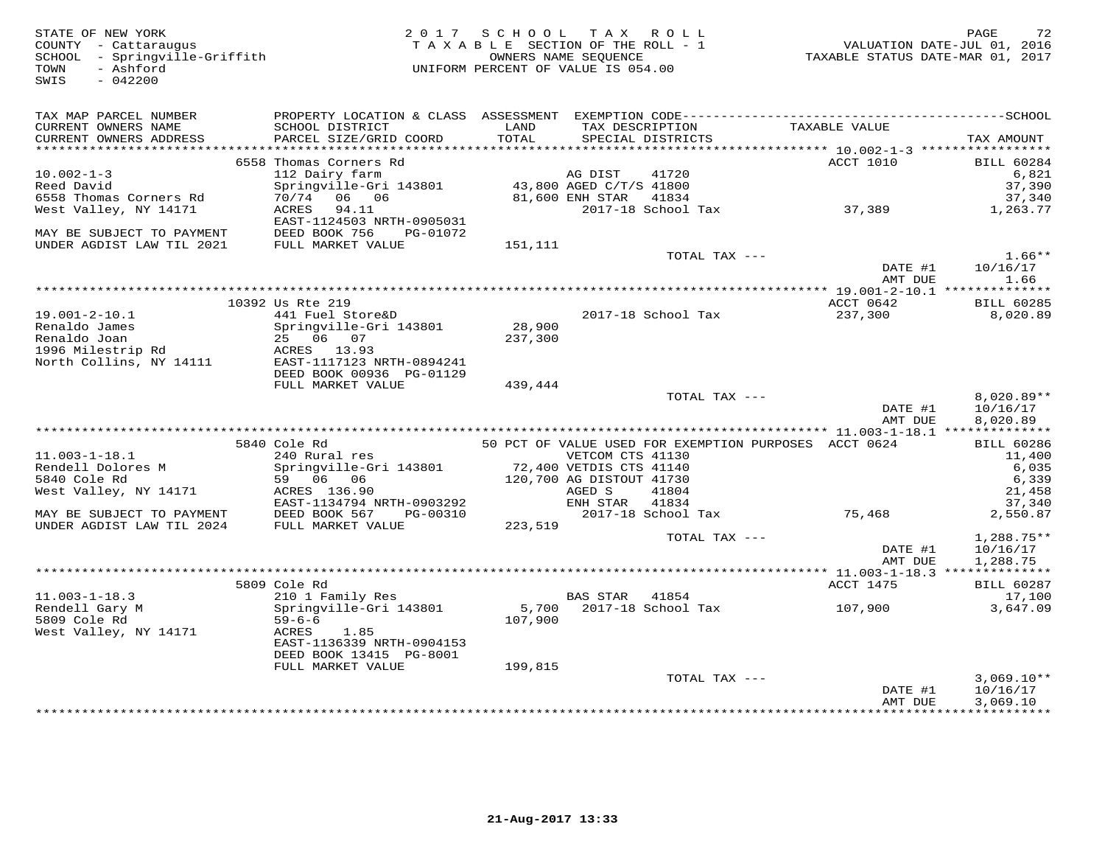STATE OF NEW YORK 2 0 1 7 S C H O O L T A X R O L L PAGE 72 COUNTY - Cattaraugus T A X A B L E SECTION OF THE ROLL - 1 VALUATION DATE-JUL 01, 2016 SCHOOL - Springville-Griffith OWNERS NAME SEQUENCE TAXABLE STATUS DATE-MAR 01, 2017 TOWN - Ashford UNIFORM PERCENT OF VALUE IS 054.00 SWIS - 042200TAX MAP PARCEL NUMBER PROPERTY LOCATION & CLASS ASSESSMENT EXEMPTION CODE------------------------------------------SCHOOL CURRENT OWNERS NAME SCHOOL DISTRICT LAND TAX DESCRIPTION TAXABLE VALUE CURRENT OWNERS ADDRESS PARCEL SIZE/GRID COORD TOTAL SPECIAL DISTRICTS TAX AMOUNT \*\*\*\*\*\*\*\*\*\*\*\*\*\*\*\*\*\*\*\*\*\*\*\*\*\*\*\*\*\*\*\*\*\*\*\*\*\*\*\*\*\*\*\*\*\*\*\*\*\*\*\*\*\*\*\*\*\*\*\*\*\*\*\*\*\*\*\*\*\*\*\*\*\*\*\*\*\*\*\*\*\*\*\*\*\*\*\*\*\*\*\*\*\*\*\*\*\*\*\*\*\*\* 10.002-1-3 \*\*\*\*\*\*\*\*\*\*\*\*\*\*\*\*\*6558 Thomas Corners Rd<br>
Reed David and the Springville-Gri 143801 and ACCT 1010 BILL 60284<br>
Reed David Springville-Gri 143801 and ACCT 1010 558<br>
6558 Thomas Corners Rd 70/74 06 06 81,600 ENH STAR 41834 37,389 37,389 37,389  $\text{DMTE}$   $\text{H}^{11}$   $\text{M}^{10}/\text{16}/\text{17}$  AMT DUE 1.66 \*\*\*\*\*\*\*\*\*\*\*\*\*\*\*\*\*\*\*\*\*\*\*\*\*\*\*\*\*\*\*\*\*\*\*\*\*\*\*\*\*\*\*\*\*\*\*\*\*\*\*\*\*\*\*\*\*\*\*\*\*\*\*\*\*\*\*\*\*\*\*\*\*\*\*\*\*\*\*\*\*\*\*\*\*\*\*\*\*\*\*\*\*\*\*\*\*\*\*\*\*\*\* 19.001-2-10.1 \*\*\*\*\*\*\*\*\*\*\*\*\*\* 10392 Us Rte 219 ACCT 0642 BILL 60285 19.001-2-10.1 441 Fuel Store&D 2017-18 School Tax 237,300 8,020.89 Renaldo James Springville-Gri 143801 28,900 Renaldo Joan 25 06 07 237,300 1996 Milestrip Rd ACRES 13.93 North Collins, NY 14111 EAST-1117123 NRTH-0894241 DEED BOOK 00936 PG-01129 FULL MARKET VALUE 439,444TOTAL TAX  $---$  8,020.89\*\*  $\text{DATE}$  #1  $10/16/17$ <br> $\text{AMT}$   $\text{DHT}$   $\text{DHT}$   $\text{DHT}$   $\text{DHT}$   $\text{DHT}$   $\text{DHT}$   $\text{DHT}$   $\text{DHT}$   $\text{DHT}$   $\text{DHT}$   $\text{DHT}$   $\text{DHT}$   $\text{DHT}$   $\text{DHT}$   $\text{DHT}$   $\text{DHT}$   $\text{DHT}$   $\text{DHT}$   $\text{DHT}$   $\text{DHT}$   $\text{DHT}$  AMT DUE 8,020.89 \*\*\*\*\*\*\*\*\*\*\*\*\*\*\*\*\*\*\*\*\*\*\*\*\*\*\*\*\*\*\*\*\*\*\*\*\*\*\*\*\*\*\*\*\*\*\*\*\*\*\*\*\*\*\*\*\*\*\*\*\*\*\*\*\*\*\*\*\*\*\*\*\*\*\*\*\*\*\*\*\*\*\*\*\*\*\*\*\*\*\*\*\*\*\*\*\*\*\*\*\*\*\* 11.003-1-18.1 \*\*\*\*\*\*\*\*\*\*\*\*\*\* 5840 Cole Rd 50 PCT OF VALUE USED FOR EXEMPTION PURPOSES ACCT 0624 BILL 60286 11.003-1-18.1 240 Rural res VETCOM CTS 41130 11,400 Rendell Dolores M Springville-Gri 143801 72,400 VETDIS CTS 41140 6,035 5840 Cole Rd 59 06 06 120,700 AG DISTOUT 41730 6,339 West Valley, NY 14171 ACRES 136.90 AGED S 41804 21,458 EAST-1134794 NRTH-0903292 ENH STAR 41834 37,340 MAY BE SUBJECT TO PAYMENT DEED BOOK 567 PG-00310 2017-18 School Tax 75,468 2,550.87 UNDER AGDIST LAW TIL 2024 FULL MARKET VALUE 223,519 TOTAL TAX --- 1,288.75\*\* DATE #1 10/16/17AMT DUE 1,288.75 AMT DUE 1,288.75 \*\*\*\*\*\*\*\*\*\*\*\*\*\*\*\*\*\*\*\*\*\*\*\*\*\*\*\*\*\*\*\*\*\*\*\*\*\*\*\*\*\*\*\*\*\*\*\*\*\*\*\*\*\*\*\*\*\*\*\*\*\*\*\*\*\*\*\*\*\*\*\*\*\*\*\*\*\*\*\*\*\*\*\*\*\*\*\*\*\*\*\*\*\*\*\*\*\*\*\*\*\*\* 11.003-1-18.3 \*\*\*\*\*\*\*\*\*\*\*\*\*\* 5809 Cole Rd ACCT 1475 BILL 60287 11.003-1-18.3 210 1 Family Res BAS STAR 41854 17,100 Rendell Gary M Springville-Gri 143801 5,700 2017-18 School Tax 107,900 3,647.09 5809 Cole Rd 59-6-6 107,900 West Valley, NY 14171 ACRES 1.85 EAST-1136339 NRTH-0904153 DEED BOOK 13415 PG-8001 FULL MARKET VALUE 199,815 TOTAL TAX --- 3,069.10\*\* DATE #1 10/16/17 AMT DUE 3,069.10\*\*\*\*\*\*\*\*\*\*\*\*\*\*\*\*\*\*\*\*\*\*\*\*\*\*\*\*\*\*\*\*\*\*\*\*\*\*\*\*\*\*\*\*\*\*\*\*\*\*\*\*\*\*\*\*\*\*\*\*\*\*\*\*\*\*\*\*\*\*\*\*\*\*\*\*\*\*\*\*\*\*\*\*\*\*\*\*\*\*\*\*\*\*\*\*\*\*\*\*\*\*\*\*\*\*\*\*\*\*\*\*\*\*\*\*\*\*\*\*\*\*\*\*\*\*\*\*\*\*\*\*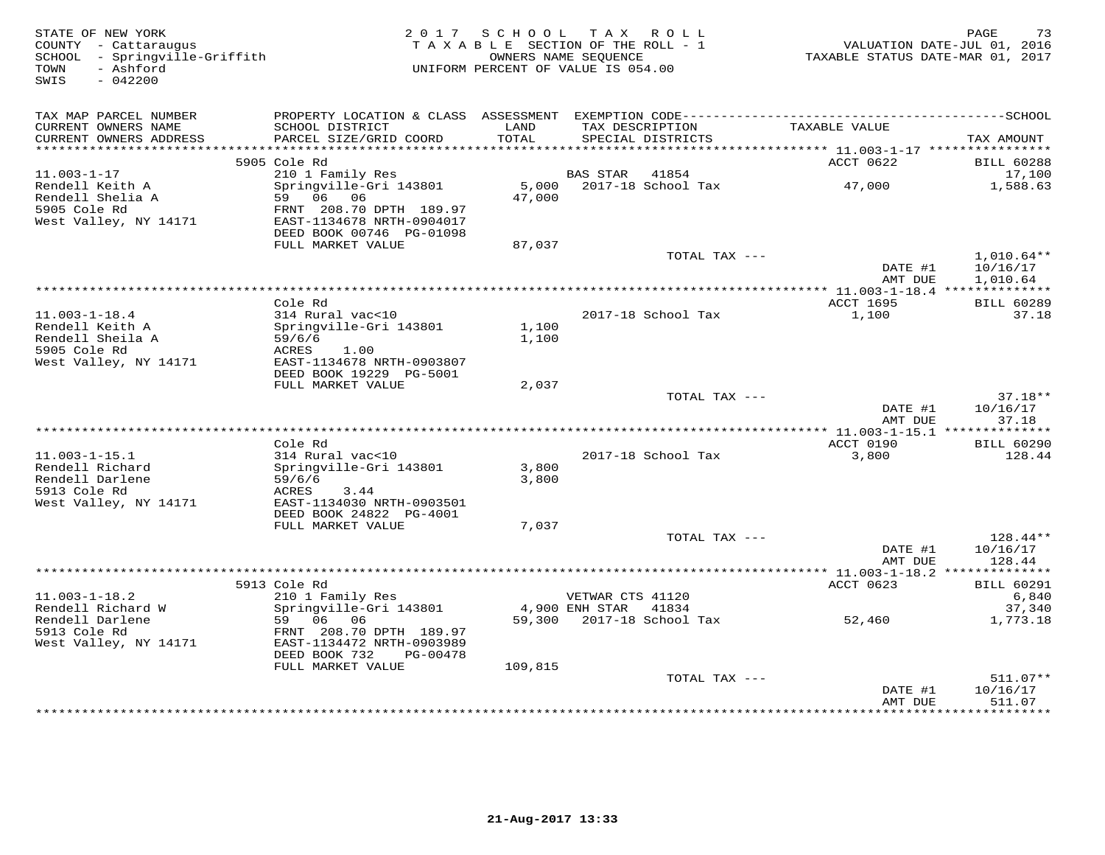| STATE OF NEW YORK<br>COUNTY - Cattaraugus<br>SCHOOL - Springville-Griffith<br>- Ashford<br>TOWN<br>$-042200$<br>SWIS |                                                                                               |                 | 2017 SCHOOL TAX ROLL<br>TAXABLE SECTION OF THE ROLL - 1<br>OWNERS NAME SEQUENCE<br>UNIFORM PERCENT OF VALUE IS 054.00 | TAXABLE STATUS DATE-MAR 01, 2017  | 73<br>PAGE<br>VALUATION DATE-JUL 01, 2016 |
|----------------------------------------------------------------------------------------------------------------------|-----------------------------------------------------------------------------------------------|-----------------|-----------------------------------------------------------------------------------------------------------------------|-----------------------------------|-------------------------------------------|
| TAX MAP PARCEL NUMBER<br>CURRENT OWNERS NAME                                                                         | SCHOOL DISTRICT                                                                               | LAND            | TAX DESCRIPTION                                                                                                       | TAXABLE VALUE                     |                                           |
| CURRENT OWNERS ADDRESS<br>***********************                                                                    | PARCEL SIZE/GRID COORD                                                                        | TOTAL           | SPECIAL DISTRICTS                                                                                                     |                                   | TAX AMOUNT                                |
|                                                                                                                      | 5905 Cole Rd                                                                                  |                 |                                                                                                                       | ACCT 0622                         | <b>BILL 60288</b>                         |
| $11.003 - 1 - 17$                                                                                                    | 210 1 Family Res                                                                              |                 | <b>BAS STAR</b><br>41854                                                                                              |                                   | 17,100                                    |
| Rendell Keith A<br>Rendell Shelia A<br>5905 Cole Rd<br>West Valley, NY 14171                                         | Springville-Gri 143801<br>59<br>06 06<br>FRNT 208.70 DPTH 189.97<br>EAST-1134678 NRTH-0904017 | 5,000<br>47,000 | 2017-18 School Tax                                                                                                    | 47,000                            | 1,588.63                                  |
|                                                                                                                      | DEED BOOK 00746 PG-01098                                                                      |                 |                                                                                                                       |                                   |                                           |
|                                                                                                                      | FULL MARKET VALUE                                                                             | 87,037          |                                                                                                                       |                                   |                                           |
|                                                                                                                      |                                                                                               |                 | TOTAL TAX ---                                                                                                         | DATE #1<br>AMT DUE                | $1,010.64**$<br>10/16/17<br>1,010.64      |
|                                                                                                                      |                                                                                               |                 | *******************                                                                                                   | *** 11.003-1-18.4 *************** |                                           |
| $11.003 - 1 - 18.4$<br>Rendell Keith A                                                                               | Cole Rd<br>314 Rural vac<10<br>Springville-Gri 143801                                         | 1,100           | 2017-18 School Tax                                                                                                    | ACCT 1695<br>1,100                | <b>BILL 60289</b><br>37.18                |
| Rendell Sheila A<br>5905 Cole Rd<br>West Valley, NY 14171                                                            | 59/6/6<br>ACRES<br>1.00<br>EAST-1134678 NRTH-0903807<br>DEED BOOK 19229 PG-5001               | 1,100           |                                                                                                                       |                                   |                                           |
|                                                                                                                      | FULL MARKET VALUE                                                                             | 2,037           |                                                                                                                       |                                   |                                           |
|                                                                                                                      |                                                                                               |                 | TOTAL TAX ---                                                                                                         | DATE #1                           | $37.18**$<br>10/16/17                     |
|                                                                                                                      |                                                                                               |                 |                                                                                                                       | AMT DUE                           | 37.18                                     |
|                                                                                                                      | Cole Rd                                                                                       |                 |                                                                                                                       | ACCT 0190                         | <b>BILL 60290</b>                         |
| $11.003 - 1 - 15.1$                                                                                                  | 314 Rural vac<10                                                                              |                 | 2017-18 School Tax                                                                                                    | 3,800                             | 128.44                                    |
| Rendell Richard                                                                                                      | Springville-Gri 143801                                                                        | 3,800           |                                                                                                                       |                                   |                                           |
| Rendell Darlene<br>5913 Cole Rd<br>West Valley, NY 14171                                                             | 59/6/6<br>ACRES<br>3.44<br>EAST-1134030 NRTH-0903501                                          | 3,800           |                                                                                                                       |                                   |                                           |
|                                                                                                                      | DEED BOOK 24822 PG-4001                                                                       |                 |                                                                                                                       |                                   |                                           |
|                                                                                                                      | FULL MARKET VALUE                                                                             | 7,037           | TOTAL TAX ---                                                                                                         |                                   | 128.44**                                  |
|                                                                                                                      |                                                                                               |                 |                                                                                                                       | DATE #1<br>AMT DUE                | 10/16/17<br>128.44                        |
|                                                                                                                      |                                                                                               |                 |                                                                                                                       |                                   |                                           |
| $11.003 - 1 - 18.2$                                                                                                  | 5913 Cole Rd                                                                                  |                 |                                                                                                                       | ACCT 0623                         | <b>BILL 60291</b>                         |
| Rendell Richard W                                                                                                    | 210 1 Family Res<br>Springville-Gri 143801                                                    |                 | VETWAR CTS 41120<br>4,900 ENH STAR<br>41834                                                                           |                                   | 6,840<br>37,340                           |
| Rendell Darlene                                                                                                      | 59<br>06<br>06                                                                                | 59,300          | 2017-18 School Tax                                                                                                    | 52,460                            | 1,773.18                                  |
| 5913 Cole Rd<br>West Valley, NY 14171                                                                                | FRNT 208.70 DPTH 189.97<br>EAST-1134472 NRTH-0903989<br>DEED BOOK 732<br>PG-00478             |                 |                                                                                                                       |                                   |                                           |
|                                                                                                                      | FULL MARKET VALUE                                                                             | 109,815         |                                                                                                                       |                                   |                                           |
|                                                                                                                      |                                                                                               |                 | TOTAL TAX ---                                                                                                         | DATE #1                           | 511.07**<br>10/16/17                      |
|                                                                                                                      |                                                                                               |                 |                                                                                                                       | AMT DUE                           | 511.07<br>* * * * * * * *                 |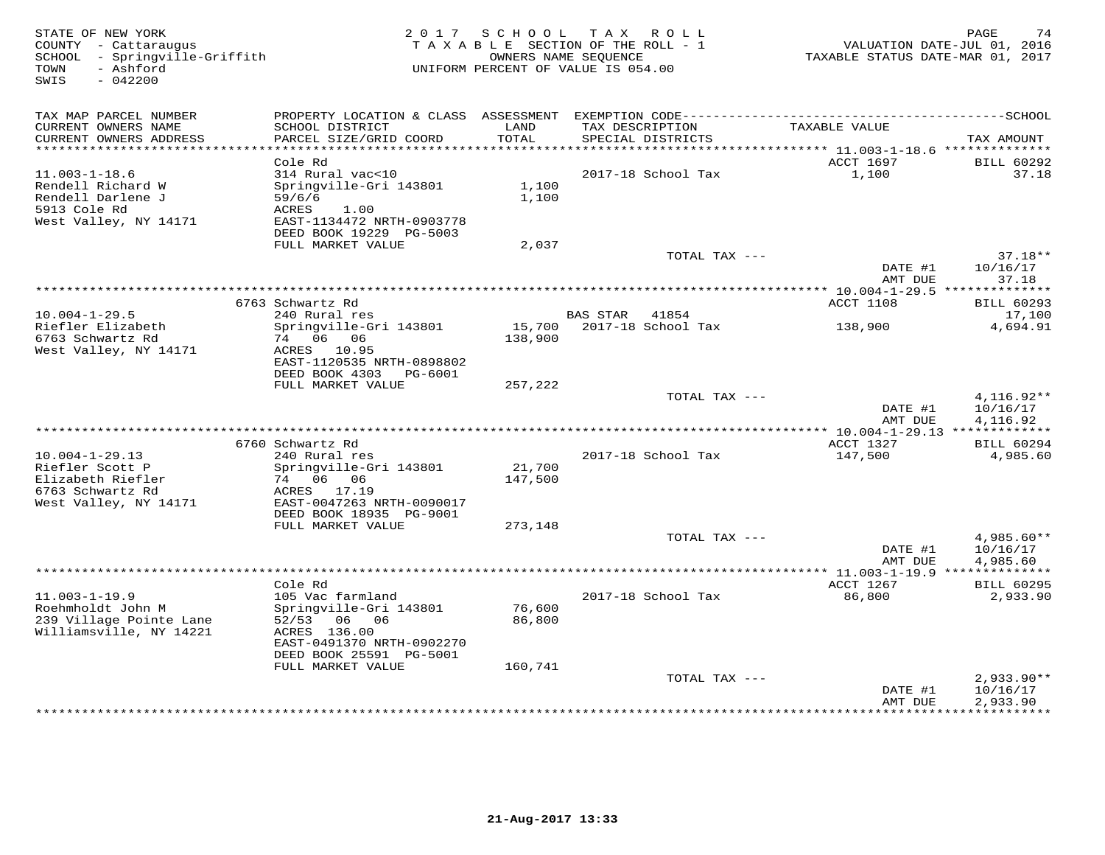| STATE OF NEW YORK<br>COUNTY - Cattaraugus<br>SCHOOL - Springville-Griffith<br>- Ashford<br>TOWN |                                                                                                                  | 2017 SCHOOL       | T A X<br>R O L L<br>TAXABLE SECTION OF THE ROLL - 1<br>OWNERS NAME SEOUENCE<br>UNIFORM PERCENT OF VALUE IS 054.00 | VALUATION DATE-JUL 01, 2016<br>TAXABLE STATUS DATE-MAR 01, 2017 | PAGE<br>74                           |
|-------------------------------------------------------------------------------------------------|------------------------------------------------------------------------------------------------------------------|-------------------|-------------------------------------------------------------------------------------------------------------------|-----------------------------------------------------------------|--------------------------------------|
| SWIS<br>$-042200$                                                                               |                                                                                                                  |                   |                                                                                                                   |                                                                 |                                      |
| TAX MAP PARCEL NUMBER                                                                           |                                                                                                                  |                   |                                                                                                                   |                                                                 |                                      |
| CURRENT OWNERS NAME<br>CURRENT OWNERS ADDRESS<br>**********************                         | SCHOOL DISTRICT<br>PARCEL SIZE/GRID COORD                                                                        | LAND<br>TOTAL     | TAX DESCRIPTION<br>SPECIAL DISTRICTS<br>*********************************                                         | TAXABLE VALUE                                                   | TAX AMOUNT                           |
|                                                                                                 | Cole Rd                                                                                                          |                   |                                                                                                                   | ********** 11.003-1-18.6 ***************<br>ACCT 1697           | <b>BILL 60292</b>                    |
| $11.003 - 1 - 18.6$<br>Rendell Richard W<br>Rendell Darlene J<br>5913 Cole Rd                   | 314 Rural vac<10<br>Springville-Gri 143801<br>59/6/6<br>ACRES<br>1.00                                            | 1,100<br>1,100    | 2017-18 School Tax                                                                                                | 1,100                                                           | 37.18                                |
| West Valley, NY 14171                                                                           | EAST-1134472 NRTH-0903778<br>DEED BOOK 19229 PG-5003<br>FULL MARKET VALUE                                        | 2,037             |                                                                                                                   |                                                                 |                                      |
|                                                                                                 |                                                                                                                  |                   | TOTAL TAX ---                                                                                                     | DATE #1<br>AMT DUE                                              | $37.18**$<br>10/16/17<br>37.18       |
|                                                                                                 |                                                                                                                  |                   | ********************************                                                                                  | *********** 10.004-1-29.5 ***************                       |                                      |
|                                                                                                 | 6763 Schwartz Rd                                                                                                 |                   |                                                                                                                   | ACCT 1108                                                       | <b>BILL 60293</b>                    |
| $10.004 - 1 - 29.5$<br>Riefler Elizabeth<br>6763 Schwartz Rd<br>West Valley, NY 14171           | 240 Rural res<br>Springville-Gri 143801<br>74 06 06<br>ACRES 10.95<br>EAST-1120535 NRTH-0898802                  | 15,700<br>138,900 | <b>BAS STAR</b><br>41854<br>2017-18 School Tax                                                                    | 138,900                                                         | 17,100<br>4,694.91                   |
|                                                                                                 | DEED BOOK 4303<br>PG-6001<br>FULL MARKET VALUE                                                                   | 257,222           |                                                                                                                   |                                                                 |                                      |
|                                                                                                 |                                                                                                                  |                   | TOTAL TAX ---                                                                                                     | DATE #1<br>AMT DUE                                              | $4.116.92**$<br>10/16/17<br>4,116.92 |
|                                                                                                 | 6760 Schwartz Rd                                                                                                 |                   | ***************************                                                                                       | $* 10.004 - 1 - 29.13$ *************<br>ACCT 1327               | <b>BILL 60294</b>                    |
| $10.004 - 1 - 29.13$<br>Riefler Scott P<br>Elizabeth Riefler<br>6763 Schwartz Rd                | 240 Rural res<br>Springville-Gri 143801<br>74 06 06<br>ACRES 17.19                                               | 21,700<br>147,500 | 2017-18 School Tax                                                                                                | 147,500                                                         | 4,985.60                             |
| West Valley, NY 14171                                                                           | EAST-0047263 NRTH-0090017<br>DEED BOOK 18935 PG-9001<br>FULL MARKET VALUE                                        | 273,148           |                                                                                                                   |                                                                 |                                      |
|                                                                                                 |                                                                                                                  |                   | TOTAL TAX ---                                                                                                     | DATE #1<br>AMT DUE                                              | 4,985.60**<br>10/16/17<br>4,985.60   |
|                                                                                                 |                                                                                                                  |                   |                                                                                                                   | ************** 11.003-1-19.9 ***************                    |                                      |
| $11.003 - 1 - 19.9$                                                                             | Cole Rd<br>105 Vac farmland                                                                                      |                   | 2017-18 School Tax                                                                                                | ACCT 1267<br>86,800                                             | <b>BILL 60295</b><br>2,933.90        |
| Roehmholdt John M<br>239 Village Pointe Lane<br>Williamsville, NY 14221                         | Springville-Gri 143801<br>52/53<br>06 06<br>ACRES 136.00<br>EAST-0491370 NRTH-0902270<br>DEED BOOK 25591 PG-5001 | 76,600<br>86,800  |                                                                                                                   |                                                                 |                                      |
|                                                                                                 | FULL MARKET VALUE                                                                                                | 160,741           | TOTAL TAX ---                                                                                                     |                                                                 | $2,933.90**$                         |
|                                                                                                 |                                                                                                                  |                   |                                                                                                                   | DATE #1<br>AMT DUE                                              | 10/16/17<br>2,933.90                 |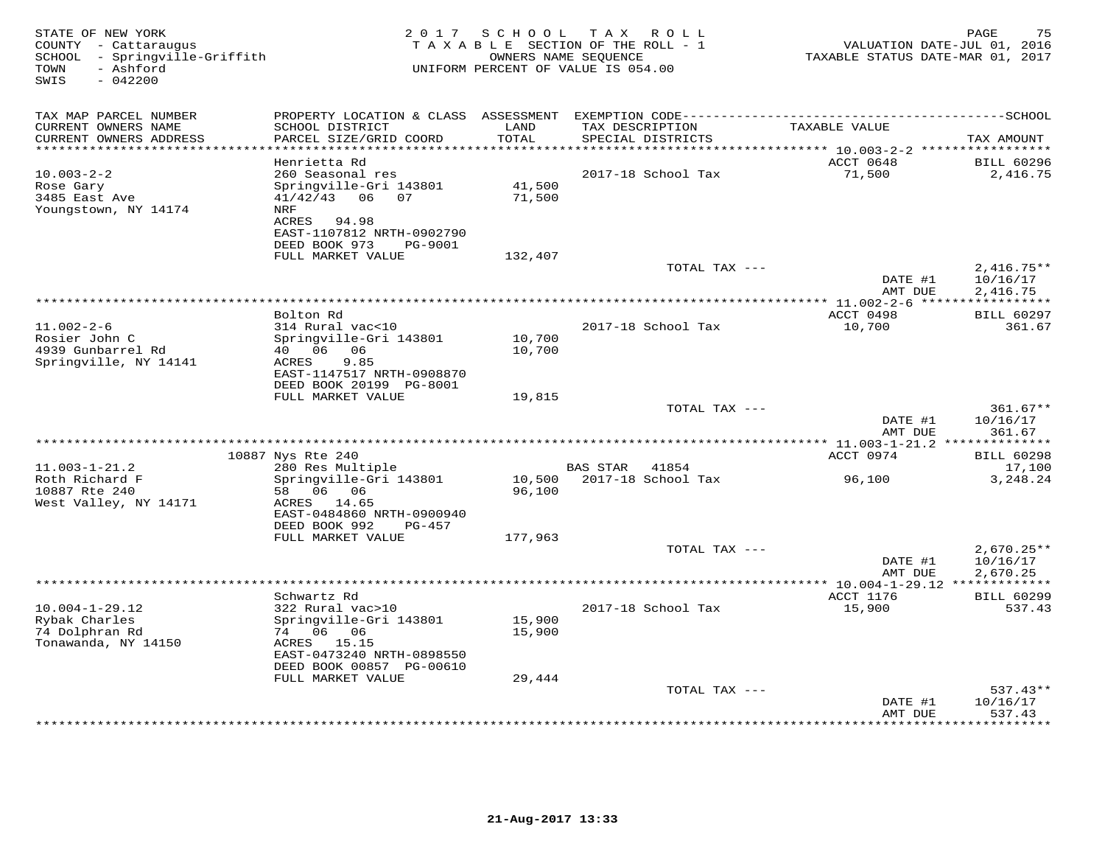| STATE OF NEW YORK<br>COUNTY - Cattaraugus<br>SCHOOL - Springville-Griffith<br>- Ashford<br>TOWN<br>$-042200$<br>SWIS | 2 0 1 7                                                                                                                                          | SCHOOL           | TAX ROLL<br>TAXABLE SECTION OF THE ROLL - 1<br>OWNERS NAME SEQUENCE<br>UNIFORM PERCENT OF VALUE IS 054.00 | VALUATION DATE-JUL 01, 2016<br>TAXABLE STATUS DATE-MAR 01, 2017 | 75<br>PAGE                           |
|----------------------------------------------------------------------------------------------------------------------|--------------------------------------------------------------------------------------------------------------------------------------------------|------------------|-----------------------------------------------------------------------------------------------------------|-----------------------------------------------------------------|--------------------------------------|
| TAX MAP PARCEL NUMBER                                                                                                | PROPERTY LOCATION & CLASS ASSESSMENT                                                                                                             |                  |                                                                                                           |                                                                 |                                      |
| CURRENT OWNERS NAME<br>CURRENT OWNERS ADDRESS                                                                        | SCHOOL DISTRICT<br>PARCEL SIZE/GRID COORD                                                                                                        | LAND<br>TOTAL    | TAX DESCRIPTION<br>SPECIAL DISTRICTS                                                                      | TAXABLE VALUE                                                   | TAX AMOUNT                           |
|                                                                                                                      | Henrietta Rd                                                                                                                                     |                  |                                                                                                           | ********** 10.003-2-2 *****************<br>ACCT 0648            | <b>BILL 60296</b>                    |
| $10.003 - 2 - 2$<br>Rose Gary<br>3485 East Ave<br>Youngstown, NY 14174                                               | 260 Seasonal res<br>Springville-Gri 143801<br>$41/42/43$ 06<br>07<br>NRF<br>ACRES 94.98<br>EAST-1107812 NRTH-0902790<br>DEED BOOK 973<br>PG-9001 | 41,500<br>71,500 | 2017-18 School Tax                                                                                        | 71,500                                                          | 2,416.75                             |
|                                                                                                                      | FULL MARKET VALUE                                                                                                                                | 132,407          |                                                                                                           |                                                                 |                                      |
|                                                                                                                      |                                                                                                                                                  |                  | TOTAL TAX ---                                                                                             | DATE #1                                                         | $2,416.75**$<br>10/16/17             |
|                                                                                                                      |                                                                                                                                                  |                  |                                                                                                           | AMT DUE                                                         | 2,416.75<br>***********              |
|                                                                                                                      | Bolton Rd                                                                                                                                        |                  |                                                                                                           | ACCT 0498                                                       | <b>BILL 60297</b>                    |
| $11.002 - 2 - 6$<br>Rosier John C<br>4939 Gunbarrel Rd<br>Springville, NY 14141                                      | 314 Rural vac<10<br>Springville-Gri 143801<br>40 06<br>06<br>ACRES<br>9.85<br>EAST-1147517 NRTH-0908870                                          | 10,700<br>10,700 | 2017-18 School Tax                                                                                        | 10,700                                                          | 361.67                               |
|                                                                                                                      | DEED BOOK 20199 PG-8001                                                                                                                          |                  |                                                                                                           |                                                                 |                                      |
|                                                                                                                      | FULL MARKET VALUE                                                                                                                                | 19,815           | TOTAL TAX ---                                                                                             | DATE #1                                                         | $361.67**$<br>10/16/17               |
|                                                                                                                      |                                                                                                                                                  |                  |                                                                                                           | AMT DUE                                                         | 361.67                               |
|                                                                                                                      | 10887 Nys Rte 240                                                                                                                                |                  |                                                                                                           | ************* 11.003-1-21.2 ***************<br>ACCT 0974        | <b>BILL 60298</b>                    |
| $11.003 - 1 - 21.2$                                                                                                  | 280 Res Multiple                                                                                                                                 |                  | <b>BAS STAR</b><br>41854                                                                                  |                                                                 | 17,100                               |
| Roth Richard F<br>10887 Rte 240<br>West Valley, NY 14171                                                             | Springville-Gri 143801<br>58 06 06<br>ACRES 14.65<br>EAST-0484860 NRTH-0900940<br>DEED BOOK 992<br>PG-457                                        | 10,500<br>96,100 | 2017-18 School Tax                                                                                        | 96,100                                                          | 3,248.24                             |
|                                                                                                                      | FULL MARKET VALUE                                                                                                                                | 177,963          |                                                                                                           |                                                                 |                                      |
|                                                                                                                      |                                                                                                                                                  |                  | TOTAL TAX ---                                                                                             | DATE #1<br>AMT DUE                                              | $2,670.25**$<br>10/16/17<br>2,670.25 |
|                                                                                                                      | ********<br>Schwartz Rd                                                                                                                          |                  | ***********************************                                                                       | ** $10.004 - 1 - 29.12$ *<br>ACCT 1176                          | <b>BILL 60299</b>                    |
| $10.004 - 1 - 29.12$<br>Rybak Charles<br>74 Dolphran Rd<br>Tonawanda, NY 14150                                       | 322 Rural vac>10<br>Springville-Gri 143801<br>74 06 06<br>ACRES 15.15<br>EAST-0473240 NRTH-0898550<br>DEED BOOK 00857 PG-00610                   | 15,900<br>15,900 | 2017-18 School Tax                                                                                        | 15,900                                                          | 537.43                               |
|                                                                                                                      | FULL MARKET VALUE                                                                                                                                | 29,444           |                                                                                                           |                                                                 |                                      |
|                                                                                                                      |                                                                                                                                                  |                  | TOTAL TAX ---                                                                                             | DATE #1<br>AMT DUE                                              | $537.43**$<br>10/16/17<br>537.43     |
|                                                                                                                      |                                                                                                                                                  |                  |                                                                                                           |                                                                 | ********                             |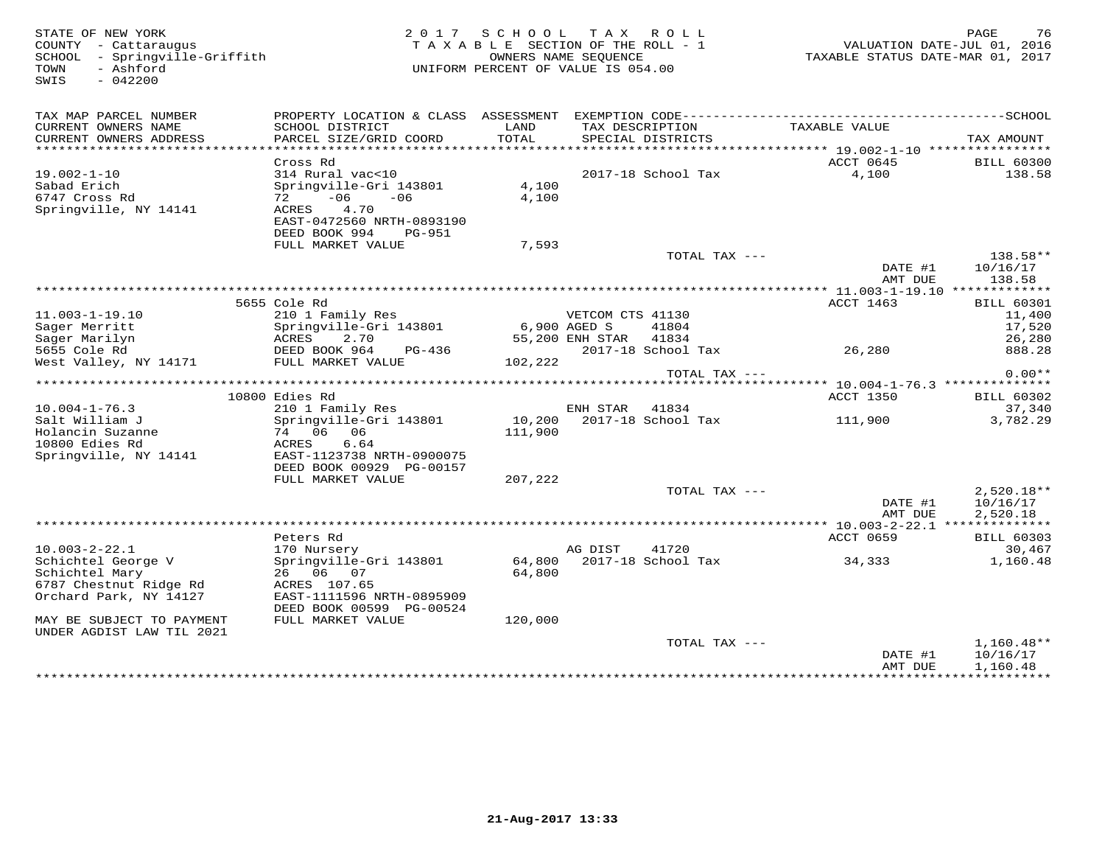COUNTY - Cattaraugus<br>
SCHOOL - Springville-Griffith<br>
TOWN - Ashford<br>
SWIS - 042200

#### STATE OF NEW YORK CONTROLLED AS A LOCAL CONTRATE OF MEW YORK CONTROLLED AND RAGE TO A LOCAL CONTROLLED AND RAGE TO TAXABLE SECTION OF THE ROLL - 1 SCHOOL - Springville-Griffith OWNERS NAME SEQUENCE TAXABLE STATUS DATE-MAR 01, 2017UNIFORM PERCENT OF VALUE IS 054.00

| TAX MAP PARCEL NUMBER<br>CURRENT OWNERS NAME<br>CURRENT OWNERS ADDRESS | PROPERTY LOCATION & CLASS ASSESSMENT<br>SCHOOL DISTRICT<br>PARCEL SIZE/GRID COORD | LAND<br>TOTAL |                  | EXEMPTION CODE-----------<br>TAX DESCRIPTION<br>SPECIAL DISTRICTS |               | TAXABLE VALUE                             | -------------SCHOOL<br>TAX AMOUNT |
|------------------------------------------------------------------------|-----------------------------------------------------------------------------------|---------------|------------------|-------------------------------------------------------------------|---------------|-------------------------------------------|-----------------------------------|
|                                                                        |                                                                                   |               |                  |                                                                   |               |                                           |                                   |
|                                                                        | Cross Rd                                                                          |               |                  |                                                                   |               | ACCT 0645                                 | <b>BILL 60300</b>                 |
| $19.002 - 1 - 10$                                                      | 314 Rural vac<10                                                                  |               |                  | 2017-18 School Tax                                                |               | 4,100                                     | 138.58                            |
| Sabad Erich                                                            | Springville-Gri 143801                                                            | 4,100         |                  |                                                                   |               |                                           |                                   |
| 6747 Cross Rd                                                          | $-06$<br>$-06$<br>72                                                              | 4,100         |                  |                                                                   |               |                                           |                                   |
| Springville, NY 14141                                                  | 4.70<br>ACRES                                                                     |               |                  |                                                                   |               |                                           |                                   |
|                                                                        | EAST-0472560 NRTH-0893190                                                         |               |                  |                                                                   |               |                                           |                                   |
|                                                                        | DEED BOOK 994<br>PG-951                                                           |               |                  |                                                                   |               |                                           |                                   |
|                                                                        | FULL MARKET VALUE                                                                 | 7,593         |                  |                                                                   |               |                                           |                                   |
|                                                                        |                                                                                   |               |                  |                                                                   | TOTAL TAX --- |                                           | $138.58**$                        |
|                                                                        |                                                                                   |               |                  |                                                                   |               | DATE #1                                   | 10/16/17                          |
|                                                                        |                                                                                   |               |                  |                                                                   |               | AMT DUE                                   | 138.58                            |
|                                                                        |                                                                                   |               |                  |                                                                   |               |                                           |                                   |
|                                                                        | 5655 Cole Rd                                                                      |               |                  |                                                                   |               | ACCT 1463                                 | <b>BILL 60301</b>                 |
| $11.003 - 1 - 19.10$                                                   | 210 1 Family Res                                                                  |               | VETCOM CTS 41130 |                                                                   |               |                                           | 11,400                            |
| Sager Merritt                                                          | Springville-Gri 143801                                                            | 6,900 AGED S  |                  | 41804                                                             |               |                                           | 17,520                            |
| Sager Marilyn                                                          | ACRES<br>2.70                                                                     |               | 55,200 ENH STAR  | 41834                                                             |               |                                           | 26,280                            |
| 5655 Cole Rd                                                           | DEED BOOK 964<br>PG-436                                                           |               |                  | 2017-18 School Tax                                                |               | 26,280                                    | 888.28                            |
| West Valley, NY 14171                                                  | FULL MARKET VALUE                                                                 | 102,222       |                  |                                                                   |               |                                           | $0.00**$                          |
|                                                                        |                                                                                   |               |                  |                                                                   | TOTAL TAX --- | *********** 10.004-1-76.3 *************** |                                   |
|                                                                        | 10800 Edies Rd                                                                    |               |                  |                                                                   |               | ACCT 1350                                 | <b>BILL 60302</b>                 |
| $10.004 - 1 - 76.3$                                                    | 210 1 Family Res                                                                  |               | ENH STAR         | 41834                                                             |               |                                           | 37,340                            |
| Salt William J                                                         | Springville-Gri 143801                                                            | 10,200        |                  | 2017-18 School Tax                                                |               | 111,900                                   | 3,782.29                          |
| Holancin Suzanne                                                       | 74 06<br>06                                                                       | 111,900       |                  |                                                                   |               |                                           |                                   |
| 10800 Edies Rd                                                         | ACRES<br>6.64                                                                     |               |                  |                                                                   |               |                                           |                                   |
| Springville, NY 14141                                                  | EAST-1123738 NRTH-0900075                                                         |               |                  |                                                                   |               |                                           |                                   |
|                                                                        | DEED BOOK 00929 PG-00157                                                          |               |                  |                                                                   |               |                                           |                                   |
|                                                                        | FULL MARKET VALUE                                                                 | 207,222       |                  |                                                                   |               |                                           |                                   |
|                                                                        |                                                                                   |               |                  |                                                                   | TOTAL TAX --- |                                           | $2,520.18**$                      |
|                                                                        |                                                                                   |               |                  |                                                                   |               | DATE #1                                   | 10/16/17                          |
|                                                                        |                                                                                   |               |                  |                                                                   |               | AMT DUE                                   | 2,520.18                          |
|                                                                        |                                                                                   |               |                  |                                                                   |               |                                           |                                   |
|                                                                        | Peters Rd                                                                         |               |                  |                                                                   |               | ACCT 0659                                 | <b>BILL 60303</b>                 |
| $10.003 - 2 - 22.1$                                                    | 170 Nursery                                                                       |               | AG DIST          | 41720                                                             |               |                                           | 30,467                            |
| Schichtel George V                                                     | Springville-Gri 143801                                                            | 64,800        |                  | 2017-18 School Tax                                                |               | 34,333                                    | 1,160.48                          |
| Schichtel Mary                                                         | 26 06 07                                                                          | 64,800        |                  |                                                                   |               |                                           |                                   |
| 6787 Chestnut Ridge Rd                                                 | ACRES 107.65                                                                      |               |                  |                                                                   |               |                                           |                                   |
| Orchard Park, NY 14127                                                 | EAST-1111596 NRTH-0895909                                                         |               |                  |                                                                   |               |                                           |                                   |
|                                                                        | DEED BOOK 00599 PG-00524                                                          |               |                  |                                                                   |               |                                           |                                   |
| MAY BE SUBJECT TO PAYMENT                                              | FULL MARKET VALUE                                                                 | 120,000       |                  |                                                                   |               |                                           |                                   |
| UNDER AGDIST LAW TIL 2021                                              |                                                                                   |               |                  |                                                                   |               |                                           |                                   |
|                                                                        |                                                                                   |               |                  |                                                                   | TOTAL TAX --- |                                           | $1,160.48**$                      |
|                                                                        |                                                                                   |               |                  |                                                                   |               | DATE #1                                   | 10/16/17                          |
|                                                                        |                                                                                   |               |                  |                                                                   |               | AMT DUE                                   | 1,160.48                          |
|                                                                        |                                                                                   |               |                  |                                                                   |               |                                           |                                   |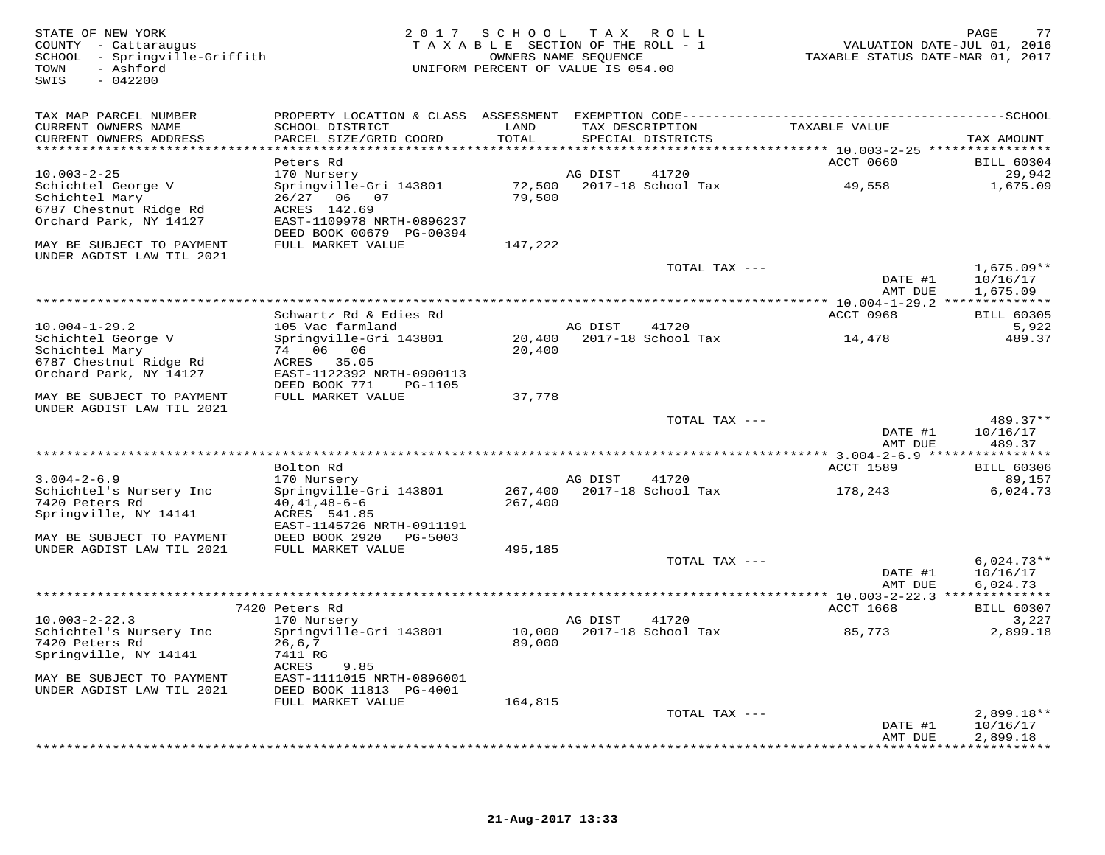| STATE OF NEW YORK<br>COUNTY - Cattaraugus<br>SCHOOL - Springville-Griffith<br>- Ashford<br>TOWN<br>$-042200$<br>SWIS |                                                        | 2017 SCHOOL TAX ROLL<br>TAXABLE SECTION OF THE ROLL - 1<br>UNIFORM PERCENT OF VALUE IS 054.00 | OWNERS NAME SEQUENCE |                             | TAXABLE STATUS DATE-MAR 01, 2017       | 77<br>PAGE<br>VALUATION DATE-JUL 01, 2016 |
|----------------------------------------------------------------------------------------------------------------------|--------------------------------------------------------|-----------------------------------------------------------------------------------------------|----------------------|-----------------------------|----------------------------------------|-------------------------------------------|
| TAX MAP PARCEL NUMBER                                                                                                |                                                        |                                                                                               |                      |                             |                                        |                                           |
| CURRENT OWNERS NAME                                                                                                  | SCHOOL DISTRICT                                        | LAND                                                                                          | TAX DESCRIPTION      |                             | TAXABLE VALUE                          |                                           |
| CURRENT OWNERS ADDRESS<br>***********************                                                                    | PARCEL SIZE/GRID COORD                                 | TOTAL                                                                                         |                      | SPECIAL DISTRICTS           |                                        | TAX AMOUNT                                |
|                                                                                                                      | Peters Rd                                              |                                                                                               |                      |                             | <b>ACCT 0660</b>                       | <b>BILL 60304</b>                         |
| $10.003 - 2 - 25$                                                                                                    | 170 Nursery                                            |                                                                                               | AG DIST              | 41720                       |                                        | 29,942                                    |
| Schichtel George V                                                                                                   | Springville-Gri 143801                                 | 72,500                                                                                        |                      | 2017-18 School Tax          | 49,558                                 | 1,675.09                                  |
| Schichtel Mary<br>6787 Chestnut Ridge Rd                                                                             | 26/27 06 07<br>ACRES 142.69                            | 79,500                                                                                        |                      |                             |                                        |                                           |
| Orchard Park, NY 14127                                                                                               | EAST-1109978 NRTH-0896237                              |                                                                                               |                      |                             |                                        |                                           |
|                                                                                                                      | DEED BOOK 00679 PG-00394                               |                                                                                               |                      |                             |                                        |                                           |
| MAY BE SUBJECT TO PAYMENT<br>UNDER AGDIST LAW TIL 2021                                                               | FULL MARKET VALUE                                      | 147,222                                                                                       |                      |                             |                                        |                                           |
|                                                                                                                      |                                                        |                                                                                               |                      | TOTAL TAX ---               |                                        | $1,675.09**$                              |
|                                                                                                                      |                                                        |                                                                                               |                      |                             | DATE #1                                | 10/16/17                                  |
|                                                                                                                      |                                                        |                                                                                               |                      |                             | AMT DUE                                | 1,675.09                                  |
|                                                                                                                      | Schwartz Rd & Edies Rd                                 |                                                                                               |                      |                             | ** 10.004-1-29.2 ***<br>ACCT 0968      | ***********<br><b>BILL 60305</b>          |
| $10.004 - 1 - 29.2$                                                                                                  | 105 Vac farmland                                       |                                                                                               | AG DIST              | 41720                       |                                        | 5,922                                     |
| Schichtel George V                                                                                                   | Springville-Gri 143801                                 | 20,400                                                                                        |                      | 2017-18 School Tax          | 14,478                                 | 489.37                                    |
| Schichtel Mary                                                                                                       | 74 06 06                                               | 20,400                                                                                        |                      |                             |                                        |                                           |
| 6787 Chestnut Ridge Rd<br>Orchard Park, NY 14127                                                                     | ACRES 35.05<br>EAST-1122392 NRTH-0900113               |                                                                                               |                      |                             |                                        |                                           |
|                                                                                                                      | DEED BOOK 771<br>PG-1105                               |                                                                                               |                      |                             |                                        |                                           |
| MAY BE SUBJECT TO PAYMENT<br>UNDER AGDIST LAW TIL 2021                                                               | FULL MARKET VALUE                                      | 37,778                                                                                        |                      |                             |                                        |                                           |
|                                                                                                                      |                                                        |                                                                                               |                      | TOTAL TAX ---               |                                        | $489.37**$                                |
|                                                                                                                      |                                                        |                                                                                               |                      |                             | DATE #1<br>AMT DUE                     | 10/16/17<br>489.37                        |
|                                                                                                                      |                                                        |                                                                                               |                      |                             | ******** 3.004-2-6.9 ***************** |                                           |
|                                                                                                                      | Bolton Rd                                              |                                                                                               |                      |                             | <b>ACCT 1589</b>                       | <b>BILL 60306</b>                         |
| $3.004 - 2 - 6.9$<br>Schichtel's Nursery Inc                                                                         | 170 Nursery<br>Springville-Gri 143801                  | 267,400                                                                                       | AG DIST              | 41720<br>2017-18 School Tax | 178,243                                | 89,157<br>6,024.73                        |
| 7420 Peters Rd                                                                                                       | $40, 41, 48 - 6 - 6$                                   | 267,400                                                                                       |                      |                             |                                        |                                           |
| Springville, NY 14141                                                                                                | ACRES 541.85                                           |                                                                                               |                      |                             |                                        |                                           |
|                                                                                                                      | EAST-1145726 NRTH-0911191<br>DEED BOOK 2920<br>PG-5003 |                                                                                               |                      |                             |                                        |                                           |
| MAY BE SUBJECT TO PAYMENT<br>UNDER AGDIST LAW TIL 2021                                                               | FULL MARKET VALUE                                      | 495,185                                                                                       |                      |                             |                                        |                                           |
|                                                                                                                      |                                                        |                                                                                               |                      | TOTAL TAX ---               |                                        | $6,024.73**$                              |
|                                                                                                                      |                                                        |                                                                                               |                      |                             | DATE #1                                | 10/16/17                                  |
|                                                                                                                      |                                                        |                                                                                               |                      |                             | AMT DUE                                | 6,024.73                                  |
|                                                                                                                      | 7420 Peters Rd                                         |                                                                                               |                      |                             | ACCT 1668                              | <b>BILL 60307</b>                         |
| $10.003 - 2 - 22.3$                                                                                                  | 170 Nursery                                            |                                                                                               | AG DIST              | 41720                       |                                        | 3,227                                     |
| Schichtel's Nursery Inc                                                                                              | Springville-Gri 143801                                 | 10,000                                                                                        |                      | 2017-18 School Tax          | 85,773                                 | 2,899.18                                  |
| 7420 Peters Rd<br>Springville, NY 14141                                                                              | 26, 6, 7<br>7411 RG                                    | 89,000                                                                                        |                      |                             |                                        |                                           |
|                                                                                                                      | ACRES<br>9.85                                          |                                                                                               |                      |                             |                                        |                                           |
| MAY BE SUBJECT TO PAYMENT                                                                                            | EAST-1111015 NRTH-0896001                              |                                                                                               |                      |                             |                                        |                                           |
| UNDER AGDIST LAW TIL 2021                                                                                            | DEED BOOK 11813 PG-4001                                |                                                                                               |                      |                             |                                        |                                           |
|                                                                                                                      | FULL MARKET VALUE                                      | 164,815                                                                                       |                      | TOTAL TAX ---               |                                        | 2,899.18**                                |
|                                                                                                                      |                                                        |                                                                                               |                      |                             | DATE #1                                | 10/16/17                                  |
|                                                                                                                      |                                                        |                                                                                               |                      |                             | AMT DUE                                | 2,899.18                                  |
|                                                                                                                      |                                                        |                                                                                               |                      |                             |                                        | * * * * * * * * *                         |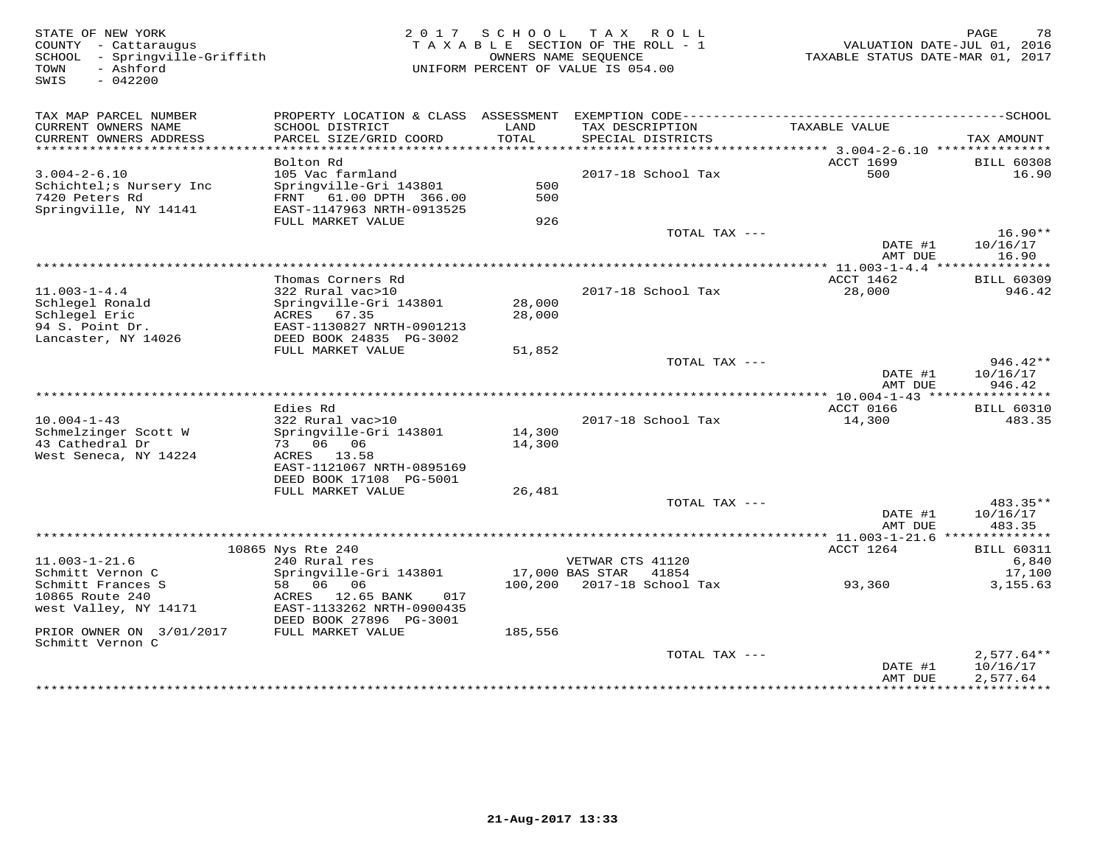| STATE OF NEW YORK<br>COUNTY - Cattaraugus<br>SCHOOL - Springville-Griffith<br>- Ashford<br>TOWN<br>SWIS<br>$-042200$ |                                                                                                                |                  | 2017 SCHOOL TAX ROLL<br>TAXABLE SECTION OF THE ROLL - 1<br>OWNERS NAME SEOUENCE<br>UNIFORM PERCENT OF VALUE IS 054.00 | VALUATION DATE-JUL 01, 2016<br>TAXABLE STATUS DATE-MAR 01, 2017 | 78<br>PAGE                           |
|----------------------------------------------------------------------------------------------------------------------|----------------------------------------------------------------------------------------------------------------|------------------|-----------------------------------------------------------------------------------------------------------------------|-----------------------------------------------------------------|--------------------------------------|
| TAX MAP PARCEL NUMBER<br>CURRENT OWNERS NAME<br>CURRENT OWNERS ADDRESS                                               | SCHOOL DISTRICT<br>PARCEL SIZE/GRID COORD                                                                      | LAND<br>TOTAL    | TAX DESCRIPTION<br>SPECIAL DISTRICTS                                                                                  | TAXABLE VALUE                                                   | TAX AMOUNT                           |
| ******************************                                                                                       |                                                                                                                |                  |                                                                                                                       |                                                                 |                                      |
| $3.004 - 2 - 6.10$<br>Schichtel; s Nursery Inc<br>7420 Peters Rd<br>Springville, NY 14141                            | Bolton Rd<br>105 Vac farmland<br>Springville-Gri 143801<br>FRNT 61.00 DPTH 366.00<br>EAST-1147963 NRTH-0913525 | 500<br>500       | 2017-18 School Tax                                                                                                    | ACCT 1699<br>500                                                | <b>BILL 60308</b><br>16.90           |
|                                                                                                                      | FULL MARKET VALUE                                                                                              | 926              |                                                                                                                       |                                                                 |                                      |
|                                                                                                                      |                                                                                                                |                  | TOTAL TAX ---                                                                                                         | DATE #1                                                         | $16.90**$<br>10/16/17                |
|                                                                                                                      |                                                                                                                |                  |                                                                                                                       | AMT DUE                                                         | 16.90                                |
| $11.003 - 1 - 4.4$<br>Schlegel Ronald<br>Schlegel Eric                                                               | Thomas Corners Rd<br>322 Rural vac>10<br>Springville-Gri 143801<br>ACRES<br>67.35                              | 28,000<br>28,000 | 2017-18 School Tax                                                                                                    | ACCT 1462<br>28,000                                             | <b>BILL 60309</b><br>946.42          |
| 94 S. Point Dr.<br>Lancaster, NY 14026                                                                               | EAST-1130827 NRTH-0901213<br>DEED BOOK 24835 PG-3002                                                           |                  |                                                                                                                       |                                                                 |                                      |
|                                                                                                                      | FULL MARKET VALUE                                                                                              | 51,852           | TOTAL TAX ---                                                                                                         |                                                                 | $946.42**$                           |
|                                                                                                                      |                                                                                                                |                  |                                                                                                                       | DATE #1<br>AMT DUE                                              | 10/16/17<br>946.42                   |
|                                                                                                                      |                                                                                                                |                  |                                                                                                                       |                                                                 |                                      |
| $10.004 - 1 - 43$                                                                                                    | Edies Rd<br>322 Rural vac>10                                                                                   |                  | 2017-18 School Tax                                                                                                    | ACCT 0166<br>14,300                                             | <b>BILL 60310</b><br>483.35          |
| Schmelzinger Scott W<br>43 Cathedral Dr                                                                              | Springville-Gri 143801<br>73 06 06                                                                             | 14,300<br>14,300 |                                                                                                                       |                                                                 |                                      |
| West Seneca, NY 14224                                                                                                | ACRES 13.58<br>EAST-1121067 NRTH-0895169<br>DEED BOOK 17108 PG-5001                                            |                  |                                                                                                                       |                                                                 |                                      |
|                                                                                                                      | FULL MARKET VALUE                                                                                              | 26,481           |                                                                                                                       |                                                                 |                                      |
|                                                                                                                      |                                                                                                                |                  | TOTAL TAX ---                                                                                                         | DATE #1<br>AMT DUE                                              | 483.35**<br>10/16/17<br>483.35       |
|                                                                                                                      |                                                                                                                |                  |                                                                                                                       |                                                                 |                                      |
| $11.003 - 1 - 21.6$                                                                                                  | 10865 Nys Rte 240<br>240 Rural res                                                                             |                  | VETWAR CTS 41120                                                                                                      | ACCT 1264                                                       | <b>BILL 60311</b><br>6,840           |
| Schmitt Vernon C                                                                                                     | Springville-Gri 143801                                                                                         |                  | 17,000 BAS STAR<br>41854                                                                                              |                                                                 | 17,100                               |
| Schmitt Frances S<br>10865 Route 240<br>west Valley, NY 14171                                                        | 58 06 06<br>ACRES 12.65 BANK<br>017<br>EAST-1133262 NRTH-0900435<br>DEED BOOK 27896 PG-3001                    |                  | 100,200 2017-18 School Tax                                                                                            | 93,360                                                          | 3,155.63                             |
| PRIOR OWNER ON 3/01/2017<br>Schmitt Vernon C                                                                         | FULL MARKET VALUE                                                                                              | 185,556          |                                                                                                                       |                                                                 |                                      |
|                                                                                                                      |                                                                                                                |                  | TOTAL TAX ---                                                                                                         | DATE #1<br>AMT DUE                                              | $2.577.64**$<br>10/16/17<br>2,577.64 |
|                                                                                                                      |                                                                                                                |                  |                                                                                                                       |                                                                 |                                      |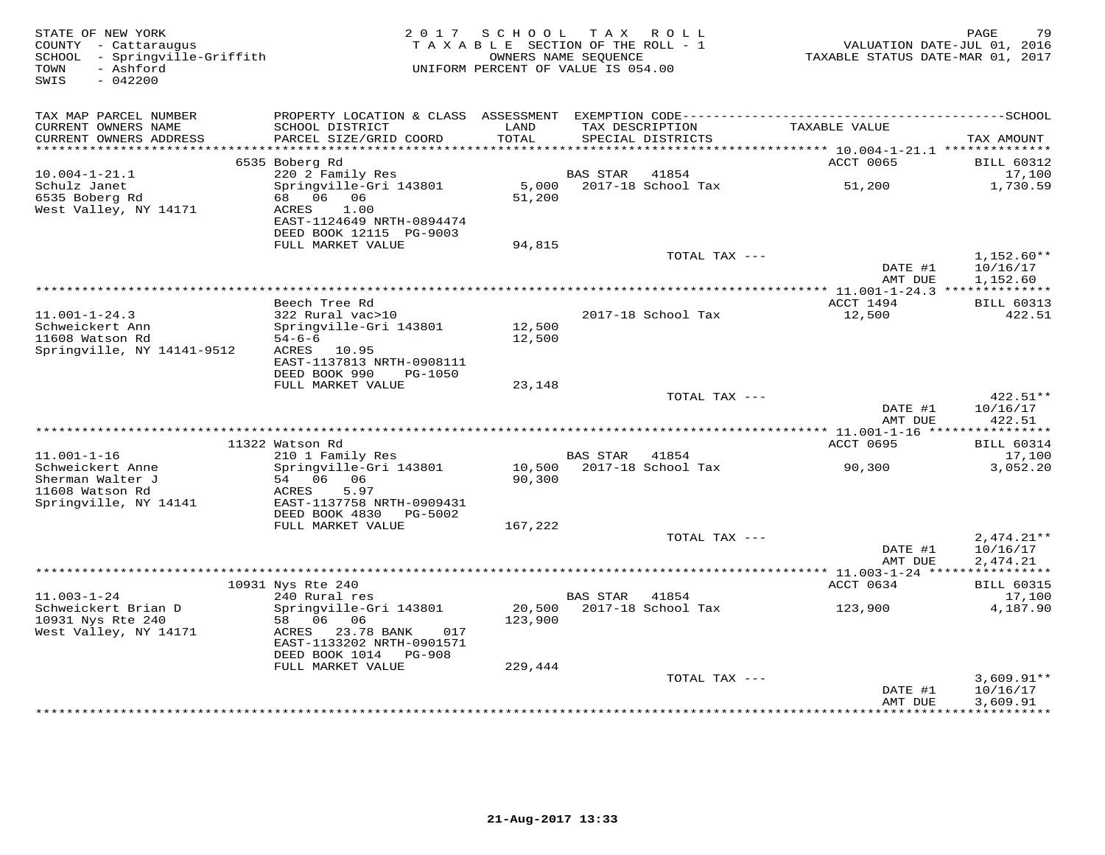| STATE OF NEW YORK<br>COUNTY - Cattaraugus<br>SCHOOL - Springville-Griffith<br>- Ashford<br>TOWN<br>$-042200$<br>SWIS |                                                                                                                                    | 2017 SCHOOL<br>TAXABLE SECTION OF THE ROLL - 1<br>OWNERS NAME SEOUENCE<br>UNIFORM PERCENT OF VALUE IS 054.00 |                        | TAX ROLL                             | VALUATION DATE-JUL 01, 2016<br>TAXABLE STATUS DATE-MAR 01, 2017 | 79<br>PAGE                           |
|----------------------------------------------------------------------------------------------------------------------|------------------------------------------------------------------------------------------------------------------------------------|--------------------------------------------------------------------------------------------------------------|------------------------|--------------------------------------|-----------------------------------------------------------------|--------------------------------------|
| TAX MAP PARCEL NUMBER                                                                                                |                                                                                                                                    |                                                                                                              |                        |                                      |                                                                 |                                      |
| CURRENT OWNERS NAME<br>CURRENT OWNERS ADDRESS<br>**********************                                              | SCHOOL DISTRICT<br>PARCEL SIZE/GRID COORD                                                                                          | LAND<br>TOTAL                                                                                                |                        | TAX DESCRIPTION<br>SPECIAL DISTRICTS | TAXABLE VALUE                                                   | TAX AMOUNT                           |
|                                                                                                                      | 6535 Boberg Rd                                                                                                                     |                                                                                                              |                        |                                      | ACCT 0065                                                       | <b>BILL 60312</b>                    |
| $10.004 - 1 - 21.1$                                                                                                  | 220 2 Family Res                                                                                                                   |                                                                                                              | <b>BAS STAR</b>        | 41854                                |                                                                 | 17,100                               |
| Schulz Janet<br>6535 Boberg Rd<br>West Valley, NY 14171                                                              | Springville-Gri 143801<br>68 06 06<br>ACRES<br>1.00<br>EAST-1124649 NRTH-0894474<br>DEED BOOK 12115 PG-9003                        | 5,000<br>51,200                                                                                              |                        | 2017-18 School Tax                   | 51,200                                                          | 1,730.59                             |
|                                                                                                                      | FULL MARKET VALUE                                                                                                                  | 94,815                                                                                                       |                        |                                      |                                                                 |                                      |
|                                                                                                                      |                                                                                                                                    |                                                                                                              |                        | TOTAL TAX ---                        | DATE #1<br>AMT DUE                                              | $1,152.60**$<br>10/16/17<br>1,152.60 |
|                                                                                                                      |                                                                                                                                    |                                                                                                              | ********************** |                                      | ** 11.001-1-24.3 **************                                 |                                      |
|                                                                                                                      | Beech Tree Rd                                                                                                                      |                                                                                                              |                        |                                      | ACCT 1494                                                       | <b>BILL 60313</b>                    |
| $11.001 - 1 - 24.3$<br>Schweickert Ann<br>11608 Watson Rd<br>Springville, NY 14141-9512                              | 322 Rural vac>10<br>Springville-Gri 143801<br>$54 - 6 - 6$<br>ACRES 10.95<br>EAST-1137813 NRTH-0908111<br>DEED BOOK 990<br>PG-1050 | 12,500<br>12,500                                                                                             |                        | 2017-18 School Tax                   | 12,500                                                          | 422.51                               |
|                                                                                                                      | FULL MARKET VALUE                                                                                                                  | 23,148                                                                                                       |                        |                                      |                                                                 |                                      |
|                                                                                                                      |                                                                                                                                    |                                                                                                              |                        | TOTAL TAX ---                        |                                                                 | 422.51**                             |
|                                                                                                                      |                                                                                                                                    |                                                                                                              |                        |                                      | DATE #1<br>AMT DUE                                              | 10/16/17<br>422.51                   |
|                                                                                                                      | 11322 Watson Rd                                                                                                                    |                                                                                                              |                        |                                      | ACCT 0695                                                       | <b>BILL 60314</b>                    |
| $11.001 - 1 - 16$                                                                                                    | 210 1 Family Res                                                                                                                   |                                                                                                              | BAS STAR               | 41854                                |                                                                 | 17,100                               |
| Schweickert Anne<br>Sherman Walter J<br>11608 Watson Rd<br>Springville, NY 14141                                     | Springville-Gri 143801<br>54 06<br>06<br>5.97<br>ACRES<br>EAST-1137758 NRTH-0909431                                                | 10,500<br>90,300                                                                                             |                        | 2017-18 School Tax                   | 90,300                                                          | 3,052.20                             |
|                                                                                                                      | DEED BOOK 4830<br>PG-5002<br>FULL MARKET VALUE                                                                                     | 167,222                                                                                                      |                        |                                      |                                                                 |                                      |
|                                                                                                                      |                                                                                                                                    |                                                                                                              |                        | TOTAL TAX ---                        |                                                                 | $2,474.21**$                         |
|                                                                                                                      |                                                                                                                                    |                                                                                                              |                        |                                      | DATE #1<br>AMT DUE                                              | 10/16/17<br>2,474.21                 |
|                                                                                                                      |                                                                                                                                    |                                                                                                              |                        |                                      |                                                                 |                                      |
| $11.003 - 1 - 24$                                                                                                    | 10931 Nys Rte 240<br>240 Rural res                                                                                                 |                                                                                                              | <b>BAS STAR</b>        | 41854                                | ACCT 0634                                                       | <b>BILL 60315</b><br>17,100          |
| Schweickert Brian D<br>10931 Nys Rte 240<br>West Valley, NY 14171                                                    | Springville-Gri 143801<br>58<br>06<br>06<br>ACRES<br>23.78 BANK<br>017<br>EAST-1133202 NRTH-0901571                                | 20,500<br>123,900                                                                                            |                        | 2017-18 School Tax                   | 123,900                                                         | 4,187.90                             |
|                                                                                                                      | DEED BOOK 1014 PG-908                                                                                                              |                                                                                                              |                        |                                      |                                                                 |                                      |
|                                                                                                                      | FULL MARKET VALUE                                                                                                                  | 229,444                                                                                                      |                        |                                      |                                                                 |                                      |
|                                                                                                                      |                                                                                                                                    |                                                                                                              |                        | TOTAL TAX ---                        |                                                                 | $3,609.91**$                         |
|                                                                                                                      |                                                                                                                                    |                                                                                                              |                        |                                      | DATE #1<br>AMT DUE<br>**********                                | 10/16/17<br>3,609.91<br>.            |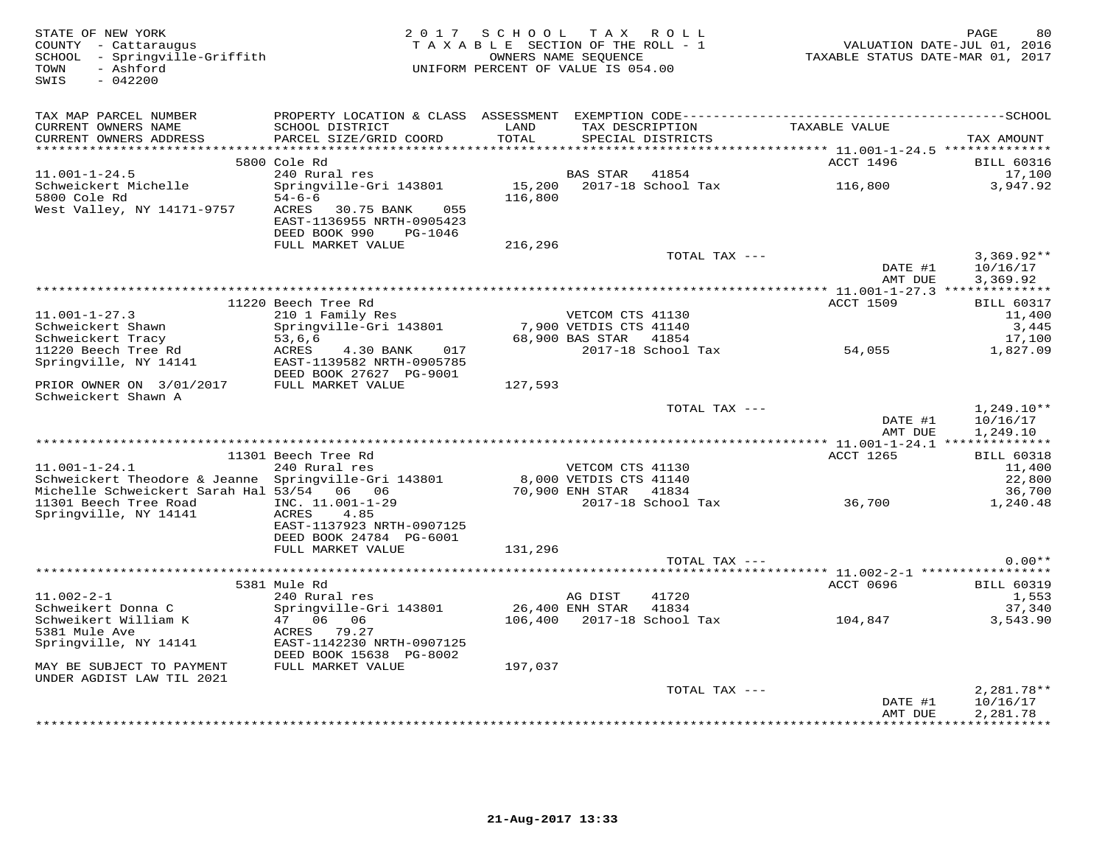| STATE OF NEW YORK<br>COUNTY - Cattaraugus<br>SCHOOL - Springville-Griffith<br>- Ashford<br>TOWN<br>SWIS<br>$-042200$ |                                                                                                     | 2017 SCHOOL TAX ROLL<br>TAXABLE SECTION OF THE ROLL - 1<br>UNIFORM PERCENT OF VALUE IS 054.00 | OWNERS NAME SEQUENCE   |                                      | TAXABLE STATUS DATE-MAR 01, 2017                       | PAGE<br>80<br>VALUATION DATE-JUL 01, 2016 |
|----------------------------------------------------------------------------------------------------------------------|-----------------------------------------------------------------------------------------------------|-----------------------------------------------------------------------------------------------|------------------------|--------------------------------------|--------------------------------------------------------|-------------------------------------------|
| TAX MAP PARCEL NUMBER                                                                                                |                                                                                                     |                                                                                               |                        |                                      |                                                        |                                           |
| CURRENT OWNERS NAME<br>CURRENT OWNERS ADDRESS                                                                        | SCHOOL DISTRICT<br>PARCEL SIZE/GRID COORD                                                           | LAND<br>TOTAL<br>********                                                                     |                        | TAX DESCRIPTION<br>SPECIAL DISTRICTS | TAXABLE VALUE                                          | TAX AMOUNT                                |
|                                                                                                                      | 5800 Cole Rd                                                                                        |                                                                                               |                        |                                      | *********** 11.001-1-24.5 ***************<br>ACCT 1496 | <b>BILL 60316</b>                         |
| $11.001 - 1 - 24.5$                                                                                                  | 240 Rural res                                                                                       |                                                                                               | BAS STAR               | 41854                                |                                                        | 17,100                                    |
| Schweickert Michelle                                                                                                 | Springville-Gri 143801                                                                              | 15,200                                                                                        |                        | 2017-18 School Tax                   | 116,800                                                | 3,947.92                                  |
| 5800 Cole Rd<br>West Valley, NY 14171-9757                                                                           | $54 - 6 - 6$<br>ACRES<br>30.75 BANK<br>055<br>EAST-1136955 NRTH-0905423<br>DEED BOOK 990<br>PG-1046 | 116,800                                                                                       |                        |                                      |                                                        |                                           |
|                                                                                                                      | FULL MARKET VALUE                                                                                   | 216,296                                                                                       |                        |                                      |                                                        |                                           |
|                                                                                                                      |                                                                                                     |                                                                                               |                        | TOTAL TAX ---                        | DATE #1                                                | $3,369.92**$<br>10/16/17                  |
|                                                                                                                      |                                                                                                     |                                                                                               |                        |                                      | AMT DUE                                                | 3,369.92                                  |
|                                                                                                                      |                                                                                                     |                                                                                               |                        |                                      |                                                        |                                           |
| $11.001 - 1 - 27.3$                                                                                                  | 11220 Beech Tree Rd<br>210 1 Family Res                                                             |                                                                                               | VETCOM CTS 41130       |                                      | <b>ACCT 1509</b>                                       | <b>BILL 60317</b><br>11,400               |
| Schweickert Shawn                                                                                                    | Springville-Gri 143801                                                                              |                                                                                               | 7,900 VETDIS CTS 41140 |                                      |                                                        | 3,445                                     |
| Schweickert Tracy                                                                                                    | 53,6,6                                                                                              |                                                                                               | 68,900 BAS STAR        | 41854                                |                                                        | 17,100                                    |
| 11220 Beech Tree Rd                                                                                                  | ACRES<br>017<br>4.30 BANK                                                                           |                                                                                               |                        | 2017-18 School Tax                   | 54,055                                                 | 1,827.09                                  |
| Springville, NY 14141                                                                                                | EAST-1139582 NRTH-0905785<br>DEED BOOK 27627 PG-9001                                                |                                                                                               |                        |                                      |                                                        |                                           |
| PRIOR OWNER ON 3/01/2017<br>Schweickert Shawn A                                                                      | FULL MARKET VALUE                                                                                   | 127,593                                                                                       |                        |                                      |                                                        |                                           |
|                                                                                                                      |                                                                                                     |                                                                                               |                        | TOTAL TAX ---                        |                                                        | $1,249.10**$                              |
|                                                                                                                      |                                                                                                     |                                                                                               |                        |                                      | DATE #1<br>AMT DUE                                     | 10/16/17<br>1,249.10                      |
|                                                                                                                      |                                                                                                     |                                                                                               |                        |                                      |                                                        |                                           |
| $11.001 - 1 - 24.1$                                                                                                  | 11301 Beech Tree Rd<br>240 Rural res                                                                |                                                                                               | VETCOM CTS 41130       |                                      | ACCT 1265                                              | <b>BILL 60318</b><br>11,400               |
| Schweickert Theodore & Jeanne Springville-Gri 143801                                                                 |                                                                                                     |                                                                                               | 8,000 VETDIS CTS 41140 |                                      |                                                        | 22,800                                    |
| Michelle Schweickert Sarah Hal 53/54 06 06                                                                           |                                                                                                     |                                                                                               | 70,900 ENH STAR 41834  |                                      |                                                        | 36,700                                    |
| 11301 Beech Tree Road<br>Springville, NY 14141                                                                       | INC. 11.001-1-29<br>ACRES<br>4.85                                                                   |                                                                                               |                        | 2017-18 School Tax                   | 36,700                                                 | 1,240.48                                  |
|                                                                                                                      | EAST-1137923 NRTH-0907125<br>DEED BOOK 24784 PG-6001                                                |                                                                                               |                        |                                      |                                                        |                                           |
|                                                                                                                      | FULL MARKET VALUE                                                                                   | 131,296                                                                                       |                        |                                      |                                                        |                                           |
|                                                                                                                      |                                                                                                     |                                                                                               |                        | TOTAL TAX ---                        |                                                        | $0.00**$                                  |
|                                                                                                                      | 5381 Mule Rd                                                                                        |                                                                                               |                        |                                      | ACCT 0696                                              | <b>BILL 60319</b>                         |
| $11.002 - 2 - 1$                                                                                                     | 240 Rural res                                                                                       |                                                                                               | AG DIST                | 41720                                |                                                        | 1,553                                     |
| Schweikert Donna C                                                                                                   | Springville-Gri 143801                                                                              | 26,400 ENH STAR                                                                               |                        | 41834                                |                                                        | 37,340                                    |
| Schweikert William K                                                                                                 | 06 06<br>47                                                                                         |                                                                                               |                        | 106,400 2017-18 School Tax           | 104,847                                                | 3,543.90                                  |
| 5381 Mule Ave                                                                                                        | ACRES 79.27                                                                                         |                                                                                               |                        |                                      |                                                        |                                           |
| Springville, NY 14141                                                                                                | EAST-1142230 NRTH-0907125                                                                           |                                                                                               |                        |                                      |                                                        |                                           |
|                                                                                                                      | DEED BOOK 15638 PG-8002                                                                             |                                                                                               |                        |                                      |                                                        |                                           |
| MAY BE SUBJECT TO PAYMENT<br>UNDER AGDIST LAW TIL 2021                                                               | FULL MARKET VALUE                                                                                   | 197,037                                                                                       |                        |                                      |                                                        |                                           |
|                                                                                                                      |                                                                                                     |                                                                                               |                        | TOTAL TAX ---                        |                                                        | $2,281.78**$                              |
|                                                                                                                      |                                                                                                     |                                                                                               |                        |                                      | DATE #1                                                | 10/16/17                                  |
|                                                                                                                      |                                                                                                     |                                                                                               |                        |                                      | AMT DUE                                                | 2,281.78<br>************                  |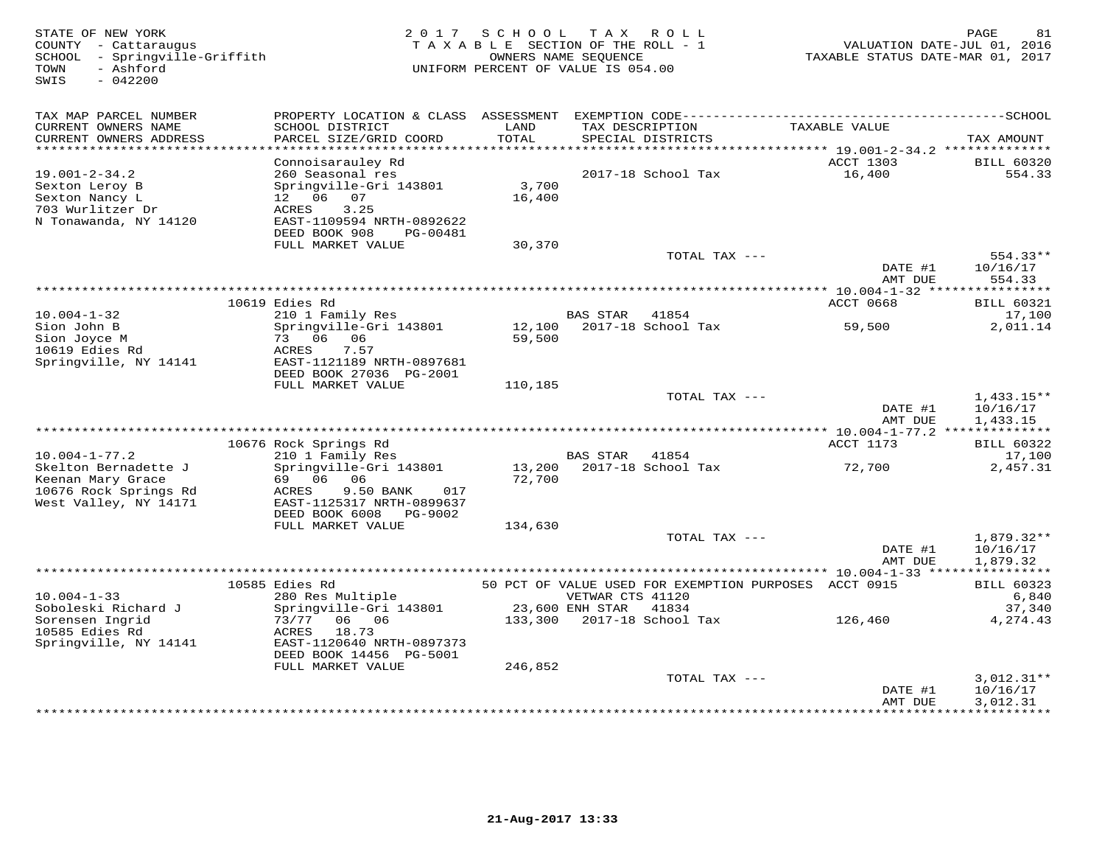STATE OF NEW YORK 2 0 1 7 S C H O O L T A X R O L L PAGE 81 COUNTY - Cattaraugus T A X A B L E SECTION OF THE ROLL - 1 VALUATION DATE-JUL 01, 2016 SCHOOL - Springville-Griffith OWNERS NAME SEQUENCE TAXABLE STATUS DATE-MAR 01, 2017 TOWN - Ashford UNIFORM PERCENT OF VALUE IS 054.00SWIS - 042200TAX MAP PARCEL NUMBER PROPERTY LOCATION & CLASS ASSESSMENT EXEMPTION CODE------------------------------------------SCHOOL CURRENT OWNERS NAME SCHOOL DISTRICT LAND TAX DESCRIPTION TAXABLE VALUE CURRENT OWNERS ADDRESS PARCEL SIZE/GRID COORD TOTAL SPECIAL DISTRICTS TAX AMOUNT \*\*\*\*\*\*\*\*\*\*\*\*\*\*\*\*\*\*\*\*\*\*\*\*\*\*\*\*\*\*\*\*\*\*\*\*\*\*\*\*\*\*\*\*\*\*\*\*\*\*\*\*\*\*\*\*\*\*\*\*\*\*\*\*\*\*\*\*\*\*\*\*\*\*\*\*\*\*\*\*\*\*\*\*\*\*\*\*\*\*\*\*\*\*\*\*\*\*\*\*\*\*\* 19.001-2-34.2 \*\*\*\*\*\*\*\*\*\*\*\*\*\* Connoisarauley Rd ACCT 1303 BILL 6032019.001-2-34.2 260 Seasonal res 2017-18 School Tax 16,400 554.33Sexton Leroy B Springville-Gri 143801 3,700<br>
Sexton Nancy L 12 06 07 16,400<br>
703 Wurlitzer Dr ACRES 3.25<br>
N Tonawanda, NY 14120 EAST-1109594 NRTH-0892622<br>
DEED BOOK 908 PG-00481 30,370<br>
TOTAL TAX --- 554.33\*\* DATE #1 10/16/17 AMT DUE 554.33 \*\*\*\*\*\*\*\*\*\*\*\*\*\*\*\*\*\*\*\*\*\*\*\*\*\*\*\*\*\*\*\*\*\*\*\*\*\*\*\*\*\*\*\*\*\*\*\*\*\*\*\*\*\*\*\*\*\*\*\*\*\*\*\*\*\*\*\*\*\*\*\*\*\*\*\*\*\*\*\*\*\*\*\*\*\*\*\*\*\*\*\*\*\*\*\*\*\*\*\*\*\*\* 10.004-1-32 \*\*\*\*\*\*\*\*\*\*\*\*\*\*\*\*ACCT 0668 BILL 60321 10619 Edies Rd ACCT 0668 BILL 6032117,100 10.004-1-32 210 1 Family Res BAS STAR 41854 17,1002,011.14 Sion John B Springville-Gri 143801 12,100 2017-18 School Tax 59,500 2,011.14Sion Joyce M 73 06 06 59,500 10619 Edies Rd ACRES 7.57 Springville, NY 14141 EAST-1121189 NRTH-0897681 DEED BOOK 27036 PG-2001FULL MARKET VALUE 110,185 TOTAL TAX ---  $\frac{1,433.15**}{10,16,17}$ DATE #1 10/16/17<br>2010 11:22:432.15 AMT DUE 1,433.15 \*\*\*\*\*\*\*\*\*\*\*\*\*\*\*\*\*\*\*\*\*\*\*\*\*\*\*\*\*\*\*\*\*\*\*\*\*\*\*\*\*\*\*\*\*\*\*\*\*\*\*\*\*\*\*\*\*\*\*\*\*\*\*\*\*\*\*\*\*\*\*\*\*\*\*\*\*\*\*\*\*\*\*\*\*\*\*\*\*\*\*\*\*\*\*\*\*\*\*\*\*\*\* 10.004-1-77.2 \*\*\*\*\*\*\*\*\*\*\*\*\*\* 10676 Rock Springs Rd ACCT 1173 BILL 6032210.004-1-77.2 210 1 Family Res BAS STAR 41854 17,1002,457.31 Skelton Bernadette J Springville-Gri 143801 13,200 2017-18 School Tax 72,700 2,457.31Keenan Mary Grace 69 06 06 72,700 10676 Rock Springs Rd ACRES 9.50 BANK 017 West Valley, NY 14171 EAST-1125317 NRTH-0899637 DEED BOOK 6008 PG-9002 FULL MARKET VALUE 134,630TOTAL TAX  $---$  1,879.32\*\*  $\text{DATE}$  #1  $10/16/17$ AMT DUE 1.879.32 AMT DUE 1,879.32 \*\*\*\*\*\*\*\*\*\*\*\*\*\*\*\*\*\*\*\*\*\*\*\*\*\*\*\*\*\*\*\*\*\*\*\*\*\*\*\*\*\*\*\*\*\*\*\*\*\*\*\*\*\*\*\*\*\*\*\*\*\*\*\*\*\*\*\*\*\*\*\*\*\*\*\*\*\*\*\*\*\*\*\*\*\*\*\*\*\*\*\*\*\*\*\*\*\*\*\*\*\*\* 10.004-1-33 \*\*\*\*\*\*\*\*\*\*\*\*\*\*\*\* 10585 Edies Rd 50 PCT OF VALUE USED FOR EXEMPTION PURPOSES ACCT 0915 BILL 60323 10.004-1-33 280 Res Multiple VETWAR CTS 41120 6,840 Soboleski Richard J Springville-Gri 143801 23,600 ENH STAR 41834 37,340 Sorensen Ingrid 73/77 06 06 133,300 2017-18 School Tax 126,460 4,274.43 10585 Edies Rd ACRES 18.73 Springville, NY 14141 EAST-1120640 NRTH-0897373 DEED BOOK 14456 PG-5001 FULL MARKET VALUE 246,852TOTAL TAX --- 3,012.31\*\* DATE #1 10/16/17<br>AMT DUE 3,012.31 \*\*\*\*\*\*\*\*\*\*\*\*\*\*\*\*\*\*\*\*\*\*\*\*\*\*\*\*\*\*\*\*\*\*\*\*\*\*\*\*\*\*\*\*\*\*\*\*\*\*\*\*\*\*\*\*\*\*\*\*\*\*\*\*\*\*\*\*\*\*\*\*\*\*\*\*\*\*\*\*\*\*\*\*\*\*\*\*\*\*\*\*\*\*\*\*\*\*\*\*\*\*\*\*\*\*\*\*\*\*\*\*\*\*\*\*\*\*\*\*\*\*\*\*\*\*\*\*\*\*\*\*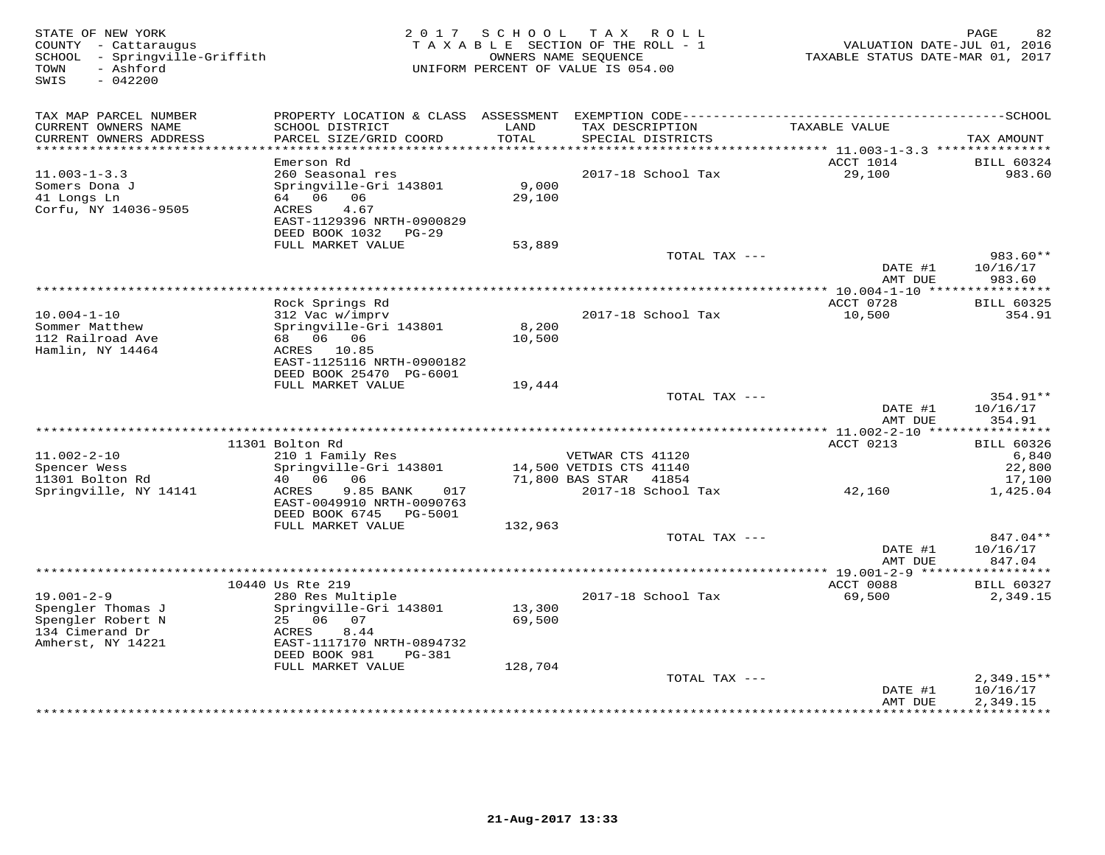| STATE OF NEW YORK<br>COUNTY - Cattaraugus<br>- Springville-Griffith<br>SCHOOL<br>- Ashford<br>TOWN<br>$-042200$<br>SWIS | 2017                                                                                                                                          | S C H O O L<br>T A X A B L E SECTION OF THE ROLL - 1<br>UNIFORM PERCENT OF VALUE IS 054.00 | OWNERS NAME SEQUENCE    | TAX ROLL                    | TAXABLE STATUS DATE-MAR 01, 2017 | 82<br>PAGE<br>VALUATION DATE-JUL 01, 2016 |
|-------------------------------------------------------------------------------------------------------------------------|-----------------------------------------------------------------------------------------------------------------------------------------------|--------------------------------------------------------------------------------------------|-------------------------|-----------------------------|----------------------------------|-------------------------------------------|
| TAX MAP PARCEL NUMBER                                                                                                   | PROPERTY LOCATION & CLASS                                                                                                                     | ASSESSMENT                                                                                 |                         |                             |                                  |                                           |
| CURRENT OWNERS NAME<br>CURRENT OWNERS ADDRESS<br>***********************                                                | SCHOOL DISTRICT<br>PARCEL SIZE/GRID COORD                                                                                                     | LAND<br>TOTAL                                                                              | TAX DESCRIPTION         | SPECIAL DISTRICTS           | TAXABLE VALUE                    | TAX AMOUNT                                |
|                                                                                                                         | Emerson Rd                                                                                                                                    |                                                                                            |                         |                             | ACCT 1014                        | <b>BILL 60324</b>                         |
| $11.003 - 1 - 3.3$<br>Somers Dona J<br>41 Longs Ln<br>Corfu, NY 14036-9505                                              | 260 Seasonal res<br>Springville-Gri 143801<br>64<br>06<br>06<br>ACRES<br>4.67<br>EAST-1129396 NRTH-0900829<br>DEED BOOK 1032<br>$PG-29$       | 9,000<br>29,100                                                                            |                         | 2017-18 School Tax          | 29,100                           | 983.60                                    |
|                                                                                                                         | FULL MARKET VALUE                                                                                                                             | 53,889                                                                                     |                         |                             |                                  |                                           |
|                                                                                                                         |                                                                                                                                               |                                                                                            |                         | TOTAL TAX ---               | DATE #1<br>AMT DUE               | $983.60**$<br>10/16/17<br>983.60          |
|                                                                                                                         |                                                                                                                                               |                                                                                            | *******************     |                             | * $10.004 - 1 - 10$ ***          |                                           |
|                                                                                                                         | Rock Springs Rd                                                                                                                               |                                                                                            |                         |                             | ACCT 0728                        | <b>BILL 60325</b>                         |
| $10.004 - 1 - 10$<br>Sommer Matthew<br>112 Railroad Ave<br>Hamlin, NY 14464                                             | 312 Vac w/imprv<br>Springville-Gri 143801<br>68 06 06<br>ACRES 10.85<br>EAST-1125116 NRTH-0900182<br>DEED BOOK 25470 PG-6001                  | 8,200<br>10,500                                                                            |                         | 2017-18 School Tax          | 10,500                           | 354.91                                    |
|                                                                                                                         | FULL MARKET VALUE                                                                                                                             | 19,444                                                                                     |                         |                             |                                  |                                           |
|                                                                                                                         |                                                                                                                                               |                                                                                            |                         | TOTAL TAX ---               | DATE #1<br>AMT DUE               | 354.91**<br>10/16/17<br>354.91            |
|                                                                                                                         | 11301 Bolton Rd                                                                                                                               |                                                                                            |                         |                             | ACCT 0213                        | <b>BILL 60326</b>                         |
| $11.002 - 2 - 10$                                                                                                       | 210 1 Family Res                                                                                                                              |                                                                                            | VETWAR CTS 41120        |                             |                                  | 6,840                                     |
| Spencer Wess                                                                                                            | Springville-Gri 143801                                                                                                                        |                                                                                            | 14,500 VETDIS CTS 41140 |                             |                                  | 22,800                                    |
| 11301 Bolton Rd<br>Springville, NY 14141                                                                                | 06<br>06<br>40<br>9.85 BANK<br>ACRES<br>017<br>EAST-0049910 NRTH-0090763                                                                      |                                                                                            | 71,800 BAS STAR         | 41854<br>2017-18 School Tax | 42,160                           | 17,100<br>1,425.04                        |
|                                                                                                                         | DEED BOOK 6745<br>PG-5001                                                                                                                     |                                                                                            |                         |                             |                                  |                                           |
|                                                                                                                         | FULL MARKET VALUE                                                                                                                             | 132,963                                                                                    |                         | TOTAL TAX ---               |                                  | 847.04**                                  |
|                                                                                                                         |                                                                                                                                               |                                                                                            |                         |                             | DATE #1<br>AMT DUE               | 10/16/17<br>847.04                        |
|                                                                                                                         |                                                                                                                                               |                                                                                            |                         |                             |                                  | *********                                 |
| $19.001 - 2 - 9$                                                                                                        | 10440 Us Rte 219<br>280 Res Multiple                                                                                                          |                                                                                            |                         | 2017-18 School Tax          | ACCT 0088<br>69,500              | <b>BILL 60327</b><br>2,349.15             |
| Spengler Thomas J<br>Spengler Robert N<br>134 Cimerand Dr<br>Amherst, NY 14221                                          | Springville-Gri 143801<br>25<br>06<br>07<br>ACRES<br>8.44<br>EAST-1117170 NRTH-0894732<br>DEED BOOK 981<br><b>PG-381</b><br>FULL MARKET VALUE | 13,300<br>69,500<br>128,704                                                                |                         |                             |                                  |                                           |
|                                                                                                                         |                                                                                                                                               |                                                                                            |                         | TOTAL TAX ---               |                                  | $2,349.15**$                              |
|                                                                                                                         |                                                                                                                                               |                                                                                            |                         |                             | DATE #1<br>AMT DUE<br>********** | 10/16/17<br>2,349.15<br>**********        |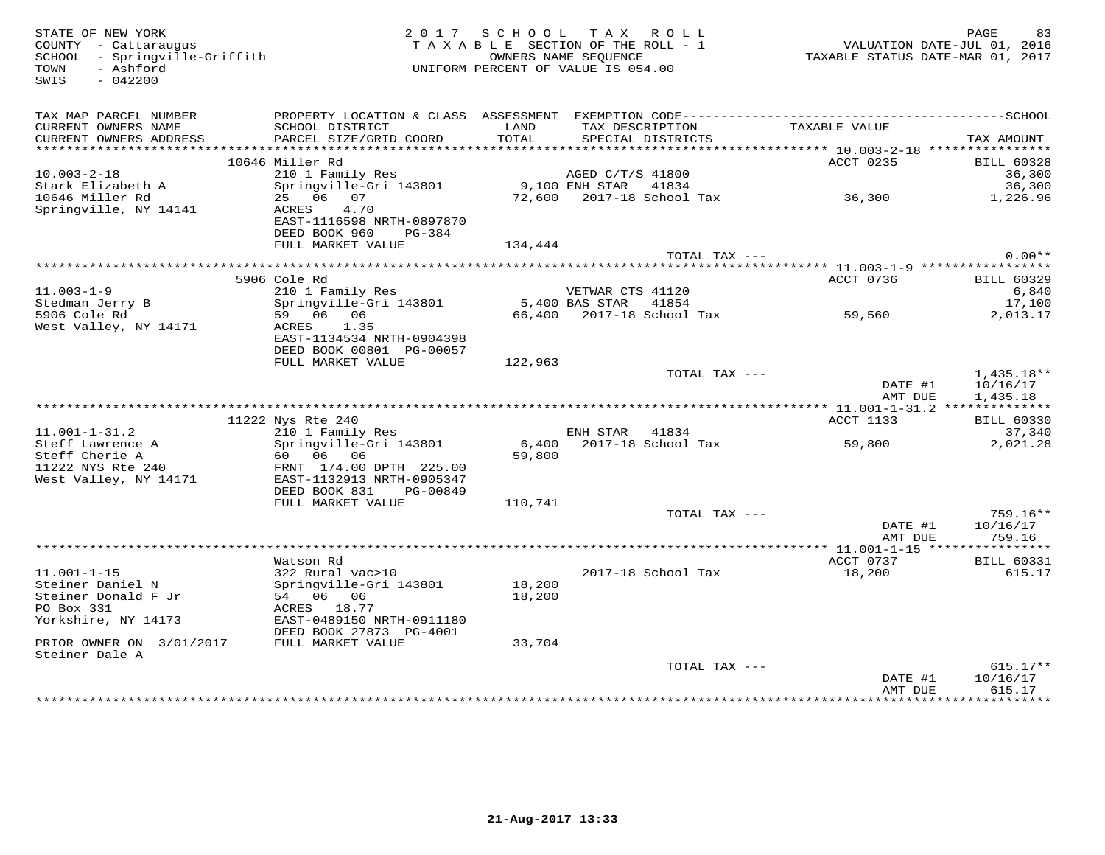COUNTY - Cattaraugus<br>SCHOOL - Springville-Griffith<br>TOWN - Ashford<br>SWIS - 042200

# STATE OF NEW YORK BAGE REST AND RACE AND REST AND REST AND REST ON THE ROLL PASSE OF NEW YORK AND PAGE REST OU<br>COUNTY - Cattaraugus TAXABLE SECTION OF THE ROLL - 1 WALUATION DATE-JUL 01, 2016<br>SCHOOL - Springville-Griffith

| TAX MAP PARCEL NUMBER<br>CURRENT OWNERS NAME<br>CURRENT OWNERS ADDRESS | PROPERTY LOCATION & CLASS ASSESSMENT<br>SCHOOL DISTRICT<br>PARCEL SIZE/GRID COORD | LAND<br>TOTAL   | EXEMPTION CODE---------<br>TAX DESCRIPTION<br>SPECIAL DISTRICTS | TAXABLE VALUE                     | -----SCHOOL<br>TAX AMOUNT   |
|------------------------------------------------------------------------|-----------------------------------------------------------------------------------|-----------------|-----------------------------------------------------------------|-----------------------------------|-----------------------------|
|                                                                        |                                                                                   |                 |                                                                 |                                   |                             |
| $10.003 - 2 - 18$                                                      | 10646 Miller Rd<br>210 1 Family Res                                               |                 | AGED C/T/S 41800                                                | ACCT 0235                         | <b>BILL 60328</b><br>36,300 |
| Stark Elizabeth A                                                      |                                                                                   |                 | $9.100$ ENH STAR                                                |                                   |                             |
| 10646 Miller Rd                                                        | Springville-Gri 143801<br>25 06<br>07                                             |                 | 41834<br>72,600 2017-18 School Tax                              | 36,300                            | 36,300                      |
| Springville, NY 14141                                                  | 4.70<br>ACRES                                                                     |                 |                                                                 |                                   | 1,226.96                    |
|                                                                        | EAST-1116598 NRTH-0897870                                                         |                 |                                                                 |                                   |                             |
|                                                                        | DEED BOOK 960<br>PG-384                                                           |                 |                                                                 |                                   |                             |
|                                                                        | FULL MARKET VALUE                                                                 | 134,444         |                                                                 |                                   |                             |
|                                                                        |                                                                                   |                 | TOTAL TAX ---                                                   |                                   | $0.00**$                    |
|                                                                        |                                                                                   |                 |                                                                 |                                   |                             |
|                                                                        | 5906 Cole Rd                                                                      |                 |                                                                 | ACCT 0736                         | <b>BILL 60329</b>           |
| $11.003 - 1 - 9$                                                       | 210 1 Family Res                                                                  |                 | VETWAR CTS 41120                                                |                                   | 6,840                       |
| Stedman Jerry B                                                        | Springville-Gri 143801                                                            |                 | 5,400 BAS STAR<br>41854                                         |                                   | 17,100                      |
| 5906 Cole Rd                                                           | 59 06 06                                                                          | 66,400          | 2017-18 School Tax                                              | 59,560                            | 2,013.17                    |
| West Valley, NY 14171                                                  | 1.35<br>ACRES                                                                     |                 |                                                                 |                                   |                             |
|                                                                        | EAST-1134534 NRTH-0904398                                                         |                 |                                                                 |                                   |                             |
|                                                                        | DEED BOOK 00801 PG-00057                                                          |                 |                                                                 |                                   |                             |
|                                                                        | FULL MARKET VALUE                                                                 | 122,963         |                                                                 |                                   |                             |
|                                                                        |                                                                                   |                 | TOTAL TAX ---                                                   |                                   | $1,435.18**$                |
|                                                                        |                                                                                   |                 |                                                                 | DATE #1                           | 10/16/17                    |
|                                                                        |                                                                                   |                 |                                                                 | AMT DUE                           | 1,435.18                    |
|                                                                        |                                                                                   |                 |                                                                 | **** 11.001-1-31.2 ************** |                             |
|                                                                        | 11222 Nys Rte 240                                                                 |                 |                                                                 | <b>ACCT 1133</b>                  | <b>BILL 60330</b>           |
| $11.001 - 1 - 31.2$                                                    | 210 1 Family Res                                                                  |                 | ENH STAR<br>41834<br>2017-18 School Tax                         |                                   | 37,340                      |
| Steff Lawrence A<br>Steff Cherie A                                     | Springville-Gri 143801<br>60 06 06                                                | 6,400<br>59,800 |                                                                 | 59,800                            | 2,021.28                    |
| 11222 NYS Rte 240                                                      | FRNT 174.00 DPTH 225.00                                                           |                 |                                                                 |                                   |                             |
| West Valley, NY 14171                                                  | EAST-1132913 NRTH-0905347                                                         |                 |                                                                 |                                   |                             |
|                                                                        | DEED BOOK 831<br>PG-00849                                                         |                 |                                                                 |                                   |                             |
|                                                                        | FULL MARKET VALUE                                                                 | 110,741         |                                                                 |                                   |                             |
|                                                                        |                                                                                   |                 | TOTAL TAX ---                                                   |                                   | $759.16**$                  |
|                                                                        |                                                                                   |                 |                                                                 | DATE #1                           | 10/16/17                    |
|                                                                        |                                                                                   |                 |                                                                 | AMT DUE                           | 759.16                      |
|                                                                        |                                                                                   |                 |                                                                 |                                   |                             |
|                                                                        | Watson Rd                                                                         |                 |                                                                 | ACCT 0737                         | <b>BILL 60331</b>           |
| $11.001 - 1 - 15$                                                      | 322 Rural vac>10                                                                  |                 | 2017-18 School Tax                                              | 18,200                            | 615.17                      |
| Steiner Daniel N                                                       | Springville-Gri 143801                                                            | 18,200          |                                                                 |                                   |                             |
| Steiner Donald F Jr                                                    | 54 06 06                                                                          | 18,200          |                                                                 |                                   |                             |
| PO Box 331                                                             | ACRES 18.77                                                                       |                 |                                                                 |                                   |                             |
| Yorkshire, NY 14173                                                    | EAST-0489150 NRTH-0911180                                                         |                 |                                                                 |                                   |                             |
|                                                                        | DEED BOOK 27873 PG-4001                                                           |                 |                                                                 |                                   |                             |
| PRIOR OWNER ON 3/01/2017                                               | FULL MARKET VALUE                                                                 | 33,704          |                                                                 |                                   |                             |
| Steiner Dale A                                                         |                                                                                   |                 |                                                                 |                                   |                             |
|                                                                        |                                                                                   |                 | TOTAL TAX ---                                                   | DATE #1                           | $615.17**$<br>10/16/17      |
|                                                                        |                                                                                   |                 |                                                                 | AMT DUE                           | 615.17                      |
|                                                                        |                                                                                   |                 |                                                                 |                                   |                             |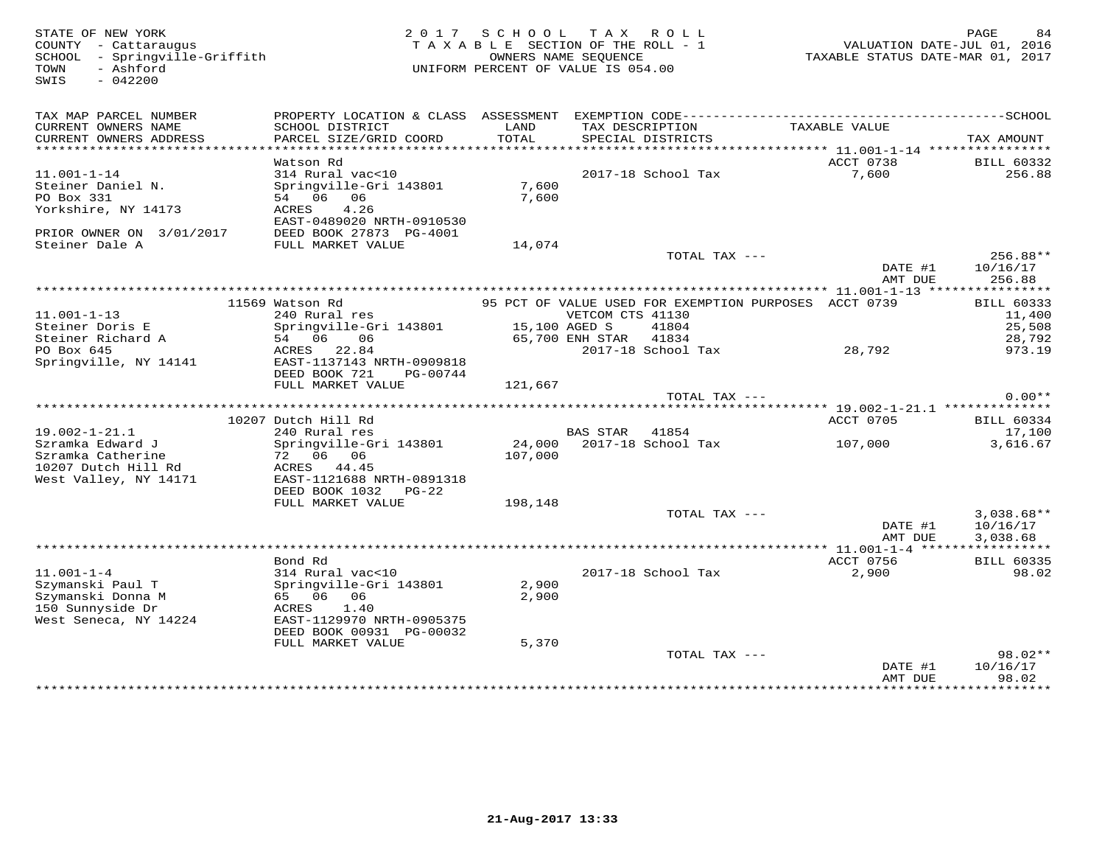| STATE OF NEW YORK<br>COUNTY - Cattaraugus<br>SCHOOL - Springville-Griffith<br>- Ashford<br>TOWN<br>$-042200$<br>SWIS |                                                                                                                                                       |                         | 2017 SCHOOL TAX ROLL<br>TAXABLE SECTION OF THE ROLL - 1<br>OWNERS NAME SEOUENCE<br>UNIFORM PERCENT OF VALUE IS 054.00 | TAXABLE STATUS DATE-MAR 01, 2017 | PAGE<br>84<br>VALUATION DATE-JUL 01, 2016       |
|----------------------------------------------------------------------------------------------------------------------|-------------------------------------------------------------------------------------------------------------------------------------------------------|-------------------------|-----------------------------------------------------------------------------------------------------------------------|----------------------------------|-------------------------------------------------|
| TAX MAP PARCEL NUMBER<br>CURRENT OWNERS NAME<br>CURRENT OWNERS ADDRESS                                               | SCHOOL DISTRICT<br>PARCEL SIZE/GRID COORD                                                                                                             | LAND<br>TOTAL           | TAX DESCRIPTION<br>SPECIAL DISTRICTS                                                                                  | TAXABLE VALUE                    | TAX AMOUNT                                      |
|                                                                                                                      |                                                                                                                                                       |                         |                                                                                                                       |                                  |                                                 |
| $11.001 - 1 - 14$<br>Steiner Daniel N.<br>PO Box 331<br>Yorkshire, NY 14173                                          | Watson Rd<br>314 Rural vac<10<br>Springville-Gri 143801<br>54 06 06<br>ACRES<br>4.26                                                                  | 7,600<br>7,600          | 2017-18 School Tax                                                                                                    | ACCT 0738<br>7,600               | <b>BILL 60332</b><br>256.88                     |
| PRIOR OWNER ON 3/01/2017<br>Steiner Dale A                                                                           | EAST-0489020 NRTH-0910530<br>DEED BOOK 27873 PG-4001<br>FULL MARKET VALUE                                                                             | 14,074                  |                                                                                                                       |                                  |                                                 |
|                                                                                                                      |                                                                                                                                                       |                         | TOTAL TAX ---                                                                                                         | DATE #1<br>AMT DUE               | 256.88**<br>10/16/17<br>256.88                  |
|                                                                                                                      |                                                                                                                                                       |                         |                                                                                                                       |                                  |                                                 |
| $11.001 - 1 - 13$<br>Steiner Doris E<br>Steiner Richard A                                                            | 11569 Watson Rd<br>240 Rural res<br>Springville-Gri 143801<br>54 06<br>06                                                                             | 15,100 AGED S           | 95 PCT OF VALUE USED FOR EXEMPTION PURPOSES ACCT 0739<br>VETCOM CTS 41130<br>41804<br>65,700 ENH STAR<br>41834        |                                  | <b>BILL 60333</b><br>11,400<br>25,508<br>28,792 |
| PO Box 645<br>Springville, NY 14141                                                                                  | ACRES 22.84<br>EAST-1137143 NRTH-0909818<br>DEED BOOK 721<br>PG-00744                                                                                 |                         | 2017-18 School Tax                                                                                                    | 28,792                           | 973.19                                          |
|                                                                                                                      | FULL MARKET VALUE                                                                                                                                     | 121,667                 | TOTAL TAX ---                                                                                                         |                                  | $0.00**$                                        |
|                                                                                                                      |                                                                                                                                                       |                         |                                                                                                                       |                                  |                                                 |
| $19.002 - 1 - 21.1$<br>Szramka Edward J<br>Szramka Catherine<br>10207 Dutch Hill Rd                                  | 10207 Dutch Hill Rd<br>240 Rural res<br>Springville-Gri 143801<br>72 06 06<br>ACRES 44.45                                                             | 107,000                 | 41854<br>BAS STAR<br>24,000 2017-18 School Tax                                                                        | ACCT 0705<br>107,000             | <b>BILL 60334</b><br>17,100<br>3,616.67         |
| West Valley, NY 14171                                                                                                | EAST-1121688 NRTH-0891318<br>DEED BOOK 1032<br>$PG-22$<br>FULL MARKET VALUE                                                                           | 198,148                 |                                                                                                                       |                                  |                                                 |
|                                                                                                                      |                                                                                                                                                       |                         | TOTAL TAX ---                                                                                                         | DATE #1<br>AMT DUE               | $3,038.68**$<br>10/16/17<br>3,038.68            |
|                                                                                                                      | Bond Rd                                                                                                                                               |                         |                                                                                                                       | ACCT 0756                        | <b>BILL 60335</b>                               |
| $11.001 - 1 - 4$<br>Szymanski Paul T<br>Szymanski Donna M<br>150 Sunnyside Dr<br>West Seneca, NY 14224               | 314 Rural vac<10<br>Springville-Gri 143801<br>65 06 06<br>ACRES<br>1.40<br>EAST-1129970 NRTH-0905375<br>DEED BOOK 00931 PG-00032<br>FULL MARKET VALUE | 2,900<br>2,900<br>5,370 | 2017-18 School Tax                                                                                                    | 2,900                            | 98.02                                           |
|                                                                                                                      |                                                                                                                                                       |                         | TOTAL TAX ---                                                                                                         | DATE #1<br>AMT DUE               | $98.02**$<br>10/16/17<br>98.02                  |
|                                                                                                                      |                                                                                                                                                       |                         |                                                                                                                       |                                  | + + + + + + + + + +                             |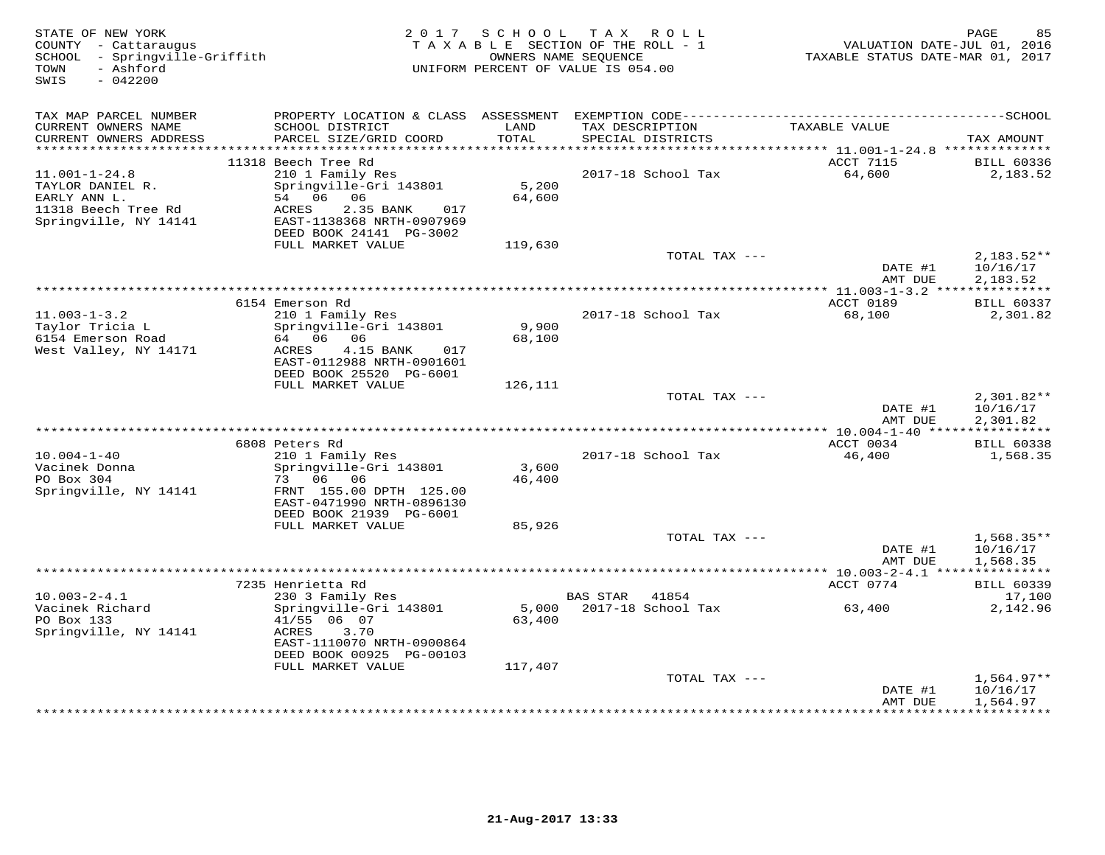| SWIS<br>$-042200$<br>TAX MAP PARCEL NUMBER<br>TAXABLE VALUE<br>CURRENT OWNERS NAME<br>SCHOOL DISTRICT<br>LAND<br>TAX DESCRIPTION<br>TOTAL<br>CURRENT OWNERS ADDRESS<br>PARCEL SIZE/GRID COORD<br>SPECIAL DISTRICTS<br>***********************<br>11318 Beech Tree Rd<br>ACCT 7115<br>64,600<br>$11.001 - 1 - 24.8$<br>210 1 Family Res<br>2017-18 School Tax<br>5,200<br>TAYLOR DANIEL R.<br>Springville-Gri 143801<br>54 06 06<br>64,600<br>EARLY ANN L.<br>11318 Beech Tree Rd<br>ACRES<br>2.35 BANK<br>017<br>Springville, NY 14141<br>EAST-1138368 NRTH-0907969<br>DEED BOOK 24141 PG-3002<br>FULL MARKET VALUE<br>119,630<br>TOTAL TAX ---<br>DATE #1<br>AMT DUE<br>************************************<br>*********** 11.003-1-3.2 *************** | TAX AMOUNT                           |
|-----------------------------------------------------------------------------------------------------------------------------------------------------------------------------------------------------------------------------------------------------------------------------------------------------------------------------------------------------------------------------------------------------------------------------------------------------------------------------------------------------------------------------------------------------------------------------------------------------------------------------------------------------------------------------------------------------------------------------------------------------------|--------------------------------------|
|                                                                                                                                                                                                                                                                                                                                                                                                                                                                                                                                                                                                                                                                                                                                                           |                                      |
|                                                                                                                                                                                                                                                                                                                                                                                                                                                                                                                                                                                                                                                                                                                                                           |                                      |
|                                                                                                                                                                                                                                                                                                                                                                                                                                                                                                                                                                                                                                                                                                                                                           |                                      |
|                                                                                                                                                                                                                                                                                                                                                                                                                                                                                                                                                                                                                                                                                                                                                           | <b>BILL 60336</b>                    |
|                                                                                                                                                                                                                                                                                                                                                                                                                                                                                                                                                                                                                                                                                                                                                           | 2,183.52                             |
|                                                                                                                                                                                                                                                                                                                                                                                                                                                                                                                                                                                                                                                                                                                                                           | $2,183.52**$                         |
|                                                                                                                                                                                                                                                                                                                                                                                                                                                                                                                                                                                                                                                                                                                                                           | 10/16/17<br>2,183.52                 |
|                                                                                                                                                                                                                                                                                                                                                                                                                                                                                                                                                                                                                                                                                                                                                           |                                      |
| 6154 Emerson Rd<br>ACCT 0189<br>$11.003 - 1 - 3.2$<br>210 1 Family Res<br>2017-18 School Tax<br>68,100<br>Taylor Tricia L<br>Springville-Gri 143801<br>9,900<br>64 06<br>6154 Emerson Road<br>06<br>68,100<br>West Valley, NY 14171<br>ACRES<br>4.15 BANK<br>017<br>EAST-0112988 NRTH-0901601<br>DEED BOOK 25520 PG-6001                                                                                                                                                                                                                                                                                                                                                                                                                                  | <b>BILL 60337</b><br>2,301.82        |
| FULL MARKET VALUE<br>126,111                                                                                                                                                                                                                                                                                                                                                                                                                                                                                                                                                                                                                                                                                                                              |                                      |
| TOTAL TAX ---<br>DATE #1<br>AMT DUE                                                                                                                                                                                                                                                                                                                                                                                                                                                                                                                                                                                                                                                                                                                       | $2,301.82**$<br>10/16/17<br>2,301.82 |
| ACCT 0034<br>6808 Peters Rd                                                                                                                                                                                                                                                                                                                                                                                                                                                                                                                                                                                                                                                                                                                               | <b>BILL 60338</b>                    |
| 2017-18 School Tax<br>46,400<br>$10.004 - 1 - 40$<br>210 1 Family Res<br>3,600<br>Vacinek Donna<br>Springville-Gri 143801<br>PO Box 304<br>06<br>73<br>06<br>46,400<br>Springville, NY 14141<br>FRNT 155.00 DPTH 125.00<br>EAST-0471990 NRTH-0896130<br>DEED BOOK 21939 PG-6001                                                                                                                                                                                                                                                                                                                                                                                                                                                                           | 1,568.35                             |
| FULL MARKET VALUE<br>85,926                                                                                                                                                                                                                                                                                                                                                                                                                                                                                                                                                                                                                                                                                                                               |                                      |
| TOTAL TAX ---<br>DATE #1<br>AMT DUE                                                                                                                                                                                                                                                                                                                                                                                                                                                                                                                                                                                                                                                                                                                       | $1,568.35**$<br>10/16/17<br>1,568.35 |
|                                                                                                                                                                                                                                                                                                                                                                                                                                                                                                                                                                                                                                                                                                                                                           |                                      |
| 7235 Henrietta Rd<br>ACCT 0774                                                                                                                                                                                                                                                                                                                                                                                                                                                                                                                                                                                                                                                                                                                            | <b>BILL 60339</b>                    |
| $10.003 - 2 - 4.1$<br>230 3 Family Res<br>BAS STAR<br>41854<br>Vacinek Richard<br>Springville-Gri 143801<br>5,000<br>2017-18 School Tax<br>63,400<br>PO Box 133<br>41/55 06 07<br>63,400                                                                                                                                                                                                                                                                                                                                                                                                                                                                                                                                                                  | 17,100<br>2,142.96                   |
| Springville, NY 14141<br>ACRES<br>3.70<br>EAST-1110070 NRTH-0900864<br>DEED BOOK 00925 PG-00103                                                                                                                                                                                                                                                                                                                                                                                                                                                                                                                                                                                                                                                           |                                      |
| FULL MARKET VALUE<br>117,407<br>TOTAL TAX ---                                                                                                                                                                                                                                                                                                                                                                                                                                                                                                                                                                                                                                                                                                             |                                      |
| DATE #1<br>10/16/17<br>AMT DUE<br>1,564.97<br>*************<br>* * * * * * * * * * *                                                                                                                                                                                                                                                                                                                                                                                                                                                                                                                                                                                                                                                                      | $1,564.97**$                         |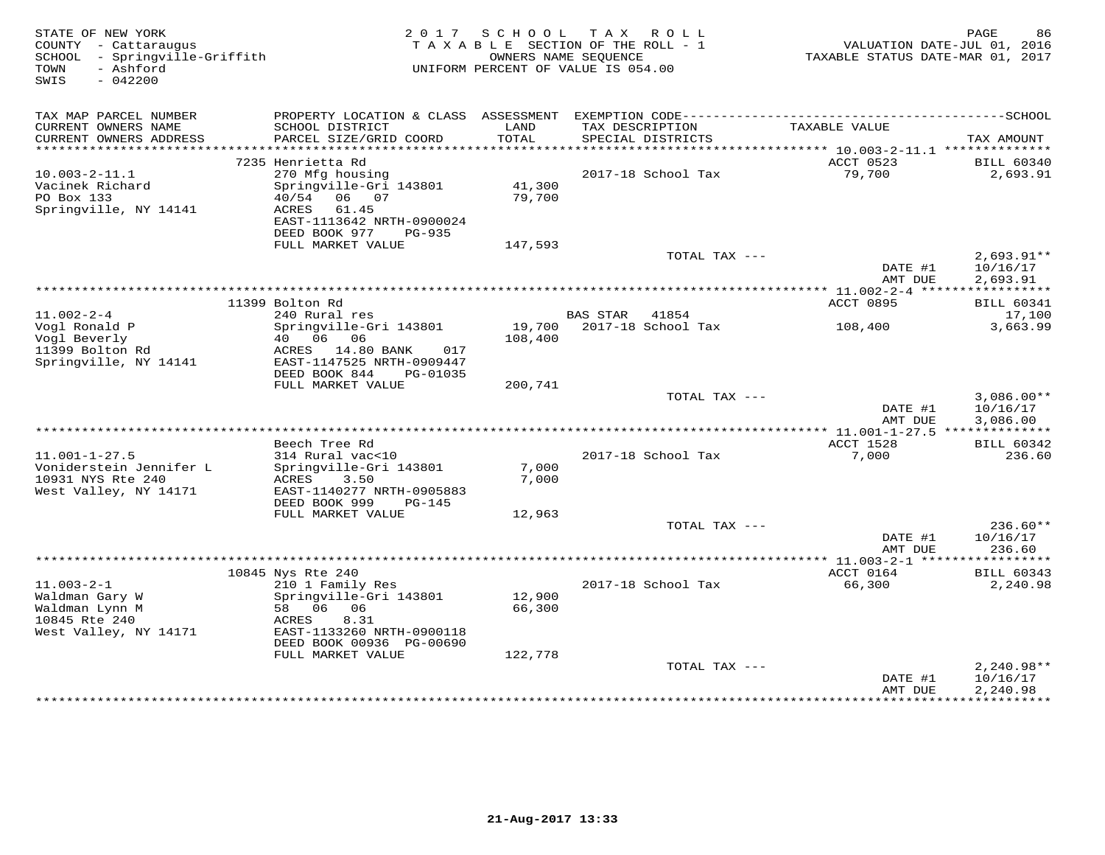| STATE OF NEW YORK<br>COUNTY - Cattaraugus<br>- Springville-Griffith<br>SCHOOL<br>- Ashford<br>TOWN<br>SWIS<br>$-042200$ |                                              | 2017 SCHOOL<br>TAXABLE SECTION OF THE ROLL - 1<br>UNIFORM PERCENT OF VALUE IS 054.00 | OWNERS NAME SEOUENCE | TAX ROLL           | VALUATION DATE-JUL 01, 2016<br>TAXABLE STATUS DATE-MAR 01, 2017 | PAGE<br>86           |
|-------------------------------------------------------------------------------------------------------------------------|----------------------------------------------|--------------------------------------------------------------------------------------|----------------------|--------------------|-----------------------------------------------------------------|----------------------|
|                                                                                                                         |                                              |                                                                                      |                      |                    |                                                                 |                      |
| TAX MAP PARCEL NUMBER                                                                                                   |                                              |                                                                                      |                      |                    |                                                                 |                      |
| CURRENT OWNERS NAME<br>CURRENT OWNERS ADDRESS                                                                           | SCHOOL DISTRICT<br>PARCEL SIZE/GRID COORD    | LAND<br>TOTAL                                                                        | TAX DESCRIPTION      | SPECIAL DISTRICTS  | TAXABLE VALUE                                                   | TAX AMOUNT           |
| ************************                                                                                                |                                              |                                                                                      |                      |                    |                                                                 |                      |
|                                                                                                                         | 7235 Henrietta Rd                            |                                                                                      |                      |                    | ACCT 0523                                                       | <b>BILL 60340</b>    |
| $10.003 - 2 - 11.1$                                                                                                     | 270 Mfg housing                              |                                                                                      |                      | 2017-18 School Tax | 79,700                                                          | 2,693.91             |
| Vacinek Richard                                                                                                         | Springville-Gri 143801                       | 41,300                                                                               |                      |                    |                                                                 |                      |
| PO Box 133<br>Springville, NY 14141                                                                                     | 40/54<br>06 07<br>ACRES<br>61.45             | 79,700                                                                               |                      |                    |                                                                 |                      |
|                                                                                                                         | EAST-1113642 NRTH-0900024                    |                                                                                      |                      |                    |                                                                 |                      |
|                                                                                                                         | DEED BOOK 977<br>PG-935                      |                                                                                      |                      |                    |                                                                 |                      |
|                                                                                                                         | FULL MARKET VALUE                            | 147,593                                                                              |                      |                    |                                                                 |                      |
|                                                                                                                         |                                              |                                                                                      |                      | TOTAL TAX ---      |                                                                 | $2,693.91**$         |
|                                                                                                                         |                                              |                                                                                      |                      |                    | DATE #1<br>AMT DUE                                              | 10/16/17<br>2,693.91 |
|                                                                                                                         |                                              |                                                                                      |                      |                    | ********* 11.002-2-4 ****                                       | ***********          |
|                                                                                                                         | 11399 Bolton Rd                              |                                                                                      |                      |                    | ACCT 0895                                                       | <b>BILL 60341</b>    |
| $11.002 - 2 - 4$                                                                                                        | 240 Rural res                                |                                                                                      | <b>BAS STAR</b>      | 41854              |                                                                 | 17,100               |
| Vogl Ronald P                                                                                                           | Springville-Gri 143801                       | 19,700                                                                               |                      | 2017-18 School Tax | 108,400                                                         | 3,663.99             |
| Vogl Beverly<br>11399 Bolton Rd                                                                                         | 06<br>06<br>40<br>ACRES<br>14.80 BANK<br>017 | 108,400                                                                              |                      |                    |                                                                 |                      |
| Springville, NY 14141                                                                                                   | EAST-1147525 NRTH-0909447                    |                                                                                      |                      |                    |                                                                 |                      |
|                                                                                                                         | DEED BOOK 844<br>PG-01035                    |                                                                                      |                      |                    |                                                                 |                      |
|                                                                                                                         | FULL MARKET VALUE                            | 200,741                                                                              |                      |                    |                                                                 |                      |
|                                                                                                                         |                                              |                                                                                      |                      | TOTAL TAX ---      |                                                                 | $3,086.00**$         |
|                                                                                                                         |                                              |                                                                                      |                      |                    | DATE #1<br>AMT DUE                                              | 10/16/17<br>3,086.00 |
|                                                                                                                         |                                              |                                                                                      |                      |                    |                                                                 |                      |
|                                                                                                                         | Beech Tree Rd                                |                                                                                      |                      |                    | ACCT 1528                                                       | <b>BILL 60342</b>    |
| $11.001 - 1 - 27.5$                                                                                                     | 314 Rural vac<10                             |                                                                                      |                      | 2017-18 School Tax | 7,000                                                           | 236.60               |
| Voniderstein Jennifer L<br>10931 NYS Rte 240                                                                            | Springville-Gri 143801                       | 7,000                                                                                |                      |                    |                                                                 |                      |
| West Valley, NY 14171                                                                                                   | ACRES<br>3.50<br>EAST-1140277 NRTH-0905883   | 7,000                                                                                |                      |                    |                                                                 |                      |
|                                                                                                                         | DEED BOOK 999<br>$PG-145$                    |                                                                                      |                      |                    |                                                                 |                      |
|                                                                                                                         | FULL MARKET VALUE                            | 12,963                                                                               |                      |                    |                                                                 |                      |
|                                                                                                                         |                                              |                                                                                      |                      | TOTAL TAX ---      |                                                                 | $236.60**$           |
|                                                                                                                         |                                              |                                                                                      |                      |                    | DATE #1<br>AMT DUE                                              | 10/16/17<br>236.60   |
|                                                                                                                         |                                              |                                                                                      |                      |                    |                                                                 |                      |
|                                                                                                                         | 10845 Nys Rte 240                            |                                                                                      |                      |                    | ACCT 0164                                                       | <b>BILL 60343</b>    |
| $11.003 - 2 - 1$                                                                                                        | 210 1 Family Res                             |                                                                                      |                      | 2017-18 School Tax | 66,300                                                          | 2,240.98             |
| Waldman Gary W                                                                                                          | Springville-Gri 143801                       | 12,900                                                                               |                      |                    |                                                                 |                      |
| Waldman Lynn M<br>10845 Rte 240                                                                                         | 58 06 06<br>ACRES<br>8.31                    | 66,300                                                                               |                      |                    |                                                                 |                      |
| West Valley, NY 14171                                                                                                   | EAST-1133260 NRTH-0900118                    |                                                                                      |                      |                    |                                                                 |                      |
|                                                                                                                         | DEED BOOK 00936 PG-00690                     |                                                                                      |                      |                    |                                                                 |                      |
|                                                                                                                         | FULL MARKET VALUE                            | 122,778                                                                              |                      |                    |                                                                 |                      |
|                                                                                                                         |                                              |                                                                                      |                      | TOTAL TAX ---      |                                                                 | $2,240.98**$         |
|                                                                                                                         |                                              |                                                                                      |                      |                    | DATE #1<br>AMT DUE                                              | 10/16/17<br>2,240.98 |
|                                                                                                                         |                                              |                                                                                      |                      |                    | ************                                                    | * * * * * * * * * ·  |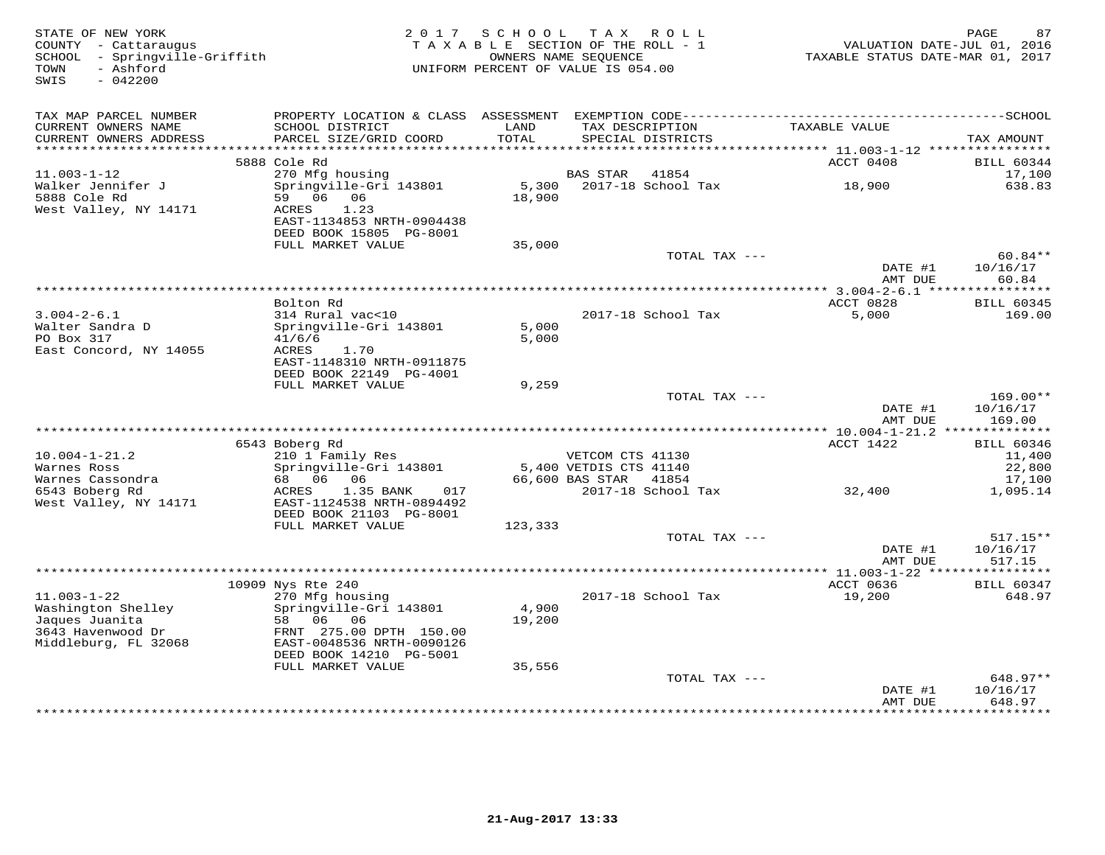| STATE OF NEW YORK<br>COUNTY - Cattaraugus<br>SCHOOL - Springville-Griffith<br>- Ashford<br>TOWN<br>SWIS<br>$-042200$ | 2 0 1 7                                                                                                                       | SCHOOL<br>TAXABLE SECTION OF THE ROLL - 1<br>UNIFORM PERCENT OF VALUE IS 054.00 | OWNERS NAME SEQUENCE   | TAX ROLL           | VALUATION DATE-JUL 01, 2016<br>TAXABLE STATUS DATE-MAR 01, 2017 | 87<br>PAGE                       |
|----------------------------------------------------------------------------------------------------------------------|-------------------------------------------------------------------------------------------------------------------------------|---------------------------------------------------------------------------------|------------------------|--------------------|-----------------------------------------------------------------|----------------------------------|
| TAX MAP PARCEL NUMBER                                                                                                |                                                                                                                               |                                                                                 |                        |                    |                                                                 |                                  |
| CURRENT OWNERS NAME<br>CURRENT OWNERS ADDRESS<br>***********************                                             | SCHOOL DISTRICT<br>PARCEL SIZE/GRID COORD<br>********************                                                             | LAND<br>TOTAL                                                                   | TAX DESCRIPTION        | SPECIAL DISTRICTS  | TAXABLE VALUE                                                   | TAX AMOUNT                       |
|                                                                                                                      | 5888 Cole Rd                                                                                                                  |                                                                                 |                        |                    | ACCT 0408                                                       | <b>BILL 60344</b>                |
| $11.003 - 1 - 12$                                                                                                    | 270 Mfg housing                                                                                                               |                                                                                 | <b>BAS STAR</b>        | 41854              |                                                                 | 17,100                           |
| Walker Jennifer J<br>5888 Cole Rd<br>West Valley, NY 14171                                                           | Springville-Gri 143801<br>59 06<br>06<br>1.23<br>ACRES<br>EAST-1134853 NRTH-0904438<br>DEED BOOK 15805 PG-8001                | 5,300<br>18,900                                                                 |                        | 2017-18 School Tax | 18,900                                                          | 638.83                           |
|                                                                                                                      | FULL MARKET VALUE                                                                                                             | 35,000                                                                          |                        |                    |                                                                 |                                  |
|                                                                                                                      |                                                                                                                               |                                                                                 |                        | TOTAL TAX ---      | DATE #1                                                         | $60.84**$<br>10/16/17            |
|                                                                                                                      |                                                                                                                               |                                                                                 |                        |                    | AMT DUE<br>*************** 3.004-2-6.1 *****************        | 60.84                            |
|                                                                                                                      | Bolton Rd                                                                                                                     |                                                                                 |                        |                    | ACCT 0828                                                       | <b>BILL 60345</b>                |
| $3.004 - 2 - 6.1$<br>Walter Sandra D<br>PO Box 317<br>East Concord, NY 14055                                         | 314 Rural vac<10<br>Springville-Gri 143801<br>41/6/6<br>ACRES<br>1.70<br>EAST-1148310 NRTH-0911875<br>DEED BOOK 22149 PG-4001 | 5,000<br>5,000                                                                  |                        | 2017-18 School Tax | 5,000                                                           | 169.00                           |
|                                                                                                                      | FULL MARKET VALUE                                                                                                             | 9,259                                                                           |                        |                    |                                                                 |                                  |
|                                                                                                                      |                                                                                                                               |                                                                                 |                        | TOTAL TAX ---      | DATE #1<br>AMT DUE                                              | $169.00**$<br>10/16/17<br>169.00 |
|                                                                                                                      |                                                                                                                               |                                                                                 |                        |                    |                                                                 |                                  |
| $10.004 - 1 - 21.2$                                                                                                  | 6543 Boberg Rd<br>210 1 Family Res                                                                                            |                                                                                 | VETCOM CTS 41130       |                    | ACCT 1422                                                       | <b>BILL 60346</b><br>11,400      |
| Warnes Ross                                                                                                          | Springville-Gri 143801                                                                                                        |                                                                                 | 5,400 VETDIS CTS 41140 |                    |                                                                 | 22,800                           |
| Warnes Cassondra                                                                                                     | 68 06<br>06                                                                                                                   |                                                                                 | 66,600 BAS STAR        | 41854              |                                                                 | 17,100                           |
| 6543 Boberg Rd<br>West Valley, NY 14171                                                                              | 1.35 BANK<br>017<br>ACRES<br>EAST-1124538 NRTH-0894492<br>DEED BOOK 21103 PG-8001                                             |                                                                                 |                        | 2017-18 School Tax | 32,400                                                          | 1,095.14                         |
|                                                                                                                      | FULL MARKET VALUE                                                                                                             | 123,333                                                                         |                        |                    |                                                                 |                                  |
|                                                                                                                      |                                                                                                                               |                                                                                 |                        | TOTAL TAX ---      | DATE #1<br>AMT DUE                                              | $517.15**$<br>10/16/17<br>517.15 |
|                                                                                                                      |                                                                                                                               |                                                                                 |                        |                    |                                                                 |                                  |
| $11.003 - 1 - 22$                                                                                                    | 10909 Nys Rte 240<br>270 Mfg housing                                                                                          |                                                                                 |                        |                    | ACCT 0636                                                       | <b>BILL 60347</b><br>648.97      |
| Washington Shelley<br>Jaques Juanita<br>3643 Havenwood Dr<br>Middleburg, FL 32068                                    | Springville-Gri 143801<br>58 06 06<br>FRNT 275.00 DPTH 150.00<br>EAST-0048536 NRTH-0090126<br>DEED BOOK 14210 PG-5001         | 4,900<br>19,200                                                                 |                        | 2017-18 School Tax | 19,200                                                          |                                  |
|                                                                                                                      | FULL MARKET VALUE                                                                                                             | 35,556                                                                          |                        |                    |                                                                 |                                  |
|                                                                                                                      |                                                                                                                               |                                                                                 |                        | TOTAL TAX ---      |                                                                 | 648.97**                         |
|                                                                                                                      |                                                                                                                               |                                                                                 |                        |                    | DATE #1<br>AMT DUE<br>· * * * * * * * * * * * *                 | 10/16/17<br>648.97<br>********   |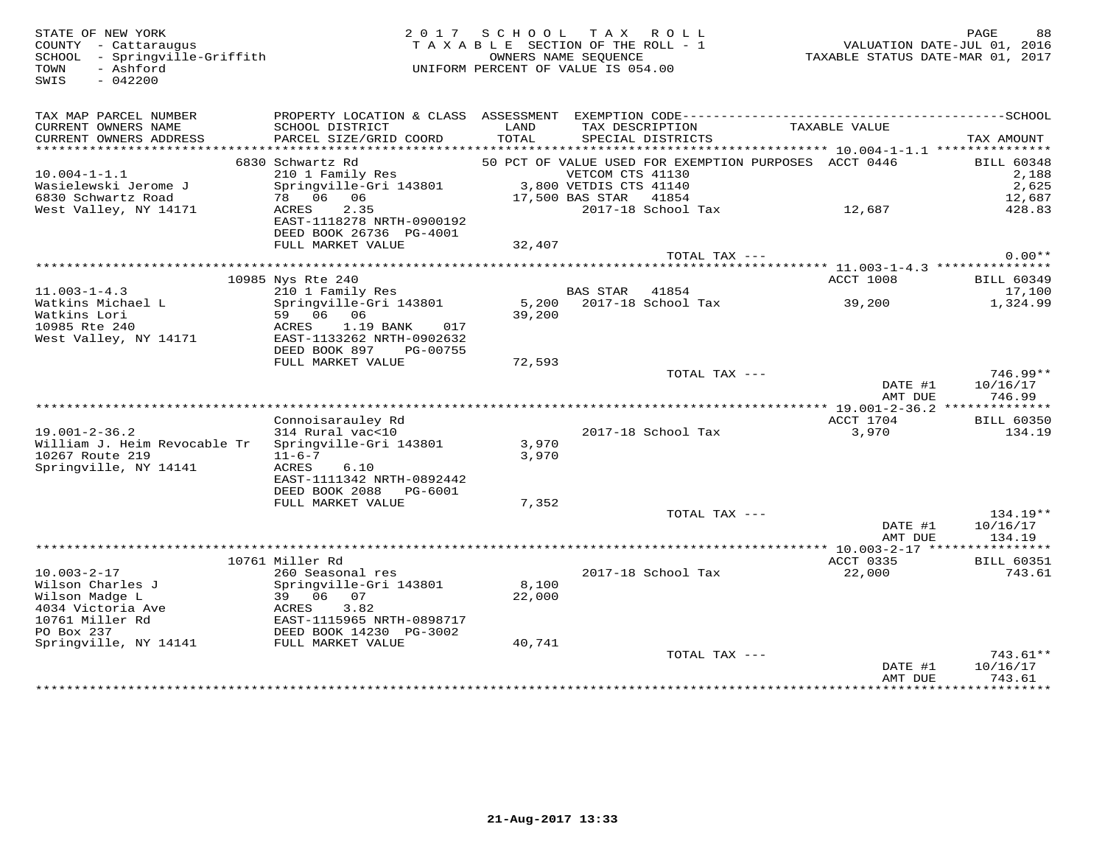COUNTY - Cattaraugus<br>SCHOOL - Springville-Griffith<br>TOWN - Ashford<br>SWIS - 042200

# STATE OF NEW YORK 2 0 1 7 S C H O O L T A X R O L L PAGE 88 COUNTY - Cattaraugus T A X A B L E SECTION OF THE ROLL - 1 VALUATION DATE-JUL 01, 2016 SCHOOL - Springville-Griffith OWNERS NAME SEQUENCE TAXABLE STATUS DATE-MAR 01, 2017 TOWN - Ashford UNIFORM PERCENT OF VALUE IS 054.00

| TAX MAP PARCEL NUMBER<br>CURRENT OWNERS NAME<br>CURRENT OWNERS ADDRESS<br>******************** | PROPERTY LOCATION & CLASS ASSESSMENT<br>SCHOOL DISTRICT<br>PARCEL SIZE/GRID COORD | LAND<br>TOTAL   | TAX DESCRIPTION<br>SPECIAL DISTRICTS | EXEMPTION CODE------------                            | TAXABLE VALUE                                   | -------------SCHOOL<br>TAX AMOUNT |
|------------------------------------------------------------------------------------------------|-----------------------------------------------------------------------------------|-----------------|--------------------------------------|-------------------------------------------------------|-------------------------------------------------|-----------------------------------|
|                                                                                                | 6830 Schwartz Rd                                                                  |                 |                                      | 50 PCT OF VALUE USED FOR EXEMPTION PURPOSES ACCT 0446 |                                                 | <b>BILL 60348</b>                 |
| $10.004 - 1 - 1.1$                                                                             | 210 1 Family Res                                                                  |                 | VETCOM CTS 41130                     |                                                       |                                                 | 2,188                             |
| Wasielewski Jerome J                                                                           | Springville-Gri 143801                                                            |                 | 3,800 VETDIS CTS 41140               |                                                       |                                                 | 2,625                             |
| 6830 Schwartz Road                                                                             | 78 06 06                                                                          |                 | 17,500 BAS STAR                      | 41854                                                 |                                                 | 12,687                            |
| West Valley, NY 14171                                                                          | 2.35<br>ACRES                                                                     |                 |                                      | 2017-18 School Tax                                    | 12,687                                          | 428.83                            |
|                                                                                                | EAST-1118278 NRTH-0900192                                                         |                 |                                      |                                                       |                                                 |                                   |
|                                                                                                | DEED BOOK 26736 PG-4001                                                           |                 |                                      |                                                       |                                                 |                                   |
|                                                                                                | FULL MARKET VALUE                                                                 | 32,407          |                                      |                                                       |                                                 |                                   |
|                                                                                                |                                                                                   |                 |                                      | TOTAL TAX ---                                         |                                                 | $0.00**$                          |
|                                                                                                |                                                                                   |                 |                                      |                                                       | ******** 11.003-1-4.3 ***************           |                                   |
|                                                                                                | 10985 Nys Rte 240                                                                 |                 |                                      |                                                       | ACCT 1008                                       | BILL 60349                        |
| $11.003 - 1 - 4.3$                                                                             | 210 1 Family Res                                                                  |                 | <b>BAS STAR</b>                      | 41854                                                 |                                                 | 17,100                            |
| Watkins Michael L<br>Watkins Lori                                                              | Springville-Gri 143801<br>59 06<br>06                                             | 5,200<br>39,200 |                                      | 2017-18 School Tax                                    | 39,200                                          | 1,324.99                          |
| 10985 Rte 240                                                                                  | ACRES<br>1.19 BANK<br>017                                                         |                 |                                      |                                                       |                                                 |                                   |
| West Valley, NY 14171                                                                          | EAST-1133262 NRTH-0902632                                                         |                 |                                      |                                                       |                                                 |                                   |
|                                                                                                | DEED BOOK 897<br>PG-00755                                                         |                 |                                      |                                                       |                                                 |                                   |
|                                                                                                | FULL MARKET VALUE                                                                 | 72,593          |                                      |                                                       |                                                 |                                   |
|                                                                                                |                                                                                   |                 |                                      | TOTAL TAX ---                                         |                                                 | $746.99**$                        |
|                                                                                                |                                                                                   |                 |                                      |                                                       | DATE #1                                         | 10/16/17                          |
|                                                                                                |                                                                                   |                 |                                      |                                                       | AMT DUE                                         | 746.99                            |
|                                                                                                |                                                                                   |                 |                                      |                                                       | *************** 19.001-2-36.2 ***************   |                                   |
|                                                                                                | Connoisarauley Rd                                                                 |                 |                                      |                                                       | ACCT 1704                                       | <b>BILL 60350</b>                 |
| $19.001 - 2 - 36.2$                                                                            | 314 Rural vac<10                                                                  |                 |                                      | 2017-18 School Tax                                    | 3,970                                           | 134.19                            |
| William J. Heim Revocable Tr<br>10267 Route 219                                                | Springville-Gri 143801<br>$11 - 6 - 7$                                            | 3,970<br>3,970  |                                      |                                                       |                                                 |                                   |
| Springville, NY 14141                                                                          | ACRES<br>6.10                                                                     |                 |                                      |                                                       |                                                 |                                   |
|                                                                                                | EAST-1111342 NRTH-0892442                                                         |                 |                                      |                                                       |                                                 |                                   |
|                                                                                                | DEED BOOK 2088<br>PG-6001                                                         |                 |                                      |                                                       |                                                 |                                   |
|                                                                                                | FULL MARKET VALUE                                                                 | 7,352           |                                      |                                                       |                                                 |                                   |
|                                                                                                |                                                                                   |                 |                                      | TOTAL TAX ---                                         |                                                 | $134.19**$                        |
|                                                                                                |                                                                                   |                 |                                      |                                                       | DATE #1                                         | 10/16/17                          |
|                                                                                                |                                                                                   |                 |                                      |                                                       | AMT DUE                                         | 134.19                            |
|                                                                                                |                                                                                   |                 |                                      |                                                       | ***************** 10.003-2-17 ***************** |                                   |
|                                                                                                | 10761 Miller Rd                                                                   |                 |                                      |                                                       | ACCT 0335                                       | <b>BILL 60351</b>                 |
| $10.003 - 2 - 17$                                                                              | 260 Seasonal res                                                                  |                 |                                      | 2017-18 School Tax                                    | 22,000                                          | 743.61                            |
| Wilson Charles J<br>Wilson Madge L                                                             | Springville-Gri 143801<br>39 06 07                                                | 8,100<br>22,000 |                                      |                                                       |                                                 |                                   |
| 4034 Victoria Ave                                                                              | ACRES<br>3.82                                                                     |                 |                                      |                                                       |                                                 |                                   |
| 10761 Miller Rd                                                                                | EAST-1115965 NRTH-0898717                                                         |                 |                                      |                                                       |                                                 |                                   |
| PO Box 237                                                                                     | DEED BOOK 14230 PG-3002                                                           |                 |                                      |                                                       |                                                 |                                   |
| Springville, NY 14141                                                                          | FULL MARKET VALUE                                                                 | 40,741          |                                      |                                                       |                                                 |                                   |
|                                                                                                |                                                                                   |                 |                                      | TOTAL TAX ---                                         |                                                 | $743.61**$                        |
|                                                                                                |                                                                                   |                 |                                      |                                                       | DATE #1                                         | 10/16/17                          |
|                                                                                                |                                                                                   |                 |                                      |                                                       | AMT DUE                                         | 743.61<br>************            |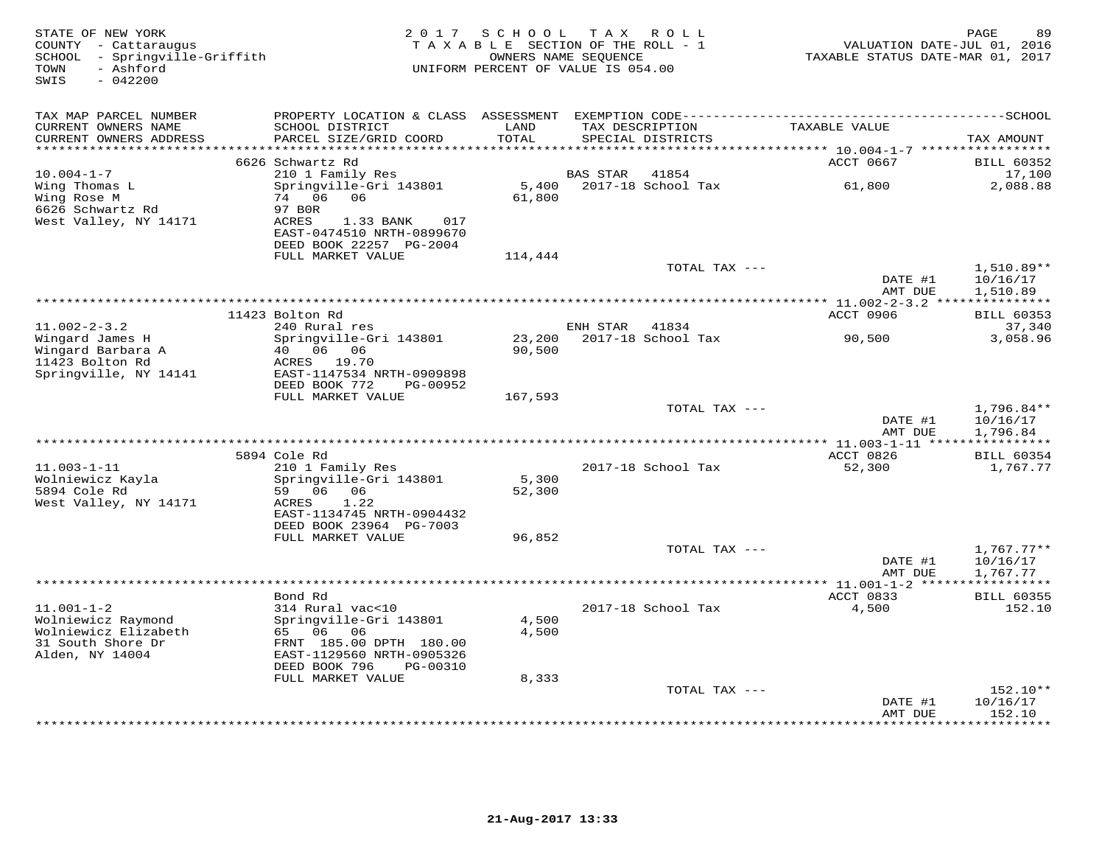| STATE OF NEW YORK<br>COUNTY - Cattaraugus<br>SCHOOL - Springville-Griffith<br>- Ashford<br>TOWN<br>$-042200$<br>SWIS | 2 0 1 7                                                                                                                                     | SCHOOL<br>TAXABLE SECTION OF THE ROLL - 1<br>OWNERS NAME SEQUENCE<br>UNIFORM PERCENT OF VALUE IS 054.00 |                          | TAX ROLL                             | TAXABLE STATUS DATE-MAR 01, 2017    | PAGE<br>VALUATION DATE-JUL 01, 2016 | 89                                   |
|----------------------------------------------------------------------------------------------------------------------|---------------------------------------------------------------------------------------------------------------------------------------------|---------------------------------------------------------------------------------------------------------|--------------------------|--------------------------------------|-------------------------------------|-------------------------------------|--------------------------------------|
| TAX MAP PARCEL NUMBER<br>CURRENT OWNERS NAME<br>CURRENT OWNERS ADDRESS                                               | SCHOOL DISTRICT<br>PARCEL SIZE/GRID COORD                                                                                                   | LAND<br>TOTAL                                                                                           |                          | TAX DESCRIPTION<br>SPECIAL DISTRICTS | TAXABLE VALUE                       | TAX AMOUNT                          |                                      |
|                                                                                                                      |                                                                                                                                             |                                                                                                         |                          |                                      | ****** 10.004-1-7 ****              |                                     |                                      |
| $10.004 - 1 - 7$                                                                                                     | 6626 Schwartz Rd<br>210 1 Family Res                                                                                                        |                                                                                                         | BAS STAR                 | 41854                                | ACCT 0667                           |                                     | <b>BILL 60352</b><br>17,100          |
| Wing Thomas L<br>Wing Rose M<br>6626 Schwartz Rd<br>West Valley, NY 14171                                            | Springville-Gri 143801<br>74 06<br>06<br>97 B0R<br>ACRES<br>1.33 BANK<br>017<br>EAST-0474510 NRTH-0899670                                   | 5,400<br>61,800                                                                                         |                          | 2017-18 School Tax                   | 61,800                              |                                     | 2,088.88                             |
|                                                                                                                      | DEED BOOK 22257 PG-2004<br>FULL MARKET VALUE                                                                                                | 114,444                                                                                                 |                          |                                      |                                     |                                     |                                      |
|                                                                                                                      |                                                                                                                                             |                                                                                                         |                          | TOTAL TAX ---                        | DATE #1                             |                                     | 1,510.89**<br>10/16/17               |
|                                                                                                                      |                                                                                                                                             |                                                                                                         |                          |                                      | AMT DUE                             |                                     | 1,510.89                             |
|                                                                                                                      | 11423 Bolton Rd                                                                                                                             |                                                                                                         |                          |                                      | <b>ACCT 0906</b>                    |                                     | <b>BILL 60353</b>                    |
| $11.002 - 2 - 3.2$                                                                                                   | 240 Rural res                                                                                                                               |                                                                                                         | ENH STAR                 | 41834                                |                                     |                                     | 37,340                               |
| Wingard James H<br>Wingard Barbara A<br>11423 Bolton Rd<br>Springville, NY 14141                                     | Springville-Gri 143801<br>40<br>06 06<br>ACRES<br>19.70<br>EAST-1147534 NRTH-0909898                                                        | 23,200<br>90,500                                                                                        |                          | 2017-18 School Tax                   | 90,500                              |                                     | 3,058.96                             |
|                                                                                                                      | DEED BOOK 772<br>PG-00952<br>FULL MARKET VALUE                                                                                              | 167,593                                                                                                 |                          |                                      |                                     |                                     |                                      |
|                                                                                                                      |                                                                                                                                             |                                                                                                         |                          | TOTAL TAX ---                        | DATE #1<br>AMT DUE                  |                                     | $1,796.84**$<br>10/16/17<br>1,796.84 |
|                                                                                                                      |                                                                                                                                             |                                                                                                         |                          |                                      |                                     |                                     |                                      |
|                                                                                                                      | 5894 Cole Rd                                                                                                                                |                                                                                                         |                          |                                      | ACCT 0826                           |                                     | <b>BILL 60354</b>                    |
| $11.003 - 1 - 11$<br>Wolniewicz Kayla<br>5894 Cole Rd<br>West Valley, NY 14171                                       | 210 1 Family Res<br>Springville-Gri 143801<br>59 06 06<br>1.22<br>ACRES<br>EAST-1134745 NRTH-0904432<br>DEED BOOK 23964 PG-7003             | 5,300<br>52,300                                                                                         |                          | 2017-18 School Tax                   | 52,300                              |                                     | 1,767.77                             |
|                                                                                                                      | FULL MARKET VALUE                                                                                                                           | 96,852                                                                                                  |                          |                                      |                                     |                                     |                                      |
|                                                                                                                      |                                                                                                                                             |                                                                                                         |                          | TOTAL TAX ---                        | DATE #1<br>AMT DUE                  | 1,767.77                            | $1,767.77**$<br>10/16/17             |
|                                                                                                                      | *******************************<br>Bond Rd                                                                                                  |                                                                                                         | ************************ |                                      | ** $11.001 - 1 - 2$ **<br>ACCT 0833 |                                     | <b>BILL 60355</b>                    |
| $11.001 - 1 - 2$<br>Wolniewicz Raymond<br>Wolniewicz Elizabeth<br>31 South Shore Dr<br>Alden, NY 14004               | 314 Rural vac<10<br>Springville-Gri 143801<br>65 06 06<br>FRNT 185.00 DPTH 180.00<br>EAST-1129560 NRTH-0905326<br>DEED BOOK 796<br>PG-00310 | 4,500<br>4,500                                                                                          |                          | 2017-18 School Tax                   | 4,500                               |                                     | 152.10                               |
|                                                                                                                      | FULL MARKET VALUE                                                                                                                           | 8,333                                                                                                   |                          |                                      |                                     |                                     | 152.10**                             |
|                                                                                                                      |                                                                                                                                             |                                                                                                         |                          | TOTAL TAX ---                        | DATE #1<br>AMT DUE                  | 10/16/17                            | 152.10                               |
|                                                                                                                      |                                                                                                                                             |                                                                                                         |                          |                                      | * * * * * * * * *                   |                                     | * * * * * * * *                      |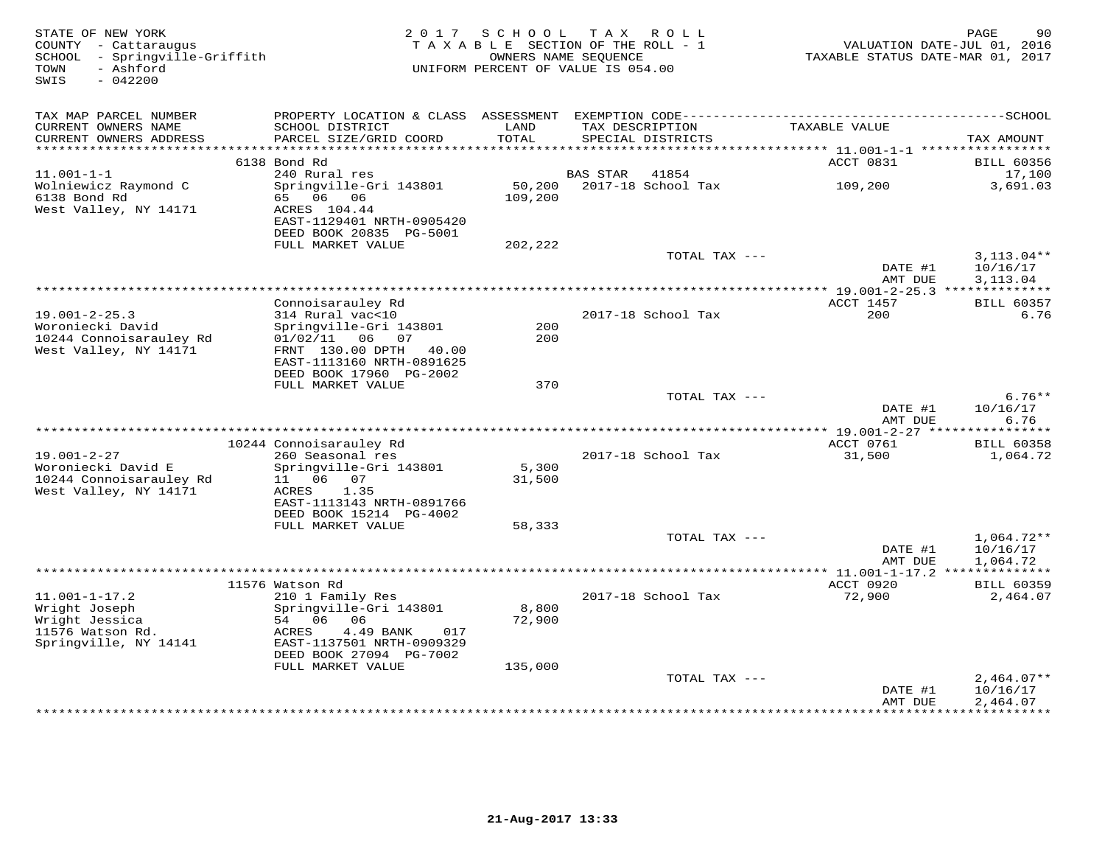| STATE OF NEW YORK<br>COUNTY - Cattaraugus<br>SCHOOL<br>- Springville-Griffith<br>- Ashford<br>TOWN<br>$-042200$<br>SWIS | 2 0 1 7                                                  | SCHOOL<br>TAXABLE SECTION OF THE ROLL - 1<br>OWNERS NAME SEQUENCE<br>UNIFORM PERCENT OF VALUE IS 054.00 | T A X           | R O L L            | TAXABLE STATUS DATE-MAR 01, 2017                  | PAGE<br>90<br>VALUATION DATE-JUL 01, 2016 |
|-------------------------------------------------------------------------------------------------------------------------|----------------------------------------------------------|---------------------------------------------------------------------------------------------------------|-----------------|--------------------|---------------------------------------------------|-------------------------------------------|
| TAX MAP PARCEL NUMBER                                                                                                   |                                                          |                                                                                                         |                 |                    |                                                   |                                           |
| CURRENT OWNERS NAME                                                                                                     | SCHOOL DISTRICT                                          | LAND                                                                                                    | TAX DESCRIPTION |                    | TAXABLE VALUE                                     |                                           |
| CURRENT OWNERS ADDRESS                                                                                                  | PARCEL SIZE/GRID COORD                                   | TOTAL<br>******                                                                                         |                 | SPECIAL DISTRICTS  |                                                   | TAX AMOUNT                                |
|                                                                                                                         | 6138 Bond Rd                                             |                                                                                                         |                 |                    | ****** 11.001-1-1 ******************<br>ACCT 0831 | <b>BILL 60356</b>                         |
| $11.001 - 1 - 1$                                                                                                        | 240 Rural res                                            |                                                                                                         | BAS STAR        | 41854              |                                                   | 17,100                                    |
| Wolniewicz Raymond C                                                                                                    | Springville-Gri 143801                                   | 50,200                                                                                                  |                 | 2017-18 School Tax | 109,200                                           | 3,691.03                                  |
| 6138 Bond Rd<br>West Valley, NY 14171                                                                                   | 06 06<br>65<br>ACRES 104.44<br>EAST-1129401 NRTH-0905420 | 109,200                                                                                                 |                 |                    |                                                   |                                           |
|                                                                                                                         | DEED BOOK 20835 PG-5001<br>FULL MARKET VALUE             | 202,222                                                                                                 |                 |                    |                                                   |                                           |
|                                                                                                                         |                                                          |                                                                                                         |                 | TOTAL TAX ---      |                                                   | $3,113.04**$                              |
|                                                                                                                         |                                                          |                                                                                                         |                 |                    | DATE #1                                           | 10/16/17                                  |
|                                                                                                                         |                                                          |                                                                                                         |                 |                    | AMT DUE                                           | 3,113.04                                  |
|                                                                                                                         |                                                          |                                                                                                         |                 |                    | *** 19.001-2-25.3 **************                  |                                           |
| $19.001 - 2 - 25.3$                                                                                                     | Connoisarauley Rd<br>314 Rural vac<10                    |                                                                                                         |                 | 2017-18 School Tax | ACCT 1457<br>200                                  | <b>BILL 60357</b><br>6.76                 |
| Woroniecki David                                                                                                        | Springville-Gri 143801                                   | 200                                                                                                     |                 |                    |                                                   |                                           |
| 10244 Connoisarauley Rd                                                                                                 | 01/02/11<br>06<br>07                                     | 200                                                                                                     |                 |                    |                                                   |                                           |
| West Valley, NY 14171                                                                                                   | FRNT 130.00 DPTH<br>40.00                                |                                                                                                         |                 |                    |                                                   |                                           |
|                                                                                                                         | EAST-1113160 NRTH-0891625<br>DEED BOOK 17960 PG-2002     |                                                                                                         |                 |                    |                                                   |                                           |
|                                                                                                                         | FULL MARKET VALUE                                        | 370                                                                                                     |                 |                    |                                                   |                                           |
|                                                                                                                         |                                                          |                                                                                                         |                 | TOTAL TAX ---      |                                                   | $6.76**$                                  |
|                                                                                                                         |                                                          |                                                                                                         |                 |                    | DATE #1                                           | 10/16/17                                  |
|                                                                                                                         |                                                          |                                                                                                         |                 |                    | AMT DUE                                           | 6.76                                      |
|                                                                                                                         | 10244 Connoisarauley Rd                                  |                                                                                                         |                 |                    | ** 19.001-2-27 ****<br>ACCT 0761                  | ***********<br><b>BILL 60358</b>          |
| $19.001 - 2 - 27$                                                                                                       | 260 Seasonal res                                         |                                                                                                         |                 | 2017-18 School Tax | 31,500                                            | 1,064.72                                  |
| Woroniecki David E                                                                                                      | Springville-Gri 143801                                   | 5,300                                                                                                   |                 |                    |                                                   |                                           |
| 10244 Connoisarauley Rd                                                                                                 | 06<br>11<br>07                                           | 31,500                                                                                                  |                 |                    |                                                   |                                           |
| West Valley, NY 14171                                                                                                   | ACRES<br>1.35                                            |                                                                                                         |                 |                    |                                                   |                                           |
|                                                                                                                         | EAST-1113143 NRTH-0891766<br>DEED BOOK 15214 PG-4002     |                                                                                                         |                 |                    |                                                   |                                           |
|                                                                                                                         | FULL MARKET VALUE                                        | 58,333                                                                                                  |                 |                    |                                                   |                                           |
|                                                                                                                         |                                                          |                                                                                                         |                 | TOTAL TAX ---      |                                                   | $1,064.72**$                              |
|                                                                                                                         |                                                          |                                                                                                         |                 |                    | DATE #1                                           | 10/16/17                                  |
|                                                                                                                         |                                                          |                                                                                                         |                 |                    | AMT DUE                                           | 1,064.72                                  |
|                                                                                                                         | 11576 Watson Rd                                          |                                                                                                         |                 |                    | <b>ACCT 0920</b>                                  |                                           |
| $11.001 - 1 - 17.2$                                                                                                     | 210 1 Family Res                                         |                                                                                                         |                 | 2017-18 School Tax | 72,900                                            | <b>BILL 60359</b><br>2,464.07             |
| Wright Joseph                                                                                                           | Springville-Gri 143801                                   | 8,800                                                                                                   |                 |                    |                                                   |                                           |
| Wright Jessica                                                                                                          | 54 06<br>06                                              | 72,900                                                                                                  |                 |                    |                                                   |                                           |
| 11576 Watson Rd.                                                                                                        | ACRES<br>4.49 BANK<br>017                                |                                                                                                         |                 |                    |                                                   |                                           |
| Springville, NY 14141                                                                                                   | EAST-1137501 NRTH-0909329<br>DEED BOOK 27094 PG-7002     |                                                                                                         |                 |                    |                                                   |                                           |
|                                                                                                                         | FULL MARKET VALUE                                        | 135,000                                                                                                 |                 |                    |                                                   |                                           |
|                                                                                                                         |                                                          |                                                                                                         |                 | TOTAL TAX ---      |                                                   | $2,464.07**$                              |
|                                                                                                                         |                                                          |                                                                                                         |                 |                    | DATE #1                                           | 10/16/17                                  |
|                                                                                                                         |                                                          |                                                                                                         |                 |                    | AMT DUE<br>* * * * * * * * * *                    | 2,464.07<br>**********                    |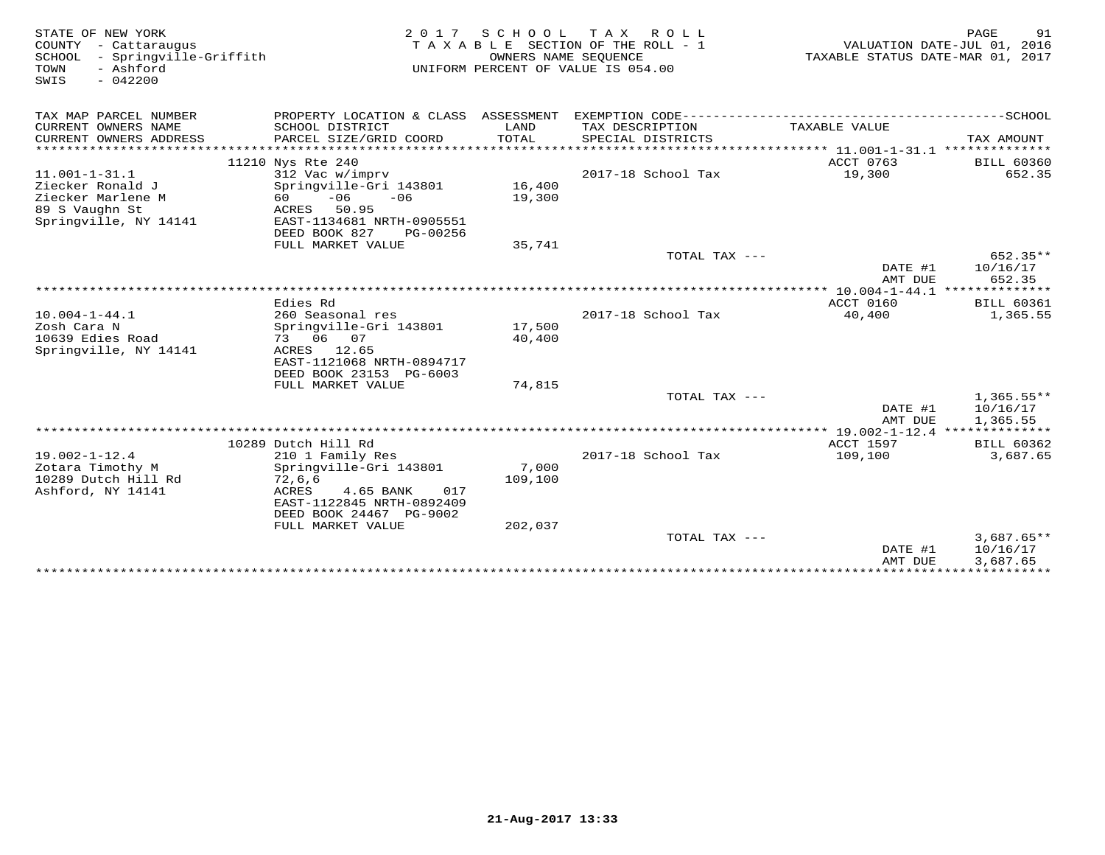| STATE OF NEW YORK<br>COUNTY - Cattaraugus<br>- Springville-Griffith<br>SCHOOL<br>TOWN<br>- Ashford<br>SWIS<br>$-042200$ |                                                                              | 2017 SCHOOL TAX<br>OWNERS NAME SEQUENCE | ROLL<br>TAXABLE SECTION OF THE ROLL - 1<br>UNIFORM PERCENT OF VALUE IS 054.00 | TAXABLE STATUS DATE-MAR 01, 2017 | PAGE<br>91<br>VALUATION DATE-JUL 01, 2016 |
|-------------------------------------------------------------------------------------------------------------------------|------------------------------------------------------------------------------|-----------------------------------------|-------------------------------------------------------------------------------|----------------------------------|-------------------------------------------|
| TAX MAP PARCEL NUMBER                                                                                                   | PROPERTY LOCATION & CLASS ASSESSMENT                                         |                                         | EXEMPTION CODE-----------------------                                         |                                  | ----------------SCHOOL                    |
| CURRENT OWNERS NAME<br>CURRENT OWNERS ADDRESS<br>**********************                                                 | SCHOOL DISTRICT<br>PARCEL SIZE/GRID COORD<br>******************************* | LAND<br>TOTAL                           | TAX DESCRIPTION<br>SPECIAL DISTRICTS                                          | TAXABLE VALUE                    | TAX AMOUNT                                |
|                                                                                                                         | 11210 Nys Rte 240                                                            |                                         |                                                                               | ACCT 0763                        | <b>BILL 60360</b>                         |
| $11.001 - 1 - 31.1$                                                                                                     | 312 Vac w/imprv                                                              |                                         | 2017-18 School Tax                                                            | 19,300                           | 652.35                                    |
| Ziecker Ronald J                                                                                                        | Springville-Gri 143801                                                       | 16,400                                  |                                                                               |                                  |                                           |
| Ziecker Marlene M                                                                                                       | $-06$<br>$-06$<br>60 -                                                       | 19,300                                  |                                                                               |                                  |                                           |
| 89 S Vaughn St                                                                                                          | ACRES<br>50.95                                                               |                                         |                                                                               |                                  |                                           |
| Springville, NY 14141                                                                                                   | EAST-1134681 NRTH-0905551                                                    |                                         |                                                                               |                                  |                                           |
|                                                                                                                         | DEED BOOK 827<br>PG-00256                                                    |                                         |                                                                               |                                  |                                           |
|                                                                                                                         | FULL MARKET VALUE                                                            | 35,741                                  | TOTAL TAX ---                                                                 |                                  | 652.35**                                  |
|                                                                                                                         |                                                                              |                                         |                                                                               | DATE #1                          | 10/16/17                                  |
|                                                                                                                         |                                                                              |                                         |                                                                               | AMT DUE                          | 652.35                                    |
|                                                                                                                         |                                                                              |                                         |                                                                               | ************* 10.004-1-44.1      | **************                            |
|                                                                                                                         | Edies Rd                                                                     |                                         |                                                                               | ACCT 0160                        | <b>BILL 60361</b>                         |
| $10.004 - 1 - 44.1$                                                                                                     | 260 Seasonal res                                                             |                                         | 2017-18 School Tax                                                            | 40,400                           | 1,365.55                                  |
| Zosh Cara N                                                                                                             | Springville-Gri 143801                                                       | 17,500                                  |                                                                               |                                  |                                           |
| 10639 Edies Road                                                                                                        | 73 06 07                                                                     | 40,400                                  |                                                                               |                                  |                                           |
| Springville, NY 14141                                                                                                   | ACRES 12.65<br>EAST-1121068 NRTH-0894717                                     |                                         |                                                                               |                                  |                                           |
|                                                                                                                         | DEED BOOK 23153 PG-6003                                                      |                                         |                                                                               |                                  |                                           |
|                                                                                                                         | FULL MARKET VALUE                                                            | 74,815                                  |                                                                               |                                  |                                           |
|                                                                                                                         |                                                                              |                                         | TOTAL TAX ---                                                                 |                                  | $1,365.55**$                              |
|                                                                                                                         |                                                                              |                                         |                                                                               | DATE #1                          | 10/16/17                                  |
|                                                                                                                         |                                                                              |                                         |                                                                               | AMT DUE                          | 1,365.55                                  |
|                                                                                                                         |                                                                              |                                         |                                                                               |                                  |                                           |
| $19.002 - 1 - 12.4$                                                                                                     | 10289 Dutch Hill Rd<br>210 1 Family Res                                      |                                         | 2017-18 School Tax                                                            | ACCT 1597<br>109,100             | <b>BILL 60362</b><br>3,687.65             |
| Zotara Timothy M                                                                                                        | Springville-Gri 143801                                                       | 7,000                                   |                                                                               |                                  |                                           |
| 10289 Dutch Hill Rd                                                                                                     | 72,6,6                                                                       | 109,100                                 |                                                                               |                                  |                                           |
| Ashford, NY 14141                                                                                                       | ACRES<br>4.65 BANK<br>017                                                    |                                         |                                                                               |                                  |                                           |
|                                                                                                                         | EAST-1122845 NRTH-0892409                                                    |                                         |                                                                               |                                  |                                           |
|                                                                                                                         | DEED BOOK 24467 PG-9002                                                      |                                         |                                                                               |                                  |                                           |
|                                                                                                                         | FULL MARKET VALUE                                                            | 202,037                                 |                                                                               |                                  |                                           |
|                                                                                                                         |                                                                              |                                         | TOTAL TAX ---                                                                 |                                  | $3.687.65**$<br>10/16/17                  |
|                                                                                                                         |                                                                              |                                         |                                                                               | DATE #1<br>AMT DUE               | 3,687.65                                  |
|                                                                                                                         |                                                                              |                                         |                                                                               |                                  |                                           |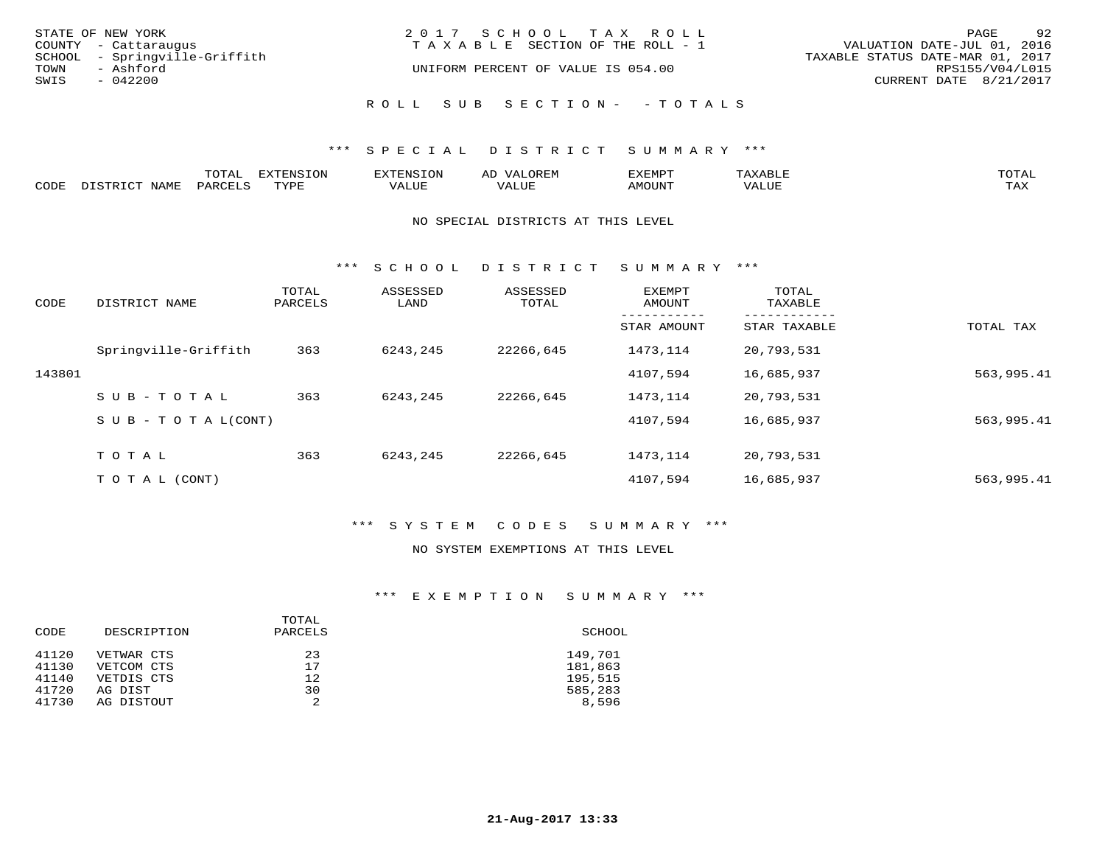|      | STATE OF NEW YORK             | 2017 SCHOOL TAX ROLL                  | PAGE                             | 92              |
|------|-------------------------------|---------------------------------------|----------------------------------|-----------------|
|      | COUNTY - Cattaraugus          | T A X A B L E SECTION OF THE ROLL - 1 | VALUATION DATE-JUL 01, 2016      |                 |
|      | SCHOOL - Springville-Griffith |                                       | TAXABLE STATUS DATE-MAR 01, 2017 |                 |
| TOWN | - Ashford                     | UNIFORM PERCENT OF VALUE IS 054.00    |                                  | RPS155/V04/L015 |
| SWIS | $-042200$                     |                                       | CURRENT DATE 8/21/2017           |                 |
|      |                               | ROLL SUB SECTION- - TOTALS            |                                  |                 |

### \*\*\* S P E C I A L D I S T R I C T S U M M A R Y \*\*\*

|      |      | momn'<br>LUIAL | $\pi$<br><b>A</b>    | HU I H | $\rightarrow$<br>AL' | <sup>-</sup> עד הת |      | $m \wedge m \wedge$<br>$\overline{\phantom{a}}$ |
|------|------|----------------|----------------------|--------|----------------------|--------------------|------|-------------------------------------------------|
| CODE | NAME | PARO           | TVDF<br><u>ی ہ</u> ہ | /ALUE  |                      | <b>AMOUNT</b>      | 'JUF | may<br>⊥ ∠∡∡                                    |

#### NO SPECIAL DISTRICTS AT THIS LEVEL

\*\*\* S C H O O L D I S T R I C T S U M M A R Y \*\*\*

| CODE   | DISTRICT NAME                    | TOTAL<br>PARCELS | ASSESSED<br>LAND | ASSESSED<br>TOTAL | EXEMPT<br>AMOUNT | TOTAL<br>TAXABLE |            |
|--------|----------------------------------|------------------|------------------|-------------------|------------------|------------------|------------|
|        |                                  |                  |                  |                   | STAR AMOUNT      | STAR TAXABLE     | TOTAL TAX  |
|        | Springville-Griffith             | 363              | 6243,245         | 22266,645         | 1473,114         | 20,793,531       |            |
| 143801 |                                  |                  |                  |                   | 4107,594         | 16,685,937       | 563,995.41 |
|        | $SUB - TO TAL$                   | 363              | 6243,245         | 22266,645         | 1473,114         | 20,793,531       |            |
|        | $S \cup B - T \cup T A L (CONT)$ |                  |                  |                   | 4107,594         | 16,685,937       | 563,995.41 |
|        | TOTAL                            | 363              | 6243,245         | 22266,645         | 1473,114         | 20,793,531       |            |
|        | T O T A L (CONT)                 |                  |                  |                   | 4107,594         | 16,685,937       | 563,995.41 |

### \*\*\* S Y S T E M C O D E S S U M M A R Y \*\*\*

#### NO SYSTEM EXEMPTIONS AT THIS LEVEL

## \*\*\* E X E M P T I O N S U M M A R Y \*\*\*

| CODE  | DESCRIPTION | TOTAL<br>PARCELS | SCHOOL  |
|-------|-------------|------------------|---------|
| 41120 | VETWAR CTS  | 23               | 149,701 |
| 41130 | VETCOM CTS  | 17               | 181,863 |
| 41140 | VETDIS CTS  | 12               | 195,515 |
| 41720 | AG DIST     | 30               | 585,283 |
| 41730 | AG DISTOUT  | 2                | 8,596   |
|       |             |                  |         |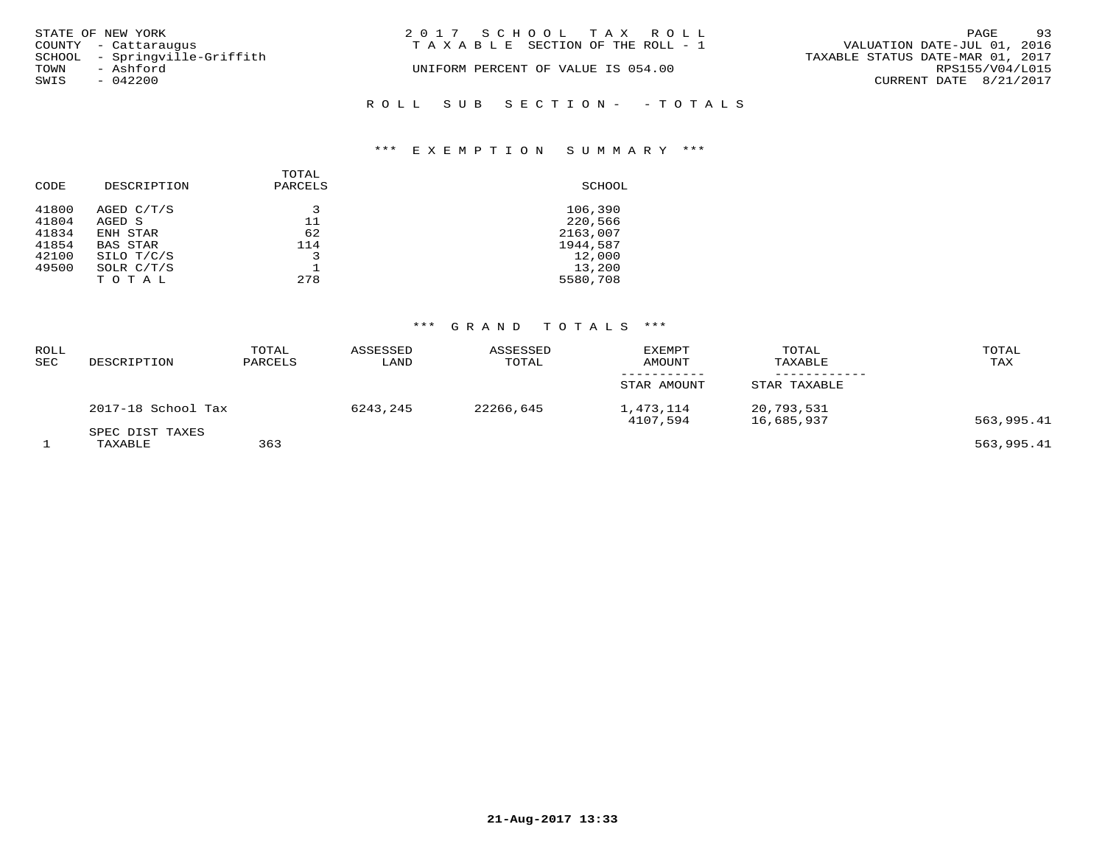| STATE OF NEW YORK             | 2017 SCHOOL TAX ROLL                  | 93<br>PAGE                       |
|-------------------------------|---------------------------------------|----------------------------------|
| COUNTY - Cattaraugus          | T A X A B L E SECTION OF THE ROLL - 1 | VALUATION DATE-JUL 01, 2016      |
| SCHOOL - Springville-Griffith |                                       | TAXABLE STATUS DATE-MAR 01, 2017 |
| TOWN<br>- Ashford             | UNIFORM PERCENT OF VALUE IS 054.00    | RPS155/V04/L015                  |
| SWIS<br>$-042200$             |                                       | CURRENT DATE 8/21/2017           |
|                               | ROLL SUB SECTION- - TOTALS            |                                  |

# \*\*\* E X E M P T I O N S U M M A R Y \*\*\*

| CODE  | DESCRIPTION     | TOTAL<br>PARCELS | SCHOOL   |
|-------|-----------------|------------------|----------|
| 41800 | AGED C/T/S      | 3                | 106,390  |
| 41804 | AGED S          | 11               | 220,566  |
| 41834 | ENH STAR        | 62               | 2163,007 |
| 41854 | <b>BAS STAR</b> | 114              | 1944,587 |
| 42100 | SILO T/C/S      | 3                | 12,000   |
| 49500 | SOLR $C/T/S$    |                  | 13,200   |
|       | TOTAL           | 278              | 5580,708 |

## \*\*\* G R A N D T O T A L S \*\*\*

| <b>ROLL</b><br><b>SEC</b> | DESCRIPTION        | TOTAL<br>PARCELS | ASSESSED<br>LAND | ASSESSED<br>TOTAL | <b>EXEMPT</b><br>AMOUNT | TOTAL<br>TAXABLE         | TOTAL<br>TAX |
|---------------------------|--------------------|------------------|------------------|-------------------|-------------------------|--------------------------|--------------|
|                           |                    |                  |                  |                   | STAR AMOUNT             | STAR TAXABLE             |              |
|                           | 2017-18 School Tax |                  | 6243,245         | 22266,645         | 1,473,114<br>4107,594   | 20,793,531<br>16,685,937 | 563,995.41   |
|                           | SPEC DIST TAXES    |                  |                  |                   |                         |                          |              |
|                           | TAXABLE            | 363              |                  |                   |                         |                          | 563,995.41   |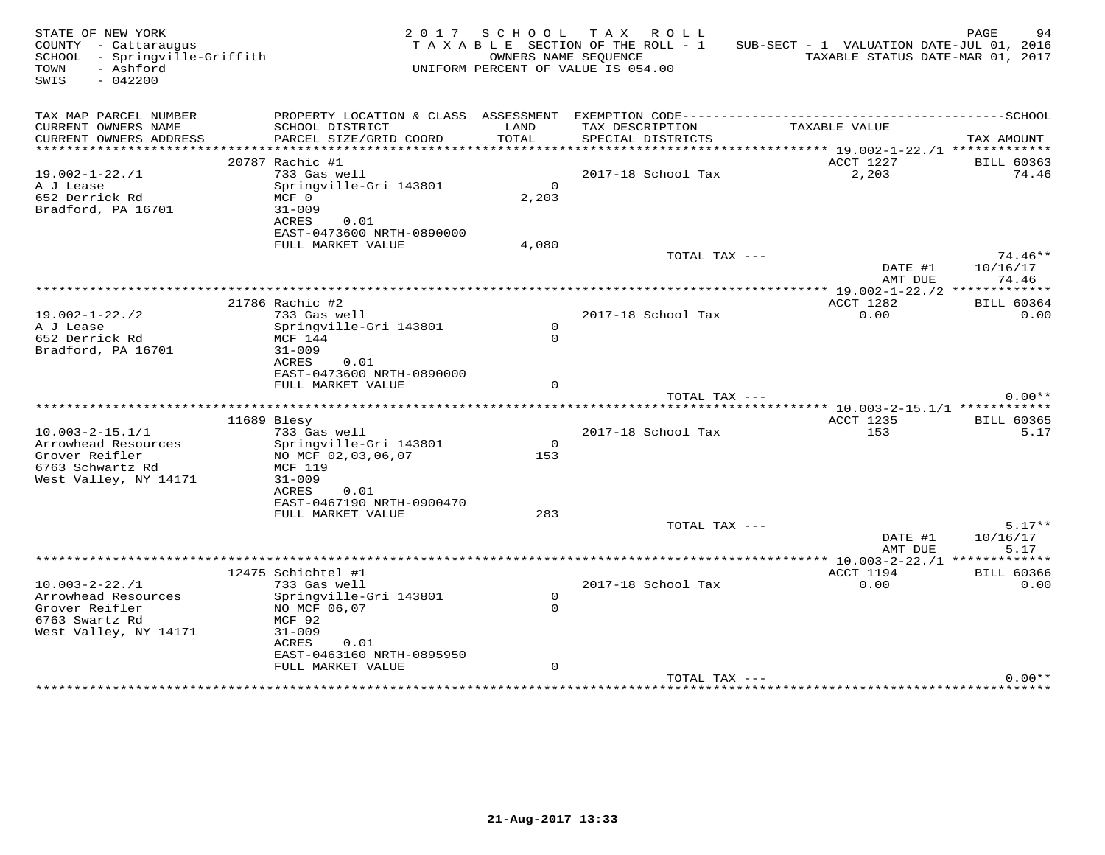| STATE OF NEW YORK<br>COUNTY - Cattaraugus<br>SCHOOL - Springville-Griffith<br>- Ashford<br>TOWN<br>SWIS<br>$-042200$ |                                                                            | 2017 SCHOOL              | TAX ROLL<br>TAXABLE SECTION OF THE ROLL - 1<br>OWNERS NAME SEQUENCE<br>UNIFORM PERCENT OF VALUE IS 054.00 | SUB-SECT - 1 VALUATION DATE-JUL 01, 2016 | PAGE<br>94<br>TAXABLE STATUS DATE-MAR 01, 2017 |
|----------------------------------------------------------------------------------------------------------------------|----------------------------------------------------------------------------|--------------------------|-----------------------------------------------------------------------------------------------------------|------------------------------------------|------------------------------------------------|
| TAX MAP PARCEL NUMBER                                                                                                | PROPERTY LOCATION & CLASS ASSESSMENT EXEMPTION CODE----------------------- |                          |                                                                                                           |                                          | ---------------SCHOOL                          |
| CURRENT OWNERS NAME<br>CURRENT OWNERS ADDRESS                                                                        | SCHOOL DISTRICT<br>PARCEL SIZE/GRID COORD                                  | LAND<br>TOTAL            | TAX DESCRIPTION<br>SPECIAL DISTRICTS                                                                      | TAXABLE VALUE                            | TAX AMOUNT                                     |
| ***********************                                                                                              |                                                                            |                          |                                                                                                           |                                          |                                                |
|                                                                                                                      | 20787 Rachic #1                                                            |                          |                                                                                                           | ACCT 1227                                | <b>BILL 60363</b>                              |
| $19.002 - 1 - 22. / 1$                                                                                               | 733 Gas well                                                               |                          | 2017-18 School Tax                                                                                        | 2,203                                    | 74.46                                          |
| A J Lease<br>652 Derrick Rd<br>Bradford, PA 16701                                                                    | Springville-Gri 143801<br>$MCF$ 0<br>$31 - 009$                            | $\circ$<br>2,203         |                                                                                                           |                                          |                                                |
|                                                                                                                      | ACRES<br>0.01<br>EAST-0473600 NRTH-0890000                                 |                          |                                                                                                           |                                          |                                                |
|                                                                                                                      | FULL MARKET VALUE                                                          | 4,080                    |                                                                                                           |                                          |                                                |
|                                                                                                                      |                                                                            |                          | TOTAL TAX ---                                                                                             | DATE #1<br>AMT DUE                       | 74.46**<br>10/16/17<br>74.46                   |
|                                                                                                                      |                                                                            |                          |                                                                                                           |                                          |                                                |
|                                                                                                                      | 21786 Rachic #2                                                            |                          |                                                                                                           | ACCT 1282                                | <b>BILL 60364</b>                              |
| $19.002 - 1 - 22.72$                                                                                                 | 733 Gas well                                                               |                          | 2017-18 School Tax                                                                                        | 0.00                                     | 0.00                                           |
| A J Lease                                                                                                            | Springville-Gri 143801                                                     | $\circ$<br>$\Omega$      |                                                                                                           |                                          |                                                |
| 652 Derrick Rd<br>Bradford, PA 16701                                                                                 | MCF 144<br>$31 - 009$                                                      |                          |                                                                                                           |                                          |                                                |
|                                                                                                                      | ACRES<br>0.01                                                              |                          |                                                                                                           |                                          |                                                |
|                                                                                                                      | EAST-0473600 NRTH-0890000                                                  |                          |                                                                                                           |                                          |                                                |
|                                                                                                                      | FULL MARKET VALUE                                                          | $\Omega$                 |                                                                                                           |                                          |                                                |
|                                                                                                                      |                                                                            |                          | TOTAL TAX ---                                                                                             |                                          | $0.00**$                                       |
|                                                                                                                      | 11689 Blesy                                                                |                          |                                                                                                           | <b>ACCT 1235</b>                         | <b>BILL 60365</b>                              |
| $10.003 - 2 - 15.1/1$                                                                                                | 733 Gas well                                                               |                          | 2017-18 School Tax                                                                                        | 153                                      | 5.17                                           |
| Arrowhead Resources                                                                                                  | Springville-Gri 143801                                                     | $\circ$                  |                                                                                                           |                                          |                                                |
| Grover Reifler<br>6763 Schwartz Rd                                                                                   | NO MCF 02,03,06,07<br>MCF 119                                              | 153                      |                                                                                                           |                                          |                                                |
| West Valley, NY 14171                                                                                                | $31 - 009$                                                                 |                          |                                                                                                           |                                          |                                                |
|                                                                                                                      | ACRES<br>0.01                                                              |                          |                                                                                                           |                                          |                                                |
|                                                                                                                      | EAST-0467190 NRTH-0900470                                                  |                          |                                                                                                           |                                          |                                                |
|                                                                                                                      | FULL MARKET VALUE                                                          | 283                      |                                                                                                           |                                          |                                                |
|                                                                                                                      |                                                                            |                          | TOTAL TAX ---                                                                                             | DATE #1<br>AMT DUE                       | $5.17**$<br>10/16/17<br>5.17                   |
|                                                                                                                      |                                                                            |                          | ******************                                                                                        |                                          | $*10.003 - 2 - 22.1$ *************             |
|                                                                                                                      | 12475 Schichtel #1                                                         |                          |                                                                                                           | ACCT 1194                                | <b>BILL 60366</b>                              |
| $10.003 - 2 - 22.1$                                                                                                  | 733 Gas well                                                               |                          | 2017-18 School Tax                                                                                        | 0.00                                     | 0.00                                           |
| Arrowhead Resources<br>Grover Reifler                                                                                | Springville-Gri 143801<br>NO MCF 06,07                                     | $\mathsf{O}$<br>$\Omega$ |                                                                                                           |                                          |                                                |
| 6763 Swartz Rd                                                                                                       | MCF 92                                                                     |                          |                                                                                                           |                                          |                                                |
| West Valley, NY 14171                                                                                                | $31 - 009$                                                                 |                          |                                                                                                           |                                          |                                                |
|                                                                                                                      | ACRES<br>0.01                                                              |                          |                                                                                                           |                                          |                                                |
|                                                                                                                      | EAST-0463160 NRTH-0895950                                                  | $\mathbf 0$              |                                                                                                           |                                          |                                                |
|                                                                                                                      | FULL MARKET VALUE                                                          |                          | TOTAL TAX ---                                                                                             |                                          | $0.00**$                                       |
|                                                                                                                      |                                                                            |                          |                                                                                                           |                                          |                                                |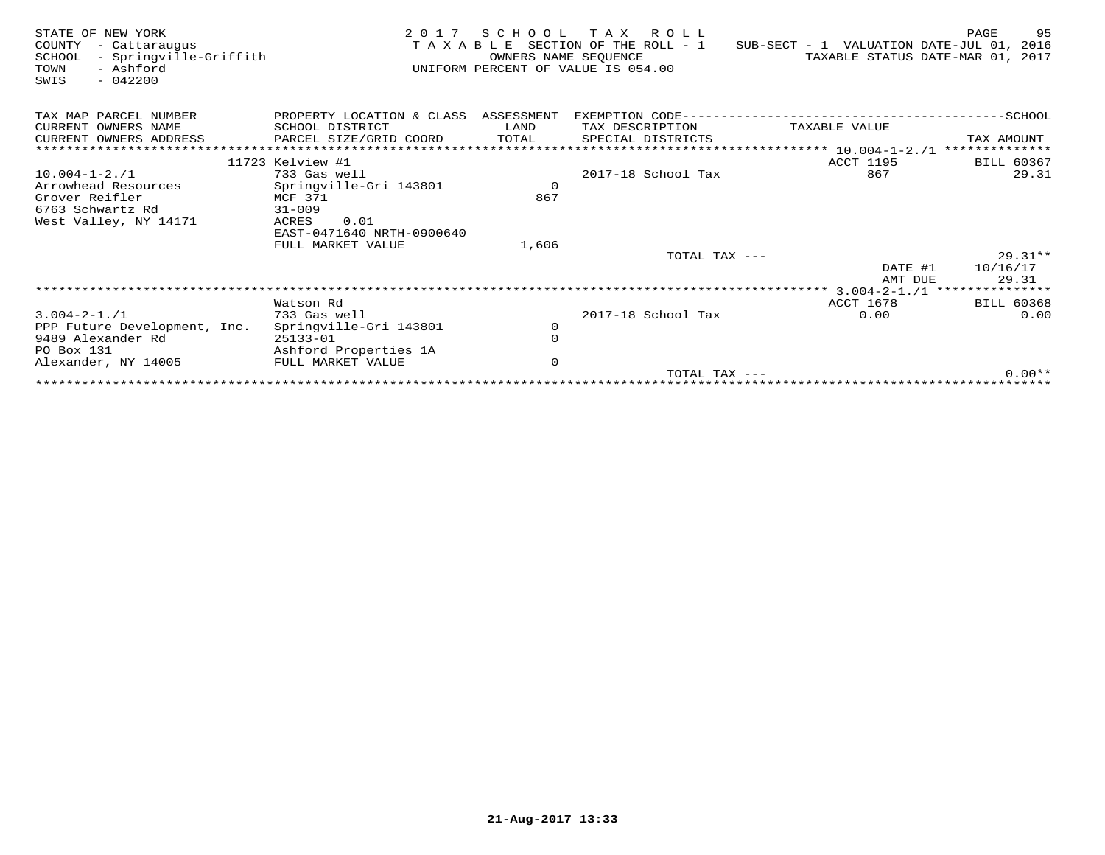| STATE OF NEW YORK<br>COUNTY<br>- Cattaraugus<br>- Springville-Griffith<br>SCHOOL<br>- Ashford<br>TOWN<br>$-042200$<br>SWIS | 2 0 1 7                               | S C H O O L | T A X<br>R O L L<br>TAXABLE SECTION OF THE ROLL - 1<br>OWNERS NAME SEQUENCE<br>UNIFORM PERCENT OF VALUE IS 054.00 | SUB-SECT - 1 VALUATION DATE-JUL 01, 2016<br>TAXABLE STATUS DATE-MAR 01, 2017 | 95<br>PAGE               |
|----------------------------------------------------------------------------------------------------------------------------|---------------------------------------|-------------|-------------------------------------------------------------------------------------------------------------------|------------------------------------------------------------------------------|--------------------------|
| TAX MAP PARCEL NUMBER                                                                                                      | PROPERTY LOCATION & CLASS             | ASSESSMENT  | EXEMPTION CODE--                                                                                                  |                                                                              | $-SCHOOL$                |
| CURRENT OWNERS NAME                                                                                                        | SCHOOL DISTRICT                       | LAND        | TAX DESCRIPTION                                                                                                   | TAXABLE VALUE                                                                |                          |
| CURRENT OWNERS ADDRESS                                                                                                     | PARCEL SIZE/GRID COORD                | TOTAL       | SPECIAL DISTRICTS                                                                                                 |                                                                              | TAX AMOUNT               |
|                                                                                                                            |                                       |             |                                                                                                                   | ***** 10.004-1-2./1                                                          |                          |
|                                                                                                                            | 11723 Kelview #1                      |             |                                                                                                                   | <b>ACCT 1195</b>                                                             | <b>BILL 60367</b>        |
| $10.004 - 1 - 2.71$                                                                                                        | 733 Gas well                          |             | 2017-18 School Tax                                                                                                | 867                                                                          | 29.31                    |
| Arrowhead Resources                                                                                                        | Springville-Gri 143801                | $\circ$     |                                                                                                                   |                                                                              |                          |
| Grover Reifler                                                                                                             | MCF 371                               | 867         |                                                                                                                   |                                                                              |                          |
| 6763 Schwartz Rd                                                                                                           | $31 - 009$                            |             |                                                                                                                   |                                                                              |                          |
| West Valley, NY 14171                                                                                                      | 0.01<br>ACRES                         |             |                                                                                                                   |                                                                              |                          |
|                                                                                                                            | EAST-0471640 NRTH-0900640             |             |                                                                                                                   |                                                                              |                          |
|                                                                                                                            | FULL MARKET VALUE                     | 1,606       |                                                                                                                   |                                                                              |                          |
|                                                                                                                            |                                       |             | TOTAL TAX ---                                                                                                     |                                                                              | $29.31**$                |
|                                                                                                                            |                                       |             |                                                                                                                   | DATE #1                                                                      | 10/16/17                 |
|                                                                                                                            |                                       |             |                                                                                                                   | AMT DUE                                                                      | 29.31<br>*************** |
|                                                                                                                            |                                       |             |                                                                                                                   |                                                                              |                          |
|                                                                                                                            | Watson Rd                             |             |                                                                                                                   | ACCT 1678                                                                    | <b>BILL 60368</b>        |
| $3.004 - 2 - 1.71$                                                                                                         | 733 Gas well                          |             | 2017-18 School Tax                                                                                                | 0.00                                                                         | 0.00                     |
| PPP Future Development, Inc.                                                                                               | Springville-Gri 143801                | 0           |                                                                                                                   |                                                                              |                          |
| 9489 Alexander Rd<br>PO Box 131                                                                                            | $25133 - 01$<br>Ashford Properties 1A | $\mathbf 0$ |                                                                                                                   |                                                                              |                          |
| Alexander, NY 14005                                                                                                        | FULL MARKET VALUE                     | $\mathbf 0$ |                                                                                                                   |                                                                              |                          |
|                                                                                                                            |                                       |             | TOTAL TAX $---$                                                                                                   |                                                                              | $0.00**$                 |
|                                                                                                                            |                                       |             |                                                                                                                   |                                                                              |                          |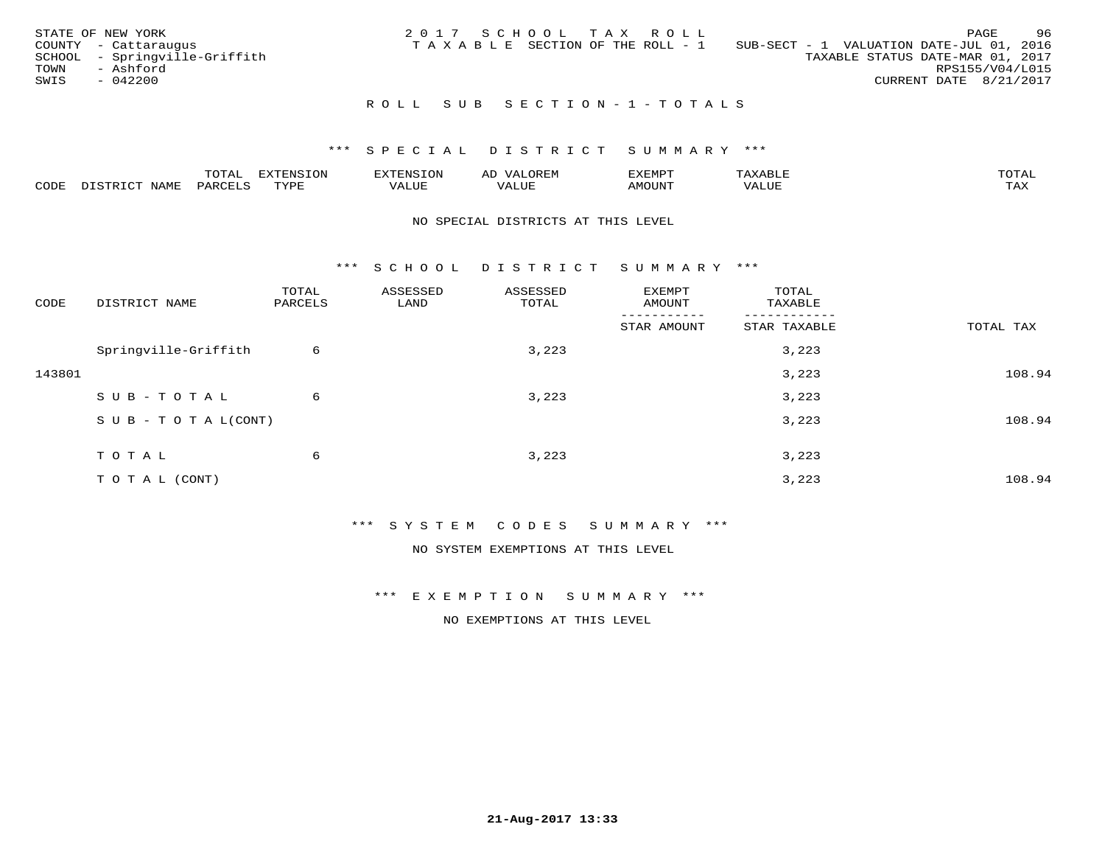|      | STATE OF NEW YORK             | 2017 SCHOOL TAX ROLL |  |                                 |                                          |                        | PAGE | -96 |
|------|-------------------------------|----------------------|--|---------------------------------|------------------------------------------|------------------------|------|-----|
|      | COUNTY - Cattaraugus          |                      |  | TAXABLE SECTION OF THE ROLL - 1 | SUB-SECT - 1 VALUATION DATE-JUL 01, 2016 |                        |      |     |
|      | SCHOOL - Springville-Griffith |                      |  |                                 | TAXABLE STATUS DATE-MAR 01, 2017         |                        |      |     |
| TOWN | - Ashford                     |                      |  |                                 |                                          | RPS155/V04/L015        |      |     |
| SWIS | $-042200$                     |                      |  |                                 |                                          | CURRENT DATE 8/21/2017 |      |     |
|      |                               |                      |  |                                 |                                          |                        |      |     |

## ROLL SUB SECTION-1-TOTALS

## \*\*\* S P E C I A L D I S T R I C T S U M M A R Y \*\*\*

|      |              | ---- | ח 77 | F.N.S              | ΑL | דסMדאי        |       | $m \wedge m \wedge n$ |
|------|--------------|------|------|--------------------|----|---------------|-------|-----------------------|
| CODE | - --<br>NAME | 'AKV | TVDF | <b>TTT</b><br>ALUE |    | <b>MOTIN'</b> | T T T | ГAX                   |

#### NO SPECIAL DISTRICTS AT THIS LEVEL

\*\*\* S C H O O L D I S T R I C T S U M M A R Y \*\*\*

| CODE   | DISTRICT NAME                    | TOTAL<br>PARCELS | ASSESSED<br>LAND | ASSESSED<br>TOTAL | EXEMPT<br>AMOUNT | TOTAL<br>TAXABLE |           |
|--------|----------------------------------|------------------|------------------|-------------------|------------------|------------------|-----------|
|        |                                  |                  |                  |                   | STAR AMOUNT      | STAR TAXABLE     | TOTAL TAX |
|        | Springville-Griffith             | 6                |                  | 3,223             |                  | 3,223            |           |
| 143801 |                                  |                  |                  |                   |                  | 3,223            | 108.94    |
|        | SUB-TOTAL                        | 6                |                  | 3,223             |                  | 3,223            |           |
|        | $S \cup B - T \cup T A L (CONT)$ |                  |                  |                   |                  | 3,223            | 108.94    |
|        | TOTAL                            | 6                |                  | 3,223             |                  | 3,223            |           |
|        | TO TAL (CONT)                    |                  |                  |                   |                  | 3,223            | 108.94    |

\*\*\* S Y S T E M C O D E S S U M M A R Y \*\*\*

NO SYSTEM EXEMPTIONS AT THIS LEVEL

\*\*\* E X E M P T I O N S U M M A R Y \*\*\*

NO EXEMPTIONS AT THIS LEVEL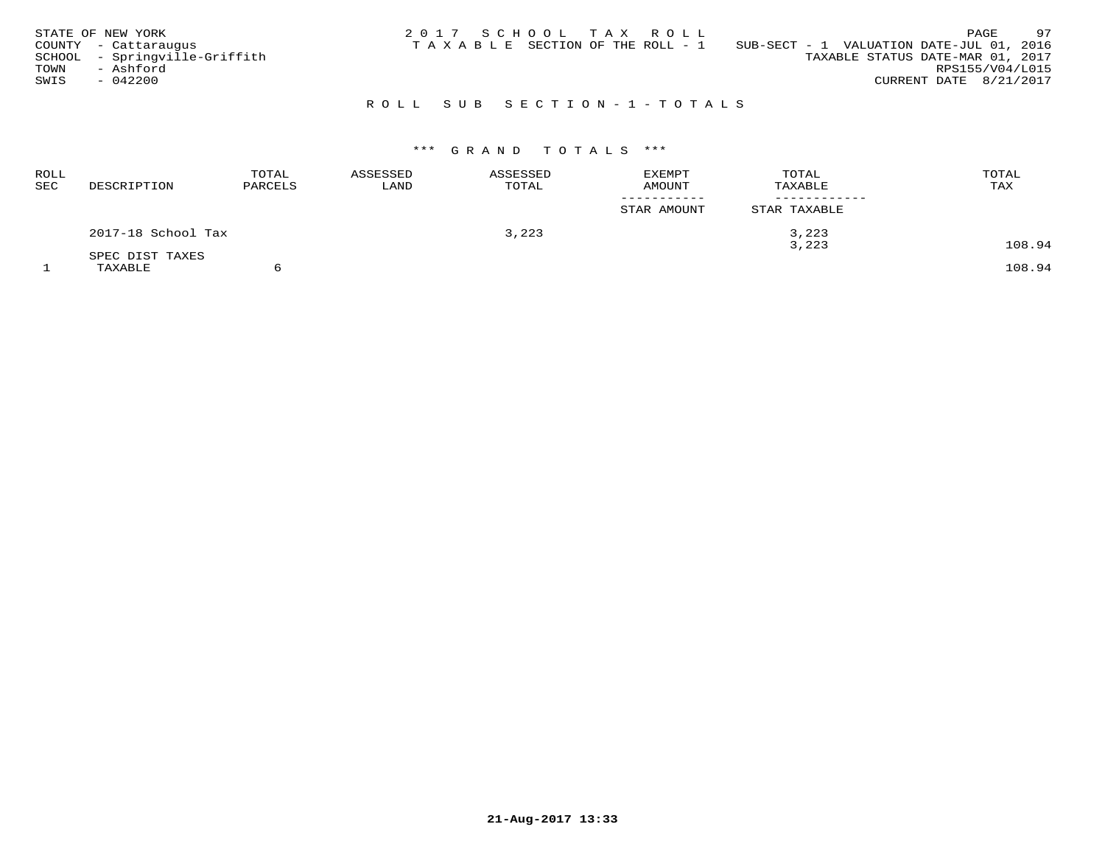| STATE OF NEW YORK             | 97<br>2017 SCHOOL TAX ROLL<br>PAGE                                          |
|-------------------------------|-----------------------------------------------------------------------------|
| COUNTY - Cattaraugus          | SUB-SECT - 1 VALUATION DATE-JUL 01, 2016<br>TAXABLE SECTION OF THE ROLL - 1 |
| SCHOOL - Springville-Griffith | TAXABLE STATUS DATE-MAR 01, 2017                                            |
| TOWN<br>- Ashford             | RPS155/V04/L015                                                             |
| SWIS<br>- 042200              | CURRENT DATE 8/21/2017                                                      |
|                               |                                                                             |

## R O L L S U B S E C T I O N - 1 - T O T A L S

# \*\*\* G R A N D T O T A L S \*\*\*

| <b>ROLL</b><br>SEC | DESCRIPTION        | TOTAL<br>PARCELS | ASSESSED<br>LAND | ASSESSED<br>TOTAL | <b>EXEMPT</b><br><b>AMOUNT</b> | TOTAL<br>TAXABLE | TOTAL<br>TAX |
|--------------------|--------------------|------------------|------------------|-------------------|--------------------------------|------------------|--------------|
|                    |                    |                  |                  |                   | STAR AMOUNT                    | STAR TAXABLE     |              |
|                    | 2017-18 School Tax |                  |                  | 3,223             |                                | 3,223            |              |
|                    | SPEC DIST TAXES    |                  |                  |                   |                                | 3,223            | 108.94       |
|                    | TAXABLE            |                  |                  |                   |                                |                  | 108.94       |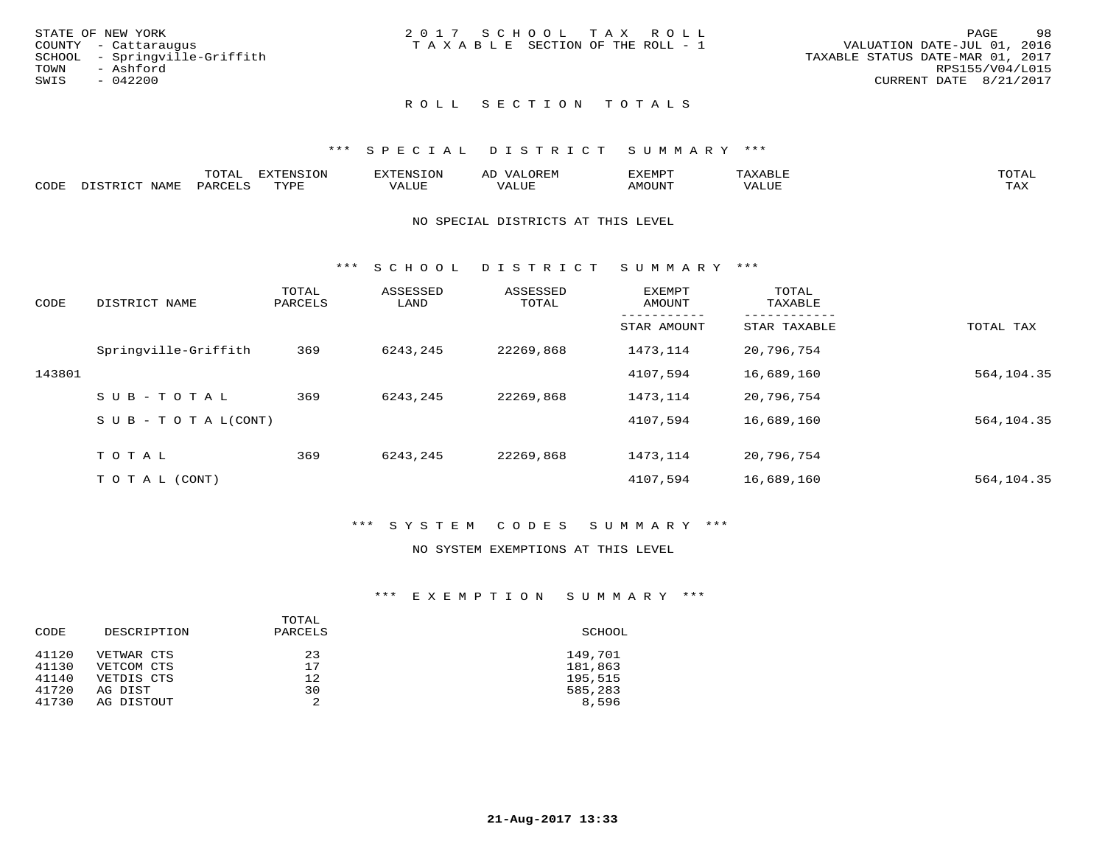| 2017 SCHOOL TAX ROLL<br>STATE OF NEW YORK               | -98<br>PAGE                      |
|---------------------------------------------------------|----------------------------------|
| TAXABLE SECTION OF THE ROLL - 1<br>COUNTY - Cattaraugus | VALUATION DATE-JUL 01, 2016      |
| SCHOOL - Springville-Griffith                           | TAXABLE STATUS DATE-MAR 01, 2017 |
| TOWN<br>- Ashford                                       | RPS155/V04/L015                  |
| SWIS<br>- 042200                                        | CURRENT DATE 8/21/2017           |
|                                                         |                                  |

# ROLL SECTION TOTALS

### \*\*\* S P E C I A L D I S T R I C T S U M M A R Y \*\*\*

|      |             | $m \wedge m \wedge n$<br>'U'I'AI | <b>EXTENSION</b> | HINS. | OREM<br><u>ΔΙ</u><br>سد | דפוא:TXF<br>للتنتيذ |        | TOTAL          |
|------|-------------|----------------------------------|------------------|-------|-------------------------|---------------------|--------|----------------|
| CODE | <b>NAME</b> | DAPCFT.C                         | TVDF             | VALUE | VALUE                   | <b>AMOUNT</b>       | 7 ALUL | TAY.<br>⊥ ∠~∡∡ |

#### NO SPECIAL DISTRICTS AT THIS LEVEL

\*\*\* S C H O O L D I S T R I C T S U M M A R Y \*\*\*

| CODE   | DISTRICT NAME                    | TOTAL<br>PARCELS | ASSESSED<br>LAND | ASSESSED<br>TOTAL | EXEMPT<br>AMOUNT | TOTAL<br>TAXABLE |            |
|--------|----------------------------------|------------------|------------------|-------------------|------------------|------------------|------------|
|        |                                  |                  |                  |                   | STAR AMOUNT      | STAR TAXABLE     | TOTAL TAX  |
|        | Springville-Griffith             | 369              | 6243,245         | 22269,868         | 1473,114         | 20,796,754       |            |
| 143801 |                                  |                  |                  |                   | 4107,594         | 16,689,160       | 564,104.35 |
|        | SUB-TOTAL                        | 369              | 6243,245         | 22269,868         | 1473,114         | 20,796,754       |            |
|        | $S \cup B - T \cup T A L (CONT)$ |                  |                  |                   | 4107,594         | 16,689,160       | 564,104.35 |
|        | TOTAL                            | 369              | 6243,245         | 22269,868         | 1473,114         | 20,796,754       |            |
|        | T O T A L (CONT)                 |                  |                  |                   | 4107,594         | 16,689,160       | 564,104.35 |

## \*\*\* S Y S T E M C O D E S S U M M A R Y \*\*\*

#### NO SYSTEM EXEMPTIONS AT THIS LEVEL

## \*\*\* E X E M P T I O N S U M M A R Y \*\*\*

| CODE  | DESCRIPTION | TOTAL<br>PARCELS | SCHOOL  |
|-------|-------------|------------------|---------|
| 41120 | VETWAR CTS  | 23               | 149,701 |
| 41130 | VETCOM CTS  | 17               | 181,863 |
| 41140 | VETDIS CTS  | 12               | 195,515 |
| 41720 | AG DIST     | 30               | 585,283 |
| 41730 | AG DISTOUT  | 2                | 8,596   |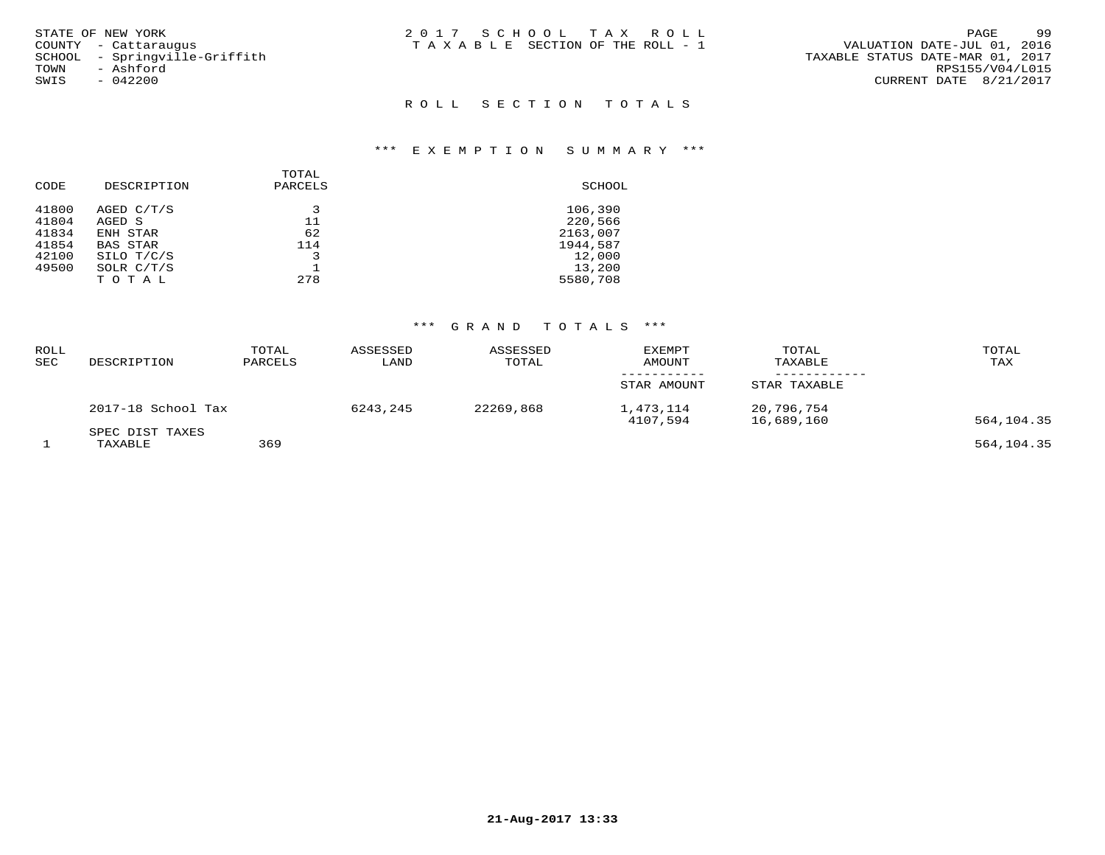| STATE OF NEW YORK             | 2017 SCHOOL TAX ROLL            | 99<br>PAGE                       |
|-------------------------------|---------------------------------|----------------------------------|
| COUNTY - Cattarauqus          | TAXABLE SECTION OF THE ROLL - 1 | VALUATION DATE-JUL 01, 2016      |
| SCHOOL - Sprinqville-Griffith |                                 | TAXABLE STATUS DATE-MAR 01, 2017 |
| TOWN<br>- Ashford             |                                 | RPS155/V04/L015                  |
| SWIS<br>- 042200              |                                 | CURRENT DATE 8/21/2017           |

# ROLL SECTION TOTALS

#### \*\*\* E X E M P T I O N S U M M A R Y \*\*\*

| CODE  | DESCRIPTION     | TOTAL<br>PARCELS | SCHOOL   |
|-------|-----------------|------------------|----------|
| 41800 | AGED C/T/S      | 3                | 106,390  |
| 41804 | AGED S          | 11               | 220,566  |
| 41834 | ENH STAR        | 62               | 2163,007 |
| 41854 | <b>BAS STAR</b> | 114              | 1944,587 |
| 42100 | SILO T/C/S      |                  | 12,000   |
| 49500 | SOLR C/T/S      |                  | 13,200   |
|       | TOTAL           | 278              | 5580,708 |
|       |                 |                  |          |

# \*\*\* G R A N D T O T A L S \*\*\*

| <b>ROLL</b><br>SEC | DESCRIPTION        | TOTAL<br>PARCELS | ASSESSED<br>LAND | ASSESSED<br>TOTAL | <b>EXEMPT</b><br>AMOUNT | TOTAL<br>TAXABLE         | TOTAL<br>TAX |
|--------------------|--------------------|------------------|------------------|-------------------|-------------------------|--------------------------|--------------|
|                    |                    |                  |                  |                   | STAR AMOUNT             | STAR TAXABLE             |              |
|                    | 2017-18 School Tax |                  | 6243,245         | 22269,868         | 1,473,114<br>4107,594   | 20,796,754<br>16,689,160 | 564,104.35   |
|                    | SPEC DIST TAXES    |                  |                  |                   |                         |                          |              |
|                    | TAXABLE            | 369              |                  |                   |                         |                          | 564,104.35   |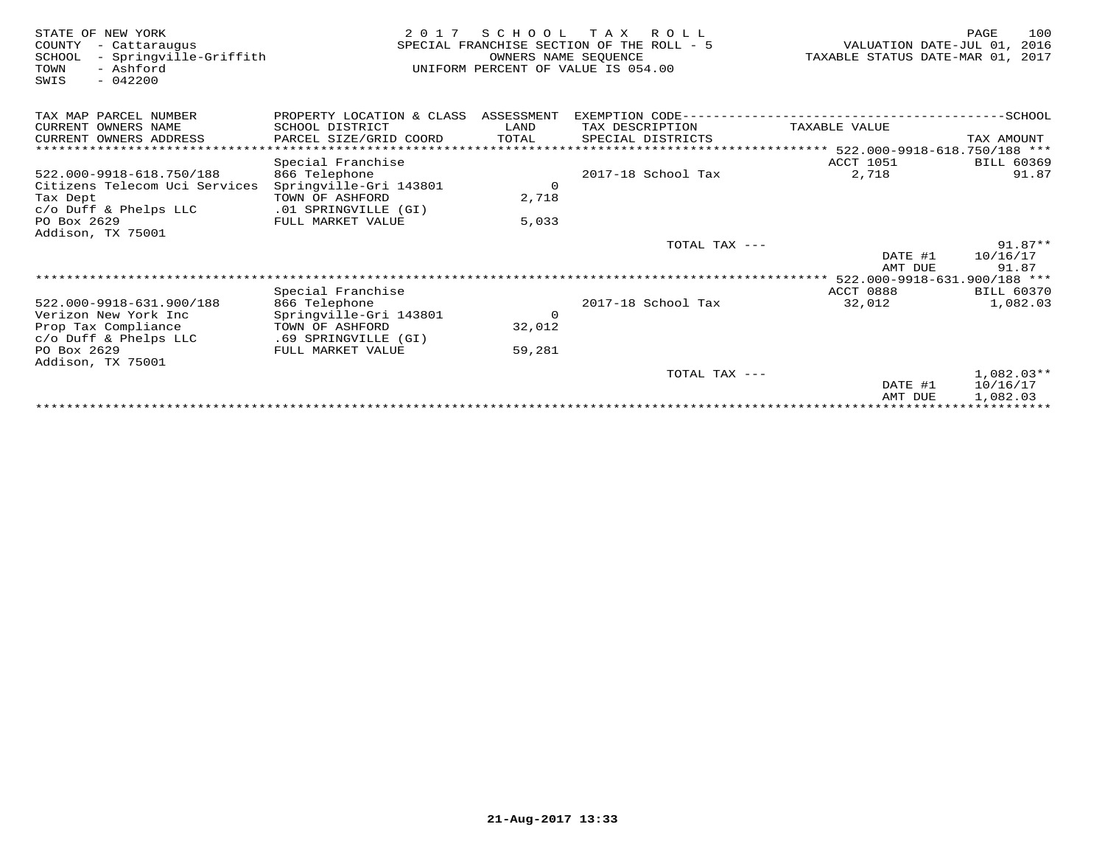| STATE OF NEW YORK<br>COUNTY<br>- Cattaraugus<br>- Springville-Griffith<br>SCHOOL<br>- Ashford<br>TOWN<br>$-042200$<br>SWIS | 2 0 1 7                                   | SCHOOL<br>OWNERS NAME SEQUENCE | T A X<br>R O L L<br>SPECIAL FRANCHISE SECTION OF THE ROLL - 5<br>UNIFORM PERCENT OF VALUE IS 054.00 | VALUATION DATE-JUL 01,<br>TAXABLE STATUS DATE-MAR 01, 2017 | 100<br>PAGE<br>2016 |
|----------------------------------------------------------------------------------------------------------------------------|-------------------------------------------|--------------------------------|-----------------------------------------------------------------------------------------------------|------------------------------------------------------------|---------------------|
| TAX MAP PARCEL NUMBER                                                                                                      | PROPERTY LOCATION & CLASS ASSESSMENT      |                                |                                                                                                     |                                                            |                     |
| CURRENT OWNERS NAME                                                                                                        | SCHOOL DISTRICT                           | LAND                           | TAX DESCRIPTION                                                                                     | TAXABLE VALUE                                              |                     |
| CURRENT OWNERS ADDRESS                                                                                                     | PARCEL SIZE/GRID COORD                    | TOTAL                          | SPECIAL DISTRICTS                                                                                   |                                                            | TAX AMOUNT          |
| *************************                                                                                                  |                                           |                                | ******************************** 522.000-9918-618.750/188 ***                                       |                                                            |                     |
|                                                                                                                            | Special Franchise                         |                                |                                                                                                     | <b>ACCT 1051</b>                                           | <b>BILL 60369</b>   |
| 522.000-9918-618.750/188                                                                                                   | 866 Telephone                             |                                | 2017-18 School Tax                                                                                  | 2,718                                                      | 91.87               |
| Citizens Telecom Uci Services                                                                                              | Springville-Gri 143801                    | $\Omega$                       |                                                                                                     |                                                            |                     |
| Tax Dept                                                                                                                   | TOWN OF ASHFORD                           | 2,718                          |                                                                                                     |                                                            |                     |
| c/o Duff & Phelps LLC<br>PO Box 2629                                                                                       | .01 SPRINGVILLE (GI)<br>FULL MARKET VALUE |                                |                                                                                                     |                                                            |                     |
| Addison, TX 75001                                                                                                          |                                           | 5,033                          |                                                                                                     |                                                            |                     |
|                                                                                                                            |                                           |                                | TOTAL TAX ---                                                                                       |                                                            | $91.87**$           |
|                                                                                                                            |                                           |                                |                                                                                                     | DATE #1                                                    | 10/16/17            |
|                                                                                                                            |                                           |                                |                                                                                                     | AMT DUE                                                    | 91.87               |
|                                                                                                                            |                                           |                                |                                                                                                     |                                                            |                     |
|                                                                                                                            | Special Franchise                         |                                |                                                                                                     | ACCT 0888                                                  | <b>BILL 60370</b>   |
| 522.000-9918-631.900/188                                                                                                   | 866 Telephone                             |                                | 2017-18 School Tax                                                                                  | 32,012                                                     | 1,082.03            |
| Verizon New York Inc                                                                                                       | Springville-Gri 143801                    | $\circ$                        |                                                                                                     |                                                            |                     |
| Prop Tax Compliance                                                                                                        | TOWN OF ASHFORD                           | 32,012                         |                                                                                                     |                                                            |                     |
| c/o Duff & Phelps LLC                                                                                                      | .69 SPRINGVILLE (GI)                      |                                |                                                                                                     |                                                            |                     |
| PO Box 2629                                                                                                                | FULL MARKET VALUE                         | 59,281                         |                                                                                                     |                                                            |                     |
| Addison, TX 75001                                                                                                          |                                           |                                | TOTAL TAX ---                                                                                       |                                                            | $1.082.03**$        |
|                                                                                                                            |                                           |                                |                                                                                                     | DATE #1                                                    | 10/16/17            |
|                                                                                                                            |                                           |                                |                                                                                                     | AMT DUE                                                    | 1,082.03            |
|                                                                                                                            |                                           |                                |                                                                                                     |                                                            |                     |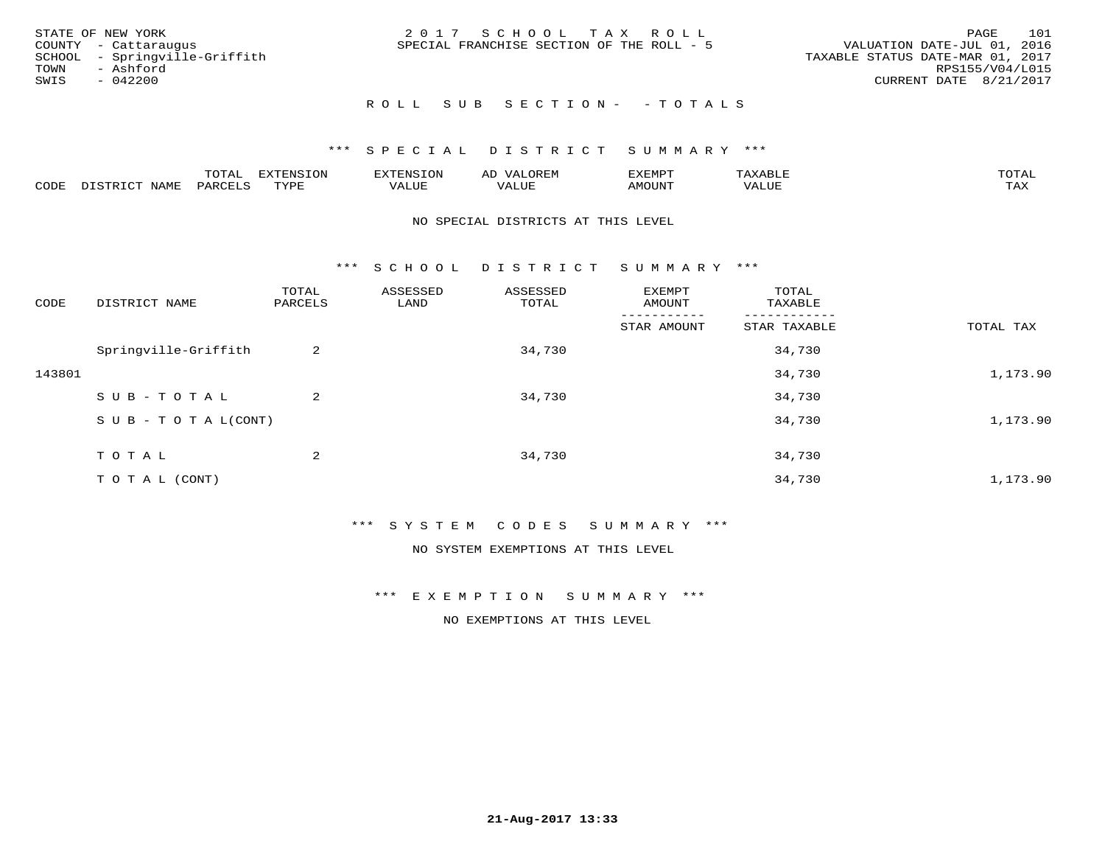|      | STATE OF NEW YORK             | 2017 SCHOOL TAX ROLL                      | 101<br>PAGE                      |
|------|-------------------------------|-------------------------------------------|----------------------------------|
|      | COUNTY - Cattaraugus          | SPECIAL FRANCHISE SECTION OF THE ROLL - 5 | VALUATION DATE-JUL 01, 2016      |
|      | SCHOOL - Springville-Griffith |                                           | TAXABLE STATUS DATE-MAR 01, 2017 |
| TOWN | - Ashford                     |                                           | RPS155/V04/L015                  |
| SWIS | - 042200                      |                                           | CURRENT DATE 8/21/2017           |
|      |                               |                                           |                                  |

## ROLL SUB SECTION - - TOTALS

## \*\*\* S P E C I A L D I S T R I C T S U M M A R Y \*\*\*

|      |        | m^m*<br><u>UIAI</u> | . v  | <b>HUNE</b> |                   | :XEMPT | P<br>. | mom <sub>n</sub> |
|------|--------|---------------------|------|-------------|-------------------|--------|--------|------------------|
| CODE | NTA MT | PARL                | mynn | 'ALUE       | $- - - -$<br>ALUP | MOUN.  | 'ALUE  | ГAХ              |

#### NO SPECIAL DISTRICTS AT THIS LEVEL

\*\*\* S C H O O L D I S T R I C T S U M M A R Y \*\*\*

| CODE   | DISTRICT NAME                    | TOTAL<br>PARCELS | ASSESSED<br>LAND | ASSESSED<br>TOTAL | EXEMPT<br>AMOUNT | TOTAL<br>TAXABLE |           |
|--------|----------------------------------|------------------|------------------|-------------------|------------------|------------------|-----------|
|        |                                  |                  |                  |                   | STAR AMOUNT      | STAR TAXABLE     | TOTAL TAX |
|        | Springville-Griffith             | 2                |                  | 34,730            |                  | 34,730           |           |
| 143801 |                                  |                  |                  |                   |                  | 34,730           | 1,173.90  |
|        | SUB-TOTAL                        | 2                |                  | 34,730            |                  | 34,730           |           |
|        | $S \cup B - T \cup T A L (CONT)$ |                  |                  |                   |                  | 34,730           | 1,173.90  |
|        | TOTAL                            | 2                |                  | 34,730            |                  | 34,730           |           |
|        | T O T A L (CONT)                 |                  |                  |                   |                  | 34,730           | 1,173.90  |

\*\*\* S Y S T E M C O D E S S U M M A R Y \*\*\*

NO SYSTEM EXEMPTIONS AT THIS LEVEL

\*\*\* E X E M P T I O N S U M M A R Y \*\*\*

NO EXEMPTIONS AT THIS LEVEL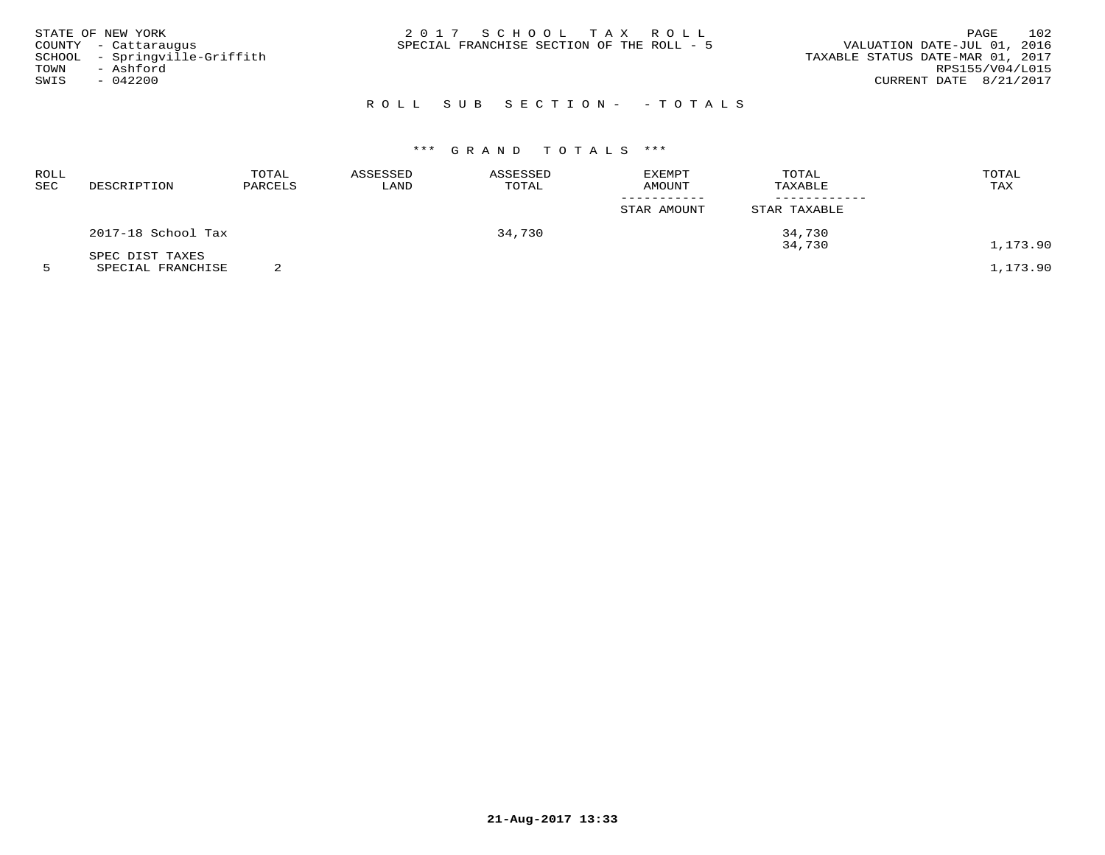| STATE OF NEW YORK             | 2017 SCHOOL TAX ROLL                      | 102<br>PAGE                      |
|-------------------------------|-------------------------------------------|----------------------------------|
| COUNTY - Cattaraugus          | SPECIAL FRANCHISE SECTION OF THE ROLL - 5 | VALUATION DATE-JUL 01, 2016      |
| SCHOOL - Springville-Griffith |                                           | TAXABLE STATUS DATE-MAR 01, 2017 |
| TOWN<br>- Ashford             |                                           | RPS155/V04/L015                  |
| $-042200$<br>SWIS             |                                           | CURRENT DATE 8/21/2017           |
|                               |                                           |                                  |

# R O L L S U B S E C T I O N - - T O T A L S

# \*\*\* G R A N D T O T A L S \*\*\*

| ROLL<br>SEC | DESCRIPTION        | TOTAL<br>PARCELS | ASSESSED<br>LAND | ASSESSED<br>TOTAL | EXEMPT<br><b>AMOUNT</b> | TOTAL<br>TAXABLE | TOTAL<br>TAX |
|-------------|--------------------|------------------|------------------|-------------------|-------------------------|------------------|--------------|
|             |                    |                  |                  |                   | STAR AMOUNT             | STAR TAXABLE     |              |
|             | 2017-18 School Tax |                  |                  | 34,730            |                         | 34,730           |              |
|             | SPEC DIST TAXES    |                  |                  |                   |                         | 34,730           | 1,173.90     |
|             | SPECIAL FRANCHISE  |                  |                  |                   |                         |                  | 1,173.90     |

**21-Aug-2017 13:33**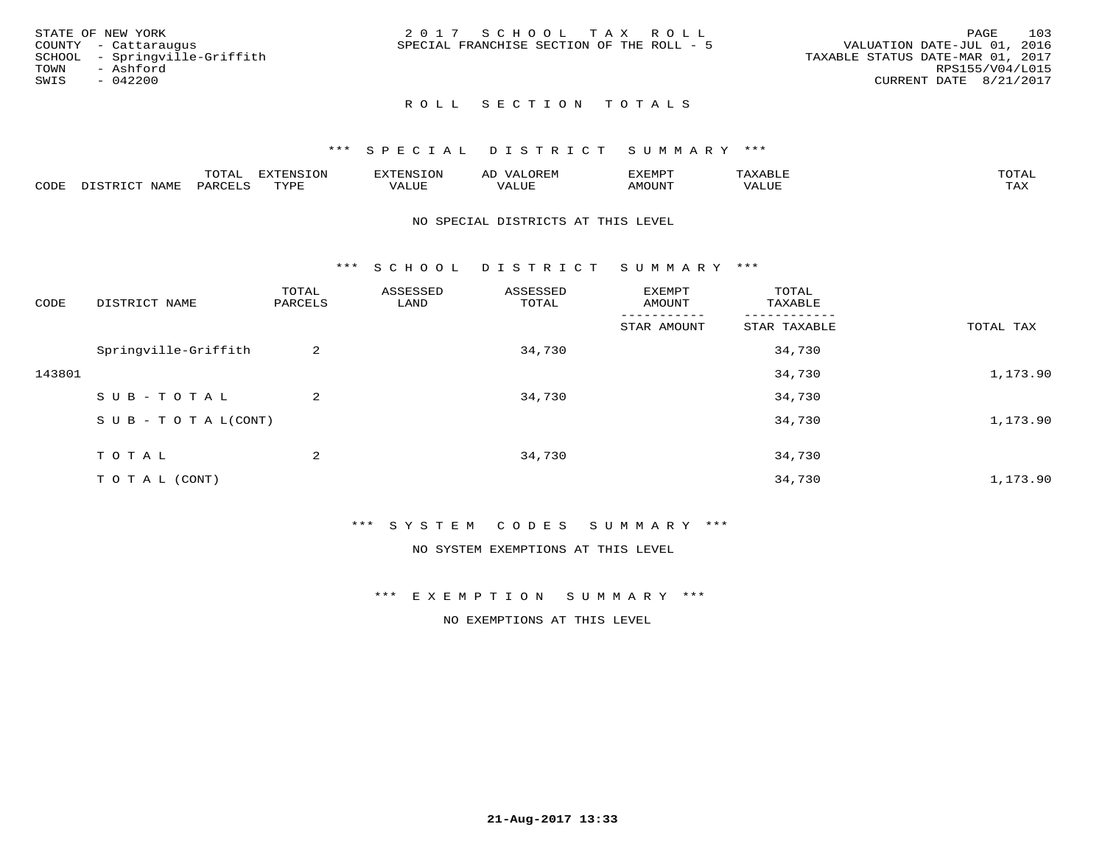|      | STATE OF NEW YORK             | 2017 SCHOOL TAX ROLL                      |  |  |                                  |                        | PAGE | 103 |
|------|-------------------------------|-------------------------------------------|--|--|----------------------------------|------------------------|------|-----|
|      | COUNTY - Cattaraugus          | SPECIAL FRANCHISE SECTION OF THE ROLL - 5 |  |  | VALUATION DATE-JUL 01, 2016      |                        |      |     |
|      | SCHOOL - Springville-Griffith |                                           |  |  | TAXABLE STATUS DATE-MAR 01, 2017 |                        |      |     |
| TOWN | - Ashford                     |                                           |  |  |                                  | RPS155/V04/L015        |      |     |
| SWIS | - 042200                      |                                           |  |  |                                  | CURRENT DATE 8/21/2017 |      |     |
|      |                               |                                           |  |  |                                  |                        |      |     |

## ROLL SECTION TOTALS

#### \*\*\* S P E C I A L D I S T R I C T S U M M A R Y \*\*\*

|      |                   | mom n | <b>DIZPOIATO TOM</b><br>.UP |      | AL   | ,,, <del>,</del> ,,, <del>,</del> ,<br>. ب |               |                     |
|------|-------------------|-------|-----------------------------|------|------|--------------------------------------------|---------------|---------------------|
| CODE | NTAM <sup>7</sup> | PARO  | TVDF                        | ALUI | ALUL | IMOUNT                                     | ----<br>'ALUL | $m \times r$<br>∸∽∽ |

#### NO SPECIAL DISTRICTS AT THIS LEVEL

\*\*\* S C H O O L D I S T R I C T S U M M A R Y \*\*\*

| CODE   | DISTRICT NAME                    | TOTAL<br>PARCELS | ASSESSED<br>LAND | ASSESSED<br>TOTAL | EXEMPT<br>AMOUNT | TOTAL<br>TAXABLE |           |
|--------|----------------------------------|------------------|------------------|-------------------|------------------|------------------|-----------|
|        |                                  |                  |                  |                   | STAR AMOUNT      | STAR TAXABLE     | TOTAL TAX |
|        | Springville-Griffith             | 2                |                  | 34,730            |                  | 34,730           |           |
| 143801 |                                  |                  |                  |                   |                  | 34,730           | 1,173.90  |
|        | SUB-TOTAL                        | 2                |                  | 34,730            |                  | 34,730           |           |
|        | $S \cup B - T \cup T A L (CONT)$ |                  |                  |                   |                  | 34,730           | 1,173.90  |
|        | TOTAL                            | 2                |                  | 34,730            |                  | 34,730           |           |
|        | T O T A L (CONT)                 |                  |                  |                   |                  | 34,730           | 1,173.90  |

\*\*\* S Y S T E M C O D E S S U M M A R Y \*\*\*

NO SYSTEM EXEMPTIONS AT THIS LEVEL

\*\*\* E X E M P T I O N S U M M A R Y \*\*\*

NO EXEMPTIONS AT THIS LEVEL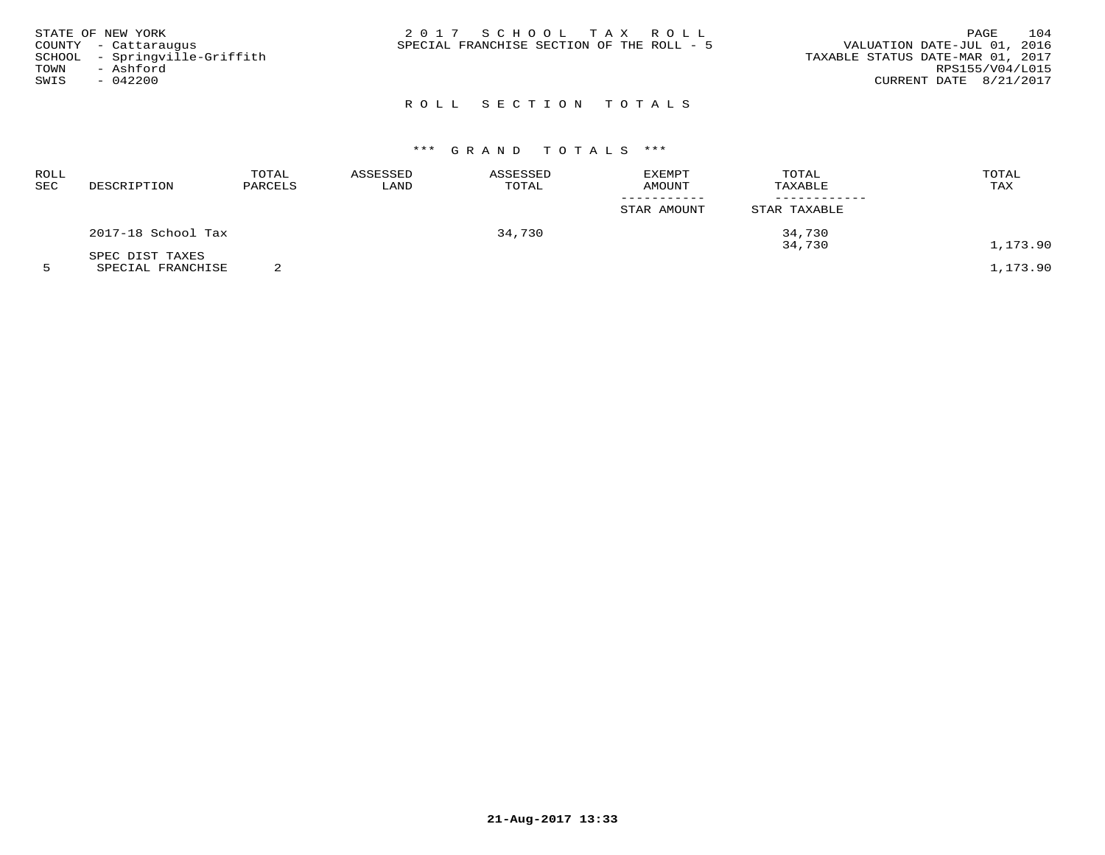| STATE OF NEW YORK             | 2017 SCHOOL TAX ROLL                      | PAGE                             | 104 |
|-------------------------------|-------------------------------------------|----------------------------------|-----|
| COUNTY - Cattaraugus          | SPECIAL FRANCHISE SECTION OF THE ROLL - 5 | VALUATION DATE-JUL 01, 2016      |     |
| SCHOOL - Springville-Griffith |                                           | TAXABLE STATUS DATE-MAR 01, 2017 |     |
| TOWN<br>- Ashford             |                                           | RPS155/V04/L015                  |     |
| SWIS<br>- 042200              |                                           | CURRENT DATE 8/21/2017           |     |
|                               |                                           |                                  |     |

# ROLL SECTION TOTALS

# \*\*\* G R A N D T O T A L S \*\*\*

| ROLL<br>SEC | DESCRIPTION                                                                                                                        | TOTAL<br>PARCELS | ASSESSED<br>LAND | ASSESSED<br>TOTAL | EXEMPT<br>AMOUNT | TOTAL<br>TAXABLE | TOTAL<br>TAX  |
|-------------|------------------------------------------------------------------------------------------------------------------------------------|------------------|------------------|-------------------|------------------|------------------|---------------|
|             |                                                                                                                                    |                  |                  |                   | STAR AMOUNT      | STAR TAXABLE     |               |
|             | 2017-18 School Tax                                                                                                                 |                  |                  | 34,730            |                  | 34,730           |               |
|             | SPEC DIST TAXES<br>the contract of the contract of the contract of the contract of the contract of the contract of the contract of | $\sim$           |                  |                   |                  | 34,730           | 1,173.90<br>. |

5 SPECIAL FRANCHISE 2 1,173.90

**21-Aug-2017 13:33**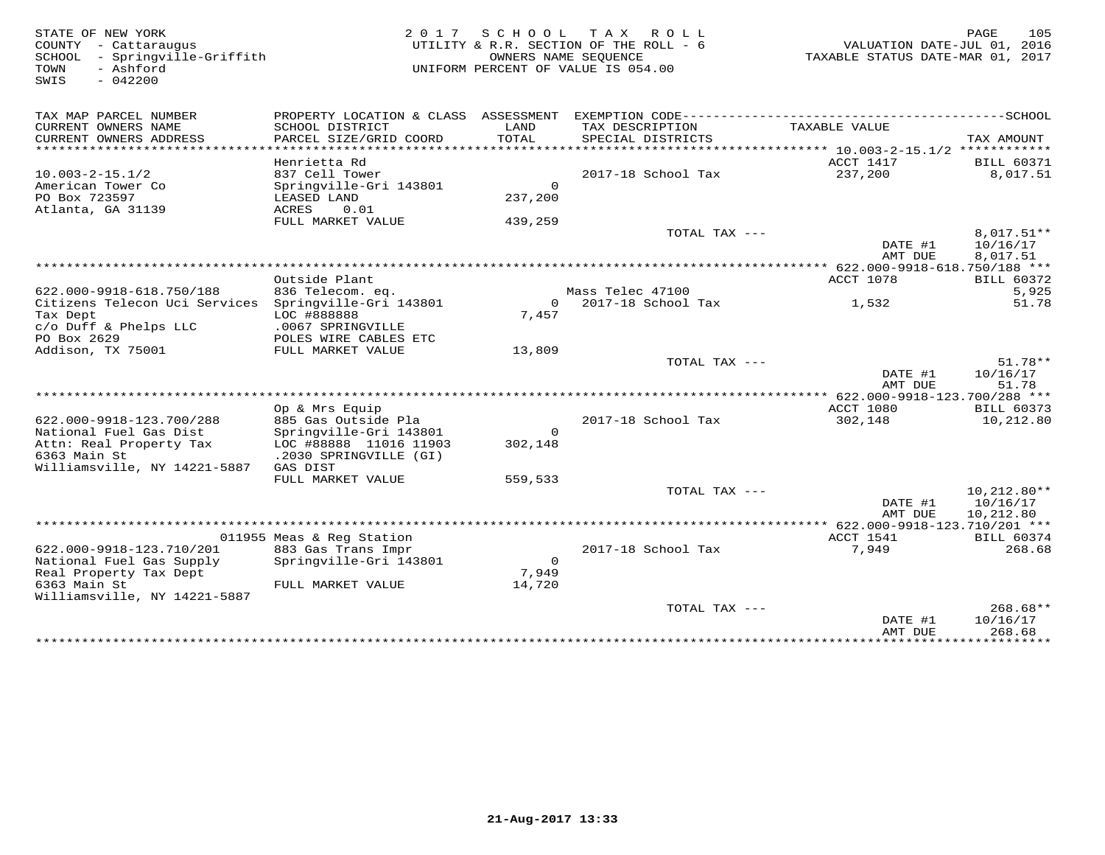| STATE OF NEW YORK<br>COUNTY - Cattaraugus<br>SCHOOL<br>- Springville-Griffith<br>- Ashford<br>TOWN<br>$-042200$<br>SWIS | 2 0 1 7                                   | SCHOOL                    | T A X<br>R O L L<br>UTILITY & R.R. SECTION OF THE ROLL - 6<br>OWNERS NAME SEQUENCE<br>UNIFORM PERCENT OF VALUE IS 054.00 | VALUATION DATE-JUL 01, 2016<br>TAXABLE STATUS DATE-MAR 01, 2017            | PAGE<br>105          |
|-------------------------------------------------------------------------------------------------------------------------|-------------------------------------------|---------------------------|--------------------------------------------------------------------------------------------------------------------------|----------------------------------------------------------------------------|----------------------|
| TAX MAP PARCEL NUMBER                                                                                                   |                                           |                           |                                                                                                                          |                                                                            |                      |
| CURRENT OWNERS NAME<br>CURRENT OWNERS ADDRESS<br>********************                                                   | SCHOOL DISTRICT<br>PARCEL SIZE/GRID COORD | LAND<br>TOTAL<br>******** | TAX DESCRIPTION<br>SPECIAL DISTRICTS                                                                                     | TAXABLE VALUE<br>**************************** 10.003-2-15.1/2 ************ | TAX AMOUNT           |
|                                                                                                                         | Henrietta Rd                              |                           |                                                                                                                          | ACCT 1417                                                                  | <b>BILL 60371</b>    |
| $10.003 - 2 - 15.1/2$                                                                                                   | 837 Cell Tower                            |                           | 2017-18 School Tax                                                                                                       | 237,200                                                                    | 8,017.51             |
| American Tower Co                                                                                                       | Springville-Gri 143801                    | $\Omega$                  |                                                                                                                          |                                                                            |                      |
| PO Box 723597                                                                                                           | LEASED LAND                               | 237,200                   |                                                                                                                          |                                                                            |                      |
| Atlanta, GA 31139                                                                                                       | ACRES<br>0.01                             |                           |                                                                                                                          |                                                                            |                      |
|                                                                                                                         | FULL MARKET VALUE                         | 439,259                   |                                                                                                                          |                                                                            |                      |
|                                                                                                                         |                                           |                           | TOTAL TAX ---                                                                                                            |                                                                            | 8,017.51**           |
|                                                                                                                         |                                           |                           |                                                                                                                          | DATE #1<br>AMT DUE                                                         | 10/16/17<br>8,017.51 |
|                                                                                                                         |                                           |                           |                                                                                                                          | **************** 622.000-9918-618.750/188 ***                              |                      |
|                                                                                                                         | Outside Plant                             |                           |                                                                                                                          | ACCT 1078                                                                  | <b>BILL 60372</b>    |
| 622.000-9918-618.750/188                                                                                                | 836 Telecom. eq.                          |                           | Mass Telec 47100                                                                                                         |                                                                            | 5,925                |
| Citizens Telecon Uci Services Springville-Gri 143801                                                                    |                                           | $\Omega$                  | 2017-18 School Tax                                                                                                       | 1,532                                                                      | 51.78                |
| Tax Dept<br>c/o Duff & Phelps LLC                                                                                       | LOC #888888<br>.0067 SPRINGVILLE          | 7,457                     |                                                                                                                          |                                                                            |                      |
| PO Box 2629                                                                                                             | POLES WIRE CABLES ETC                     |                           |                                                                                                                          |                                                                            |                      |
| Addison, TX 75001                                                                                                       | FULL MARKET VALUE                         | 13,809                    |                                                                                                                          |                                                                            |                      |
|                                                                                                                         |                                           |                           | TOTAL TAX ---                                                                                                            |                                                                            | 51.78**              |
|                                                                                                                         |                                           |                           |                                                                                                                          | DATE #1                                                                    | 10/16/17             |
|                                                                                                                         |                                           |                           |                                                                                                                          | AMT DUE                                                                    | 51.78                |
| ******************************                                                                                          |                                           |                           |                                                                                                                          | ************** 622.000-9918-123.700/288 ***                                |                      |
|                                                                                                                         | Op & Mrs Equip                            |                           |                                                                                                                          | <b>ACCT 1080</b>                                                           | <b>BILL 60373</b>    |
| 622.000-9918-123.700/288                                                                                                | 885 Gas Outside Pla                       |                           | 2017-18 School Tax                                                                                                       | 302,148                                                                    | 10,212.80            |
| National Fuel Gas Dist                                                                                                  | Springville-Gri 143801                    | $\mathsf{O}$              |                                                                                                                          |                                                                            |                      |
| Attn: Real Property Tax<br>6363 Main St                                                                                 | LOC #88888 11016 11903                    | 302,148                   |                                                                                                                          |                                                                            |                      |
| Williamsville, NY 14221-5887                                                                                            | .2030 SPRINGVILLE (GI)<br>GAS DIST        |                           |                                                                                                                          |                                                                            |                      |
|                                                                                                                         | FULL MARKET VALUE                         | 559,533                   |                                                                                                                          |                                                                            |                      |
|                                                                                                                         |                                           |                           | TOTAL TAX $---$                                                                                                          |                                                                            | $10,212.80**$        |
|                                                                                                                         |                                           |                           |                                                                                                                          | DATE #1                                                                    | 10/16/17             |
|                                                                                                                         |                                           |                           |                                                                                                                          | AMT DUE                                                                    | 10,212.80            |
|                                                                                                                         |                                           |                           |                                                                                                                          |                                                                            |                      |
|                                                                                                                         | 011955 Meas & Reg Station                 |                           |                                                                                                                          | ACCT 1541                                                                  | <b>BILL 60374</b>    |
| 622.000-9918-123.710/201                                                                                                | 883 Gas Trans Impr                        |                           | 2017-18 School Tax                                                                                                       | 7,949                                                                      | 268.68               |
| National Fuel Gas Supply                                                                                                | Springville-Gri 143801                    | $\circ$                   |                                                                                                                          |                                                                            |                      |
| Real Property Tax Dept                                                                                                  |                                           | 7,949                     |                                                                                                                          |                                                                            |                      |
| 6363 Main St                                                                                                            | FULL MARKET VALUE                         | 14,720                    |                                                                                                                          |                                                                            |                      |
| Williamsville, NY 14221-5887                                                                                            |                                           |                           | TOTAL TAX ---                                                                                                            |                                                                            | $268.68**$           |
|                                                                                                                         |                                           |                           |                                                                                                                          | DATE #1                                                                    | 10/16/17             |
|                                                                                                                         |                                           |                           |                                                                                                                          | AMT DUE                                                                    | 268.68               |
|                                                                                                                         |                                           |                           |                                                                                                                          | ***************                                                            | ***********          |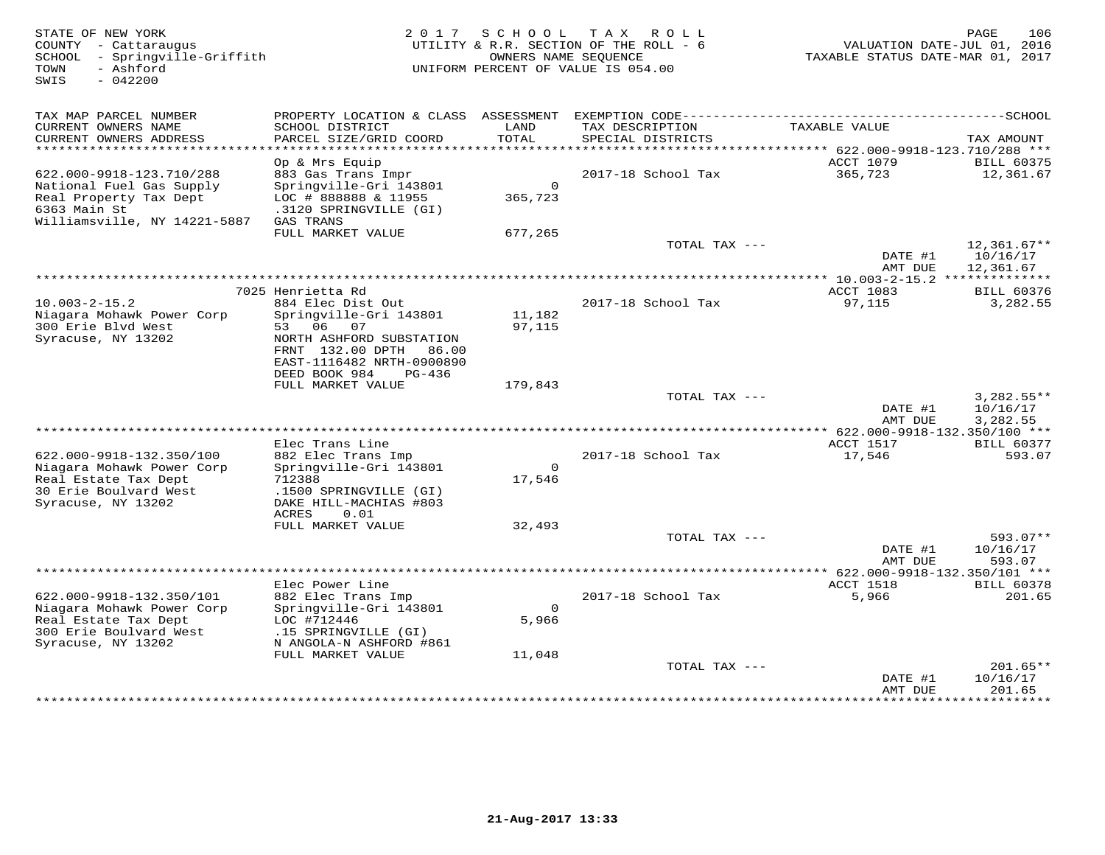| STATE OF NEW YORK<br>COUNTY - Cattaraugus<br>- Springville-Griffith<br>SCHOOL<br>- Ashford<br>TOWN<br>$-042200$<br>SWIS       | 2 0 1 7                                                                                                                                    | SCHOOL TAX          | R O L L<br>UTILITY & R.R. SECTION OF THE ROLL - 6<br>OWNERS NAME SEOUENCE<br>UNIFORM PERCENT OF VALUE IS 054.00 | VALUATION DATE-JUL 01, 2016<br>TAXABLE STATUS DATE-MAR 01, 2017 | 106<br>PAGE                    |
|-------------------------------------------------------------------------------------------------------------------------------|--------------------------------------------------------------------------------------------------------------------------------------------|---------------------|-----------------------------------------------------------------------------------------------------------------|-----------------------------------------------------------------|--------------------------------|
| TAX MAP PARCEL NUMBER<br>CURRENT OWNERS NAME<br>CURRENT OWNERS ADDRESS                                                        | PROPERTY LOCATION & CLASS ASSESSMENT<br>SCHOOL DISTRICT<br>PARCEL SIZE/GRID COORD                                                          | LAND<br>TOTAL       | TAX DESCRIPTION<br>SPECIAL DISTRICTS                                                                            | TAXABLE VALUE                                                   | TAX AMOUNT                     |
| *****************************                                                                                                 |                                                                                                                                            |                     |                                                                                                                 |                                                                 |                                |
| 622.000-9918-123.710/288<br>National Fuel Gas Supply<br>Real Property Tax Dept<br>6363 Main St                                | Op & Mrs Equip<br>883 Gas Trans Impr<br>Springville-Gri 143801<br>LOC # 888888 & 11955<br>.3120 SPRINGVILLE (GI)                           | $\Omega$<br>365,723 | 2017-18 School Tax                                                                                              | <b>ACCT 1079</b><br>365,723                                     | <b>BILL 60375</b><br>12,361.67 |
| Williamsville, NY 14221-5887                                                                                                  | GAS TRANS<br>FULL MARKET VALUE                                                                                                             | 677,265             |                                                                                                                 |                                                                 |                                |
|                                                                                                                               |                                                                                                                                            |                     | TOTAL TAX ---                                                                                                   | DATE #1                                                         | $12,361.67**$<br>10/16/17      |
|                                                                                                                               |                                                                                                                                            |                     |                                                                                                                 | AMT DUE                                                         | 12,361.67                      |
|                                                                                                                               | 7025 Henrietta Rd                                                                                                                          |                     |                                                                                                                 | ACCT 1083                                                       | <b>BILL 60376</b>              |
| $10.003 - 2 - 15.2$<br>Niagara Mohawk Power Corp<br>300 Erie Blvd West<br>Syracuse, NY 13202                                  | 884 Elec Dist Out<br>Springville-Gri 143801<br>53 06 07<br>NORTH ASHFORD SUBSTATION<br>FRNT 132.00 DPTH 86.00<br>EAST-1116482 NRTH-0900890 | 11,182<br>97,115    | 2017-18 School Tax                                                                                              | 97,115                                                          | 3,282.55                       |
|                                                                                                                               | DEED BOOK 984<br>$PG-436$<br>FULL MARKET VALUE                                                                                             | 179,843             |                                                                                                                 |                                                                 |                                |
|                                                                                                                               |                                                                                                                                            |                     | TOTAL TAX ---                                                                                                   | DATE #1                                                         | $3,282.55**$<br>10/16/17       |
| *****************************                                                                                                 |                                                                                                                                            |                     |                                                                                                                 | AMT DUE<br>*********** 622.000-9918-132.350/100 ***             | 3,282.55                       |
|                                                                                                                               | Elec Trans Line                                                                                                                            |                     |                                                                                                                 | ACCT 1517                                                       | <b>BILL 60377</b>              |
| 622.000-9918-132.350/100<br>Niagara Mohawk Power Corp<br>Real Estate Tax Dept<br>30 Erie Boulvard West<br>Syracuse, NY 13202  | 882 Elec Trans Imp<br>Springville-Gri 143801<br>712388<br>.1500 SPRINGVILLE (GI)<br>DAKE HILL-MACHIAS #803<br><b>ACRES</b><br>0.01         | $\Omega$<br>17,546  | 2017-18 School Tax                                                                                              | 17,546                                                          | 593.07                         |
|                                                                                                                               | FULL MARKET VALUE                                                                                                                          | 32,493              |                                                                                                                 |                                                                 |                                |
|                                                                                                                               |                                                                                                                                            |                     | TOTAL TAX ---                                                                                                   | DATE #1<br>AMT DUE                                              | 593.07**<br>10/16/17<br>593.07 |
| ******************************                                                                                                |                                                                                                                                            |                     |                                                                                                                 |                                                                 |                                |
| 622.000-9918-132.350/101<br>Niagara Mohawk Power Corp<br>Real Estate Tax Dept<br>300 Erie Boulvard West<br>Syracuse, NY 13202 | Elec Power Line<br>882 Elec Trans Imp<br>Springville-Gri 143801<br>LOC #712446<br>.15 SPRINGVILLE (GI)                                     | $\Omega$<br>5,966   | 2017-18 School Tax                                                                                              | ACCT 1518<br>5,966                                              | <b>BILL 60378</b><br>201.65    |
|                                                                                                                               | N ANGOLA-N ASHFORD #861<br>FULL MARKET VALUE                                                                                               | 11,048              |                                                                                                                 |                                                                 |                                |
|                                                                                                                               |                                                                                                                                            |                     | TOTAL TAX ---                                                                                                   | DATE #1                                                         | $201.65**$<br>10/16/17         |
|                                                                                                                               |                                                                                                                                            |                     |                                                                                                                 | AMT DUE                                                         | 201.65<br>* * * * * * * * *    |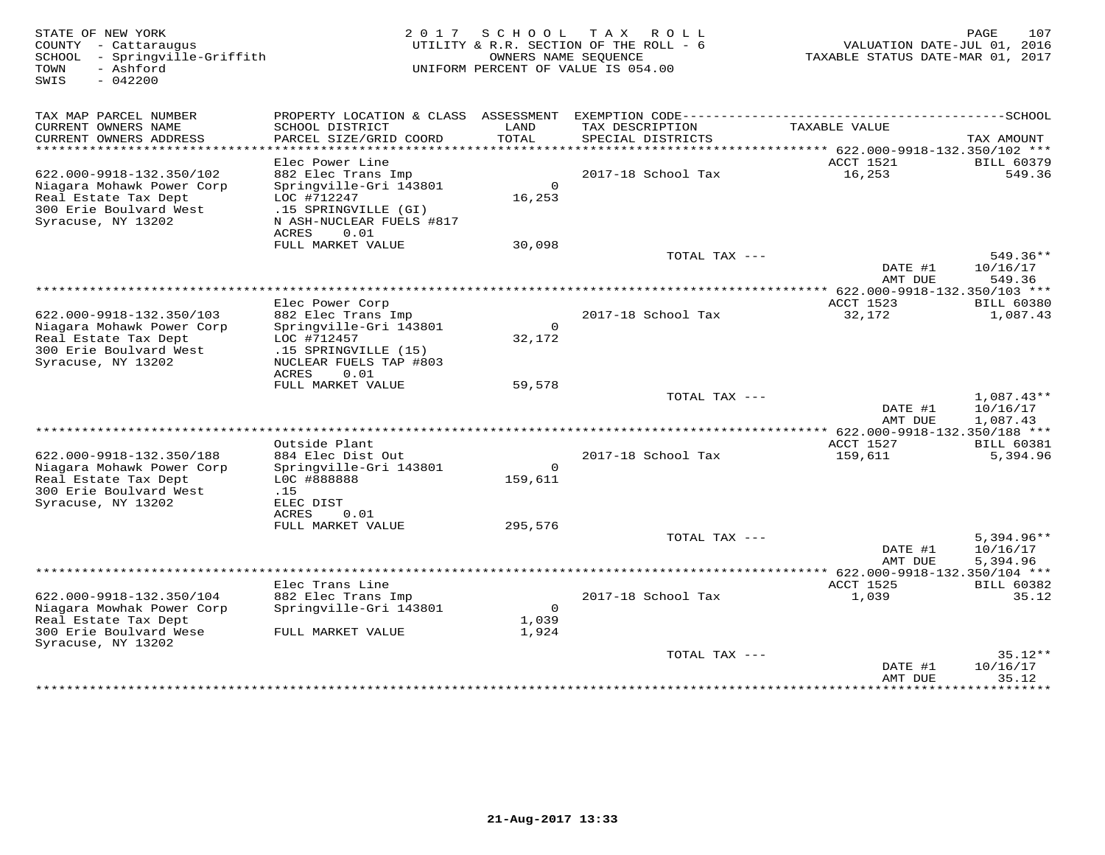| STATE OF NEW YORK<br>COUNTY - Cattaraugus<br>- Springville-Griffith<br>SCHOOL<br>- Ashford<br>TOWN<br>$-042200$<br>SWIS | 2 0 1 7                                      | SCHOOL<br>OWNERS NAME SEOUENCE | TAX ROLL<br>UTILITY & R.R. SECTION OF THE ROLL - 6<br>UNIFORM PERCENT OF VALUE IS 054.00 | VALUATION DATE-JUL 01, 2016<br>TAXABLE STATUS DATE-MAR 01, 2017 | 107<br>PAGE                   |
|-------------------------------------------------------------------------------------------------------------------------|----------------------------------------------|--------------------------------|------------------------------------------------------------------------------------------|-----------------------------------------------------------------|-------------------------------|
| TAX MAP PARCEL NUMBER                                                                                                   | PROPERTY LOCATION & CLASS ASSESSMENT         |                                |                                                                                          |                                                                 |                               |
| CURRENT OWNERS NAME<br>CURRENT OWNERS ADDRESS                                                                           | SCHOOL DISTRICT<br>PARCEL SIZE/GRID COORD    | LAND<br>TOTAL                  | TAX DESCRIPTION<br>SPECIAL DISTRICTS                                                     | TAXABLE VALUE                                                   | TAX AMOUNT                    |
| ***********************                                                                                                 |                                              |                                |                                                                                          |                                                                 |                               |
|                                                                                                                         | Elec Power Line                              |                                |                                                                                          | ACCT 1521                                                       | <b>BILL 60379</b>             |
| 622.000-9918-132.350/102                                                                                                | 882 Elec Trans Imp                           |                                | 2017-18 School Tax                                                                       | 16,253                                                          | 549.36                        |
| Niagara Mohawk Power Corp<br>Real Estate Tax Dept                                                                       | Springville-Gri 143801<br>LOC #712247        | $\circ$<br>16, 253             |                                                                                          |                                                                 |                               |
| 300 Erie Boulvard West                                                                                                  | .15 SPRINGVILLE (GI)                         |                                |                                                                                          |                                                                 |                               |
| Syracuse, NY 13202                                                                                                      | N ASH-NUCLEAR FUELS #817                     |                                |                                                                                          |                                                                 |                               |
|                                                                                                                         | <b>ACRES</b><br>0.01                         |                                |                                                                                          |                                                                 |                               |
|                                                                                                                         | FULL MARKET VALUE                            | 30,098                         | TOTAL TAX ---                                                                            |                                                                 | 549.36**                      |
|                                                                                                                         |                                              |                                |                                                                                          | DATE #1                                                         | 10/16/17                      |
| ************************                                                                                                |                                              |                                |                                                                                          | AMT DUE                                                         | 549.36                        |
|                                                                                                                         | Elec Power Corp                              |                                |                                                                                          | ************ 622.000-9918-132.350/103 ***<br>ACCT 1523          | <b>BILL 60380</b>             |
| 622.000-9918-132.350/103                                                                                                | 882 Elec Trans Imp                           |                                | 2017-18 School Tax                                                                       | 32,172                                                          | 1,087.43                      |
| Niagara Mohawk Power Corp                                                                                               | Springville-Gri 143801                       | $\circ$                        |                                                                                          |                                                                 |                               |
| Real Estate Tax Dept<br>300 Erie Boulvard West                                                                          | LOC #712457<br>.15 SPRINGVILLE (15)          | 32,172                         |                                                                                          |                                                                 |                               |
| Syracuse, NY 13202                                                                                                      | NUCLEAR FUELS TAP #803                       |                                |                                                                                          |                                                                 |                               |
|                                                                                                                         | <b>ACRES</b><br>0.01                         |                                |                                                                                          |                                                                 |                               |
|                                                                                                                         | FULL MARKET VALUE                            | 59,578                         |                                                                                          |                                                                 |                               |
|                                                                                                                         |                                              |                                | TOTAL TAX ---                                                                            | DATE #1                                                         | $1,087.43**$<br>10/16/17      |
|                                                                                                                         |                                              |                                |                                                                                          | AMT DUE                                                         | 1,087.43                      |
|                                                                                                                         |                                              |                                | **************                                                                           | $*$ 622.000-9918-132.350/188 ***                                |                               |
| 622.000-9918-132.350/188                                                                                                | Outside Plant<br>884 Elec Dist Out           |                                | 2017-18 School Tax                                                                       | ACCT 1527<br>159,611                                            | <b>BILL 60381</b><br>5,394.96 |
| Niagara Mohawk Power Corp                                                                                               | Springville-Gri 143801                       | $\mathbf 0$                    |                                                                                          |                                                                 |                               |
| Real Estate Tax Dept                                                                                                    | LOC #888888                                  | 159,611                        |                                                                                          |                                                                 |                               |
| 300 Erie Boulvard West<br>Syracuse, NY 13202                                                                            | .15<br>ELEC DIST                             |                                |                                                                                          |                                                                 |                               |
|                                                                                                                         | ACRES<br>0.01                                |                                |                                                                                          |                                                                 |                               |
|                                                                                                                         | FULL MARKET VALUE                            | 295,576                        |                                                                                          |                                                                 |                               |
|                                                                                                                         |                                              |                                | TOTAL TAX ---                                                                            |                                                                 | $5,394.96**$                  |
|                                                                                                                         |                                              |                                |                                                                                          | DATE #1<br>AMT DUE                                              | 10/16/17<br>5,394.96          |
|                                                                                                                         |                                              |                                |                                                                                          |                                                                 |                               |
|                                                                                                                         | Elec Trans Line                              |                                |                                                                                          | ACCT 1525                                                       | <b>BILL 60382</b>             |
| 622.000-9918-132.350/104<br>Niagara Mowhak Power Corp                                                                   | 882 Elec Trans Imp<br>Springville-Gri 143801 | $\mathbf 0$                    | 2017-18 School Tax                                                                       | 1,039                                                           | 35.12                         |
| Real Estate Tax Dept                                                                                                    |                                              | 1,039                          |                                                                                          |                                                                 |                               |
| 300 Erie Boulvard Wese                                                                                                  | FULL MARKET VALUE                            | 1,924                          |                                                                                          |                                                                 |                               |
| Syracuse, NY 13202                                                                                                      |                                              |                                | TOTAL TAX ---                                                                            |                                                                 | $35.12**$                     |
|                                                                                                                         |                                              |                                |                                                                                          | DATE #1                                                         | 10/16/17                      |
|                                                                                                                         |                                              |                                |                                                                                          | AMT DUE                                                         | 35.12                         |
|                                                                                                                         |                                              |                                |                                                                                          |                                                                 | <b>++++++++</b>               |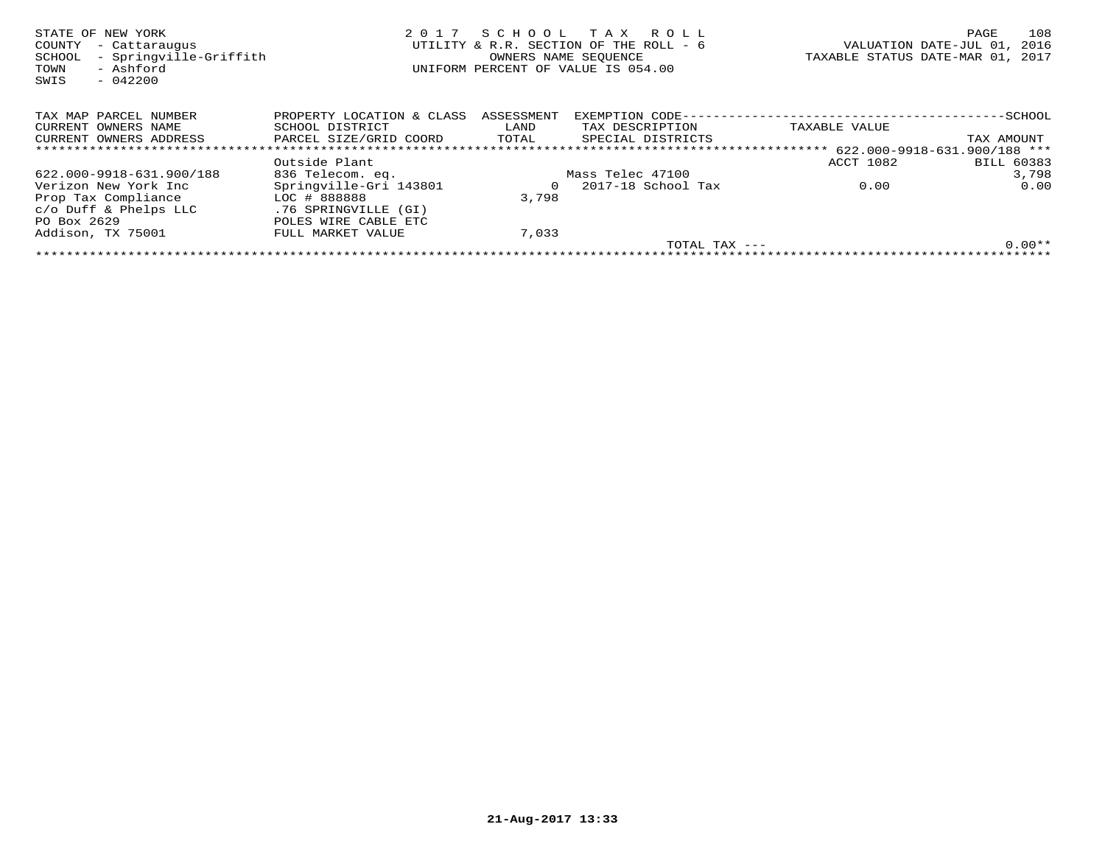| STATE OF NEW YORK<br>COUNTY<br>- Cattaraugus<br>- Springville-Griffith<br>SCHOOL<br>- Ashford<br>TOWN<br>$-042200$<br>SWIS | 2017                      | SCHOOL TAX | ROLL ROLL<br>UTILITY & R.R. SECTION OF THE ROLL - 6<br>OWNERS NAME SEOUENCE<br>UNIFORM PERCENT OF VALUE IS 054.00 | TAXABLE STATUS DATE-MAR 01, | PAGE<br>2016<br>VALUATION DATE-JUL 01,<br>2017 | 108 |
|----------------------------------------------------------------------------------------------------------------------------|---------------------------|------------|-------------------------------------------------------------------------------------------------------------------|-----------------------------|------------------------------------------------|-----|
| TAX MAP PARCEL NUMBER                                                                                                      | PROPERTY LOCATION & CLASS | ASSESSMENT | EXEMPTION CODE-                                                                                                   |                             | -SCHOOL                                        |     |
| CURRENT OWNERS NAME                                                                                                        | SCHOOL DISTRICT           | LAND       | TAX DESCRIPTION                                                                                                   | TAXABLE VALUE               |                                                |     |
| CURRENT OWNERS ADDRESS                                                                                                     | PARCEL SIZE/GRID COORD    | TOTAL      | SPECIAL DISTRICTS                                                                                                 |                             | TAX AMOUNT                                     |     |
| ******************************                                                                                             |                           |            |                                                                                                                   |                             |                                                |     |
|                                                                                                                            | Outside Plant             |            |                                                                                                                   | ACCT 1082                   | <b>BILL 60383</b>                              |     |
| 622.000-9918-631.900/188                                                                                                   | 836 Telecom. eq.          |            | Mass Telec 47100                                                                                                  |                             | 3,798                                          |     |
| Verizon New York Inc                                                                                                       | Springville-Gri 143801    | 0          | 2017-18 School Tax                                                                                                | 0.00                        | 0.00                                           |     |
| Prop Tax Compliance                                                                                                        | LOC # 888888              | 3,798      |                                                                                                                   |                             |                                                |     |
| $c/O$ Duff & Phelps LLC                                                                                                    | .76 SPRINGVILLE (GI)      |            |                                                                                                                   |                             |                                                |     |
| PO Box 2629                                                                                                                | POLES WIRE CABLE ETC      |            |                                                                                                                   |                             |                                                |     |
| Addison, TX 75001                                                                                                          | FULL MARKET VALUE         | 7,033      |                                                                                                                   |                             |                                                |     |
|                                                                                                                            |                           |            | TOTAL TAX ---                                                                                                     |                             | $0.00**$                                       |     |
|                                                                                                                            |                           |            |                                                                                                                   |                             |                                                |     |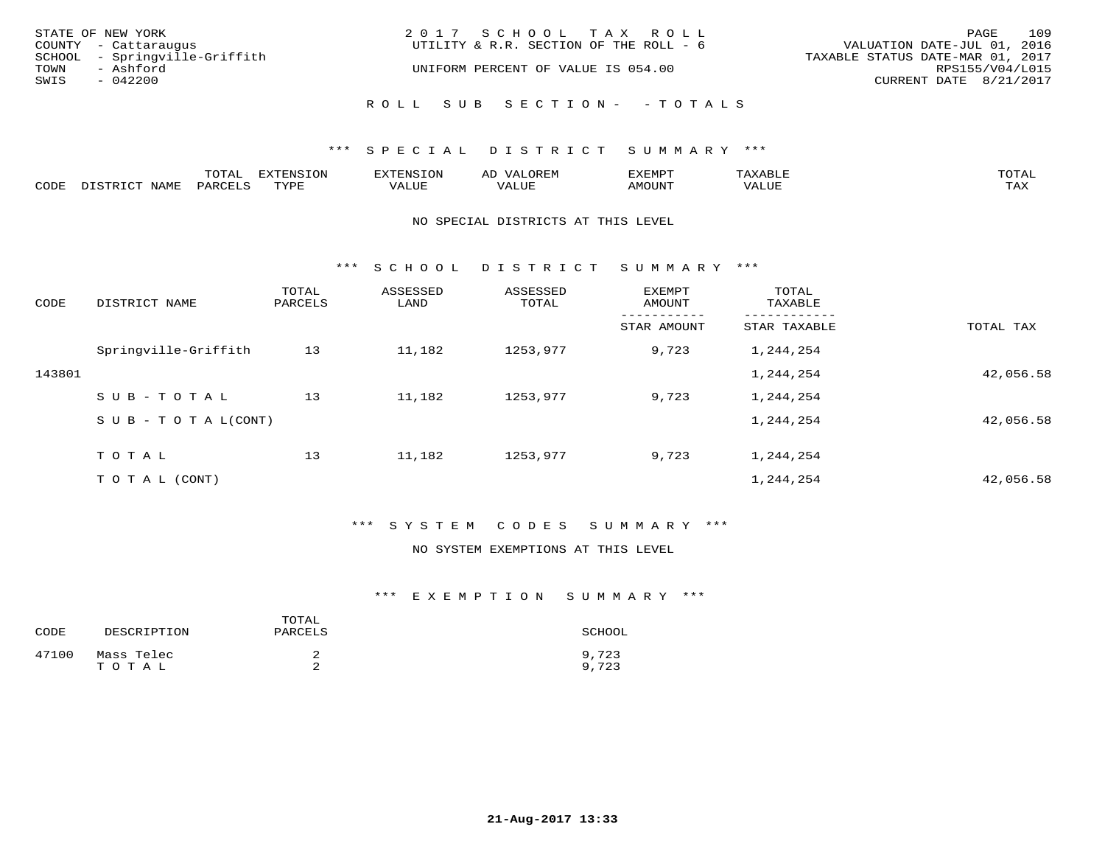| STATE OF NEW YORK<br>COUNTY - Cattaraugus |                               | 2017 SCHOOL TAX ROLL<br>UTILITY & R.R. SECTION OF THE ROLL - 6 | VALUATION DATE-JUL 01, 2016      | PAGE            | 109 |
|-------------------------------------------|-------------------------------|----------------------------------------------------------------|----------------------------------|-----------------|-----|
| TOWN<br>- Ashford                         | SCHOOL - Springville-Griffith | UNIFORM PERCENT OF VALUE IS 054.00                             | TAXABLE STATUS DATE-MAR 01, 2017 | RPS155/V04/L015 |     |
| SWIS<br>$-042200$                         |                               |                                                                | CURRENT DATE 8/21/2017           |                 |     |
|                                           |                               | ROLL SUB SECTION- - TOTALS                                     |                                  |                 |     |

|      |                        | ጥ∩ጥአ<br>- O THT. | <b>DIZMONIC</b><br>ION | AD   | . ت س<br>⊐ויושב∠ |                                        |            |
|------|------------------------|------------------|------------------------|------|------------------|----------------------------------------|------------|
| CODE | <b>NTAMT</b><br>77 O L | PARO             | TVDF                   | ALUE | IMOUNT           | * * * * * * * *<br>$'$ ALUN $_{\rm L}$ | may<br>∸∽∸ |

#### NO SPECIAL DISTRICTS AT THIS LEVEL

\*\*\* S C H O O L D I S T R I C T S U M M A R Y \*\*\*

| CODE   | DISTRICT NAME                    | TOTAL<br>PARCELS | ASSESSED<br>LAND | ASSESSED<br>TOTAL | <b>EXEMPT</b><br>AMOUNT | TOTAL<br>TAXABLE |           |
|--------|----------------------------------|------------------|------------------|-------------------|-------------------------|------------------|-----------|
|        |                                  |                  |                  |                   | STAR AMOUNT             | STAR TAXABLE     | TOTAL TAX |
|        | Springville-Griffith             | 13               | 11,182           | 1253,977          | 9,723                   | 1,244,254        |           |
| 143801 |                                  |                  |                  |                   |                         | 1,244,254        | 42,056.58 |
|        | SUB-TOTAL                        | 13               | 11,182           | 1253,977          | 9,723                   | 1,244,254        |           |
|        | $S \cup B - T \cup T A L (CONT)$ |                  |                  |                   |                         | 1,244,254        | 42,056.58 |
|        | TOTAL                            | 13               | 11,182           | 1253,977          | 9,723                   | 1,244,254        |           |
|        | TO TAL (CONT)                    |                  |                  |                   |                         | 1,244,254        | 42,056.58 |

#### \*\*\* S Y S T E M C O D E S S U M M A R Y \*\*\*

#### NO SYSTEM EXEMPTIONS AT THIS LEVEL

| CODE  | DESCRIPTION         | TOTAL<br>PARCELS | SCHOOL         |
|-------|---------------------|------------------|----------------|
| 47100 | Mass Telec<br>TOTAL | ∠                | 9,723<br>9,723 |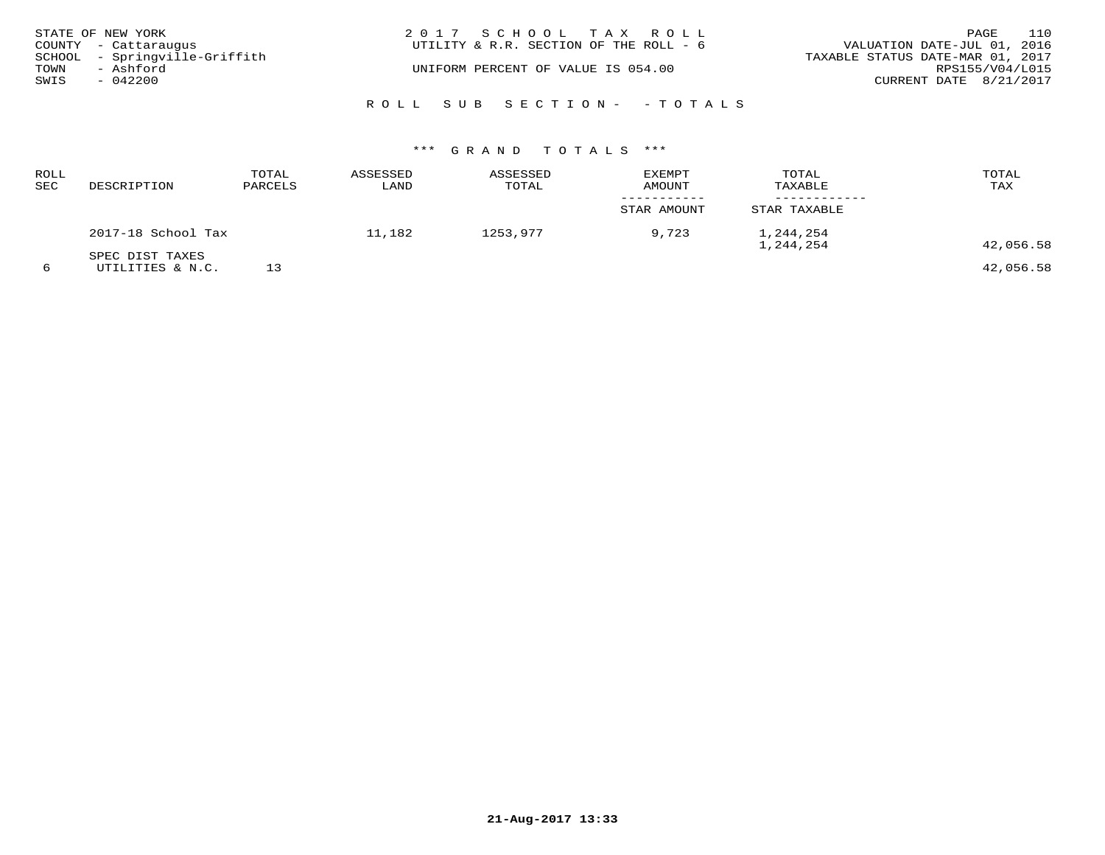| STATE OF NEW YORK<br>COUNTY - Cattaraugus          | 2017 SCHOOL TAX ROLL<br>UTILITY & R.R. SECTION OF THE ROLL - 6 | 110<br>PAGE<br>VALUATION DATE-JUL 01, 2016          |
|----------------------------------------------------|----------------------------------------------------------------|-----------------------------------------------------|
| SCHOOL - Springville-Griffith<br>TOWN<br>- Ashford | UNIFORM PERCENT OF VALUE IS 054.00                             | TAXABLE STATUS DATE-MAR 01, 2017<br>RPS155/V04/L015 |
| SWIS<br>$-042200$                                  |                                                                | CURRENT DATE 8/21/2017                              |
|                                                    | ROLL SUB SECTION- - TOTALS                                     |                                                     |

| ROLL<br>SEC | DESCRIPTION                         | TOTAL<br>PARCELS | ASSESSED<br>LAND | ASSESSED<br>TOTAL | <b>EXEMPT</b><br><b>AMOUNT</b> | TOTAL<br>TAXABLE       | TOTAL<br>TAX |
|-------------|-------------------------------------|------------------|------------------|-------------------|--------------------------------|------------------------|--------------|
|             |                                     |                  |                  |                   | STAR AMOUNT                    | STAR TAXABLE           |              |
|             | 2017-18 School Tax                  |                  | 11,182           | 1253,977          | 9,723                          | 1,244,254<br>1,244,254 | 42,056.58    |
| 6           | SPEC DIST TAXES<br>UTILITIES & N.C. |                  |                  |                   |                                |                        | 42,056.58    |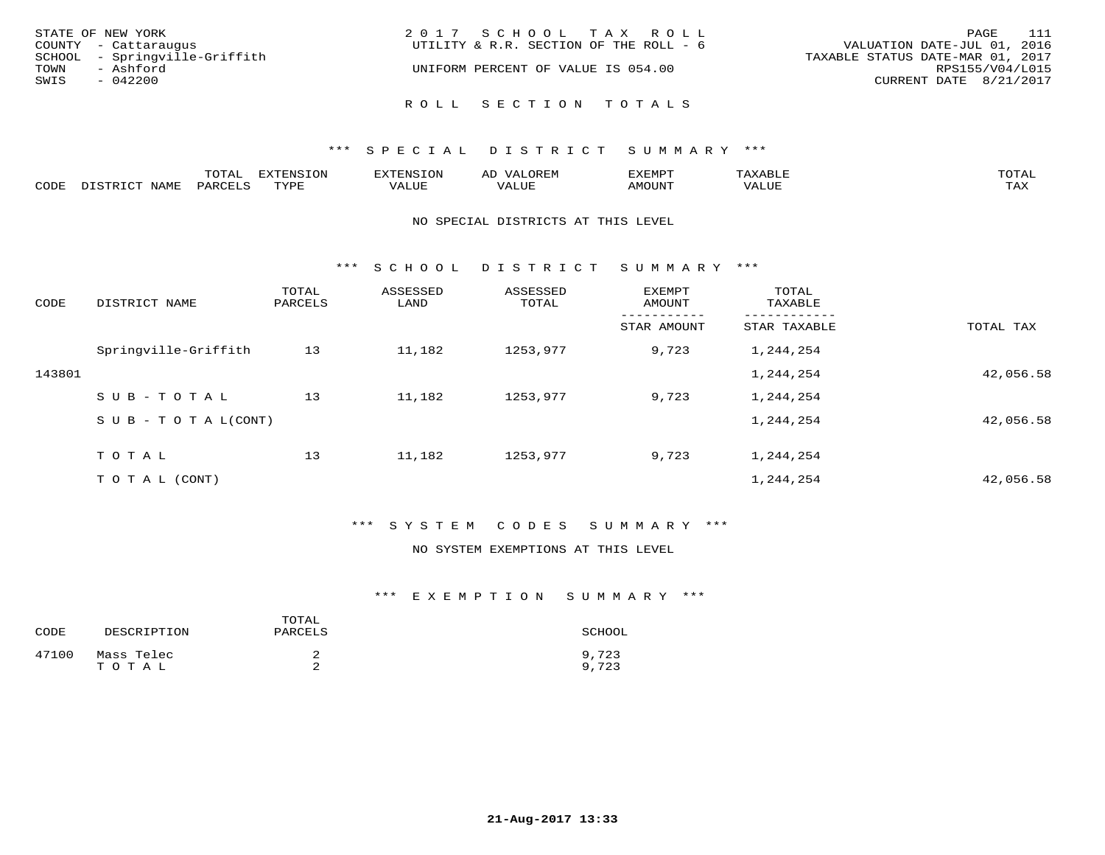| STATE OF NEW YORK<br>COUNTY - Cattaraugus | 2017 SCHOOL TAX ROLL<br>UTILITY & R.R. SECTION OF THE ROLL - 6 | 111<br>PAGE<br>VALUATION DATE-JUL 01, 2016 |
|-------------------------------------------|----------------------------------------------------------------|--------------------------------------------|
| SCHOOL - Springville-Griffith             |                                                                | TAXABLE STATUS DATE-MAR 01, 2017           |
| TOWN<br>- Ashford<br>SWIS<br>$-042200$    | UNIFORM PERCENT OF VALUE IS 054.00                             | RPS155/V04/L015<br>CURRENT DATE 8/21/2017  |
|                                           | ROLL SECTION TOTALS                                            |                                            |

|            |       | m^m3<br>TO TUT | marn. |            | ----<br>$\overline{\phantom{0}}$ | $m \wedge m$           |
|------------|-------|----------------|-------|------------|----------------------------------|------------------------|
| $\sim$ הרי | NAML. |                | TUTT  | <b>TTT</b> |                                  | $- - - -$<br>- - - - - |

#### NO SPECIAL DISTRICTS AT THIS LEVEL

\*\*\* S C H O O L D I S T R I C T S U M M A R Y \*\*\*

| CODE   | DISTRICT NAME              | TOTAL<br>PARCELS | ASSESSED<br>LAND | ASSESSED<br>TOTAL | EXEMPT<br>AMOUNT | TOTAL<br>TAXABLE |           |
|--------|----------------------------|------------------|------------------|-------------------|------------------|------------------|-----------|
|        |                            |                  |                  |                   | STAR AMOUNT      | STAR TAXABLE     | TOTAL TAX |
|        | Springville-Griffith       | 13               | 11,182           | 1253,977          | 9,723            | 1,244,254        |           |
| 143801 |                            |                  |                  |                   |                  | 1,244,254        | 42,056.58 |
|        | SUB-TOTAL                  | 13               | 11,182           | 1253,977          | 9,723            | 1,244,254        |           |
|        | S U B - T O T A $L$ (CONT) |                  |                  |                   |                  | 1,244,254        | 42,056.58 |
|        | TOTAL                      | 13               | 11,182           | 1253,977          | 9,723            | 1,244,254        |           |
|        | T O T A L (CONT)           |                  |                  |                   |                  | 1,244,254        | 42,056.58 |

#### \*\*\* S Y S T E M C O D E S S U M M A R Y \*\*\*

#### NO SYSTEM EXEMPTIONS AT THIS LEVEL

| CODE  | DESCRIPTION         | TOTAL<br>PARCELS | SCHOOL         |
|-------|---------------------|------------------|----------------|
| 47100 | Mass Telec<br>TOTAL |                  | 9,723<br>9,723 |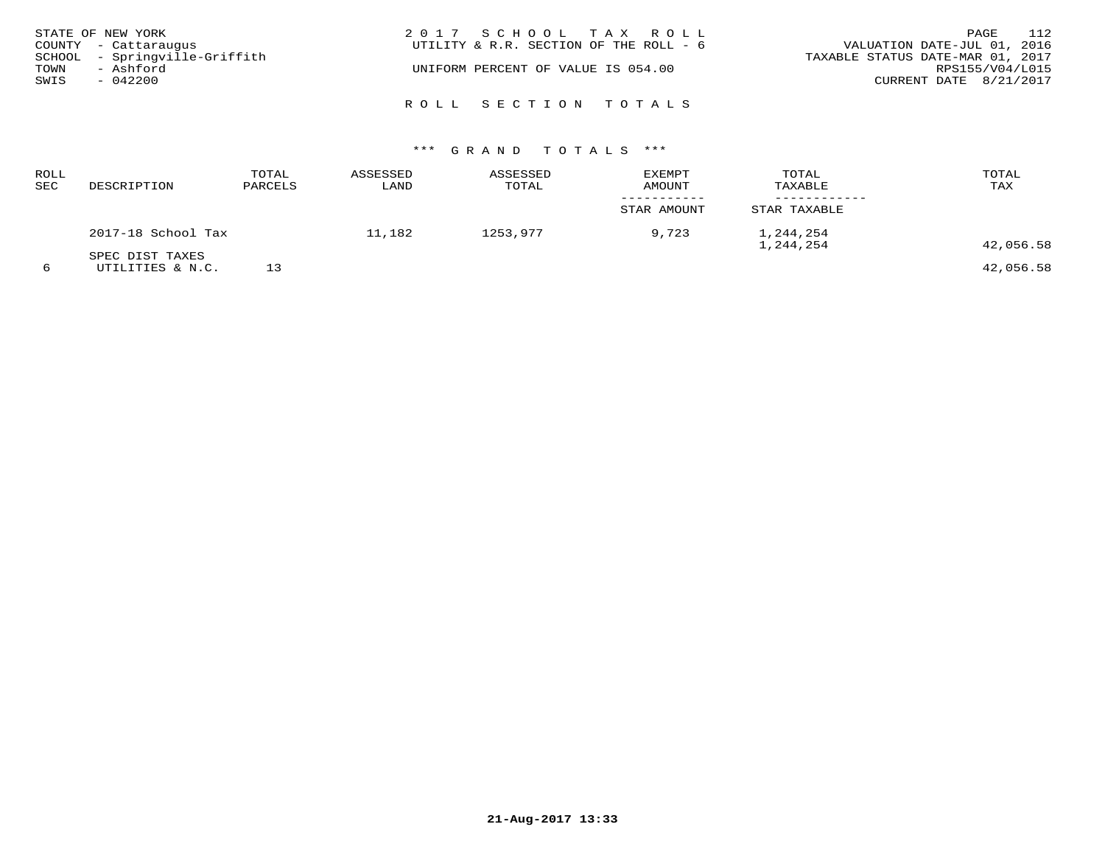|      | STATE OF NEW YORK             | 2017 SCHOOL TAX ROLL                   | PAGE                        | 112 |
|------|-------------------------------|----------------------------------------|-----------------------------|-----|
|      | COUNTY - Cattaraugus          | UTILITY & R.R. SECTION OF THE ROLL - 6 | VALUATION DATE-JUL 01, 2016 |     |
|      | SCHOOL - Springville-Griffith | TAXABLE STATUS DATE-MAR 01, 2017       |                             |     |
| TOWN | - Ashford                     | UNIFORM PERCENT OF VALUE IS 054.00     | RPS155/V04/L015             |     |
| SWIS | $-042200$                     |                                        | CURRENT DATE 8/21/2017      |     |
|      |                               |                                        |                             |     |
|      |                               | ROLL SECTION TOTALS                    |                             |     |

| ROLL<br>SEC | DESCRIPTION                         | TOTAL<br>PARCELS | ASSESSED<br>LAND | ASSESSED<br>TOTAL | EXEMPT<br>AMOUNT | TOTAL<br>TAXABLE       | TOTAL<br>TAX |
|-------------|-------------------------------------|------------------|------------------|-------------------|------------------|------------------------|--------------|
|             |                                     |                  |                  |                   | STAR AMOUNT      | STAR TAXABLE           |              |
|             | 2017-18 School Tax                  |                  | 11,182           | 1253,977          | 9,723            | 1,244,254<br>1,244,254 | 42,056.58    |
| 6           | SPEC DIST TAXES<br>UTILITIES & N.C. |                  |                  |                   |                  |                        | 42,056.58    |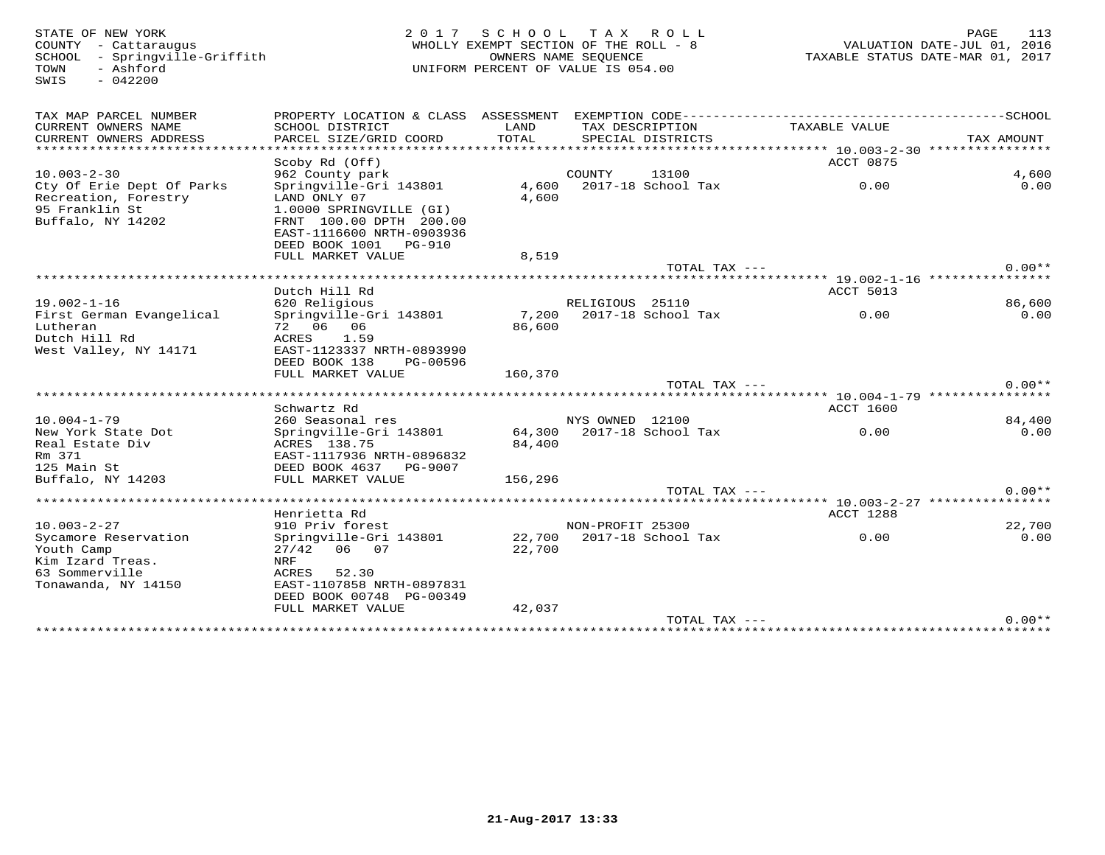COUNTY - Cattaraugus<br>SCHOOL - Springville-Griffith<br>TOWN - Ashford<br>SWIS - 042200

#### STATE OF NEW YORK CONTROLLED AS A LOCAL CONTRACT OF TAXING A LOCAL PAGE 113 WHOLLY EXEMPT SECTION OF THE ROLL - 8 SCHOOL - Springville-Griffith OWNERS NAME SEQUENCE TAXABLE STATUS DATE-MAR 01, 2017UNIFORM PERCENT OF VALUE IS 054.00

| Recreation, Forestry<br>95 Franklin St<br>Buffalo, NY 14202 | LAND ONLY 07<br>1.0000 SPRINGVILLE (GI)<br>FRNT 100.00 DPTH 200.00 | 4,600            |                  |                    |                                          |                |
|-------------------------------------------------------------|--------------------------------------------------------------------|------------------|------------------|--------------------|------------------------------------------|----------------|
|                                                             | EAST-1116600 NRTH-0903936<br>DEED BOOK 1001<br><b>PG-910</b>       |                  |                  |                    |                                          |                |
|                                                             | FULL MARKET VALUE                                                  | 8,519            |                  |                    |                                          |                |
|                                                             |                                                                    |                  |                  | TOTAL TAX $---$    |                                          | $0.00**$       |
|                                                             | ********************************                                   |                  |                  |                    | ********** 19.002-1-16 ***************** |                |
|                                                             | Dutch Hill Rd                                                      |                  |                  |                    | ACCT 5013                                |                |
| $19.002 - 1 - 16$<br>First German Evangelical               | 620 Religious<br>Springville-Gri 143801                            | 7,200            | RELIGIOUS 25110  | 2017-18 School Tax | 0.00                                     | 86,600<br>0.00 |
| Lutheran                                                    | 72 06<br>06                                                        | 86,600           |                  |                    |                                          |                |
| Dutch Hill Rd                                               | ACRES<br>1.59                                                      |                  |                  |                    |                                          |                |
| West Valley, NY 14171                                       | EAST-1123337 NRTH-0893990                                          |                  |                  |                    |                                          |                |
|                                                             | DEED BOOK 138<br>PG-00596                                          |                  |                  |                    |                                          |                |
|                                                             | FULL MARKET VALUE                                                  | 160,370          |                  |                    |                                          |                |
|                                                             |                                                                    |                  |                  | TOTAL TAX ---      |                                          | $0.00**$       |
|                                                             |                                                                    |                  |                  |                    |                                          |                |
|                                                             |                                                                    |                  |                  |                    |                                          |                |
|                                                             | Schwartz Rd                                                        |                  |                  |                    | <b>ACCT 1600</b>                         |                |
| $10.004 - 1 - 79$<br>New York State Dot                     | 260 Seasonal res<br>Springville-Gri 143801                         | 64,300           | NYS OWNED 12100  | 2017-18 School Tax | 0.00                                     | 84,400<br>0.00 |
| Real Estate Div                                             | ACRES 138.75                                                       | 84,400           |                  |                    |                                          |                |
| Rm 371                                                      | EAST-1117936 NRTH-0896832                                          |                  |                  |                    |                                          |                |
| 125 Main St                                                 | DEED BOOK 4637<br>PG-9007                                          |                  |                  |                    |                                          |                |
| Buffalo, NY 14203                                           | FULL MARKET VALUE                                                  | 156,296          |                  |                    |                                          |                |
|                                                             |                                                                    |                  |                  | TOTAL TAX ---      |                                          | $0.00**$       |
|                                                             |                                                                    |                  |                  |                    | ********* 10.003-2-27 ****************   |                |
| $10.003 - 2 - 27$                                           | Henrietta Rd<br>910 Priv forest                                    |                  |                  |                    | <b>ACCT 1288</b>                         |                |
|                                                             |                                                                    |                  | NON-PROFIT 25300 | 2017-18 School Tax | 0.00                                     | 22,700<br>0.00 |
| Sycamore Reservation<br>Youth Camp                          | Springville-Gri 143801<br>27/42<br>06<br>07                        | 22,700<br>22,700 |                  |                    |                                          |                |
| Kim Izard Treas.                                            | NRF                                                                |                  |                  |                    |                                          |                |
| 63 Sommerville                                              | ACRES<br>52.30                                                     |                  |                  |                    |                                          |                |
| Tonawanda, NY 14150                                         | EAST-1107858 NRTH-0897831                                          |                  |                  |                    |                                          |                |
|                                                             | DEED BOOK 00748 PG-00349                                           |                  |                  |                    |                                          |                |
|                                                             | FULL MARKET VALUE                                                  | 42,037           |                  | TOTAL TAX ---      |                                          | $0.00**$       |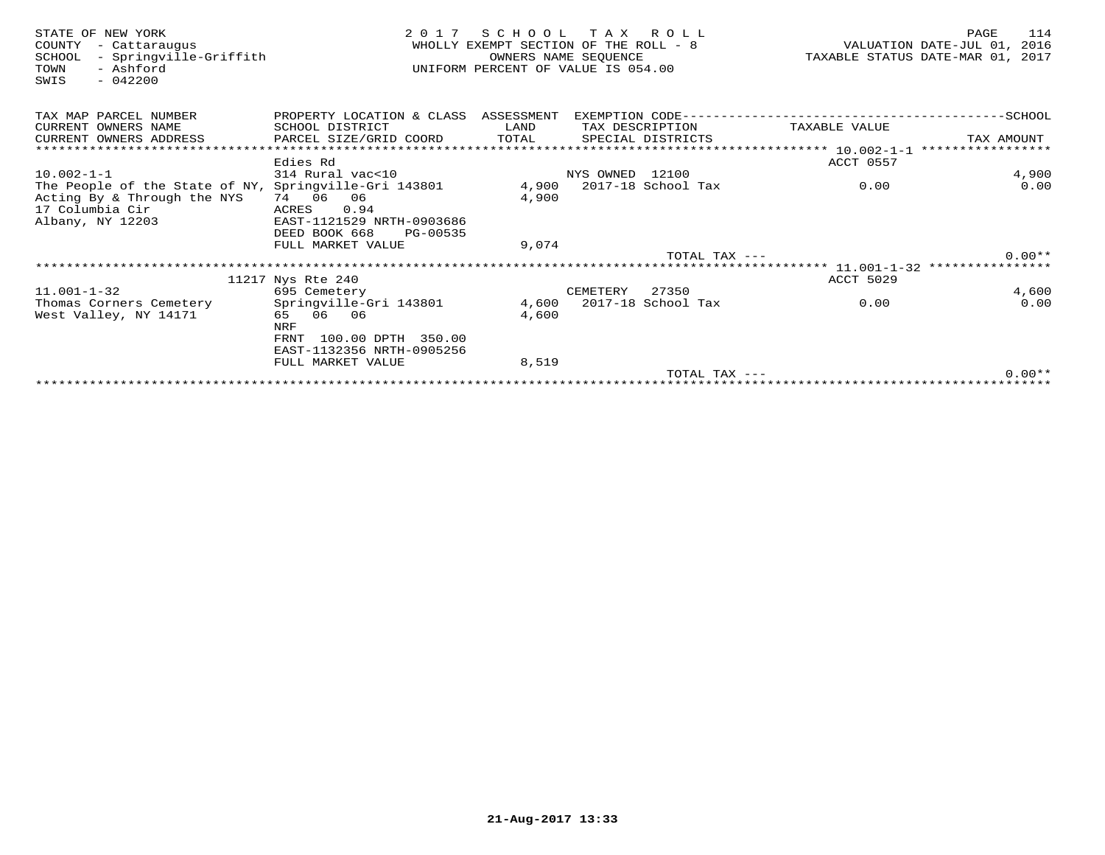| STATE OF NEW YORK<br>- Cattaraugus<br>COUNTY<br>- Springville-Griffith<br>SCHOOL<br>- Ashford<br>TOWN<br>$-042200$<br>SWIS | 2 0 1 7                                                | SCHOOL TAX ROLL<br>WHOLLY EXEMPT SECTION OF THE ROLL - 8<br>OWNERS NAME SEQUENCE<br>UNIFORM PERCENT OF VALUE IS 054.00 |                 |                          | TAXABLE STATUS DATE-MAR 01, 2017 | PAGE<br>VALUATION DATE-JUL 01, 2016 | 114      |
|----------------------------------------------------------------------------------------------------------------------------|--------------------------------------------------------|------------------------------------------------------------------------------------------------------------------------|-----------------|--------------------------|----------------------------------|-------------------------------------|----------|
| TAX MAP PARCEL NUMBER                                                                                                      | PROPERTY LOCATION & CLASS ASSESSMENT                   |                                                                                                                        |                 |                          |                                  |                                     |          |
| CURRENT OWNERS NAME                                                                                                        | SCHOOL DISTRICT                                        | LAND                                                                                                                   | TAX DESCRIPTION |                          | TAXABLE VALUE                    |                                     |          |
| CURRENT OWNERS ADDRESS                                                                                                     | PARCEL SIZE/GRID COORD                                 | TOTAL                                                                                                                  |                 | SPECIAL DISTRICTS        |                                  | TAX AMOUNT                          |          |
|                                                                                                                            |                                                        |                                                                                                                        |                 |                          |                                  |                                     |          |
|                                                                                                                            | Edies Rd                                               |                                                                                                                        |                 |                          | ACCT 0557                        |                                     |          |
| $10.002 - 1 - 1$                                                                                                           | 314 Rural vac<10                                       |                                                                                                                        | NYS OWNED 12100 |                          |                                  |                                     | 4,900    |
| The People of the State of NY, Springville-Gri 143801                                                                      |                                                        |                                                                                                                        |                 | 4,900 2017-18 School Tax | 0.00                             |                                     | 0.00     |
| Acting By & Through the NYS                                                                                                | 74 06 06                                               | 4,900                                                                                                                  |                 |                          |                                  |                                     |          |
| 17 Columbia Cir                                                                                                            | ACRES 0.94                                             |                                                                                                                        |                 |                          |                                  |                                     |          |
| Albany, NY 12203                                                                                                           | EAST-1121529 NRTH-0903686<br>DEED BOOK 668<br>PG-00535 |                                                                                                                        |                 |                          |                                  |                                     |          |
|                                                                                                                            | FULL MARKET VALUE                                      | 9,074                                                                                                                  |                 |                          |                                  |                                     |          |
|                                                                                                                            |                                                        |                                                                                                                        |                 | TOTAL TAX $---$          |                                  |                                     | $0.00**$ |
|                                                                                                                            |                                                        |                                                                                                                        |                 |                          |                                  |                                     |          |
|                                                                                                                            | 11217 Nys Rte 240                                      |                                                                                                                        |                 |                          | ACCT 5029                        |                                     |          |
| $11.001 - 1 - 32$                                                                                                          | 695 Cemetery                                           |                                                                                                                        | CEMETERY        | 27350                    |                                  |                                     | 4,600    |
| Thomas Corners Cemetery                                                                                                    | Springville-Gri 143801                                 |                                                                                                                        |                 | 4,600 2017-18 School Tax | 0.00                             |                                     | 0.00     |
| West Valley, NY 14171                                                                                                      | 65 06 06                                               | 4,600                                                                                                                  |                 |                          |                                  |                                     |          |
|                                                                                                                            | NRF                                                    |                                                                                                                        |                 |                          |                                  |                                     |          |
|                                                                                                                            | FRNT 100.00 DPTH 350.00                                |                                                                                                                        |                 |                          |                                  |                                     |          |
|                                                                                                                            | EAST-1132356 NRTH-0905256                              |                                                                                                                        |                 |                          |                                  |                                     |          |
|                                                                                                                            | FULL MARKET VALUE                                      | 8,519                                                                                                                  |                 |                          |                                  |                                     |          |
|                                                                                                                            |                                                        |                                                                                                                        |                 | TOTAL TAX $---$          |                                  |                                     | $0.00**$ |
|                                                                                                                            |                                                        |                                                                                                                        |                 |                          |                                  |                                     |          |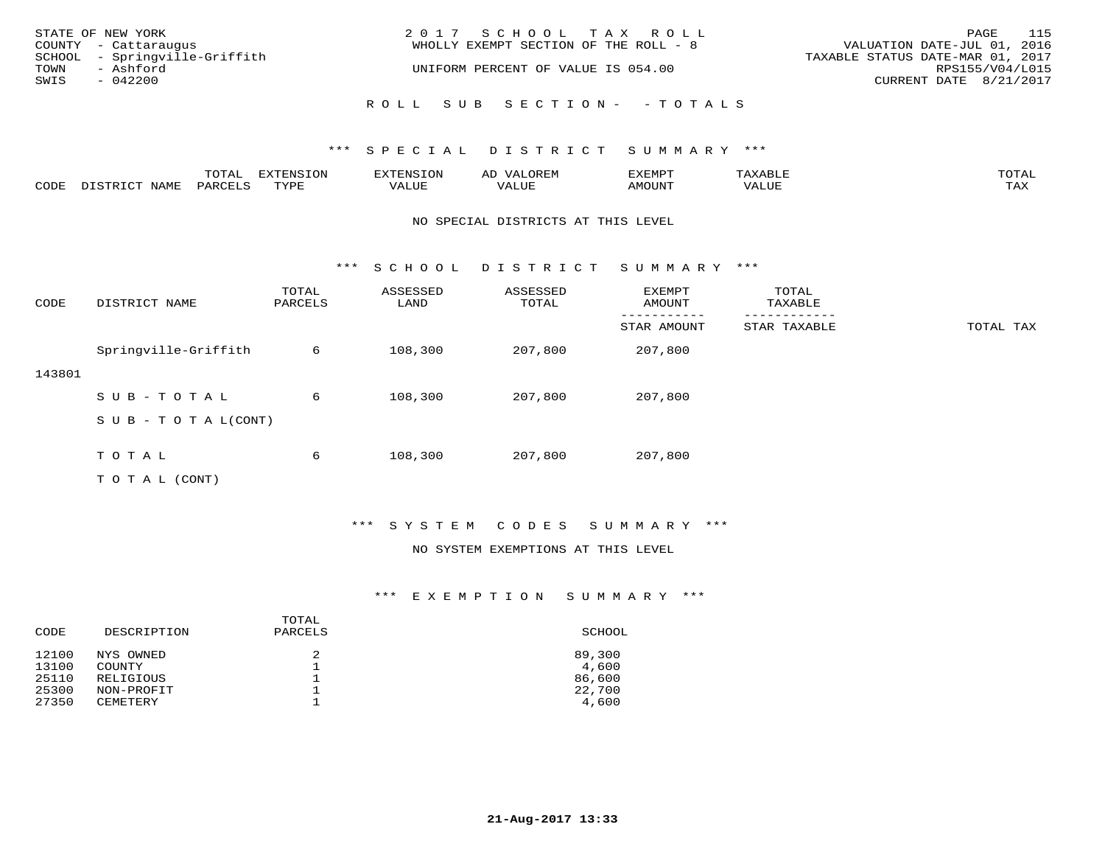| STATE OF NEW YORK             | 2017 SCHOOL TAX ROLL                  | 115<br>PAGE                      |
|-------------------------------|---------------------------------------|----------------------------------|
| COUNTY - Cattaraugus          | WHOLLY EXEMPT SECTION OF THE ROLL - 8 | VALUATION DATE-JUL 01, 2016      |
| SCHOOL - Springville-Griffith |                                       | TAXABLE STATUS DATE-MAR 01, 2017 |
| TOWN<br>- Ashford             | UNIFORM PERCENT OF VALUE IS 054.00    | RPS155/V04/L015                  |
| SWIS<br>- 042200              |                                       | CURRENT DATE 8/21/2017           |
|                               | ROLL SUB SECTION- - TOTALS            |                                  |

|      |      | ----<br>.U LAI | $T \cap N$<br>--- | ے۔ | רס אי הי     | .     | $m \wedge m \wedge$<br>$\sim$ |
|------|------|----------------|-------------------|----|--------------|-------|-------------------------------|
| CODE | NAME | UARCFT         | $m \tau \tau n$   |    | <b>MOUNT</b> | VALUE | max 37<br>⊥ ∠~∡∆              |

#### NO SPECIAL DISTRICTS AT THIS LEVEL

\*\*\* S C H O O L D I S T R I C T S U M M A R Y \*\*\*

| CODE   | DISTRICT NAME             | TOTAL<br>PARCELS | ASSESSED<br>LAND | ASSESSED<br>TOTAL | EXEMPT<br>AMOUNT | TOTAL<br>TAXABLE |           |
|--------|---------------------------|------------------|------------------|-------------------|------------------|------------------|-----------|
|        |                           |                  |                  |                   | STAR AMOUNT      | STAR TAXABLE     | TOTAL TAX |
|        | Springville-Griffith      | 6                | 108,300          | 207,800           | 207,800          |                  |           |
| 143801 |                           |                  |                  |                   |                  |                  |           |
|        | SUB-TOTAL                 | 6                | 108,300          | 207,800           | 207,800          |                  |           |
|        | S U B - T O T A $L(CONT)$ |                  |                  |                   |                  |                  |           |
|        |                           |                  |                  |                   |                  |                  |           |
|        | TOTAL                     | 6                | 108,300          | 207,800           | 207,800          |                  |           |
|        | T O T A L (CONT)          |                  |                  |                   |                  |                  |           |

#### \*\*\* S Y S T E M C O D E S S U M M A R Y \*\*\*

#### NO SYSTEM EXEMPTIONS AT THIS LEVEL

| DESCRIPTION                   | PARCELS | SCHOOL          |
|-------------------------------|---------|-----------------|
| NYS OWNED<br><b>COUNTY</b>    | 2       | 89,300<br>4,600 |
| RELIGIOUS                     |         | 86,600          |
| NON-PROFIT<br><b>CEMETERY</b> |         | 22,700<br>4,600 |
|                               |         | TOTAL           |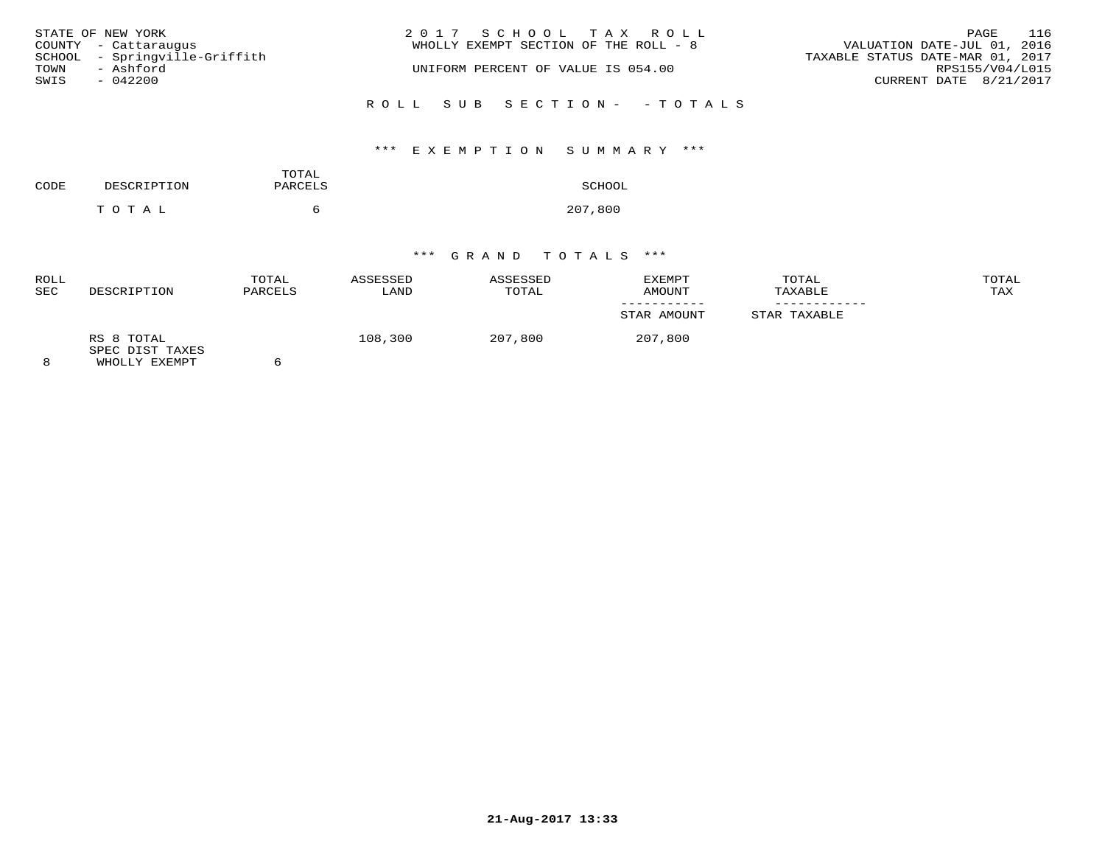|      | STATE OF NEW YORK             | 2017 SCHOOL TAX ROLL                  | 116<br>PAGE                      |
|------|-------------------------------|---------------------------------------|----------------------------------|
|      | COUNTY - Cattaraugus          | WHOLLY EXEMPT SECTION OF THE ROLL - 8 | VALUATION DATE-JUL 01, 2016      |
|      | SCHOOL - Springville-Griffith |                                       | TAXABLE STATUS DATE-MAR 01, 2017 |
| TOWN | - Ashford                     | UNIFORM PERCENT OF VALUE IS 054.00    | RPS155/V04/L015                  |
| SWIS | $-042200$                     |                                       | CURRENT DATE 8/21/2017           |
|      |                               | ROLL SUB SECTION- - TOTALS            |                                  |

## \*\*\* E X E M P T I O N S U M M A R Y \*\*\*

| CODE | DESCRIPTION | TOTAL<br>PARCELS | SCHOOL  |
|------|-------------|------------------|---------|
|      | тотаь       |                  | 207,800 |

| <b>ROLL</b><br><b>SEC</b> | DESCRIPTION                                    | TOTAL<br>PARCELS | ASSESSED<br>LAND | ASSESSED<br>TOTAL | EXEMPT<br>AMOUNT | TOTAL<br>TAXABLE | TOTAL<br>TAX |
|---------------------------|------------------------------------------------|------------------|------------------|-------------------|------------------|------------------|--------------|
|                           |                                                |                  |                  |                   | STAR AMOUNT      | STAR TAXABLE     |              |
| 8                         | RS 8 TOTAL<br>SPEC DIST TAXES<br>WHOLLY EXEMPT |                  | 108,300          | 207,800           | 207,800          |                  |              |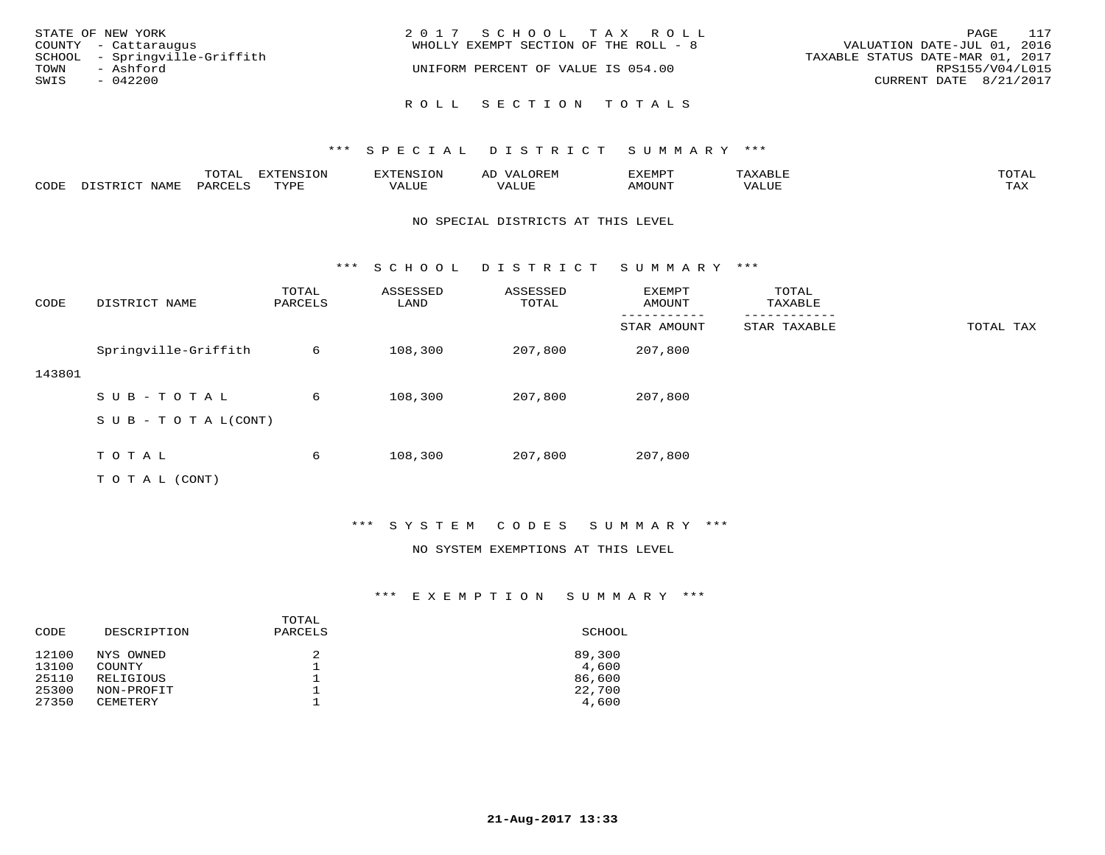| STATE OF NEW YORK<br>COUNTY - Cattaraugus                               | 2017 SCHOOL TAX ROLL<br>WHOLLY EXEMPT SECTION OF THE ROLL - 8 | PAGE 117<br>VALUATION DATE-JUL 01, 2016                                       |
|-------------------------------------------------------------------------|---------------------------------------------------------------|-------------------------------------------------------------------------------|
| SCHOOL - Springville-Griffith<br>TOWN<br>- Ashford<br>SWIS<br>$-042200$ | UNIFORM PERCENT OF VALUE IS 054.00                            | TAXABLE STATUS DATE-MAR 01, 2017<br>RPS155/V04/L015<br>CURRENT DATE 8/21/2017 |
|                                                                         | ROLL SECTION TOTALS                                           |                                                                               |

|      |                  | <b>TOTAL</b> | <b>EXTENSION</b> | <b>XTENSION</b> | <b>OREM</b><br>ΑD | EXEMPT | "AXABL) | TOTAI        |
|------|------------------|--------------|------------------|-----------------|-------------------|--------|---------|--------------|
| CODE | NAME<br>DISTRICT | PARCELS      | TVDF             | VALUE           | VALUE             | AMOUNT | VALUE   | max x<br>IAA |

#### NO SPECIAL DISTRICTS AT THIS LEVEL

\*\*\* S C H O O L D I S T R I C T S U M M A R Y \*\*\*

| CODE   | DISTRICT NAME             | TOTAL<br>PARCELS | ASSESSED<br>LAND | ASSESSED<br>TOTAL | EXEMPT<br>AMOUNT | TOTAL<br>TAXABLE |           |
|--------|---------------------------|------------------|------------------|-------------------|------------------|------------------|-----------|
|        |                           |                  |                  |                   | STAR AMOUNT      | STAR TAXABLE     | TOTAL TAX |
|        | Springville-Griffith      | 6                | 108,300          | 207,800           | 207,800          |                  |           |
| 143801 |                           |                  |                  |                   |                  |                  |           |
|        | SUB-TOTAL                 | 6                | 108,300          | 207,800           | 207,800          |                  |           |
|        | S U B - T O T A $L(CONT)$ |                  |                  |                   |                  |                  |           |
|        |                           |                  |                  |                   |                  |                  |           |
|        | TOTAL                     | 6                | 108,300          | 207,800           | 207,800          |                  |           |
|        | T O T A L (CONT)          |                  |                  |                   |                  |                  |           |

#### \*\*\* S Y S T E M C O D E S S U M M A R Y \*\*\*

#### NO SYSTEM EXEMPTIONS AT THIS LEVEL

| DESCRIPTION                   | PARCELS | SCHOOL          |
|-------------------------------|---------|-----------------|
| NYS OWNED<br><b>COUNTY</b>    | 2       | 89,300<br>4,600 |
| RELIGIOUS                     |         | 86,600          |
| NON-PROFIT<br><b>CEMETERY</b> |         | 22,700<br>4,600 |
|                               |         | TOTAL           |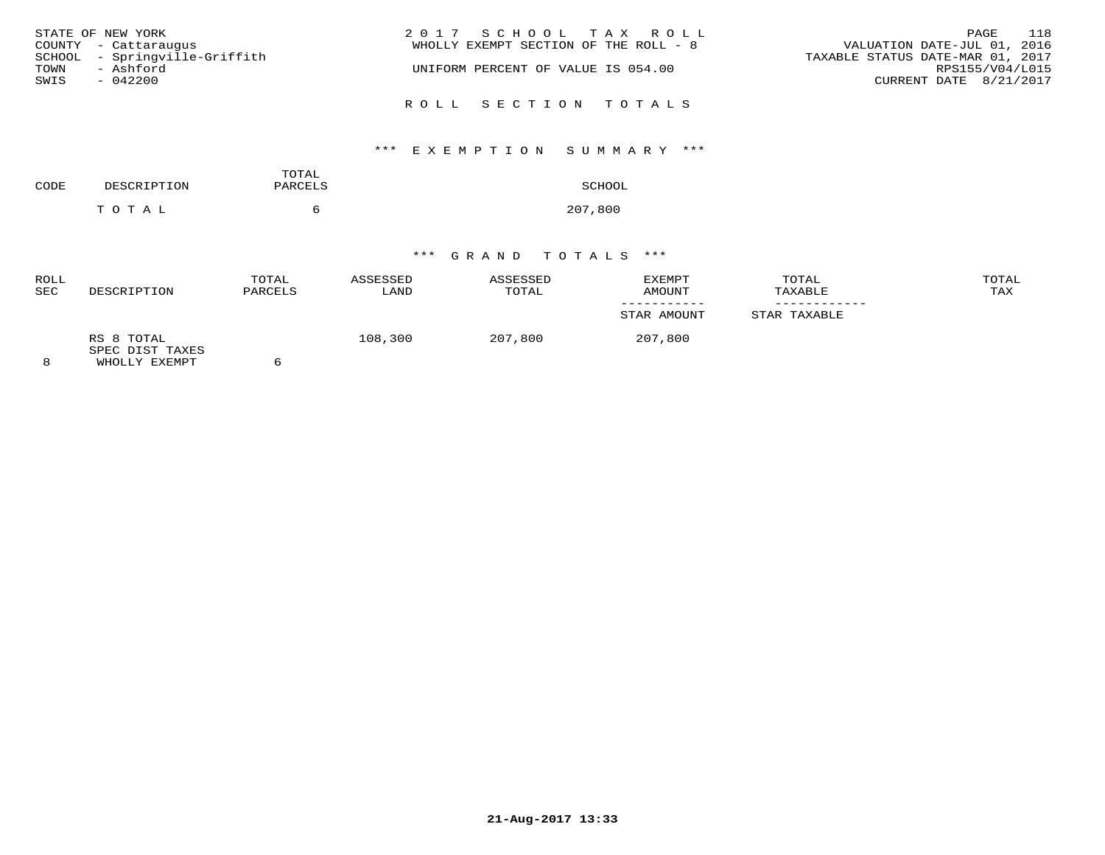| STATE OF NEW YORK             | 2017 SCHOOL TAX ROLL                  | 118<br>PAGE                      |
|-------------------------------|---------------------------------------|----------------------------------|
| COUNTY - Cattaraugus          | WHOLLY EXEMPT SECTION OF THE ROLL - 8 | VALUATION DATE-JUL 01, 2016      |
| SCHOOL - Springville-Griffith |                                       | TAXABLE STATUS DATE-MAR 01, 2017 |
| - Ashford<br>TOWN             | UNIFORM PERCENT OF VALUE IS 054.00    | RPS155/V04/L015                  |
| SWIS<br>$-042200$             |                                       | CURRENT DATE 8/21/2017           |
|                               | ROLL SECTION TOTALS                   |                                  |

## \*\*\* E X E M P T I O N S U M M A R Y \*\*\*

| CODE | DESCRIPTION | TOTAL<br>PARCELS | SCHOOL  |
|------|-------------|------------------|---------|
|      | тотаь       | 'n               | 207,800 |

| <b>ROLL</b><br><b>SEC</b> | DESCRIPTION                                    | TOTAL<br>PARCELS | ASSESSED<br>LAND | ASSESSED<br>TOTAL | EXEMPT<br>AMOUNT | TOTAL<br>TAXABLE | TOTAL<br>TAX |
|---------------------------|------------------------------------------------|------------------|------------------|-------------------|------------------|------------------|--------------|
|                           |                                                |                  |                  |                   | STAR AMOUNT      | STAR TAXABLE     |              |
| 8                         | RS 8 TOTAL<br>SPEC DIST TAXES<br>WHOLLY EXEMPT | n                | 108,300          | 207,800           | 207,800          |                  |              |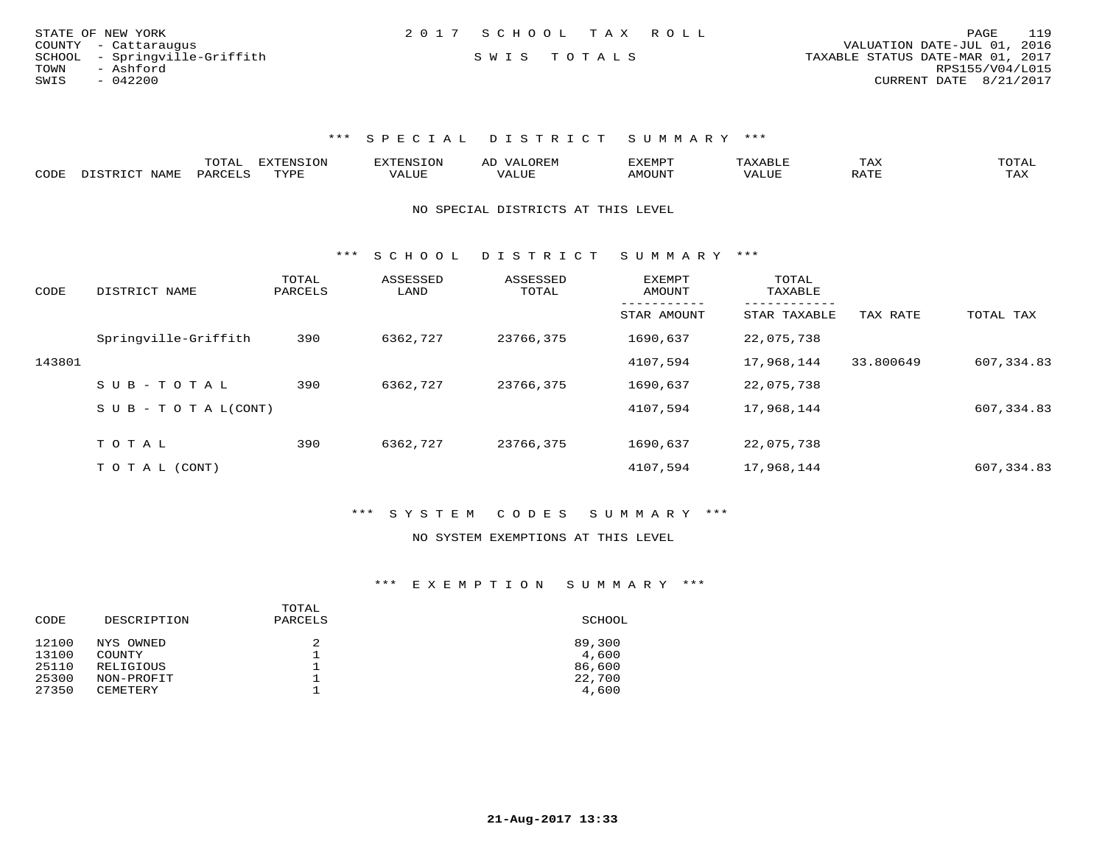| STATE OF NEW YORK             | 2017 SCHOOL TAX ROLL | 119<br>PAGE                      |
|-------------------------------|----------------------|----------------------------------|
| COUNTY - Cattaraugus          |                      | VALUATION DATE-JUL 01, 2016      |
| SCHOOL - Springville-Griffith | SWIS TOTALS          | TAXABLE STATUS DATE-MAR 01, 2017 |
| TOWN<br>- Ashford             |                      | RPS155/V04/L015                  |
| SWIS<br>$-042200$             |                      | CURRENT DATE 8/21/2017           |

|      |                               | ---- | <b>EXTENSION</b> |      | ▵ | 'XEMP        |       | TΗV | ™∩π∆τ              |
|------|-------------------------------|------|------------------|------|---|--------------|-------|-----|--------------------|
| CODE | 7\ 1\ /IT.<br>$W$ $A$ $W$ $F$ | ◡▵   | TVDF             | ALUE |   | <b>MOUNT</b> | ′ALU∟ |     | <b>TAY</b><br>⊥ ⊶∧ |

NO SPECIAL DISTRICTS AT THIS LEVEL

\*\*\* S C H O O L D I S T R I C T S U M M A R Y \*\*\*

| CODE   | DISTRICT NAME                    | TOTAL<br>PARCELS | ASSESSED<br>LAND | ASSESSED<br>TOTAL | <b>EXEMPT</b><br>AMOUNT | TOTAL<br>TAXABLE |           |            |
|--------|----------------------------------|------------------|------------------|-------------------|-------------------------|------------------|-----------|------------|
|        |                                  |                  |                  |                   | STAR AMOUNT             | STAR TAXABLE     | TAX RATE  | TOTAL TAX  |
|        | Springville-Griffith             | 390              | 6362,727         | 23766,375         | 1690,637                | 22,075,738       |           |            |
| 143801 |                                  |                  |                  |                   | 4107,594                | 17,968,144       | 33.800649 | 607,334.83 |
|        | SUB-TOTAL                        | 390              | 6362,727         | 23766,375         | 1690,637                | 22,075,738       |           |            |
|        | $S \cup B - T \cup T A L (CONT)$ |                  |                  |                   | 4107,594                | 17,968,144       |           | 607,334.83 |
|        | TOTAL                            | 390              | 6362,727         | 23766,375         | 1690,637                | 22,075,738       |           |            |
|        |                                  |                  |                  |                   |                         |                  |           |            |
|        | T O T A L (CONT)                 |                  |                  |                   | 4107,594                | 17,968,144       |           | 607,334.83 |

\*\*\* S Y S T E M C O D E S S U M M A R Y \*\*\*

#### NO SYSTEM EXEMPTIONS AT THIS LEVEL

| DESCRIPTION     | PARCELS | SCHOOL |
|-----------------|---------|--------|
| NYS OWNED       | 2       | 89,300 |
| <b>COUNTY</b>   |         | 4,600  |
| RELIGIOUS       |         | 86,600 |
| NON-PROFIT      |         | 22,700 |
| <b>CEMETERY</b> |         | 4,600  |
|                 |         | TOTAL  |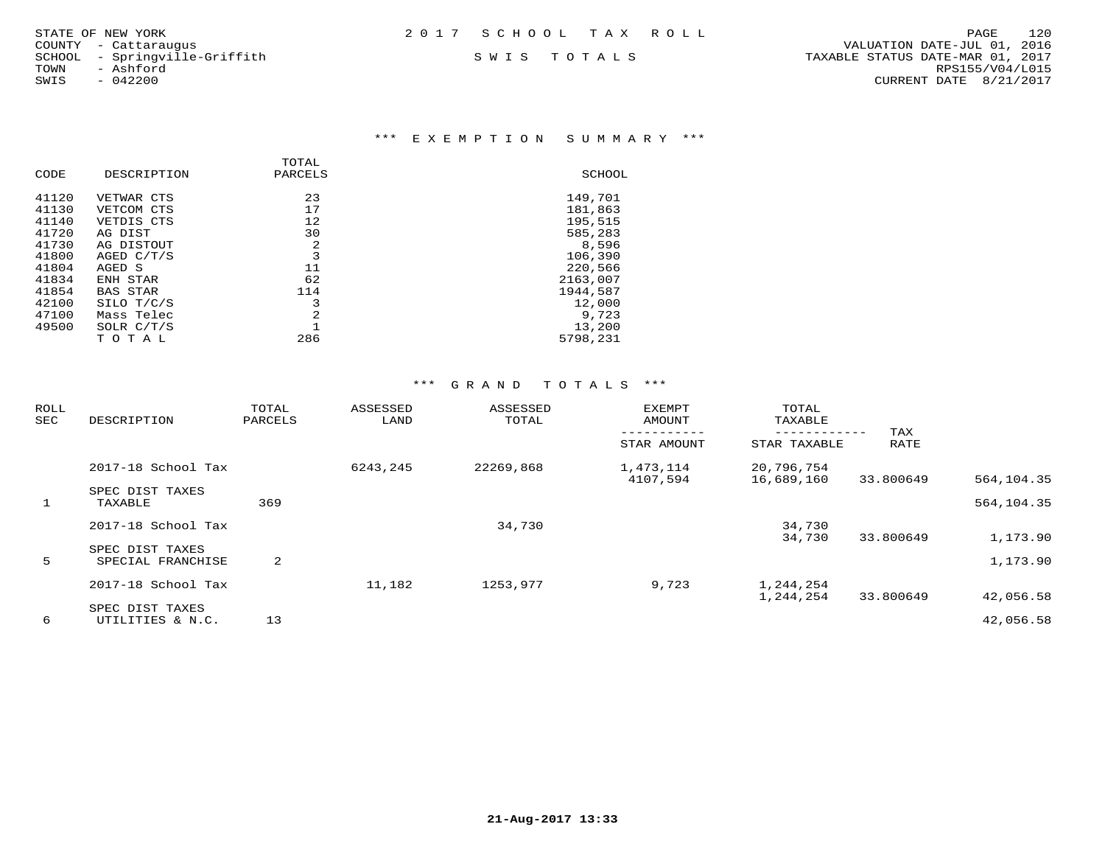| STATE OF NEW YORK | 2017 SCHOOL TAX ROLL |  | PAGE | 120 |
|-------------------|----------------------|--|------|-----|
|                   |                      |  |      |     |

#### \*\*\* E X E M P T I O N S U M M A R Y \*\*\*

|       |                 | TOTAL   |          |
|-------|-----------------|---------|----------|
| CODE  | DESCRIPTION     | PARCELS | SCHOOL   |
| 41120 | VETWAR CTS      | 23      | 149,701  |
| 41130 | VETCOM CTS      | 17      | 181,863  |
| 41140 | VETDIS CTS      | 12      | 195,515  |
| 41720 | AG DIST         | 30      | 585,283  |
| 41730 | AG DISTOUT      | 2       | 8,596    |
| 41800 | AGED $C/T/S$    | 3       | 106,390  |
| 41804 | AGED S          | 11      | 220,566  |
| 41834 | ENH STAR        | 62      | 2163,007 |
| 41854 | <b>BAS STAR</b> | 114     | 1944,587 |
| 42100 | SILO T/C/S      | 3       | 12,000   |
| 47100 | Mass Telec      | 2       | 9,723    |
| 49500 | SOLR $C/T/S$    |         | 13,200   |
|       | TOTAL           | 286     | 5798,231 |

| ROLL<br>SEC | DESCRIPTION                          | TOTAL<br>ASSESSED<br>PARCELS<br>LAND |          | ASSESSED<br><b>EXEMPT</b><br>TOTAL<br>AMOUNT |                       |                          |             |            |  | TOTAL<br>TAXABLE |  |  |
|-------------|--------------------------------------|--------------------------------------|----------|----------------------------------------------|-----------------------|--------------------------|-------------|------------|--|------------------|--|--|
|             |                                      |                                      |          |                                              | STAR AMOUNT           | STAR TAXABLE             | TAX<br>RATE |            |  |                  |  |  |
|             | 2017-18 School Tax                   |                                      | 6243,245 | 22269,868                                    | 1,473,114<br>4107,594 | 20,796,754<br>16,689,160 | 33.800649   | 564,104.35 |  |                  |  |  |
| 1           | SPEC DIST TAXES<br>TAXABLE           | 369                                  |          |                                              |                       |                          |             | 564,104.35 |  |                  |  |  |
|             | 2017-18 School Tax                   |                                      |          | 34,730                                       |                       | 34,730<br>34,730         | 33.800649   | 1,173.90   |  |                  |  |  |
| 5           | SPEC DIST TAXES<br>SPECIAL FRANCHISE | 2                                    |          |                                              |                       |                          |             | 1,173.90   |  |                  |  |  |
|             | 2017-18 School Tax                   |                                      | 11,182   | 1253,977                                     | 9,723                 | 1,244,254<br>1,244,254   | 33.800649   | 42,056.58  |  |                  |  |  |
| 6           | SPEC DIST TAXES<br>UTILITIES & N.C.  | 13                                   |          |                                              |                       |                          |             | 42,056.58  |  |                  |  |  |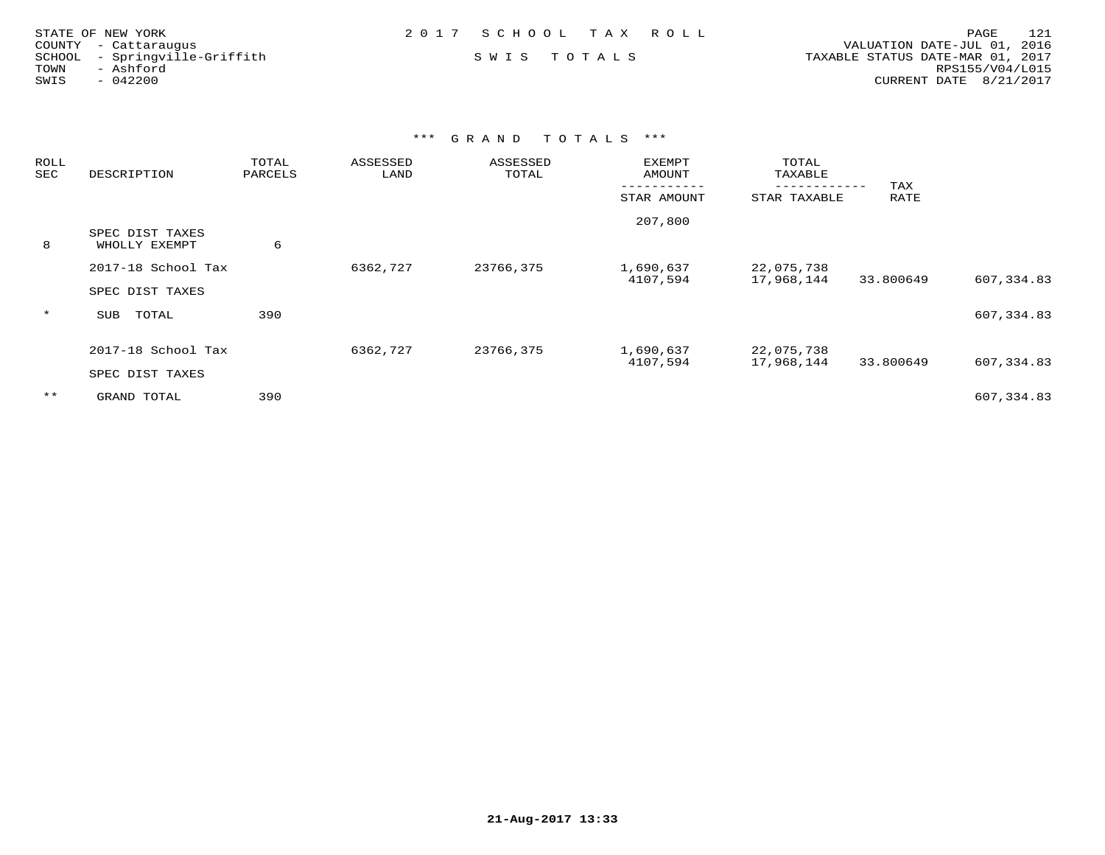| STATE OF NEW YORK             | 2017 SCHOOL TAX ROLL | 121<br>PAGE                      |
|-------------------------------|----------------------|----------------------------------|
| COUNTY - Cattaraugus          |                      | VALUATION DATE-JUL 01, 2016      |
| SCHOOL - Springville-Griffith | SWIS TOTALS          | TAXABLE STATUS DATE-MAR 01, 2017 |
| TOWN<br>- Ashford             |                      | RPS155/V04/L015                  |
| $-042200$<br>SWIS             |                      | CURRENT DATE 8/21/2017           |

| ROLL<br>SEC | DESCRIPTION                           | TOTAL<br>PARCELS | ASSESSED<br>LAND | ASSESSED<br>TOTAL | <b>EXEMPT</b><br><b>AMOUNT</b> | TOTAL<br>TAXABLE         | TAX       |            |
|-------------|---------------------------------------|------------------|------------------|-------------------|--------------------------------|--------------------------|-----------|------------|
|             |                                       |                  |                  | STAR AMOUNT       | ----------<br>STAR TAXABLE     | RATE                     |           |            |
| 8           | SPEC DIST TAXES<br>WHOLLY EXEMPT      | 6                |                  |                   | 207,800                        |                          |           |            |
|             | 2017-18 School Tax<br>SPEC DIST TAXES |                  | 6362,727         | 23766,375         | 1,690,637<br>4107,594          | 22,075,738<br>17,968,144 | 33.800649 | 607,334.83 |
| $\star$     | TOTAL<br>SUB                          | 390              |                  |                   |                                |                          |           | 607,334.83 |
|             | 2017-18 School Tax<br>SPEC DIST TAXES |                  | 6362,727         | 23766,375         | 1,690,637<br>4107,594          | 22,075,738<br>17,968,144 | 33.800649 | 607,334.83 |
| $***$       | GRAND TOTAL                           | 390              |                  |                   |                                |                          |           | 607,334.83 |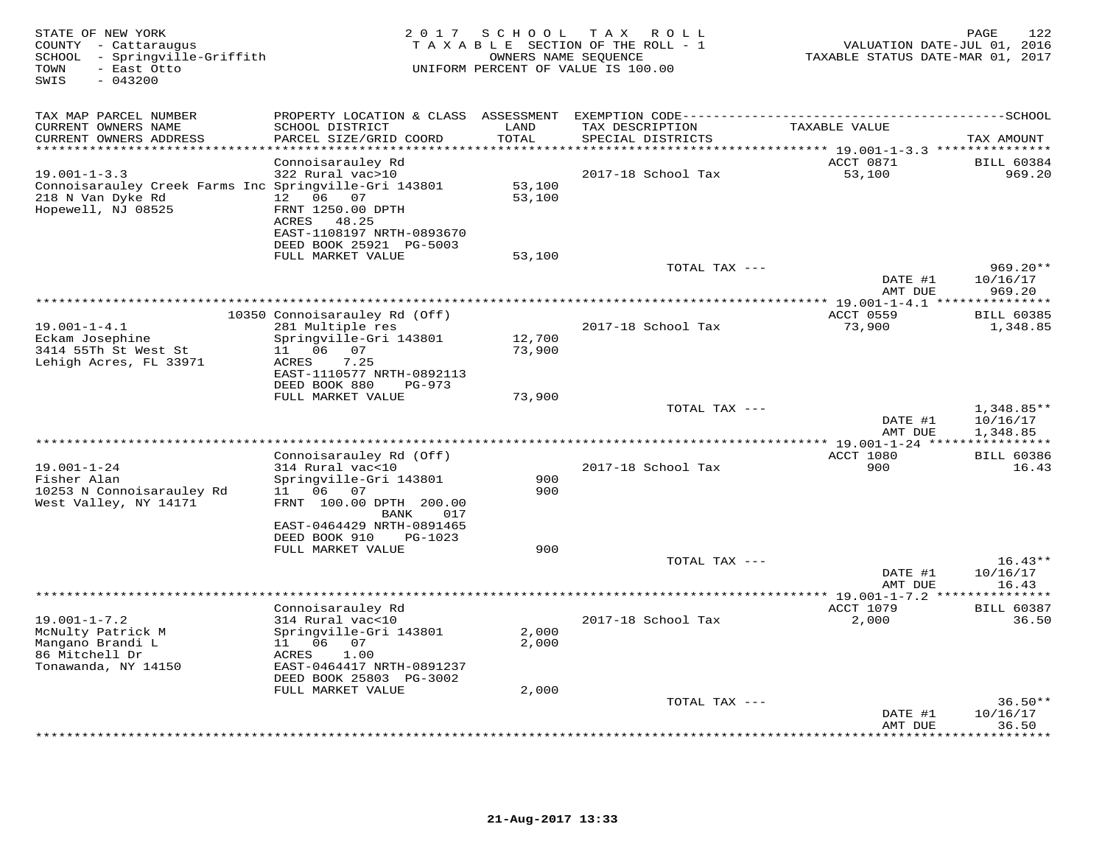| STATE OF NEW YORK<br>COUNTY - Cattaraugus<br>SCHOOL - Springville-Griffith<br>- East Otto<br>TOWN<br>SWIS<br>$-043200$ | 2 0 1 7                                                | SCHOOL                     | T A X<br>ROLL<br>TAXABLE SECTION OF THE ROLL - 1<br>OWNERS NAME SEQUENCE<br>UNIFORM PERCENT OF VALUE IS 100.00 | VALUATION DATE-JUL 01, 2016<br>TAXABLE STATUS DATE-MAR 01, 2017 | 122<br>PAGE           |
|------------------------------------------------------------------------------------------------------------------------|--------------------------------------------------------|----------------------------|----------------------------------------------------------------------------------------------------------------|-----------------------------------------------------------------|-----------------------|
| TAX MAP PARCEL NUMBER                                                                                                  | PROPERTY LOCATION & CLASS ASSESSMENT                   |                            |                                                                                                                |                                                                 |                       |
| CURRENT OWNERS NAME<br>CURRENT OWNERS ADDRESS<br>**********************                                                | SCHOOL DISTRICT<br>PARCEL SIZE/GRID COORD              | LAND<br>TOTAL<br>********* | TAX DESCRIPTION<br>SPECIAL DISTRICTS                                                                           | TAXABLE VALUE                                                   | TAX AMOUNT            |
|                                                                                                                        | Connoisarauley Rd                                      |                            |                                                                                                                | ACCT 0871                                                       | <b>BILL 60384</b>     |
| $19.001 - 1 - 3.3$                                                                                                     | 322 Rural vac>10                                       |                            | 2017-18 School Tax                                                                                             | 53,100                                                          | 969.20                |
| Connoisarauley Creek Farms Inc Springville-Gri 143801                                                                  |                                                        | 53,100                     |                                                                                                                |                                                                 |                       |
| 218 N Van Dyke Rd<br>Hopewell, NJ 08525                                                                                | 06 07<br>12<br>FRNT 1250.00 DPTH                       | 53,100                     |                                                                                                                |                                                                 |                       |
|                                                                                                                        | ACRES 48.25                                            |                            |                                                                                                                |                                                                 |                       |
|                                                                                                                        | EAST-1108197 NRTH-0893670                              |                            |                                                                                                                |                                                                 |                       |
|                                                                                                                        | DEED BOOK 25921 PG-5003                                |                            |                                                                                                                |                                                                 |                       |
|                                                                                                                        | FULL MARKET VALUE                                      | 53,100                     | TOTAL TAX ---                                                                                                  |                                                                 | $969.20**$            |
|                                                                                                                        |                                                        |                            |                                                                                                                | DATE #1<br>AMT DUE                                              | 10/16/17<br>969.20    |
|                                                                                                                        |                                                        |                            |                                                                                                                |                                                                 | * * * * * * * *       |
| $19.001 - 1 - 4.1$                                                                                                     | 10350 Connoisarauley Rd (Off)                          |                            |                                                                                                                | ACCT 0559<br>73,900                                             | <b>BILL 60385</b>     |
| Eckam Josephine                                                                                                        | 281 Multiple res<br>Springville-Gri 143801             | 12,700                     | 2017-18 School Tax                                                                                             |                                                                 | 1,348.85              |
| 3414 55Th St West St                                                                                                   | 11  06  07                                             | 73,900                     |                                                                                                                |                                                                 |                       |
| Lehigh Acres, FL 33971                                                                                                 | <b>ACRES</b><br>7.25                                   |                            |                                                                                                                |                                                                 |                       |
|                                                                                                                        | EAST-1110577 NRTH-0892113<br>DEED BOOK 880<br>$PG-973$ |                            |                                                                                                                |                                                                 |                       |
|                                                                                                                        | FULL MARKET VALUE                                      | 73,900                     |                                                                                                                |                                                                 |                       |
|                                                                                                                        |                                                        |                            | TOTAL TAX ---                                                                                                  |                                                                 | $1,348.85**$          |
|                                                                                                                        |                                                        |                            |                                                                                                                | DATE #1<br>AMT DUE                                              | 10/16/17              |
|                                                                                                                        |                                                        |                            |                                                                                                                |                                                                 | 1,348.85              |
|                                                                                                                        | Connoisarauley Rd (Off)                                |                            |                                                                                                                | ACCT 1080                                                       | <b>BILL 60386</b>     |
| $19.001 - 1 - 24$                                                                                                      | 314 Rural vac<10                                       |                            | 2017-18 School Tax                                                                                             | 900                                                             | 16.43                 |
| Fisher Alan<br>10253 N Connoisarauley Rd                                                                               | Springville-Gri 143801<br>11 06<br>07                  | 900<br>900                 |                                                                                                                |                                                                 |                       |
| West Valley, NY 14171                                                                                                  | FRNT 100.00 DPTH 200.00                                |                            |                                                                                                                |                                                                 |                       |
|                                                                                                                        | <b>BANK</b><br>017                                     |                            |                                                                                                                |                                                                 |                       |
|                                                                                                                        | EAST-0464429 NRTH-0891465                              |                            |                                                                                                                |                                                                 |                       |
|                                                                                                                        | DEED BOOK 910<br>PG-1023<br>FULL MARKET VALUE          | 900                        |                                                                                                                |                                                                 |                       |
|                                                                                                                        |                                                        |                            | TOTAL TAX ---                                                                                                  |                                                                 | $16.43**$             |
|                                                                                                                        |                                                        |                            |                                                                                                                | DATE #1                                                         | 10/16/17              |
|                                                                                                                        |                                                        |                            |                                                                                                                | AMT DUE                                                         | 16.43                 |
|                                                                                                                        | Connoisarauley Rd                                      |                            |                                                                                                                | ACCT 1079                                                       | <b>BILL 60387</b>     |
| $19.001 - 1 - 7.2$                                                                                                     | 314 Rural vac<10                                       |                            | 2017-18 School Tax                                                                                             | 2,000                                                           | 36.50                 |
| McNulty Patrick M                                                                                                      | Springville-Gri 143801                                 | 2,000                      |                                                                                                                |                                                                 |                       |
| Mangano Brandi L<br>86 Mitchell Dr                                                                                     | 11 06<br>07<br>ACRES<br>1.00                           | 2,000                      |                                                                                                                |                                                                 |                       |
| Tonawanda, NY 14150                                                                                                    | EAST-0464417 NRTH-0891237                              |                            |                                                                                                                |                                                                 |                       |
|                                                                                                                        | DEED BOOK 25803 PG-3002                                |                            |                                                                                                                |                                                                 |                       |
|                                                                                                                        | FULL MARKET VALUE                                      | 2,000                      |                                                                                                                |                                                                 |                       |
|                                                                                                                        |                                                        |                            | TOTAL TAX ---                                                                                                  | DATE #1                                                         | $36.50**$<br>10/16/17 |
|                                                                                                                        |                                                        |                            |                                                                                                                | AMT DUE                                                         | 36.50                 |
|                                                                                                                        |                                                        |                            |                                                                                                                |                                                                 | ******                |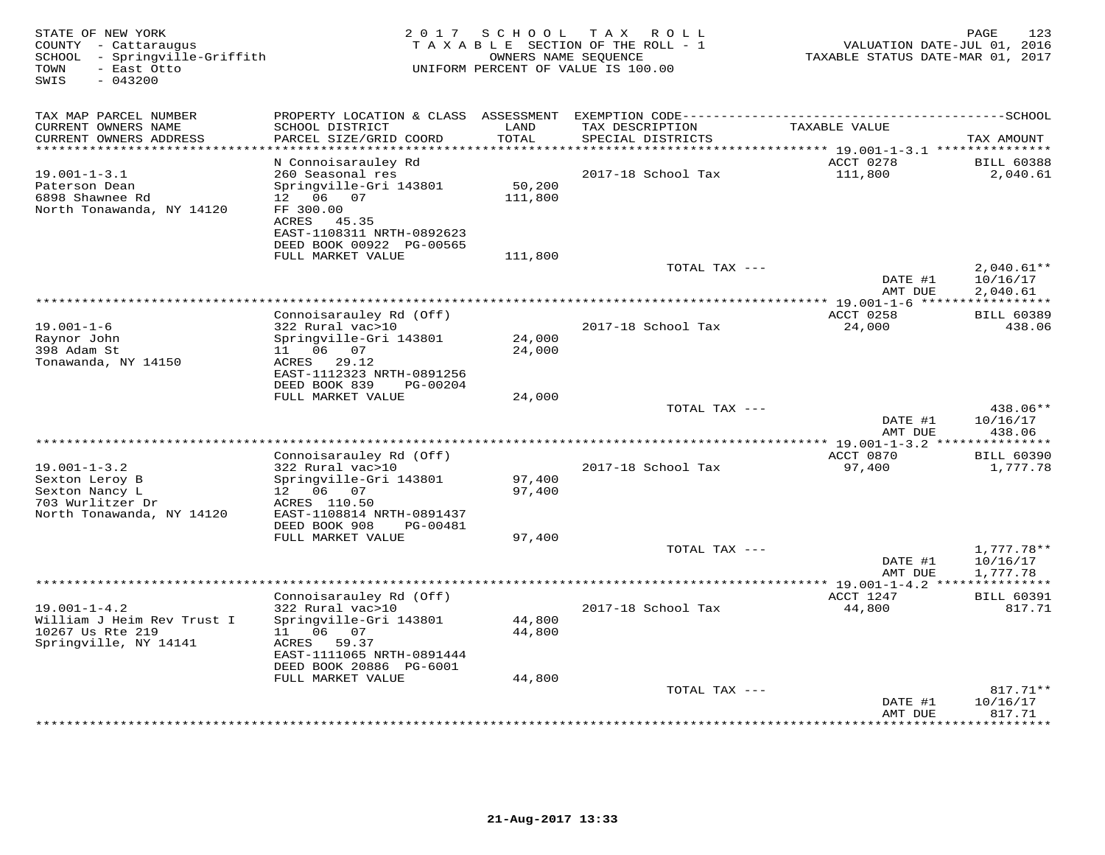| STATE OF NEW YORK<br>COUNTY - Cattaraugus<br>- Springville-Griffith<br>SCHOOL<br>TOWN<br>- East Otto<br>SWIS<br>$-043200$ | 2 0 1 7<br>TAXABLE                                                                                                                 | SCHOOL                  | T A X<br>R O L L<br>SECTION OF THE ROLL - 1<br>OWNERS NAME SEQUENCE<br>UNIFORM PERCENT OF VALUE IS 100.00 | VALUATION DATE-JUL 01, 2016<br>TAXABLE STATUS DATE-MAR 01, 2017 | 123<br>PAGE                    |
|---------------------------------------------------------------------------------------------------------------------------|------------------------------------------------------------------------------------------------------------------------------------|-------------------------|-----------------------------------------------------------------------------------------------------------|-----------------------------------------------------------------|--------------------------------|
| TAX MAP PARCEL NUMBER                                                                                                     | PROPERTY LOCATION & CLASS ASSESSMENT                                                                                               |                         |                                                                                                           |                                                                 |                                |
| CURRENT OWNERS NAME<br>CURRENT OWNERS ADDRESS<br>**********************                                                   | SCHOOL DISTRICT<br>PARCEL SIZE/GRID COORD                                                                                          | LAND<br>TOTAL<br>****** | TAX DESCRIPTION<br>SPECIAL DISTRICTS                                                                      | TAXABLE VALUE                                                   | TAX AMOUNT                     |
|                                                                                                                           | N Connoisarauley Rd                                                                                                                |                         |                                                                                                           | ******** 19.001-1-3.1 ***************<br>ACCT 0278              | <b>BILL 60388</b>              |
| $19.001 - 1 - 3.1$<br>Paterson Dean<br>6898 Shawnee Rd<br>North Tonawanda, NY 14120                                       | 260 Seasonal res<br>Springville-Gri 143801<br>06 07<br>12 <sup>°</sup><br>FF 300.00<br>ACRES 45.35<br>EAST-1108311 NRTH-0892623    | 50,200<br>111,800       | 2017-18 School Tax                                                                                        | 111,800                                                         | 2,040.61                       |
|                                                                                                                           | DEED BOOK 00922 PG-00565<br>FULL MARKET VALUE                                                                                      | 111,800                 |                                                                                                           |                                                                 |                                |
|                                                                                                                           |                                                                                                                                    |                         | TOTAL TAX ---                                                                                             | DATE #1                                                         | $2,040.61**$<br>10/16/17       |
|                                                                                                                           |                                                                                                                                    |                         |                                                                                                           | AMT DUE                                                         | 2,040.61                       |
|                                                                                                                           | Connoisarauley Rd (Off)                                                                                                            |                         |                                                                                                           | **** 19.001-1-6 **<br>ACCT 0258                                 | <b>BILL 60389</b>              |
| $19.001 - 1 - 6$<br>Raynor John<br>398 Adam St                                                                            | 322 Rural vac>10<br>Springville-Gri 143801<br>06 07<br>11                                                                          | 24,000<br>24,000        | 2017-18 School Tax                                                                                        | 24,000                                                          | 438.06                         |
| Tonawanda, NY 14150                                                                                                       | ACRES<br>29.12<br>EAST-1112323 NRTH-0891256<br>DEED BOOK 839<br>PG-00204                                                           |                         |                                                                                                           |                                                                 |                                |
|                                                                                                                           | FULL MARKET VALUE                                                                                                                  | 24,000                  | TOTAL TAX ---                                                                                             |                                                                 | 438.06**                       |
|                                                                                                                           |                                                                                                                                    |                         |                                                                                                           | DATE #1<br>AMT DUE                                              | 10/16/17<br>438.06             |
|                                                                                                                           |                                                                                                                                    |                         | *******************************                                                                           | $* 19.001 - 1 - 3.2$                                            | * * * * * * * * *              |
| $19.001 - 1 - 3.2$<br>Sexton Leroy B<br>Sexton Nancy L<br>703 Wurlitzer Dr                                                | Connoisarauley Rd (Off)<br>322 Rural vac>10<br>Springville-Gri 143801<br>12  06  07<br>ACRES 110.50                                | 97,400<br>97,400        | 2017-18 School Tax                                                                                        | ACCT 0870<br>97,400                                             | <b>BILL 60390</b><br>1,777.78  |
| North Tonawanda, NY 14120                                                                                                 | EAST-1108814 NRTH-0891437<br>DEED BOOK 908<br>PG-00481                                                                             |                         |                                                                                                           |                                                                 |                                |
|                                                                                                                           | FULL MARKET VALUE                                                                                                                  | 97,400                  | TOTAL TAX ---                                                                                             |                                                                 | $1,777.78**$                   |
|                                                                                                                           |                                                                                                                                    |                         |                                                                                                           | DATE #1<br>AMT DUE                                              | 10/16/17<br>1,777.78           |
|                                                                                                                           | *******************                                                                                                                |                         | *********************                                                                                     | ** 19.001-1-4.2                                                 |                                |
| $19.001 - 1 - 4.2$<br>William J Heim Rev Trust I<br>10267 Us Rte 219<br>Springville, NY 14141                             | Connoisarauley Rd (Off)<br>322 Rural vac>10<br>Springville-Gri 143801<br>11  06  07<br>59.37<br>ACRES<br>EAST-1111065 NRTH-0891444 | 44,800<br>44,800        | 2017-18 School Tax                                                                                        | ACCT 1247<br>44,800                                             | <b>BILL 60391</b><br>817.71    |
|                                                                                                                           | DEED BOOK 20886 PG-6001                                                                                                            |                         |                                                                                                           |                                                                 |                                |
|                                                                                                                           | FULL MARKET VALUE                                                                                                                  | 44,800                  |                                                                                                           |                                                                 |                                |
|                                                                                                                           |                                                                                                                                    |                         | TOTAL TAX ---                                                                                             | DATE #1<br>AMT DUE                                              | 817.71**<br>10/16/17<br>817.71 |
|                                                                                                                           |                                                                                                                                    |                         |                                                                                                           |                                                                 | . * * * * * * *                |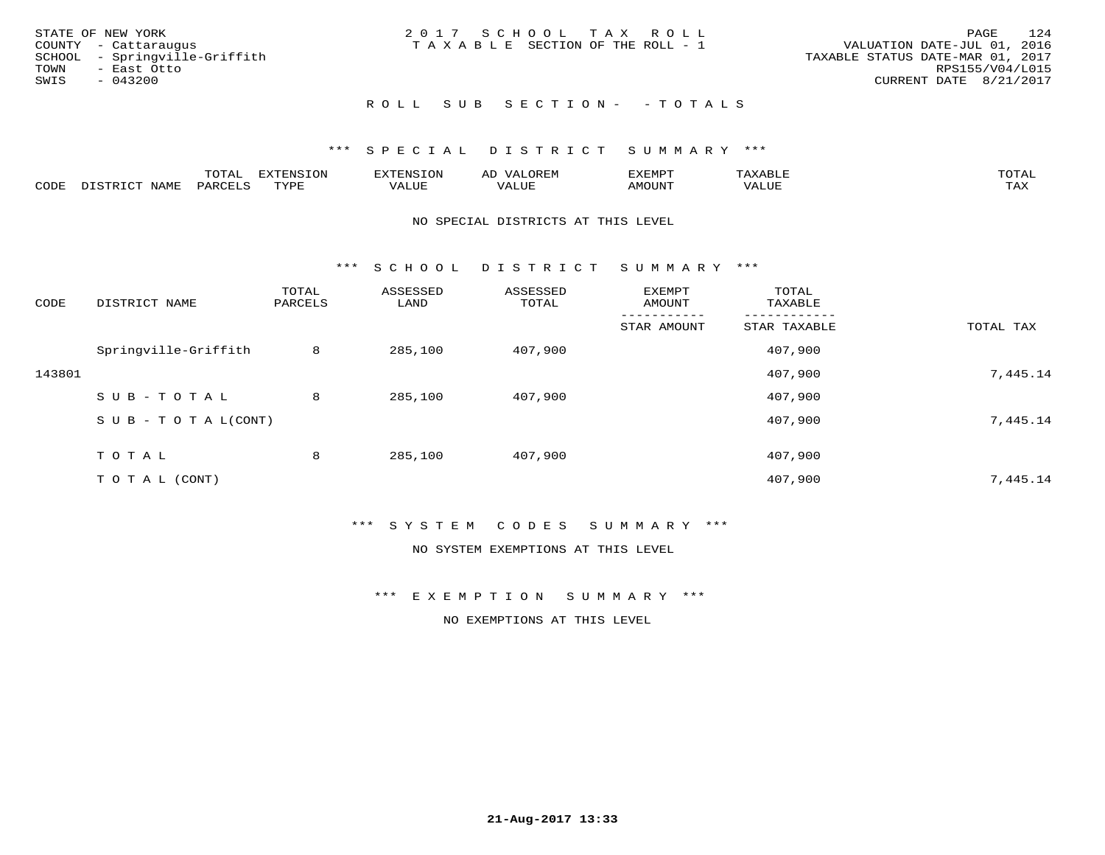|      | STATE OF NEW YORK             | 2017 SCHOOL TAX ROLL            |  |  | PAGE                             | 124 |
|------|-------------------------------|---------------------------------|--|--|----------------------------------|-----|
|      | COUNTY - Cattaraugus          | TAXABLE SECTION OF THE ROLL - 1 |  |  | VALUATION DATE-JUL 01, 2016      |     |
|      | SCHOOL - Springville-Griffith |                                 |  |  | TAXABLE STATUS DATE-MAR 01, 2017 |     |
| TOWN | - East Otto                   |                                 |  |  | RPS155/V04/L015                  |     |
| SWIS | - 043200                      |                                 |  |  | CURRENT DATE 8/21/2017           |     |
|      |                               |                                 |  |  |                                  |     |

#### ROLL SUB SECTION - - TOTALS

#### \*\*\* S P E C I A L D I S T R I C T S U M M A R Y \*\*\*

|      |         | m^m*<br><u>UIAI</u> | . v  | <b>HUNE</b> |                   | :XEMPT | ∸<br>. | mom <sub>n</sub> |
|------|---------|---------------------|------|-------------|-------------------|--------|--------|------------------|
| CODE | NT A MT | PARL                | mynn | 'ALUE       | $- - - -$<br>ALUP | MOUN.  | 'ALUE  | ГAХ              |

#### NO SPECIAL DISTRICTS AT THIS LEVEL

\*\*\* S C H O O L D I S T R I C T S U M M A R Y \*\*\*

| CODE   | DISTRICT NAME                    | TOTAL<br>PARCELS | ASSESSED<br>LAND | ASSESSED<br>TOTAL | EXEMPT<br>AMOUNT | TOTAL<br>TAXABLE |           |
|--------|----------------------------------|------------------|------------------|-------------------|------------------|------------------|-----------|
|        |                                  |                  |                  |                   | STAR AMOUNT      | STAR TAXABLE     | TOTAL TAX |
|        | Springville-Griffith             | 8                | 285,100          | 407,900           |                  | 407,900          |           |
| 143801 |                                  |                  |                  |                   |                  | 407,900          | 7,445.14  |
|        | SUB-TOTAL                        | 8                | 285,100          | 407,900           |                  | 407,900          |           |
|        | $S \cup B - T \cup T A L (CONT)$ |                  |                  |                   |                  | 407,900          | 7,445.14  |
|        | TOTAL                            | 8                | 285,100          | 407,900           |                  | 407,900          |           |
|        |                                  |                  |                  |                   |                  |                  |           |
|        | T O T A L (CONT)                 |                  |                  |                   |                  | 407,900          | 7,445.14  |

#### \*\*\* S Y S T E M C O D E S S U M M A R Y \*\*\*

NO SYSTEM EXEMPTIONS AT THIS LEVEL

\*\*\* E X E M P T I O N S U M M A R Y \*\*\*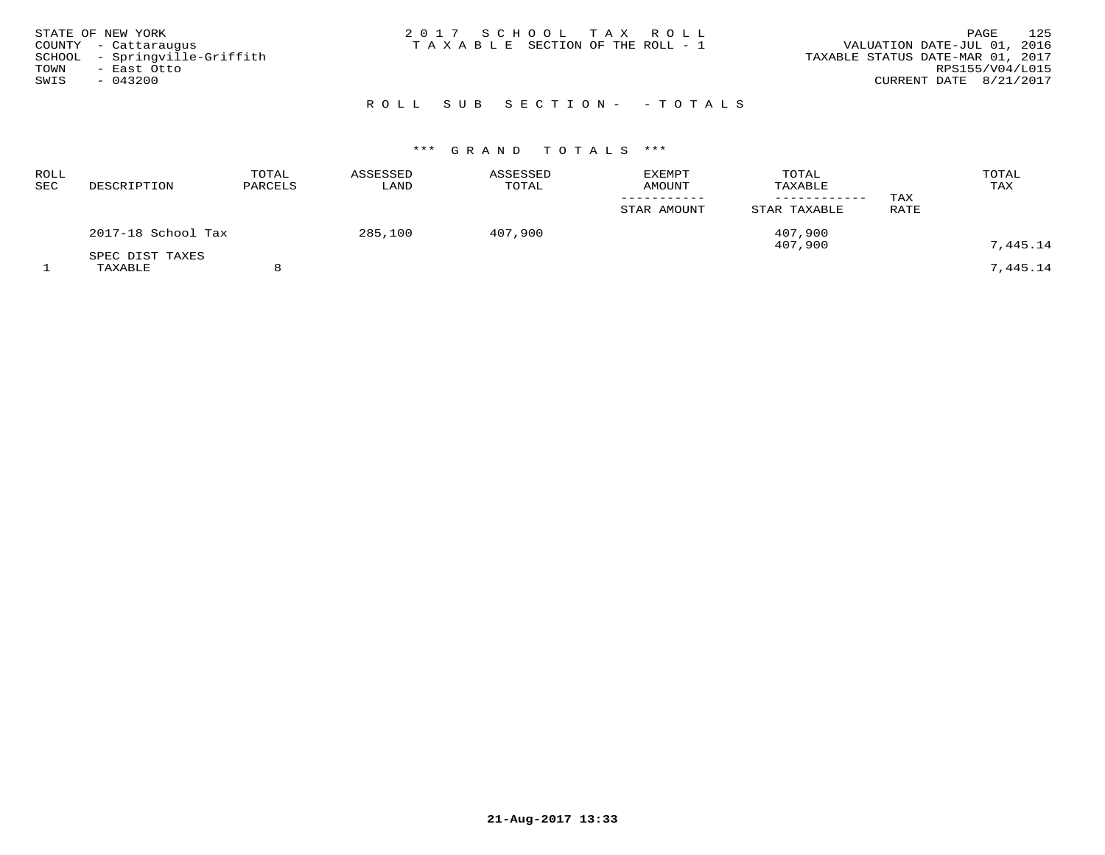| STATE OF NEW YORK<br>COUNTY - Cattaraugus | 2017 SCHOOL TAX ROLL<br>T A X A B L E SECTION OF THE ROLL - 1 | 125<br>PAGE<br>VALUATION DATE-JUL 01, 2016 |
|-------------------------------------------|---------------------------------------------------------------|--------------------------------------------|
| SCHOOL - Springville-Griffith             |                                                               | TAXABLE STATUS DATE-MAR 01, 2017           |
| TOWN<br>- East Otto                       |                                                               | RPS155/V04/L015                            |
| SWIS<br>$-043200$                         |                                                               | CURRENT DATE 8/21/2017                     |
|                                           |                                                               |                                            |

## R O L L S U B S E C T I O N - - T O T A L S

| ROLL<br>SEC | DESCRIPTION                | TOTAL<br>PARCELS | ASSESSED<br>LAND | ASSESSED<br>TOTAL | EXEMPT<br><b>AMOUNT</b> | TOTAL<br>TAXABLE   | TAX  | TOTAL<br>TAX |
|-------------|----------------------------|------------------|------------------|-------------------|-------------------------|--------------------|------|--------------|
|             |                            |                  |                  |                   | STAR AMOUNT             | STAR TAXABLE       | RATE |              |
|             | 2017-18 School Tax         |                  | 285,100          | 407,900           |                         | 407,900<br>407,900 |      | 7,445.14     |
|             | SPEC DIST TAXES<br>TAXABLE |                  |                  |                   |                         |                    |      | 7,445.14     |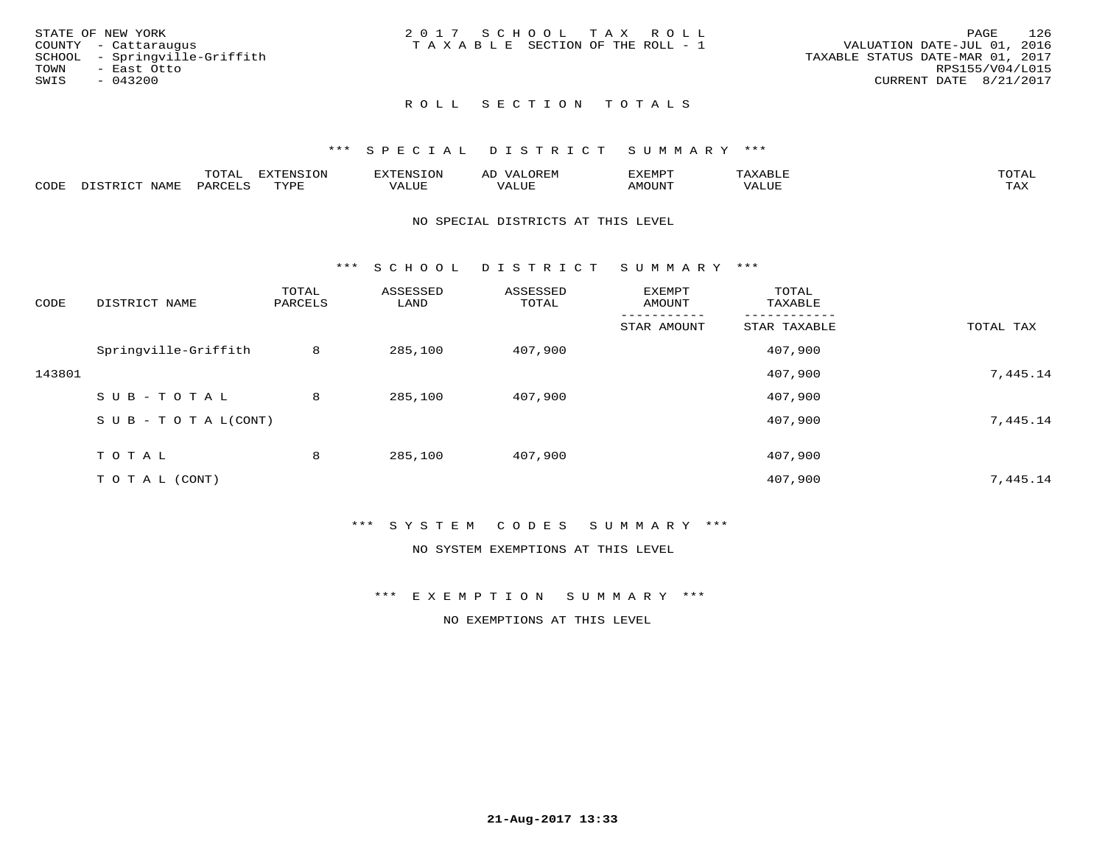| STATE OF NEW YORK             | 2017 SCHOOL TAX ROLL                  | 126<br>PAGE                      |
|-------------------------------|---------------------------------------|----------------------------------|
| COUNTY - Cattaraugus          | T A X A B L E SECTION OF THE ROLL - 1 | VALUATION DATE-JUL 01, 2016      |
| SCHOOL - Springville-Griffith |                                       | TAXABLE STATUS DATE-MAR 01, 2017 |
| TOWN<br>- East Otto           |                                       | RPS155/V04/L015                  |
| SWIS<br>- 043200              |                                       | CURRENT DATE 8/21/2017           |
|                               |                                       |                                  |

### ROLL SECTION TOTALS

#### \*\*\* S P E C I A L D I S T R I C T S U M M A R Y \*\*\*

|      |      | momm<br>LUIAL | $\blacksquare$<br>www<br>.UP | . N.S                | . JR P.IV     | המארד 17<br>ິ<br>⊐ויום∧נ |                |                    |
|------|------|---------------|------------------------------|----------------------|---------------|--------------------------|----------------|--------------------|
| CODE | NAME | . DAD'        | TVDI<br>.                    | 77\TTTT<br>الالالدين | T T T<br>ALUI | AMOUNT                   | T T T T<br>′ △ | $m \times r$<br>∸⊷ |

#### NO SPECIAL DISTRICTS AT THIS LEVEL

\*\*\* S C H O O L D I S T R I C T S U M M A R Y \*\*\*

| CODE   | DISTRICT NAME                    | TOTAL<br>PARCELS | ASSESSED<br>LAND | ASSESSED<br>TOTAL | EXEMPT<br>AMOUNT | TOTAL<br>TAXABLE |           |
|--------|----------------------------------|------------------|------------------|-------------------|------------------|------------------|-----------|
|        |                                  |                  |                  |                   | STAR AMOUNT      | STAR TAXABLE     | TOTAL TAX |
|        | Springville-Griffith             | 8                | 285,100          | 407,900           |                  | 407,900          |           |
| 143801 |                                  |                  |                  |                   |                  | 407,900          | 7,445.14  |
|        | SUB-TOTAL                        | 8                | 285,100          | 407,900           |                  | 407,900          |           |
|        | $S \cup B - T \cup T A L (CONT)$ |                  |                  |                   |                  | 407,900          | 7,445.14  |
|        | TOTAL                            | 8                | 285,100          | 407,900           |                  | 407,900          |           |
|        | T O T A L (CONT)                 |                  |                  |                   |                  | 407,900          | 7,445.14  |

#### \*\*\* S Y S T E M C O D E S S U M M A R Y \*\*\*

NO SYSTEM EXEMPTIONS AT THIS LEVEL

\*\*\* E X E M P T I O N S U M M A R Y \*\*\*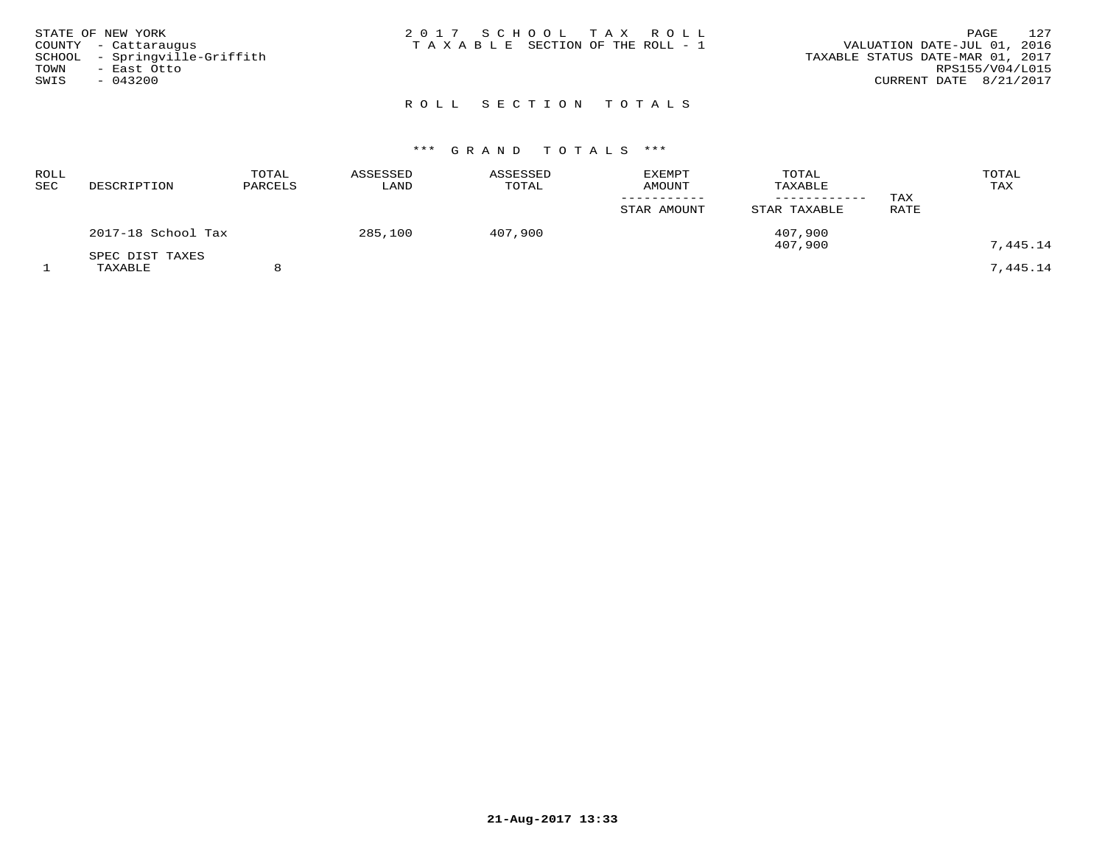| STATE OF NEW YORK             | 2017 SCHOOL TAX ROLL            | 127<br>PAGE                      |
|-------------------------------|---------------------------------|----------------------------------|
| COUNTY - Cattaraugus          | TAXABLE SECTION OF THE ROLL - 1 | VALUATION DATE-JUL 01, 2016      |
| SCHOOL - Springville-Griffith |                                 | TAXABLE STATUS DATE-MAR 01, 2017 |
| TOWN<br>– East Otto           |                                 | RPS155/V04/L015                  |
| SWIS<br>$-043200$             |                                 | CURRENT DATE 8/21/2017           |
|                               |                                 |                                  |

## ROLL SECTION TOTALS

| <b>ROLL</b><br>SEC | DESCRIPTION                | TOTAL<br>PARCELS | ASSESSED<br>LAND | ASSESSED<br>TOTAL | <b>EXEMPT</b><br><b>AMOUNT</b><br>STAR AMOUNT | TOTAL<br>TAXABLE<br>STAR TAXABLE | TAX<br>RATE | TOTAL<br>TAX |
|--------------------|----------------------------|------------------|------------------|-------------------|-----------------------------------------------|----------------------------------|-------------|--------------|
|                    | 2017-18 School Tax         |                  | 285,100          | 407,900           |                                               | 407,900<br>407,900               |             | 7,445.14     |
|                    | SPEC DIST TAXES<br>TAXABLE |                  |                  |                   |                                               |                                  |             | 7,445.14     |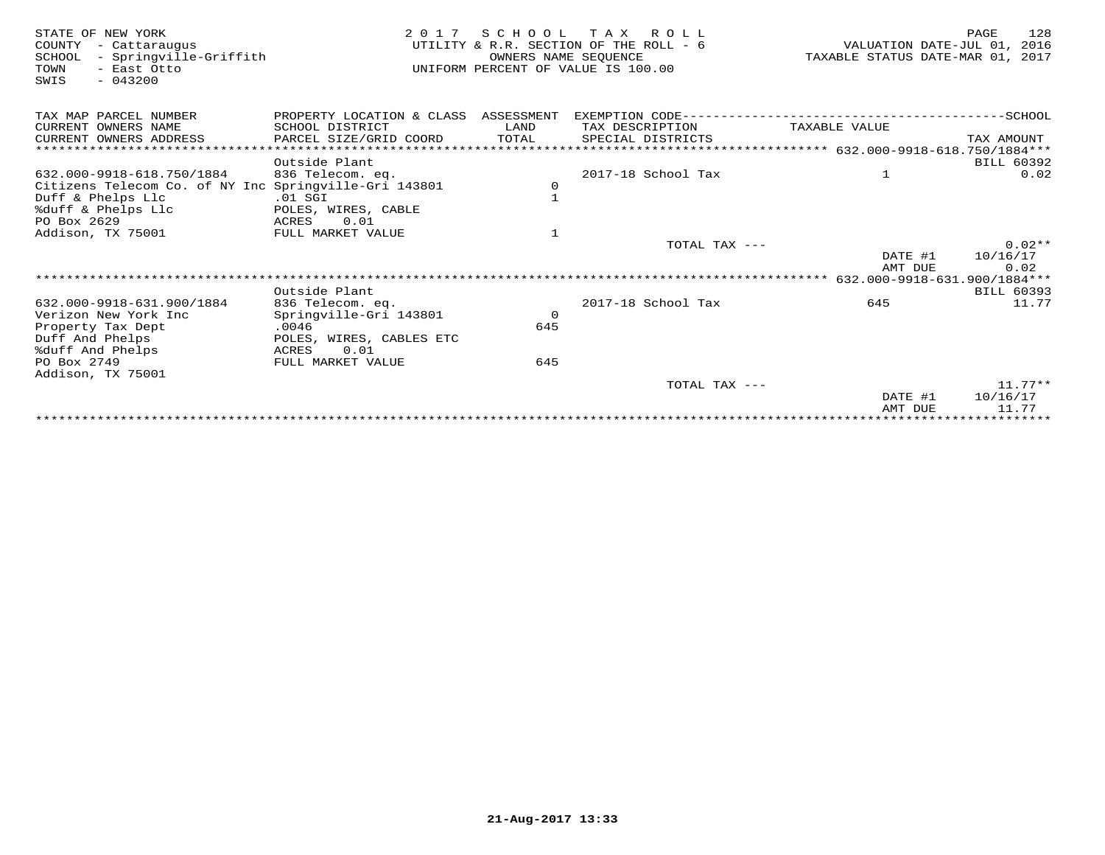| STATE OF NEW YORK<br>COUNTY<br>- Cattaraugus<br>- Springville-Griffith<br>SCHOOL<br>TOWN<br>- East Otto<br>$-043200$<br>SWIS | 2 0 1 7                              | SCHOOL<br>OWNERS NAME SEQUENCE | TAX ROLL<br>UTILITY & R.R. SECTION OF THE ROLL - 6<br>UNIFORM PERCENT OF VALUE IS 100.00 | VALUATION DATE-JUL 01,<br>TAXABLE STATUS DATE-MAR 01, 2017 | 128<br>PAGE<br>2016     |
|------------------------------------------------------------------------------------------------------------------------------|--------------------------------------|--------------------------------|------------------------------------------------------------------------------------------|------------------------------------------------------------|-------------------------|
| TAX MAP PARCEL NUMBER                                                                                                        | PROPERTY LOCATION & CLASS ASSESSMENT |                                |                                                                                          |                                                            |                         |
| CURRENT OWNERS NAME                                                                                                          | SCHOOL DISTRICT                      | LAND                           | TAX DESCRIPTION                                                                          | TAXABLE VALUE                                              |                         |
| CURRENT OWNERS ADDRESS                                                                                                       | PARCEL SIZE/GRID COORD               | TOTAL                          | SPECIAL DISTRICTS                                                                        |                                                            | TAX AMOUNT              |
| ******************************                                                                                               |                                      |                                |                                                                                          |                                                            |                         |
|                                                                                                                              | Outside Plant                        |                                |                                                                                          |                                                            | <b>BILL 60392</b>       |
| 632.000-9918-618.750/1884                                                                                                    | 836 Telecom. eq.                     |                                | 2017-18 School Tax                                                                       | 1                                                          | 0.02                    |
| Citizens Telecom Co. of NY Inc Springville-Gri 143801                                                                        |                                      | 0                              |                                                                                          |                                                            |                         |
| Duff & Phelps Llc                                                                                                            | $.01$ SGI                            | $\mathbf{1}$                   |                                                                                          |                                                            |                         |
| %duff & Phelps Llc                                                                                                           | POLES, WIRES, CABLE                  |                                |                                                                                          |                                                            |                         |
| PO Box 2629                                                                                                                  | 0.01<br>ACRES                        |                                |                                                                                          |                                                            |                         |
| Addison, TX 75001                                                                                                            | FULL MARKET VALUE                    | $\mathbf{1}$                   |                                                                                          |                                                            |                         |
|                                                                                                                              |                                      |                                | TOTAL TAX ---                                                                            |                                                            | $0.02**$                |
|                                                                                                                              |                                      |                                |                                                                                          | DATE #1                                                    | 10/16/17                |
|                                                                                                                              |                                      |                                |                                                                                          | AMT DUE                                                    | 0.02                    |
|                                                                                                                              | Outside Plant                        |                                |                                                                                          |                                                            | <b>BILL 60393</b>       |
| 632.000-9918-631.900/1884                                                                                                    | 836 Telecom. eq.                     |                                | 2017-18 School Tax                                                                       | 645                                                        | 11.77                   |
| Verizon New York Inc                                                                                                         | Springville-Gri 143801               | $\Omega$                       |                                                                                          |                                                            |                         |
| Property Tax Dept                                                                                                            | .0046                                | 645                            |                                                                                          |                                                            |                         |
| Duff And Phelps                                                                                                              | POLES, WIRES, CABLES ETC             |                                |                                                                                          |                                                            |                         |
| %duff And Phelps                                                                                                             | 0.01<br>ACRES                        |                                |                                                                                          |                                                            |                         |
| PO Box 2749                                                                                                                  | FULL MARKET VALUE                    | 645                            |                                                                                          |                                                            |                         |
| Addison, TX 75001                                                                                                            |                                      |                                |                                                                                          |                                                            |                         |
|                                                                                                                              |                                      |                                | TOTAL TAX ---                                                                            |                                                            | $11.77***$              |
|                                                                                                                              |                                      |                                |                                                                                          | DATE #1                                                    | 10/16/17                |
|                                                                                                                              |                                      |                                |                                                                                          | AMT DUE                                                    | 11.77                   |
|                                                                                                                              |                                      |                                |                                                                                          |                                                            | * * * * * * * * * * * * |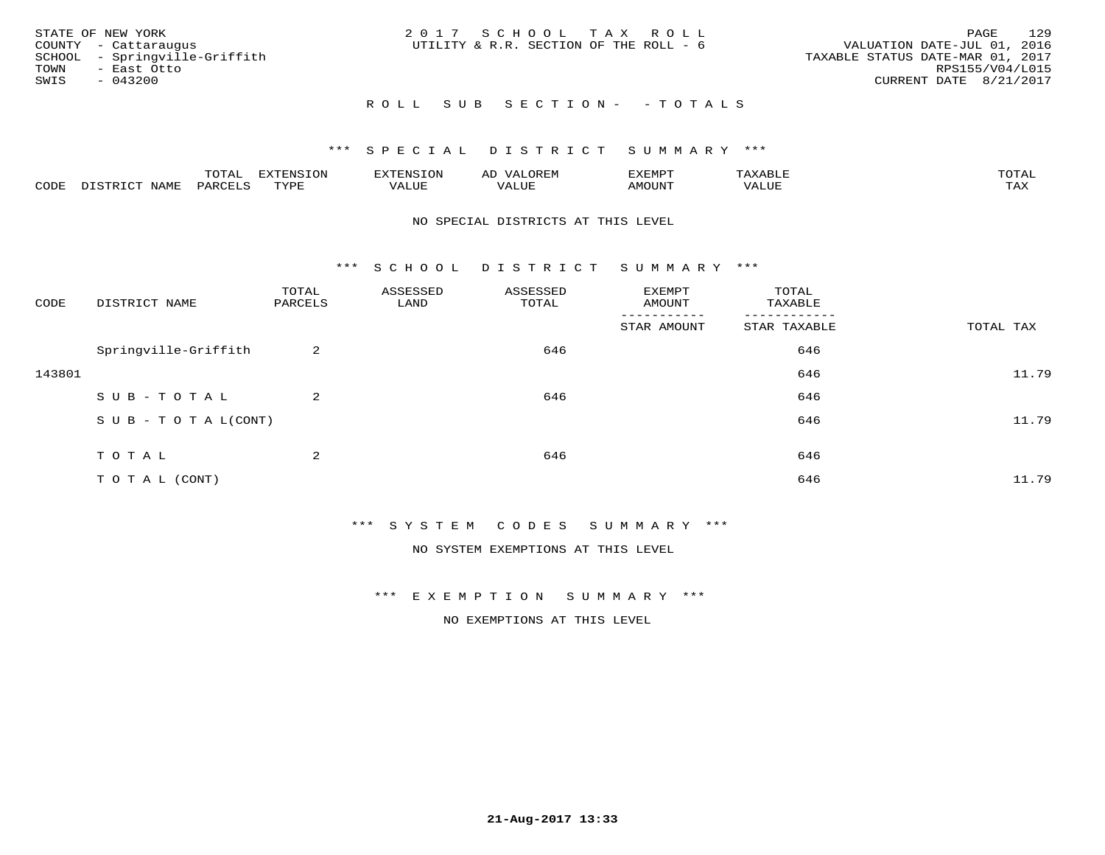|      | STATE OF NEW YORK             | 2017 SCHOOL TAX ROLL                   |  |                                  |                        | PAGE | 129 |
|------|-------------------------------|----------------------------------------|--|----------------------------------|------------------------|------|-----|
|      | COUNTY - Cattaraugus          | UTILITY & R.R. SECTION OF THE ROLL - 6 |  | VALUATION DATE-JUL 01, 2016      |                        |      |     |
|      | SCHOOL - Springville-Griffith |                                        |  | TAXABLE STATUS DATE-MAR 01, 2017 |                        |      |     |
| TOWN | – East Otto                   |                                        |  |                                  | RPS155/V04/L015        |      |     |
| SWIS | - 043200                      |                                        |  |                                  | CURRENT DATE 8/21/2017 |      |     |
|      |                               |                                        |  |                                  |                        |      |     |

### R O L L S U B S E C T I O N - - T O T A L S

#### \*\*\* S P E C I A L D I S T R I C T S U M M A R Y \*\*\*

|      |         | ----                | $\cdots$ | . FNS | ₩    | דסMדצי       |                   | $m \wedge m \wedge n$ |
|------|---------|---------------------|----------|-------|------|--------------|-------------------|-----------------------|
| CODE | ៶៲៳៲៴៲៷ | <b>ACTIVE</b><br>ΆR | TVDF     | ALUE  | ALUE | <b>NOUNT</b> | <b>TTT</b><br>⊐∪∟ | ГAX                   |

#### NO SPECIAL DISTRICTS AT THIS LEVEL

\*\*\* S C H O O L D I S T R I C T S U M M A R Y \*\*\*

| CODE   | DISTRICT NAME                    | TOTAL<br>PARCELS | ASSESSED<br>LAND | ASSESSED<br>TOTAL | EXEMPT<br>AMOUNT | TOTAL<br>TAXABLE |           |
|--------|----------------------------------|------------------|------------------|-------------------|------------------|------------------|-----------|
|        |                                  |                  |                  |                   | STAR AMOUNT      | STAR TAXABLE     | TOTAL TAX |
|        | Springville-Griffith             | 2                |                  | 646               |                  | 646              |           |
| 143801 |                                  |                  |                  |                   |                  | 646              | 11.79     |
|        | SUB-TOTAL                        | 2                |                  | 646               |                  | 646              |           |
|        | $S \cup B - T \cup T A L (CONT)$ |                  |                  |                   |                  | 646              | 11.79     |
|        | TOTAL                            | 2                |                  | 646               |                  | 646              |           |
|        |                                  |                  |                  |                   |                  |                  |           |
|        | TO TAL (CONT)                    |                  |                  |                   |                  | 646              | 11.79     |

\*\*\* S Y S T E M C O D E S S U M M A R Y \*\*\*

NO SYSTEM EXEMPTIONS AT THIS LEVEL

\*\*\* E X E M P T I O N S U M M A R Y \*\*\*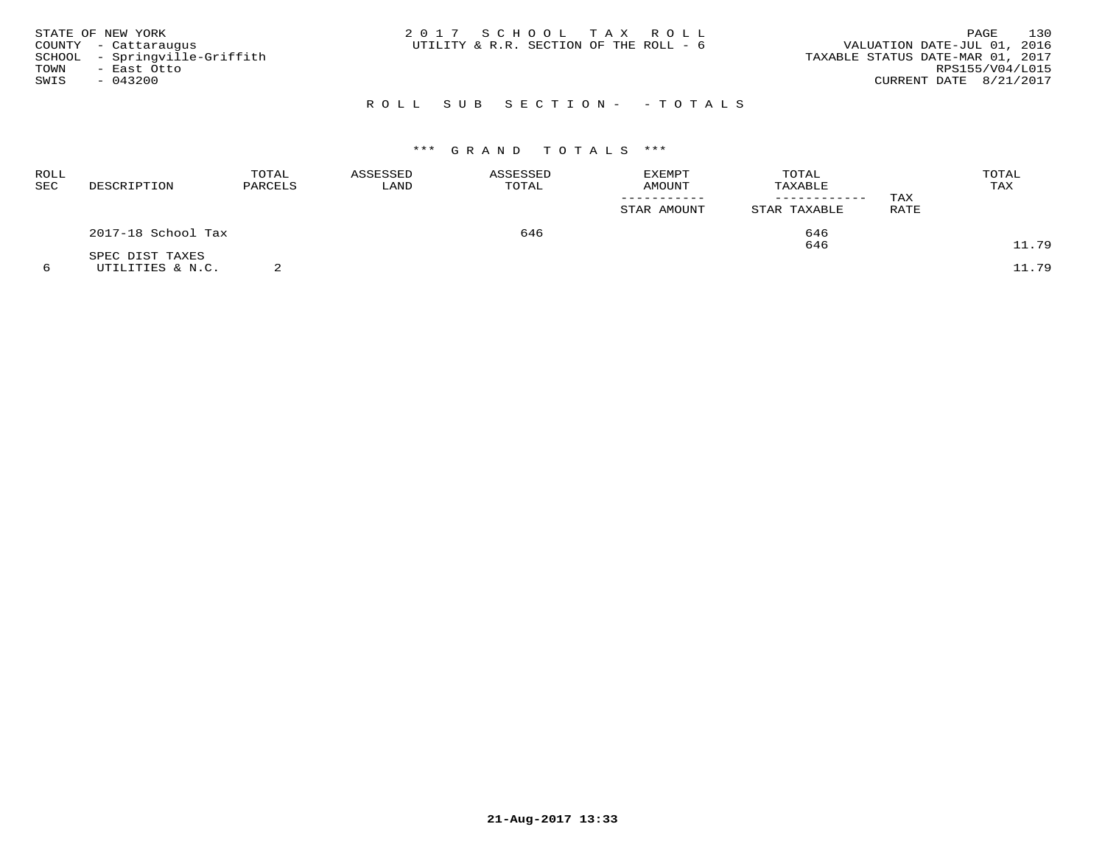| STATE OF NEW YORK             | 2017 SCHOOL TAX ROLL                   | 130<br>PAGE                      |
|-------------------------------|----------------------------------------|----------------------------------|
| COUNTY - Cattaraugus          | UTILITY & R.R. SECTION OF THE ROLL - 6 | VALUATION DATE-JUL 01, 2016      |
| SCHOOL - Springville-Griffith |                                        | TAXABLE STATUS DATE-MAR 01, 2017 |
| TOWN<br>- East Otto           |                                        | RPS155/V04/L015                  |
| SWIS<br>$-043200$             |                                        | CURRENT DATE 8/21/2017           |
|                               |                                        |                                  |

## R O L L S U B S E C T I O N - - T O T A L S

| ROLL<br><b>SEC</b> | DESCRIPTION        | TOTAL<br>PARCELS | ASSESSED<br>LAND | ASSESSED<br>TOTAL | <b>EXEMPT</b><br>AMOUNT | TOTAL<br>TAXABLE<br>------------ | TAX  | TOTAL<br>TAX |
|--------------------|--------------------|------------------|------------------|-------------------|-------------------------|----------------------------------|------|--------------|
|                    |                    |                  |                  |                   | STAR AMOUNT             | STAR TAXABLE                     | RATE |              |
|                    | 2017-18 School Tax |                  |                  | 646               |                         | 646                              |      |              |
|                    | SPEC DIST TAXES    |                  |                  |                   |                         | 646                              |      | 11.79        |
|                    | UTILITIES & N.C.   |                  |                  |                   |                         |                                  |      | 11.79        |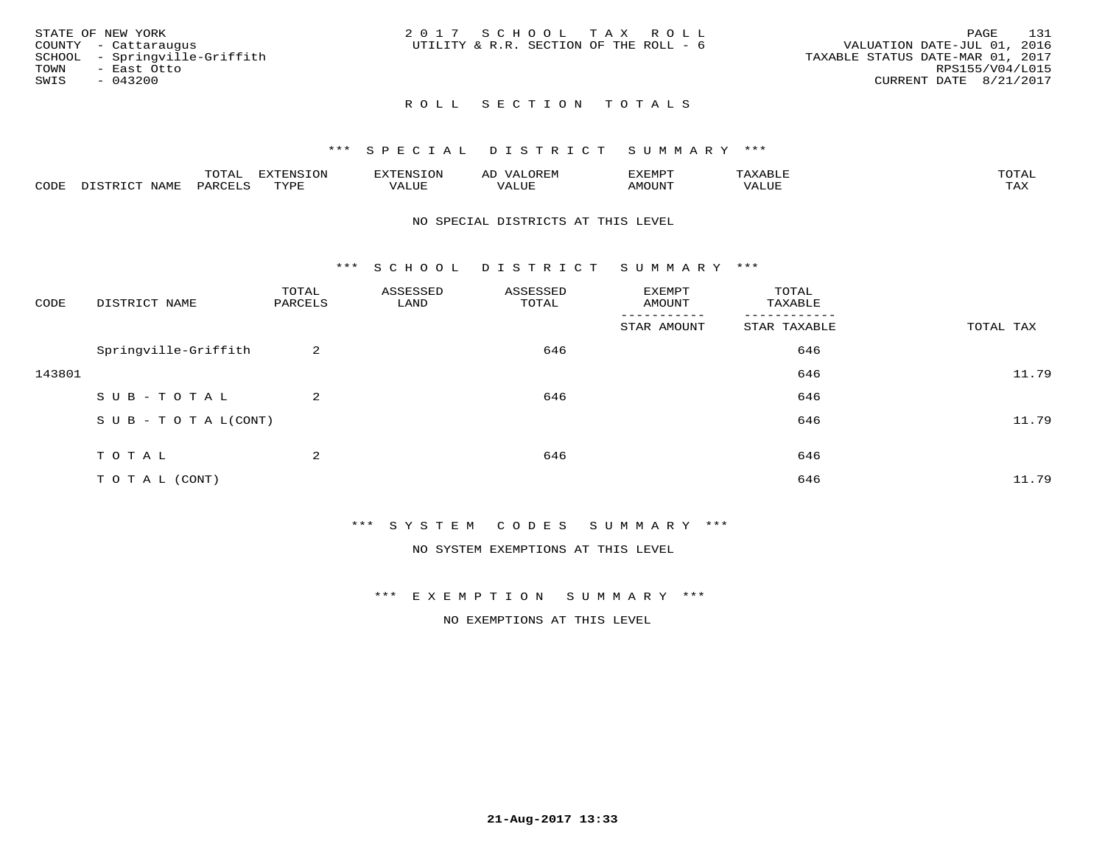|      | STATE OF NEW YORK             | 2017 SCHOOL TAX ROLL                   |  |                                  |                        | PAGE | 131 |
|------|-------------------------------|----------------------------------------|--|----------------------------------|------------------------|------|-----|
|      | COUNTY - Cattaraugus          | UTILITY & R.R. SECTION OF THE ROLL - 6 |  | VALUATION DATE-JUL 01, 2016      |                        |      |     |
|      | SCHOOL - Springville-Griffith |                                        |  | TAXABLE STATUS DATE-MAR 01, 2017 |                        |      |     |
| TOWN | - East Otto                   |                                        |  |                                  | RPS155/V04/L015        |      |     |
| SWIS | $-043200$                     |                                        |  |                                  | CURRENT DATE 8/21/2017 |      |     |
|      |                               |                                        |  |                                  |                        |      |     |

### ROLL SECTION TOTALS

#### \*\*\* S P E C I A L D I S T R I C T S U M M A R Y \*\*\*

|      |                             | momn.<br>LUIAL     | <b>EXTENSION</b> | $117$ mm $1707070$<br>אי | ΑD<br>.JREN      | 33773850<br>ivi D'<br>ניומיום בי | $max$ and $max$ | $m \wedge m \wedge n$ |
|------|-----------------------------|--------------------|------------------|--------------------------|------------------|----------------------------------|-----------------|-----------------------|
| CODE | <b>NAME</b><br>דת דפידים דת | PARCE <sup>T</sup> | TVDF             | VALUE                    | -- - ---<br>ALUE | TUUOM4                           | VALUE           | <b>TAY</b><br>⊥⇔∆     |

#### NO SPECIAL DISTRICTS AT THIS LEVEL

\*\*\* S C H O O L D I S T R I C T S U M M A R Y \*\*\*

| CODE   | DISTRICT NAME                    | TOTAL<br>PARCELS | ASSESSED<br>LAND | ASSESSED<br>TOTAL | EXEMPT<br>AMOUNT | TOTAL<br>TAXABLE |           |
|--------|----------------------------------|------------------|------------------|-------------------|------------------|------------------|-----------|
|        |                                  |                  |                  |                   | STAR AMOUNT      | STAR TAXABLE     | TOTAL TAX |
|        | Springville-Griffith             | 2                |                  | 646               |                  | 646              |           |
| 143801 |                                  |                  |                  |                   |                  | 646              | 11.79     |
|        | SUB-TOTAL                        | 2                |                  | 646               |                  | 646              |           |
|        | $S \cup B - T \cup T A L (CONT)$ |                  |                  |                   |                  | 646              | 11.79     |
|        |                                  |                  |                  |                   |                  |                  |           |
|        | TOTAL                            | 2                |                  | 646               |                  | 646              |           |
|        | TO TAL (CONT)                    |                  |                  |                   |                  | 646              | 11.79     |

\*\*\* S Y S T E M C O D E S S U M M A R Y \*\*\*

NO SYSTEM EXEMPTIONS AT THIS LEVEL

\*\*\* E X E M P T I O N S U M M A R Y \*\*\*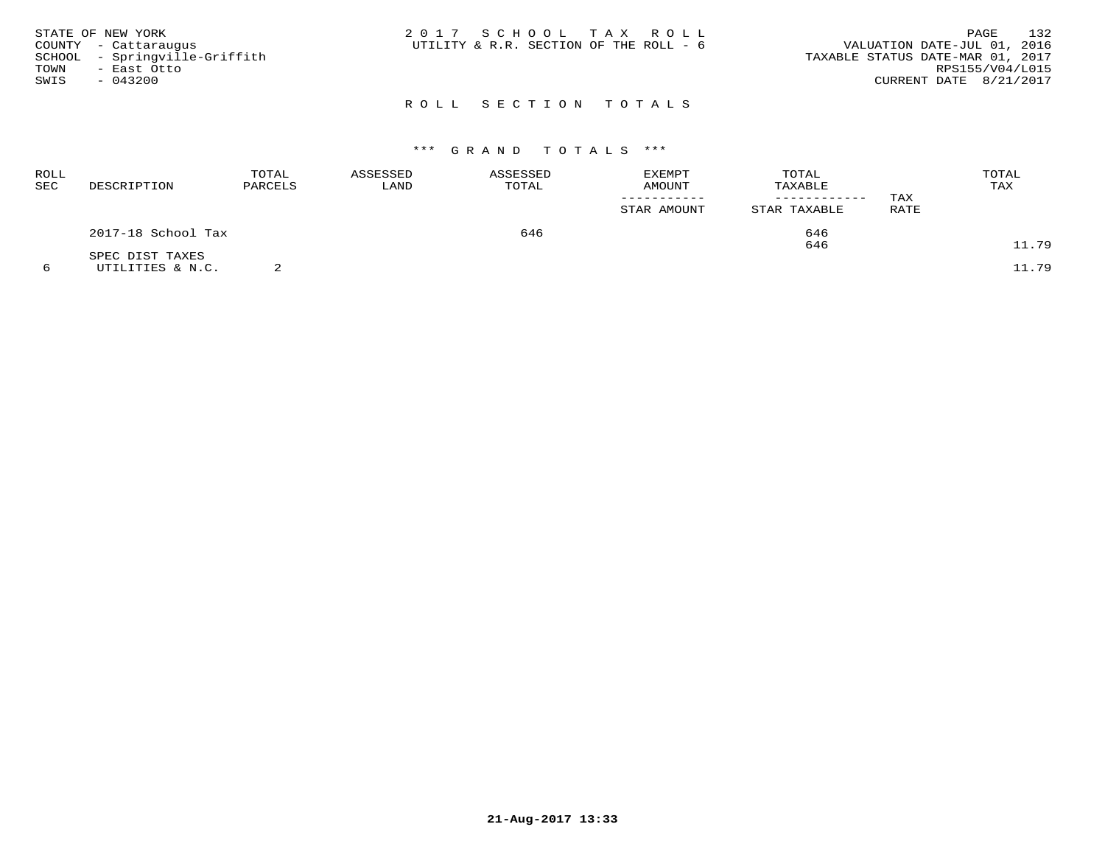| STATE OF NEW YORK<br>COUNTY - Cattaraugus<br>SCHOOL - Springville-Griffith<br>TOWN<br>- East Otto<br>SWIS<br>- 043200 | 2017 SCHOOL TAX ROLL<br>UTILITY & R.R. SECTION OF THE ROLL - 6 | 132<br>PAGE<br>VALUATION DATE-JUL 01, 2016<br>TAXABLE STATUS DATE-MAR 01, 2017<br>RPS155/V04/L015<br>CURRENT DATE 8/21/2017 |
|-----------------------------------------------------------------------------------------------------------------------|----------------------------------------------------------------|-----------------------------------------------------------------------------------------------------------------------------|
|                                                                                                                       | ROLL SECTION TOTALS                                            |                                                                                                                             |

# \*\*\* G R A N D T O T A L S \*\*\*

| ROLL<br><b>SEC</b> | DESCRIPTION        | TOTAL<br>PARCELS | ASSESSED<br>LAND | ASSESSED<br>TOTAL | <b>EXEMPT</b><br>AMOUNT<br>STAR AMOUNT | TOTAL<br>TAXABLE<br>STAR TAXABLE | TAX<br>RATE | TOTAL<br>TAX |
|--------------------|--------------------|------------------|------------------|-------------------|----------------------------------------|----------------------------------|-------------|--------------|
|                    | 2017-18 School Tax |                  |                  | 646               |                                        | 646                              |             |              |
|                    | SPEC DIST TAXES    |                  |                  |                   |                                        | 646                              |             | 11.79        |
|                    | UTILITIES & N.C.   |                  |                  |                   |                                        |                                  |             | 11.79        |

**21-Aug-2017 13:33**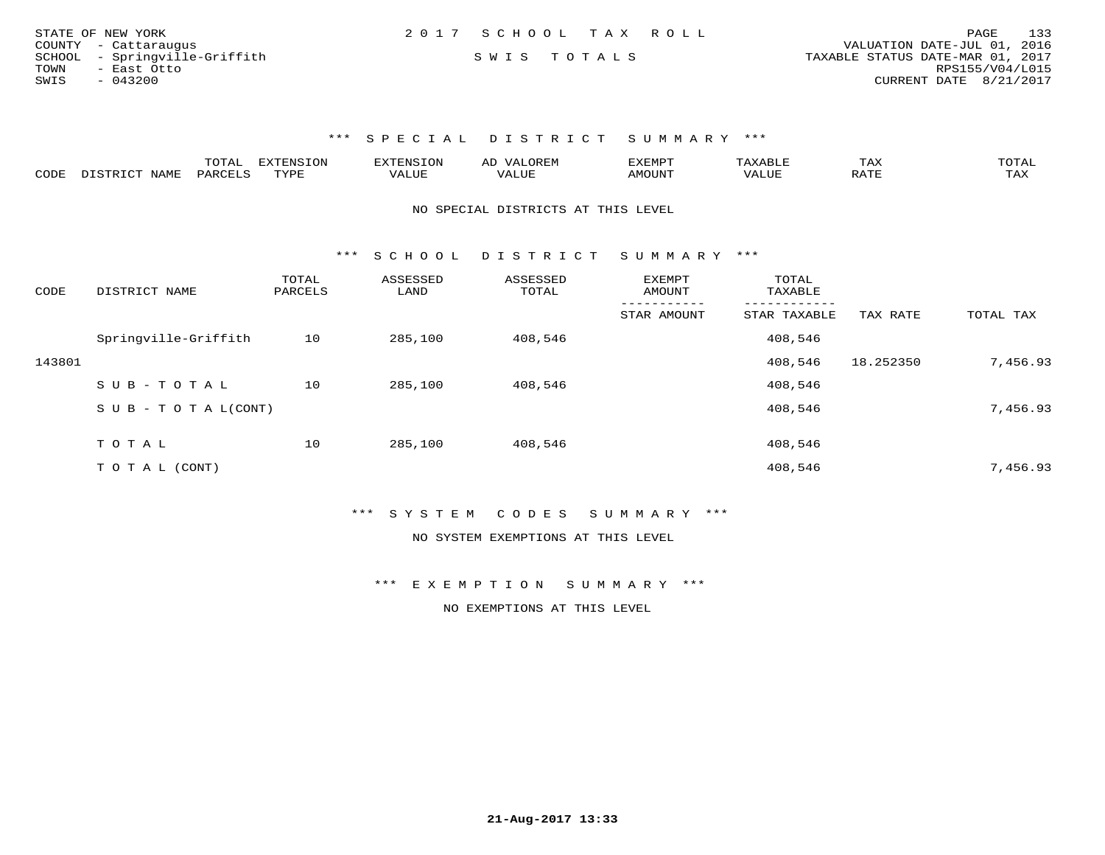|      | STATE OF NEW YORK             | 2017 SCHOOL TAX ROLL |             |  |                                  |                        | PAGE | 133 |
|------|-------------------------------|----------------------|-------------|--|----------------------------------|------------------------|------|-----|
|      | COUNTY - Cattaraugus          |                      |             |  | VALUATION DATE-JUL 01, 2016      |                        |      |     |
|      | SCHOOL - Springville-Griffith |                      | SWIS TOTALS |  | TAXABLE STATUS DATE-MAR 01, 2017 |                        |      |     |
| TOWN | - East Otto                   |                      |             |  |                                  | RPS155/V04/L015        |      |     |
| SWIS | - 043200                      |                      |             |  |                                  | CURRENT DATE 8/21/2017 |      |     |

|      |      | ----     | <b>EXTENSION</b><br>└╰┘ | AN S  | ▵ | .XEMP" |       | ГAХ                    | $\sim$ m $\sim$ $\sim$<br>◡⊥▱ |
|------|------|----------|-------------------------|-------|---|--------|-------|------------------------|-------------------------------|
| CODE | NAMF | UARCFT ⊂ | TVDF                    | 1 U P |   | MOUN'  | 'ALUL | $5.7$ $MT$<br>$\cdots$ | TAX                           |

NO SPECIAL DISTRICTS AT THIS LEVEL

\*\*\* S C H O O L D I S T R I C T S U M M A R Y \*\*\*

| CODE   | DISTRICT NAME                    | TOTAL<br>PARCELS | ASSESSED<br>LAND | ASSESSED<br>TOTAL | <b>EXEMPT</b><br>AMOUNT | TOTAL<br>TAXABLE |           |           |
|--------|----------------------------------|------------------|------------------|-------------------|-------------------------|------------------|-----------|-----------|
|        |                                  |                  |                  |                   | STAR AMOUNT             | STAR TAXABLE     | TAX RATE  | TOTAL TAX |
|        | Springville-Griffith             | 10               | 285,100          | 408,546           |                         | 408,546          |           |           |
| 143801 |                                  |                  |                  |                   |                         | 408,546          | 18.252350 | 7,456.93  |
|        | SUB-TOTAL                        | 10               | 285,100          | 408,546           |                         | 408,546          |           |           |
|        | $S \cup B - T \cup T A L (CONT)$ |                  |                  |                   |                         | 408,546          |           | 7,456.93  |
|        |                                  |                  |                  |                   |                         |                  |           |           |
|        | TOTAL                            | 10               | 285,100          | 408,546           |                         | 408,546          |           |           |
|        | T O T A L (CONT)                 |                  |                  |                   |                         | 408,546          |           | 7,456.93  |

\*\*\* S Y S T E M C O D E S S U M M A R Y \*\*\*

NO SYSTEM EXEMPTIONS AT THIS LEVEL

\*\*\* E X E M P T I O N S U M M A R Y \*\*\*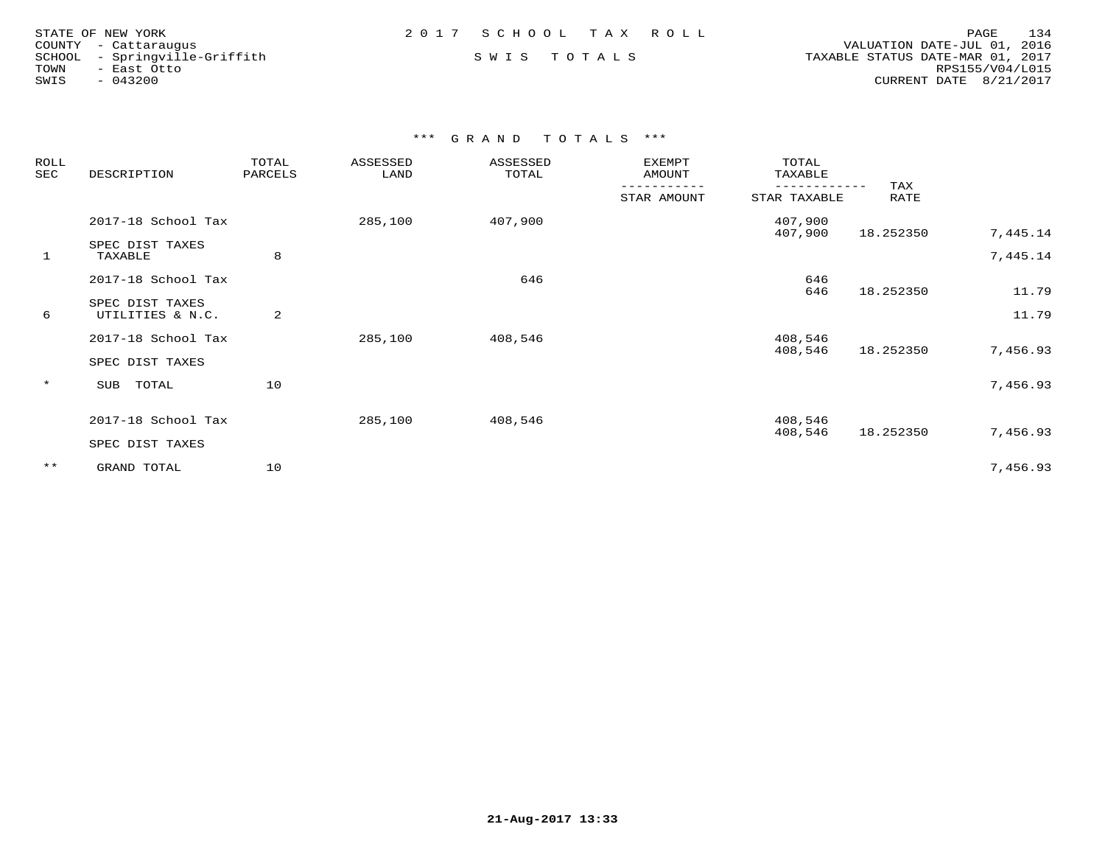| STATE OF NEW YORK    |                        |  |  |  |  |
|----------------------|------------------------|--|--|--|--|
| COUNTY - Cattaraugus |                        |  |  |  |  |
| SCHOOL               | - Springville-Griffith |  |  |  |  |
| TOWN                 | - East Otto            |  |  |  |  |
| SWIS                 | $-043200$              |  |  |  |  |

COUNTY - Cattaraugus<br>SCHOOL - Springville-Griffith S W I S T O T A L S TAXABLE STATUS DATE-MAR 01, 2017 TOWN - East Otto RPS155/V04/L015SWIS - 043200 CURRENT DATE 8/21/2017

| ROLL<br>SEC  | DESCRIPTION                         | TOTAL<br>PARCELS | ASSESSED<br>LAND | ASSESSED<br>TOTAL | <b>EXEMPT</b><br>AMOUNT | TOTAL<br>TAXABLE             |             |          |
|--------------|-------------------------------------|------------------|------------------|-------------------|-------------------------|------------------------------|-------------|----------|
|              |                                     |                  |                  |                   | STAR AMOUNT             | ------------<br>STAR TAXABLE | TAX<br>RATE |          |
|              | 2017-18 School Tax                  |                  | 285,100          | 407,900           |                         | 407,900<br>407,900           | 18.252350   | 7,445.14 |
| $\mathbf{1}$ | SPEC DIST TAXES<br>TAXABLE          | 8                |                  |                   |                         |                              |             | 7,445.14 |
|              | 2017-18 School Tax                  |                  |                  | 646               |                         | 646<br>646                   | 18.252350   | 11.79    |
| 6            | SPEC DIST TAXES<br>UTILITIES & N.C. | 2                |                  |                   |                         |                              |             | 11.79    |
|              | 2017-18 School Tax                  |                  | 285,100          | 408,546           |                         | 408,546<br>408,546           | 18.252350   | 7,456.93 |
|              | SPEC DIST TAXES                     |                  |                  |                   |                         |                              |             |          |
| $\star$      | TOTAL<br>SUB                        | 10               |                  |                   |                         |                              |             | 7,456.93 |
|              | 2017-18 School Tax                  |                  | 285,100          | 408,546           |                         | 408,546<br>408,546           | 18.252350   | 7,456.93 |
|              | SPEC DIST TAXES                     |                  |                  |                   |                         |                              |             |          |
| $***$        | GRAND TOTAL                         | 10               |                  |                   |                         |                              |             | 7,456.93 |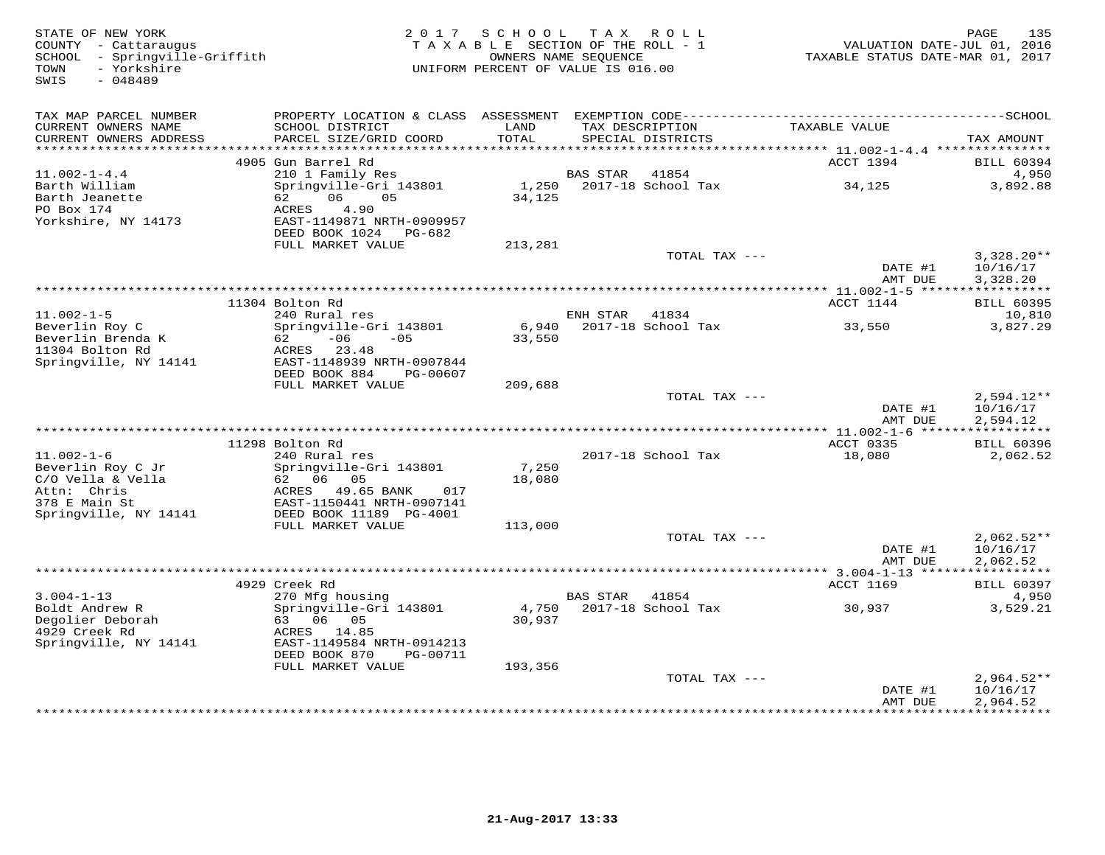| STATE OF NEW YORK<br>COUNTY - Cattaraugus<br>SCHOOL - Springville-Griffith<br>- Yorkshire<br>TOWN | 2 0 1 7                                                   | SCHOOL<br>TAXABLE SECTION OF THE ROLL - 1<br>OWNERS NAME SEQUENCE<br>UNIFORM PERCENT OF VALUE IS 016.00 |                 | TAX ROLL                             | VALUATION DATE-JUL 01, 2016<br>TAXABLE STATUS DATE-MAR 01, 2017 | PAGE<br>135                          |
|---------------------------------------------------------------------------------------------------|-----------------------------------------------------------|---------------------------------------------------------------------------------------------------------|-----------------|--------------------------------------|-----------------------------------------------------------------|--------------------------------------|
| SWIS<br>$-048489$                                                                                 |                                                           |                                                                                                         |                 |                                      |                                                                 |                                      |
| TAX MAP PARCEL NUMBER                                                                             |                                                           |                                                                                                         |                 |                                      |                                                                 |                                      |
| CURRENT OWNERS NAME<br>CURRENT OWNERS ADDRESS                                                     | SCHOOL DISTRICT<br>PARCEL SIZE/GRID COORD                 | LAND<br>TOTAL                                                                                           |                 | TAX DESCRIPTION<br>SPECIAL DISTRICTS | TAXABLE VALUE                                                   | TAX AMOUNT                           |
| **********************                                                                            |                                                           |                                                                                                         |                 |                                      |                                                                 |                                      |
|                                                                                                   | 4905 Gun Barrel Rd                                        |                                                                                                         |                 |                                      | ACCT 1394                                                       | <b>BILL 60394</b>                    |
| $11.002 - 1 - 4.4$<br>Barth William                                                               | 210 1 Family Res                                          | 1,250                                                                                                   | <b>BAS STAR</b> | 41854<br>2017-18 School Tax          |                                                                 | 4,950<br>3,892.88                    |
| Barth Jeanette<br>PO Box 174                                                                      | Springville-Gri 143801<br>06<br>05<br>62<br>ACRES<br>4.90 | 34,125                                                                                                  |                 |                                      | 34,125                                                          |                                      |
| Yorkshire, NY 14173                                                                               | EAST-1149871 NRTH-0909957<br>DEED BOOK 1024<br>PG-682     |                                                                                                         |                 |                                      |                                                                 |                                      |
|                                                                                                   | FULL MARKET VALUE                                         | 213,281                                                                                                 |                 |                                      |                                                                 |                                      |
|                                                                                                   |                                                           |                                                                                                         |                 | TOTAL TAX ---                        | DATE #1<br>AMT DUE                                              | $3,328.20**$<br>10/16/17<br>3,328.20 |
|                                                                                                   |                                                           | ***********************************                                                                     |                 |                                      | *********** 11.002-1-5 ******                                   | ***********                          |
|                                                                                                   | 11304 Bolton Rd                                           |                                                                                                         |                 |                                      | ACCT 1144                                                       | <b>BILL 60395</b>                    |
| $11.002 - 1 - 5$                                                                                  | 240 Rural res                                             |                                                                                                         | ENH STAR        | 41834<br>2017-18 School Tax          |                                                                 | 10,810<br>3,827.29                   |
| Beverlin Roy C<br>Beverlin Brenda K                                                               | Springville-Gri 143801<br>$-06$<br>62<br>$-05$            | 6,940<br>33,550                                                                                         |                 |                                      | 33,550                                                          |                                      |
| 11304 Bolton Rd                                                                                   | 23.48<br>ACRES                                            |                                                                                                         |                 |                                      |                                                                 |                                      |
| Springville, NY 14141                                                                             | EAST-1148939 NRTH-0907844                                 |                                                                                                         |                 |                                      |                                                                 |                                      |
|                                                                                                   | DEED BOOK 884<br>PG-00607                                 |                                                                                                         |                 |                                      |                                                                 |                                      |
|                                                                                                   | FULL MARKET VALUE                                         | 209,688                                                                                                 |                 | TOTAL TAX ---                        |                                                                 | $2,594.12**$                         |
|                                                                                                   |                                                           |                                                                                                         |                 |                                      | DATE #1                                                         | 10/16/17                             |
|                                                                                                   |                                                           |                                                                                                         |                 |                                      | AMT DUE                                                         | 2,594.12                             |
|                                                                                                   |                                                           |                                                                                                         |                 |                                      |                                                                 |                                      |
| $11.002 - 1 - 6$                                                                                  | 11298 Bolton Rd<br>240 Rural res                          |                                                                                                         |                 | 2017-18 School Tax                   | ACCT 0335<br>18,080                                             | <b>BILL 60396</b><br>2,062.52        |
| Beverlin Roy C Jr                                                                                 | Springville-Gri 143801                                    | 7,250                                                                                                   |                 |                                      |                                                                 |                                      |
| C/O Vella & Vella                                                                                 | 62 06<br>05                                               | 18,080                                                                                                  |                 |                                      |                                                                 |                                      |
| Attn: Chris                                                                                       | ACRES<br>49.65 BANK<br>017                                |                                                                                                         |                 |                                      |                                                                 |                                      |
| 378 E Main St                                                                                     | EAST-1150441 NRTH-0907141                                 |                                                                                                         |                 |                                      |                                                                 |                                      |
| Springville, NY 14141                                                                             | DEED BOOK 11189 PG-4001<br>FULL MARKET VALUE              | 113,000                                                                                                 |                 |                                      |                                                                 |                                      |
|                                                                                                   |                                                           |                                                                                                         |                 | TOTAL TAX ---                        |                                                                 | $2,062.52**$                         |
|                                                                                                   |                                                           |                                                                                                         |                 |                                      | DATE #1                                                         | 10/16/17                             |
|                                                                                                   |                                                           |                                                                                                         |                 |                                      | AMT DUE                                                         | 2,062.52                             |
|                                                                                                   | 4929 Creek Rd                                             |                                                                                                         |                 |                                      | *********** 3.004-1-13 ******************<br>ACCT 1169          | <b>BILL 60397</b>                    |
| $3.004 - 1 - 13$                                                                                  | 270 Mfg housing                                           |                                                                                                         | <b>BAS STAR</b> | 41854                                |                                                                 | 4,950                                |
| Boldt Andrew R                                                                                    | Springville-Gri 143801                                    | 4,750                                                                                                   |                 | 2017-18 School Tax                   | 30,937                                                          | 3,529.21                             |
| Degolier Deborah                                                                                  | 63 06 05                                                  | 30,937                                                                                                  |                 |                                      |                                                                 |                                      |
| 4929 Creek Rd                                                                                     | ACRES<br>14.85                                            |                                                                                                         |                 |                                      |                                                                 |                                      |
| Springville, NY 14141                                                                             | EAST-1149584 NRTH-0914213<br>DEED BOOK 870<br>PG-00711    |                                                                                                         |                 |                                      |                                                                 |                                      |
|                                                                                                   | FULL MARKET VALUE                                         | 193,356                                                                                                 |                 |                                      |                                                                 |                                      |
|                                                                                                   |                                                           |                                                                                                         |                 | TOTAL TAX ---                        |                                                                 | $2,964.52**$                         |
|                                                                                                   |                                                           |                                                                                                         |                 |                                      | DATE #1                                                         | 10/16/17                             |
|                                                                                                   |                                                           |                                                                                                         |                 |                                      | AMT DUE                                                         | 2,964.52<br>* * * * * * * * * *      |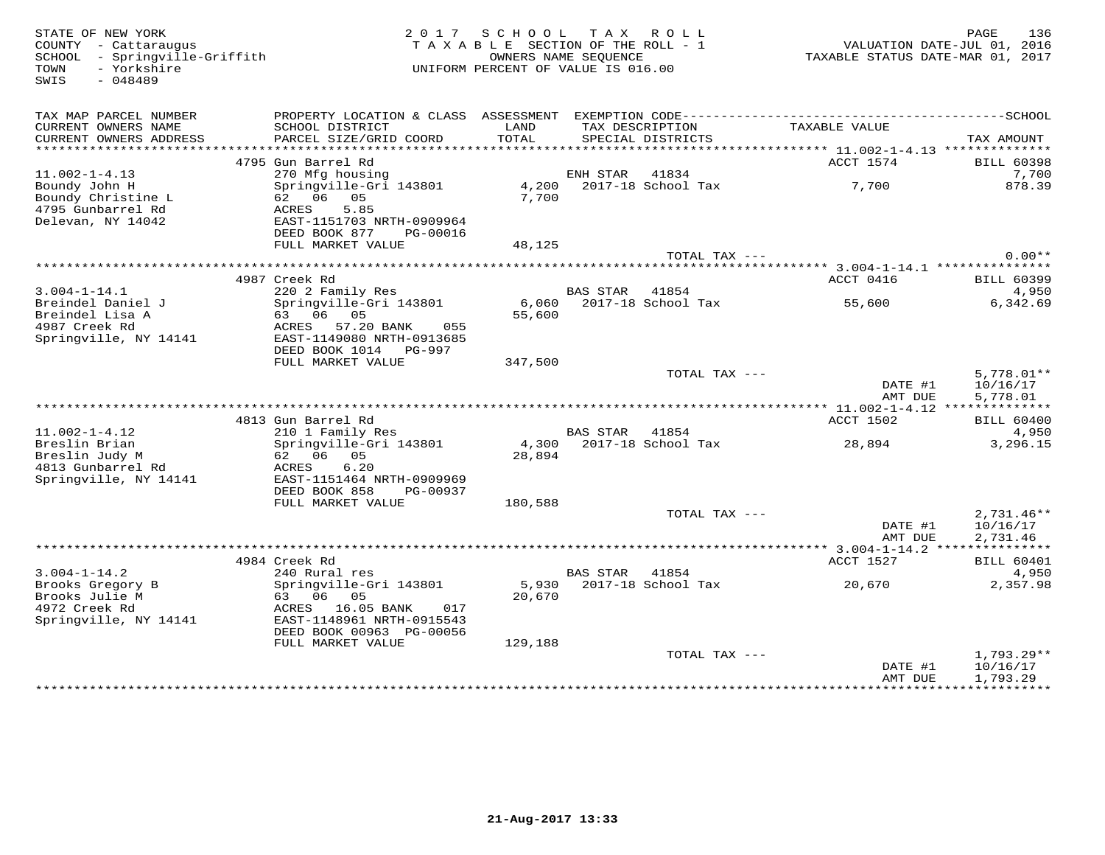COUNTY - Cattaraugus<br>SCHOOL - Springville-Griffith<br>TOWN - Yorkshire<br>SWIS - 048489

## TAXABLE SECTION OF THE ROLL - 1 SCHOOL - Springville-Griffith OWNERS NAME SEQUENCE TAXABLE STATUS DATE-MAR 01, 2017UNIFORM PERCENT OF VALUE IS 016.00

| TAX MAP PARCEL NUMBER<br>CURRENT OWNERS NAME<br>CURRENT OWNERS ADDRESS         | PROPERTY LOCATION & CLASS ASSESSMENT<br>SCHOOL DISTRICT<br>PARCEL SIZE/GRID COORD                                                              | LAND<br>TOTAL              | TAX DESCRIPTION | EXEMPTION CODE----------<br>SPECIAL DISTRICTS | TAXABLE VALUE                         | ------------SCHOOL<br>TAX AMOUNT                |
|--------------------------------------------------------------------------------|------------------------------------------------------------------------------------------------------------------------------------------------|----------------------------|-----------------|-----------------------------------------------|---------------------------------------|-------------------------------------------------|
| *******************                                                            |                                                                                                                                                |                            |                 |                                               |                                       |                                                 |
| $11.002 - 1 - 4.13$                                                            | 4795 Gun Barrel Rd<br>270 Mfg housing                                                                                                          |                            | ENH STAR        | 41834                                         | ACCT 1574                             | <b>BILL 60398</b><br>7,700                      |
| Boundy John H<br>Boundy Christine L<br>4795 Gunbarrel Rd<br>Delevan, NY 14042  | Springville-Gri 143801<br>62 06 05<br>5.85<br>ACRES<br>EAST-1151703 NRTH-0909964<br>DEED BOOK 877<br>PG-00016                                  | 4,200<br>7,700             |                 | 2017-18 School Tax                            | 7,700                                 | 878.39                                          |
|                                                                                | FULL MARKET VALUE                                                                                                                              | 48,125                     |                 |                                               |                                       |                                                 |
|                                                                                |                                                                                                                                                |                            |                 | TOTAL TAX ---                                 |                                       | $0.00**$                                        |
|                                                                                | *****************                                                                                                                              |                            |                 |                                               | ***** 3.004-1-14.1 ***************    |                                                 |
|                                                                                | 4987 Creek Rd                                                                                                                                  |                            |                 |                                               | ACCT 0416                             | <b>BILL 60399</b>                               |
| $3.004 - 1 - 14.1$                                                             | 220 2 Family Res                                                                                                                               |                            | BAS STAR        | 41854                                         |                                       | 4,950                                           |
| Breindel Daniel J<br>Breindel Lisa A<br>4987 Creek Rd<br>Springville, NY 14141 | Springville-Gri 143801<br>63 06 05<br>57.20 BANK<br>ACRES<br>055<br>EAST-1149080 NRTH-0913685                                                  | 6,060<br>55,600            |                 | 2017-18 School Tax                            | 55,600                                | 6,342.69                                        |
|                                                                                | DEED BOOK 1014<br>PG-997                                                                                                                       |                            |                 |                                               |                                       |                                                 |
|                                                                                | FULL MARKET VALUE                                                                                                                              | 347,500                    |                 | TOTAL TAX ---                                 | DATE #1<br>AMT DUE                    | $5,778.01**$<br>10/16/17<br>5,778.01            |
|                                                                                |                                                                                                                                                |                            |                 |                                               | ******** 11.002-1-4.12 ***            | ***********                                     |
|                                                                                | 4813 Gun Barrel Rd                                                                                                                             |                            |                 |                                               | ACCT 1502                             | <b>BILL 60400</b>                               |
| $11.002 - 1 - 4.12$                                                            | 210 1 Family Res                                                                                                                               |                            | <b>BAS STAR</b> | 41854                                         |                                       | 4,950                                           |
| Breslin Brian<br>Breslin Judy M<br>4813 Gunbarrel Rd<br>Springville, NY 14141  | Springville-Gri 143801<br>62 06 05<br>6.20<br>ACRES<br>EAST-1151464 NRTH-0909969<br>DEED BOOK 858<br>PG-00937                                  | 4,300<br>28,894            |                 | 2017-18 School Tax                            | 28,894                                | 3,296.15                                        |
|                                                                                | FULL MARKET VALUE                                                                                                                              | 180,588                    |                 |                                               |                                       |                                                 |
|                                                                                |                                                                                                                                                |                            |                 | TOTAL TAX ---                                 | DATE #1<br>AMT DUE                    | $2,731.46**$<br>10/16/17<br>2,731.46            |
|                                                                                |                                                                                                                                                |                            |                 |                                               |                                       |                                                 |
|                                                                                | 4984 Creek Rd                                                                                                                                  |                            |                 |                                               | ACCT 1527                             | <b>BILL 60401</b>                               |
| $3.004 - 1 - 14.2$                                                             | 240 Rural res                                                                                                                                  |                            | <b>BAS STAR</b> | 41854                                         |                                       | 4,950                                           |
| Brooks Gregory B<br>Brooks Julie M<br>4972 Creek Rd<br>Springville, NY 14141   | Springville-Gri 143801<br>63 06 05<br>16.05 BANK<br>ACRES<br>017<br>EAST-1148961 NRTH-0915543<br>DEED BOOK 00963 PG-00056<br>FULL MARKET VALUE | 5,930<br>20,670<br>129,188 |                 | 2017-18 School Tax                            | 20,670                                | 2,357.98                                        |
|                                                                                |                                                                                                                                                |                            |                 | TOTAL TAX ---                                 |                                       | $1,793.29**$                                    |
|                                                                                |                                                                                                                                                |                            |                 |                                               | DATE #1<br>AMT DUE<br>*************** | 10/16/17<br>1,793.29<br>* * * * * * * * * * * * |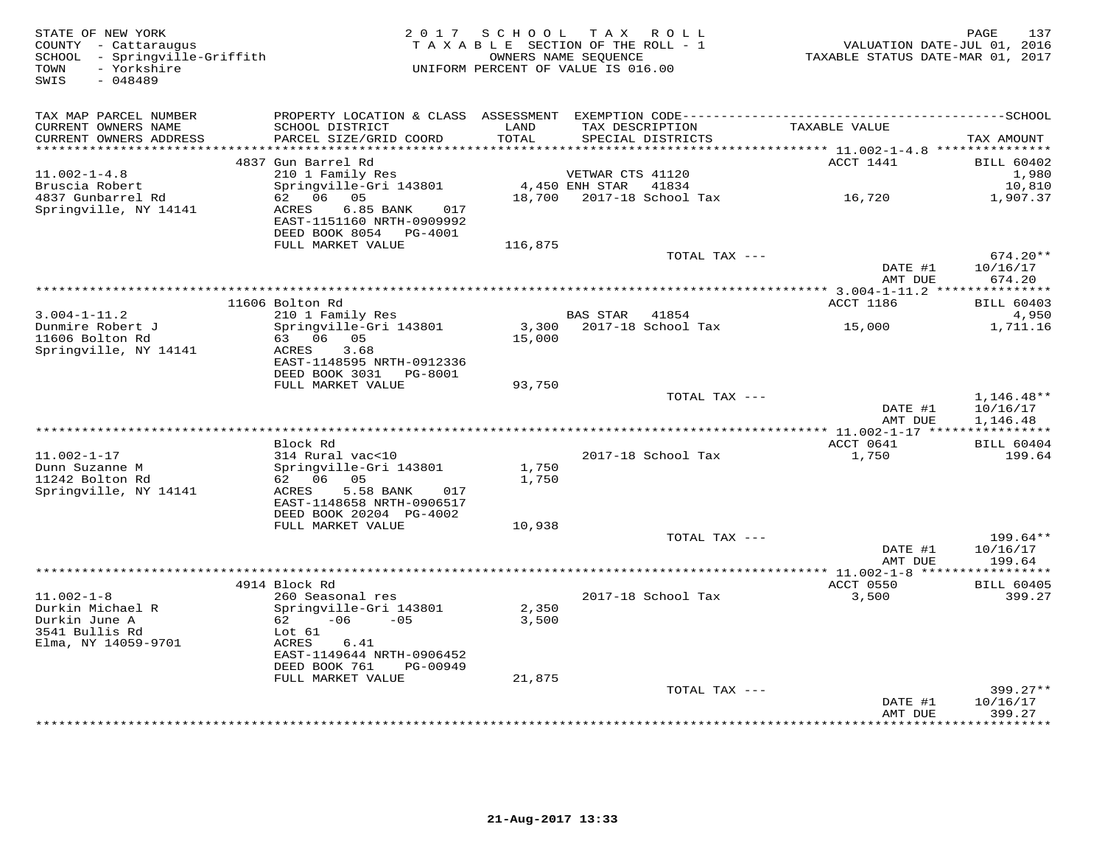| STATE OF NEW YORK<br>COUNTY - Cattaraugus<br>SCHOOL - Springville-Griffith<br>TOWN<br>- Yorkshire<br>SWIS<br>$-048489$ |                                                                                                       |               | 2017 SCHOOL TAX ROLL<br>TAXABLE SECTION OF THE ROLL - 1<br>OWNERS NAME SEQUENCE<br>UNIFORM PERCENT OF VALUE IS 016.00 |               | VALUATION DATE-JUL 01, 2016<br>TAXABLE STATUS DATE-MAR 01, 2017 | 137<br>PAGE                 |
|------------------------------------------------------------------------------------------------------------------------|-------------------------------------------------------------------------------------------------------|---------------|-----------------------------------------------------------------------------------------------------------------------|---------------|-----------------------------------------------------------------|-----------------------------|
| TAX MAP PARCEL NUMBER                                                                                                  |                                                                                                       |               |                                                                                                                       |               |                                                                 |                             |
| CURRENT OWNERS NAME<br>CURRENT OWNERS ADDRESS                                                                          | SCHOOL DISTRICT<br>PARCEL SIZE/GRID COORD                                                             | LAND<br>TOTAL | TAX DESCRIPTION<br>SPECIAL DISTRICTS                                                                                  |               | TAXABLE VALUE                                                   | TAX AMOUNT                  |
| **********************                                                                                                 |                                                                                                       | ************  |                                                                                                                       |               |                                                                 |                             |
|                                                                                                                        | 4837 Gun Barrel Rd                                                                                    |               |                                                                                                                       |               | ACCT 1441                                                       | <b>BILL 60402</b>           |
| $11.002 - 1 - 4.8$<br>Bruscia Robert                                                                                   | 210 1 Family Res<br>Springville-Gri 143801                                                            |               | VETWAR CTS 41120<br>4,450 ENH STAR<br>41834                                                                           |               |                                                                 | 1,980<br>10,810             |
| 4837 Gunbarrel Rd                                                                                                      | 62 06 05                                                                                              | 18,700        | 2017-18 School Tax                                                                                                    |               | 16,720                                                          | 1,907.37                    |
| Springville, NY 14141                                                                                                  | 6.85 BANK<br>ACRES<br>017<br>EAST-1151160 NRTH-0909992<br>DEED BOOK 8054 PG-4001<br>FULL MARKET VALUE |               |                                                                                                                       |               |                                                                 |                             |
|                                                                                                                        |                                                                                                       | 116,875       |                                                                                                                       | TOTAL TAX --- |                                                                 | $674.20**$                  |
|                                                                                                                        |                                                                                                       |               |                                                                                                                       |               | DATE #1<br>AMT DUE                                              | 10/16/17<br>674.20          |
|                                                                                                                        |                                                                                                       |               |                                                                                                                       |               |                                                                 |                             |
|                                                                                                                        | 11606 Bolton Rd                                                                                       |               |                                                                                                                       |               | ACCT 1186                                                       | <b>BILL 60403</b>           |
| $3.004 - 1 - 11.2$                                                                                                     | 210 1 Family Res                                                                                      |               | BAS STAR 41854                                                                                                        |               |                                                                 | 4,950                       |
| Dunmire Robert J                                                                                                       | Springville-Gri 143801                                                                                | 3,300         | 2017-18 School Tax                                                                                                    |               | 15,000                                                          | 1,711.16                    |
| 11606 Bolton Rd<br>Springville, NY 14141                                                                               | 63 06 05<br>3.68<br>ACRES                                                                             | 15,000        |                                                                                                                       |               |                                                                 |                             |
|                                                                                                                        | EAST-1148595 NRTH-0912336<br>DEED BOOK 3031 PG-8001                                                   |               |                                                                                                                       |               |                                                                 |                             |
|                                                                                                                        | FULL MARKET VALUE                                                                                     | 93,750        |                                                                                                                       |               |                                                                 |                             |
|                                                                                                                        |                                                                                                       |               |                                                                                                                       | TOTAL TAX --- |                                                                 | $1,146.48**$                |
|                                                                                                                        |                                                                                                       |               |                                                                                                                       |               | DATE #1                                                         | 10/16/17                    |
|                                                                                                                        |                                                                                                       |               |                                                                                                                       |               | AMT DUE                                                         | 1,146.48                    |
| ***************************                                                                                            | Block Rd                                                                                              |               |                                                                                                                       |               |                                                                 |                             |
| $11.002 - 1 - 17$                                                                                                      | 314 Rural vac<10                                                                                      |               | 2017-18 School Tax                                                                                                    |               | ACCT 0641<br>1,750                                              | <b>BILL 60404</b><br>199.64 |
| Dunn Suzanne M                                                                                                         | Springville-Gri 143801                                                                                | 1,750         |                                                                                                                       |               |                                                                 |                             |
| 11242 Bolton Rd                                                                                                        | 62 06 05                                                                                              | 1,750         |                                                                                                                       |               |                                                                 |                             |
| Springville, NY 14141                                                                                                  | ACRES<br>5.58 BANK<br>017                                                                             |               |                                                                                                                       |               |                                                                 |                             |
|                                                                                                                        | EAST-1148658 NRTH-0906517                                                                             |               |                                                                                                                       |               |                                                                 |                             |
|                                                                                                                        | DEED BOOK 20204 PG-4002                                                                               |               |                                                                                                                       |               |                                                                 |                             |
|                                                                                                                        | FULL MARKET VALUE                                                                                     | 10,938        |                                                                                                                       |               |                                                                 |                             |
|                                                                                                                        |                                                                                                       |               |                                                                                                                       | TOTAL TAX --- |                                                                 | 199.64**                    |
|                                                                                                                        |                                                                                                       |               |                                                                                                                       |               | DATE #1<br>AMT DUE                                              | 10/16/17<br>199.64          |
|                                                                                                                        |                                                                                                       |               |                                                                                                                       |               |                                                                 |                             |
|                                                                                                                        | 4914 Block Rd                                                                                         |               |                                                                                                                       |               | ACCT 0550                                                       | <b>BILL 60405</b>           |
| $11.002 - 1 - 8$                                                                                                       | 260 Seasonal res                                                                                      |               | 2017-18 School Tax                                                                                                    |               | 3,500                                                           | 399.27                      |
| Durkin Michael R                                                                                                       | Springville-Gri 143801                                                                                | 2,350         |                                                                                                                       |               |                                                                 |                             |
| Durkin June A                                                                                                          | 62<br>$-06$<br>$-0.5$                                                                                 | 3,500         |                                                                                                                       |               |                                                                 |                             |
| 3541 Bullis Rd                                                                                                         | Lot 61                                                                                                |               |                                                                                                                       |               |                                                                 |                             |
| Elma, NY 14059-9701                                                                                                    | ACRES<br>6.41<br>EAST-1149644 NRTH-0906452                                                            |               |                                                                                                                       |               |                                                                 |                             |
|                                                                                                                        | DEED BOOK 761<br>PG-00949                                                                             |               |                                                                                                                       |               |                                                                 |                             |
|                                                                                                                        | FULL MARKET VALUE                                                                                     | 21,875        |                                                                                                                       |               |                                                                 |                             |
|                                                                                                                        |                                                                                                       |               |                                                                                                                       | TOTAL TAX --- |                                                                 | $399.27**$                  |
|                                                                                                                        |                                                                                                       |               |                                                                                                                       |               | DATE #1                                                         | 10/16/17                    |
|                                                                                                                        |                                                                                                       |               |                                                                                                                       |               | AMT DUE                                                         | 399.27                      |
|                                                                                                                        |                                                                                                       |               |                                                                                                                       |               | *************                                                   | * * * * * * * *             |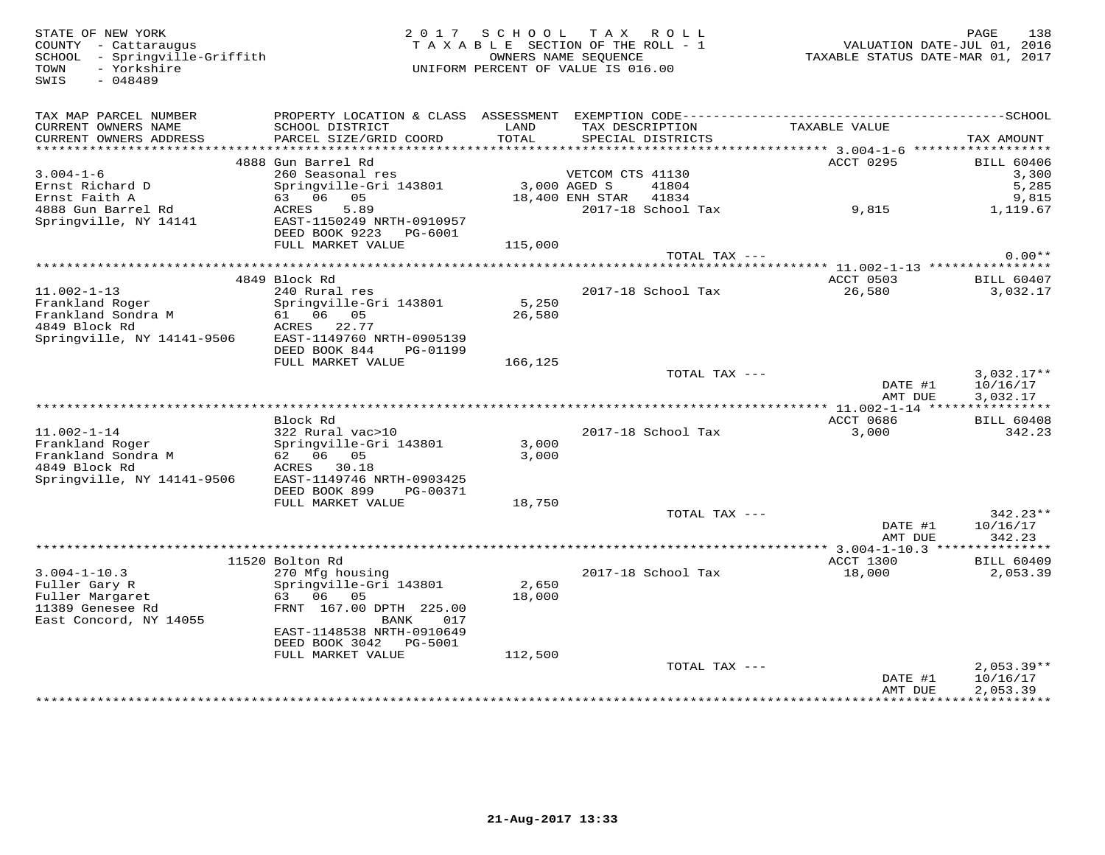COUNTY - Cattaraugus<br>
SCHOOL - Springville-Griffith<br>
TOWN - Yorkshire<br>
SWIS - 048489

STATE OF NEW YORK 2 0 1 7 S C H O O L T A X R O L L PAGE 138 COUNTY - Cattaraugus T A X A B L E SECTION OF THE ROLL - 1 VALUATION DATE-JUL 01, 2016 SCHOOL - Springville-Griffith OWNERS NAME SEQUENCE TAXABLE STATUS DATE-MAR 01, 2017 TOWN - Yorkshire UNIFORM PERCENT OF VALUE IS 016.00

| TAX MAP PARCEL NUMBER               | PROPERTY LOCATION & CLASS ASSESSMENT |              | EXEMPTION CODE------------------------- |               | ------------SCHOOL       |
|-------------------------------------|--------------------------------------|--------------|-----------------------------------------|---------------|--------------------------|
| CURRENT OWNERS NAME                 | SCHOOL DISTRICT                      | LAND         | TAX DESCRIPTION                         | TAXABLE VALUE |                          |
| CURRENT OWNERS ADDRESS              | PARCEL SIZE/GRID COORD               | <b>TOTAL</b> | SPECIAL DISTRICTS                       |               | TAX AMOUNT               |
| *********************               |                                      |              |                                         |               |                          |
|                                     | 4888 Gun Barrel Rd                   |              |                                         | ACCT 0295     | <b>BILL 60406</b>        |
| $3.004 - 1 - 6$                     | 260 Seasonal res                     |              | VETCOM CTS 41130                        |               | 3,300                    |
| Ernst Richard D                     | Springville-Gri 143801               | 3,000 AGED S | 41804                                   |               | 5,285                    |
| Ernst Faith A                       | 63 06 05                             |              | 41834<br>18,400 ENH STAR                |               | 9,815                    |
| 4888 Gun Barrel Rd                  | 5.89<br>ACRES                        |              | 2017-18 School Tax                      | 9,815         | 1,119.67                 |
| Springville, NY 14141               | EAST-1150249 NRTH-0910957            |              |                                         |               |                          |
|                                     | DEED BOOK 9223 PG-6001               |              |                                         |               |                          |
|                                     | FULL MARKET VALUE                    | 115,000      | TOTAL TAX ---                           |               | $0.00**$                 |
|                                     |                                      |              |                                         |               |                          |
|                                     | 4849 Block Rd                        |              |                                         | ACCT 0503     | BILL 60407               |
| $11.002 - 1 - 13$                   | 240 Rural res                        |              | 2017-18 School Tax                      | 26,580        | 3,032.17                 |
| Frankland Roger                     | Springville-Gri 143801               | 5,250        |                                         |               |                          |
| Frankland Sondra M                  | 61 06 05                             | 26,580       |                                         |               |                          |
| 4849 Block Rd                       | ACRES 22.77                          |              |                                         |               |                          |
| Springville, NY 14141-9506          | EAST-1149760 NRTH-0905139            |              |                                         |               |                          |
|                                     | DEED BOOK 844<br>PG-01199            |              |                                         |               |                          |
|                                     | FULL MARKET VALUE                    | 166,125      |                                         |               |                          |
|                                     |                                      |              | TOTAL TAX ---                           |               | $3,032.17**$             |
|                                     |                                      |              |                                         | DATE #1       | 10/16/17                 |
|                                     |                                      |              |                                         | AMT DUE       | 3,032.17                 |
|                                     |                                      |              |                                         |               |                          |
|                                     | Block Rd                             |              |                                         | ACCT 0686     | <b>BILL 60408</b>        |
| $11.002 - 1 - 14$                   | 322 Rural vac>10                     |              | 2017-18 School Tax                      | 3,000         | 342.23                   |
| Frankland Roger                     | Springville-Gri 143801               | 3,000        |                                         |               |                          |
| Frankland Sondra M<br>4849 Block Rd | 62 06 05<br>ACRES 30.18              | 3,000        |                                         |               |                          |
| Springville, NY 14141-9506          | EAST-1149746 NRTH-0903425            |              |                                         |               |                          |
|                                     | DEED BOOK 899<br>PG-00371            |              |                                         |               |                          |
|                                     | FULL MARKET VALUE                    | 18,750       |                                         |               |                          |
|                                     |                                      |              | TOTAL TAX ---                           |               | $342.23**$               |
|                                     |                                      |              |                                         | DATE #1       | 10/16/17                 |
|                                     |                                      |              |                                         | AMT DUE       | 342.23                   |
|                                     |                                      |              |                                         |               |                          |
|                                     | 11520 Bolton Rd                      |              |                                         | ACCT 1300     | <b>BILL 60409</b>        |
| $3.004 - 1 - 10.3$                  | 270 Mfg housing                      |              | 2017-18 School Tax                      | 18,000        | 2,053.39                 |
| Fuller Gary R                       | Springville-Gri 143801               | 2,650        |                                         |               |                          |
| Fuller Margaret                     | 63 06 05                             | 18,000       |                                         |               |                          |
| 11389 Genesee Rd                    | FRNT 167.00 DPTH 225.00              |              |                                         |               |                          |
| East Concord, NY 14055              | BANK<br>017                          |              |                                         |               |                          |
|                                     | EAST-1148538 NRTH-0910649            |              |                                         |               |                          |
|                                     | DEED BOOK 3042 PG-5001               |              |                                         |               |                          |
|                                     | FULL MARKET VALUE                    | 112,500      |                                         |               |                          |
|                                     |                                      |              | TOTAL TAX ---                           | DATE #1       | $2,053.39**$<br>10/16/17 |
|                                     |                                      |              |                                         | AMT DUE       | 2,053.39                 |
|                                     |                                      |              |                                         |               |                          |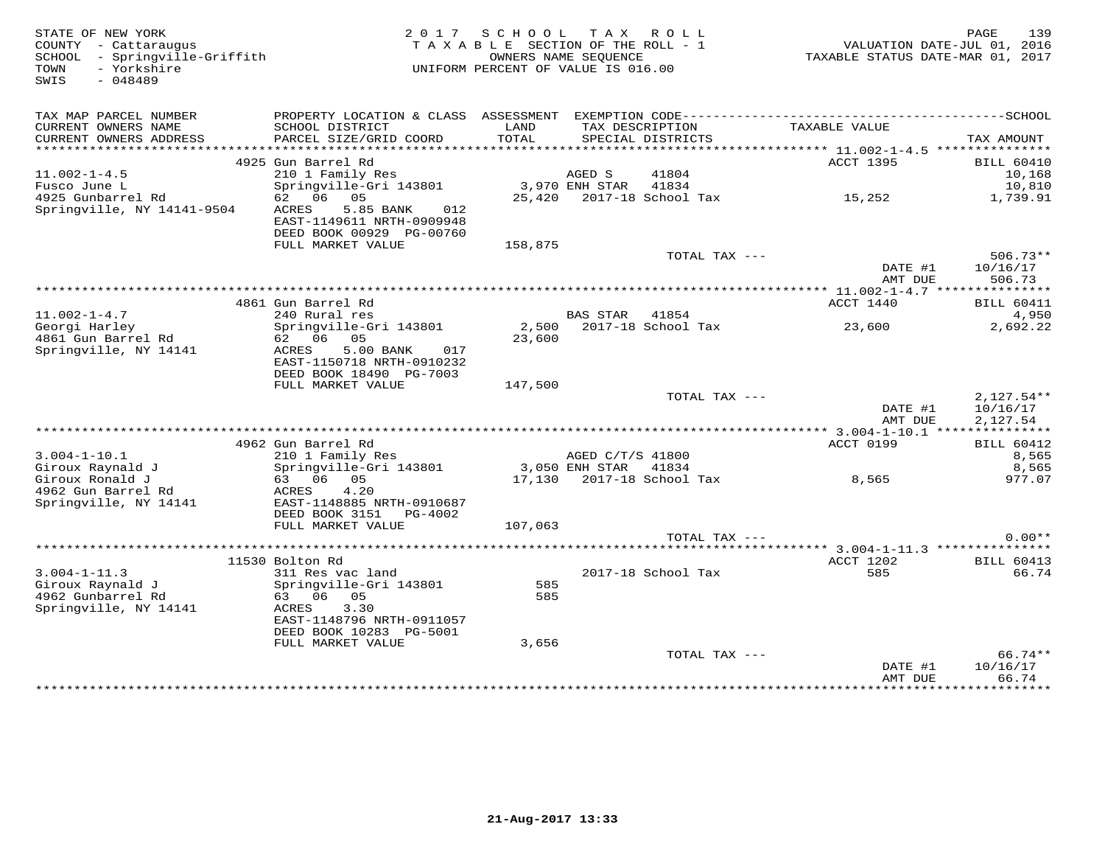| STATE OF NEW YORK<br>COUNTY - Cattaraugus<br>- Springville-Griffith<br>SCHOOL<br>- Yorkshire<br>TOWN<br>SWIS<br>$-048489$ |                                                                                                                                     | 2017 SCHOOL<br>TAXABLE SECTION OF THE ROLL - 1<br>UNIFORM PERCENT OF VALUE IS 016.00 | OWNERS NAME SEOUENCE     | TAX ROLL                             | VALUATION DATE-JUL 01, 2016<br>TAXABLE STATUS DATE-MAR 01, 2017 | 139<br>PAGE                           |
|---------------------------------------------------------------------------------------------------------------------------|-------------------------------------------------------------------------------------------------------------------------------------|--------------------------------------------------------------------------------------|--------------------------|--------------------------------------|-----------------------------------------------------------------|---------------------------------------|
| TAX MAP PARCEL NUMBER<br>CURRENT OWNERS NAME<br>CURRENT OWNERS ADDRESS                                                    | SCHOOL DISTRICT<br>PARCEL SIZE/GRID COORD                                                                                           | LAND<br>TOTAL                                                                        |                          | TAX DESCRIPTION<br>SPECIAL DISTRICTS | TAXABLE VALUE                                                   | TAX AMOUNT                            |
|                                                                                                                           |                                                                                                                                     |                                                                                      |                          |                                      |                                                                 |                                       |
|                                                                                                                           | 4925 Gun Barrel Rd                                                                                                                  |                                                                                      |                          |                                      | <b>ACCT 1395</b>                                                | <b>BILL 60410</b>                     |
| $11.002 - 1 - 4.5$<br>Fusco June L                                                                                        | 210 1 Family Res<br>Springville-Gri 143801                                                                                          |                                                                                      | AGED S<br>3,970 ENH STAR | 41804<br>41834                       |                                                                 | 10,168<br>10,810                      |
| 4925 Gunbarrel Rd                                                                                                         | 62 06 05                                                                                                                            |                                                                                      |                          | 25,420 2017-18 School Tax            | 15, 252                                                         | 1,739.91                              |
| Springville, NY 14141-9504                                                                                                | 5.85 BANK<br>ACRES<br>012<br>EAST-1149611 NRTH-0909948<br>DEED BOOK 00929 PG-00760                                                  |                                                                                      |                          |                                      |                                                                 |                                       |
|                                                                                                                           | FULL MARKET VALUE                                                                                                                   | 158,875                                                                              |                          |                                      |                                                                 |                                       |
|                                                                                                                           |                                                                                                                                     |                                                                                      |                          | TOTAL TAX ---                        | DATE #1<br>AMT DUE                                              | $506.73**$<br>10/16/17<br>506.73      |
|                                                                                                                           |                                                                                                                                     |                                                                                      |                          |                                      |                                                                 |                                       |
| $11.002 - 1 - 4.7$                                                                                                        | 4861 Gun Barrel Rd<br>240 Rural res                                                                                                 |                                                                                      | <b>BAS STAR</b>          | 41854                                | ACCT 1440                                                       | <b>BILL 60411</b><br>4,950            |
| Georgi Harley                                                                                                             | Springville-Gri 143801                                                                                                              |                                                                                      |                          | 2,500 2017-18 School Tax             | 23,600                                                          | 2,692.22                              |
| 4861 Gun Barrel Rd<br>Springville, NY 14141                                                                               | 62 06<br>05<br>5.00 BANK<br>ACRES<br>017<br>EAST-1150718 NRTH-0910232                                                               | 23,600                                                                               |                          |                                      |                                                                 |                                       |
|                                                                                                                           | DEED BOOK 18490 PG-7003                                                                                                             |                                                                                      |                          |                                      |                                                                 |                                       |
|                                                                                                                           | FULL MARKET VALUE                                                                                                                   | 147,500                                                                              |                          |                                      |                                                                 |                                       |
|                                                                                                                           |                                                                                                                                     |                                                                                      |                          | TOTAL TAX ---                        | DATE #1<br>AMT DUE                                              | $2,127.54**$<br>10/16/17<br>2,127.54  |
|                                                                                                                           |                                                                                                                                     |                                                                                      |                          |                                      |                                                                 |                                       |
| $3.004 - 1 - 10.1$                                                                                                        | 4962 Gun Barrel Rd<br>210 1 Family Res                                                                                              |                                                                                      | AGED C/T/S 41800         |                                      | ACCT 0199                                                       | <b>BILL 60412</b><br>8,565            |
| Giroux Raynald J                                                                                                          | Springville-Gri 143801                                                                                                              |                                                                                      | 3,050 ENH STAR 41834     |                                      |                                                                 | 8,565                                 |
| Giroux Ronald J                                                                                                           | 63 06 05                                                                                                                            |                                                                                      |                          | 17,130 2017-18 School Tax            | 8,565                                                           | 977.07                                |
| 4962 Gun Barrel Rd<br>Springville, NY 14141                                                                               | 4.20<br>ACRES<br>EAST-1148885 NRTH-0910687<br>DEED BOOK 3151<br>PG-4002                                                             |                                                                                      |                          |                                      |                                                                 |                                       |
|                                                                                                                           | FULL MARKET VALUE                                                                                                                   | 107,063                                                                              |                          |                                      |                                                                 |                                       |
|                                                                                                                           |                                                                                                                                     |                                                                                      |                          | TOTAL TAX ---                        |                                                                 | $0.00**$                              |
|                                                                                                                           |                                                                                                                                     |                                                                                      |                          |                                      |                                                                 |                                       |
|                                                                                                                           | 11530 Bolton Rd<br>311 Res vac land                                                                                                 |                                                                                      |                          |                                      | ACCT 1202<br>585                                                | <b>BILL 60413</b>                     |
| $3.004 - 1 - 11.3$<br>Giroux Raynald J<br>4962 Gunbarrel Rd<br>Springville, NY 14141                                      | Springville-Gri 143801<br>63 06<br>05<br>3.30<br>ACRES<br>EAST-1148796 NRTH-0911057<br>DEED BOOK 10283 PG-5001<br>FULL MARKET VALUE | 585<br>585<br>3,656                                                                  |                          | 2017-18 School Tax                   |                                                                 | 66.74                                 |
|                                                                                                                           |                                                                                                                                     |                                                                                      |                          | TOTAL TAX ---                        |                                                                 | 66.74**                               |
|                                                                                                                           |                                                                                                                                     |                                                                                      |                          |                                      | DATE #1<br>AMT DUE<br>+ + + + + + + + + + + + + + +             | 10/16/17<br>66.74<br><b>+++++++++</b> |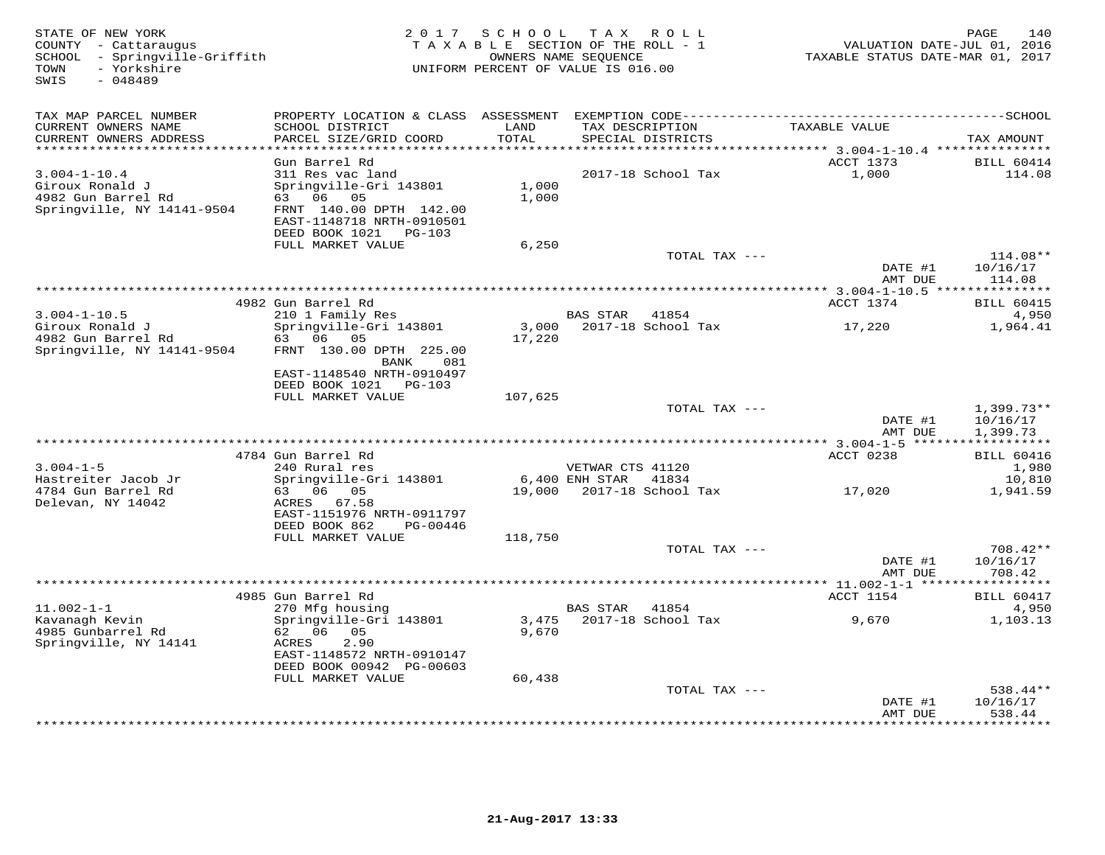| STATE OF NEW YORK<br>COUNTY - Cattaraugus<br>SCHOOL - Springville-Griffith<br>- Yorkshire<br>TOWN<br>$-048489$<br>SWIS | 2 0 1 7                                       | S C H O O L    | T A X<br>ROLL<br>TAXABLE SECTION OF THE ROLL - 1<br>OWNERS NAME SEOUENCE<br>UNIFORM PERCENT OF VALUE IS 016.00 | VALUATION DATE-JUL 01, 2016<br>TAXABLE STATUS DATE-MAR 01, 2017 | PAGE<br>140           |
|------------------------------------------------------------------------------------------------------------------------|-----------------------------------------------|----------------|----------------------------------------------------------------------------------------------------------------|-----------------------------------------------------------------|-----------------------|
| TAX MAP PARCEL NUMBER<br>CURRENT OWNERS NAME                                                                           | SCHOOL DISTRICT                               | LAND           | TAX DESCRIPTION                                                                                                | TAXABLE VALUE                                                   |                       |
| CURRENT OWNERS ADDRESS<br>***********************                                                                      | PARCEL SIZE/GRID COORD                        | <b>TOTAL</b>   | SPECIAL DISTRICTS                                                                                              |                                                                 | TAX AMOUNT            |
|                                                                                                                        | Gun Barrel Rd                                 |                |                                                                                                                | ACCT 1373                                                       | <b>BILL 60414</b>     |
| $3.004 - 1 - 10.4$                                                                                                     | 311 Res vac land                              |                | 2017-18 School Tax                                                                                             | 1,000                                                           | 114.08                |
| Giroux Ronald J                                                                                                        | Springville-Gri 143801                        | 1,000          |                                                                                                                |                                                                 |                       |
| 4982 Gun Barrel Rd                                                                                                     | 63 06 05                                      | 1,000          |                                                                                                                |                                                                 |                       |
| Springville, NY 14141-9504                                                                                             | FRNT 140.00 DPTH 142.00                       |                |                                                                                                                |                                                                 |                       |
|                                                                                                                        | EAST-1148718 NRTH-0910501                     |                |                                                                                                                |                                                                 |                       |
|                                                                                                                        | DEED BOOK 1021<br>PG-103<br>FULL MARKET VALUE | 6,250          |                                                                                                                |                                                                 |                       |
|                                                                                                                        |                                               |                | TOTAL TAX ---                                                                                                  |                                                                 | $114.08**$            |
|                                                                                                                        |                                               |                |                                                                                                                | DATE #1                                                         | 10/16/17              |
|                                                                                                                        |                                               |                |                                                                                                                | AMT DUE                                                         | 114.08                |
|                                                                                                                        | 4982 Gun Barrel Rd                            |                |                                                                                                                | ************ 3.004-1-10.5 ****************<br>ACCT 1374         | <b>BILL 60415</b>     |
| $3.004 - 1 - 10.5$                                                                                                     | 210 1 Family Res                              |                | <b>BAS STAR</b><br>41854                                                                                       |                                                                 | 4,950                 |
| Giroux Ronald J                                                                                                        | Springville-Gri 143801                        | 3,000          | 2017-18 School Tax                                                                                             | 17,220                                                          | 1,964.41              |
| 4982 Gun Barrel Rd                                                                                                     | 06 05<br>63                                   | 17,220         |                                                                                                                |                                                                 |                       |
| Springville, NY 14141-9504                                                                                             | FRNT 130.00 DPTH 225.00                       |                |                                                                                                                |                                                                 |                       |
|                                                                                                                        | BANK<br>081<br>EAST-1148540 NRTH-0910497      |                |                                                                                                                |                                                                 |                       |
|                                                                                                                        | DEED BOOK 1021 PG-103                         |                |                                                                                                                |                                                                 |                       |
|                                                                                                                        | FULL MARKET VALUE                             | 107,625        |                                                                                                                |                                                                 |                       |
|                                                                                                                        |                                               |                | TOTAL TAX ---                                                                                                  |                                                                 | $1,399.73**$          |
|                                                                                                                        |                                               |                |                                                                                                                | DATE #1<br>AMT DUE                                              | 10/16/17<br>1,399.73  |
|                                                                                                                        |                                               |                |                                                                                                                | ************** 3.004-1-5                                        | * * * * * * * * * * * |
|                                                                                                                        | 4784 Gun Barrel Rd                            |                |                                                                                                                | ACCT 0238                                                       | <b>BILL 60416</b>     |
| $3.004 - 1 - 5$                                                                                                        | 240 Rural res                                 |                | VETWAR CTS 41120                                                                                               |                                                                 | 1,980                 |
| Hastreiter Jacob Jr                                                                                                    | Springville-Gri 143801                        |                | 6,400 ENH STAR<br>41834                                                                                        |                                                                 | 10,810                |
| 4784 Gun Barrel Rd<br>Delevan, NY 14042                                                                                | 63 06 05<br>ACRES 67.58                       | 19,000         | 2017-18 School Tax                                                                                             | 17,020                                                          | 1,941.59              |
|                                                                                                                        | EAST-1151976 NRTH-0911797                     |                |                                                                                                                |                                                                 |                       |
|                                                                                                                        | DEED BOOK 862<br>PG-00446                     |                |                                                                                                                |                                                                 |                       |
|                                                                                                                        | FULL MARKET VALUE                             | 118,750        |                                                                                                                |                                                                 |                       |
|                                                                                                                        |                                               |                | TOTAL TAX ---                                                                                                  | DATE #1                                                         | 708.42**<br>10/16/17  |
|                                                                                                                        |                                               |                |                                                                                                                | AMT DUE                                                         | 708.42                |
|                                                                                                                        |                                               |                |                                                                                                                | ** $11.002 - 1 - 1$ ***                                         |                       |
|                                                                                                                        | 4985 Gun Barrel Rd                            |                |                                                                                                                | ACCT 1154                                                       | <b>BILL 60417</b>     |
| $11.002 - 1 - 1$                                                                                                       | 270 Mfg housing                               |                | <b>BAS STAR</b><br>41854                                                                                       |                                                                 | 4,950                 |
| Kavanagh Kevin<br>4985 Gunbarrel Rd                                                                                    | Springville-Gri 143801<br>62 06 05            | 3,475<br>9,670 | 2017-18 School Tax                                                                                             | 9,670                                                           | 1,103.13              |
| Springville, NY 14141                                                                                                  | 2.90<br>ACRES                                 |                |                                                                                                                |                                                                 |                       |
|                                                                                                                        | EAST-1148572 NRTH-0910147                     |                |                                                                                                                |                                                                 |                       |
|                                                                                                                        | DEED BOOK 00942 PG-00603                      |                |                                                                                                                |                                                                 |                       |
|                                                                                                                        | FULL MARKET VALUE                             | 60,438         |                                                                                                                |                                                                 |                       |
|                                                                                                                        |                                               |                | TOTAL TAX ---                                                                                                  | DATE #1                                                         | 538.44**<br>10/16/17  |
|                                                                                                                        |                                               |                |                                                                                                                | AMT DUE                                                         | 538.44                |
|                                                                                                                        |                                               |                | ***********************                                                                                        |                                                                 | ********              |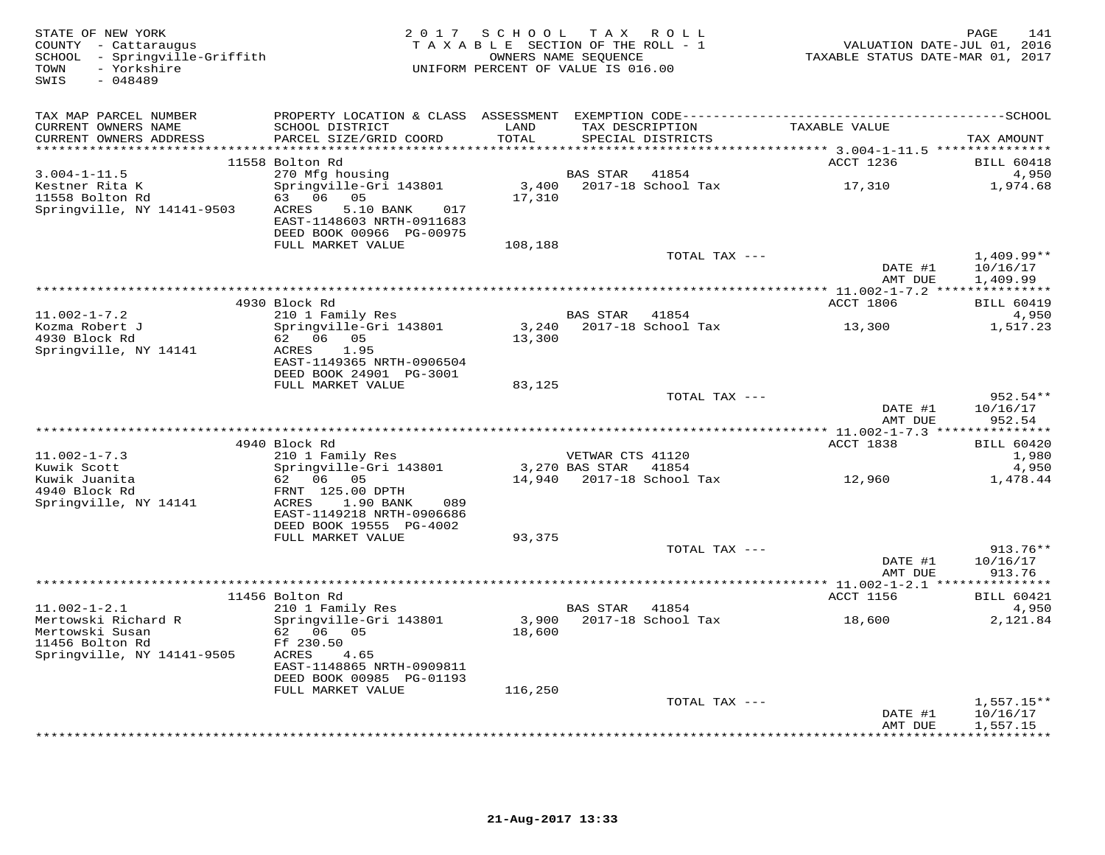| STATE OF NEW YORK<br>COUNTY - Cattaraugus<br>SCHOOL - Springville-Griffith<br>TOWN<br>- Yorkshire<br>SWIS<br>$-048489$ |                                                                                                | 2017 SCHOOL TAX ROLL<br>TAXABLE SECTION OF THE ROLL - 1<br>UNIFORM PERCENT OF VALUE IS 016.00 | OWNERS NAME SEQUENCE      |                             | VALUATION DATE-JUL 01, 2016<br>TAXABLE STATUS DATE-MAR 01, 2017 | 141<br>PAGE                                   |
|------------------------------------------------------------------------------------------------------------------------|------------------------------------------------------------------------------------------------|-----------------------------------------------------------------------------------------------|---------------------------|-----------------------------|-----------------------------------------------------------------|-----------------------------------------------|
| TAX MAP PARCEL NUMBER<br>CURRENT OWNERS NAME<br>CURRENT OWNERS ADDRESS                                                 | SCHOOL DISTRICT<br>PARCEL SIZE/GRID COORD                                                      | LAND<br>TOTAL                                                                                 | TAX DESCRIPTION           | SPECIAL DISTRICTS           | TAXABLE VALUE                                                   | TAX AMOUNT                                    |
|                                                                                                                        |                                                                                                |                                                                                               |                           |                             |                                                                 |                                               |
|                                                                                                                        | 11558 Bolton Rd                                                                                |                                                                                               |                           |                             | ACCT 1236                                                       | <b>BILL 60418</b>                             |
| $3.004 - 1 - 11.5$<br>Kestner Rita K                                                                                   | 270 Mfg housing<br>Springville-Gri 143801                                                      | 3,400                                                                                         | <b>BAS STAR</b>           | 41854<br>2017-18 School Tax | 17,310                                                          | 4,950<br>1,974.68                             |
| 11558 Bolton Rd<br>Springville, NY 14141-9503                                                                          | 63 06 05<br>ACRES<br>5.10 BANK<br>017<br>EAST-1148603 NRTH-0911683<br>DEED BOOK 00966 PG-00975 | 17,310                                                                                        |                           |                             |                                                                 |                                               |
|                                                                                                                        | FULL MARKET VALUE                                                                              | 108,188                                                                                       |                           |                             |                                                                 |                                               |
|                                                                                                                        |                                                                                                |                                                                                               |                           | TOTAL TAX ---               | DATE #1                                                         | $1,409.99**$<br>10/16/17                      |
|                                                                                                                        |                                                                                                |                                                                                               |                           |                             | AMT DUE                                                         | 1,409.99                                      |
|                                                                                                                        | 4930 Block Rd                                                                                  |                                                                                               |                           |                             | ACCT 1806                                                       | <b>BILL 60419</b>                             |
| $11.002 - 1 - 7.2$                                                                                                     | 210 1 Family Res                                                                               |                                                                                               | BAS STAR                  | 41854                       |                                                                 | 4,950                                         |
| Kozma Robert J<br>4930 Block Rd<br>Springville, NY 14141                                                               | Springville-Gri 143801<br>62 06 05<br>ACRES<br>1.95<br>EAST-1149365 NRTH-0906504               | 3,240<br>13,300                                                                               |                           | 2017-18 School Tax          | 13,300                                                          | 1,517.23                                      |
|                                                                                                                        | DEED BOOK 24901 PG-3001                                                                        |                                                                                               |                           |                             |                                                                 |                                               |
|                                                                                                                        | FULL MARKET VALUE                                                                              | 83,125                                                                                        |                           |                             |                                                                 |                                               |
|                                                                                                                        |                                                                                                |                                                                                               |                           | TOTAL TAX ---               | DATE #1                                                         | $952.54**$<br>10/16/17                        |
|                                                                                                                        |                                                                                                |                                                                                               |                           |                             | AMT DUE                                                         | 952.54                                        |
|                                                                                                                        | 4940 Block Rd                                                                                  |                                                                                               |                           |                             | ACCT 1838                                                       | <b>BILL 60420</b>                             |
| $11.002 - 1 - 7.3$                                                                                                     | 210 1 Family Res                                                                               |                                                                                               | VETWAR CTS 41120          |                             |                                                                 | 1,980                                         |
| Kuwik Scott                                                                                                            | Springville-Gri 143801                                                                         |                                                                                               | 3,270 BAS STAR 41854      |                             |                                                                 | 4,950                                         |
| Kuwik Juanita<br>4940 Block Rd                                                                                         | 62 06<br>05<br>FRNT 125.00 DPTH                                                                |                                                                                               | 14,940 2017-18 School Tax |                             | 12,960                                                          | 1,478.44                                      |
| Springville, NY 14141                                                                                                  | ACRES<br>1.90 BANK<br>089<br>EAST-1149218 NRTH-0906686<br>DEED BOOK 19555 PG-4002              |                                                                                               |                           |                             |                                                                 |                                               |
|                                                                                                                        | FULL MARKET VALUE                                                                              | 93,375                                                                                        |                           |                             |                                                                 |                                               |
|                                                                                                                        |                                                                                                |                                                                                               |                           | TOTAL TAX ---               |                                                                 | 913.76**                                      |
|                                                                                                                        |                                                                                                |                                                                                               |                           |                             | DATE #1<br>AMT DUE                                              | 10/16/17<br>913.76                            |
|                                                                                                                        |                                                                                                |                                                                                               |                           |                             |                                                                 |                                               |
|                                                                                                                        | 11456 Bolton Rd                                                                                |                                                                                               |                           |                             | ACCT 1156                                                       | <b>BILL 60421</b>                             |
| $11.002 - 1 - 2.1$<br>Mertowski Richard R                                                                              | 210 1 Family Res<br>Springville-Gri 143801                                                     | 3,900                                                                                         | BAS STAR                  | 41854<br>2017-18 School Tax | 18,600                                                          | 4,950<br>2,121.84                             |
| Mertowski Susan<br>11456 Bolton Rd<br>Springville, NY 14141-9505                                                       | 62 06 05<br>Ff 230.50<br>ACRES<br>4.65                                                         | 18,600                                                                                        |                           |                             |                                                                 |                                               |
|                                                                                                                        | EAST-1148865 NRTH-0909811<br>DEED BOOK 00985 PG-01193                                          |                                                                                               |                           |                             |                                                                 |                                               |
|                                                                                                                        | FULL MARKET VALUE                                                                              | 116,250                                                                                       |                           |                             |                                                                 |                                               |
|                                                                                                                        |                                                                                                |                                                                                               |                           | TOTAL TAX ---               |                                                                 | $1,557.15**$                                  |
|                                                                                                                        |                                                                                                |                                                                                               |                           |                             | DATE #1<br>AMT DUE                                              | 10/16/17<br>1,557.15<br>* * * * * * * * * * * |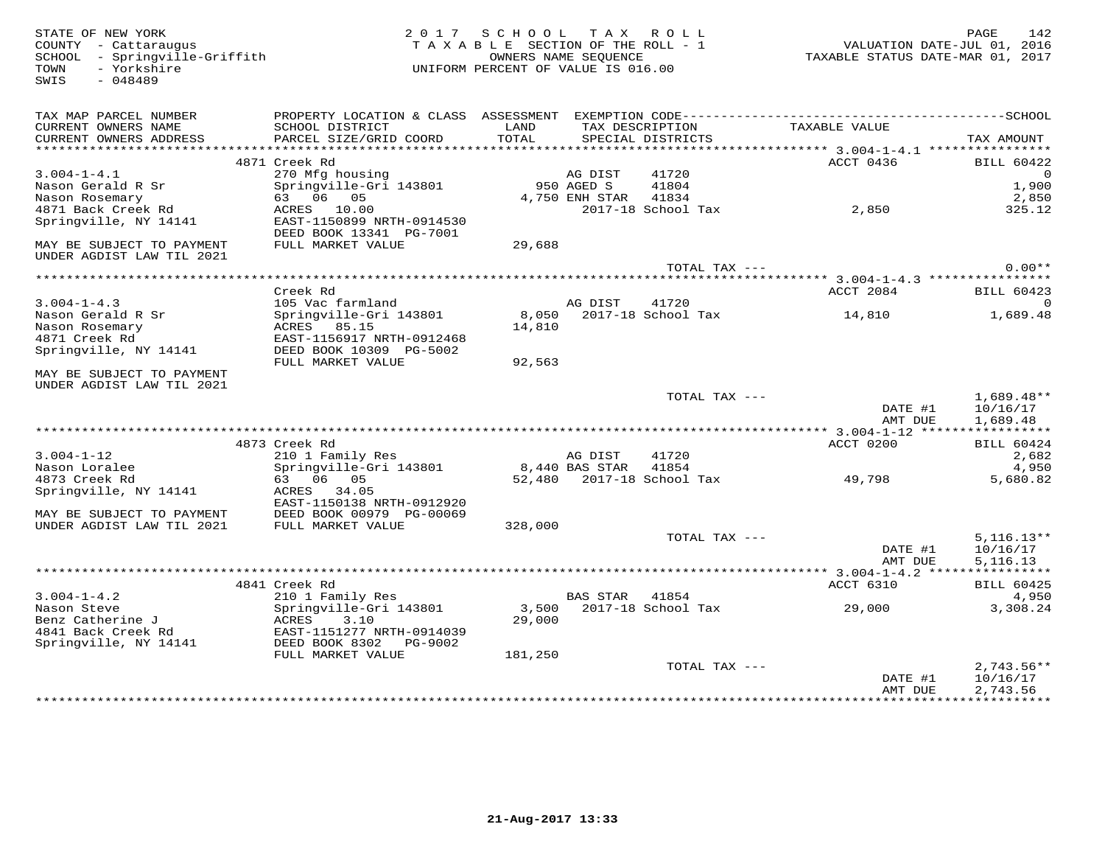STATE OF NEW YORK 2 0 1 7 S C H O O L T A X R O L L PAGE 142 COUNTY - Cattaraugus T A X A B L E SECTION OF THE ROLL - 1 VALUATION DATE-JUL 01, 2016 SCHOOL - Springville-Griffith OWNERS NAME SEQUENCE TAXABLE STATUS DATE-MAR 01, 2017 TOWN - Yorkshire UNIFORM PERCENT OF VALUE IS 016.00 SWIS - 048489TAX MAP PARCEL NUMBER PROPERTY LOCATION & CLASS ASSESSMENT EXEMPTION CODE------------------------------------------SCHOOL CURRENT OWNERS NAME SCHOOL DISTRICT LAND TAX DESCRIPTION TAXABLE VALUE CURRENT OWNERS ADDRESS PARCEL SIZE/GRID COORD TOTAL SPECIAL DISTRICTS TAX AMOUNT \*\*\*\*\*\*\*\*\*\*\*\*\*\*\*\*\*\*\*\*\*\*\*\*\*\*\*\*\*\*\*\*\*\*\*\*\*\*\*\*\*\*\*\*\*\*\*\*\*\*\*\*\*\*\*\*\*\*\*\*\*\*\*\*\*\*\*\*\*\*\*\*\*\*\*\*\*\*\*\*\*\*\*\*\*\*\*\*\*\*\*\*\*\*\*\*\*\*\*\*\*\*\* 3.004-1-4.1 \*\*\*\*\*\*\*\*\*\*\*\*\*\*\*\* $\begin{array}{cccccc} 3.004-1-4.1 & 4871 \text{ Creek Rd} & \text{AG DIST} & 41720 & \text{ACCT 0436} & \text{BILL 60422} \\ \text{Nason Gerard R Sr} & 270 Mg \text{ housing} & 950 \text{ AGEN S} & 41804 & 1,900 \\ \text{Nason Rosemary} & 63 & 06 & 05 & 4,750 \text{ ENH STAR} & 41834 & 2,850 \\ \text{Nason Rosemary} & 63 & 06 & 05 & 4,750 \text{ ENH STAR} & 41834 & 2,8$  \*\*\*\*\*\*\*\*\*\*\*\*\*\*\*\*\*\*\*\*\*\*\*\*\*\*\*\*\*\*\*\*\*\*\*\*\*\*\*\*\*\*\*\*\*\*\*\*\*\*\*\*\*\*\*\*\*\*\*\*\*\*\*\*\*\*\*\*\*\*\*\*\*\*\*\*\*\*\*\*\*\*\*\*\*\*\*\*\*\*\*\*\*\*\*\*\*\*\*\*\*\*\* 3.004-1-4.3 \*\*\*\*\*\*\*\*\*\*\*\*\*\*\*\*3.004-1-4.3 Creek Rd<br>
Nason Gerald R Sr Springville-Gri 143801 as a community control of the State of Springville (1993)<br>
Nason Rosemary ACRES 85.15 14,810 1,689.48<br>
Agric Treek Rd EAST-1156917 NRTH-0912468 14,810 1,689.48 MAY BE SUBJECT TO PAYMENT UNDER AGDIST LAW TIL 2021TOTAL TAX  $---$  1,689.48\*\*  $\texttt{DATE}$  #1  $\texttt{10/16/17}$  AMT DUE 1,689.48 \*\*\*\*\*\*\*\*\*\*\*\*\*\*\*\*\*\*\*\*\*\*\*\*\*\*\*\*\*\*\*\*\*\*\*\*\*\*\*\*\*\*\*\*\*\*\*\*\*\*\*\*\*\*\*\*\*\*\*\*\*\*\*\*\*\*\*\*\*\*\*\*\*\*\*\*\*\*\*\*\*\*\*\*\*\*\*\*\*\*\*\*\*\*\*\*\*\*\*\*\*\*\* 3.004-1-12 \*\*\*\*\*\*\*\*\*\*\*\*\*\*\*\*\* 4873 Creek Rd ACCT 0200 BILL 60424 3.004-1-12 210 1 Family Res AG DIST 41720 2,682 Nason Loralee Springville-Gri 143801 8,440 BAS STAR 41854 4,950 4873 Creek Rd 63 06 05 52,480 2017-18 School Tax 49,798 5,680.82 Springville, NY 14141 ACRES 34.05 EAST-1150138 NRTH-0912920 MAY BE SUBJECT TO PAYMENT DEED BOOK 00979 PG-00069 UNDER AGDIST LAW TIL 2021 FULL MARKET VALUE 328,000 TOTAL TAX --- 5,116.13\*\* DATE #1 10/16/17AMT DUE 5.116.13 AMT DUE 5,116.13 \*\*\*\*\*\*\*\*\*\*\*\*\*\*\*\*\*\*\*\*\*\*\*\*\*\*\*\*\*\*\*\*\*\*\*\*\*\*\*\*\*\*\*\*\*\*\*\*\*\*\*\*\*\*\*\*\*\*\*\*\*\*\*\*\*\*\*\*\*\*\*\*\*\*\*\*\*\*\*\*\*\*\*\*\*\*\*\*\*\*\*\*\*\*\*\*\*\*\*\*\*\*\* 3.004-1-4.2 \*\*\*\*\*\*\*\*\*\*\*\*\*\*\*\* 4841 Creek Rd ACCT 6310 BILL 60425 3.004-1-4.2 210 1 Family Res BAS STAR 41854 4,950 Nason Steve Springville-Gri 143801 3,500 2017-18 School Tax 29,000 3,308.24 Benz Catherine J ACRES 3.10 29,000 4841 Back Creek Rd EAST-1151277 NRTH-0914039 Springville, NY 14141 DEED BOOK 8302 PG-9002 FULL MARKET VALUE 181,250 TOTAL TAX --- 2,743.56\*\* DATE #1 10/16/17 AMT DUE 2,743.56 \*\*\*\*\*\*\*\*\*\*\*\*\*\*\*\*\*\*\*\*\*\*\*\*\*\*\*\*\*\*\*\*\*\*\*\*\*\*\*\*\*\*\*\*\*\*\*\*\*\*\*\*\*\*\*\*\*\*\*\*\*\*\*\*\*\*\*\*\*\*\*\*\*\*\*\*\*\*\*\*\*\*\*\*\*\*\*\*\*\*\*\*\*\*\*\*\*\*\*\*\*\*\*\*\*\*\*\*\*\*\*\*\*\*\*\*\*\*\*\*\*\*\*\*\*\*\*\*\*\*\*\*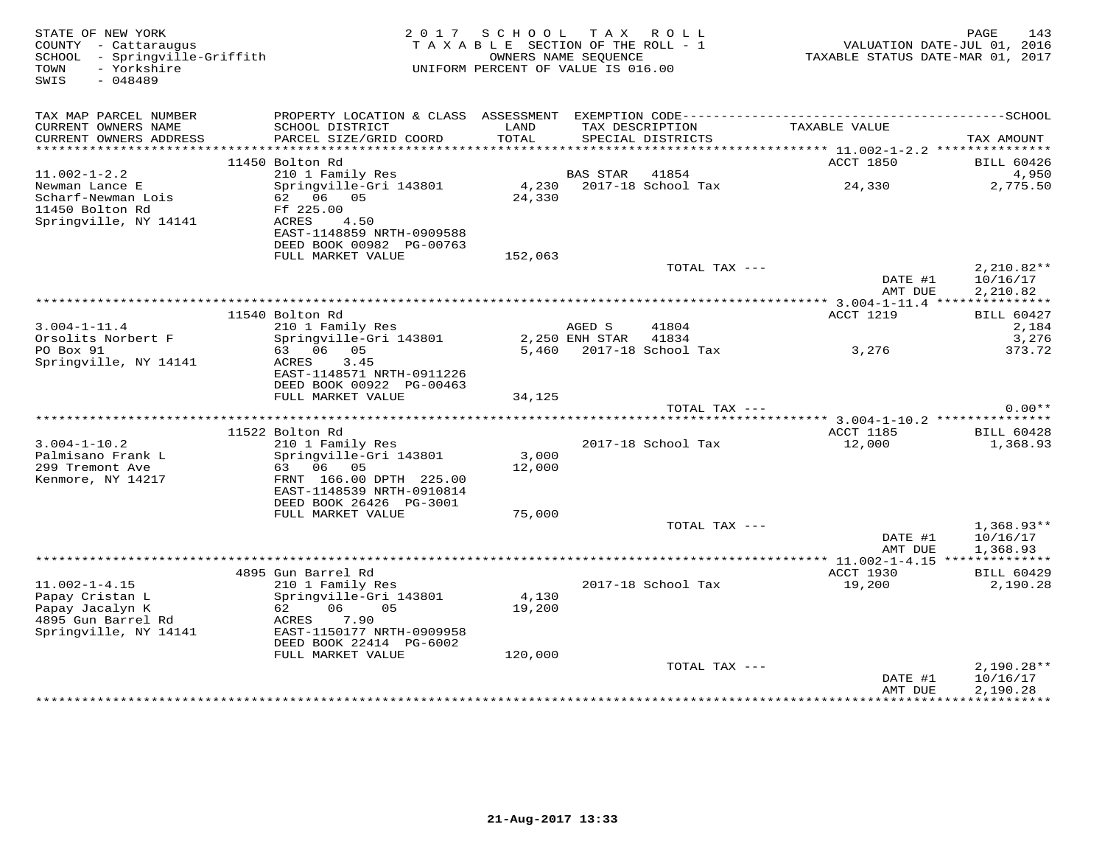| STATE OF NEW YORK<br>COUNTY - Cattaraugus<br>- Springville-Griffith<br>SCHOOL<br>- Yorkshire<br>TOWN<br>SWIS<br>$-048489$ | 2017<br>TAXABLE SECTION OF THE ROLL - 1<br>UNIFORM PERCENT OF VALUE IS 016.00                                                                                          | 143<br>PAGE<br>VALUATION DATE-JUL 01, 2016<br>TAXABLE STATUS DATE-MAR 01, 2017 |                 |                                      |                    |                                                      |
|---------------------------------------------------------------------------------------------------------------------------|------------------------------------------------------------------------------------------------------------------------------------------------------------------------|--------------------------------------------------------------------------------|-----------------|--------------------------------------|--------------------|------------------------------------------------------|
| TAX MAP PARCEL NUMBER<br>CURRENT OWNERS NAME<br>CURRENT OWNERS ADDRESS<br>***********************                         | PROPERTY LOCATION & CLASS ASSESSMENT EXEMPTION CODE-----------------------------------SCHOOL<br>SCHOOL DISTRICT<br>PARCEL SIZE/GRID COORD<br>************************* | LAND<br>TOTAL                                                                  |                 | TAX DESCRIPTION<br>SPECIAL DISTRICTS | TAXABLE VALUE      | TAX AMOUNT                                           |
|                                                                                                                           | 11450 Bolton Rd                                                                                                                                                        |                                                                                |                 |                                      | ACCT 1850          | <b>BILL 60426</b>                                    |
| $11.002 - 1 - 2.2$<br>Newman Lance E<br>Scharf-Newman Lois<br>11450 Bolton Rd                                             | 210 1 Family Res<br>Springville-Gri 143801<br>62 06<br>05<br>Ff 225.00                                                                                                 | 4,230<br>24,330                                                                | <b>BAS STAR</b> | 41854<br>2017-18 School Tax          | 24,330             | 4,950<br>2,775.50                                    |
| Springville, NY 14141                                                                                                     | <b>ACRES</b><br>4.50<br>EAST-1148859 NRTH-0909588<br>DEED BOOK 00982 PG-00763<br>FULL MARKET VALUE                                                                     | 152,063                                                                        |                 |                                      |                    |                                                      |
|                                                                                                                           |                                                                                                                                                                        |                                                                                |                 | TOTAL TAX ---                        | DATE #1<br>AMT DUE | $2,210.82**$<br>10/16/17<br>2,210.82                 |
|                                                                                                                           |                                                                                                                                                                        |                                                                                |                 |                                      |                    |                                                      |
| $3.004 - 1 - 11.4$                                                                                                        | 11540 Bolton Rd<br>210 1 Family Res                                                                                                                                    |                                                                                | AGED S          | 41804                                | <b>ACCT 1219</b>   | <b>BILL 60427</b><br>2,184                           |
| Orsolits Norbert F                                                                                                        | Springville-Gri 143801                                                                                                                                                 |                                                                                | 2,250 ENH STAR  | 41834                                |                    | 3,276                                                |
| PO Box 91                                                                                                                 | 63 06<br>05                                                                                                                                                            |                                                                                |                 | 5,460 2017-18 School Tax             | 3,276              | 373.72                                               |
| Springville, NY 14141                                                                                                     | 3.45<br>ACRES<br>EAST-1148571 NRTH-0911226<br>DEED BOOK 00922 PG-00463                                                                                                 |                                                                                |                 |                                      |                    |                                                      |
|                                                                                                                           | FULL MARKET VALUE                                                                                                                                                      | 34,125                                                                         |                 | TOTAL TAX ---                        |                    | $0.00**$                                             |
|                                                                                                                           |                                                                                                                                                                        |                                                                                |                 |                                      |                    |                                                      |
|                                                                                                                           | 11522 Bolton Rd                                                                                                                                                        |                                                                                |                 |                                      | ACCT 1185          | <b>BILL 60428</b>                                    |
| $3.004 - 1 - 10.2$                                                                                                        | 210 1 Family Res                                                                                                                                                       |                                                                                |                 | 2017-18 School Tax                   | 12,000             | 1,368.93                                             |
| Palmisano Frank L                                                                                                         | Springville-Gri 143801<br>63<br>06<br>05                                                                                                                               | 3,000<br>12,000                                                                |                 |                                      |                    |                                                      |
| 299 Tremont Ave<br>Kenmore, NY 14217                                                                                      | FRNT 166.00 DPTH 225.00<br>EAST-1148539 NRTH-0910814<br>DEED BOOK 26426 PG-3001                                                                                        |                                                                                |                 |                                      |                    |                                                      |
|                                                                                                                           | FULL MARKET VALUE                                                                                                                                                      | 75,000                                                                         |                 |                                      |                    |                                                      |
|                                                                                                                           |                                                                                                                                                                        |                                                                                |                 | TOTAL TAX ---                        |                    | $1,368.93**$                                         |
|                                                                                                                           |                                                                                                                                                                        |                                                                                |                 |                                      | DATE #1<br>AMT DUE | 10/16/17<br>1,368.93                                 |
|                                                                                                                           | 4895 Gun Barrel Rd                                                                                                                                                     |                                                                                |                 |                                      | ACCT 1930          | <b>BILL 60429</b>                                    |
| $11.002 - 1 - 4.15$<br>Papay Cristan L<br>Papay Jacalyn K<br>4895 Gun Barrel Rd<br>Springville, NY 14141                  | 210 1 Family Res<br>Springville-Gri 143801<br>06<br>62<br>05<br>7.90<br>ACRES<br>EAST-1150177 NRTH-0909958<br>DEED BOOK 22414 PG-6002                                  | 4,130<br>19,200                                                                |                 | 2017-18 School Tax                   | 19,200             | 2,190.28                                             |
|                                                                                                                           | FULL MARKET VALUE                                                                                                                                                      | 120,000                                                                        |                 |                                      |                    |                                                      |
|                                                                                                                           |                                                                                                                                                                        |                                                                                |                 | TOTAL TAX ---                        | DATE #1<br>AMT DUE | $2,190.28**$<br>10/16/17<br>2,190.28<br>************ |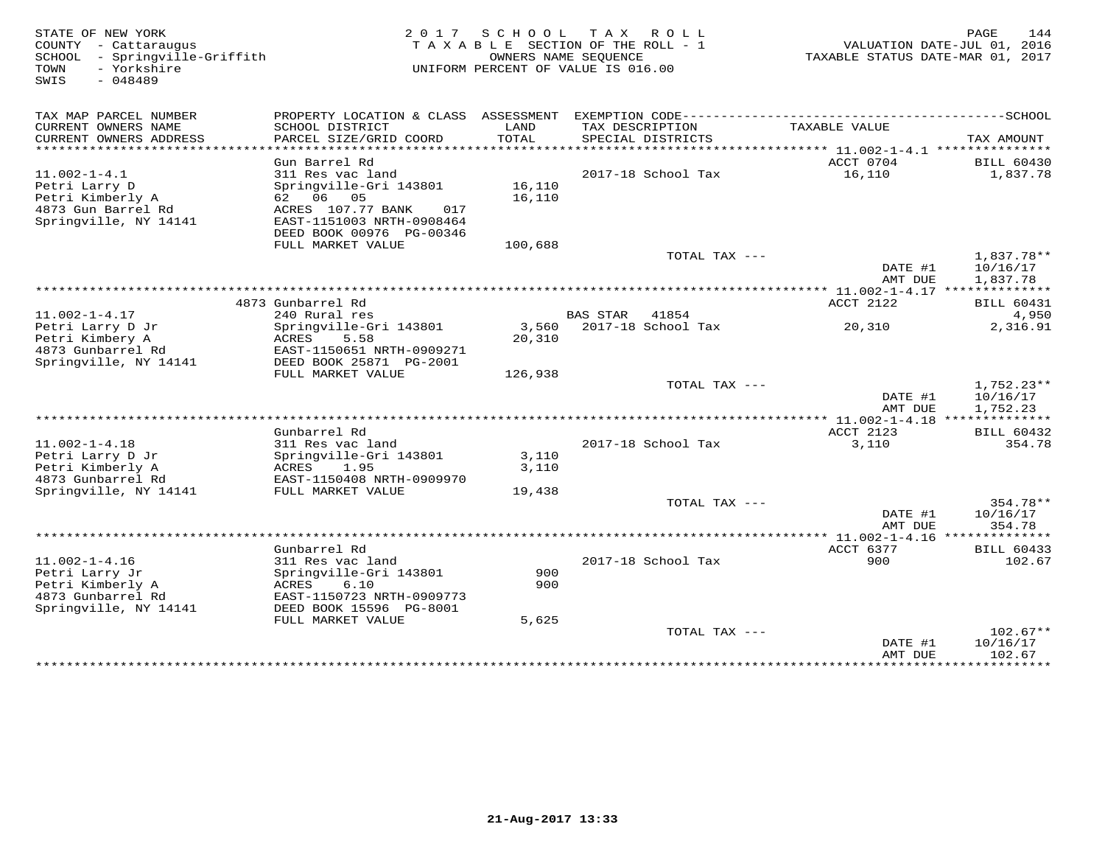| STATE OF NEW YORK<br>COUNTY - Cattaraugus<br>SCHOOL<br>- Springville-Griffith | 2017 SCHOOL TAX ROLL<br>TAXABLE SECTION OF THE ROLL - 1<br>OWNERS NAME SEQUENCE |                 |                                    | 144<br>PAGE<br>VALUATION DATE-JUL 01, 2016<br>TAXABLE STATUS DATE-MAR 01, 2017 |                          |
|-------------------------------------------------------------------------------|---------------------------------------------------------------------------------|-----------------|------------------------------------|--------------------------------------------------------------------------------|--------------------------|
| - Yorkshire<br>TOWN<br>SWIS<br>$-048489$                                      |                                                                                 |                 | UNIFORM PERCENT OF VALUE IS 016.00 |                                                                                |                          |
| TAX MAP PARCEL NUMBER                                                         | PROPERTY LOCATION & CLASS ASSESSMENT EXEMPTION CODE----------------------       |                 |                                    |                                                                                | ----------------SCHOOL   |
| CURRENT OWNERS NAME                                                           | SCHOOL DISTRICT                                                                 | LAND            | TAX DESCRIPTION                    | TAXABLE VALUE                                                                  |                          |
| CURRENT OWNERS ADDRESS<br>*********************                               | PARCEL SIZE/GRID COORD                                                          | TOTAL           | SPECIAL DISTRICTS                  | *************************** 11.002-1-4.1 ****************                      | TAX AMOUNT               |
|                                                                               | Gun Barrel Rd                                                                   |                 |                                    | ACCT 0704                                                                      | <b>BILL 60430</b>        |
| $11.002 - 1 - 4.1$                                                            | 311 Res vac land                                                                |                 | 2017-18 School Tax                 | 16,110                                                                         | 1,837.78                 |
| Petri Larry D                                                                 | Springville-Gri 143801                                                          | 16,110          |                                    |                                                                                |                          |
| Petri Kimberly A<br>4873 Gun Barrel Rd                                        | 62 06 05<br>ACRES 107.77 BANK<br>017                                            | 16,110          |                                    |                                                                                |                          |
| Springville, NY 14141                                                         | EAST-1151003 NRTH-0908464                                                       |                 |                                    |                                                                                |                          |
|                                                                               | DEED BOOK 00976 PG-00346                                                        |                 |                                    |                                                                                |                          |
|                                                                               | FULL MARKET VALUE                                                               | 100,688         |                                    |                                                                                |                          |
|                                                                               |                                                                                 |                 | TOTAL TAX ---                      |                                                                                | 1,837.78**               |
|                                                                               |                                                                                 |                 |                                    | DATE #1<br>AMT DUE                                                             | 10/16/17<br>1,837.78     |
|                                                                               |                                                                                 |                 |                                    |                                                                                |                          |
|                                                                               | 4873 Gunbarrel Rd                                                               |                 |                                    | ACCT 2122                                                                      | <b>BILL 60431</b>        |
| $11.002 - 1 - 4.17$                                                           | 240 Rural res                                                                   |                 | BAS STAR<br>41854                  |                                                                                | 4,950                    |
| Petri Larry D Jr<br>Petri Kimbery A                                           | Springville-Gri 143801<br>5.58<br>ACRES                                         | 3,560<br>20,310 | 2017-18 School Tax                 | 20,310                                                                         | 2,316.91                 |
| 4873 Gunbarrel Rd                                                             | EAST-1150651 NRTH-0909271                                                       |                 |                                    |                                                                                |                          |
| Springville, NY 14141                                                         | DEED BOOK 25871 PG-2001                                                         |                 |                                    |                                                                                |                          |
|                                                                               | FULL MARKET VALUE                                                               | 126,938         |                                    |                                                                                |                          |
|                                                                               |                                                                                 |                 | TOTAL TAX ---                      | DATE #1                                                                        | $1,752.23**$<br>10/16/17 |
|                                                                               |                                                                                 |                 |                                    | AMT DUE                                                                        | 1,752.23                 |
|                                                                               |                                                                                 |                 |                                    |                                                                                |                          |
|                                                                               | Gunbarrel Rd                                                                    |                 |                                    | ACCT 2123                                                                      | <b>BILL 60432</b>        |
| $11.002 - 1 - 4.18$<br>Petri Larry D Jr                                       | 311 Res vac land<br>Springville-Gri 143801                                      | 3,110           | 2017-18 School Tax                 | 3,110                                                                          | 354.78                   |
| Petri Kimberly A                                                              | ACRES<br>1.95                                                                   | 3,110           |                                    |                                                                                |                          |
| 4873 Gunbarrel Rd                                                             | EAST-1150408 NRTH-0909970                                                       |                 |                                    |                                                                                |                          |
| Springville, NY 14141                                                         | FULL MARKET VALUE                                                               | 19,438          |                                    |                                                                                |                          |
|                                                                               |                                                                                 |                 | TOTAL TAX ---                      | DATE #1                                                                        | 354.78**<br>10/16/17     |
|                                                                               |                                                                                 |                 |                                    | AMT DUE                                                                        | 354.78                   |
|                                                                               |                                                                                 |                 |                                    |                                                                                | ***********              |
|                                                                               | Gunbarrel Rd                                                                    |                 |                                    | ACCT 6377                                                                      | <b>BILL 60433</b>        |
| $11.002 - 1 - 4.16$<br>Petri Larry Jr                                         | 311 Res vac land<br>Springville-Gri 143801                                      | 900             | 2017-18 School Tax                 | 900                                                                            | 102.67                   |
| Petri Kimberly A                                                              | 6.10<br>ACRES                                                                   | 900             |                                    |                                                                                |                          |
| 4873 Gunbarrel Rd                                                             | EAST-1150723 NRTH-0909773                                                       |                 |                                    |                                                                                |                          |
| Springville, NY 14141                                                         | DEED BOOK 15596 PG-8001                                                         |                 |                                    |                                                                                |                          |
|                                                                               | FULL MARKET VALUE                                                               | 5,625           |                                    |                                                                                |                          |
|                                                                               |                                                                                 |                 | TOTAL TAX ---                      | DATE #1                                                                        | $102.67**$<br>10/16/17   |
|                                                                               |                                                                                 |                 |                                    | AMT DUE                                                                        | 102.67                   |
|                                                                               |                                                                                 |                 |                                    | ***************                                                                | ***********              |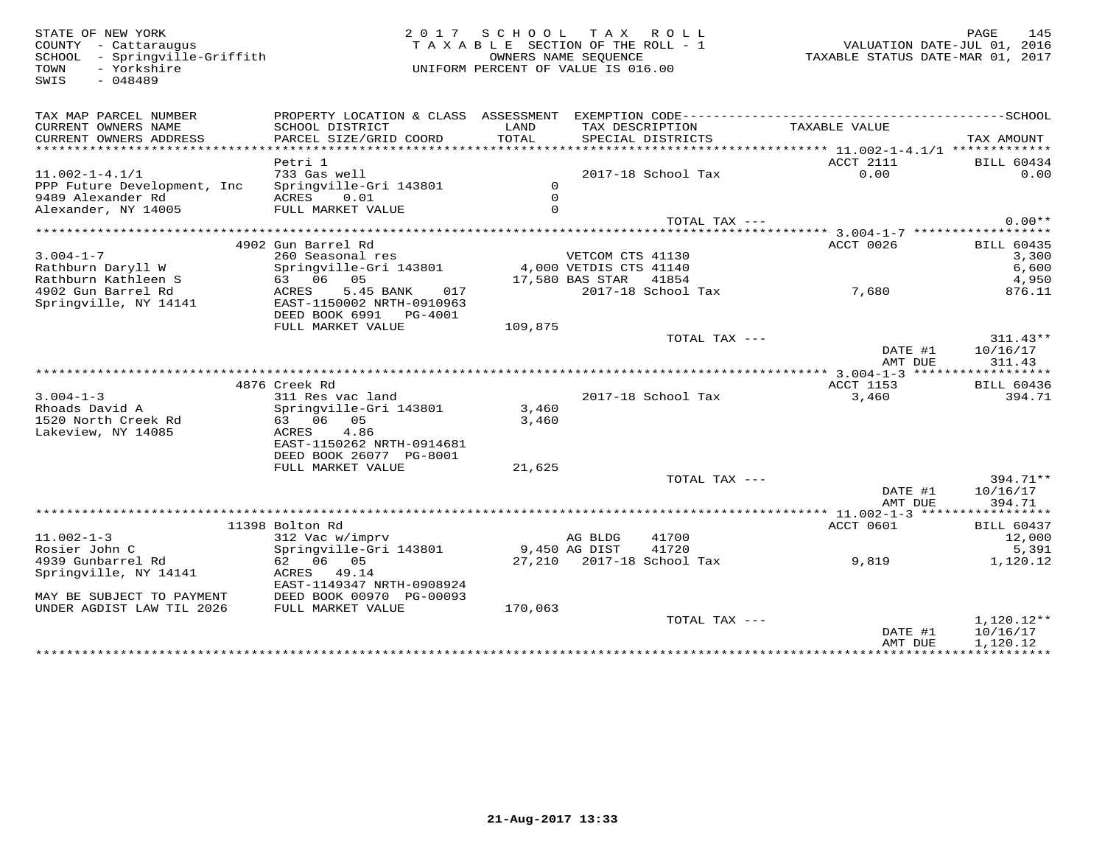COUNTY - Cattaraugus<br>
SCHOOL - Springville-Griffith<br>
TOWN - Yorkshire<br>
SWIS - 048489

# STATE OF NEW YORK 2 0 1 7 S C H O O L T A X R O L L PAGE 145 COUNTY - Cattaraugus T A X A B L E SECTION OF THE ROLL - 1 VALUATION DATE-JUL 01, 2016 SCHOOL - Springville-Griffith OWNERS NAME SEQUENCE TAXABLE STATUS DATE-MAR 01, 2017 TOWN - Yorkshire UNIFORM PERCENT OF VALUE IS 016.00

| TAX MAP PARCEL NUMBER<br>CURRENT OWNERS NAME<br>CURRENT OWNERS ADDRESS | PROPERTY LOCATION & CLASS ASSESSMENT<br>SCHOOL DISTRICT<br>PARCEL SIZE/GRID COORD | LAND<br>TOTAL | EXEMPTION CODE----------<br>TAX DESCRIPTION<br>SPECIAL DISTRICTS | TAXABLE VALUE                      | --------------SCHOOL<br>TAX AMOUNT |
|------------------------------------------------------------------------|-----------------------------------------------------------------------------------|---------------|------------------------------------------------------------------|------------------------------------|------------------------------------|
|                                                                        |                                                                                   |               |                                                                  |                                    |                                    |
|                                                                        | Petri 1                                                                           |               |                                                                  | <b>ACCT 2111</b>                   | <b>BILL 60434</b>                  |
| $11.002 - 1 - 4.1/1$                                                   | 733 Gas well                                                                      |               | 2017-18 School Tax                                               | 0.00                               | 0.00                               |
| PPP Future Development, Inc                                            | Springville-Gri 143801                                                            | $\Omega$      |                                                                  |                                    |                                    |
| 9489 Alexander Rd                                                      | ACRES<br>0.01                                                                     | $\Omega$      |                                                                  |                                    |                                    |
| Alexander, NY 14005                                                    | FULL MARKET VALUE                                                                 | $\Omega$      |                                                                  |                                    |                                    |
|                                                                        |                                                                                   |               | TOTAL TAX ---                                                    |                                    | $0.00**$                           |
|                                                                        |                                                                                   |               |                                                                  |                                    |                                    |
|                                                                        | 4902 Gun Barrel Rd                                                                |               |                                                                  | ACCT 0026                          | <b>BILL 60435</b>                  |
| $3.004 - 1 - 7$                                                        | 260 Seasonal res                                                                  |               | VETCOM CTS 41130                                                 |                                    | 3,300                              |
| Rathburn Daryll W                                                      | Springville-Gri 143801                                                            |               | 4,000 VETDIS CTS 41140                                           |                                    | 6,600                              |
| Rathburn Kathleen S                                                    | 63 06<br>05                                                                       |               | 17,580 BAS STAR<br>41854                                         |                                    | 4,950                              |
| 4902 Gun Barrel Rd                                                     | 5.45 BANK<br>ACRES<br>017                                                         |               | 2017-18 School Tax                                               | 7,680                              | 876.11                             |
|                                                                        |                                                                                   |               |                                                                  |                                    |                                    |
| Springville, NY 14141                                                  | EAST-1150002 NRTH-0910963                                                         |               |                                                                  |                                    |                                    |
|                                                                        | DEED BOOK 6991 PG-4001                                                            |               |                                                                  |                                    |                                    |
|                                                                        | FULL MARKET VALUE                                                                 | 109,875       |                                                                  |                                    |                                    |
|                                                                        |                                                                                   |               | TOTAL TAX ---                                                    |                                    | $311.43**$                         |
|                                                                        |                                                                                   |               |                                                                  | DATE #1                            | 10/16/17                           |
|                                                                        |                                                                                   |               |                                                                  | AMT DUE                            | 311.43                             |
|                                                                        |                                                                                   |               |                                                                  | **** 3.004-1-3 ******************* |                                    |
|                                                                        | 4876 Creek Rd                                                                     |               |                                                                  | <b>ACCT 1153</b>                   | <b>BILL 60436</b>                  |
| $3.004 - 1 - 3$                                                        | 311 Res vac land                                                                  |               | 2017-18 School Tax                                               | 3,460                              | 394.71                             |
| Rhoads David A                                                         | Springville-Gri 143801                                                            | 3,460         |                                                                  |                                    |                                    |
| 1520 North Creek Rd                                                    | 63 06<br>05                                                                       | 3,460         |                                                                  |                                    |                                    |
| Lakeview, NY 14085                                                     | 4.86<br>ACRES                                                                     |               |                                                                  |                                    |                                    |
|                                                                        | EAST-1150262 NRTH-0914681                                                         |               |                                                                  |                                    |                                    |
|                                                                        | DEED BOOK 26077 PG-8001                                                           |               |                                                                  |                                    |                                    |
|                                                                        | FULL MARKET VALUE                                                                 | 21,625        |                                                                  |                                    |                                    |
|                                                                        |                                                                                   |               | TOTAL TAX ---                                                    |                                    | $394.71**$                         |
|                                                                        |                                                                                   |               |                                                                  | DATE #1                            | 10/16/17                           |
|                                                                        |                                                                                   |               |                                                                  | AMT DUE                            | 394.71                             |
|                                                                        |                                                                                   |               |                                                                  |                                    |                                    |
|                                                                        | 11398 Bolton Rd                                                                   |               |                                                                  | <b>ACCT 0601</b>                   | <b>BILL 60437</b>                  |
| $11.002 - 1 - 3$                                                       | 312 Vac w/imprv                                                                   |               | 41700                                                            |                                    | 12,000                             |
|                                                                        |                                                                                   |               | AG BLDG                                                          |                                    |                                    |
| Rosier John C                                                          | Springville-Gri 143801                                                            |               | 41720<br>9,450 AG DIST                                           |                                    | 5,391                              |
| 4939 Gunbarrel Rd                                                      | 62 06 05                                                                          |               | 27,210 2017-18 School Tax                                        | 9,819                              | 1,120.12                           |
| Springville, NY 14141                                                  | ACRES<br>49.14                                                                    |               |                                                                  |                                    |                                    |
|                                                                        | EAST-1149347 NRTH-0908924                                                         |               |                                                                  |                                    |                                    |
| MAY BE SUBJECT TO PAYMENT                                              | DEED BOOK 00970 PG-00093                                                          |               |                                                                  |                                    |                                    |
| UNDER AGDIST LAW TIL 2026                                              | FULL MARKET VALUE                                                                 | 170,063       |                                                                  |                                    |                                    |
|                                                                        |                                                                                   |               | TOTAL TAX ---                                                    |                                    | $1,120.12**$                       |
|                                                                        |                                                                                   |               |                                                                  | DATE #1                            | 10/16/17                           |
|                                                                        |                                                                                   |               |                                                                  | AMT DUE                            | 1,120.12                           |
|                                                                        |                                                                                   |               |                                                                  | *************                      | ***********                        |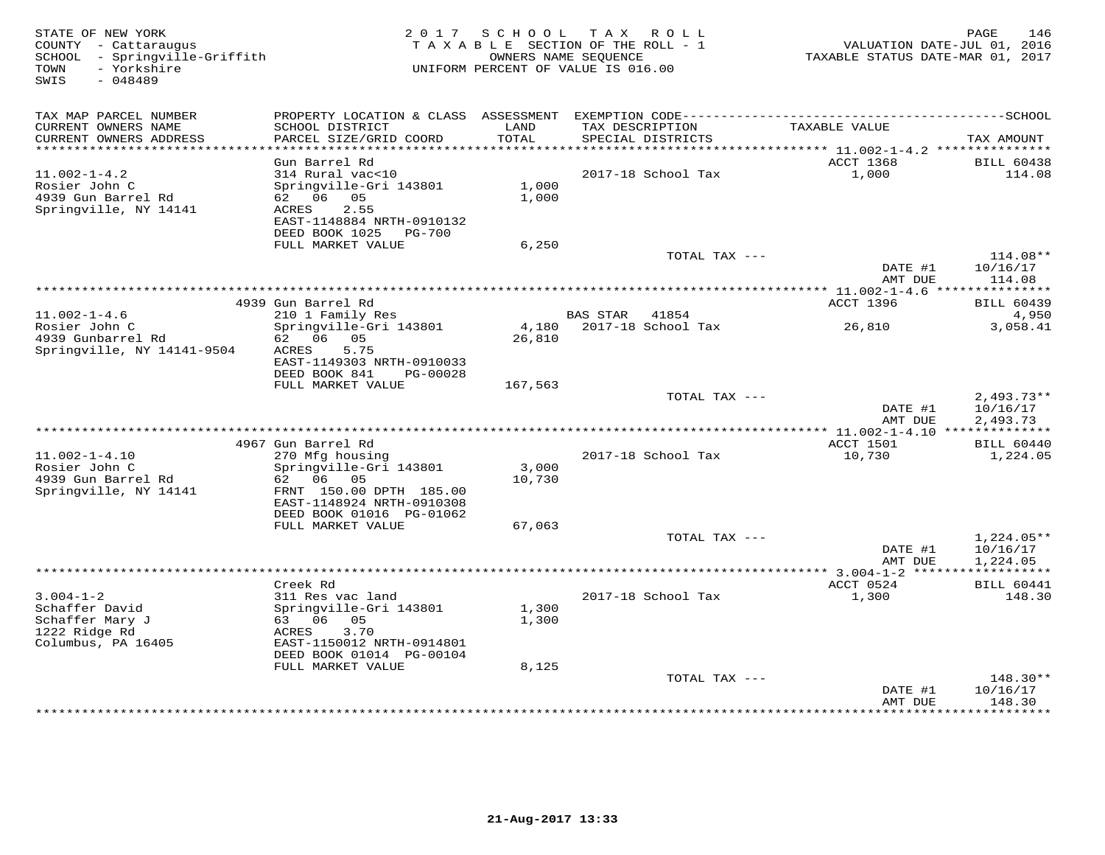| STATE OF NEW YORK<br>COUNTY - Cattaraugus<br>SCHOOL - Springville-Griffith<br>- Yorkshire<br>TOWN<br>$-048489$<br>SWIS | 2 0 1 7                                    | S C H O O L                     | TAX ROLL<br>TAXABLE SECTION OF THE ROLL - 1<br>OWNERS NAME SEQUENCE<br>UNIFORM PERCENT OF VALUE IS 016.00 | VALUATION DATE-JUL 01, 2016<br>TAXABLE STATUS DATE-MAR 01, 2017 | 146<br>PAGE              |
|------------------------------------------------------------------------------------------------------------------------|--------------------------------------------|---------------------------------|-----------------------------------------------------------------------------------------------------------|-----------------------------------------------------------------|--------------------------|
| TAX MAP PARCEL NUMBER                                                                                                  | PROPERTY LOCATION & CLASS ASSESSMENT       |                                 |                                                                                                           |                                                                 |                          |
| CURRENT OWNERS NAME<br>CURRENT OWNERS ADDRESS<br>***********************                                               | SCHOOL DISTRICT<br>PARCEL SIZE/GRID COORD  | LAND<br>TOTAL                   | TAX DESCRIPTION<br>SPECIAL DISTRICTS                                                                      | TAXABLE VALUE                                                   | TAX AMOUNT               |
|                                                                                                                        | Gun Barrel Rd                              |                                 |                                                                                                           | ACCT 1368                                                       | <b>BILL 60438</b>        |
| $11.002 - 1 - 4.2$                                                                                                     | 314 Rural vac<10                           |                                 | 2017-18 School Tax                                                                                        | 1,000                                                           | 114.08                   |
| Rosier John C                                                                                                          | Springville-Gri 143801                     | 1,000                           |                                                                                                           |                                                                 |                          |
| 4939 Gun Barrel Rd                                                                                                     | 62 06<br>05                                | 1,000                           |                                                                                                           |                                                                 |                          |
| Springville, NY 14141                                                                                                  | ACRES<br>2.55<br>EAST-1148884 NRTH-0910132 |                                 |                                                                                                           |                                                                 |                          |
|                                                                                                                        | DEED BOOK 1025<br>PG-700                   |                                 |                                                                                                           |                                                                 |                          |
|                                                                                                                        | FULL MARKET VALUE                          | 6,250                           |                                                                                                           |                                                                 |                          |
|                                                                                                                        |                                            |                                 | TOTAL TAX ---                                                                                             |                                                                 | $114.08**$               |
|                                                                                                                        |                                            |                                 |                                                                                                           | DATE #1<br>AMT DUE                                              | 10/16/17<br>114.08       |
|                                                                                                                        |                                            | ******************************* |                                                                                                           | *** $11.002 - 1 - 4.6$ ***                                      | **********               |
|                                                                                                                        | 4939 Gun Barrel Rd                         |                                 |                                                                                                           | ACCT 1396                                                       | <b>BILL 60439</b>        |
| $11.002 - 1 - 4.6$                                                                                                     | 210 1 Family Res                           |                                 | <b>BAS STAR</b><br>41854                                                                                  |                                                                 | 4,950                    |
| Rosier John C                                                                                                          | Springville-Gri 143801                     | 4,180                           | 2017-18 School Tax                                                                                        | 26,810                                                          | 3,058.41                 |
| 4939 Gunbarrel Rd<br>Springville, NY 14141-9504                                                                        | 62 06 05<br>ACRES<br>5.75                  | 26,810                          |                                                                                                           |                                                                 |                          |
|                                                                                                                        | EAST-1149303 NRTH-0910033                  |                                 |                                                                                                           |                                                                 |                          |
|                                                                                                                        | DEED BOOK 841<br>PG-00028                  |                                 |                                                                                                           |                                                                 |                          |
|                                                                                                                        | FULL MARKET VALUE                          | 167,563                         |                                                                                                           |                                                                 |                          |
|                                                                                                                        |                                            |                                 | TOTAL TAX ---                                                                                             |                                                                 | $2,493.73**$             |
|                                                                                                                        |                                            |                                 |                                                                                                           | DATE #1<br>AMT DUE                                              | 10/16/17<br>2,493.73     |
|                                                                                                                        |                                            |                                 |                                                                                                           |                                                                 |                          |
|                                                                                                                        | 4967 Gun Barrel Rd                         |                                 |                                                                                                           | ACCT 1501                                                       | <b>BILL 60440</b>        |
| $11.002 - 1 - 4.10$                                                                                                    | 270 Mfg housing                            |                                 | 2017-18 School Tax                                                                                        | 10,730                                                          | 1,224.05                 |
| Rosier John C                                                                                                          | Springville-Gri 143801<br>62<br>06<br>05   | 3,000                           |                                                                                                           |                                                                 |                          |
| 4939 Gun Barrel Rd<br>Springville, NY 14141                                                                            | FRNT 150.00 DPTH 185.00                    | 10,730                          |                                                                                                           |                                                                 |                          |
|                                                                                                                        | EAST-1148924 NRTH-0910308                  |                                 |                                                                                                           |                                                                 |                          |
|                                                                                                                        | DEED BOOK 01016 PG-01062                   |                                 |                                                                                                           |                                                                 |                          |
|                                                                                                                        | FULL MARKET VALUE                          | 67,063                          |                                                                                                           |                                                                 |                          |
|                                                                                                                        |                                            |                                 | TOTAL TAX ---                                                                                             | DATE #1                                                         | $1,224.05**$<br>10/16/17 |
|                                                                                                                        |                                            |                                 |                                                                                                           | AMT DUE                                                         | 1,224.05                 |
|                                                                                                                        |                                            |                                 |                                                                                                           | ************** 3.004-1-2 ******                                 | ***********              |
|                                                                                                                        | Creek Rd                                   |                                 |                                                                                                           | ACCT 0524                                                       | <b>BILL 60441</b>        |
| $3.004 - 1 - 2$                                                                                                        | 311 Res vac land                           |                                 | 2017-18 School Tax                                                                                        | 1,300                                                           | 148.30                   |
| Schaffer David<br>Schaffer Mary J                                                                                      | Springville-Gri 143801<br>63 06<br>05      | 1,300<br>1,300                  |                                                                                                           |                                                                 |                          |
| 1222 Ridge Rd                                                                                                          | 3.70<br>ACRES                              |                                 |                                                                                                           |                                                                 |                          |
| Columbus, PA 16405                                                                                                     | EAST-1150012 NRTH-0914801                  |                                 |                                                                                                           |                                                                 |                          |
|                                                                                                                        | DEED BOOK 01014 PG-00104                   |                                 |                                                                                                           |                                                                 |                          |
|                                                                                                                        | FULL MARKET VALUE                          | 8,125                           |                                                                                                           |                                                                 |                          |
|                                                                                                                        |                                            |                                 | TOTAL TAX ---                                                                                             | DATE #1                                                         | 148.30**<br>10/16/17     |
|                                                                                                                        |                                            |                                 |                                                                                                           | AMT DUE                                                         | 148.30                   |
|                                                                                                                        |                                            |                                 |                                                                                                           |                                                                 | ********                 |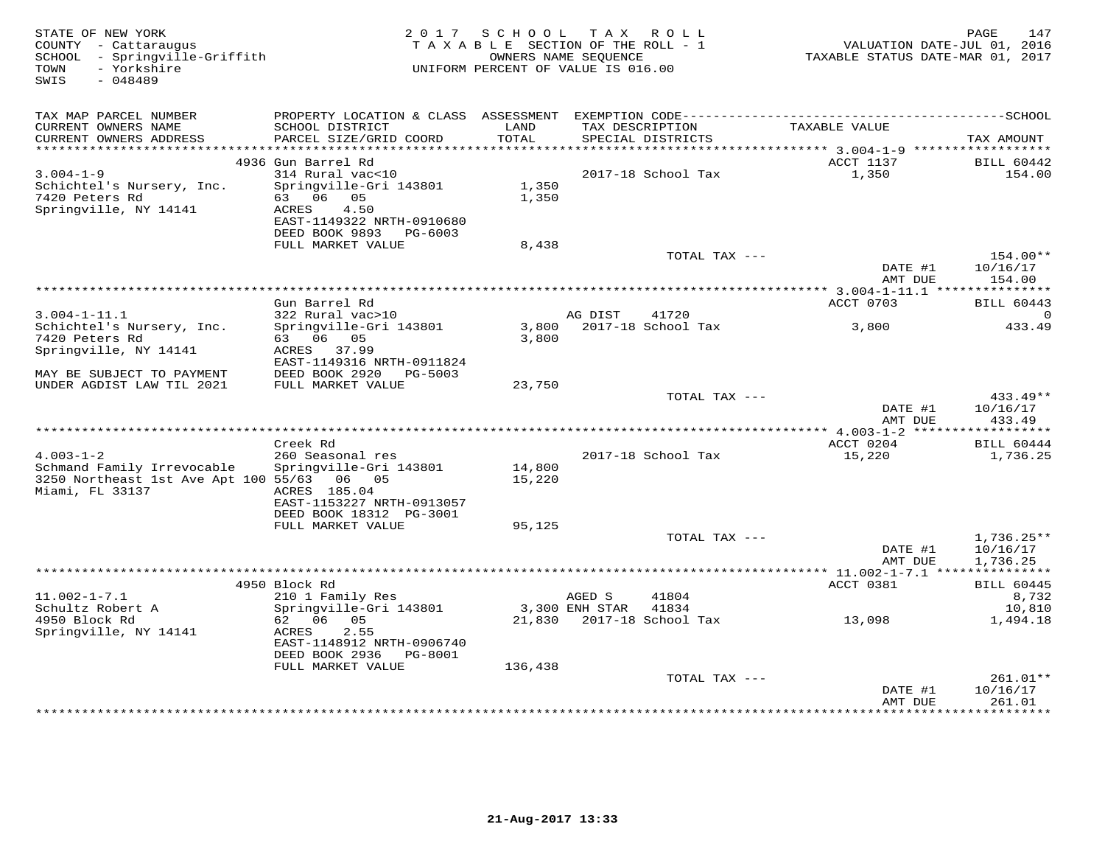| STATE OF NEW YORK<br>COUNTY - Cattaraugus<br>SCHOOL - Springville-Griffith<br>- Yorkshire<br>TOWN<br>$-048489$<br>SWIS |                                                                                                                                | 2017 SCHOOL TAX ROLL<br>TAXABLE SECTION OF THE ROLL - 1<br>OWNERS NAME SEQUENCE<br>UNIFORM PERCENT OF VALUE IS 016.00 |                          |                                   | VALUATION DATE-JUL 01, 2016<br>TAXABLE STATUS DATE-MAR 01, 2017 | PAGE<br>147                           |
|------------------------------------------------------------------------------------------------------------------------|--------------------------------------------------------------------------------------------------------------------------------|-----------------------------------------------------------------------------------------------------------------------|--------------------------|-----------------------------------|-----------------------------------------------------------------|---------------------------------------|
| TAX MAP PARCEL NUMBER                                                                                                  |                                                                                                                                |                                                                                                                       |                          |                                   |                                                                 |                                       |
| CURRENT OWNERS NAME<br>CURRENT OWNERS ADDRESS<br>***********************                                               | SCHOOL DISTRICT<br>PARCEL SIZE/GRID COORD                                                                                      | LAND<br>TOTAL                                                                                                         | TAX DESCRIPTION          | SPECIAL DISTRICTS                 | TAXABLE VALUE                                                   | TAX AMOUNT                            |
|                                                                                                                        | 4936 Gun Barrel Rd                                                                                                             |                                                                                                                       |                          |                                   | ACCT 1137                                                       | <b>BILL 60442</b>                     |
| $3.004 - 1 - 9$<br>Schichtel's Nursery, Inc.<br>7420 Peters Rd<br>Springville, NY 14141                                | 314 Rural vac<10<br>Springville-Gri 143801<br>63 06 05<br>4.50<br>ACRES<br>EAST-1149322 NRTH-0910680<br>DEED BOOK 9893 PG-6003 | 1,350<br>1,350                                                                                                        |                          | 2017-18 School Tax                | 1,350                                                           | 154.00                                |
|                                                                                                                        | FULL MARKET VALUE                                                                                                              | 8,438                                                                                                                 |                          |                                   |                                                                 |                                       |
|                                                                                                                        |                                                                                                                                |                                                                                                                       |                          | TOTAL TAX ---                     | DATE #1<br>AMT DUE                                              | $154.00**$<br>10/16/17<br>154.00      |
|                                                                                                                        |                                                                                                                                |                                                                                                                       |                          |                                   |                                                                 |                                       |
|                                                                                                                        | Gun Barrel Rd                                                                                                                  |                                                                                                                       |                          |                                   | ACCT 0703                                                       | <b>BILL 60443</b>                     |
| $3.004 - 1 - 11.1$<br>Schichtel's Nursery, Inc.<br>7420 Peters Rd<br>Springville, NY 14141                             | 322 Rural vac>10<br>Springville-Gri 143801<br>63 06 05<br>ACRES 37.99<br>EAST-1149316 NRTH-0911824                             | 3,800                                                                                                                 | AG DIST                  | 41720<br>3,800 2017-18 School Tax | 3,800                                                           | 0<br>433.49                           |
| MAY BE SUBJECT TO PAYMENT                                                                                              | DEED BOOK 2920<br>PG-5003                                                                                                      |                                                                                                                       |                          |                                   |                                                                 |                                       |
| UNDER AGDIST LAW TIL 2021                                                                                              | FULL MARKET VALUE                                                                                                              | 23,750                                                                                                                |                          | TOTAL TAX ---                     | DATE #1<br>AMT DUE                                              | 433.49**<br>10/16/17<br>433.49        |
|                                                                                                                        |                                                                                                                                |                                                                                                                       |                          |                                   |                                                                 |                                       |
| $4.003 - 1 - 2$<br>Schmand Family Irrevocable<br>3250 Northeast 1st Ave Apt 100 55/63 06 05<br>Miami, FL 33137         | Creek Rd<br>260 Seasonal res<br>Springville-Gri 143801<br>ACRES 185.04<br>EAST-1153227 NRTH-0913057                            | 14,800<br>15,220                                                                                                      |                          | 2017-18 School Tax                | ACCT 0204<br>15,220                                             | <b>BILL 60444</b><br>1,736.25         |
|                                                                                                                        | DEED BOOK 18312 PG-3001<br>FULL MARKET VALUE                                                                                   | 95,125                                                                                                                |                          |                                   |                                                                 |                                       |
|                                                                                                                        |                                                                                                                                |                                                                                                                       |                          | TOTAL TAX ---                     | DATE #1                                                         | $1,736.25**$<br>10/16/17              |
|                                                                                                                        |                                                                                                                                |                                                                                                                       |                          |                                   | AMT DUE                                                         | 1,736.25                              |
|                                                                                                                        | 4950 Block Rd                                                                                                                  |                                                                                                                       |                          |                                   | ACCT 0381                                                       | <b>BILL 60445</b>                     |
| $11.002 - 1 - 7.1$<br>Schultz Robert A                                                                                 | 210 1 Family Res<br>Springville-Gri 143801                                                                                     |                                                                                                                       | AGED S<br>3,300 ENH STAR | 41804<br>41834                    |                                                                 | 8,732<br>10,810                       |
| 4950 Block Rd<br>Springville, NY 14141                                                                                 | 62 06 05<br>ACRES<br>2.55<br>EAST-1148912 NRTH-0906740<br>DEED BOOK 2936    PG-8001<br>FULL MARKET VALUE                       | 136,438                                                                                                               |                          | 21,830 2017-18 School Tax         | 13,098                                                          | 1,494.18                              |
|                                                                                                                        |                                                                                                                                |                                                                                                                       |                          | TOTAL TAX ---                     |                                                                 | $261.01**$                            |
|                                                                                                                        |                                                                                                                                |                                                                                                                       |                          |                                   | DATE #1<br>AMT DUE                                              | 10/16/17<br>261.01<br><b>++++++++</b> |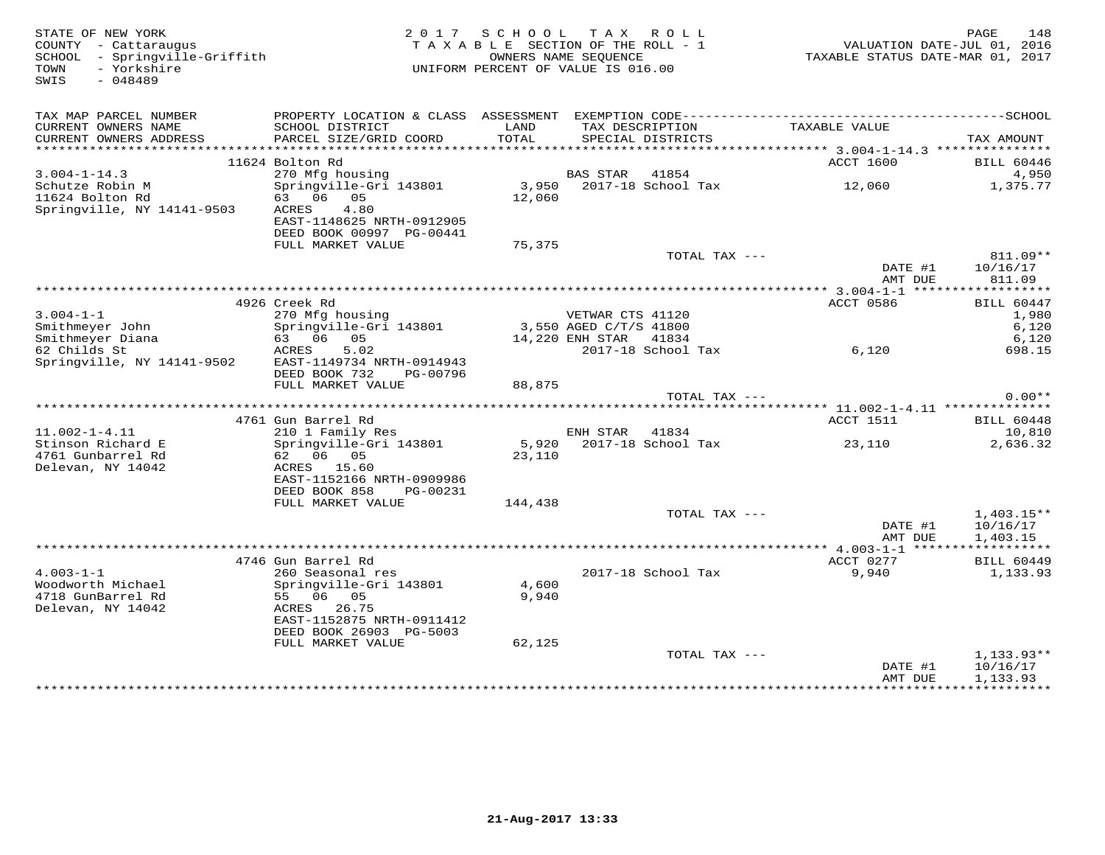| STATE OF NEW YORK<br>COUNTY - Cattaraugus<br>SCHOOL - Springville-Griffith<br>- Yorkshire<br>TOWN<br>$-048489$<br>SWIS |                                                                                                                                                       | 2017 SCHOOL TAX ROLL<br>TAXABLE SECTION OF THE ROLL - 1<br>UNIFORM PERCENT OF VALUE IS 016.00 | OWNERS NAME SEQUENCE                                          |                                   | VALUATION DATE-JUL 01, 2016<br>TAXABLE STATUS DATE-MAR 01, 2017 | 148<br>PAGE                                  |
|------------------------------------------------------------------------------------------------------------------------|-------------------------------------------------------------------------------------------------------------------------------------------------------|-----------------------------------------------------------------------------------------------|---------------------------------------------------------------|-----------------------------------|-----------------------------------------------------------------|----------------------------------------------|
| TAX MAP PARCEL NUMBER<br>CURRENT OWNERS NAME<br>CURRENT OWNERS ADDRESS                                                 | SCHOOL DISTRICT<br>PARCEL SIZE/GRID COORD                                                                                                             | LAND<br>TOTAL                                                                                 | TAX DESCRIPTION                                               | SPECIAL DISTRICTS                 | TAXABLE VALUE                                                   | TAX AMOUNT                                   |
| ***********************                                                                                                |                                                                                                                                                       |                                                                                               |                                                               |                                   |                                                                 |                                              |
| $3.004 - 1 - 14.3$                                                                                                     | 11624 Bolton Rd<br>270 Mfg housing                                                                                                                    |                                                                                               | BAS STAR                                                      | 41854                             | ACCT 1600                                                       | <b>BILL 60446</b><br>4,950                   |
| Schutze Robin M<br>11624 Bolton Rd<br>Springville, NY 14141-9503                                                       | Springville-Gri 143801<br>63 06 05<br>4.80<br>ACRES<br>EAST-1148625 NRTH-0912905<br>DEED BOOK 00997 PG-00441                                          | 12,060                                                                                        |                                                               | 3,950 2017-18 School Tax          | 12,060                                                          | 1,375.77                                     |
|                                                                                                                        | FULL MARKET VALUE                                                                                                                                     | 75,375                                                                                        |                                                               |                                   |                                                                 |                                              |
|                                                                                                                        |                                                                                                                                                       |                                                                                               |                                                               | TOTAL TAX ---                     | DATE #1<br>AMT DUE                                              | 811.09**<br>10/16/17<br>811.09               |
|                                                                                                                        |                                                                                                                                                       |                                                                                               |                                                               |                                   |                                                                 | ***********                                  |
| $3.004 - 1 - 1$<br>Smithmeyer John<br>Smithmeyer Diana                                                                 | 4926 Creek Rd<br>270 Mfg housing<br>Springville-Gri 143801<br>63 06 05                                                                                |                                                                                               | VETWAR CTS 41120<br>3,550 AGED C/T/S 41800<br>14,220 ENH STAR | 41834                             | ACCT 0586                                                       | <b>BILL 60447</b><br>1,980<br>6,120<br>6,120 |
| 62 Childs St<br>Springville, NY 14141-9502                                                                             | 5.02<br>ACRES<br>EAST-1149734 NRTH-0914943<br>DEED BOOK 732<br>PG-00796<br>FULL MARKET VALUE                                                          |                                                                                               |                                                               | 2017-18 School Tax                | 6,120                                                           | 698.15                                       |
|                                                                                                                        |                                                                                                                                                       | 88,875                                                                                        |                                                               | TOTAL TAX ---                     |                                                                 | $0.00**$                                     |
|                                                                                                                        |                                                                                                                                                       |                                                                                               |                                                               |                                   |                                                                 |                                              |
|                                                                                                                        | 4761 Gun Barrel Rd                                                                                                                                    |                                                                                               |                                                               |                                   | ACCT 1511                                                       | <b>BILL 60448</b>                            |
| $11.002 - 1 - 4.11$<br>Stinson Richard E<br>4761 Gunbarrel Rd<br>Delevan, NY 14042                                     | 210 1 Family Res<br>Springville-Gri 143801<br>62 06 05<br>ACRES 15.60<br>EAST-1152166 NRTH-0909986<br>DEED BOOK 858<br>PG-00231<br>FULL MARKET VALUE  | 23,110<br>144,438                                                                             | ENH STAR                                                      | 41834<br>5,920 2017-18 School Tax | 23,110                                                          | 10,810<br>2,636.32                           |
|                                                                                                                        |                                                                                                                                                       |                                                                                               |                                                               | TOTAL TAX ---                     |                                                                 | $1,403.15**$                                 |
|                                                                                                                        |                                                                                                                                                       |                                                                                               |                                                               |                                   | DATE #1<br>AMT DUE                                              | 10/16/17<br>1,403.15                         |
|                                                                                                                        | 4746 Gun Barrel Rd                                                                                                                                    |                                                                                               |                                                               |                                   | ACCT 0277                                                       | <b>BILL 60449</b>                            |
| $4.003 - 1 - 1$<br>Woodworth Michael<br>4718 GunBarrel Rd<br>Delevan, NY 14042                                         | 260 Seasonal res<br>Springville-Gri 143801<br>55 06 05<br>26.75<br>ACRES<br>EAST-1152875 NRTH-0911412<br>DEED BOOK 26903 PG-5003<br>FULL MARKET VALUE | 4,600<br>9,940<br>62,125                                                                      |                                                               | 2017-18 School Tax                | 9,940                                                           | 1,133.93                                     |
|                                                                                                                        |                                                                                                                                                       |                                                                                               |                                                               | TOTAL TAX ---                     | DATE #1<br>AMT DUE                                              | $1,133.93**$<br>10/16/17<br>1,133.93         |
|                                                                                                                        |                                                                                                                                                       |                                                                                               |                                                               |                                   | * * * * * * * * * * * * * * * * *                               | + + + + + + + + + + + + +                    |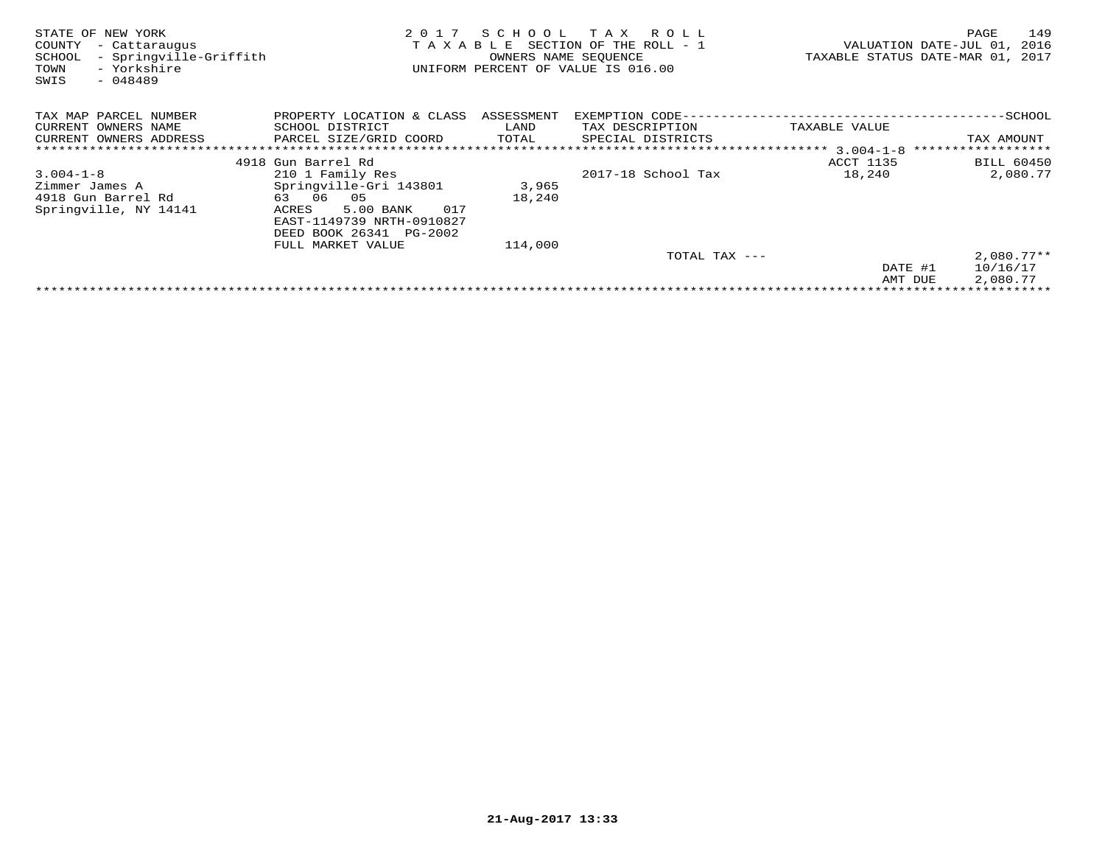| STATE OF<br>NEW YORK<br>COUNTY<br>- Cattaraugus<br>- Springville-Griffith<br>SCHOOL<br>- Yorkshire<br>TOWN<br>$-048489$<br>SWIS | 2017<br>TAXABLE           | SCHOOL<br>OWNERS NAME SEQUENCE | T A X<br>R O L L<br>SECTION OF THE ROLL - 1<br>UNIFORM PERCENT OF VALUE IS 016.00 |               | 149<br>PAGE<br>VALUATION DATE-JUL 01,<br>2016<br>TAXABLE STATUS DATE-MAR 01, 2017 |  |  |  |  |
|---------------------------------------------------------------------------------------------------------------------------------|---------------------------|--------------------------------|-----------------------------------------------------------------------------------|---------------|-----------------------------------------------------------------------------------|--|--|--|--|
| TAX MAP PARCEL NUMBER                                                                                                           | PROPERTY LOCATION & CLASS | ASSESSMENT                     | EXEMPTION CODE-                                                                   |               | -SCHOOL                                                                           |  |  |  |  |
| CURRENT OWNERS NAME                                                                                                             | SCHOOL DISTRICT           | LAND                           | TAX DESCRIPTION                                                                   | TAXABLE VALUE |                                                                                   |  |  |  |  |
| CURRENT OWNERS ADDRESS                                                                                                          | PARCEL SIZE/GRID COORD    | TOTAL                          | SPECIAL DISTRICTS                                                                 |               | TAX AMOUNT                                                                        |  |  |  |  |
|                                                                                                                                 |                           |                                |                                                                                   |               | ******************                                                                |  |  |  |  |
|                                                                                                                                 | 4918 Gun Barrel Rd        |                                |                                                                                   | ACCT 1135     | BILL 60450                                                                        |  |  |  |  |
| $3.004 - 1 - 8$                                                                                                                 | 210 1 Family Res          |                                | 2017-18 School Tax                                                                | 18,240        | 2,080.77                                                                          |  |  |  |  |
| Zimmer James A                                                                                                                  | Springville-Gri 143801    | 3,965                          |                                                                                   |               |                                                                                   |  |  |  |  |
| 4918 Gun Barrel Rd                                                                                                              | 63 06<br>05               | 18,240                         |                                                                                   |               |                                                                                   |  |  |  |  |
| Springville, NY 14141                                                                                                           | 5.00 BANK<br>017<br>ACRES |                                |                                                                                   |               |                                                                                   |  |  |  |  |
|                                                                                                                                 | EAST-1149739 NRTH-0910827 |                                |                                                                                   |               |                                                                                   |  |  |  |  |
|                                                                                                                                 | DEED BOOK 26341 PG-2002   |                                |                                                                                   |               |                                                                                   |  |  |  |  |
|                                                                                                                                 | FULL MARKET VALUE         | 114,000                        |                                                                                   |               |                                                                                   |  |  |  |  |
|                                                                                                                                 |                           |                                | TOTAL TAX ---                                                                     |               | $2,080.77**$                                                                      |  |  |  |  |
|                                                                                                                                 |                           |                                |                                                                                   | DATE #1       | 10/16/17                                                                          |  |  |  |  |
|                                                                                                                                 |                           |                                |                                                                                   | AMT DUE       | 2,080.77                                                                          |  |  |  |  |
|                                                                                                                                 |                           |                                |                                                                                   |               |                                                                                   |  |  |  |  |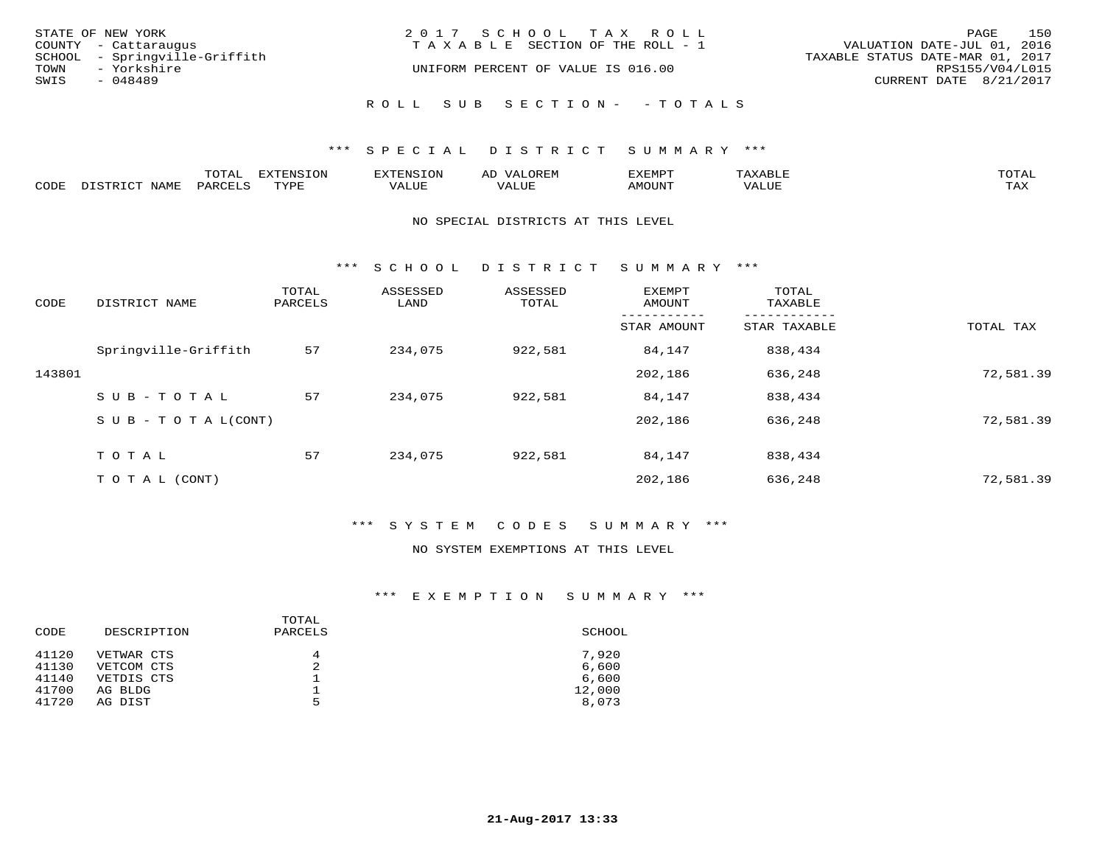|      | STATE OF NEW YORK             | 2017 SCHOOL TAX ROLL                  | PAGE                             | 150 |
|------|-------------------------------|---------------------------------------|----------------------------------|-----|
|      | COUNTY - Cattaraugus          | T A X A B L E SECTION OF THE ROLL - 1 | VALUATION DATE-JUL 01, 2016      |     |
|      | SCHOOL - Springville-Griffith |                                       | TAXABLE STATUS DATE-MAR 01, 2017 |     |
| TOWN | - Yorkshire                   | UNIFORM PERCENT OF VALUE IS 016.00    | RPS155/V04/L015                  |     |
| SWIS | - 048489                      |                                       | CURRENT DATE 8/21/2017           |     |
|      |                               | ROLL SUB SECTION- - TOTALS            |                                  |     |

|      |                     | <b>ጥ</b> ଠጥ አ<br>- U I AL' | $\pi$<br>. U L' | N.S                 | )R EI<br>ΑL       | 13251050      |                                 | <b>TOTA</b> |
|------|---------------------|----------------------------|-----------------|---------------------|-------------------|---------------|---------------------------------|-------------|
| CODE | NIAMT<br>. סידים דר | PARO                       | TVDF            | <b>TTTT</b><br>ALUR | T T T<br>الالمسدد | <b>AMOUNT</b> | $+ + + + +$<br>$\Delta$<br>ALUP | TAY<br>∸∽∸  |

#### NO SPECIAL DISTRICTS AT THIS LEVEL

\*\*\* S C H O O L D I S T R I C T S U M M A R Y \*\*\*

| CODE   | DISTRICT NAME                    | TOTAL<br>PARCELS | ASSESSED<br>LAND | ASSESSED<br>TOTAL | EXEMPT<br>AMOUNT | TOTAL<br>TAXABLE |           |
|--------|----------------------------------|------------------|------------------|-------------------|------------------|------------------|-----------|
|        |                                  |                  |                  |                   | STAR AMOUNT      | STAR TAXABLE     | TOTAL TAX |
|        | Springville-Griffith             | 57               | 234,075          | 922,581           | 84,147           | 838,434          |           |
| 143801 |                                  |                  |                  |                   | 202,186          | 636,248          | 72,581.39 |
|        | SUB-TOTAL                        | 57               | 234,075          | 922,581           | 84,147           | 838,434          |           |
|        | $S \cup B - T \cup T A L (CONT)$ |                  |                  |                   | 202,186          | 636,248          | 72,581.39 |
|        | TOTAL                            | 57               | 234,075          | 922,581           | 84,147           | 838,434          |           |
|        | T O T A L (CONT)                 |                  |                  |                   | 202,186          | 636,248          | 72,581.39 |

# \*\*\* S Y S T E M C O D E S S U M M A R Y \*\*\*

#### NO SYSTEM EXEMPTIONS AT THIS LEVEL

| CODE  | DESCRIPTION | TOTAL<br>PARCELS | SCHOOL |
|-------|-------------|------------------|--------|
| 41120 | VETWAR CTS  | 4                | 7,920  |
| 41130 | VETCOM CTS  | 2                | 6,600  |
| 41140 | VETDIS CTS  |                  | 6,600  |
| 41700 | AG BLDG     |                  | 12,000 |
| 41720 | AG DIST     | 5                | 8,073  |
|       |             |                  |        |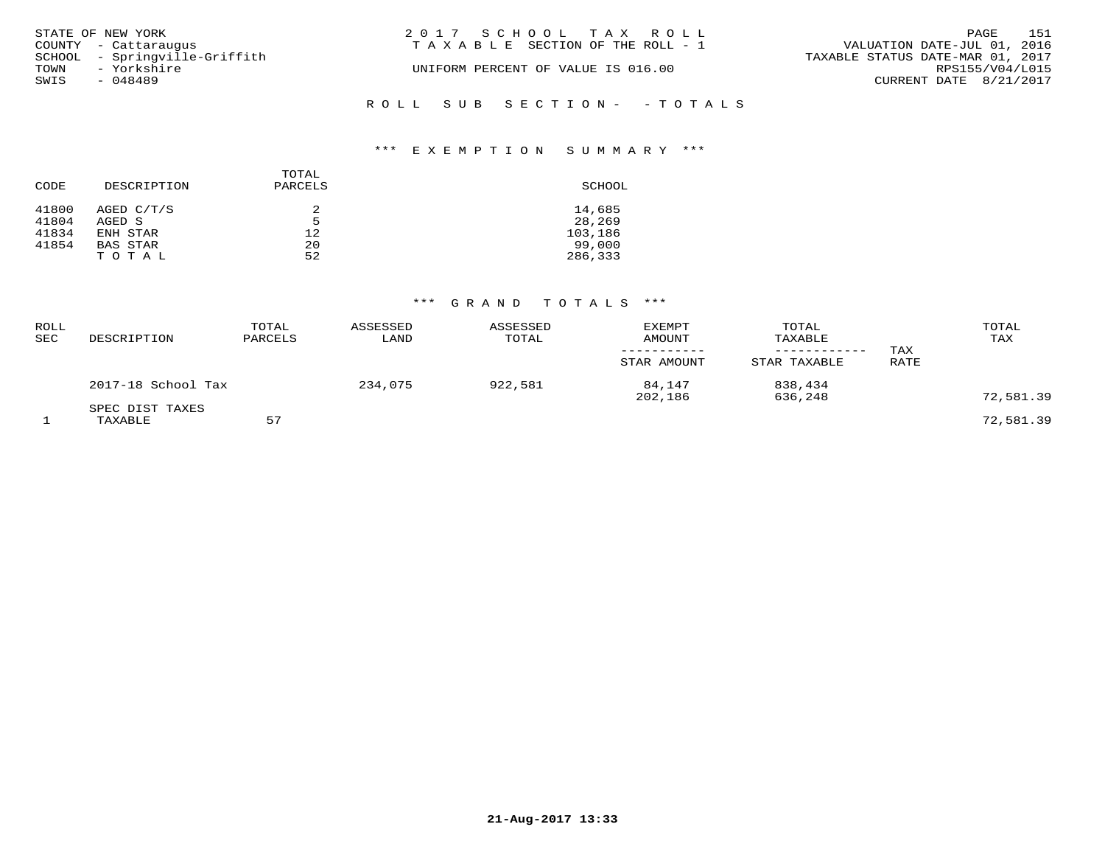| STATE OF NEW YORK             | 2017 SCHOOL TAX ROLL                  | 151<br>PAGE                      |
|-------------------------------|---------------------------------------|----------------------------------|
| COUNTY - Cattaraugus          | T A X A B L E SECTION OF THE ROLL - 1 | VALUATION DATE-JUL 01, 2016      |
| SCHOOL - Springville-Griffith |                                       | TAXABLE STATUS DATE-MAR 01, 2017 |
| TOWN - Yorkshire              | UNIFORM PERCENT OF VALUE IS 016.00    | RPS155/V04/L015                  |
| SWIS<br>- 048489              |                                       | CURRENT DATE 8/21/2017           |
|                               | ROLL SUB SECTION- - TOTALS            |                                  |

| CODE  | DESCRIPTION     | TOTAL<br>PARCELS | SCHOOL  |
|-------|-----------------|------------------|---------|
| 41800 | AGED C/T/S      | 2                | 14,685  |
| 41804 | AGED S          | 5                | 28,269  |
| 41834 | ENH STAR        | 12               | 103,186 |
| 41854 | <b>BAS STAR</b> | 20               | 99,000  |
|       | TOTAL           | 52               | 286,333 |

| ROLL<br>SEC | DESCRIPTION                | TOTAL<br>PARCELS | ASSESSED<br>LAND | ASSESSED<br>TOTAL | EXEMPT<br>AMOUNT<br>----------- | TOTAL<br>TAXABLE<br>------------ | TAX  | TOTAL<br>TAX |
|-------------|----------------------------|------------------|------------------|-------------------|---------------------------------|----------------------------------|------|--------------|
|             |                            |                  |                  |                   | STAR AMOUNT                     | STAR TAXABLE                     | RATE |              |
|             | 2017-18 School Tax         |                  | 234,075          | 922,581           | 84,147<br>202,186               | 838,434<br>636,248               |      | 72,581.39    |
|             | SPEC DIST TAXES<br>TAXABLE | 57               |                  |                   |                                 |                                  |      | 72,581.39    |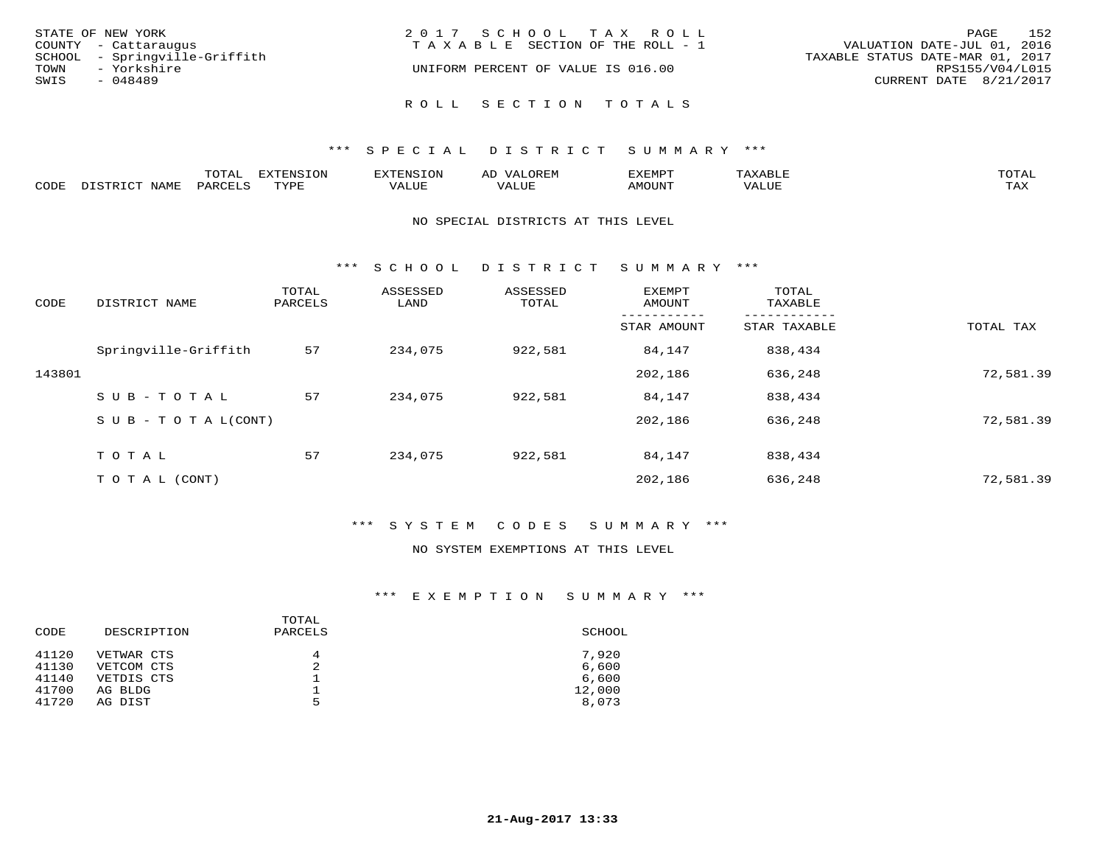| STATE OF NEW YORK<br>COUNTY - Cattaraugus                                | 2017 SCHOOL TAX ROLL<br>T A X A B L E SECTION OF THE ROLL - 1 | 152<br>PAGE<br>VALUATION DATE-JUL 01, 2016                                    |
|--------------------------------------------------------------------------|---------------------------------------------------------------|-------------------------------------------------------------------------------|
| SCHOOL - Springville-Griffith<br>TOWN<br>- Yorkshire<br>SWIS<br>- 048489 | UNIFORM PERCENT OF VALUE IS 016.00                            | TAXABLE STATUS DATE-MAR 01, 2017<br>RPS155/V04/L015<br>CURRENT DATE 8/21/2017 |
|                                                                          | ROLL SECTION TOTALS                                           |                                                                               |

|      |      | mom n<br>-777 | pszmpato<br>$ \sim$ $\sim$<br>-UP | AL.         | ,,, <del>,</del> ,,, <del>,</del> ,<br>້ |                         | $m \wedge m \wedge n$ |
|------|------|---------------|-----------------------------------|-------------|------------------------------------------|-------------------------|-----------------------|
| CODE | ⊥'⊥⊥ | PARO          | TVDF                              | ۳۰ تا سند د | <b>MOTTNT</b>                            | - ---<br>$'$ $\Delta$ . | $m \times r$<br>- −-  |

#### NO SPECIAL DISTRICTS AT THIS LEVEL

\*\*\* S C H O O L D I S T R I C T S U M M A R Y \*\*\*

| CODE   | DISTRICT NAME                    | TOTAL<br>PARCELS | ASSESSED<br>LAND | ASSESSED<br>TOTAL | EXEMPT<br>AMOUNT | TOTAL<br>TAXABLE |           |
|--------|----------------------------------|------------------|------------------|-------------------|------------------|------------------|-----------|
|        |                                  |                  |                  |                   | STAR AMOUNT      | STAR TAXABLE     | TOTAL TAX |
|        | Springville-Griffith             | 57               | 234,075          | 922,581           | 84,147           | 838,434          |           |
| 143801 |                                  |                  |                  |                   | 202,186          | 636,248          | 72,581.39 |
|        | SUB-TOTAL                        | 57               | 234,075          | 922,581           | 84,147           | 838,434          |           |
|        | $S \cup B - T \cup T A L (CONT)$ |                  |                  |                   | 202,186          | 636,248          | 72,581.39 |
|        | TOTAL                            | 57               | 234,075          | 922,581           | 84,147           | 838,434          |           |
|        | T O T A L (CONT)                 |                  |                  |                   | 202,186          | 636,248          | 72,581.39 |

# \*\*\* S Y S T E M C O D E S S U M M A R Y \*\*\*

#### NO SYSTEM EXEMPTIONS AT THIS LEVEL

| SCHOOL |
|--------|
| 7,920  |
| 6,600  |
| 6,600  |
| 12,000 |
| 8,073  |
|        |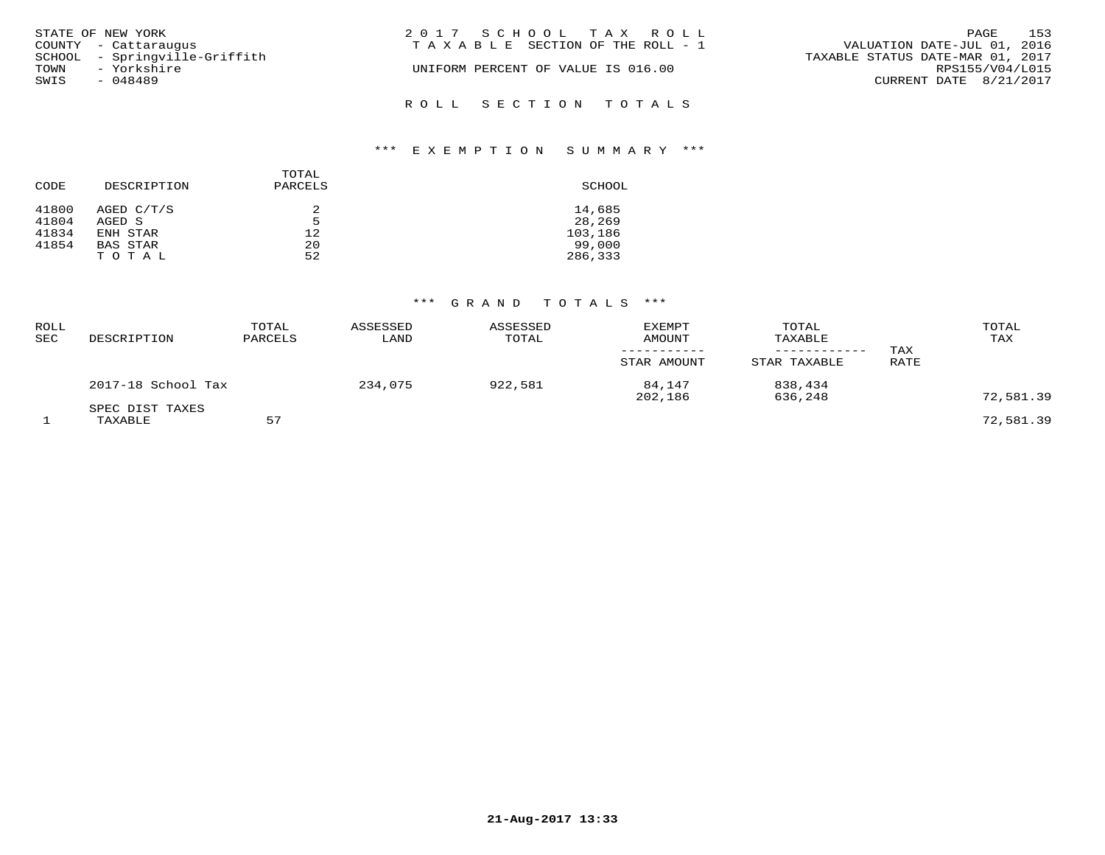| STATE OF NEW YORK             | 2017 SCHOOL TAX ROLL                  | 153<br>PAGE                      |
|-------------------------------|---------------------------------------|----------------------------------|
|                               |                                       |                                  |
| COUNTY - Cattaraugus          | T A X A B L E SECTION OF THE ROLL - 1 | VALUATION DATE-JUL 01, 2016      |
| SCHOOL - Springville-Griffith |                                       | TAXABLE STATUS DATE-MAR 01, 2017 |
| TOWN - Yorkshire              | UNIFORM PERCENT OF VALUE IS 016.00    | RPS155/V04/L015                  |
| SWIS<br>- 048489              |                                       | CURRENT DATE 8/21/2017           |
|                               | ROLL SECTION TOTALS                   |                                  |

| CODE  | DESCRIPTION     | TOTAL<br>PARCELS | SCHOOL  |
|-------|-----------------|------------------|---------|
| 41800 | AGED C/T/S      | 2                | 14,685  |
| 41804 | AGED S          | 5                | 28,269  |
| 41834 | ENH STAR        | 12               | 103,186 |
| 41854 | <b>BAS STAR</b> | 20               | 99,000  |
|       | TOTAL           | 52               | 286,333 |

| ROLL<br>SEC | DESCRIPTION                | TOTAL<br>PARCELS | ASSESSED<br>LAND | ASSESSED<br>TOTAL | <b>EXEMPT</b><br><b>AMOUNT</b><br>-----------<br>STAR AMOUNT | TOTAL<br>TAXABLE<br>------------<br>STAR TAXABLE | TAX<br>RATE | TOTAL<br>TAX |
|-------------|----------------------------|------------------|------------------|-------------------|--------------------------------------------------------------|--------------------------------------------------|-------------|--------------|
|             | 2017-18 School Tax         |                  | 234,075          | 922,581           | 84,147<br>202,186                                            | 838,434<br>636,248                               |             | 72,581.39    |
|             | SPEC DIST TAXES<br>TAXABLE | 57               |                  |                   |                                                              |                                                  |             | 72,581.39    |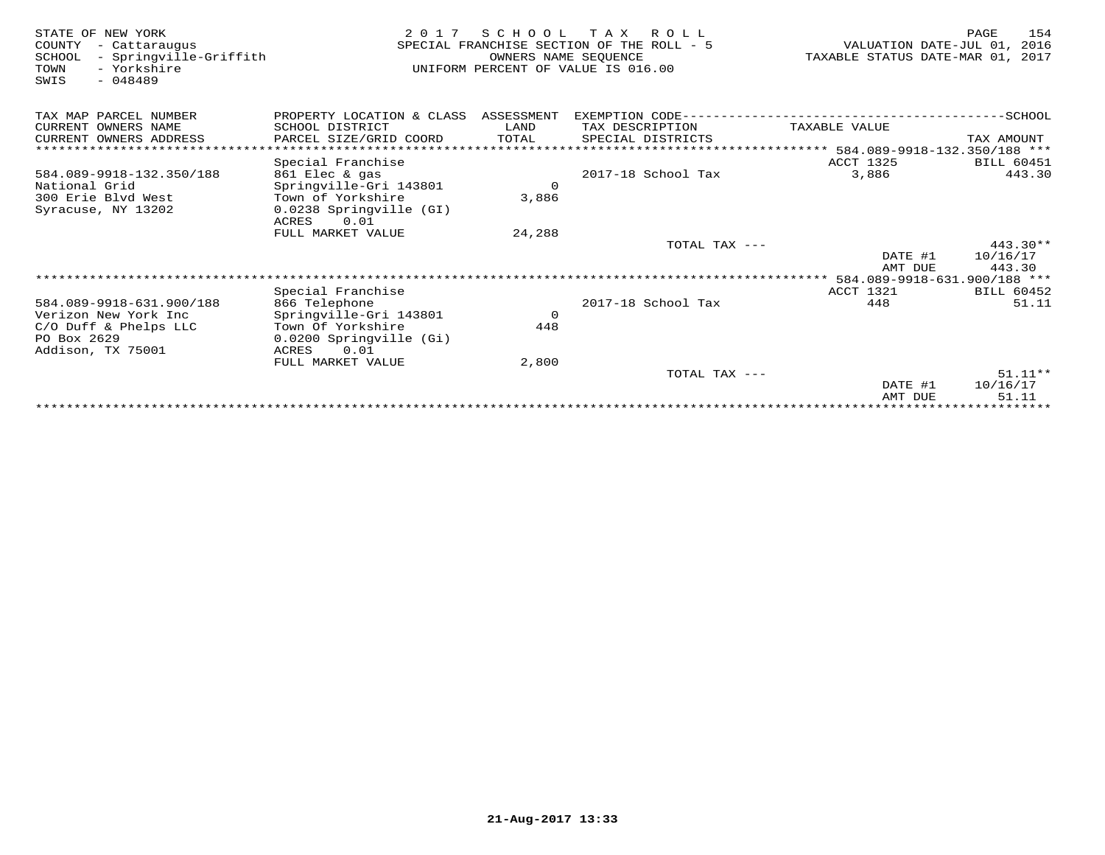| STATE OF NEW YORK<br>COUNTY<br>- Cattaraugus<br>- Springville-Griffith<br>SCHOOL<br>- Yorkshire<br>TOWN<br>$-048489$<br>SWIS | 2 0 1 7                                  | SCHOOL<br>OWNERS NAME SEOUENCE | T A X<br>R O L L<br>SPECIAL FRANCHISE SECTION OF THE ROLL - 5<br>UNIFORM PERCENT OF VALUE IS 016.00 | VALUATION DATE-JUL 01,<br>TAXABLE STATUS DATE-MAR 01, 2017 | 154<br>PAGE<br>2016 |
|------------------------------------------------------------------------------------------------------------------------------|------------------------------------------|--------------------------------|-----------------------------------------------------------------------------------------------------|------------------------------------------------------------|---------------------|
| TAX MAP PARCEL NUMBER                                                                                                        | PROPERTY LOCATION & CLASS ASSESSMENT     |                                | EXEMPTION CODE---                                                                                   |                                                            | ----------SCHOOL    |
| CURRENT OWNERS NAME                                                                                                          | SCHOOL DISTRICT                          | LAND                           | TAX DESCRIPTION                                                                                     | TAXABLE VALUE                                              |                     |
| CURRENT OWNERS ADDRESS                                                                                                       | PARCEL SIZE/GRID COORD                   | TOTAL                          | SPECIAL DISTRICTS                                                                                   |                                                            | TAX AMOUNT          |
|                                                                                                                              |                                          |                                |                                                                                                     | ***************** 584.089-9918-132.350/188 ***             |                     |
|                                                                                                                              | Special Franchise                        |                                |                                                                                                     | ACCT 1325                                                  | <b>BILL 60451</b>   |
| 584.089-9918-132.350/188                                                                                                     | 861 Elec & gas                           |                                | 2017-18 School Tax                                                                                  | 3,886                                                      | 443.30              |
| National Grid                                                                                                                | Springville-Gri 143801                   | $\Omega$                       |                                                                                                     |                                                            |                     |
| 300 Erie Blyd West                                                                                                           | Town of Yorkshire                        | 3,886                          |                                                                                                     |                                                            |                     |
| Syracuse, NY 13202                                                                                                           | 0.0238 Springville (GI)<br>0.01<br>ACRES |                                |                                                                                                     |                                                            |                     |
|                                                                                                                              | FULL MARKET VALUE                        | 24,288                         |                                                                                                     |                                                            |                     |
|                                                                                                                              |                                          |                                | TOTAL TAX ---                                                                                       |                                                            | $443.30**$          |
|                                                                                                                              |                                          |                                |                                                                                                     | DATE #1                                                    | 10/16/17            |
|                                                                                                                              |                                          |                                |                                                                                                     | AMT DUE                                                    | 443.30              |
|                                                                                                                              |                                          |                                |                                                                                                     | ********** 584.089-9918-631.900/188 ***                    |                     |
|                                                                                                                              | Special Franchise                        |                                |                                                                                                     | ACCT 1321                                                  | BILL 60452          |
| 584.089-9918-631.900/188                                                                                                     | 866 Telephone                            |                                | 2017-18 School Tax                                                                                  | 448                                                        | 51.11               |
| Verizon New York Inc                                                                                                         | Springville-Gri 143801                   | $\circ$                        |                                                                                                     |                                                            |                     |
| C/O Duff & Phelps LLC                                                                                                        | Town Of Yorkshire                        | 448                            |                                                                                                     |                                                            |                     |
| PO Box 2629                                                                                                                  | 0.0200 Springville (Gi)                  |                                |                                                                                                     |                                                            |                     |
| Addison, TX 75001                                                                                                            | ACRES<br>0.01<br>FULL MARKET VALUE       | 2,800                          |                                                                                                     |                                                            |                     |
|                                                                                                                              |                                          |                                | TOTAL TAX ---                                                                                       |                                                            | $51.11**$           |
|                                                                                                                              |                                          |                                |                                                                                                     | DATE #1                                                    | 10/16/17            |
|                                                                                                                              |                                          |                                |                                                                                                     | AMT DUE                                                    | 51.11               |
|                                                                                                                              |                                          |                                |                                                                                                     |                                                            |                     |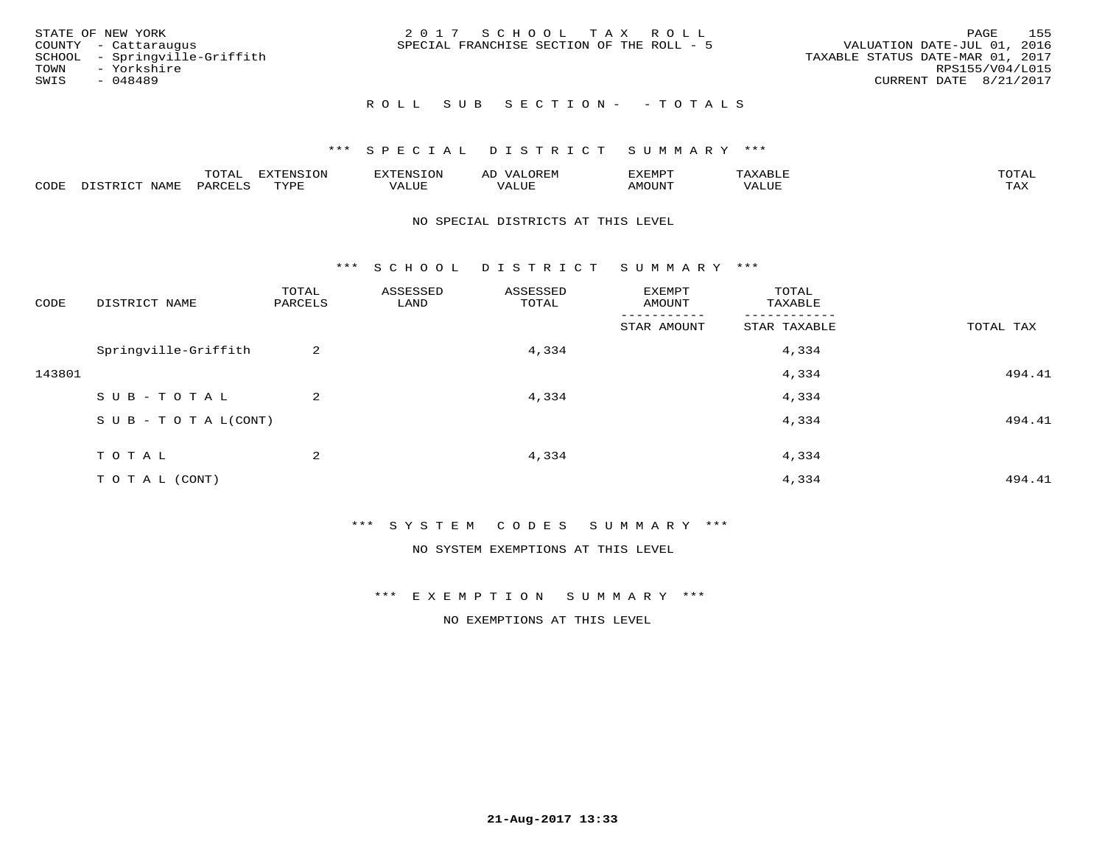|      | STATE OF NEW YORK             | 2017 SCHOOL TAX ROLL                      | 155<br>PAGE                      |
|------|-------------------------------|-------------------------------------------|----------------------------------|
|      | COUNTY - Cattaraugus          | SPECIAL FRANCHISE SECTION OF THE ROLL - 5 | VALUATION DATE-JUL 01, 2016      |
|      | SCHOOL - Springville-Griffith |                                           | TAXABLE STATUS DATE-MAR 01, 2017 |
|      | TOWN - Yorkshire              |                                           | RPS155/V04/L015                  |
| SWIS | - 048489                      |                                           | CURRENT DATE 8/21/2017           |
|      |                               |                                           |                                  |

# ROLL SUB SECTION - - TOTALS

# \*\*\* S P E C I A L D I S T R I C T S U M M A R Y \*\*\*

|      |         | m^m* | . v  | <b>HUNE</b> |                   | :XEMPT | ∸<br>. | mom <sub>n</sub> |
|------|---------|------|------|-------------|-------------------|--------|--------|------------------|
| CODE | NT A MT | PARL | mynn | 'ALUE       | $- - - -$<br>ALUP | MOUN.  | 'ALUE  | ГAХ              |

#### NO SPECIAL DISTRICTS AT THIS LEVEL

\*\*\* S C H O O L D I S T R I C T S U M M A R Y \*\*\*

| CODE   | DISTRICT NAME                    | TOTAL<br>PARCELS | ASSESSED<br>LAND | ASSESSED<br>TOTAL | EXEMPT<br>AMOUNT | TOTAL<br>TAXABLE |           |
|--------|----------------------------------|------------------|------------------|-------------------|------------------|------------------|-----------|
|        |                                  |                  |                  |                   | STAR AMOUNT      | STAR TAXABLE     | TOTAL TAX |
|        | Springville-Griffith             | 2                |                  | 4,334             |                  | 4,334            |           |
| 143801 |                                  |                  |                  |                   |                  | 4,334            | 494.41    |
|        | SUB-TOTAL                        | 2                |                  | 4,334             |                  | 4,334            |           |
|        | $S \cup B - T \cup T A L (CONT)$ |                  |                  |                   |                  | 4,334            | 494.41    |
|        | TOTAL                            | 2                |                  | 4,334             |                  | 4,334            |           |
|        |                                  |                  |                  |                   |                  |                  |           |
|        | TO TAL (CONT)                    |                  |                  |                   |                  | 4,334            | 494.41    |

\*\*\* S Y S T E M C O D E S S U M M A R Y \*\*\*

NO SYSTEM EXEMPTIONS AT THIS LEVEL

\*\*\* E X E M P T I O N S U M M A R Y \*\*\*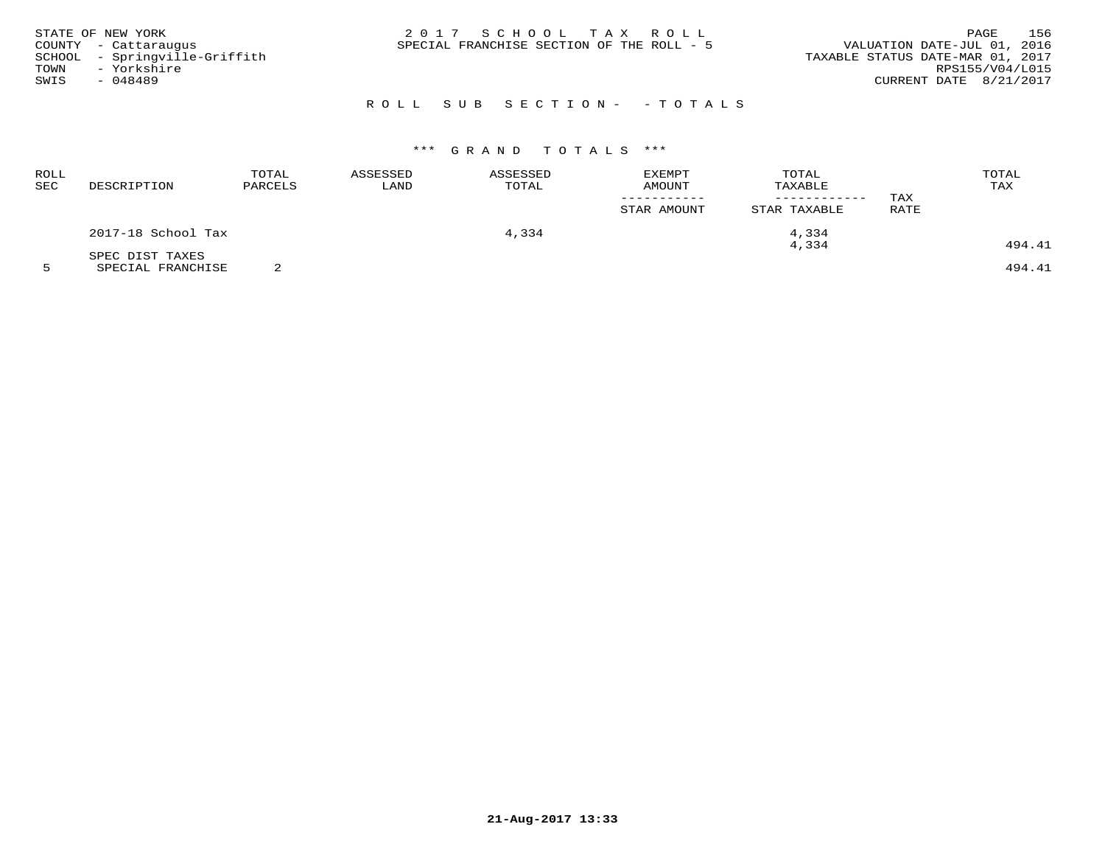|      | STATE OF NEW YORK             | 2017 SCHOOL TAX ROLL                      |  | PAGE                             | 156 |
|------|-------------------------------|-------------------------------------------|--|----------------------------------|-----|
|      | COUNTY - Cattaraugus          | SPECIAL FRANCHISE SECTION OF THE ROLL - 5 |  | VALUATION DATE-JUL 01, 2016      |     |
|      | SCHOOL - Springville-Griffith |                                           |  | TAXABLE STATUS DATE-MAR 01, 2017 |     |
| TOWN | - Yorkshire                   |                                           |  | RPS155/V04/L015                  |     |
| SWIS | $-048489$                     |                                           |  | CURRENT DATE 8/21/2017           |     |
|      |                               |                                           |  |                                  |     |

# ROLL SUB SECTION- - TOTALS

# \*\*\* G R A N D T O T A L S \*\*\*

| <b>ROLL</b><br>SEC | DESCRIPTION        | TOTAL<br>PARCELS | ASSESSED<br>LAND | TOTAL<br><b>EXEMPT</b><br>ASSESSED<br>TOTAL<br>TAXABLE<br>AMOUNT | TAX         | TOTAL<br>TAX |      |        |
|--------------------|--------------------|------------------|------------------|------------------------------------------------------------------|-------------|--------------|------|--------|
|                    |                    |                  |                  |                                                                  | STAR AMOUNT | STAR TAXABLE | RATE |        |
|                    | 2017-18 School Tax |                  |                  | 4,334                                                            |             | 4,334        |      |        |
|                    | SPEC DIST TAXES    |                  |                  |                                                                  |             | 4,334        |      | 494.41 |

5 SPECIAL FRANCHISE 2 494.41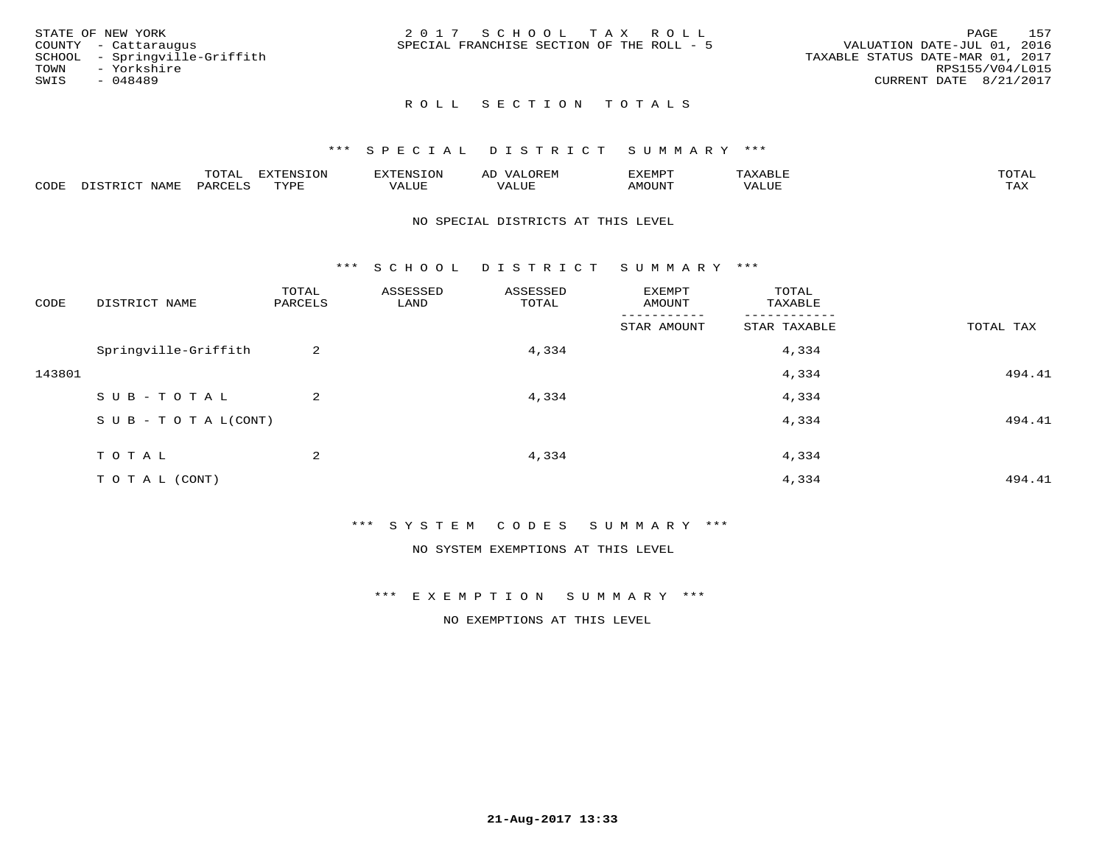| STATE OF NEW YORK             | 2017 SCHOOL TAX ROLL                      | 157<br>PAGE                      |
|-------------------------------|-------------------------------------------|----------------------------------|
| COUNTY - Cattaraugus          | SPECIAL FRANCHISE SECTION OF THE ROLL - 5 | VALUATION DATE-JUL 01, 2016      |
| SCHOOL - Springville-Griffith |                                           | TAXABLE STATUS DATE-MAR 01, 2017 |
| TOWN<br>- Yorkshire           |                                           | RPS155/V04/L015                  |
| SWIS<br>- 048489              |                                           | CURRENT DATE 8/21/2017           |
|                               |                                           |                                  |

# ROLL SECTION TOTALS

#### \*\*\* S P E C I A L D I S T R I C T S U M M A R Y \*\*\*

|      |                   | mom n | <b>DIZPOIATO TOM</b><br>.UP |      | AL   | ,,, <del>,</del> ,,, <del>,</del> ,<br>. ب |               |                     |
|------|-------------------|-------|-----------------------------|------|------|--------------------------------------------|---------------|---------------------|
| CODE | NTAM <sup>7</sup> | PARO  | TVDF                        | ALUI | ALUL | IMOUNT                                     | ----<br>'ALUL | $m \times r$<br>∸∽∽ |

#### NO SPECIAL DISTRICTS AT THIS LEVEL

\*\*\* S C H O O L D I S T R I C T S U M M A R Y \*\*\*

| CODE   | DISTRICT NAME                    | TOTAL<br>PARCELS | ASSESSED<br>LAND | ASSESSED<br>TOTAL | EXEMPT<br>AMOUNT | TOTAL<br>TAXABLE |           |
|--------|----------------------------------|------------------|------------------|-------------------|------------------|------------------|-----------|
|        |                                  |                  |                  |                   | STAR AMOUNT      | STAR TAXABLE     | TOTAL TAX |
|        | Springville-Griffith             | 2                |                  | 4,334             |                  | 4,334            |           |
| 143801 |                                  |                  |                  |                   |                  | 4,334            | 494.41    |
|        | SUB-TOTAL                        | 2                |                  | 4,334             |                  | 4,334            |           |
|        | $S \cup B - T \cup T A L (CONT)$ |                  |                  |                   |                  | 4,334            | 494.41    |
|        | TOTAL                            | 2                |                  | 4,334             |                  | 4,334            |           |
|        |                                  |                  |                  |                   |                  |                  |           |
|        | TO TAL (CONT)                    |                  |                  |                   |                  | 4,334            | 494.41    |

\*\*\* S Y S T E M C O D E S S U M M A R Y \*\*\*

NO SYSTEM EXEMPTIONS AT THIS LEVEL

\*\*\* E X E M P T I O N S U M M A R Y \*\*\*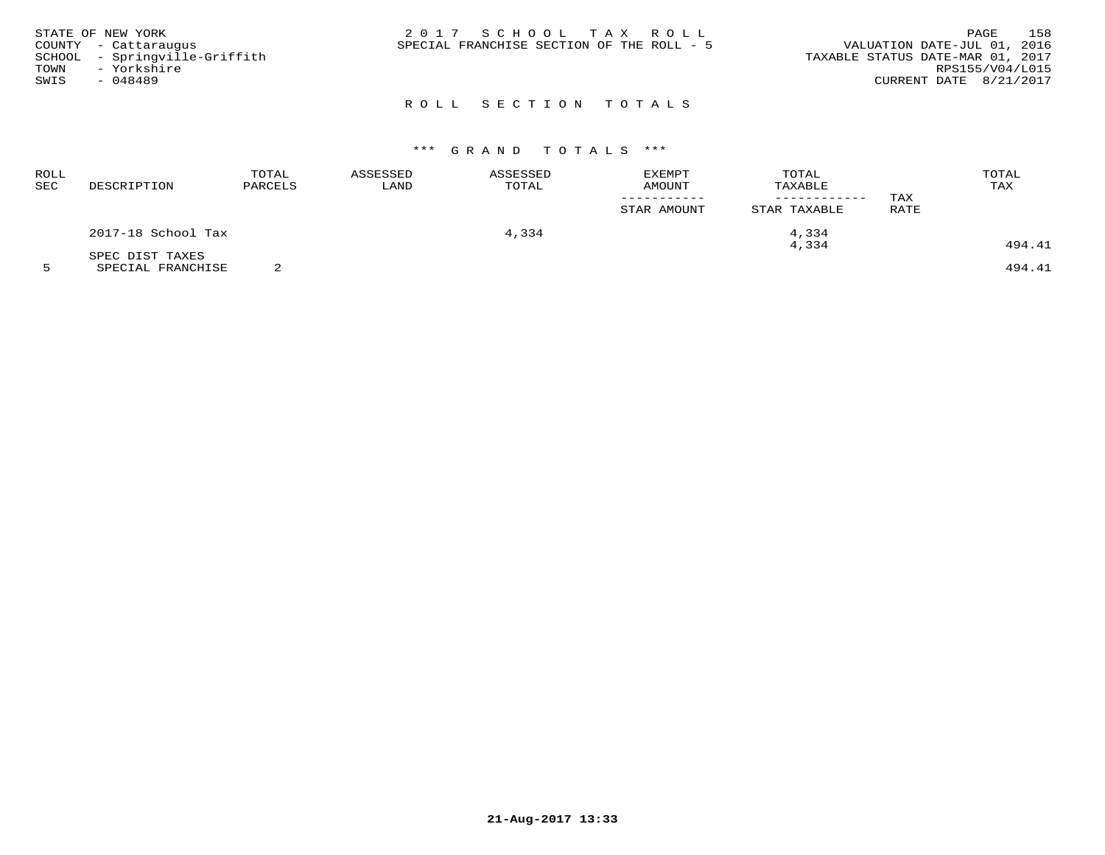|      | STATE OF NEW YORK             | 2017 SCHOOL TAX ROLL                                                     | PAGE            | 158 |
|------|-------------------------------|--------------------------------------------------------------------------|-----------------|-----|
|      | COUNTY - Cattaraugus          | VALUATION DATE-JUL 01, 2016<br>SPECIAL FRANCHISE SECTION OF THE ROLL - 5 |                 |     |
|      | SCHOOL - Springville-Griffith | TAXABLE STATUS DATE-MAR 01, 2017                                         |                 |     |
| TOWN | - Yorkshire                   |                                                                          | RPS155/V04/L015 |     |
| SWIS | - 048489                      | CURRENT DATE 8/21/2017                                                   |                 |     |
|      |                               |                                                                          |                 |     |

# ROLL SECTION TOTALS

# \*\*\* G R A N D T O T A L S \*\*\*

| <b>ROLL</b><br>SEC | DESCRIPTION        | TOTAL<br>PARCELS | ASSESSED<br>LAND | ASSESSED<br>TOTAL | <b>EXEMPT</b><br>AMOUNT<br>STAR AMOUNT | TOTAL<br>TAXABLE<br>STAR TAXABLE | TAX<br>RATE | TOTAL<br>TAX |
|--------------------|--------------------|------------------|------------------|-------------------|----------------------------------------|----------------------------------|-------------|--------------|
|                    | 2017-18 School Tax |                  |                  | 4,334             |                                        | 4,334                            |             |              |
|                    | SPEC DIST TAXES    |                  |                  |                   |                                        | 4,334                            |             | 494.41       |

5 SPECIAL FRANCHISE 2 494.41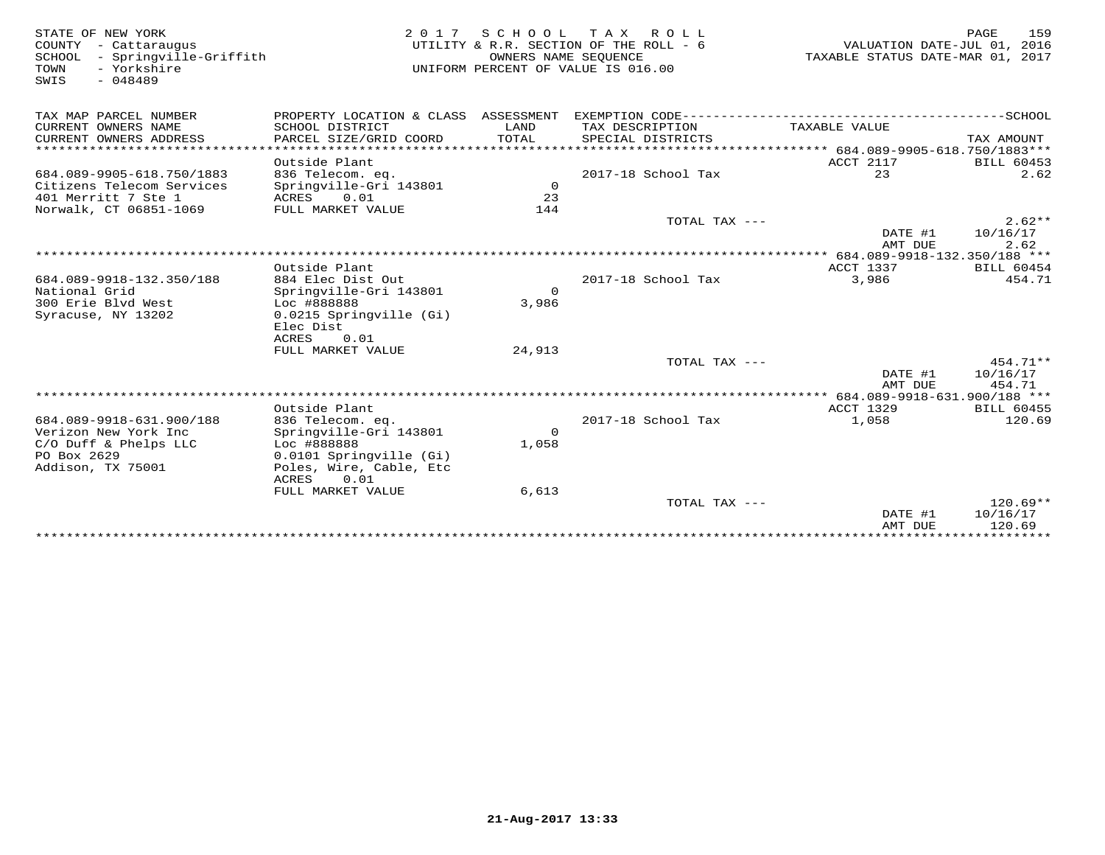STATE OF NEW YORK 2 0 1 7 S C H O O L T A X R O L L PAGE 159 COUNTY - Cattaraugus UTILITY & R.R. SECTION OF THE ROLL - 6 VALUATION DATE-JUL 01, 2016 SCHOOL - Springville-Griffith OWNERS NAME SEQUENCE TAXABLE STATUS DATE-MAR 01, 2017 TOWN - Yorkshire UNIFORM PERCENT OF VALUE IS 016.00SWIS - 048489TAX MAP PARCEL NUMBER PROPERTY LOCATION & CLASS ASSESSMENT EXEMPTION CODE------------------------------------------SCHOOL CURRENT OWNERS NAME SCHOOL DISTRICT LAND TAX DESCRIPTION TAXABLE VALUE CURRENT OWNERS ADDRESS PARCEL SIZE/GRID COORD TOTAL SPECIAL DISTRICTS TAX AMOUNT \*\*\*\*\*\*\*\*\*\*\*\*\*\*\*\*\*\*\*\*\*\*\*\*\*\*\*\*\*\*\*\*\*\*\*\*\*\*\*\*\*\*\*\*\*\*\*\*\*\*\*\*\*\*\*\*\*\*\*\*\*\*\*\*\*\*\*\*\*\*\*\*\*\*\*\*\*\*\*\*\*\*\*\*\*\*\*\*\*\*\*\*\*\*\*\*\*\*\*\*\*\*\* 684.089-9905-618.750/1883\*\*\* Outside Plant ACCT 2117 BILL 604532.62 684.089-9905-618.750/1883 836 Telecom. eq. 2017-18 School Tax 23 2.62Citizens Telecom Services Springville-Gri 143801 0 401 Merritt 7 Ste 1 ACRES 0.01 23 Norwalk, CT 06851-1069 FULL MARKET VALUE 144 TOTAL TAX --- 2.62\*\* $\text{DATE}$  #1  $10/16/17$ <br> $\text{MTP}$   $\text{DHT}$   $\text{DHT}$   $\text{DHT}$   $\text{DHT}$   $\text{DCT}$  AMT DUE 2.62 \*\*\*\*\*\*\*\*\*\*\*\*\*\*\*\*\*\*\*\*\*\*\*\*\*\*\*\*\*\*\*\*\*\*\*\*\*\*\*\*\*\*\*\*\*\*\*\*\*\*\*\*\*\*\*\*\*\*\*\*\*\*\*\*\*\*\*\*\*\*\*\*\*\*\*\*\*\*\*\*\*\*\*\*\*\*\*\*\*\*\*\*\*\*\*\*\*\*\*\*\*\*\* 684.089-9918-132.350/188 \*\*\* Outside Plant ACCT 1337 BILL 60454454.71 684.089-9918-132.350/188 884 Elec Dist Out 2017-18 School Tax 3,986 454.71National Grid Springville-Gri 143801 03,986 300 Erie Blvd West Loc #888888 3,986Syracuse, NY 13202 0.0215 Springville (Gi) Elec Dist ACRES 0.01 FULL MARKET VALUE 24,913 $\text{TOTAL } \text{TAX}$   $---$  454.71\*\*  $\text{DATE}$  #1  $10/16/17$ AMT DUE 454.71 AMT DUE 454.71 \*\*\*\*\*\*\*\*\*\*\*\*\*\*\*\*\*\*\*\*\*\*\*\*\*\*\*\*\*\*\*\*\*\*\*\*\*\*\*\*\*\*\*\*\*\*\*\*\*\*\*\*\*\*\*\*\*\*\*\*\*\*\*\*\*\*\*\*\*\*\*\*\*\*\*\*\*\*\*\*\*\*\*\*\*\*\*\*\*\*\*\*\*\*\*\*\*\*\*\*\*\*\* 684.089-9918-631.900/188 \*\*\*ACCT 1329 BILL 60455 Outside Plant ACCT 1329 BILL 60455120.69 684.089-9918-631.900/188 836 Telecom. eq. 2017-18 School Tax 1,058 120.69Verizon New York Inc Springville-Gri 143801 0 C/O Duff & Phelps LLC Loc #888888 1,058 PO Box 2629 0.0101 Springville (Gi) Addison, TX 75001 Poles, Wire, Cable, Etc ACRES 0.01FULL MARKET VALUE 6,613 TOTAL TAX --- 120.69\*\* $\text{DATE}$  #1  $10/16/17$ amt due to a service that the service of the service of the service of  $120.69$ \*\*\*\*\*\*\*\*\*\*\*\*\*\*\*\*\*\*\*\*\*\*\*\*\*\*\*\*\*\*\*\*\*\*\*\*\*\*\*\*\*\*\*\*\*\*\*\*\*\*\*\*\*\*\*\*\*\*\*\*\*\*\*\*\*\*\*\*\*\*\*\*\*\*\*\*\*\*\*\*\*\*\*\*\*\*\*\*\*\*\*\*\*\*\*\*\*\*\*\*\*\*\*\*\*\*\*\*\*\*\*\*\*\*\*\*\*\*\*\*\*\*\*\*\*\*\*\*\*\*\*\*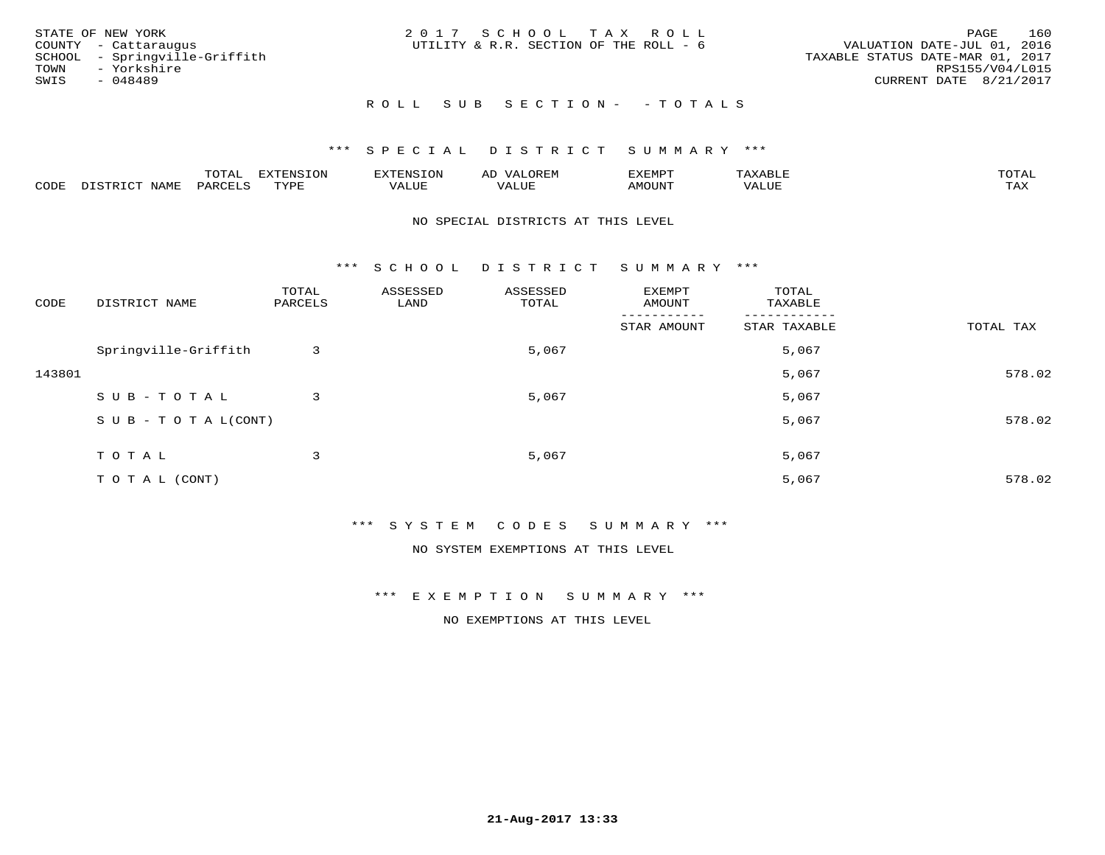|      | STATE OF NEW YORK             | 2017 SCHOOL TAX ROLL                   |  |                                  |                        | PAGE | 160 |
|------|-------------------------------|----------------------------------------|--|----------------------------------|------------------------|------|-----|
|      | COUNTY - Cattaraugus          | UTILITY & R.R. SECTION OF THE ROLL - 6 |  | VALUATION DATE-JUL 01, 2016      |                        |      |     |
|      | SCHOOL - Springville-Griffith |                                        |  | TAXABLE STATUS DATE-MAR 01, 2017 |                        |      |     |
|      | TOWN - Yorkshire              |                                        |  |                                  | RPS155/V04/L015        |      |     |
| SWIS | - 048489                      |                                        |  |                                  | CURRENT DATE 8/21/2017 |      |     |
|      |                               |                                        |  |                                  |                        |      |     |

# R O L L S U B S E C T I O N - - T O T A L S

# \*\*\* S P E C I A L D I S T R I C T S U M M A R Y \*\*\*

|      |             | ----<br>$\cdots$ | ת A דפות אידא<br>. OP | <b>ENSION</b> | AL    | YEMPT! |                   | $m \wedge m \wedge n$ |
|------|-------------|------------------|-----------------------|---------------|-------|--------|-------------------|-----------------------|
| CODE | <b>JAME</b> | ᄭᇚᅎᄧᅚ<br>$H$ K   | TVDF                  | ALUE          | 'ALUE | AMOUNT | $T$ $TT$<br>שטשמי | TAX                   |

#### NO SPECIAL DISTRICTS AT THIS LEVEL

\*\*\* S C H O O L D I S T R I C T S U M M A R Y \*\*\*

| CODE   | DISTRICT NAME                    | TOTAL<br>PARCELS | ASSESSED<br>LAND | ASSESSED<br>TOTAL | EXEMPT<br>AMOUNT       | TOTAL<br>TAXABLE         |           |
|--------|----------------------------------|------------------|------------------|-------------------|------------------------|--------------------------|-----------|
|        |                                  |                  |                  |                   | -------<br>STAR AMOUNT | --------<br>STAR TAXABLE | TOTAL TAX |
|        | Springville-Griffith             | 3                |                  | 5,067             |                        | 5,067                    |           |
| 143801 |                                  |                  |                  |                   |                        | 5,067                    | 578.02    |
|        | SUB-TOTAL                        | 3                |                  | 5,067             |                        | 5,067                    |           |
|        | $S \cup B - T \cup T A L (CONT)$ |                  |                  |                   |                        | 5,067                    | 578.02    |
|        | TOTAL                            | 3                |                  | 5,067             |                        | 5,067                    |           |
|        | TO TAL (CONT)                    |                  |                  |                   |                        | 5,067                    | 578.02    |

\*\*\* S Y S T E M C O D E S S U M M A R Y \*\*\*

NO SYSTEM EXEMPTIONS AT THIS LEVEL

\*\*\* E X E M P T I O N S U M M A R Y \*\*\*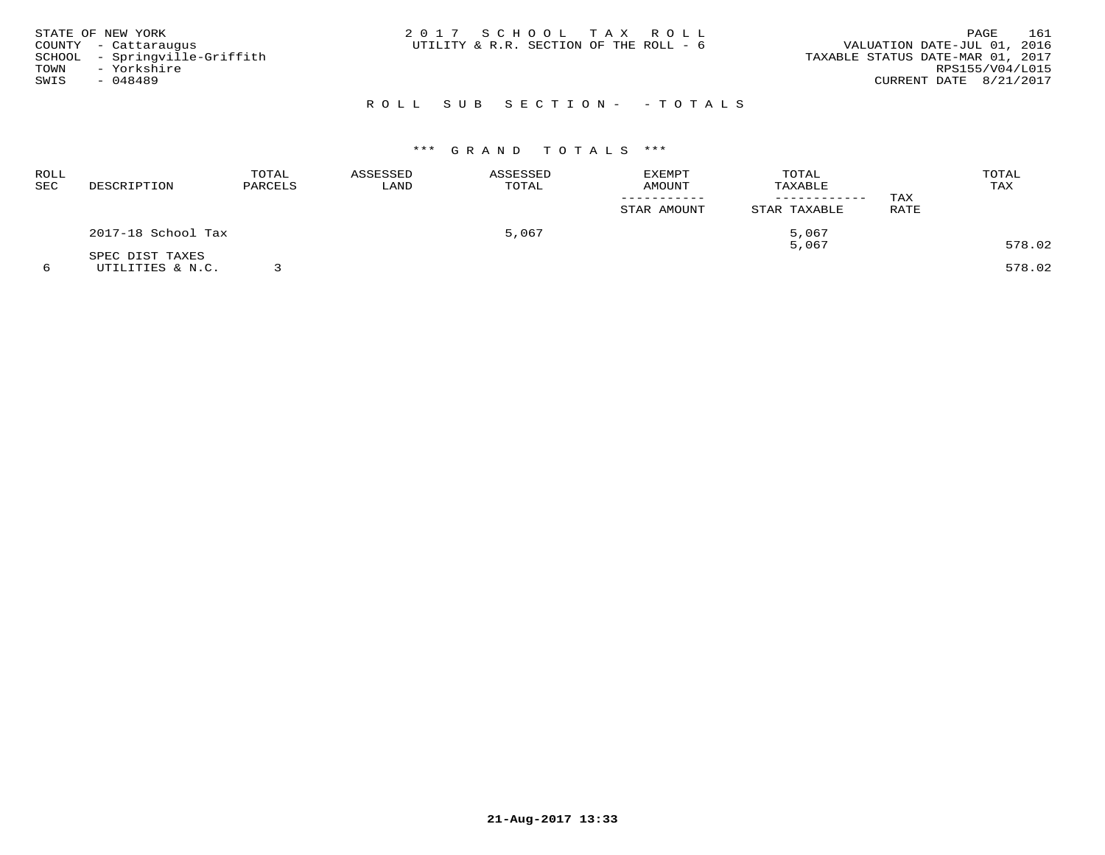|      | STATE OF NEW YORK             | 2017 SCHOOL TAX ROLL                   |  |                                  |                        | PAGE | 161 |
|------|-------------------------------|----------------------------------------|--|----------------------------------|------------------------|------|-----|
|      | COUNTY - Cattaraugus          | UTILITY & R.R. SECTION OF THE ROLL - 6 |  | VALUATION DATE-JUL 01, 2016      |                        |      |     |
|      | SCHOOL - Springville-Griffith |                                        |  | TAXABLE STATUS DATE-MAR 01, 2017 |                        |      |     |
| TOWN | - Yorkshire                   |                                        |  |                                  | RPS155/V04/L015        |      |     |
| SWIS | - 048489                      |                                        |  |                                  | CURRENT DATE 8/21/2017 |      |     |
|      |                               |                                        |  |                                  |                        |      |     |

# R O L L S U B S E C T I O N - - T O T A L S

# \*\*\* G R A N D T O T A L S \*\*\*

| ROLL<br>SEC | DESCRIPTION                         | TOTAL<br>PARCELS | ASSESSED<br>LAND | ASSESSED<br>TOTAL | <b>EXEMPT</b><br>AMOUNT<br>STAR AMOUNT | TOTAL<br>TAXABLE<br>STAR TAXABLE | TAX<br>RATE | TOTAL<br>TAX |
|-------------|-------------------------------------|------------------|------------------|-------------------|----------------------------------------|----------------------------------|-------------|--------------|
|             | 2017-18 School Tax                  |                  |                  | 5,067             |                                        | 5,067<br>5,067                   |             | 578.02       |
|             | SPEC DIST TAXES<br>UTILITIES & N.C. |                  |                  |                   |                                        |                                  |             | 578.02       |

**21-Aug-2017 13:33**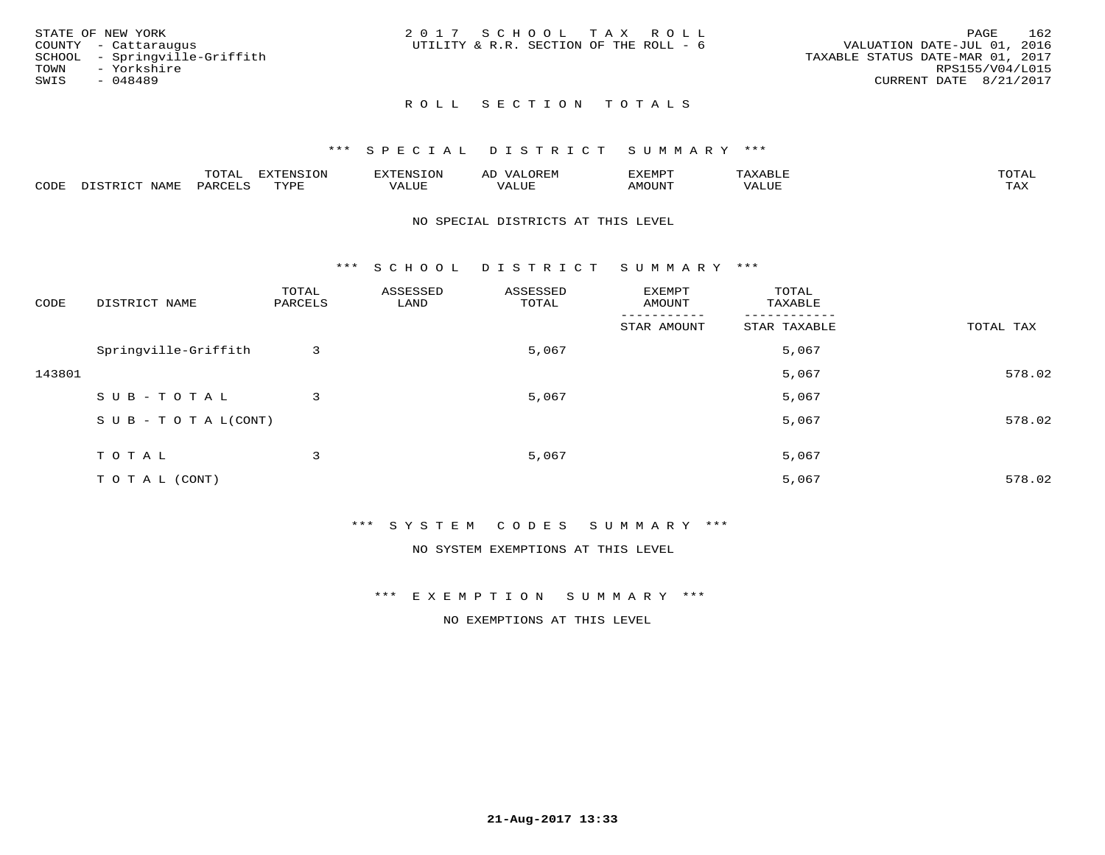| STATE OF NEW YORK |                               | 2017 SCHOOL TAX ROLL                   |  |                                  |                        | PAGE | 162 |
|-------------------|-------------------------------|----------------------------------------|--|----------------------------------|------------------------|------|-----|
|                   | COUNTY - Cattaraugus          | UTILITY & R.R. SECTION OF THE ROLL - 6 |  | VALUATION DATE-JUL 01, 2016      |                        |      |     |
|                   | SCHOOL - Springville-Griffith |                                        |  | TAXABLE STATUS DATE-MAR 01, 2017 |                        |      |     |
| TOWN              | - Yorkshire                   |                                        |  |                                  | RPS155/V04/L015        |      |     |
| SWIS              | - 048489                      |                                        |  |                                  | CURRENT DATE 8/21/2017 |      |     |
|                   |                               |                                        |  |                                  |                        |      |     |

# ROLL SECTION TOTALS

#### \*\*\* S P E C I A L D I S T R I C T S U M M A R Y \*\*\*

|      |                             | momn.<br>LUIAL     | <b>EXTENSION</b> | $117$ mm $1707070$<br>אי | ΑD<br>.JREN      | 33773850<br>ivi D'<br>ניומיום בי | $max$ is $max$ $n$ | $m \wedge m \wedge n$ |
|------|-----------------------------|--------------------|------------------|--------------------------|------------------|----------------------------------|--------------------|-----------------------|
| CODE | <b>NAME</b><br>דת דפידים דת | PARCE <sup>T</sup> | TVDF             | VALUE                    | -- - ---<br>ALUE | TUUOM4                           | VALUE              | <b>TAY</b><br>⊥⇔∆     |

#### NO SPECIAL DISTRICTS AT THIS LEVEL

\*\*\* S C H O O L D I S T R I C T S U M M A R Y \*\*\*

| CODE   | DISTRICT NAME                    | TOTAL<br>PARCELS | ASSESSED<br>LAND | ASSESSED<br>TOTAL | EXEMPT<br>AMOUNT       | TOTAL<br>TAXABLE         |           |
|--------|----------------------------------|------------------|------------------|-------------------|------------------------|--------------------------|-----------|
|        |                                  |                  |                  |                   | -------<br>STAR AMOUNT | --------<br>STAR TAXABLE | TOTAL TAX |
|        | Springville-Griffith             | 3                |                  | 5,067             |                        | 5,067                    |           |
| 143801 |                                  |                  |                  |                   |                        | 5,067                    | 578.02    |
|        | SUB-TOTAL                        | 3                |                  | 5,067             |                        | 5,067                    |           |
|        | $S \cup B - T \cup T A L (CONT)$ |                  |                  |                   |                        | 5,067                    | 578.02    |
|        | TOTAL                            | 3                |                  | 5,067             |                        | 5,067                    |           |
|        | TO TAL (CONT)                    |                  |                  |                   |                        | 5,067                    | 578.02    |

\*\*\* S Y S T E M C O D E S S U M M A R Y \*\*\*

NO SYSTEM EXEMPTIONS AT THIS LEVEL

\*\*\* E X E M P T I O N S U M M A R Y \*\*\*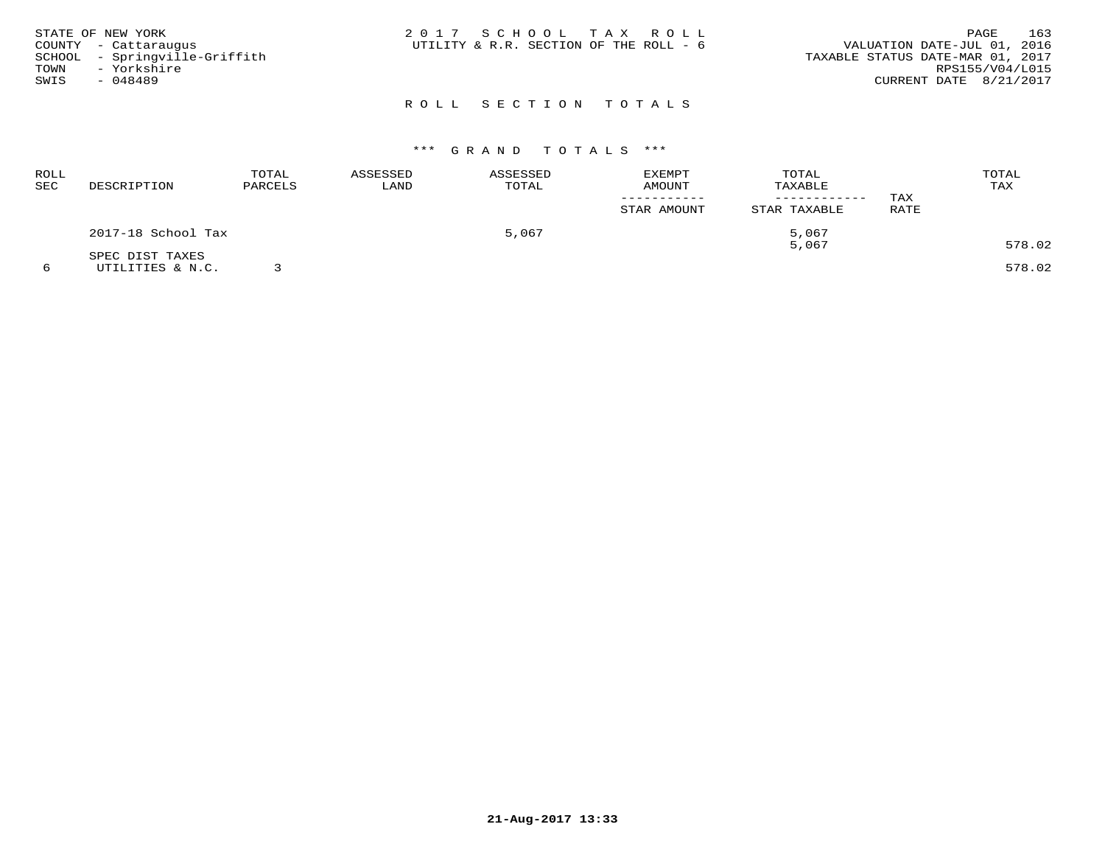| STATE OF NEW YORK<br>COUNTY - Cattaraugus<br>SCHOOL - Springville-Griffith<br>TOWN - Yorkshire<br>SWIS<br>$-048489$ | 2017 SCHOOL TAX ROLL<br>UTILITY & R.R. SECTION OF THE ROLL - 6 | 163<br>PAGE<br>VALUATION DATE-JUL 01, 2016<br>TAXABLE STATUS DATE-MAR 01, 2017<br>RPS155/V04/L015<br>CURRENT DATE 8/21/2017 |
|---------------------------------------------------------------------------------------------------------------------|----------------------------------------------------------------|-----------------------------------------------------------------------------------------------------------------------------|
|                                                                                                                     | ROLL SECTION TOTALS                                            |                                                                                                                             |

| <b>ROLL</b><br><b>SEC</b> | DESCRIPTION        | TOTAL<br>PARCELS | ASSESSED<br>LAND | ASSESSED<br>TOTAL | <b>EXEMPT</b><br>AMOUNT<br>STAR AMOUNT | TOTAL<br>TAXABLE<br>------------<br>STAR TAXABLE | TAX<br>RATE | TOTAL<br>TAX |
|---------------------------|--------------------|------------------|------------------|-------------------|----------------------------------------|--------------------------------------------------|-------------|--------------|
|                           | 2017-18 School Tax |                  |                  | 5,067             |                                        | 5,067                                            |             |              |
|                           | SPEC DIST TAXES    |                  |                  |                   |                                        | 5,067                                            |             | 578.02       |
|                           | UTILITIES & N.C.   |                  |                  |                   |                                        |                                                  |             | 578.02       |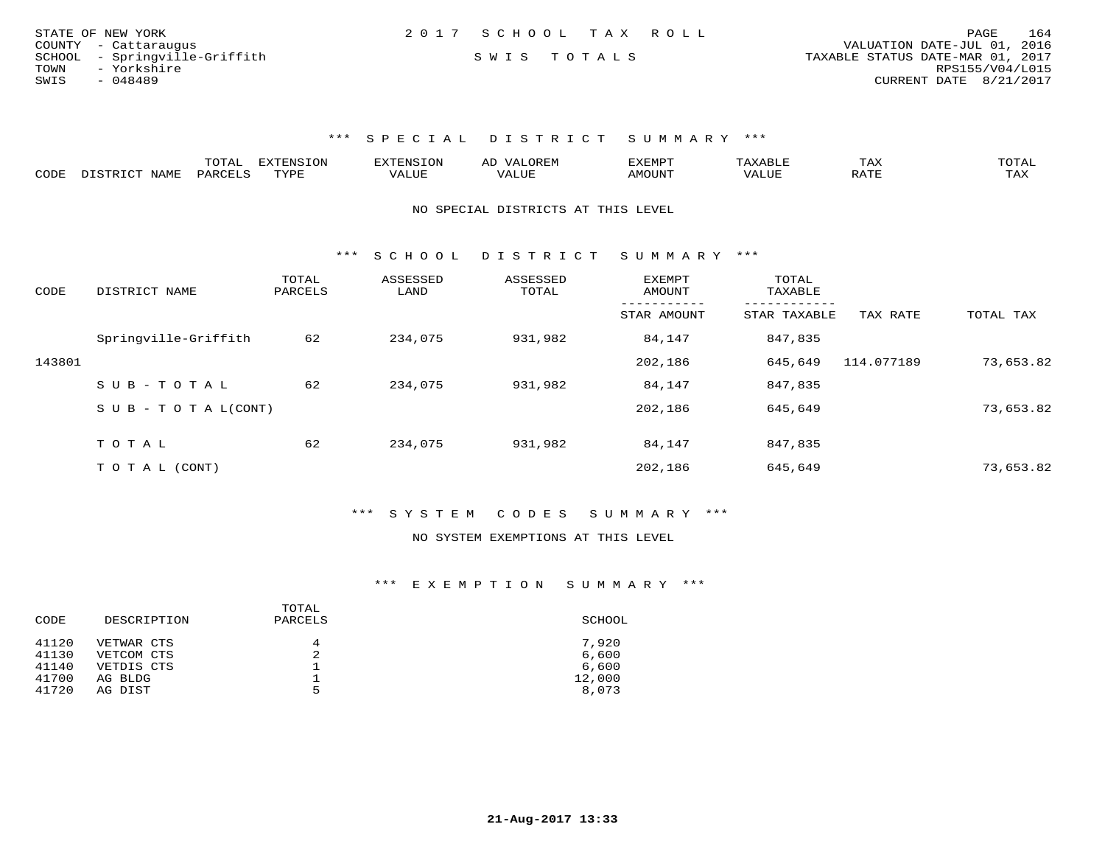| STATE OF NEW YORK             | 2017 SCHOOL TAX ROLL | 164<br>PAGE                      |
|-------------------------------|----------------------|----------------------------------|
| COUNTY - Cattaraugus          |                      | VALUATION DATE-JUL 01, 2016      |
| SCHOOL - Springville-Griffith | SWIS TOTALS          | TAXABLE STATUS DATE-MAR 01, 2017 |
| TOWN<br>- Yorkshire           |                      | RPS155/V04/L015                  |
| SWIS<br>- 048489              |                      | CURRENT DATE 8/21/2017           |

|      |      | T<br>$\rightarrow$<br>- 777 | <b>EXTENSION</b> | $\mathbf{u}$ | $\sim$ | <b>XEMPT</b> |       | TAX        | ◡⊥▱ |
|------|------|-----------------------------|------------------|--------------|--------|--------------|-------|------------|-----|
| CODE | NAME | PARCET -                    | アマンロセ            | ' ليليد      |        | MOTIN        | VALUE | $1.7$ $mm$ | TAX |

NO SPECIAL DISTRICTS AT THIS LEVEL

\*\*\* S C H O O L D I S T R I C T S U M M A R Y \*\*\*

| CODE   | DISTRICT NAME              | TOTAL<br>PARCELS | ASSESSED<br>LAND | ASSESSED<br>TOTAL | EXEMPT<br>AMOUNT | TOTAL<br>TAXABLE |            |           |
|--------|----------------------------|------------------|------------------|-------------------|------------------|------------------|------------|-----------|
|        |                            |                  |                  |                   | STAR AMOUNT      | STAR TAXABLE     | TAX RATE   | TOTAL TAX |
|        | Springville-Griffith       | 62               | 234,075          | 931,982           | 84,147           | 847,835          |            |           |
| 143801 |                            |                  |                  |                   | 202,186          | 645,649          | 114.077189 | 73,653.82 |
|        | SUB-TOTAL                  | 62               | 234,075          | 931,982           | 84,147           | 847,835          |            |           |
|        | S U B - T O T A $L$ (CONT) |                  |                  |                   | 202,186          | 645,649          |            | 73,653.82 |
|        | TOTAL                      | 62               | 234,075          | 931,982           | 84,147           | 847,835          |            |           |
|        |                            |                  |                  |                   |                  |                  |            |           |
|        | T O T A L (CONT)           |                  |                  |                   | 202,186          | 645,649          |            | 73,653.82 |

\*\*\* S Y S T E M C O D E S S U M M A R Y \*\*\*

#### NO SYSTEM EXEMPTIONS AT THIS LEVEL

| CODE  | DESCRIPTION | TOTAL<br>PARCELS | SCHOOL |
|-------|-------------|------------------|--------|
| 41120 | VETWAR CTS  | 4                | 7,920  |
| 41130 | VETCOM CTS  | $\mathfrak{D}$   | 6,600  |
| 41140 | VETDIS CTS  |                  | 6,600  |
| 41700 | AG BLDG     |                  | 12,000 |
| 41720 | AG DIST     | 5                | 8,073  |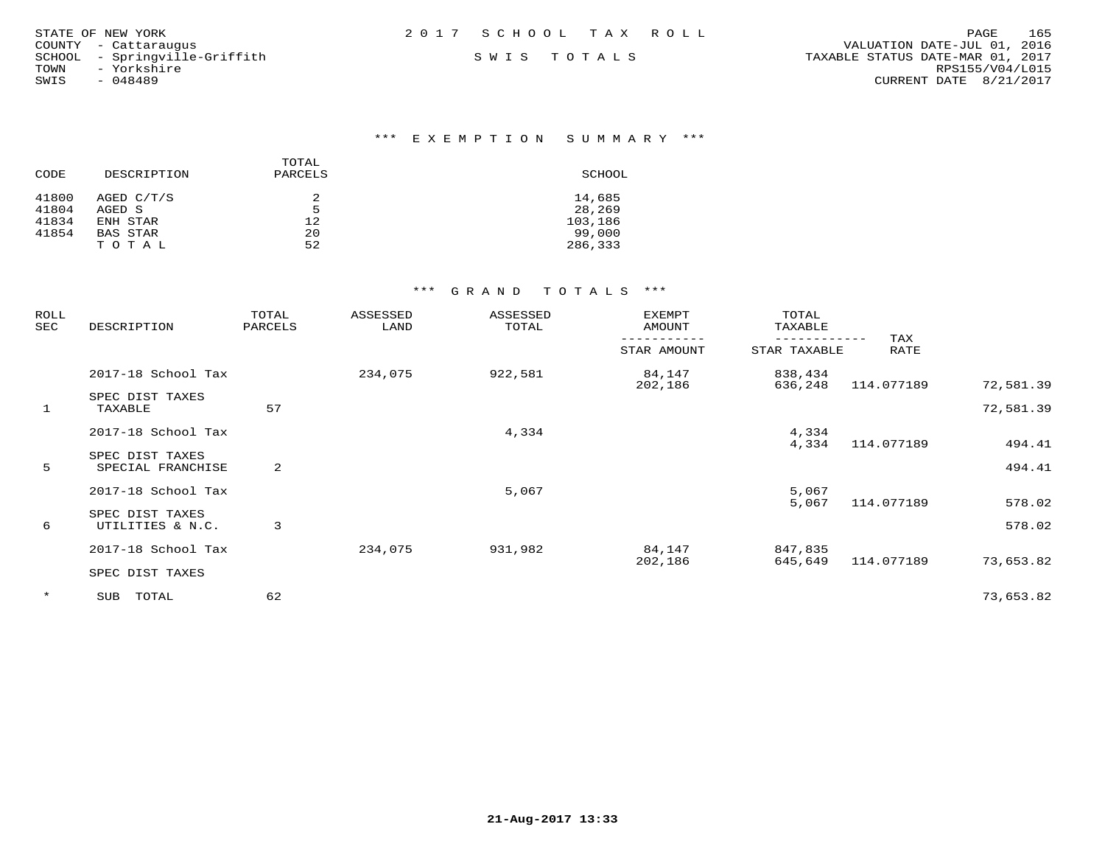| STATE OF NEW YORK             | 2017 SCHOOL TAX ROLL | 165<br>PAGE                      |
|-------------------------------|----------------------|----------------------------------|
| COUNTY - Cattaraugus          |                      | VALUATION DATE-JUL 01, 2016      |
| SCHOOL - Springville-Griffith | SWIS TOTALS          | TAXABLE STATUS DATE-MAR 01, 2017 |
| - Yorkshire<br>TOWN           |                      | RPS155/V04/L015                  |
| SWIS<br>- 048489              |                      | CURRENT DATE 8/21/2017           |

| CODE  | DESCRIPTION     | TOTAL<br>PARCELS | SCHOOL  |
|-------|-----------------|------------------|---------|
| 41800 | AGED C/T/S      |                  | 14,685  |
| 41804 | AGED S          | 5                | 28,269  |
| 41834 | ENH STAR        | 12               | 103,186 |
| 41854 | <b>BAS STAR</b> | 20               | 99,000  |
|       | T O T A L       | 52               | 286,333 |

| ROLL<br>SEC  | DESCRIPTION                          | TOTAL<br>PARCELS | ASSESSED<br>LAND | ASSESSED<br>TOTAL | <b>EXEMPT</b><br>AMOUNT | TOTAL<br>TAXABLE   |             |                        |
|--------------|--------------------------------------|------------------|------------------|-------------------|-------------------------|--------------------|-------------|------------------------|
|              |                                      |                  |                  |                   | STAR AMOUNT             | STAR TAXABLE       | TAX<br>RATE |                        |
|              | 2017-18 School Tax                   |                  | 234,075          | 922,581           | 84,147<br>202,186       | 838,434            |             |                        |
| $\mathbf{1}$ | SPEC DIST TAXES<br>TAXABLE           | 57               |                  |                   |                         | 636,248            | 114.077189  | 72,581.39<br>72,581.39 |
|              | 2017-18 School Tax                   |                  |                  | 4,334             |                         | 4,334<br>4,334     | 114.077189  | 494.41                 |
| 5            | SPEC DIST TAXES<br>SPECIAL FRANCHISE | 2                |                  |                   |                         |                    |             | 494.41                 |
|              | 2017-18 School Tax                   |                  |                  | 5,067             |                         | 5,067<br>5,067     | 114.077189  | 578.02                 |
| 6            | SPEC DIST TAXES<br>UTILITIES & N.C.  | 3                |                  |                   |                         |                    |             | 578.02                 |
|              | 2017-18 School Tax                   |                  | 234,075          | 931,982           | 84,147<br>202,186       | 847,835<br>645,649 | 114.077189  | 73,653.82              |
|              | SPEC DIST TAXES                      |                  |                  |                   |                         |                    |             |                        |
| $\star$      | SUB TOTAL                            | 62               |                  |                   |                         |                    |             | 73,653.82              |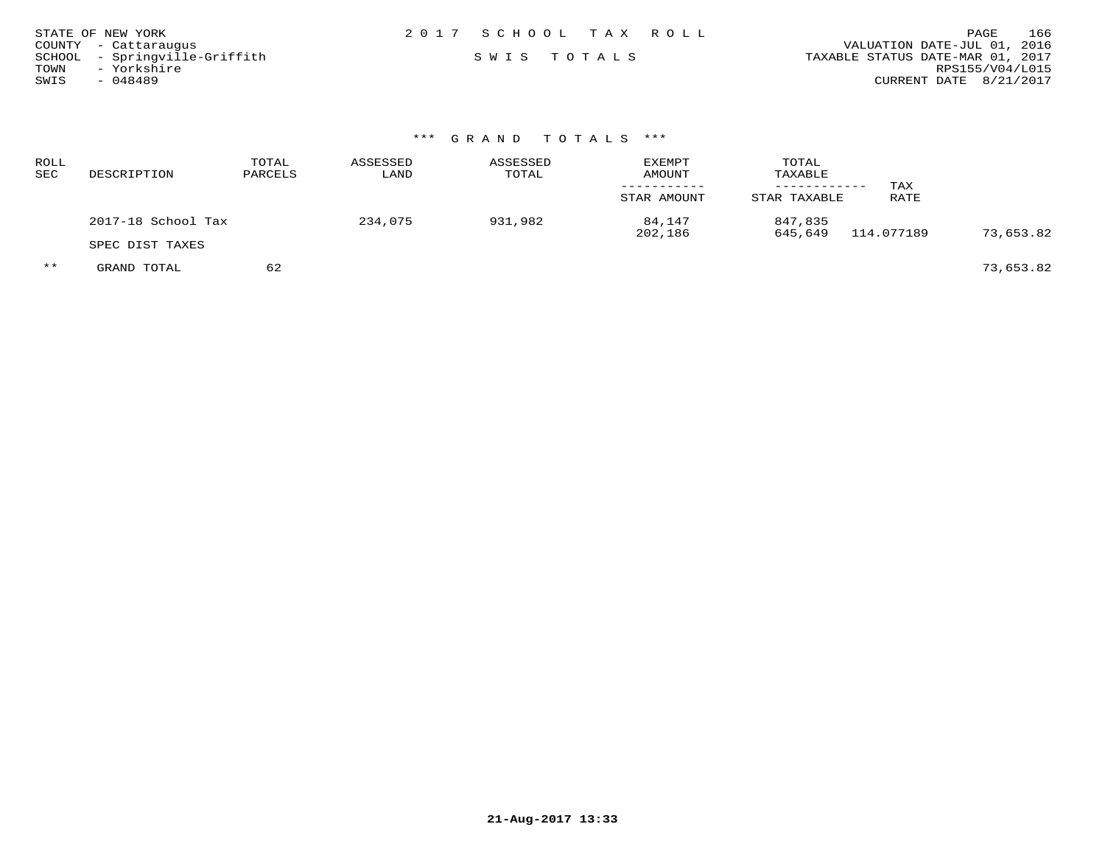| STATE OF NEW YORK             | 2017 SCHOOL TAX ROLL | 166<br>PAGE                      |
|-------------------------------|----------------------|----------------------------------|
| COUNTY - Cattarauqus          |                      | VALUATION DATE-JUL 01, 2016      |
| SCHOOL - Springville-Griffith | SWIS TOTALS          | TAXABLE STATUS DATE-MAR 01, 2017 |
| - Yorkshire<br>TOWN           |                      | RPS155/V04/L015                  |
| SWIS<br>$-048489$             |                      | CURRENT DATE 8/21/2017           |

| ROLL<br>SEC | DESCRIPTION        | TOTAL<br>PARCELS | ASSESSED<br>LAND | ASSESSED<br>TOTAL | <b>EXEMPT</b><br><b>AMOUNT</b><br>STAR AMOUNT | TOTAL<br>TAXABLE<br>---------<br>STAR TAXABLE | TAX<br>RATE |           |
|-------------|--------------------|------------------|------------------|-------------------|-----------------------------------------------|-----------------------------------------------|-------------|-----------|
|             | 2017-18 School Tax |                  | 234,075          | 931,982           | 84,147                                        | 847,835                                       | 114.077189  |           |
|             | SPEC DIST TAXES    |                  |                  |                   | 202,186                                       | 645,649                                       |             | 73,653.82 |
| $***$       | GRAND TOTAL        | 62               |                  |                   |                                               |                                               |             | 73,653.82 |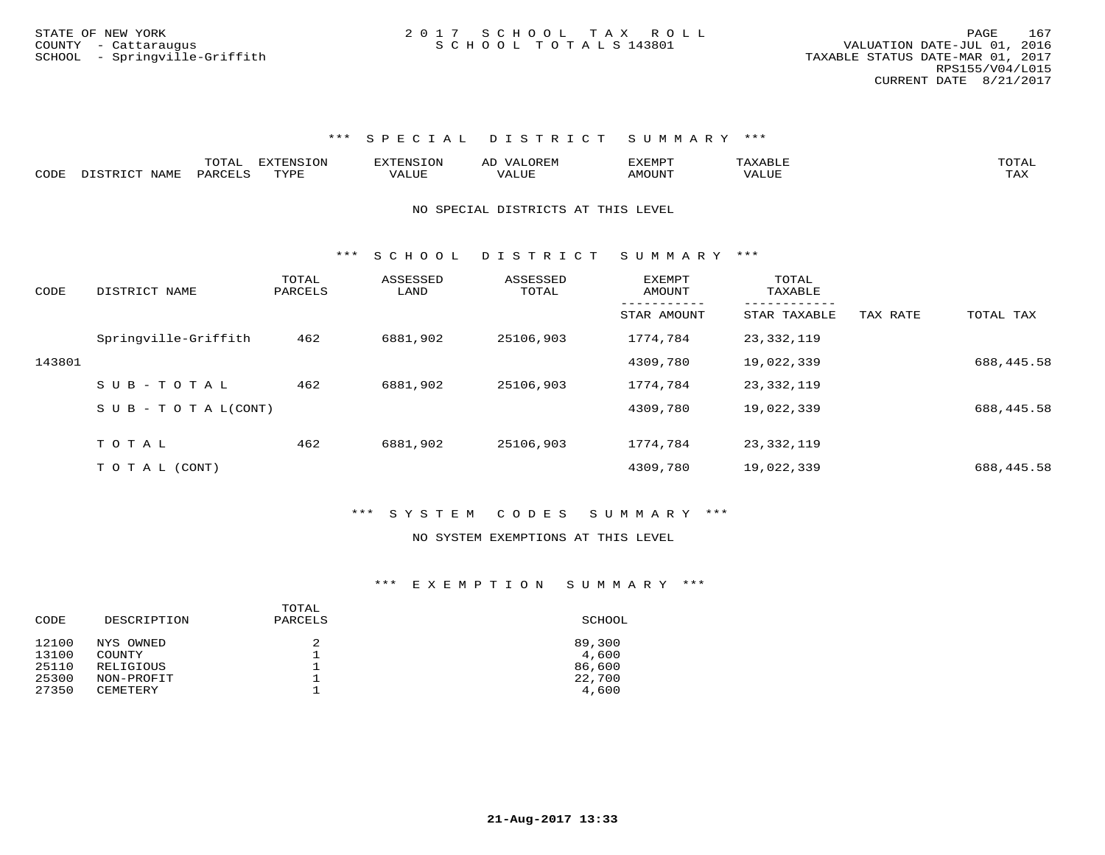|      |               | TOTAL   | <b>EXTENSION</b> | EXTENSION        | <b>OREM</b><br>$\mathbf{V}^{\mathbf{A}}$<br>AD | EXEMPT |       | . JTAL- |
|------|---------------|---------|------------------|------------------|------------------------------------------------|--------|-------|---------|
| CODE | DISTRICT NAME | PARCELS | TYPR.            | 7377<br>ا للطة ا | `'ALUL                                         | AMOUNT | VALU. | TAX     |

#### NO SPECIAL DISTRICTS AT THIS LEVEL

\*\*\* S C H O O L D I S T R I C T S U M M A R Y \*\*\*

| CODE   | DISTRICT NAME                 | TOTAL<br>PARCELS | ASSESSED<br>LAND | ASSESSED<br>TOTAL | <b>EXEMPT</b><br>AMOUNT | TOTAL<br>TAXABLE |          |            |
|--------|-------------------------------|------------------|------------------|-------------------|-------------------------|------------------|----------|------------|
|        |                               |                  |                  |                   | STAR AMOUNT             | STAR TAXABLE     | TAX RATE | TOTAL TAX  |
|        | Springville-Griffith          | 462              | 6881,902         | 25106,903         | 1774,784                | 23,332,119       |          |            |
| 143801 |                               |                  |                  |                   | 4309,780                | 19,022,339       |          | 688,445.58 |
|        | $SUB - TO TAL$                | 462              | 6881,902         | 25106,903         | 1774,784                | 23,332,119       |          |            |
|        | $S \cup B - T O T A L (CONT)$ |                  |                  |                   | 4309,780                | 19,022,339       |          | 688,445.58 |
|        |                               |                  |                  |                   |                         |                  |          |            |
|        | TOTAL                         | 462              | 6881,902         | 25106,903         | 1774,784                | 23,332,119       |          |            |
|        | TO TAL (CONT)                 |                  |                  |                   | 4309,780                | 19,022,339       |          | 688,445.58 |

#### \*\*\* S Y S T E M C O D E S S U M M A R Y \*\*\*

#### NO SYSTEM EXEMPTIONS AT THIS LEVEL

| CODE  | DESCRIPTION     | TOTAL<br>PARCELS | SCHOOL |
|-------|-----------------|------------------|--------|
| 12100 | NYS OWNED       | 2                | 89,300 |
| 13100 | COUNTY          | ∸                | 4,600  |
| 25110 | RELIGIOUS       |                  | 86,600 |
| 25300 | NON-PROFIT      |                  | 22,700 |
| 27350 | <b>CEMETERY</b> |                  | 4,600  |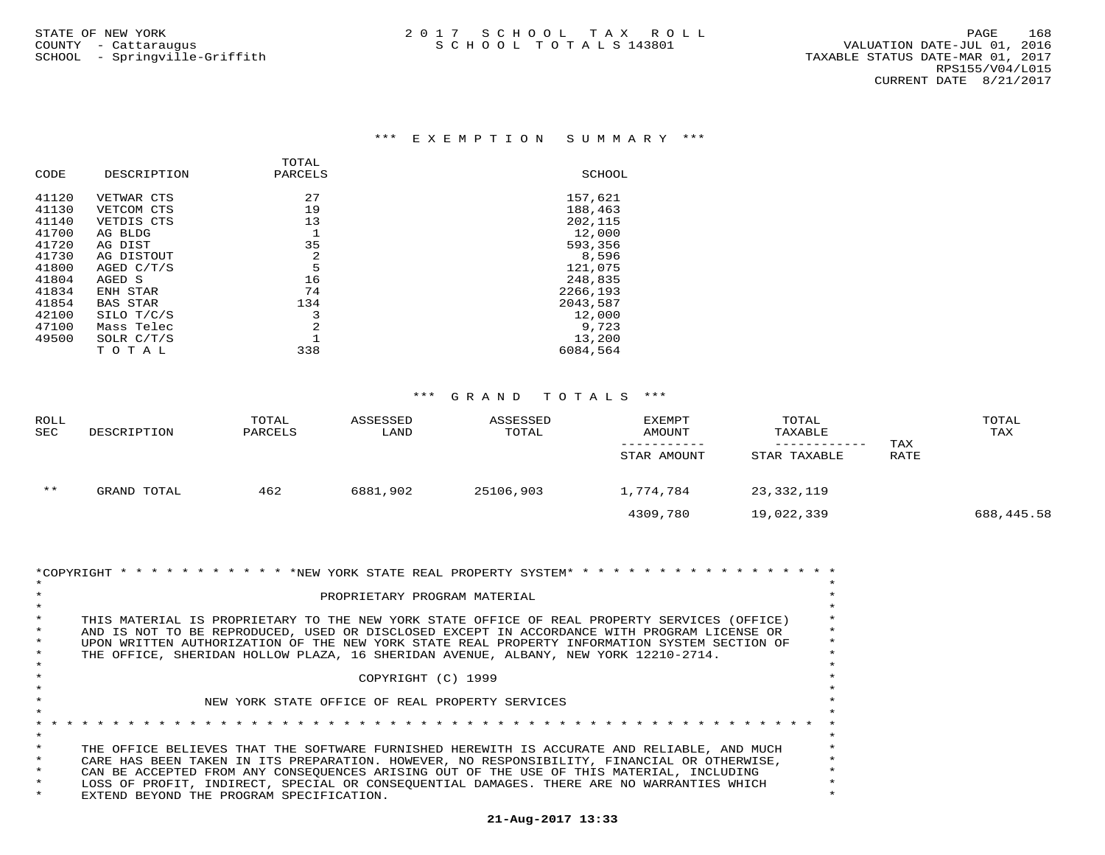| DESCRIPTION     | PARCELS | SCHOOL   |
|-----------------|---------|----------|
| VETWAR CTS      | 27      | 157,621  |
| VETCOM CTS      | 19      | 188,463  |
| VETDIS CTS      | 13      | 202,115  |
| AG BLDG         |         | 12,000   |
| AG DIST         | 35      | 593,356  |
| AG DISTOUT      | 2       | 8,596    |
| AGED C/T/S      | 5       | 121,075  |
| AGED S          | 16      | 248,835  |
| ENH STAR        | 74      | 2266,193 |
| <b>BAS STAR</b> | 134     | 2043,587 |
| SILO T/C/S      | 3       | 12,000   |
| Mass Telec      | 2       | 9,723    |
| SOLR $C/T/S$    |         | 13,200   |
| тотаь           | 338     | 6084,564 |
|                 |         | TOTAL    |

| ROLL<br><b>SEC</b> | DESCRIPTION | TOTAL<br>PARCELS | ASSESSED<br>LAND | ASSESSED<br>TOTAL | <b>EXEMPT</b><br>AMOUNT | TOTAL<br>TAXABLE |      | TOTAL<br>TAX |
|--------------------|-------------|------------------|------------------|-------------------|-------------------------|------------------|------|--------------|
|                    |             |                  |                  |                   |                         |                  | TAX  |              |
|                    |             |                  |                  |                   | STAR AMOUNT             | STAR TAXABLE     | RATE |              |
| $* *$              | GRAND TOTAL | 462              | 6881,902         | 25106,903         | 1,774,784               | 23,332,119       |      |              |
|                    |             |                  |                  |                   | 4309,780                | 19,022,339       |      | 688, 445.58  |

| *COPYRIGHT * * * * * * * * * * * * * NEW YORK STATE REAL PROPERTY SYSTEM* * * * * * * * * * * * * * * * * * |          |
|-------------------------------------------------------------------------------------------------------------|----------|
|                                                                                                             |          |
| PROPRIETARY PROGRAM MATERIAL                                                                                |          |
|                                                                                                             |          |
| THIS MATERIAL IS PROPRIETARY TO THE NEW YORK STATE OFFICE OF REAL PROPERTY SERVICES (OFFICE)                |          |
| AND IS NOT TO BE REPRODUCED, USED OR DISCLOSED EXCEPT IN ACCORDANCE WITH PROGRAM LICENSE OR                 |          |
| UPON WRITTEN AUTHORIZATION OF THE NEW YORK STATE REAL PROPERTY INFORMATION SYSTEM SECTION OF                | $^\star$ |
| THE OFFICE, SHERIDAN HOLLOW PLAZA, 16 SHERIDAN AVENUE, ALBANY, NEW YORK 12210-2714.                         |          |
|                                                                                                             |          |
| COPYRIGHT (C) 1999                                                                                          |          |
|                                                                                                             |          |
| NEW YORK STATE OFFICE OF REAL PROPERTY SERVICES                                                             |          |
|                                                                                                             |          |
|                                                                                                             |          |
|                                                                                                             |          |
| THE OFFICE BELIEVES THAT THE SOFTWARE FURNISHED HEREWITH IS ACCURATE AND RELIABLE, AND MUCH                 |          |
| CARE HAS BEEN TAKEN IN ITS PREPARATION. HOWEVER, NO RESPONSIBILITY, FINANCIAL OR OTHERWISE,                 |          |
| CAN BE ACCEPTED FROM ANY CONSEOUENCES ARISING OUT OF THE USE OF THIS MATERIAL, INCLUDING                    | $\ast$   |
| LOSS OF PROFIT, INDIRECT, SPECIAL OR CONSEOUENTIAL DAMAGES. THERE ARE NO WARRANTIES WHICH                   |          |
| EXTEND BEYOND THE PROGRAM SPECIFICATION.                                                                    |          |
|                                                                                                             |          |